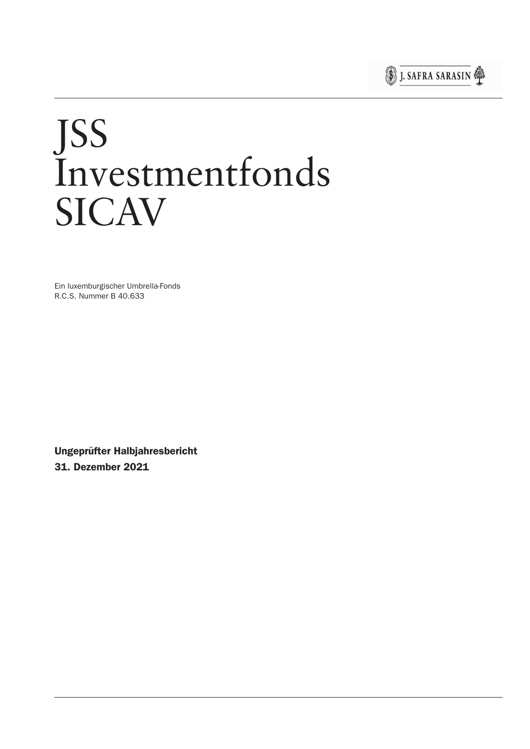

# JSS Investmentfonds **SICAV**

Ein luxemburgischer Umbrella-Fonds R.C.S. Nummer B 40.633

Ungeprüfter Halbjahresbericht 31. Dezember 2021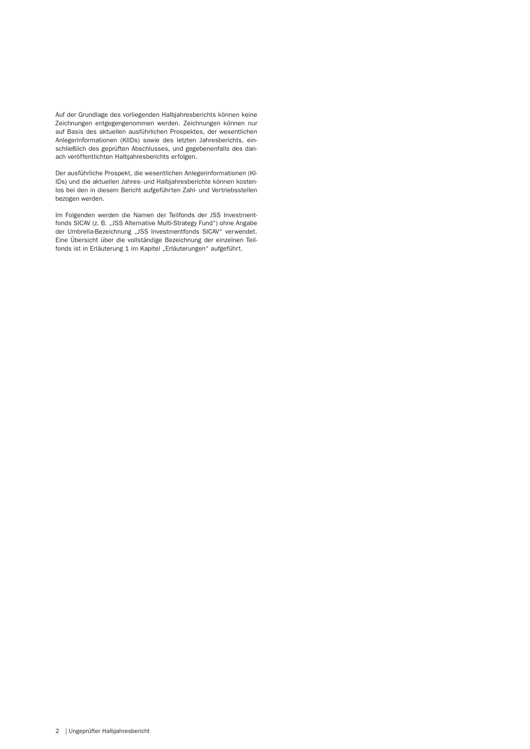Auf der Grundlage des vorliegenden Halbjahresberichts können keine Zeichnungen entgegengenommen werden. Zeichnungen können nur auf Basis des aktuellen ausführlichen Prospektes, der wesentlichen Anlegerinformationen (KIIDs) sowie des letzten Jahresberichts, einschließlich des geprüften Abschlusses, und gegebenenfalls des danach veröffentlichten Halbjahresberichts er folgen.

Der ausführliche Prospekt, die wesentlichen Anlegerinformationen (KI-IDs) und die aktuellen Jahres- und Halbjahresberichte können kostenlos bei den in diesem Bericht aufgeführten Zahl- und Vertriebsstellen bezogen werden.

Im Folgenden werden die Namen der Teilfonds der JSS Investmentfonds SICAV (z. B. "JSS Alternative Multi-Strategy Fund") ohne Angabe der Umbrella-Bezeichnung "JSS Investmentfonds SICAV" verwendet. Eine Übersicht über die vollständige Bezeichnung der einzelnen Teilfonds ist in Erläuterung 1 im Kapitel "Erläuterungen" aufgeführt.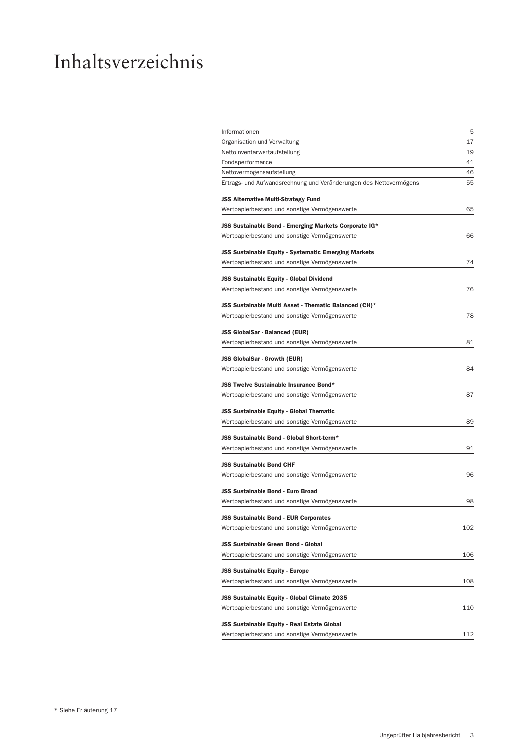## Inhaltsverzeichnis

| Informationen                                                      | 5   |
|--------------------------------------------------------------------|-----|
| Organisation und Verwaltung                                        | 17  |
| Nettoinventarwertaufstellung                                       | 19  |
| Fondsperformance                                                   | 41  |
| Nettovermögensaufstellung                                          | 46  |
| Ertrags- und Aufwandsrechnung und Veränderungen des Nettovermögens | 55  |
| <b>JSS Alternative Multi-Strategy Fund</b>                         |     |
| Wertpapierbestand und sonstige Vermögenswerte                      | 65  |
|                                                                    |     |
| JSS Sustainable Bond - Emerging Markets Corporate IG*              |     |
| Wertpapierbestand und sonstige Vermögenswerte                      | 66  |
| JSS Sustainable Equity - Systematic Emerging Markets               |     |
| Wertpapierbestand und sonstige Vermögenswerte                      | 74  |
|                                                                    |     |
| <b>JSS Sustainable Equity - Global Dividend</b>                    | 76  |
| Wertpapierbestand und sonstige Vermögenswerte                      |     |
| JSS Sustainable Multi Asset - Thematic Balanced (CH)*              |     |
| Wertpapierbestand und sonstige Vermögenswerte                      | 78  |
| JSS GlobalSar - Balanced (EUR)                                     |     |
| Wertpapierbestand und sonstige Vermögenswerte                      | 81  |
|                                                                    |     |
| JSS GlobalSar - Growth (EUR)                                       |     |
| Wertpapierbestand und sonstige Vermögenswerte                      | 84  |
| <b>JSS Twelve Sustainable Insurance Bond*</b>                      |     |
| Wertpapierbestand und sonstige Vermögenswerte                      | 87  |
| JSS Sustainable Equity - Global Thematic                           |     |
| Wertpapierbestand und sonstige Vermögenswerte                      | 89  |
|                                                                    |     |
| JSS Sustainable Bond - Global Short-term*                          |     |
| Wertpapierbestand und sonstige Vermögenswerte                      | 91  |
| <b>JSS Sustainable Bond CHF</b>                                    |     |
| Wertpapierbestand und sonstige Vermögenswerte                      | 96  |
|                                                                    |     |
| <b>JSS Sustainable Bond - Euro Broad</b>                           | 98  |
| Wertpapierbestand und sonstige Vermögenswerte                      |     |
| <b>JSS Sustainable Bond - EUR Corporates</b>                       |     |
| Wertpapierbestand und sonstige Vermögenswerte                      | 102 |
| <b>JSS Sustainable Green Bond - Global</b>                         |     |
| Wertpapierbestand und sonstige Vermögenswerte                      | 106 |
|                                                                    |     |
| <b>JSS Sustainable Equity - Europe</b>                             |     |
| Wertpapierbestand und sonstige Vermögenswerte                      | 108 |
| JSS Sustainable Equity - Global Climate 2035                       |     |
| Wertpapierbestand und sonstige Vermögenswerte                      | 110 |
| JSS Sustainable Equity - Real Estate Global                        |     |
| Wertpapierbestand und sonstige Vermögenswerte                      | 112 |
|                                                                    |     |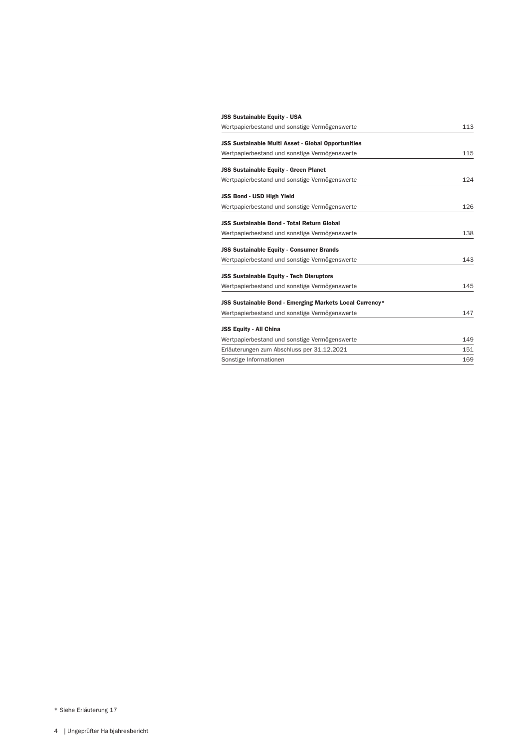| <b>JSS Sustainable Equity - USA</b>                       |     |
|-----------------------------------------------------------|-----|
| Wertpapierbestand und sonstige Vermögenswerte             | 113 |
| <b>JSS Sustainable Multi Asset - Global Opportunities</b> |     |
| Wertpapierbestand und sonstige Vermögenswerte             | 115 |
| <b>JSS Sustainable Equity - Green Planet</b>              |     |
| Wertpapierbestand und sonstige Vermögenswerte             | 124 |
| JSS Bond - USD High Yield                                 |     |
| Wertpapierbestand und sonstige Vermögenswerte             | 126 |
| <b>JSS Sustainable Bond - Total Return Global</b>         |     |
| Wertpapierbestand und sonstige Vermögenswerte             | 138 |
| <b>JSS Sustainable Equity - Consumer Brands</b>           |     |
| Wertpapierbestand und sonstige Vermögenswerte             | 143 |
| <b>JSS Sustainable Equity - Tech Disruptors</b>           |     |
| Wertpapierbestand und sonstige Vermögenswerte             | 145 |
| JSS Sustainable Bond - Emerging Markets Local Currency*   |     |
| Wertpapierbestand und sonstige Vermögenswerte             | 147 |
| <b>JSS Equity - All China</b>                             |     |
| Wertpapierbestand und sonstige Vermögenswerte             | 149 |
| Erläuterungen zum Abschluss per 31.12.2021                | 151 |
| Sonstige Informationen                                    | 169 |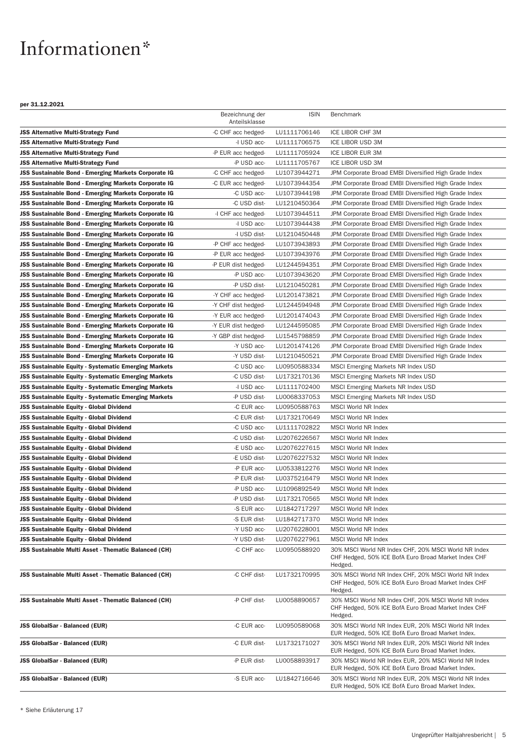### <span id="page-4-0"></span>Informationen\*

|                                                             | Bezeichnung der<br>Anteilsklasse | <b>ISIN</b>  | Benchmark                                                                                                               |
|-------------------------------------------------------------|----------------------------------|--------------|-------------------------------------------------------------------------------------------------------------------------|
| <b>JSS Alternative Multi-Strategy Fund</b>                  | -C CHF acc hedged-               | LU1111706146 | ICE LIBOR CHF 3M                                                                                                        |
| JSS Alternative Multi-Strategy Fund                         | -I USD acc-                      | LU1111706575 | ICE LIBOR USD 3M                                                                                                        |
| JSS Alternative Multi-Strategy Fund                         | -P EUR acc hedged-               | LU1111705924 | ICE LIBOR EUR 3M                                                                                                        |
| <b>JSS Alternative Multi-Strategy Fund</b>                  | -P USD acc-                      | LU1111705767 | ICE LIBOR USD 3M                                                                                                        |
| JSS Sustainable Bond - Emerging Markets Corporate IG        | -C CHF acc hedged-               | LU1073944271 | JPM Corporate Broad EMBI Diversified High Grade Index                                                                   |
| JSS Sustainable Bond - Emerging Markets Corporate IG        | -C EUR acc hedged-               | LU1073944354 | JPM Corporate Broad EMBI Diversified High Grade Index                                                                   |
| <b>JSS Sustainable Bond - Emerging Markets Corporate IG</b> | -C USD acc-                      | LU1073944198 | JPM Corporate Broad EMBI Diversified High Grade Index                                                                   |
| JSS Sustainable Bond - Emerging Markets Corporate IG        | -C USD dist-                     | LU1210450364 | JPM Corporate Broad EMBI Diversified High Grade Index                                                                   |
| JSS Sustainable Bond - Emerging Markets Corporate IG        | -I CHF acc hedged-               | LU1073944511 | JPM Corporate Broad EMBI Diversified High Grade Index                                                                   |
| JSS Sustainable Bond - Emerging Markets Corporate IG        | -I USD acc-                      | LU1073944438 | JPM Corporate Broad EMBI Diversified High Grade Index                                                                   |
| JSS Sustainable Bond - Emerging Markets Corporate IG        | -I USD dist-                     | LU1210450448 | JPM Corporate Broad EMBI Diversified High Grade Index                                                                   |
| JSS Sustainable Bond - Emerging Markets Corporate IG        | -P CHF acc hedged-               | LU1073943893 | JPM Corporate Broad EMBI Diversified High Grade Index                                                                   |
| JSS Sustainable Bond - Emerging Markets Corporate IG        | -P EUR acc hedged-               | LU1073943976 | JPM Corporate Broad EMBI Diversified High Grade Index                                                                   |
| JSS Sustainable Bond - Emerging Markets Corporate IG        | -P EUR dist hedged-              | LU1244594351 | JPM Corporate Broad EMBI Diversified High Grade Index                                                                   |
| JSS Sustainable Bond - Emerging Markets Corporate IG        | -P USD acc-                      | LU1073943620 | JPM Corporate Broad EMBI Diversified High Grade Index                                                                   |
| JSS Sustainable Bond - Emerging Markets Corporate IG        | -P USD dist-                     | LU1210450281 | JPM Corporate Broad EMBI Diversified High Grade Index                                                                   |
| JSS Sustainable Bond - Emerging Markets Corporate IG        | -Y CHF acc hedged-               | LU1201473821 | JPM Corporate Broad EMBI Diversified High Grade Index                                                                   |
| JSS Sustainable Bond - Emerging Markets Corporate IG        | -Y CHF dist hedged-              | LU1244594948 | JPM Corporate Broad EMBI Diversified High Grade Index                                                                   |
| JSS Sustainable Bond - Emerging Markets Corporate IG        | -Y EUR acc hedged-               | LU1201474043 | JPM Corporate Broad EMBI Diversified High Grade Index                                                                   |
| JSS Sustainable Bond - Emerging Markets Corporate IG        | -Y EUR dist hedged-              | LU1244595085 | JPM Corporate Broad EMBI Diversified High Grade Index                                                                   |
| JSS Sustainable Bond - Emerging Markets Corporate IG        | -Y GBP dist hedged-              | LU1545798859 |                                                                                                                         |
|                                                             | -Y USD acc-                      |              | JPM Corporate Broad EMBI Diversified High Grade Index                                                                   |
| JSS Sustainable Bond - Emerging Markets Corporate IG        | -Y USD dist-                     | LU1201474126 | JPM Corporate Broad EMBI Diversified High Grade Index                                                                   |
| JSS Sustainable Bond - Emerging Markets Corporate IG        |                                  | LU1210450521 | JPM Corporate Broad EMBI Diversified High Grade Index                                                                   |
| <b>JSS Sustainable Equity - Systematic Emerging Markets</b> | -C USD acc-                      | LU0950588334 | <b>MSCI Emerging Markets NR Index USD</b>                                                                               |
| <b>JSS Sustainable Equity - Systematic Emerging Markets</b> | -C USD dist-                     | LU1732170136 | MSCI Emerging Markets NR Index USD                                                                                      |
| <b>JSS Sustainable Equity - Systematic Emerging Markets</b> | -I USD acc-                      | LU1111702400 | MSCI Emerging Markets NR Index USD                                                                                      |
| <b>JSS Sustainable Equity - Systematic Emerging Markets</b> | -P USD dist-                     | LU0068337053 | <b>MSCI Emerging Markets NR Index USD</b>                                                                               |
| JSS Sustainable Equity - Global Dividend                    | -C EUR acc-                      | LU0950588763 | MSCI World NR Index                                                                                                     |
| JSS Sustainable Equity - Global Dividend                    | -C EUR dist-                     | LU1732170649 | <b>MSCI World NR Index</b>                                                                                              |
| <b>JSS Sustainable Equity - Global Dividend</b>             | -C USD acc-                      | LU1111702822 | MSCI World NR Index                                                                                                     |
| <b>JSS Sustainable Equity - Global Dividend</b>             | -C USD dist-                     | LU2076226567 | MSCI World NR Index                                                                                                     |
| <b>JSS Sustainable Equity - Global Dividend</b>             | -E USD acc-                      | LU2076227615 | MSCI World NR Index                                                                                                     |
| JSS Sustainable Equity - Global Dividend                    | -E USD dist-                     | LU2076227532 | MSCI World NR Index                                                                                                     |
| JSS Sustainable Equity - Global Dividend                    | -P EUR acc-                      | LU0533812276 | <b>MSCI World NR Index</b>                                                                                              |
| JSS Sustainable Equity - Global Dividend                    | -P EUR dist-                     | LU0375216479 | <b>MSCI World NR Index</b>                                                                                              |
| JSS Sustainable Equity - Global Dividend                    | -P USD acc-                      | LU1096892549 | MSCI World NR Index                                                                                                     |
| <b>JSS Sustainable Equity - Global Dividend</b>             | -P USD dist-                     | LU1732170565 | <b>MSCI World NR Index</b>                                                                                              |
| JSS Sustainable Equity - Global Dividend                    | -S EUR acc-                      | LU1842717297 | MSCI World NR Index                                                                                                     |
| JSS Sustainable Equity - Global Dividend                    | -S EUR dist-                     | LU1842717370 | MSCI World NR Index                                                                                                     |
| JSS Sustainable Equity - Global Dividend                    | -Y USD acc-                      | LU2076228001 | <b>MSCI World NR Index</b>                                                                                              |
| <b>JSS Sustainable Equity - Global Dividend</b>             | -Y USD dist-                     | LU2076227961 | MSCI World NR Index                                                                                                     |
| <b>JSS Sustainable Multi Asset - Thematic Balanced (CH)</b> | -C CHF acc-                      | LU0950588920 | 30% MSCI World NR Index CHF, 20% MSCI World NR Index<br>CHF Hedged, 50% ICE BofA Euro Broad Market Index CHF<br>Hedged. |
| JSS Sustainable Multi Asset - Thematic Balanced (CH)        | -C CHF dist-                     | LU1732170995 | 30% MSCI World NR Index CHF, 20% MSCI World NR Index<br>CHF Hedged, 50% ICE BofA Euro Broad Market Index CHF<br>Hedged. |
| <b>JSS Sustainable Multi Asset - Thematic Balanced (CH)</b> | -P CHF dist-                     | LU0058890657 | 30% MSCI World NR Index CHF, 20% MSCI World NR Index<br>CHF Hedged, 50% ICE BofA Euro Broad Market Index CHF<br>Hedged. |
| <b>JSS GlobalSar - Balanced (EUR)</b>                       | -C EUR acc-                      | LU0950589068 | 30% MSCI World NR Index EUR, 20% MSCI World NR Index<br>EUR Hedged, 50% ICE BofA Euro Broad Market Index.               |
| <b>JSS GlobalSar - Balanced (EUR)</b>                       | -C EUR dist-                     | LU1732171027 | 30% MSCI World NR Index EUR, 20% MSCI World NR Index<br>EUR Hedged, 50% ICE BofA Euro Broad Market Index.               |
| <b>JSS GlobalSar - Balanced (EUR)</b>                       | -P EUR dist-                     | LU0058893917 | 30% MSCI World NR Index EUR, 20% MSCI World NR Index<br>EUR Hedged, 50% ICE BofA Euro Broad Market Index.               |
| JSS GlobalSar - Balanced (EUR)                              | -S EUR acc-                      | LU1842716646 | 30% MSCI World NR Index EUR, 20% MSCI World NR Index<br>EUR Hedged, 50% ICE BofA Euro Broad Market Index.               |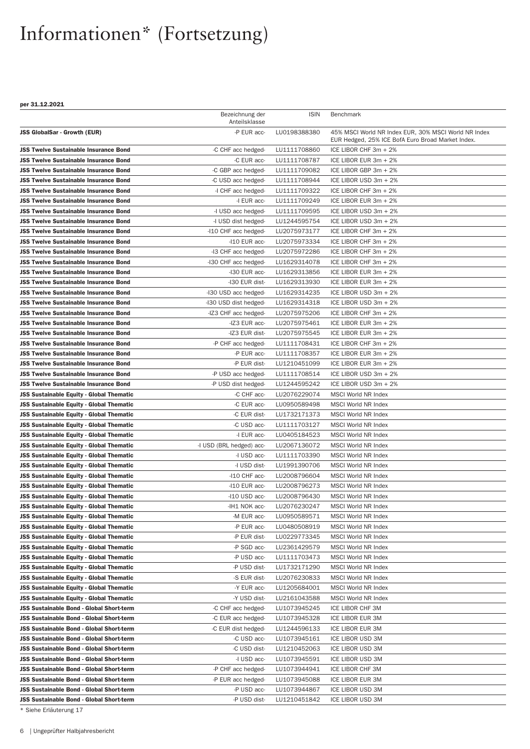#### per 31.12.2021

|                                                 | Bezeichnung der<br>Anteilsklasse | <b>ISIN</b>  | <b>Benchmark</b>                                     |
|-------------------------------------------------|----------------------------------|--------------|------------------------------------------------------|
| <b>JSS GlobalSar - Growth (EUR)</b>             | -P EUR acc-                      | LU0198388380 | 45% MSCI World NR Index EUR, 30% MSCI World NR Index |
|                                                 |                                  |              | EUR Hedged, 25% ICE BofA Euro Broad Market Index.    |
| <b>JSS Twelve Sustainable Insurance Bond</b>    | -C CHF acc hedged-               | LU1111708860 | ICE LIBOR CHF 3m + 2%                                |
| <b>JSS Twelve Sustainable Insurance Bond</b>    | -C EUR acc-                      | LU1111708787 | ICE LIBOR EUR 3m + 2%                                |
| <b>JSS Twelve Sustainable Insurance Bond</b>    | -C GBP acc hedged-               | LU1111709082 | ICE LIBOR GBP 3m + 2%                                |
| <b>JSS Twelve Sustainable Insurance Bond</b>    | -C USD acc hedged-               | LU1111708944 | ICE LIBOR USD 3m + 2%                                |
| <b>JSS Twelve Sustainable Insurance Bond</b>    | -I CHF acc hedged-               | LU1111709322 | ICE LIBOR CHF 3m + 2%                                |
| <b>JSS Twelve Sustainable Insurance Bond</b>    | -I EUR acc-                      | LU1111709249 | ICE LIBOR EUR 3m + 2%                                |
| <b>JSS Twelve Sustainable Insurance Bond</b>    | -I USD acc hedged-               | LU1111709595 | ICE LIBOR USD 3m + 2%                                |
| <b>JSS Twelve Sustainable Insurance Bond</b>    | -I USD dist hedged-              | LU1244595754 | ICE LIBOR USD 3m + 2%                                |
| <b>JSS Twelve Sustainable Insurance Bond</b>    | -I10 CHF acc hedged-             | LU2075973177 | ICE LIBOR CHF 3m + 2%                                |
| <b>JSS Twelve Sustainable Insurance Bond</b>    | -I10 EUR acc-                    | LU2075973334 | ICE LIBOR CHF 3m + 2%                                |
| <b>JSS Twelve Sustainable Insurance Bond</b>    | -I3 CHF acc hedged-              | LU2075972286 | ICE LIBOR CHF 3m + 2%                                |
| <b>JSS Twelve Sustainable Insurance Bond</b>    | -I30 CHF acc hedged-             | LU1629314078 | ICE LIBOR CHF 3m + 2%                                |
| <b>JSS Twelve Sustainable Insurance Bond</b>    | -I30 EUR acc-                    | LU1629313856 | ICE LIBOR EUR 3m + 2%                                |
| <b>JSS Twelve Sustainable Insurance Bond</b>    | -I30 EUR dist-                   | LU1629313930 | ICE LIBOR EUR 3m + 2%                                |
| <b>JSS Twelve Sustainable Insurance Bond</b>    | -I30 USD acc hedged-             | LU1629314235 | ICE LIBOR USD 3m + 2%                                |
| <b>JSS Twelve Sustainable Insurance Bond</b>    | -I30 USD dist hedged-            | LU1629314318 | ICE LIBOR USD 3m + 2%                                |
| <b>JSS Twelve Sustainable Insurance Bond</b>    | -IZ3 CHF acc hedged-             | LU2075975206 | ICE LIBOR CHF 3m + 2%                                |
| <b>JSS Twelve Sustainable Insurance Bond</b>    | -IZ3 EUR acc-                    | LU2075975461 | ICE LIBOR EUR 3m + 2%                                |
| <b>JSS Twelve Sustainable Insurance Bond</b>    | -IZ3 EUR dist-                   | LU2075975545 | ICE LIBOR EUR 3m + 2%                                |
| <b>JSS Twelve Sustainable Insurance Bond</b>    | -P CHF acc hedged-               | LU1111708431 | ICE LIBOR CHF 3m + 2%                                |
| <b>JSS Twelve Sustainable Insurance Bond</b>    | -P EUR acc-                      | LU1111708357 | ICE LIBOR EUR 3m + 2%                                |
| <b>JSS Twelve Sustainable Insurance Bond</b>    | -P EUR dist-                     | LU1210451099 | ICE LIBOR EUR 3m + 2%                                |
| <b>JSS Twelve Sustainable Insurance Bond</b>    | -P USD acc hedged-               | LU1111708514 | ICE LIBOR USD 3m + 2%                                |
| <b>JSS Twelve Sustainable Insurance Bond</b>    | -P USD dist hedged-              | LU1244595242 | ICE LIBOR USD 3m + 2%                                |
| <b>JSS Sustainable Equity - Global Thematic</b> | -C CHF acc-                      | LU2076229074 | <b>MSCI World NR Index</b>                           |
| <b>JSS Sustainable Equity - Global Thematic</b> | -C EUR acc-                      | LU0950589498 | MSCI World NR Index                                  |
| <b>JSS Sustainable Equity - Global Thematic</b> | -C EUR dist-                     | LU1732171373 | MSCI World NR Index                                  |
| <b>JSS Sustainable Equity - Global Thematic</b> | -C USD acc-                      | LU1111703127 | <b>MSCI World NR Index</b>                           |
| JSS Sustainable Equity - Global Thematic        | -I EUR acc-                      | LU0405184523 | <b>MSCI World NR Index</b>                           |
| <b>JSS Sustainable Equity - Global Thematic</b> | -I USD (BRL hedged) acc-         | LU2067136072 | <b>MSCI World NR Index</b>                           |
| <b>JSS Sustainable Equity - Global Thematic</b> | -I USD acc-                      | LU1111703390 | <b>MSCI World NR Index</b>                           |
| <b>JSS Sustainable Equity - Global Thematic</b> | -I USD dist-                     | LU1991390706 | <b>MSCI World NR Index</b>                           |
| <b>JSS Sustainable Equity - Global Thematic</b> | -I10 CHF acc-                    | LU2008796604 | <b>MSCI World NR Index</b>                           |
| <b>JSS Sustainable Equity - Global Thematic</b> | -I10 EUR acc-                    | LU2008796273 | <b>MSCI World NR Index</b>                           |
| JSS Sustainable Equity - Global Thematic        | -I10 USD acc-                    | LU2008796430 | <b>MSCI World NR Index</b>                           |
| <b>JSS Sustainable Equity - Global Thematic</b> | -IH1 NOK acc-                    | LU2076230247 | <b>MSCI World NR Index</b>                           |
| <b>JSS Sustainable Equity - Global Thematic</b> | -M EUR acc-                      | LU0950589571 | MSCI World NR Index                                  |
| <b>JSS Sustainable Equity - Global Thematic</b> | -P EUR acc-                      | LU0480508919 | MSCI World NR Index                                  |
| <b>JSS Sustainable Equity - Global Thematic</b> | -P EUR dist-                     | LU0229773345 | MSCI World NR Index                                  |
| <b>JSS Sustainable Equity - Global Thematic</b> | -P SGD acc-                      | LU2361429579 | <b>MSCI World NR Index</b>                           |
| <b>JSS Sustainable Equity - Global Thematic</b> | -P USD acc-                      | LU1111703473 | MSCI World NR Index                                  |
| <b>JSS Sustainable Equity - Global Thematic</b> | -P USD dist-                     | LU1732171290 | <b>MSCI World NR Index</b>                           |
| <b>JSS Sustainable Equity - Global Thematic</b> | -S EUR dist-                     | LU2076230833 | <b>MSCI World NR Index</b>                           |
| <b>JSS Sustainable Equity - Global Thematic</b> | -Y EUR acc-                      | LU1205684001 | MSCI World NR Index                                  |
| JSS Sustainable Equity - Global Thematic        | -Y USD dist-                     | LU2161043588 | MSCI World NR Index                                  |
| <b>JSS Sustainable Bond - Global Short-term</b> | -C CHF acc hedged-               | LU1073945245 | ICE LIBOR CHF 3M                                     |
| <b>JSS Sustainable Bond - Global Short-term</b> | -C EUR acc hedged-               | LU1073945328 | ICE LIBOR EUR 3M                                     |
| <b>JSS Sustainable Bond - Global Short-term</b> | -C EUR dist hedged-              | LU1244596133 | ICE LIBOR EUR 3M                                     |
| <b>JSS Sustainable Bond - Global Short-term</b> | -C USD acc-                      | LU1073945161 | ICE LIBOR USD 3M                                     |
| <b>JSS Sustainable Bond - Global Short-term</b> | -C USD dist-                     | LU1210452063 | ICE LIBOR USD 3M                                     |
| <b>JSS Sustainable Bond - Global Short-term</b> | -I USD acc-                      | LU1073945591 | ICE LIBOR USD 3M                                     |
| <b>JSS Sustainable Bond - Global Short-term</b> | -P CHF acc hedged-               | LU1073944941 | ICE LIBOR CHF 3M                                     |
| <b>JSS Sustainable Bond - Global Short-term</b> | -P EUR acc hedged-               | LU1073945088 | ICE LIBOR EUR 3M                                     |
| <b>JSS Sustainable Bond - Global Short-term</b> | -P USD acc-                      | LU1073944867 | ICE LIBOR USD 3M                                     |
| <b>JSS Sustainable Bond - Global Short-term</b> | -P USD dist-                     | LU1210451842 | ICE LIBOR USD 3M                                     |
| * Siehe Erläuterung 17                          |                                  |              |                                                      |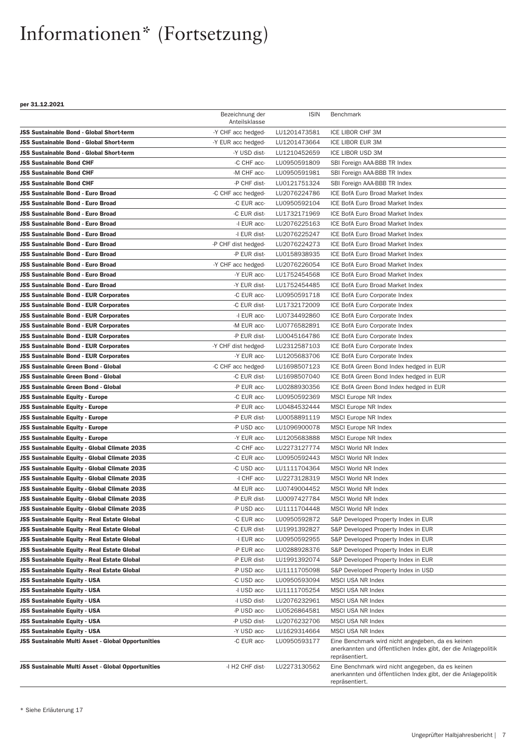|                                                    | Bezeichnung der<br>Anteilsklasse | <b>ISIN</b>  | Benchmark                                                                                                                             |
|----------------------------------------------------|----------------------------------|--------------|---------------------------------------------------------------------------------------------------------------------------------------|
| <b>JSS Sustainable Bond - Global Short-term</b>    | -Y CHF acc hedged-               | LU1201473581 | ICE LIBOR CHF 3M                                                                                                                      |
| JSS Sustainable Bond - Global Short-term           | -Y EUR acc hedged-               | LU1201473664 | ICE LIBOR EUR 3M                                                                                                                      |
| <b>JSS Sustainable Bond - Global Short-term</b>    | -Y USD dist-                     | LU1210452659 | ICE LIBOR USD 3M                                                                                                                      |
| <b>JSS Sustainable Bond CHF</b>                    | -C CHF acc-                      | LU0950591809 | SBI Foreign AAA-BBB TR Index                                                                                                          |
| <b>JSS Sustainable Bond CHF</b>                    | -M CHF acc-                      | LU0950591981 | SBI Foreign AAA-BBB TR Index                                                                                                          |
| <b>JSS Sustainable Bond CHF</b>                    | -P CHF dist-                     | LU0121751324 | SBI Foreign AAA-BBB TR Index                                                                                                          |
| <b>JSS Sustainable Bond - Euro Broad</b>           | -C CHF acc hedged-               | LU2076224786 | <b>ICE BofA Euro Broad Market Index</b>                                                                                               |
| <b>JSS Sustainable Bond - Euro Broad</b>           | -C EUR acc-                      | LU0950592104 | ICE BofA Euro Broad Market Index                                                                                                      |
| <b>JSS Sustainable Bond - Euro Broad</b>           | -C EUR dist-                     | LU1732171969 | ICE BofA Euro Broad Market Index                                                                                                      |
| JSS Sustainable Bond - Euro Broad                  | -I EUR acc-                      | LU2076225163 | ICE BofA Euro Broad Market Index                                                                                                      |
| <b>JSS Sustainable Bond - Euro Broad</b>           | -I EUR dist-                     | LU2076225247 | <b>ICE BofA Euro Broad Market Index</b>                                                                                               |
| <b>JSS Sustainable Bond - Euro Broad</b>           | -P CHF dist hedged-              | LU2076224273 | ICE BofA Euro Broad Market Index                                                                                                      |
| <b>JSS Sustainable Bond - Euro Broad</b>           | -P EUR dist-                     | LU0158938935 | <b>ICE BofA Euro Broad Market Index</b>                                                                                               |
| JSS Sustainable Bond - Euro Broad                  | -Y CHF acc hedged-               | LU2076226054 | <b>ICE BofA Euro Broad Market Index</b>                                                                                               |
| <b>JSS Sustainable Bond - Euro Broad</b>           | -Y EUR acc-                      | LU1752454568 | ICE BofA Euro Broad Market Index                                                                                                      |
| JSS Sustainable Bond - Euro Broad                  | -Y EUR dist-                     | LU1752454485 | ICE BofA Euro Broad Market Index                                                                                                      |
|                                                    |                                  |              | ICE BofA Euro Corporate Index                                                                                                         |
| <b>JSS Sustainable Bond - EUR Corporates</b>       | -C EUR acc-                      | LU0950591718 |                                                                                                                                       |
| <b>JSS Sustainable Bond - EUR Corporates</b>       | -C EUR dist-                     | LU1732172009 | ICE BofA Euro Corporate Index                                                                                                         |
| <b>JSS Sustainable Bond - EUR Corporates</b>       | -I EUR acc-                      | LU0734492860 | ICE BofA Euro Corporate Index                                                                                                         |
| <b>JSS Sustainable Bond - EUR Corporates</b>       | -M EUR acc-                      | LU0776582891 | ICE BofA Euro Corporate Index                                                                                                         |
| <b>JSS Sustainable Bond - EUR Corporates</b>       | -P EUR dist-                     | LU0045164786 | ICE BofA Euro Corporate Index                                                                                                         |
| <b>JSS Sustainable Bond - EUR Corporates</b>       | -Y CHF dist hedged-              | LU2312587103 | ICE BofA Euro Corporate Index                                                                                                         |
| <b>JSS Sustainable Bond - EUR Corporates</b>       | -Y EUR acc-                      | LU1205683706 | ICE BofA Euro Corporate Index                                                                                                         |
| JSS Sustainable Green Bond - Global                | -C CHF acc hedged-               | LU1698507123 | ICE BofA Green Bond Index hedged in EUR                                                                                               |
| JSS Sustainable Green Bond - Global                | -C EUR dist-                     | LU1698507040 | ICE BofA Green Bond Index hedged in EUR                                                                                               |
| JSS Sustainable Green Bond - Global                | -P EUR acc-                      | LU0288930356 | ICE BofA Green Bond Index hedged in EUR                                                                                               |
| <b>JSS Sustainable Equity - Europe</b>             | -C EUR acc-                      | LU0950592369 | <b>MSCI Europe NR Index</b>                                                                                                           |
| <b>JSS Sustainable Equity - Europe</b>             | -P EUR acc-                      | LU0484532444 | <b>MSCI Europe NR Index</b>                                                                                                           |
| <b>JSS Sustainable Equity - Europe</b>             | -P EUR dist-                     | LU0058891119 | <b>MSCI Europe NR Index</b>                                                                                                           |
| <b>JSS Sustainable Equity - Europe</b>             | -P USD acc-                      | LU1096900078 | <b>MSCI Europe NR Index</b>                                                                                                           |
| <b>JSS Sustainable Equity - Europe</b>             | -Y EUR acc-                      | LU1205683888 | <b>MSCI Europe NR Index</b>                                                                                                           |
| JSS Sustainable Equity - Global Climate 2035       | -C CHF acc-                      | LU2273127774 | <b>MSCI World NR Index</b>                                                                                                            |
| JSS Sustainable Equity - Global Climate 2035       | -C EUR acc-                      | LU0950592443 | MSCI World NR Index                                                                                                                   |
| JSS Sustainable Equity - Global Climate 2035       | -C USD acc-                      | LU1111704364 | MSCI World NR Index                                                                                                                   |
| JSS Sustainable Equity - Global Climate 2035       | -I CHF acc-                      | LU2273128319 | <b>MSCI World NR Index</b>                                                                                                            |
| JSS Sustainable Equity - Global Climate 2035       | -M EUR acc-                      | LU0749004452 | <b>MSCI World NR Index</b>                                                                                                            |
| JSS Sustainable Equity - Global Climate 2035       | -P EUR dist-                     | LU0097427784 | MSCI World NR Index                                                                                                                   |
| JSS Sustainable Equity - Global Climate 2035       | -P USD acc-                      | LU1111704448 | MSCI World NR Index                                                                                                                   |
| JSS Sustainable Equity - Real Estate Global        | -C EUR acc-                      | LU0950592872 | S&P Developed Property Index in EUR                                                                                                   |
| JSS Sustainable Equity - Real Estate Global        | -C EUR dist-                     | LU1991392827 | S&P Developed Property Index in EUR                                                                                                   |
| JSS Sustainable Equity - Real Estate Global        | -I EUR acc-                      | LU0950592955 | S&P Developed Property Index in EUR                                                                                                   |
| JSS Sustainable Equity - Real Estate Global        | -P EUR acc-                      | LU0288928376 | S&P Developed Property Index in EUR                                                                                                   |
| JSS Sustainable Equity - Real Estate Global        | -P EUR dist-                     | LU1991392074 | S&P Developed Property Index in EUR                                                                                                   |
| JSS Sustainable Equity - Real Estate Global        | -P USD acc-                      | LU1111705098 | S&P Developed Property Index in USD                                                                                                   |
| <b>JSS Sustainable Equity - USA</b>                | -C USD acc-                      | LU0950593094 | MSCI USA NR Index                                                                                                                     |
| <b>JSS Sustainable Equity - USA</b>                | -I USD acc-                      | LU1111705254 | MSCI USA NR Index                                                                                                                     |
| <b>JSS Sustainable Equity - USA</b>                | -I USD dist-                     | LU2076232961 | MSCI USA NR Index                                                                                                                     |
| <b>JSS Sustainable Equity - USA</b>                | -P USD acc-                      | LU0526864581 | MSCI USA NR Index                                                                                                                     |
| <b>JSS Sustainable Equity - USA</b>                | -P USD dist-                     | LU2076232706 | MSCI USA NR Index                                                                                                                     |
| <b>JSS Sustainable Equity - USA</b>                | -Y USD acc-                      | LU1629314664 | MSCI USA NR Index                                                                                                                     |
| JSS Sustainable Multi Asset - Global Opportunities | -C EUR acc-                      | LU0950593177 | Eine Benchmark wird nicht angegeben, da es keinen<br>anerkannten und öffentlichen Index gibt, der die Anlagepolitik<br>repräsentiert. |
| JSS Sustainable Multi Asset - Global Opportunities | -I H2 CHF dist-                  | LU2273130562 | Eine Benchmark wird nicht angegeben, da es keinen<br>anerkannten und öffentlichen Index gibt, der die Anlagepolitik<br>repräsentiert. |
|                                                    |                                  |              |                                                                                                                                       |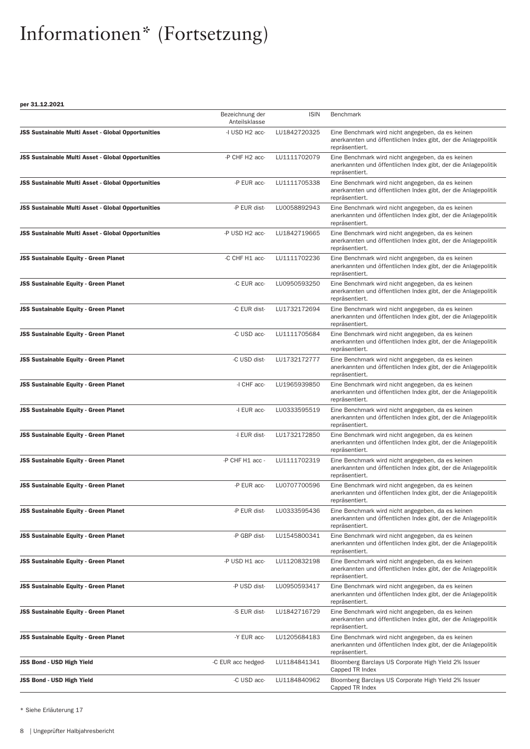per 31.12.2021

|                                                    | Bezeichnung der<br>Anteilsklasse | <b>ISIN</b>  | Benchmark                                                                                                                             |
|----------------------------------------------------|----------------------------------|--------------|---------------------------------------------------------------------------------------------------------------------------------------|
| JSS Sustainable Multi Asset - Global Opportunities | -I USD H2 acc-                   | LU1842720325 | Eine Benchmark wird nicht angegeben, da es keinen<br>anerkannten und öffentlichen Index gibt, der die Anlagepolitik<br>repräsentiert. |
| JSS Sustainable Multi Asset - Global Opportunities | -P CHF H2 acc-                   | LU1111702079 | Eine Benchmark wird nicht angegeben, da es keinen<br>anerkannten und öffentlichen Index gibt, der die Anlagepolitik<br>repräsentiert. |
| JSS Sustainable Multi Asset - Global Opportunities | -P EUR acc-                      | LU1111705338 | Eine Benchmark wird nicht angegeben, da es keinen<br>anerkannten und öffentlichen Index gibt, der die Anlagepolitik<br>repräsentiert. |
| JSS Sustainable Multi Asset - Global Opportunities | -P EUR dist-                     | LU0058892943 | Eine Benchmark wird nicht angegeben, da es keinen<br>anerkannten und öffentlichen Index gibt, der die Anlagepolitik<br>repräsentiert. |
| JSS Sustainable Multi Asset - Global Opportunities | -P USD H2 acc-                   | LU1842719665 | Eine Benchmark wird nicht angegeben, da es keinen<br>anerkannten und öffentlichen Index gibt, der die Anlagepolitik<br>repräsentiert. |
| JSS Sustainable Equity - Green Planet              | -C CHF H1 acc-                   | LU1111702236 | Eine Benchmark wird nicht angegeben, da es keinen<br>anerkannten und öffentlichen Index gibt, der die Anlagepolitik<br>repräsentiert. |
| JSS Sustainable Equity - Green Planet              | -C EUR acc-                      | LU0950593250 | Eine Benchmark wird nicht angegeben, da es keinen<br>anerkannten und öffentlichen Index gibt, der die Anlagepolitik<br>repräsentiert. |
| JSS Sustainable Equity - Green Planet              | -C EUR dist-                     | LU1732172694 | Eine Benchmark wird nicht angegeben, da es keinen<br>anerkannten und öffentlichen Index gibt, der die Anlagepolitik<br>repräsentiert. |
| JSS Sustainable Equity - Green Planet              | -C USD acc-                      | LU1111705684 | Eine Benchmark wird nicht angegeben, da es keinen<br>anerkannten und öffentlichen Index gibt, der die Anlagepolitik<br>repräsentiert. |
| JSS Sustainable Equity - Green Planet              | -C USD dist-                     | LU1732172777 | Eine Benchmark wird nicht angegeben, da es keinen<br>anerkannten und öffentlichen Index gibt, der die Anlagepolitik<br>repräsentiert. |
| JSS Sustainable Equity - Green Planet              | -I CHF acc-                      | LU1965939850 | Eine Benchmark wird nicht angegeben, da es keinen<br>anerkannten und öffentlichen Index gibt, der die Anlagepolitik<br>repräsentiert. |
| JSS Sustainable Equity - Green Planet              | -I EUR acc-                      | LU0333595519 | Eine Benchmark wird nicht angegeben, da es keinen<br>anerkannten und öffentlichen Index gibt, der die Anlagepolitik<br>repräsentiert. |
| JSS Sustainable Equity - Green Planet              | -I EUR dist-                     | LU1732172850 | Eine Benchmark wird nicht angegeben, da es keinen<br>anerkannten und öffentlichen Index gibt, der die Anlagepolitik<br>repräsentiert. |
| JSS Sustainable Equity - Green Planet              | -P CHF H1 acc -                  | LU1111702319 | Eine Benchmark wird nicht angegeben, da es keinen<br>anerkannten und öffentlichen Index gibt, der die Anlagepolitik<br>repräsentiert. |
| JSS Sustainable Equity - Green Planet              | -P EUR acc-                      | LU0707700596 | Eine Benchmark wird nicht angegeben, da es keinen<br>anerkannten und öffentlichen Index gibt, der die Anlagepolitik<br>repräsentiert. |
| <b>JSS Sustainable Equity - Green Planet</b>       | -P EUR dist-                     | LU0333595436 | Eine Benchmark wird nicht angegeben, da es keinen<br>anerkannten und öffentlichen Index gibt, der die Anlagepolitik<br>repräsentiert. |
| <b>JSS Sustainable Equity - Green Planet</b>       | -P GBP dist-                     | LU1545800341 | Eine Benchmark wird nicht angegeben, da es keinen<br>anerkannten und öffentlichen Index gibt, der die Anlagepolitik<br>repräsentiert. |
| <b>JSS Sustainable Equity - Green Planet</b>       | -P USD H1 acc-                   | LU1120832198 | Eine Benchmark wird nicht angegeben, da es keinen<br>anerkannten und öffentlichen Index gibt, der die Anlagepolitik<br>repräsentiert. |
| JSS Sustainable Equity - Green Planet              | -P USD dist-                     | LU0950593417 | Eine Benchmark wird nicht angegeben, da es keinen<br>anerkannten und öffentlichen Index gibt, der die Anlagepolitik<br>repräsentiert. |
| <b>JSS Sustainable Equity - Green Planet</b>       | -S EUR dist-                     | LU1842716729 | Eine Benchmark wird nicht angegeben, da es keinen<br>anerkannten und öffentlichen Index gibt, der die Anlagepolitik<br>repräsentiert. |
| <b>JSS Sustainable Equity - Green Planet</b>       | -Y EUR acc-                      | LU1205684183 | Eine Benchmark wird nicht angegeben, da es keinen<br>anerkannten und öffentlichen Index gibt, der die Anlagepolitik<br>repräsentiert. |
| JSS Bond - USD High Yield                          | -C EUR acc hedged-               | LU1184841341 | Bloomberg Barclays US Corporate High Yield 2% Issuer<br>Capped TR Index                                                               |
| <b>JSS Bond - USD High Yield</b>                   | -C USD acc-                      | LU1184840962 | Bloomberg Barclays US Corporate High Yield 2% Issuer<br>Capped TR Index                                                               |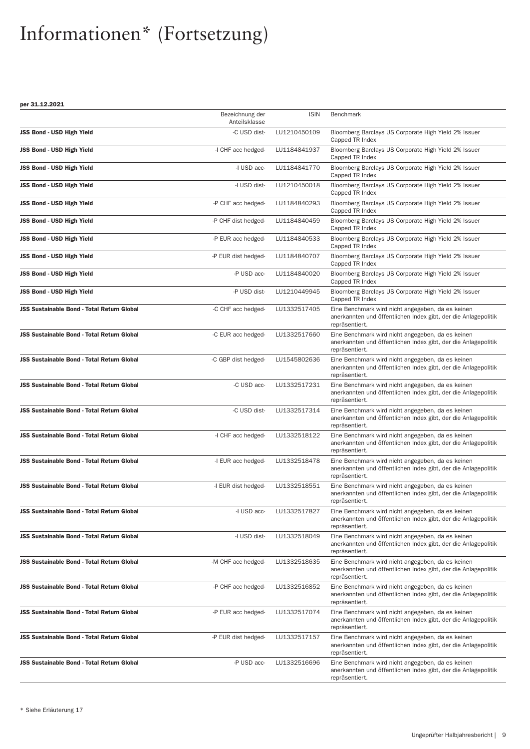|                                                   | Bezeichnung der<br>Anteilsklasse | <b>ISIN</b>  | <b>Benchmark</b>                                                                                                                      |
|---------------------------------------------------|----------------------------------|--------------|---------------------------------------------------------------------------------------------------------------------------------------|
| JSS Bond - USD High Yield                         | -C USD dist-                     | LU1210450109 | Bloomberg Barclays US Corporate High Yield 2% Issuer<br>Capped TR Index                                                               |
| JSS Bond - USD High Yield                         | -I CHF acc hedged-               | LU1184841937 | Bloomberg Barclays US Corporate High Yield 2% Issuer<br>Capped TR Index                                                               |
| JSS Bond - USD High Yield                         | -I USD acc-                      | LU1184841770 | Bloomberg Barclays US Corporate High Yield 2% Issuer<br>Capped TR Index                                                               |
| JSS Bond - USD High Yield                         | -I USD dist-                     | LU1210450018 | Bloomberg Barclays US Corporate High Yield 2% Issuer<br>Capped TR Index                                                               |
| <b>JSS Bond - USD High Yield</b>                  | -P CHF acc hedged-               | LU1184840293 | Bloomberg Barclays US Corporate High Yield 2% Issuer<br>Capped TR Index                                                               |
| JSS Bond - USD High Yield                         | -P CHF dist hedged-              | LU1184840459 | Bloomberg Barclays US Corporate High Yield 2% Issuer<br>Capped TR Index                                                               |
| JSS Bond - USD High Yield                         | -P EUR acc hedged-               | LU1184840533 | Bloomberg Barclays US Corporate High Yield 2% Issuer<br>Capped TR Index                                                               |
| JSS Bond - USD High Yield                         | -P EUR dist hedged-              | LU1184840707 | Bloomberg Barclays US Corporate High Yield 2% Issuer<br>Capped TR Index                                                               |
| JSS Bond - USD High Yield                         | -P USD acc-                      | LU1184840020 | Bloomberg Barclays US Corporate High Yield 2% Issuer<br>Capped TR Index                                                               |
| JSS Bond - USD High Yield                         | -P USD dist-                     | LU1210449945 | Bloomberg Barclays US Corporate High Yield 2% Issuer<br>Capped TR Index                                                               |
| <b>JSS Sustainable Bond - Total Return Global</b> | -C CHF acc hedged-               | LU1332517405 | Eine Benchmark wird nicht angegeben, da es keinen<br>anerkannten und öffentlichen Index gibt, der die Anlagepolitik<br>repräsentiert. |
| <b>JSS Sustainable Bond - Total Return Global</b> | -C EUR acc hedged-               | LU1332517660 | Eine Benchmark wird nicht angegeben, da es keinen<br>anerkannten und öffentlichen Index gibt, der die Anlagepolitik<br>repräsentiert. |
| <b>JSS Sustainable Bond - Total Return Global</b> | -C GBP dist hedged-              | LU1545802636 | Eine Benchmark wird nicht angegeben, da es keinen<br>anerkannten und öffentlichen Index gibt, der die Anlagepolitik<br>repräsentiert. |
| <b>JSS Sustainable Bond - Total Return Global</b> | -C USD acc-                      | LU1332517231 | Eine Benchmark wird nicht angegeben, da es keinen<br>anerkannten und öffentlichen Index gibt, der die Anlagepolitik<br>repräsentiert. |
| <b>JSS Sustainable Bond - Total Return Global</b> | -C USD dist-                     | LU1332517314 | Eine Benchmark wird nicht angegeben, da es keinen<br>anerkannten und öffentlichen Index gibt, der die Anlagepolitik<br>repräsentiert. |
| <b>JSS Sustainable Bond - Total Return Global</b> | -I CHF acc hedged-               | LU1332518122 | Eine Benchmark wird nicht angegeben, da es keinen<br>anerkannten und öffentlichen Index gibt, der die Anlagepolitik<br>repräsentiert. |
| <b>JSS Sustainable Bond - Total Return Global</b> | -I EUR acc hedged-               | LU1332518478 | Eine Benchmark wird nicht angegeben, da es keinen<br>anerkannten und öffentlichen Index gibt, der die Anlagepolitik<br>repräsentiert. |
| JSS Sustainable Bond - Total Return Global        | -I EUR dist hedged-              | LU1332518551 | Eine Benchmark wird nicht angegeben, da es keinen<br>anerkannten und öffentlichen Index gibt, der die Anlagepolitik<br>repräsentiert. |
| <b>JSS Sustainable Bond - Total Return Global</b> | -I USD acc-                      | LU1332517827 | Eine Benchmark wird nicht angegeben, da es keinen<br>anerkannten und öffentlichen Index gibt, der die Anlagepolitik<br>repräsentiert. |
| JSS Sustainable Bond - Total Return Global        | -I USD dist-                     | LU1332518049 | Eine Benchmark wird nicht angegeben, da es keinen<br>anerkannten und öffentlichen Index gibt, der die Anlagepolitik<br>repräsentiert. |
| <b>JSS Sustainable Bond - Total Return Global</b> | -M CHF acc hedged-               | LU1332518635 | Eine Benchmark wird nicht angegeben, da es keinen<br>anerkannten und öffentlichen Index gibt, der die Anlagepolitik<br>repräsentiert. |
| <b>JSS Sustainable Bond - Total Return Global</b> | -P CHF acc hedged-               | LU1332516852 | Eine Benchmark wird nicht angegeben, da es keinen<br>anerkannten und öffentlichen Index gibt, der die Anlagepolitik<br>repräsentiert. |
| JSS Sustainable Bond - Total Return Global        | -P EUR acc hedged-               | LU1332517074 | Eine Benchmark wird nicht angegeben, da es keinen<br>anerkannten und öffentlichen Index gibt, der die Anlagepolitik<br>repräsentiert. |
| <b>JSS Sustainable Bond - Total Return Global</b> | -P EUR dist hedged-              | LU1332517157 | Eine Benchmark wird nicht angegeben, da es keinen<br>anerkannten und öffentlichen Index gibt, der die Anlagepolitik<br>repräsentiert. |
| JSS Sustainable Bond - Total Return Global        | -P USD acc-                      | LU1332516696 | Eine Benchmark wird nicht angegeben, da es keinen<br>anerkannten und öffentlichen Index gibt, der die Anlagepolitik<br>repräsentiert. |
|                                                   |                                  |              |                                                                                                                                       |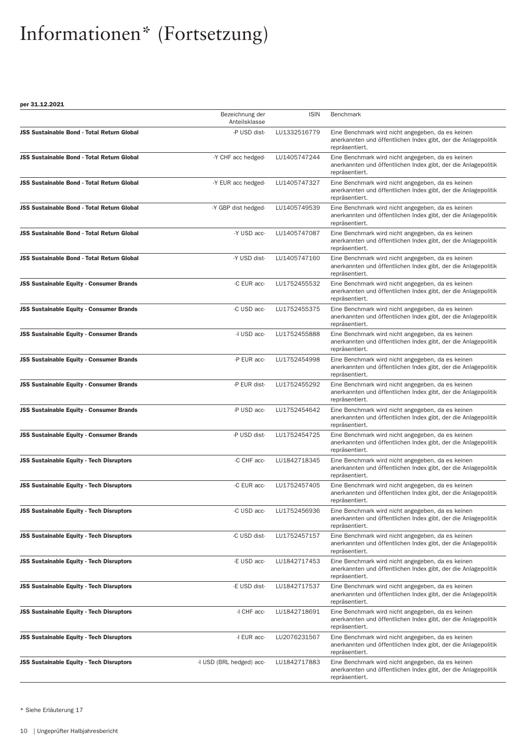|                                                   | Bezeichnung der<br>Anteilsklasse | <b>ISIN</b>  | <b>Benchmark</b>                                                                                                                      |
|---------------------------------------------------|----------------------------------|--------------|---------------------------------------------------------------------------------------------------------------------------------------|
| <b>JSS Sustainable Bond - Total Return Global</b> | -P USD dist-                     | LU1332516779 | Eine Benchmark wird nicht angegeben, da es keinen<br>anerkannten und öffentlichen Index gibt, der die Anlagepolitik<br>repräsentiert. |
| <b>JSS Sustainable Bond - Total Return Global</b> | -Y CHF acc hedged-               | LU1405747244 | Eine Benchmark wird nicht angegeben, da es keinen<br>anerkannten und öffentlichen Index gibt, der die Anlagepolitik<br>repräsentiert. |
| <b>JSS Sustainable Bond - Total Return Global</b> | -Y EUR acc hedged-               | LU1405747327 | Eine Benchmark wird nicht angegeben, da es keinen<br>anerkannten und öffentlichen Index gibt, der die Anlagepolitik<br>repräsentiert. |
| JSS Sustainable Bond - Total Return Global        | -Y GBP dist hedged-              | LU1405749539 | Eine Benchmark wird nicht angegeben, da es keinen<br>anerkannten und öffentlichen Index gibt, der die Anlagepolitik<br>repräsentiert. |
| JSS Sustainable Bond - Total Return Global        | -Y USD acc-                      | LU1405747087 | Eine Benchmark wird nicht angegeben, da es keinen<br>anerkannten und öffentlichen Index gibt, der die Anlagepolitik<br>repräsentiert. |
| <b>JSS Sustainable Bond - Total Return Global</b> | -Y USD dist-                     | LU1405747160 | Eine Benchmark wird nicht angegeben, da es keinen<br>anerkannten und öffentlichen Index gibt, der die Anlagepolitik<br>repräsentiert. |
| <b>JSS Sustainable Equity - Consumer Brands</b>   | -C EUR acc-                      | LU1752455532 | Eine Benchmark wird nicht angegeben, da es keinen<br>anerkannten und öffentlichen Index gibt, der die Anlagepolitik<br>repräsentiert. |
| <b>JSS Sustainable Equity - Consumer Brands</b>   | -C USD acc-                      | LU1752455375 | Eine Benchmark wird nicht angegeben, da es keinen<br>anerkannten und öffentlichen Index gibt, der die Anlagepolitik<br>repräsentiert. |
| <b>JSS Sustainable Equity - Consumer Brands</b>   | -I USD acc-                      | LU1752455888 | Eine Benchmark wird nicht angegeben, da es keinen<br>anerkannten und öffentlichen Index gibt, der die Anlagepolitik<br>repräsentiert. |
| <b>JSS Sustainable Equity - Consumer Brands</b>   | -P EUR acc-                      | LU1752454998 | Eine Benchmark wird nicht angegeben, da es keinen<br>anerkannten und öffentlichen Index gibt, der die Anlagepolitik<br>repräsentiert. |
| <b>JSS Sustainable Equity - Consumer Brands</b>   | -P EUR dist-                     | LU1752455292 | Eine Benchmark wird nicht angegeben, da es keinen<br>anerkannten und öffentlichen Index gibt, der die Anlagepolitik<br>repräsentiert. |
| <b>JSS Sustainable Equity - Consumer Brands</b>   | -P USD acc-                      | LU1752454642 | Eine Benchmark wird nicht angegeben, da es keinen<br>anerkannten und öffentlichen Index gibt, der die Anlagepolitik<br>repräsentiert. |
| <b>JSS Sustainable Equity - Consumer Brands</b>   | -P USD dist-                     | LU1752454725 | Eine Benchmark wird nicht angegeben, da es keinen<br>anerkannten und öffentlichen Index gibt, der die Anlagepolitik<br>repräsentiert. |
| <b>JSS Sustainable Equity - Tech Disruptors</b>   | -C CHF acc-                      | LU1842718345 | Eine Benchmark wird nicht angegeben, da es keinen<br>anerkannten und öffentlichen Index gibt, der die Anlagepolitik<br>repräsentiert. |
| <b>JSS Sustainable Equity - Tech Disruptors</b>   | -C EUR acc-                      | LU1752457405 | Eine Benchmark wird nicht angegeben, da es keinen<br>anerkannten und öffentlichen Index gibt, der die Anlagepolitik<br>repräsentiert. |
| <b>JSS Sustainable Equity - Tech Disruptors</b>   | -C USD acc-                      | LU1752456936 | Eine Benchmark wird nicht angegeben, da es keinen<br>anerkannten und öffentlichen Index gibt, der die Anlagepolitik<br>repräsentiert. |
| <b>JSS Sustainable Equity - Tech Disruptors</b>   | -C USD dist-                     | LU1752457157 | Eine Benchmark wird nicht angegeben, da es keinen<br>anerkannten und öffentlichen Index gibt, der die Anlagepolitik<br>repräsentiert. |
| <b>JSS Sustainable Equity - Tech Disruptors</b>   | -E USD acc-                      | LU1842717453 | Eine Benchmark wird nicht angegeben, da es keinen<br>anerkannten und öffentlichen Index gibt, der die Anlagepolitik<br>repräsentiert. |
| <b>JSS Sustainable Equity - Tech Disruptors</b>   | -E USD dist-                     | LU1842717537 | Eine Benchmark wird nicht angegeben, da es keinen<br>anerkannten und öffentlichen Index gibt, der die Anlagepolitik<br>repräsentiert. |
| <b>JSS Sustainable Equity - Tech Disruptors</b>   | -I CHF acc-                      | LU1842718691 | Eine Benchmark wird nicht angegeben, da es keinen<br>anerkannten und öffentlichen Index gibt, der die Anlagepolitik<br>repräsentiert. |
| <b>JSS Sustainable Equity - Tech Disruptors</b>   | -I EUR acc-                      | LU2076231567 | Eine Benchmark wird nicht angegeben, da es keinen<br>anerkannten und öffentlichen Index gibt, der die Anlagepolitik<br>repräsentiert. |
| <b>JSS Sustainable Equity - Tech Disruptors</b>   | -I USD (BRL hedged) acc-         | LU1842717883 | Eine Benchmark wird nicht angegeben, da es keinen<br>anerkannten und öffentlichen Index gibt, der die Anlagepolitik<br>repräsentiert. |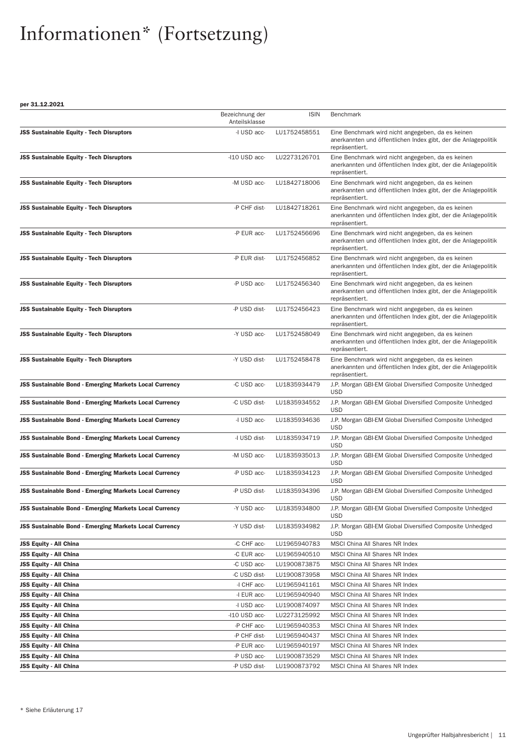|                                                               | Bezeichnung der<br>Anteilsklasse | <b>ISIN</b>  | <b>Benchmark</b>                                                                                                                      |
|---------------------------------------------------------------|----------------------------------|--------------|---------------------------------------------------------------------------------------------------------------------------------------|
| <b>JSS Sustainable Equity - Tech Disruptors</b>               | -I USD acc-                      | LU1752458551 | Eine Benchmark wird nicht angegeben, da es keinen<br>anerkannten und öffentlichen Index gibt, der die Anlagepolitik<br>repräsentiert. |
| <b>JSS Sustainable Equity - Tech Disruptors</b>               | -I10 USD acc-                    | LU2273126701 | Eine Benchmark wird nicht angegeben, da es keinen<br>anerkannten und öffentlichen Index gibt, der die Anlagepolitik<br>repräsentiert. |
| <b>JSS Sustainable Equity - Tech Disruptors</b>               | -M USD acc-                      | LU1842718006 | Eine Benchmark wird nicht angegeben, da es keinen<br>anerkannten und öffentlichen Index gibt, der die Anlagepolitik<br>repräsentiert. |
| <b>JSS Sustainable Equity - Tech Disruptors</b>               | -P CHF dist-                     | LU1842718261 | Eine Benchmark wird nicht angegeben, da es keinen<br>anerkannten und öffentlichen Index gibt, der die Anlagepolitik<br>repräsentiert. |
| <b>JSS Sustainable Equity - Tech Disruptors</b>               | -P EUR acc-                      | LU1752456696 | Eine Benchmark wird nicht angegeben, da es keinen<br>anerkannten und öffentlichen Index gibt, der die Anlagepolitik<br>repräsentiert. |
| <b>JSS Sustainable Equity - Tech Disruptors</b>               | -P EUR dist-                     | LU1752456852 | Eine Benchmark wird nicht angegeben, da es keinen<br>anerkannten und öffentlichen Index gibt, der die Anlagepolitik<br>repräsentiert. |
| <b>JSS Sustainable Equity - Tech Disruptors</b>               | -P USD acc-                      | LU1752456340 | Eine Benchmark wird nicht angegeben, da es keinen<br>anerkannten und öffentlichen Index gibt, der die Anlagepolitik<br>repräsentiert. |
| <b>JSS Sustainable Equity - Tech Disruptors</b>               | -P USD dist-                     | LU1752456423 | Eine Benchmark wird nicht angegeben, da es keinen<br>anerkannten und öffentlichen Index gibt, der die Anlagepolitik<br>repräsentiert. |
| <b>JSS Sustainable Equity - Tech Disruptors</b>               | -Y USD acc-                      | LU1752458049 | Eine Benchmark wird nicht angegeben, da es keinen<br>anerkannten und öffentlichen Index gibt, der die Anlagepolitik<br>repräsentiert. |
| <b>JSS Sustainable Equity - Tech Disruptors</b>               | -Y USD dist-                     | LU1752458478 | Eine Benchmark wird nicht angegeben, da es keinen<br>anerkannten und öffentlichen Index gibt, der die Anlagepolitik<br>repräsentiert. |
| <b>JSS Sustainable Bond - Emerging Markets Local Currency</b> | -C USD acc-                      | LU1835934479 | J.P. Morgan GBI-EM Global Diversified Composite Unhedged<br><b>USD</b>                                                                |
| <b>JSS Sustainable Bond - Emerging Markets Local Currency</b> | -C USD dist-                     | LU1835934552 | J.P. Morgan GBI-EM Global Diversified Composite Unhedged<br><b>USD</b>                                                                |
| <b>JSS Sustainable Bond - Emerging Markets Local Currency</b> | -I USD acc-                      | LU1835934636 | J.P. Morgan GBI-EM Global Diversified Composite Unhedged<br><b>USD</b>                                                                |
| <b>JSS Sustainable Bond - Emerging Markets Local Currency</b> | -I USD dist-                     | LU1835934719 | J.P. Morgan GBI-EM Global Diversified Composite Unhedged<br><b>USD</b>                                                                |
| JSS Sustainable Bond - Emerging Markets Local Currency        | -M USD acc-                      | LU1835935013 | J.P. Morgan GBI-EM Global Diversified Composite Unhedged<br><b>USD</b>                                                                |
| <b>JSS Sustainable Bond - Emerging Markets Local Currency</b> | -P USD acc-                      | LU1835934123 | J.P. Morgan GBI-EM Global Diversified Composite Unhedged<br><b>USD</b>                                                                |
| <b>JSS Sustainable Bond - Emerging Markets Local Currency</b> | -P USD dist-                     | LU1835934396 | J.P. Morgan GBI-EM Global Diversified Composite Unhedged<br><b>USD</b>                                                                |
| <b>JSS Sustainable Bond - Emerging Markets Local Currency</b> | -Y USD acc-                      | LU1835934800 | J.P. Morgan GBI-EM Global Diversified Composite Unhedged<br><b>USD</b>                                                                |
| <b>JSS Sustainable Bond - Emerging Markets Local Currency</b> | -Y USD dist-                     | LU1835934982 | J.P. Morgan GBI-EM Global Diversified Composite Unhedged<br><b>USD</b>                                                                |
| <b>JSS Equity - All China</b>                                 | -C CHF acc-                      | LU1965940783 | MSCI China All Shares NR Index                                                                                                        |
| <b>JSS Equity - All China</b>                                 | -C EUR acc-                      | LU1965940510 | MSCI China All Shares NR Index                                                                                                        |
| <b>JSS Equity - All China</b>                                 | -C USD acc-                      | LU1900873875 | MSCI China All Shares NR Index                                                                                                        |
| <b>JSS Equity - All China</b>                                 | -C USD dist-                     | LU1900873958 | MSCI China All Shares NR Index                                                                                                        |
| <b>JSS Equity - All China</b>                                 | -I CHF acc-                      | LU1965941161 | MSCI China All Shares NR Index                                                                                                        |
| <b>JSS Equity - All China</b>                                 | -I EUR acc-                      | LU1965940940 | MSCI China All Shares NR Index                                                                                                        |
| <b>JSS Equity - All China</b>                                 | -I USD acc-                      | LU1900874097 | MSCI China All Shares NR Index                                                                                                        |
| <b>JSS Equity - All China</b>                                 | -I10 USD acc-                    | LU2273125992 | MSCI China All Shares NR Index                                                                                                        |
| JSS Equity - All China                                        | -P CHF acc-                      | LU1965940353 | MSCI China All Shares NR Index                                                                                                        |
| <b>JSS Equity - All China</b>                                 | -P CHF dist-                     | LU1965940437 | MSCI China All Shares NR Index                                                                                                        |
| <b>JSS Equity - All China</b>                                 | -P EUR acc-                      | LU1965940197 | MSCI China All Shares NR Index                                                                                                        |
| <b>JSS Equity - All China</b>                                 | -P USD acc-                      | LU1900873529 | MSCI China All Shares NR Index                                                                                                        |
| <b>JSS Equity - All China</b>                                 | -P USD dist-                     | LU1900873792 | MSCI China All Shares NR Index                                                                                                        |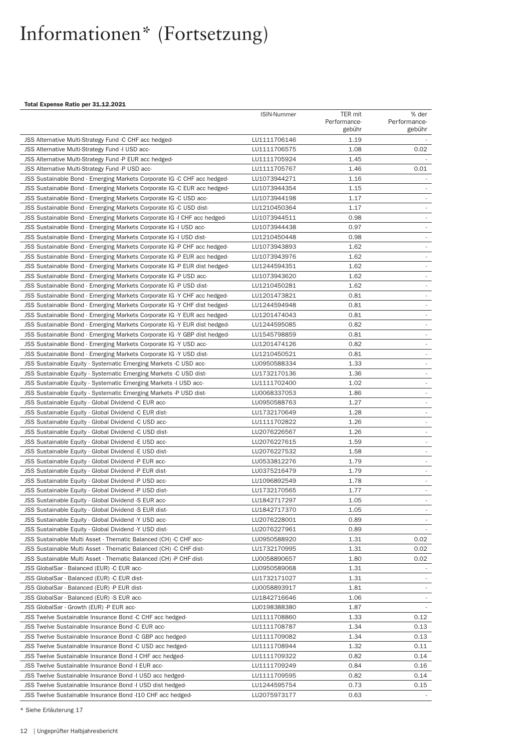#### Total Expense Ratio per 31.12.2021

|                                                                          | <b>ISIN-Nummer</b> | TER mit      | % der                       |
|--------------------------------------------------------------------------|--------------------|--------------|-----------------------------|
|                                                                          |                    | Performance- | Performance-                |
|                                                                          |                    | gebühr       | gebühr                      |
| JSS Alternative Multi-Strategy Fund -C CHF acc hedged-                   | LU1111706146       | 1.19         |                             |
| JSS Alternative Multi-Strategy Fund - IUSD acc-                          | LU1111706575       | 1.08         | 0.02                        |
| JSS Alternative Multi-Strategy Fund -P EUR acc hedged-                   | LU1111705924       | 1.45         |                             |
| JSS Alternative Multi-Strategy Fund -P USD acc-                          | LU1111705767       | 1.46         | 0.01                        |
| JSS Sustainable Bond - Emerging Markets Corporate IG -C CHF acc hedged-  | LU1073944271       | 1.16         |                             |
| JSS Sustainable Bond - Emerging Markets Corporate IG -C EUR acc hedged-  | LU1073944354       | 1.15         |                             |
| JSS Sustainable Bond - Emerging Markets Corporate IG -C USD acc-         | LU1073944198       | 1.17         | ٠                           |
| JSS Sustainable Bond - Emerging Markets Corporate IG -C USD dist-        | LU1210450364       | 1.17         |                             |
| JSS Sustainable Bond - Emerging Markets Corporate IG - CHF acc hedged-   | LU1073944511       | 0.98         | $\mathcal{L}_{\mathcal{A}}$ |
| JSS Sustainable Bond - Emerging Markets Corporate IG -I USD acc-         | LU1073944438       | 0.97         | $\overline{\phantom{a}}$    |
| JSS Sustainable Bond - Emerging Markets Corporate IG -I USD dist-        | LU1210450448       | 0.98         | ÷                           |
| JSS Sustainable Bond - Emerging Markets Corporate IG -P CHF acc hedged-  | LU1073943893       | 1.62         | $\mathcal{L}_{\mathcal{A}}$ |
| JSS Sustainable Bond - Emerging Markets Corporate IG -P EUR acc hedged-  | LU1073943976       | 1.62         | $\sim$                      |
| JSS Sustainable Bond - Emerging Markets Corporate IG -P EUR dist hedged- | LU1244594351       | 1.62         | ÷                           |
| JSS Sustainable Bond - Emerging Markets Corporate IG -P USD acc-         | LU1073943620       | 1.62         | $\overline{\phantom{a}}$    |
| JSS Sustainable Bond - Emerging Markets Corporate IG -P USD dist-        | LU1210450281       | 1.62         | $\overline{\phantom{a}}$    |
| JSS Sustainable Bond - Emerging Markets Corporate IG - Y CHF acc hedged- | LU1201473821       | 0.81         | ÷                           |
| JSS Sustainable Bond - Emerging Markets Corporate IG -Y CHF dist hedged- | LU1244594948       | 0.81         | $\overline{\phantom{a}}$    |
| JSS Sustainable Bond - Emerging Markets Corporate IG -Y EUR acc hedged-  | LU1201474043       | 0.81         | $\sim$                      |
| JSS Sustainable Bond - Emerging Markets Corporate IG -Y EUR dist hedged- | LU1244595085       | 0.82         | ÷                           |
| JSS Sustainable Bond - Emerging Markets Corporate IG -Y GBP dist hedged- | LU1545798859       | 0.81         | ÷,                          |
| JSS Sustainable Bond - Emerging Markets Corporate IG -Y USD acc-         | LU1201474126       | 0.82         | $\overline{\phantom{a}}$    |
| JSS Sustainable Bond - Emerging Markets Corporate IG -Y USD dist-        | LU1210450521       | 0.81         | $\overline{\phantom{a}}$    |
| JSS Sustainable Equity - Systematic Emerging Markets -C USD acc-         | LU0950588334       | 1.33         |                             |
| JSS Sustainable Equity - Systematic Emerging Markets -C USD dist-        | LU1732170136       | 1.36         | $\sim$                      |
| JSS Sustainable Equity - Systematic Emerging Markets -I USD acc-         | LU1111702400       | 1.02         | $\overline{\phantom{a}}$    |
| JSS Sustainable Equity - Systematic Emerging Markets -P USD dist-        | LU0068337053       | 1.86         | $\overline{\phantom{a}}$    |
| JSS Sustainable Equity - Global Dividend -C EUR acc-                     | LU0950588763       | 1.27         | $\overline{\phantom{a}}$    |
| JSS Sustainable Equity - Global Dividend -C EUR dist-                    | LU1732170649       | 1.28         |                             |
| JSS Sustainable Equity - Global Dividend -C USD acc-                     | LU1111702822       | 1.26         | ÷                           |
| JSS Sustainable Equity - Global Dividend -C USD dist-                    | LU2076226567       | 1.26         | $\overline{\phantom{a}}$    |
| JSS Sustainable Equity - Global Dividend -E USD acc-                     | LU2076227615       | 1.59         | $\overline{\phantom{a}}$    |
| JSS Sustainable Equity - Global Dividend -E USD dist-                    | LU2076227532       | 1.58         | $\overline{\phantom{a}}$    |
|                                                                          |                    | 1.79         | $\overline{\phantom{a}}$    |
| JSS Sustainable Equity - Global Dividend -P EUR acc-                     | LU0533812276       | 1.79         |                             |
| JSS Sustainable Equity - Global Dividend -P EUR dist-                    | LU0375216479       | 1.78         | $\overline{\phantom{a}}$    |
| JSS Sustainable Equity - Global Dividend -P USD acc-                     | LU1096892549       |              |                             |
| JSS Sustainable Equity - Global Dividend -P USD dist-                    | LU1732170565       | 1.77         | $\sim$                      |
| JSS Sustainable Equity - Global Dividend -S EUR acc-                     | LU1842717297       | 1.05         | $\sim$                      |
| JSS Sustainable Equity - Global Dividend -S EUR dist-                    | LU1842717370       | 1.05         |                             |
| JSS Sustainable Equity - Global Dividend -Y USD acc-                     | LU2076228001       | 0.89         |                             |
| JSS Sustainable Equity - Global Dividend -Y USD dist-                    | LU2076227961       | 0.89         |                             |
| JSS Sustainable Multi Asset - Thematic Balanced (CH) -C CHF acc-         | LU0950588920       | 1.31         | 0.02                        |
| JSS Sustainable Multi Asset - Thematic Balanced (CH) -C CHF dist-        | LU1732170995       | 1.31         | 0.02                        |
| JSS Sustainable Multi Asset - Thematic Balanced (CH) -P CHF dist-        | LU0058890657       | 1.80         | 0.02                        |
| JSS GlobalSar - Balanced (EUR) -C EUR acc-                               | LU0950589068       | 1.31         |                             |
| JSS GlobalSar - Balanced (EUR) -C EUR dist-                              | LU1732171027       | 1.31         |                             |
| JSS GlobalSar - Balanced (EUR) -P EUR dist-                              | LU0058893917       | 1.81         |                             |
| JSS GlobalSar - Balanced (EUR) -S EUR acc-                               | LU1842716646       | 1.06         | $\sim$                      |
| JSS GlobalSar - Growth (EUR) -P EUR acc-                                 | LU0198388380       | 1.87         |                             |
| JSS Twelve Sustainable Insurance Bond -C CHF acc hedged-                 | LU1111708860       | 1.33         | 0.12                        |
| JSS Twelve Sustainable Insurance Bond -C EUR acc-                        | LU1111708787       | 1.34         | 0.13                        |
| JSS Twelve Sustainable Insurance Bond -C GBP acc hedged-                 | LU1111709082       | 1.34         | 0.13                        |
| JSS Twelve Sustainable Insurance Bond -C USD acc hedged-                 | LU1111708944       | 1.32         | 0.11                        |
| JSS Twelve Sustainable Insurance Bond -I CHF acc hedged-                 | LU1111709322       | 0.82         | 0.14                        |
| JSS Twelve Sustainable Insurance Bond -I EUR acc-                        | LU1111709249       | 0.84         | 0.16                        |
| JSS Twelve Sustainable Insurance Bond - I USD acc hedged-                | LU1111709595       | 0.82         | 0.14                        |
| JSS Twelve Sustainable Insurance Bond - I USD dist hedged-               | LU1244595754       | 0.73         | 0.15                        |
| JSS Twelve Sustainable Insurance Bond -110 CHF acc hedged-               | LU2075973177       | 0.63         |                             |
|                                                                          |                    |              |                             |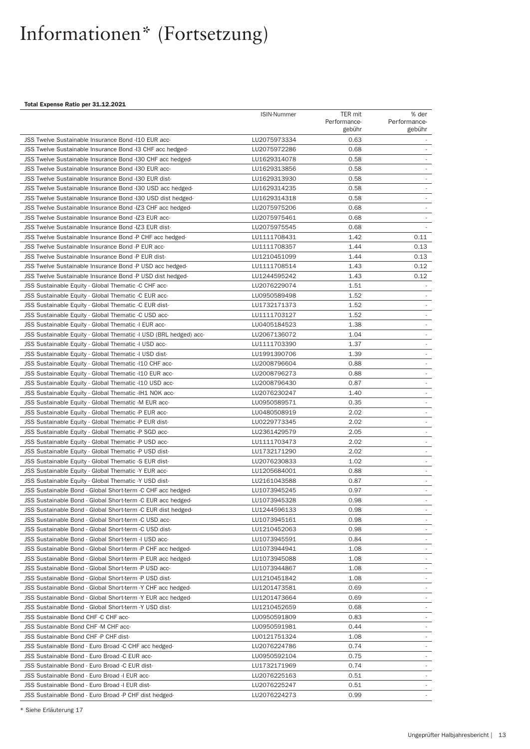#### Total Expense Ratio per 31.12.2021

|                                                                   | <b>ISIN-Nummer</b> | TER mit      | % der                    |
|-------------------------------------------------------------------|--------------------|--------------|--------------------------|
|                                                                   |                    | Performance- | Performance-             |
|                                                                   |                    | gebühr       | gebühr                   |
| JSS Twelve Sustainable Insurance Bond -I10 EUR acc-               | LU2075973334       | 0.63         |                          |
| JSS Twelve Sustainable Insurance Bond -13 CHF acc hedged-         | LU2075972286       | 0.68         | $\sim$                   |
| JSS Twelve Sustainable Insurance Bond -130 CHF acc hedged-        | LU1629314078       | 0.58         |                          |
| JSS Twelve Sustainable Insurance Bond - 130 EUR acc-              | LU1629313856       | 0.58         |                          |
| JSS Twelve Sustainable Insurance Bond - 130 EUR dist-             | LU1629313930       | 0.58         | $\sim$                   |
| JSS Twelve Sustainable Insurance Bond -130 USD acc hedged-        | LU1629314235       | 0.58         |                          |
| JSS Twelve Sustainable Insurance Bond -I30 USD dist hedged-       | LU1629314318       | 0.58         |                          |
| JSS Twelve Sustainable Insurance Bond -IZ3 CHF acc hedged-        | LU2075975206       | 0.68         | ×.                       |
| JSS Twelve Sustainable Insurance Bond - IZ3 EUR acc-              | LU2075975461       | 0.68         |                          |
| JSS Twelve Sustainable Insurance Bond - IZ3 EUR dist-             | LU2075975545       | 0.68         |                          |
| JSS Twelve Sustainable Insurance Bond -P CHF acc hedged-          | LU1111708431       | 1.42         | 0.11                     |
| JSS Twelve Sustainable Insurance Bond -P EUR acc-                 | LU1111708357       | 1.44         | 0.13                     |
| JSS Twelve Sustainable Insurance Bond -P EUR dist-                | LU1210451099       | 1.44         | 0.13                     |
| JSS Twelve Sustainable Insurance Bond -P USD acc hedged-          | LU1111708514       | 1.43         | 0.12                     |
| JSS Twelve Sustainable Insurance Bond -P USD dist hedged-         | LU1244595242       | 1.43         | 0.12                     |
| JSS Sustainable Equity - Global Thematic -C CHF acc-              | LU2076229074       | 1.51         |                          |
| JSS Sustainable Equity - Global Thematic -C EUR acc-              | LU0950589498       | 1.52         |                          |
| JSS Sustainable Equity - Global Thematic -C EUR dist-             | LU1732171373       | 1.52         |                          |
| JSS Sustainable Equity - Global Thematic -C USD acc-              | LU1111703127       | 1.52         | $\overline{\phantom{a}}$ |
| JSS Sustainable Equity - Global Thematic -I EUR acc-              | LU0405184523       | 1.38         | $\sim$                   |
| JSS Sustainable Equity - Global Thematic -I USD (BRL hedged) acc- | LU2067136072       | 1.04         |                          |
| JSS Sustainable Equity - Global Thematic -I USD acc-              | LU1111703390       | 1.37         | ÷                        |
| JSS Sustainable Equity - Global Thematic -I USD dist-             | LU1991390706       | 1.39         | $\overline{\phantom{a}}$ |
| JSS Sustainable Equity - Global Thematic -110 CHF acc-            | LU2008796604       | 0.88         |                          |
| JSS Sustainable Equity - Global Thematic -110 EUR acc-            | LU2008796273       | 0.88         | $\sim$                   |
| JSS Sustainable Equity - Global Thematic -110 USD acc-            | LU2008796430       | 0.87         | $\sim$                   |
| JSS Sustainable Equity - Global Thematic -IH1 NOK acc-            | LU2076230247       | 1.40         |                          |
| JSS Sustainable Equity - Global Thematic -M EUR acc-              | LU0950589571       | 0.35         | $\overline{\phantom{a}}$ |
| JSS Sustainable Equity - Global Thematic -P EUR acc-              | LU0480508919       | 2.02         | $\sim$                   |
| JSS Sustainable Equity - Global Thematic -P EUR dist-             | LU0229773345       | 2.02         |                          |
| JSS Sustainable Equity - Global Thematic -P SGD acc-              | LU2361429579       | 2.05         | ÷                        |
| JSS Sustainable Equity - Global Thematic -P USD acc-              | LU1111703473       | 2.02         | $\sim$                   |
| JSS Sustainable Equity - Global Thematic -P USD dist-             | LU1732171290       | 2.02         | $\overline{\phantom{a}}$ |
| JSS Sustainable Equity - Global Thematic -S EUR dist-             | LU2076230833       | 1.02         | $\overline{\phantom{a}}$ |
| JSS Sustainable Equity - Global Thematic -Y EUR acc-              | LU1205684001       | 0.88         | $\overline{\phantom{a}}$ |
| JSS Sustainable Equity - Global Thematic -Y USD dist-             | LU2161043588       | 0.87         |                          |
| JSS Sustainable Bond - Global Short-term -C CHF acc hedged-       | LU1073945245       | 0.97         | $\sim$                   |
| JSS Sustainable Bond - Global Short-term -C EUR acc hedged-       | LU1073945328       | 0.98         | $\sim$                   |
| JSS Sustainable Bond - Global Short-term -C EUR dist hedged-      | LU1244596133       | 0.98         |                          |
| JSS Sustainable Bond - Global Short-term -C USD acc-              | LU1073945161       | 0.98         | $\overline{\phantom{a}}$ |
| JSS Sustainable Bond - Global Short-term -C USD dist-             | LU1210452063       | 0.98         |                          |
| JSS Sustainable Bond - Global Short-term -I USD acc-              | LU1073945591       | 0.84         |                          |
| JSS Sustainable Bond - Global Short-term -P CHF acc hedged-       | LU1073944941       | 1.08         | $\sim$                   |
| JSS Sustainable Bond - Global Short-term -P EUR acc hedged-       | LU1073945088       | 1.08         |                          |
| JSS Sustainable Bond - Global Short-term -P USD acc-              | LU1073944867       | 1.08         | ٠                        |
| JSS Sustainable Bond - Global Short-term -P USD dist-             | LU1210451842       | 1.08         | $\overline{\phantom{a}}$ |
| JSS Sustainable Bond - Global Short-term -Y CHF acc hedged-       | LU1201473581       | 0.69         | $\overline{\phantom{a}}$ |
| JSS Sustainable Bond - Global Short-term -Y EUR acc hedged-       | LU1201473664       | 0.69         |                          |
| JSS Sustainable Bond - Global Short-term -Y USD dist-             | LU1210452659       | 0.68         | $\sim$                   |
| JSS Sustainable Bond CHF -C CHF acc-                              | LU0950591809       | 0.83         |                          |
| JSS Sustainable Bond CHF-M CHF acc-                               | LU0950591981       | 0.44         |                          |
| JSS Sustainable Bond CHF-P CHF dist-                              | LU0121751324       | 1.08         | $\sim$                   |
| JSS Sustainable Bond - Euro Broad -C CHF acc hedged-              | LU2076224786       | 0.74         |                          |
| JSS Sustainable Bond - Euro Broad -C EUR acc-                     | LU0950592104       | 0.75         |                          |
| JSS Sustainable Bond - Euro Broad -C EUR dist-                    | LU1732171969       | 0.74         | $\sim$                   |
| JSS Sustainable Bond - Euro Broad -I EUR acc-                     | LU2076225163       | 0.51         |                          |
| JSS Sustainable Bond - Euro Broad -I EUR dist-                    | LU2076225247       | 0.51         |                          |
| JSS Sustainable Bond - Euro Broad -P CHF dist hedged-             | LU2076224273       | 0.99         |                          |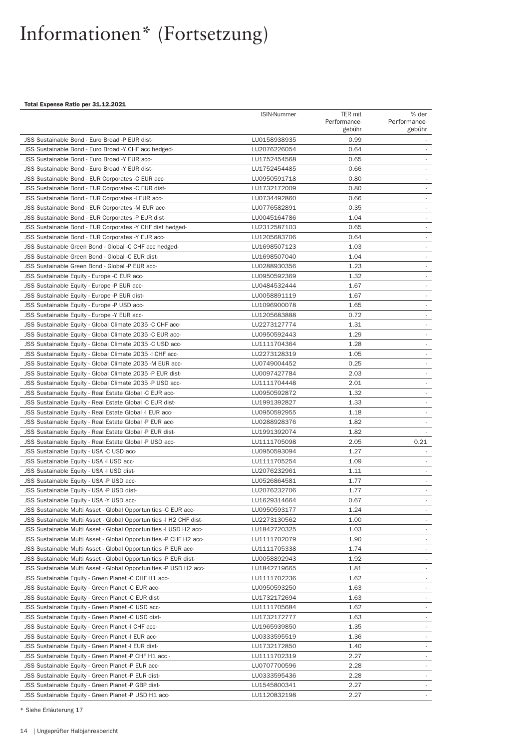#### Total Expense Ratio per 31.12.2021

|                                                                    | ISIN-Nummer  | TER mit      | % der                       |
|--------------------------------------------------------------------|--------------|--------------|-----------------------------|
|                                                                    |              | Performance- | Performance-                |
|                                                                    |              | gebühr       | gebühr                      |
| JSS Sustainable Bond - Euro Broad -P EUR dist-                     | LU0158938935 | 0.99         |                             |
| JSS Sustainable Bond - Euro Broad -Y CHF acc hedged-               | LU2076226054 | 0.64         | $\sim$                      |
| JSS Sustainable Bond - Euro Broad -Y EUR acc-                      | LU1752454568 | 0.65         |                             |
| JSS Sustainable Bond - Euro Broad -Y EUR dist-                     | LU1752454485 | 0.66         |                             |
| JSS Sustainable Bond - EUR Corporates -C EUR acc-                  | LU0950591718 | 0.80         | $\sim$                      |
| JSS Sustainable Bond - EUR Corporates -C EUR dist-                 | LU1732172009 | 0.80         |                             |
| JSS Sustainable Bond - EUR Corporates -I EUR acc-                  | LU0734492860 | 0.66         |                             |
| JSS Sustainable Bond - EUR Corporates -M EUR acc-                  | LU0776582891 | 0.35         | $\overline{\phantom{a}}$    |
| JSS Sustainable Bond - EUR Corporates -P EUR dist-                 | LU0045164786 | 1.04         | ÷                           |
| JSS Sustainable Bond - EUR Corporates -Y CHF dist hedged-          | LU2312587103 | 0.65         |                             |
| JSS Sustainable Bond - EUR Corporates -Y EUR acc-                  | LU1205683706 | 0.64         | $\sim$                      |
| JSS Sustainable Green Bond - Global -C CHF acc hedged-             | LU1698507123 | 1.03         | $\overline{\phantom{a}}$    |
| JSS Sustainable Green Bond - Global -C EUR dist-                   | LU1698507040 | 1.04         |                             |
| JSS Sustainable Green Bond - Global -P EUR acc-                    | LU0288930356 | 1.23         | $\sim$                      |
| JSS Sustainable Equity - Europe -C EUR acc-                        | LU0950592369 | 1.32         |                             |
| JSS Sustainable Equity - Europe -P EUR acc-                        | LU0484532444 | 1.67         | $\overline{\phantom{a}}$    |
| JSS Sustainable Equity - Europe -P EUR dist-                       | LU0058891119 | 1.67         | $\mathcal{L}_{\mathcal{A}}$ |
| JSS Sustainable Equity - Europe -P USD acc-                        | LU1096900078 | 1.65         |                             |
| JSS Sustainable Equity - Europe -Y EUR acc-                        | LU1205683888 | 0.72         | $\overline{\phantom{a}}$    |
| JSS Sustainable Equity - Global Climate 2035 -C CHF acc-           | LU2273127774 | 1.31         | ×.                          |
| JSS Sustainable Equity - Global Climate 2035 -C EUR acc-           | LU0950592443 | 1.29         |                             |
| JSS Sustainable Equity - Global Climate 2035 -C USD acc-           | LU1111704364 | 1.28         | $\sim$                      |
| JSS Sustainable Equity - Global Climate 2035 - ICHF acc-           | LU2273128319 | 1.05         | $\sim$                      |
| JSS Sustainable Equity - Global Climate 2035 -M EUR acc-           | LU0749004452 | 0.25         |                             |
| JSS Sustainable Equity - Global Climate 2035 -P EUR dist-          | LU0097427784 | 2.03         | $\overline{\phantom{a}}$    |
| JSS Sustainable Equity - Global Climate 2035 -P USD acc-           | LU1111704448 | 2.01         | $\sim$                      |
| JSS Sustainable Equity - Real Estate Global -C EUR acc-            | LU0950592872 | 1.32         |                             |
| JSS Sustainable Equity - Real Estate Global -C EUR dist-           | LU1991392827 | 1.33         | $\sim$                      |
| JSS Sustainable Equity - Real Estate Global -I EUR acc-            | LU0950592955 | 1.18         |                             |
| JSS Sustainable Equity - Real Estate Global -P EUR acc-            | LU0288928376 | 1.82         |                             |
| JSS Sustainable Equity - Real Estate Global -P EUR dist-           | LU1991392074 | 1.82         |                             |
| JSS Sustainable Equity - Real Estate Global -P USD acc-            | LU1111705098 | 2.05         | 0.21                        |
| JSS Sustainable Equity - USA -C USD acc-                           | LU0950593094 | 1.27         |                             |
| JSS Sustainable Equity - USA -I USD acc-                           | LU1111705254 | 1.09         |                             |
| JSS Sustainable Equity - USA -I USD dist-                          | LU2076232961 | 1.11         |                             |
| JSS Sustainable Equity - USA -P USD acc-                           | LU0526864581 | 1.77         |                             |
| JSS Sustainable Equity - USA -P USD dist-                          | LU2076232706 | 1.77         |                             |
| JSS Sustainable Equity - USA -Y USD acc-                           | LU1629314664 | 0.67         |                             |
| JSS Sustainable Multi Asset - Global Opportunities -C EUR acc-     | LU0950593177 | 1.24         |                             |
| JSS Sustainable Multi Asset - Global Opportunities - IH2 CHF dist- | LU2273130562 | 1.00         | $\sim$                      |
| JSS Sustainable Multi Asset - Global Opportunities -I USD H2 acc-  | LU1842720325 | 1.03         |                             |
| JSS Sustainable Multi Asset - Global Opportunities -P CHF H2 acc-  | LU1111702079 | 1.90         |                             |
| JSS Sustainable Multi Asset - Global Opportunities -P EUR acc-     | LU1111705338 | 1.74         | $\sim$                      |
| JSS Sustainable Multi Asset - Global Opportunities -P EUR dist-    | LU0058892943 | 1.92         | $\sim$                      |
| JSS Sustainable Multi Asset - Global Opportunities -P USD H2 acc-  | LU1842719665 | 1.81         | $\sim$                      |
| JSS Sustainable Equity - Green Planet -C CHF H1 acc-               | LU1111702236 | 1.62         | $\sim$                      |
| JSS Sustainable Equity - Green Planet -C EUR acc-                  | LU0950593250 | 1.63         |                             |
| JSS Sustainable Equity - Green Planet -C EUR dist-                 | LU1732172694 | 1.63         |                             |
| JSS Sustainable Equity - Green Planet -C USD acc-                  | LU1111705684 | 1.62         | $\sim$                      |
| JSS Sustainable Equity - Green Planet -C USD dist-                 | LU1732172777 | 1.63         |                             |
| JSS Sustainable Equity - Green Planet -I CHF acc-                  | LU1965939850 | 1.35         |                             |
| JSS Sustainable Equity - Green Planet -I EUR acc-                  | LU0333595519 | 1.36         | $\sim$                      |
| JSS Sustainable Equity - Green Planet - I EUR dist-                | LU1732172850 | 1.40         |                             |
| JSS Sustainable Equity - Green Planet -P CHF H1 acc -              | LU1111702319 | 2.27         |                             |
| JSS Sustainable Equity - Green Planet -P EUR acc-                  | LU0707700596 | 2.28         | $\sim$                      |
| JSS Sustainable Equity - Green Planet -P EUR dist-                 | LU0333595436 | 2.28         |                             |
| JSS Sustainable Equity - Green Planet -P GBP dist-                 | LU1545800341 | 2.27         |                             |
| JSS Sustainable Equity - Green Planet -P USD H1 acc-               | LU1120832198 | 2.27         |                             |
|                                                                    |              |              |                             |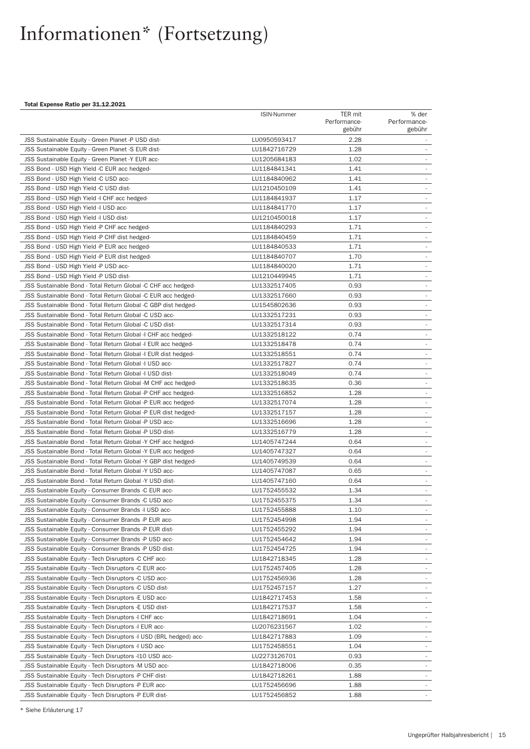#### Total Expense Ratio per 31.12.2021

|                                                                   | <b>ISIN-Nummer</b> | TER mit      | % der                    |
|-------------------------------------------------------------------|--------------------|--------------|--------------------------|
|                                                                   |                    | Performance- | Performance-             |
|                                                                   |                    | gebühr       | gebühr                   |
| JSS Sustainable Equity - Green Planet -P USD dist-                | LU0950593417       | 2.28         |                          |
| JSS Sustainable Equity - Green Planet -S EUR dist-                | LU1842716729       | 1.28         | $\sim$                   |
| JSS Sustainable Equity - Green Planet -Y EUR acc-                 | LU1205684183       | 1.02         |                          |
| JSS Bond - USD High Yield -C EUR acc hedged-                      | LU1184841341       | 1.41         |                          |
| JSS Bond - USD High Yield -C USD acc-                             | LU1184840962       | 1.41         | $\sim$                   |
| JSS Bond - USD High Yield -C USD dist-                            | LU1210450109       | 1.41         |                          |
| JSS Bond - USD High Yield -I CHF acc hedged-                      | LU1184841937       | 1.17         |                          |
| JSS Bond - USD High Yield -I USD acc-                             | LU1184841770       | 1.17         | ٠                        |
| JSS Bond - USD High Yield -I USD dist-                            | LU1210450018       | 1.17         |                          |
| JSS Bond - USD High Yield -P CHF acc hedged-                      | LU1184840293       | 1.71         |                          |
| JSS Bond - USD High Yield -P CHF dist hedged-                     | LU1184840459       | 1.71         | ٠                        |
| JSS Bond - USD High Yield -P EUR acc hedged-                      | LU1184840533       | 1.71         |                          |
| JSS Bond - USD High Yield -P EUR dist hedged-                     | LU1184840707       | 1.70         |                          |
| JSS Bond - USD High Yield -P USD acc-                             | LU1184840020       | 1.71         | ×.                       |
| JSS Bond - USD High Yield -P USD dist-                            | LU1210449945       | 1.71         |                          |
| JSS Sustainable Bond - Total Return Global -C CHF acc hedged-     | LU1332517405       | 0.93         | $\overline{\phantom{a}}$ |
| JSS Sustainable Bond - Total Return Global -C EUR acc hedged-     | LU1332517660       | 0.93         | ÷,                       |
| JSS Sustainable Bond - Total Return Global -C GBP dist hedged-    | LU1545802636       | 0.93         |                          |
| JSS Sustainable Bond - Total Return Global -C USD acc-            | LU1332517231       | 0.93         | $\overline{\phantom{a}}$ |
| JSS Sustainable Bond - Total Return Global -C USD dist-           | LU1332517314       | 0.93         | $\sim$                   |
| JSS Sustainable Bond - Total Return Global -I CHF acc hedged-     | LU1332518122       | 0.74         |                          |
| JSS Sustainable Bond - Total Return Global -I EUR acc hedged-     | LU1332518478       | 0.74         | $\overline{\phantom{a}}$ |
| JSS Sustainable Bond - Total Return Global -I EUR dist hedged-    | LU1332518551       | 0.74         | ٠                        |
| JSS Sustainable Bond - Total Return Global -I USD acc-            | LU1332517827       | 0.74         |                          |
| JSS Sustainable Bond - Total Return Global -I USD dist-           | LU1332518049       | 0.74         | $\overline{\phantom{a}}$ |
| JSS Sustainable Bond - Total Return Global -M CHF acc hedged-     | LU1332518635       | 0.36         | $\sim$                   |
| JSS Sustainable Bond - Total Return Global -P CHF acc hedged-     | LU1332516852       | 1.28         |                          |
| JSS Sustainable Bond - Total Return Global -P EUR acc hedged-     | LU1332517074       | 1.28         | $\overline{\phantom{a}}$ |
| JSS Sustainable Bond - Total Return Global -P EUR dist hedged-    | LU1332517157       | 1.28         | $\overline{\phantom{a}}$ |
| JSS Sustainable Bond - Total Return Global -P USD acc-            | LU1332516696       | 1.28         |                          |
| JSS Sustainable Bond - Total Return Global -P USD dist-           | LU1332516779       | 1.28         |                          |
| JSS Sustainable Bond - Total Return Global -Y CHF acc hedged-     | LU1405747244       | 0.64         | $\overline{\phantom{a}}$ |
| JSS Sustainable Bond - Total Return Global -Y EUR acc hedged-     | LU1405747327       | 0.64         | $\overline{\phantom{a}}$ |
| JSS Sustainable Bond - Total Return Global -Y GBP dist hedged-    | LU1405749539       | 0.64         | $\overline{\phantom{a}}$ |
| JSS Sustainable Bond - Total Return Global -Y USD acc-            | LU1405747087       | 0.65         | $\overline{\phantom{a}}$ |
| JSS Sustainable Bond - Total Return Global -Y USD dist-           | LU1405747160       | 0.64         |                          |
| JSS Sustainable Equity - Consumer Brands -C EUR acc-              | LU1752455532       | 1.34         | $\sim$                   |
| JSS Sustainable Equity - Consumer Brands -C USD acc-              | LU1752455375       | 1.34         | $\sim$                   |
| JSS Sustainable Equity - Consumer Brands -I USD acc-              | LU1752455888       | 1.10         |                          |
| JSS Sustainable Equity - Consumer Brands -P EUR acc-              | LU1752454998       | 1.94         | $\sim$                   |
| JSS Sustainable Equity - Consumer Brands -P EUR dist-             | LU1752455292       | 1.94         | $\sim$                   |
| JSS Sustainable Equity - Consumer Brands -P USD acc-              | LU1752454642       | 1.94         | $\overline{\phantom{a}}$ |
| JSS Sustainable Equity - Consumer Brands -P USD dist-             | LU1752454725       | 1.94         | $\sim$                   |
| JSS Sustainable Equity - Tech Disruptors -C CHF acc-              | LU1842718345       | 1.28         | $\overline{\phantom{a}}$ |
|                                                                   |                    |              | $\overline{\phantom{a}}$ |
| JSS Sustainable Equity - Tech Disruptors -C EUR acc-              | LU1752457405       | 1.28         | $\overline{\phantom{a}}$ |
| JSS Sustainable Equity - Tech Disruptors -C USD acc-              | LU1752456936       | 1.28         |                          |
| JSS Sustainable Equity - Tech Disruptors -C USD dist-             | LU1752457157       | 1.27         | $\overline{\phantom{a}}$ |
| JSS Sustainable Equity - Tech Disruptors -E USD acc-              | LU1842717453       | 1.58         |                          |
| JSS Sustainable Equity - Tech Disruptors -E USD dist-             | LU1842717537       | 1.58         | $\sim$                   |
| JSS Sustainable Equity - Tech Disruptors - CHF acc-               | LU1842718691       | 1.04         | $\overline{\phantom{a}}$ |
| JSS Sustainable Equity - Tech Disruptors -I EUR acc-              | LU2076231567       | 1.02         | $\overline{\phantom{a}}$ |
| JSS Sustainable Equity - Tech Disruptors -I USD (BRL hedged) acc- | LU1842717883       | 1.09         | $\sim$                   |
| JSS Sustainable Equity - Tech Disruptors - IUSD acc-              | LU1752458551       | 1.04         | $\overline{\phantom{a}}$ |
| JSS Sustainable Equity - Tech Disruptors -110 USD acc-            | LU2273126701       | 0.93         |                          |
| JSS Sustainable Equity - Tech Disruptors -M USD acc-              | LU1842718006       | 0.35         | $\sim$                   |
| JSS Sustainable Equity - Tech Disruptors -P CHF dist-             | LU1842718261       | 1.88         |                          |
| JSS Sustainable Equity - Tech Disruptors -P EUR acc-              | LU1752456696       | 1.88         |                          |
| JSS Sustainable Equity - Tech Disruptors -P EUR dist-             | LU1752456852       | 1.88         |                          |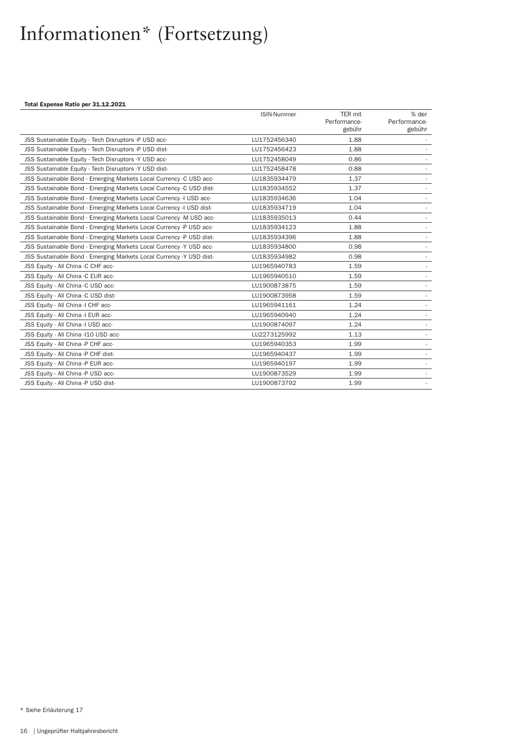#### Total Expense Ratio per 31.12.2021

|                                                                     | <b>ISIN-Nummer</b> | TER mit                | % der                  |
|---------------------------------------------------------------------|--------------------|------------------------|------------------------|
|                                                                     |                    | Performance-<br>gebühr | Performance-<br>gebühr |
|                                                                     |                    |                        |                        |
| JSS Sustainable Equity - Tech Disruptors -P USD acc-                | LU1752456340       | 1.88                   |                        |
| JSS Sustainable Equity - Tech Disruptors -P USD dist-               | LU1752456423       | 1.88                   |                        |
| JSS Sustainable Equity - Tech Disruptors -Y USD acc-                | LU1752458049       | 0.86                   |                        |
| JSS Sustainable Equity - Tech Disruptors -Y USD dist-               | LU1752458478       | 0.88                   |                        |
| JSS Sustainable Bond - Emerging Markets Local Currency -C USD acc-  | LU1835934479       | 1.37                   |                        |
| JSS Sustainable Bond - Emerging Markets Local Currency -C USD dist- | LU1835934552       | 1.37                   |                        |
| JSS Sustainable Bond - Emerging Markets Local Currency -I USD acc-  | LU1835934636       | 1.04                   |                        |
| JSS Sustainable Bond - Emerging Markets Local Currency -I USD dist- | LU1835934719       | 1.04                   |                        |
| JSS Sustainable Bond - Emerging Markets Local Currency -M USD acc-  | LU1835935013       | 0.44                   |                        |
| JSS Sustainable Bond - Emerging Markets Local Currency -P USD acc-  | LU1835934123       | 1.88                   |                        |
| JSS Sustainable Bond - Emerging Markets Local Currency -P USD dist- | LU1835934396       | 1.88                   |                        |
| JSS Sustainable Bond - Emerging Markets Local Currency -Y USD acc-  | LU1835934800       | 0.98                   |                        |
| JSS Sustainable Bond - Emerging Markets Local Currency -Y USD dist- | LU1835934982       | 0.98                   |                        |
| JSS Equity - All China -C CHF acc-                                  | LU1965940783       | 1.59                   |                        |
| JSS Equity - All China -C EUR acc-                                  | LU1965940510       | 1.59                   |                        |
| JSS Equity - All China -C USD acc-                                  | LU1900873875       | 1.59                   |                        |
| JSS Equity - All China -C USD dist-                                 | LU1900873958       | 1.59                   |                        |
| JSS Equity - All China -I CHF acc-                                  | LU1965941161       | 1.24                   |                        |
| JSS Equity - All China -I EUR acc-                                  | LU1965940940       | 1.24                   |                        |
| JSS Equity - All China -I USD acc-                                  | LU1900874097       | 1.24                   |                        |
| JSS Equity - All China - 110 USD acc-                               | LU2273125992       | 1.13                   |                        |
| JSS Equity - All China -P CHF acc-                                  | LU1965940353       | 1.99                   |                        |
| JSS Equity - All China -P CHF dist-                                 | LU1965940437       | 1.99                   |                        |
| JSS Equity - All China -P EUR acc-                                  | LU1965940197       | 1.99                   |                        |
| JSS Equity - All China -P USD acc-                                  | LU1900873529       | 1.99                   |                        |
| JSS Equity - All China -P USD dist-                                 | LU1900873792       | 1.99                   |                        |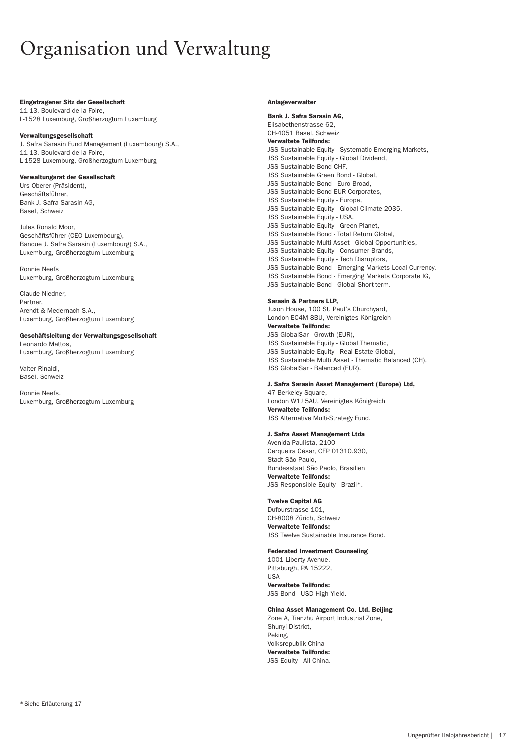### <span id="page-16-0"></span>Organisation und Verwaltung

#### Eingetragener Sitz der Gesellschaft

11-13, Boulevard de la Foire, L-1528 Luxemburg, Großherzogtum Luxemburg

#### Verwaltungsgesellschaft

J. Safra Sarasin Fund Management (Luxembourg) S.A., 11-13, Boulevard de la Foire, L-1528 Luxemburg, Großherzogtum Luxemburg

#### Verwaltungsrat der Gesellschaft

Urs Oberer (Präsident), Geschäftsführer, Bank J. Safra Sarasin AG, Basel, Schweiz

Jules Ronald Moor, Geschäftsführer (CEO Luxembourg), Banque J. Safra Sarasin (Luxembourg) S.A., Luxemburg, Großherzogtum Luxemburg

Ronnie Neefs Luxemburg, Großherzogtum Luxemburg

Claude Niedner, Partner Arendt & Medernach S.A., Luxemburg, Großherzogtum Luxemburg

#### Geschäftsleitung der Verwaltungsgesellschaft

Leonardo Mattos, Luxemburg, Großherzogtum Luxemburg

Valter Rinaldi, Basel, Schweiz

Ronnie Neefs, Luxemburg, Großherzogtum Luxemburg

#### Anlageverwalter

Bank J. Safra Sarasin AG, Elisabethenstrasse 62, CH-4051 Basel, Schweiz Verwaltete Teilfonds: JSS Sustainable Equity - Systematic Emerging Markets, JSS Sustainable Equity - Global Dividend, JSS Sustainable Bond CHF, JSS Sustainable Green Bond - Global, JSS Sustainable Bond - Euro Broad, JSS Sustainable Bond EUR Corporates, JSS Sustainable Equity - Europe, JSS Sustainable Equity - Global Climate 2035, JSS Sustainable Equity - USA, JSS Sustainable Equity - Green Planet, JSS Sustainable Bond - Total Return Global, JSS Sustainable Multi Asset - Global Opportunities, JSS Sustainable Equity - Consumer Brands, JSS Sustainable Equity - Tech Disruptors, JSS Sustainable Bond - Emerging Markets Local Currency, JSS Sustainable Bond - Emerging Markets Corporate IG, JSS Sustainable Bond - Global Short-term.

#### Sarasin & Partners LLP,

Juxon House, 100 St. Paul's Churchyard, London EC4M 8BU, Vereinigtes Königreich Verwaltete Teilfonds: JSS GlobalSar - Growth (EUR), JSS Sustainable Equity - Global Thematic, JSS Sustainable Equity - Real Estate Global, JSS Sustainable Multi Asset - Thematic Balanced (CH), JSS GlobalSar - Balanced (EUR).

#### J. Safra Sarasin Asset Management (Europe) Ltd,

47 Berkeley Square, London W1J 5AU, Vereinigtes Königreich Verwaltete Teilfonds: JSS Alternative Multi-Strategy Fund.

#### J. Safra Asset Management Ltda

Avenida Paulista, 2100 – Cerqueira César, CEP 01310.930, Stadt São Paulo, Bundesstaat São Paolo, Brasilien Verwaltete Teilfonds: JSS Responsible Equity - Brazil\*.

#### Twelve Capital AG

Dufourstrasse 101, CH-8008 Zürich, Schweiz Verwaltete Teilfonds: JSS Twelve Sustainable Insurance Bond.

#### Federated Investment Counseling

1001 Liberty Avenue, Pittsburgh, PA 15222, USA

#### Verwaltete Teilfonds:

JSS Bond - USD High Yield.

#### China Asset Management Co. Ltd. Beijing

Zone A, Tianzhu Airport Industrial Zone, Shunyi District, Peking, Volksrepublik China Verwaltete Teilfonds: JSS Equity - All China.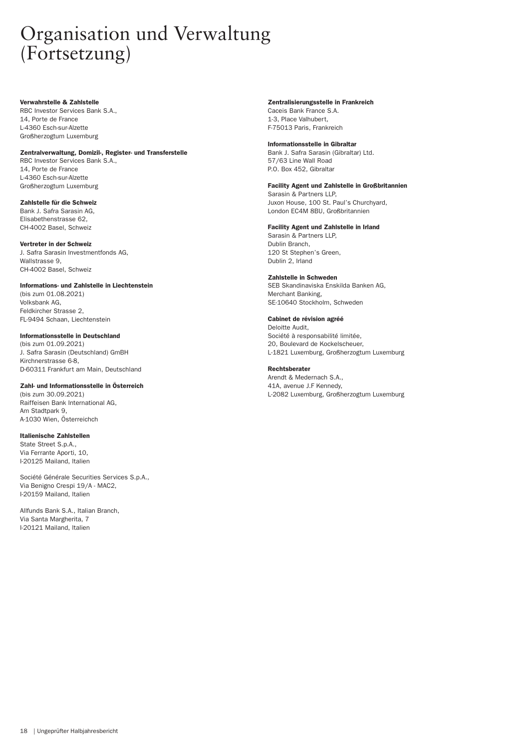### Organisation und Verwaltung (Fortsetzung)

#### Verwahrstelle & Zahlstelle

RBC Investor Services Bank S.A., 14, Porte de France L-4360 Esch-sur-Alzette Großherzogtum Luxemburg

#### Zentralverwaltung, Domizil-, Register- und Transferstelle

RBC Investor Services Bank S.A., 14, Porte de France L-4360 Esch-sur-Alzette Großherzogtum Luxemburg

#### Zahlstelle für die Schweiz

Bank J. Safra Sarasin AG, Elisabethenstrasse 62, CH-4002 Basel, Schweiz

#### Vertreter in der Schweiz

J. Safra Sarasin Investmentfonds AG, Wallstrasse 9, CH-4002 Basel, Schweiz

#### Informations- und Zahlstelle in Liechtenstein

(bis zum 01.08.2021) Volksbank AG, Feldkircher Strasse 2, FL-9494 Schaan, Liechtenstein

#### Informationsstelle in Deutschland

(bis zum 01.09.2021) J. Safra Sarasin (Deutschland) GmBH Kirchnerstrasse 6-8, D-60311 Frankfurt am Main, Deutschland

#### Zahl- und Informationsstelle in Österreich

(bis zum 30.09.2021) Raiffeisen Bank International AG, Am Stadtpark 9, A-1030 Wien, Österreichch

#### Italienische Zahlstellen

State Street S.p.A., Via Ferrante Aporti, 10, I-20125 Mailand, Italien

Société Générale Securities Services S.p.A., Via Benigno Crespi 19/A - MAC2, I-20159 Mailand, Italien

Allfunds Bank S.A., Italian Branch, Via Santa Margherita, 7 I-20121 Mailand, Italien

#### Zentralisierungsstelle in Frankreich

Caceis Bank France S.A. 1-3, Place Valhubert, F-75013 Paris, Frankreich

#### Informationsstelle in Gibraltar

Bank J. Safra Sarasin (Gibraltar) Ltd. 57/63 Line Wall Road P.O. Box 452, Gibraltar

#### Facility Agent und Zahlstelle in Großbritannien

Sarasin & Partners LLP, Juxon House, 100 St. Paul's Churchyard, London EC4M 8BU, Großbritannien

#### Facility Agent und Zahlstelle in Irland

Sarasin & Partners LLP, Dublin Branch, 120 St Stephen's Green, Dublin 2, Irland

#### Zahlstelle in Schweden

SEB Skandinaviska Enskilda Banken AG, Merchant Banking, SE-10640 Stockholm, Schweden

#### Cabinet de révision agréé

Deloitte Audit, Société à responsabilité limitée, 20, Boulevard de Kockelscheuer, L-1821 Luxemburg, Großherzogtum Luxemburg

#### Rechtsberater

Arendt & Medernach S.A., 41A, avenue J.F Kennedy, L-2082 Luxemburg, Großherzogtum Luxemburg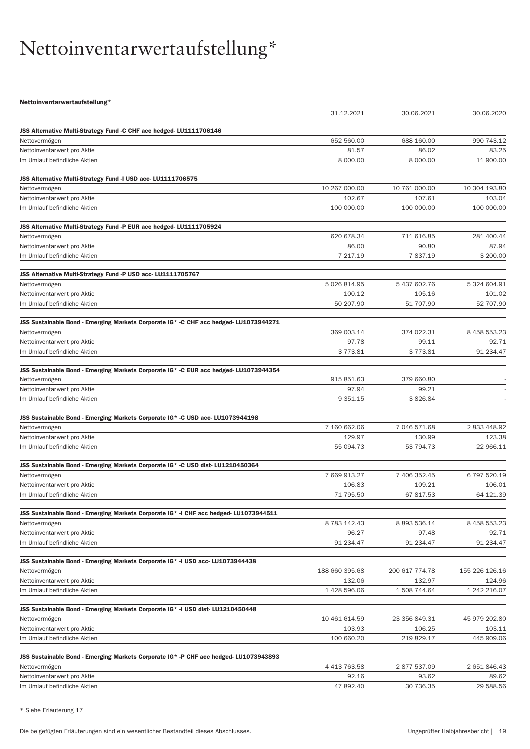# <span id="page-18-0"></span>Nettoinventarwertaufstellung\*

Nettoinventarwertaufstellung\*

|                                                                                       | 31.12.2021          | 30.06.2021       | 30.06.2020     |
|---------------------------------------------------------------------------------------|---------------------|------------------|----------------|
|                                                                                       |                     |                  |                |
| JSS Alternative Multi-Strategy Fund -C CHF acc hedged- LU1111706146                   |                     |                  |                |
| Nettovermögen                                                                         | 652 560.00          | 688 160.00       | 990 743.12     |
| Nettoinventarwert pro Aktie                                                           | 81.57               | 86.02            | 83.25          |
| Im Umlauf befindliche Aktien                                                          | 8 000.00            | 8 000.00         | 11 900.00      |
| JSS Alternative Multi-Strategy Fund -I USD acc- LU1111706575                          |                     |                  |                |
| Nettovermögen                                                                         | 10 267 000.00       | 10 761 000.00    | 10 304 193.80  |
| Nettoinventarwert pro Aktie                                                           | 102.67              | 107.61           | 103.04         |
| Im Umlauf befindliche Aktien                                                          | 100 000.00          | 100 000.00       | 100 000.00     |
|                                                                                       |                     |                  |                |
| JSS Alternative Multi-Strategy Fund -P EUR acc hedged- LU1111705924                   |                     |                  |                |
| Nettovermögen                                                                         | 620 678.34          | 711 616.85       | 281 400.44     |
| Nettoinventarwert pro Aktie                                                           | 86.00               | 90.80            | 87.94          |
| Im Umlauf befindliche Aktien                                                          | 7 217.19            | 7837.19          | 3 200.00       |
|                                                                                       |                     |                  |                |
| JSS Alternative Multi-Strategy Fund -P USD acc- LU1111705767<br>Nettovermögen         | 5 026 814.95        | 5437602.76       | 5 324 604.91   |
| Nettoinventarwert pro Aktie                                                           | 100.12              | 105.16           | 101.02         |
| Im Umlauf befindliche Aktien                                                          | 50 207.90           | 51 707.90        | 52 707.90      |
|                                                                                       |                     |                  |                |
| JSS Sustainable Bond - Emerging Markets Corporate IG* -C CHF acc hedged- LU1073944271 |                     |                  |                |
| Nettovermögen                                                                         | 369 003.14          | 374 022.31       | 8 458 553.23   |
| Nettoinventarwert pro Aktie                                                           | 97.78               | 99.11            | 92.71          |
| Im Umlauf befindliche Aktien                                                          | 3 7 7 3 . 8 1       | 3773.81          | 91 234.47      |
|                                                                                       |                     |                  |                |
| JSS Sustainable Bond - Emerging Markets Corporate IG* -C EUR acc hedged- LU1073944354 |                     |                  |                |
| Nettovermögen                                                                         | 915 851.63          | 379 660.80       |                |
| Nettoinventarwert pro Aktie<br>Im Umlauf befindliche Aktien                           | 97.94<br>9 3 5 1.15 | 99.21<br>3826.84 |                |
|                                                                                       |                     |                  |                |
| JSS Sustainable Bond - Emerging Markets Corporate IG* -C USD acc- LU1073944198        |                     |                  |                |
| Nettovermögen                                                                         | 7 160 662.06        | 7 046 571.68     | 2833448.92     |
| Nettoinventarwert pro Aktie                                                           | 129.97              | 130.99           | 123.38         |
| Im Umlauf befindliche Aktien                                                          | 55 094.73           | 53 794.73        | 22 966.11      |
|                                                                                       |                     |                  |                |
| JSS Sustainable Bond - Emerging Markets Corporate IG* -C USD dist-LU1210450364        |                     |                  |                |
| Nettovermögen                                                                         | 7 669 913.27        | 7 406 352.45     | 6 797 520.19   |
| Nettoinventarwert pro Aktie                                                           | 106.83              | 109.21           | 106.01         |
| Im Umlauf befindliche Aktien                                                          | 71 795.50           | 67 817.53        | 64 121.39      |
| JSS Sustainable Bond - Emerging Markets Corporate IG* -I CHF acc hedged-LU1073944511  |                     |                  |                |
| Nettovermögen                                                                         | 8 783 142.43        | 8 893 536.14     | 8 458 553.23   |
| Nettoinventarwert pro Aktie                                                           | 96.27               | 97.48            | 92.71          |
| Im Umlauf befindliche Aktien                                                          | 91 234.47           | 91 234.47        | 91 234.47      |
|                                                                                       |                     |                  |                |
| JSS Sustainable Bond - Emerging Markets Corporate IG* -I USD acc- LU1073944438        |                     |                  |                |
| Nettovermögen                                                                         | 188 660 395.68      | 200 617 774.78   | 155 226 126.16 |
| Nettoinventarwert pro Aktie                                                           | 132.06              | 132.97           | 124.96         |
| Im Umlauf befindliche Aktien                                                          | 1 428 596.06        | 1508 744.64      | 1 242 216.07   |
|                                                                                       |                     |                  |                |
| JSS Sustainable Bond - Emerging Markets Corporate IG* -I USD dist- LU1210450448       |                     |                  |                |
| Nettovermögen                                                                         | 10 461 614.59       | 23 356 849.31    | 45 979 202.80  |
| Nettoinventarwert pro Aktie                                                           | 103.93              | 106.25           | 103.11         |
| Im Umlauf befindliche Aktien                                                          | 100 660.20          | 219 829.17       | 445 909.06     |
| JSS Sustainable Bond - Emerging Markets Corporate IG* -P CHF acc hedged-LU1073943893  |                     |                  |                |
| Nettovermögen                                                                         | 4 413 763.58        | 2877537.09       | 2 651 846.43   |
| Nettoinventarwert pro Aktie                                                           | 92.16               | 93.62            | 89.62          |
| Im Umlauf befindliche Aktien                                                          | 47 892.40           | 30 736.35        | 29 588.56      |
|                                                                                       |                     |                  |                |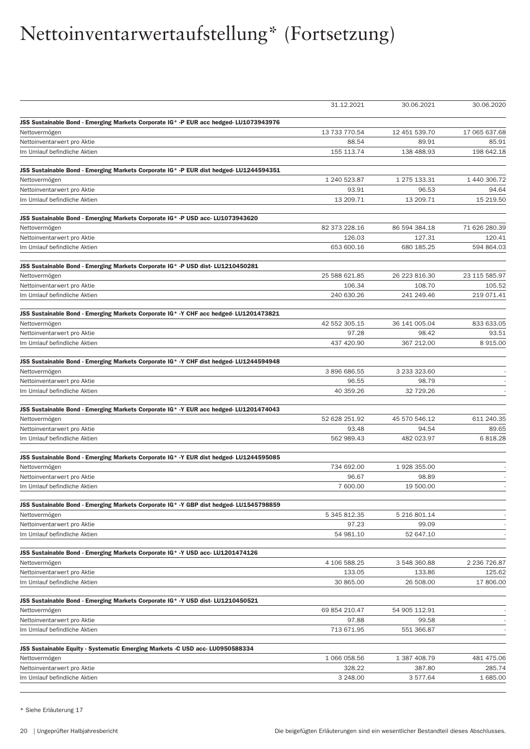|                                                                                                         | 31.12.2021              | 30.06.2021           | 30.06.2020    |
|---------------------------------------------------------------------------------------------------------|-------------------------|----------------------|---------------|
|                                                                                                         |                         |                      |               |
| JSS Sustainable Bond - Emerging Markets Corporate IG* -P EUR acc hedged- LU1073943976                   |                         |                      |               |
| Nettovermögen                                                                                           | 13 733 770.54           | 12 451 539.70        | 17 065 637.68 |
| Nettoinventarwert pro Aktie                                                                             | 88.54                   | 89.91                | 85.91         |
| Im Umlauf befindliche Aktien                                                                            | 155 113.74              | 138 488.93           | 198 642.18    |
| JSS Sustainable Bond - Emerging Markets Corporate IG* -P EUR dist hedged- LU1244594351                  |                         |                      |               |
| Nettovermögen                                                                                           | 1 240 523.87            | 1 275 133.31         | 1 440 306.72  |
| Nettoinventarwert pro Aktie                                                                             | 93.91                   | 96.53                | 94.64         |
| Im Umlauf befindliche Aktien                                                                            | 13 209.71               | 13 209.71            | 15 219.50     |
|                                                                                                         |                         |                      |               |
| JSS Sustainable Bond - Emerging Markets Corporate IG* -P USD acc- LU1073943620                          |                         |                      |               |
| Nettovermögen                                                                                           | 82 373 228.16           | 86 594 384.18        | 71 626 280.39 |
| Nettoinventarwert pro Aktie                                                                             | 126.03                  | 127.31               | 120.41        |
| Im Umlauf befindliche Aktien                                                                            | 653 600.16              | 680 185.25           | 594 864.03    |
|                                                                                                         |                         |                      |               |
| JSS Sustainable Bond - Emerging Markets Corporate IG* -P USD dist-LU1210450281                          |                         |                      |               |
| Nettovermögen                                                                                           | 25 588 621.85<br>106.34 | 26 223 816.30        | 23 115 585.97 |
| Nettoinventarwert pro Aktie                                                                             |                         | 108.70<br>241 249.46 | 105.52        |
| Im Umlauf befindliche Aktien                                                                            | 240 630.26              |                      | 219 071.41    |
| JSS Sustainable Bond - Emerging Markets Corporate IG* -Y CHF acc hedged- LU1201473821                   |                         |                      |               |
| Nettovermögen                                                                                           | 42 552 305.15           | 36 141 005.04        | 833 633.05    |
| Nettoinventarwert pro Aktie                                                                             | 97.28                   | 98.42                | 93.51         |
| Im Umlauf befindliche Aktien                                                                            | 437 420.90              | 367 212.00           | 8915.00       |
|                                                                                                         |                         |                      |               |
| JSS Sustainable Bond - Emerging Markets Corporate IG* -Y CHF dist hedged- LU1244594948<br>Nettovermögen | 3896686.55              | 3 233 323.60         |               |
| Nettoinventarwert pro Aktie                                                                             | 96.55                   | 98.79                |               |
| Im Umlauf befindliche Aktien                                                                            | 40 359.26               | 32 729.26            |               |
|                                                                                                         |                         |                      |               |
| JSS Sustainable Bond - Emerging Markets Corporate IG* -Y EUR acc hedged- LU1201474043                   |                         |                      |               |
| Nettovermögen                                                                                           | 52 628 251.92           | 45 570 546.12        | 611 240.35    |
| Nettoinventarwert pro Aktie                                                                             | 93.48                   | 94.54                | 89.65         |
| Im Umlauf befindliche Aktien                                                                            | 562 989.43              | 482 023.97           | 6818.28       |
| JSS Sustainable Bond - Emerging Markets Corporate IG* -Y EUR dist hedged- LU1244595085                  |                         |                      |               |
| Nettovermögen                                                                                           | 734 692.00              | 1928 355.00          |               |
| Nettoinventarwert pro Aktie                                                                             | 96.67                   | 98.89                |               |
| Im Umlauf befindliche Aktien                                                                            | 7 600.00                | 19 500.00            |               |
|                                                                                                         |                         |                      |               |
| JSS Sustainable Bond - Emerging Markets Corporate IG* -Y GBP dist hedged- LU1545798859                  |                         |                      |               |
| Nettovermögen                                                                                           | 5 345 812.35            | 5 216 801.14         |               |
| Nettoinventarwert pro Aktie                                                                             | 97.23                   | 99.09                |               |
| Im Umlauf befindliche Aktien                                                                            | 54 981.10               | 52 647.10            |               |
| JSS Sustainable Bond - Emerging Markets Corporate IG* -Y USD acc- LU1201474126                          |                         |                      |               |
| Nettovermögen                                                                                           | 4 106 588.25            | 3 548 360.88         | 2 236 726.87  |
| Nettoinventarwert pro Aktie                                                                             | 133.05                  | 133.86               | 125.62        |
| Im Umlauf befindliche Aktien                                                                            | 30 865.00               | 26 508.00            | 17 806.00     |
|                                                                                                         |                         |                      |               |
| JSS Sustainable Bond - Emerging Markets Corporate IG* -Y USD dist- LU1210450521                         |                         |                      |               |
| Nettovermögen                                                                                           | 69 854 210.47           | 54 905 112.91        |               |
| Nettoinventarwert pro Aktie                                                                             | 97.88                   | 99.58                |               |
| Im Umlauf befindliche Aktien                                                                            | 713 671.95              | 551 366.87           |               |
| JSS Sustainable Equity - Systematic Emerging Markets -C USD acc- LU0950588334                           |                         |                      |               |
| Nettovermögen                                                                                           | 1 066 058.56            | 1 387 408.79         | 481 475.06    |
| Nettoinventarwert pro Aktie                                                                             | 328.22                  | 387.80               | 285.74        |
| Im Umlauf befindliche Aktien                                                                            | 3 248.00                | 3577.64              | 1 685.00      |
|                                                                                                         |                         |                      |               |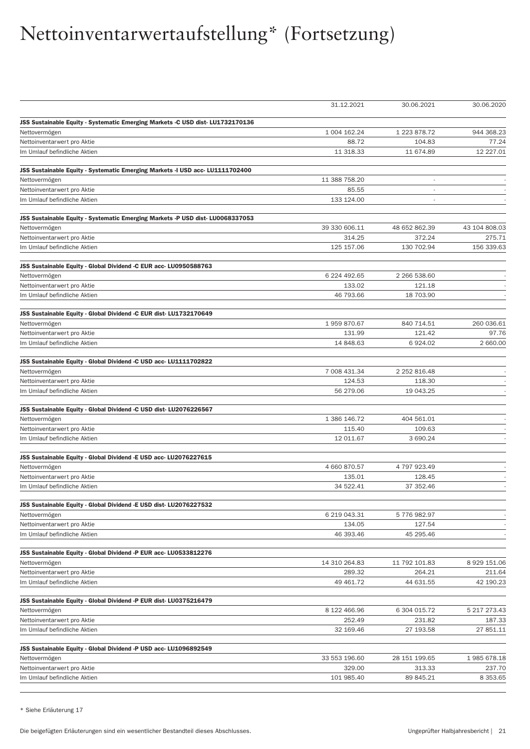|                                                                                | 31.12.2021    | 30.06.2021               | 30.06.2020       |
|--------------------------------------------------------------------------------|---------------|--------------------------|------------------|
|                                                                                |               |                          |                  |
| JSS Sustainable Equity - Systematic Emerging Markets -C USD dist-LU1732170136  |               |                          |                  |
| Nettovermögen                                                                  | 1 004 162.24  | 1 223 878.72             | 944 368.23       |
| Nettoinventarwert pro Aktie                                                    | 88.72         | 104.83                   | 77.24            |
| Im Umlauf befindliche Aktien                                                   | 11 318.33     | 11 674.89                | 12 227.01        |
| JSS Sustainable Equity - Systematic Emerging Markets -I USD acc- LU1111702400  |               |                          |                  |
| Nettovermögen                                                                  | 11 388 758.20 | $\overline{\phantom{a}}$ |                  |
| Nettoinventarwert pro Aktie                                                    | 85.55         |                          |                  |
| Im Umlauf befindliche Aktien                                                   | 133 124.00    |                          |                  |
|                                                                                |               |                          |                  |
| JSS Sustainable Equity - Systematic Emerging Markets -P USD dist- LU0068337053 |               |                          |                  |
| Nettovermögen                                                                  | 39 330 606.11 | 48 652 862.39            | 43 104 808.03    |
| Nettoinventarwert pro Aktie                                                    | 314.25        | 372.24                   | 275.71           |
| Im Umlauf befindliche Aktien                                                   | 125 157.06    | 130 702.94               | 156 339.63       |
|                                                                                |               |                          |                  |
| JSS Sustainable Equity - Global Dividend -C EUR acc- LU0950588763              |               |                          |                  |
| Nettovermögen                                                                  | 6 224 492.65  | 2 266 538.60             |                  |
| Nettoinventarwert pro Aktie<br>Im Umlauf befindliche Aktien                    | 133.02        | 121.18<br>18 703.90      |                  |
|                                                                                | 46 793.66     |                          |                  |
| JSS Sustainable Equity - Global Dividend -C EUR dist-LU1732170649              |               |                          |                  |
| Nettovermögen                                                                  | 1959870.67    | 840 714.51               | 260 036.61       |
| Nettoinventarwert pro Aktie                                                    | 131.99        | 121.42                   | 97.76            |
| Im Umlauf befindliche Aktien                                                   | 14 848.63     | 6 9 24.02                | 2 660.00         |
| JSS Sustainable Equity - Global Dividend -C USD acc- LU1111702822              |               |                          |                  |
| Nettovermögen                                                                  | 7 008 431.34  | 2 252 816.48             |                  |
| Nettoinventarwert pro Aktie                                                    | 124.53        | 118.30                   |                  |
| Im Umlauf befindliche Aktien                                                   | 56 279.06     | 19 043.25                |                  |
| JSS Sustainable Equity - Global Dividend -C USD dist-LU2076226567              |               |                          |                  |
| Nettovermögen                                                                  | 1 386 146.72  | 404 561.01               |                  |
| Nettoinventarwert pro Aktie                                                    | 115.40        | 109.63                   |                  |
| Im Umlauf befindliche Aktien                                                   | 12 011.67     | 3 690.24                 |                  |
|                                                                                |               |                          |                  |
| JSS Sustainable Equity - Global Dividend -E USD acc- LU2076227615              |               |                          |                  |
| Nettovermögen                                                                  | 4 660 870.57  | 4797923.49               |                  |
| Nettoinventarwert pro Aktie                                                    | 135.01        | 128.45                   |                  |
| Im Umlauf befindliche Aktien                                                   | 34 522.41     | 37 352.46                |                  |
| JSS Sustainable Equity - Global Dividend -E USD dist-LU2076227532              |               |                          |                  |
| Nettovermögen                                                                  | 6 219 043.31  | 5776982.97               |                  |
| Nettoinventarwert pro Aktie                                                    | 134.05        | 127.54                   |                  |
| Im Umlauf befindliche Aktien                                                   | 46 393.46     | 45 295.46                |                  |
|                                                                                |               |                          |                  |
| JSS Sustainable Equity - Global Dividend -P EUR acc- LU0533812276              |               |                          |                  |
| Nettovermögen                                                                  | 14 310 264.83 | 11 792 101.83            | 8 9 29 1 5 1.0 6 |
| Nettoinventarwert pro Aktie                                                    | 289.32        | 264.21                   | 211.64           |
| Im Umlauf befindliche Aktien                                                   | 49 461.72     | 44 631.55                | 42 190.23        |
| JSS Sustainable Equity - Global Dividend -P EUR dist- LU0375216479             |               |                          |                  |
| Nettovermögen                                                                  | 8 122 466.96  | 6 304 015.72             | 5 217 273.43     |
| Nettoinventarwert pro Aktie                                                    | 252.49        | 231.82                   | 187.33           |
| Im Umlauf befindliche Aktien                                                   | 32 169.46     | 27 193.58                | 27 851.11        |
| JSS Sustainable Equity - Global Dividend -P USD acc- LU1096892549              |               |                          |                  |
| Nettovermögen                                                                  | 33 553 196.60 | 28 151 199.65            | 1985 678.18      |
| Nettoinventarwert pro Aktie                                                    | 329.00        | 313.33                   | 237.70           |
| Im Umlauf befindliche Aktien                                                   | 101 985.40    | 89 845.21                | 8 3 5 3 . 6 5    |
|                                                                                |               |                          |                  |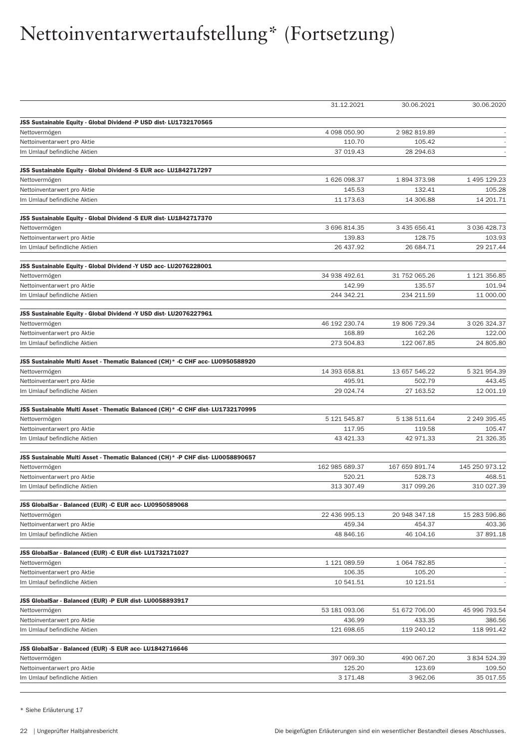|                                                                                                  | 31.12.2021     | 30.06.2021     | 30.06.2020          |
|--------------------------------------------------------------------------------------------------|----------------|----------------|---------------------|
| JSS Sustainable Equity - Global Dividend -P USD dist-LU1732170565                                |                |                |                     |
| Nettovermögen                                                                                    | 4 098 050.90   | 2 982 819.89   |                     |
| Nettoinventarwert pro Aktie                                                                      | 110.70         | 105.42         |                     |
| Im Umlauf befindliche Aktien                                                                     | 37 019.43      | 28 294.63      |                     |
|                                                                                                  |                |                |                     |
| JSS Sustainable Equity - Global Dividend -S EUR acc- LU1842717297                                |                |                |                     |
| Nettovermögen                                                                                    | 1 626 098.37   | 1894373.98     | 1 495 129.23        |
| Nettoinventarwert pro Aktie                                                                      | 145.53         | 132.41         | 105.28              |
| Im Umlauf befindliche Aktien                                                                     | 11 173.63      | 14 306.88      | 14 201.71           |
| JSS Sustainable Equity - Global Dividend -S EUR dist-LU1842717370                                |                |                |                     |
| Nettovermögen                                                                                    | 3 696 814.35   | 3 435 656.41   | 3 0 3 6 4 2 8 . 7 3 |
| Nettoinventarwert pro Aktie                                                                      | 139.83         | 128.75         | 103.93              |
| Im Umlauf befindliche Aktien                                                                     | 26 437.92      | 26 684.71      | 29 217.44           |
|                                                                                                  |                |                |                     |
| JSS Sustainable Equity - Global Dividend -Y USD acc- LU2076228001                                |                |                |                     |
| Nettovermögen                                                                                    | 34 938 492.61  | 31 752 065.26  | 1 121 356.85        |
| Nettoinventarwert pro Aktie                                                                      | 142.99         | 135.57         | 101.94              |
| Im Umlauf befindliche Aktien                                                                     | 244 342.21     | 234 211.59     | 11 000.00           |
| JSS Sustainable Equity - Global Dividend -Y USD dist-LU2076227961                                |                |                |                     |
| Nettovermögen                                                                                    | 46 192 230.74  | 19 806 729.34  | 3 0 26 3 24.37      |
| Nettoinventarwert pro Aktie                                                                      | 168.89         | 162.26         | 122.00              |
| Im Umlauf befindliche Aktien                                                                     | 273 504.83     | 122 067.85     | 24 805.80           |
|                                                                                                  |                |                |                     |
| JSS Sustainable Multi Asset - Thematic Balanced (CH)* -C CHF acc- LU0950588920                   |                |                |                     |
| Nettovermögen                                                                                    | 14 393 658.81  | 13 657 546.22  | 5 321 954.39        |
| Nettoinventarwert pro Aktie                                                                      | 495.91         | 502.79         | 443.45              |
| Im Umlauf befindliche Aktien                                                                     | 29 024.74      | 27 163.52      | 12 001.19           |
| JSS Sustainable Multi Asset - Thematic Balanced (CH)* -C CHF dist-LU1732170995                   |                |                |                     |
| Nettovermögen                                                                                    | 5 121 545.87   | 5 138 511.64   | 2 249 395.45        |
| Nettoinventarwert pro Aktie                                                                      | 117.95         | 119.58         | 105.47              |
| Im Umlauf befindliche Aktien                                                                     | 43 421.33      | 42 971.33      | 21 326.35           |
|                                                                                                  |                |                |                     |
| JSS Sustainable Multi Asset - Thematic Balanced (CH)* - P CHF dist-LU0058890657<br>Nettovermögen | 162 985 689.37 | 167 659 891.74 | 145 250 973.12      |
| Nettoinventarwert pro Aktie                                                                      | 520.21         | 528.73         | 468.51              |
| Im Umlauf befindliche Aktien                                                                     | 313 307.49     | 317 099.26     | 310 027.39          |
|                                                                                                  |                |                |                     |
| JSS GlobalSar - Balanced (EUR) -C EUR acc- LU0950589068                                          |                |                |                     |
| Nettovermögen                                                                                    | 22 436 995.13  | 20 948 347.18  | 15 283 596.86       |
| Nettoinventarwert pro Aktie                                                                      | 459.34         | 454.37         | 403.36              |
| Im Umlauf befindliche Aktien                                                                     | 48 846.16      | 46 104.16      | 37 891.18           |
| JSS GlobalSar - Balanced (EUR) -C EUR dist-LU1732171027                                          |                |                |                     |
| Nettovermögen                                                                                    | 1 121 089.59   | 1 064 782.85   |                     |
| Nettoinventarwert pro Aktie                                                                      | 106.35         | 105.20         |                     |
| Im Umlauf befindliche Aktien                                                                     | 10 541.51      | 10 121.51      |                     |
|                                                                                                  |                |                |                     |
| JSS GlobalSar - Balanced (EUR) -P EUR dist-LU0058893917                                          |                |                |                     |
| Nettovermögen                                                                                    | 53 181 093.06  | 51 672 706.00  | 45 996 793.54       |
| Nettoinventarwert pro Aktie                                                                      | 436.99         | 433.35         | 386.56              |
| Im Umlauf befindliche Aktien                                                                     | 121 698.65     | 119 240.12     | 118 991.42          |
| JSS GlobalSar - Balanced (EUR) -S EUR acc- LU1842716646                                          |                |                |                     |
| Nettovermögen                                                                                    | 397 069.30     | 490 067.20     | 3 834 524.39        |
| Nettoinventarwert pro Aktie                                                                      | 125.20         | 123.69         | 109.50              |
| Im Umlauf befindliche Aktien                                                                     | 3 171.48       | 3 962.06       | 35 017.55           |
|                                                                                                  |                |                |                     |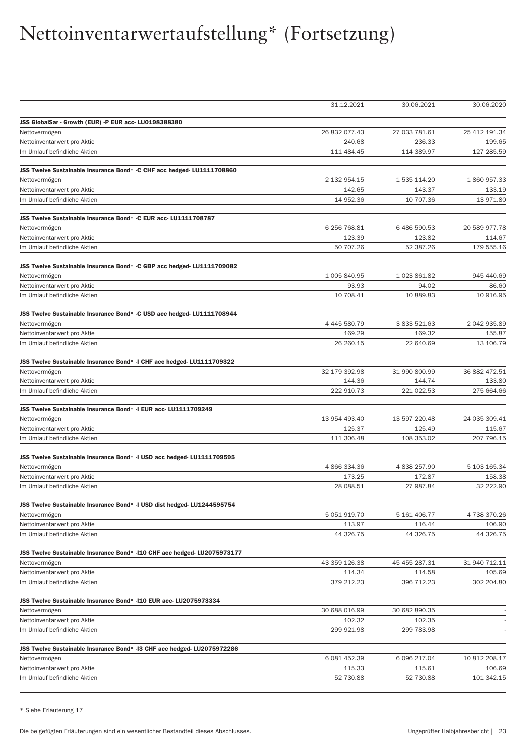|                                                                          | 31.12.2021           | 30.06.2021           | 30.06.2020           |
|--------------------------------------------------------------------------|----------------------|----------------------|----------------------|
| JSS GlobalSar - Growth (EUR) -P EUR acc- LU0198388380                    |                      |                      |                      |
| Nettovermögen                                                            | 26 832 077.43        | 27 033 781.61        | 25 412 191.34        |
| Nettoinventarwert pro Aktie                                              | 240.68               | 236.33               | 199.65               |
| Im Umlauf befindliche Aktien                                             | 111 484.45           | 114 389.97           | 127 285.59           |
| JSS Twelve Sustainable Insurance Bond* -C CHF acc hedged-LU1111708860    |                      |                      |                      |
|                                                                          | 2 132 954.15         | 1 535 114.20         | 1860957.33           |
| Nettovermögen                                                            | 142.65               | 143.37               | 133.19               |
| Nettoinventarwert pro Aktie<br>Im Umlauf befindliche Aktien              | 14 952.36            | 10 707.36            | 13 971.80            |
|                                                                          |                      |                      |                      |
| JSS Twelve Sustainable Insurance Bond* -C EUR acc- LU1111708787          |                      |                      |                      |
| Nettovermögen                                                            | 6 256 768.81         | 6486590.53           | 20 589 977.78        |
| Nettoinventarwert pro Aktie                                              | 123.39               | 123.82               | 114.67               |
| Im Umlauf befindliche Aktien                                             | 50 707.26            | 52 387.26            | 179 555.16           |
| JSS Twelve Sustainable Insurance Bond* -C GBP acc hedged- LU1111709082   |                      |                      |                      |
| Nettovermögen                                                            | 1 005 840.95         | 1023861.82           | 945 440.69           |
| Nettoinventarwert pro Aktie                                              | 93.93                | 94.02                | 86.60                |
| Im Umlauf befindliche Aktien                                             | 10 708.41            | 10 889.83            | 10 916.95            |
| JSS Twelve Sustainable Insurance Bond* -C USD acc hedged-LU1111708944    |                      |                      |                      |
| Nettovermögen                                                            | 4 445 580.79         | 3 833 521.63         | 2 042 935.89         |
| Nettoinventarwert pro Aktie                                              | 169.29               | 169.32               | 155.87               |
| Im Umlauf befindliche Aktien                                             | 26 260.15            | 22 640.69            | 13 106.79            |
|                                                                          |                      |                      |                      |
| JSS Twelve Sustainable Insurance Bond* -I CHF acc hedged-LU1111709322    |                      |                      |                      |
| Nettovermögen                                                            | 32 179 392.98        | 31 990 800.99        | 36 882 472.51        |
| Nettoinventarwert pro Aktie<br>Im Umlauf befindliche Aktien              | 144.36<br>222 910.73 | 144.74<br>221 022.53 | 133.80<br>275 664.66 |
|                                                                          |                      |                      |                      |
| JSS Twelve Sustainable Insurance Bond* -I EUR acc- LU1111709249          | 13 954 493.40        | 13 597 220.48        | 24 035 309.41        |
| Nettovermögen                                                            | 125.37               | 125.49               | 115.67               |
| Nettoinventarwert pro Aktie<br>Im Umlauf befindliche Aktien              | 111 306.48           | 108 353.02           | 207 796.15           |
|                                                                          |                      |                      |                      |
| JSS Twelve Sustainable Insurance Bond* -I USD acc hedged-LU1111709595    |                      |                      |                      |
| Nettovermögen                                                            | 4 866 334.36         | 4 838 257.90         | 5 103 165.34         |
| Nettoinventarwert pro Aktie                                              | 173.25               | 172.87               | 158.38               |
| Im Umlauf befindliche Aktien                                             | 28 088.51            | 27 987.84            | 32 222.90            |
| JSS Twelve Sustainable Insurance Bond* -I USD dist hedged- LU1244595754  |                      |                      |                      |
| Nettovermögen                                                            | 5 051 919.70         | 5 161 406.77         | 4738370.26           |
| Nettoinventarwert pro Aktie                                              | 113.97               | 116.44               | 106.90               |
| Im Umlauf befindliche Aktien                                             | 44 326.75            | 44 326.75            | 44 326.75            |
| JSS Twelve Sustainable Insurance Bond* -110 CHF acc hedged- LU2075973177 |                      |                      |                      |
| Nettovermögen                                                            | 43 359 126.38        | 45 455 287.31        | 31 940 712.11        |
| Nettoinventarwert pro Aktie                                              | 114.34               | 114.58               | 105.69               |
| Im Umlauf befindliche Aktien                                             | 379 212.23           | 396 712.23           | 302 204.80           |
| JSS Twelve Sustainable Insurance Bond* - 110 EUR acc- LU2075973334       |                      |                      |                      |
| Nettovermögen                                                            | 30 688 016.99        | 30 682 890.35        |                      |
| Nettoinventarwert pro Aktie                                              | 102.32               | 102.35               |                      |
| Im Umlauf befindliche Aktien                                             | 299 921.98           | 299 783.98           |                      |
|                                                                          |                      |                      |                      |
| JSS Twelve Sustainable Insurance Bond* -13 CHF acc hedged-LU2075972286   | 6 081 452.39         | 6 096 217.04         | 10 812 208.17        |
| Nettovermögen<br>Nettoinventarwert pro Aktie                             | 115.33               | 115.61               | 106.69               |
| Im Umlauf befindliche Aktien                                             | 52 730.88            | 52 730.88            | 101 342.15           |
|                                                                          |                      |                      |                      |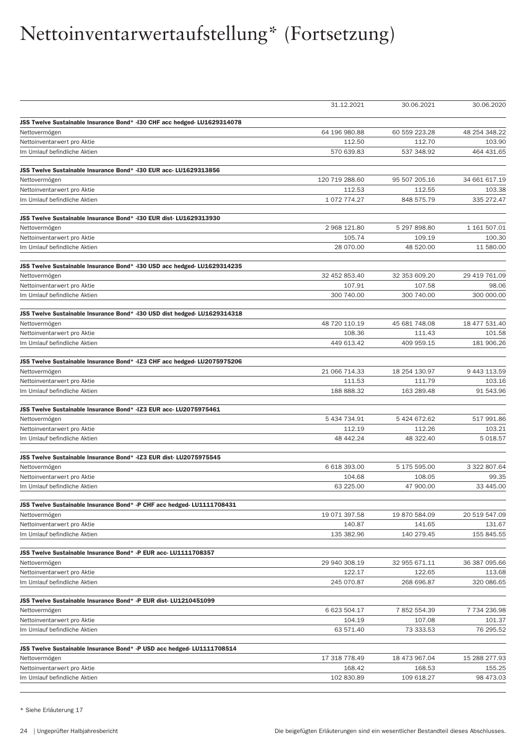|                                                                           | 31.12.2021     | 30.06.2021    | 30.06.2020    |
|---------------------------------------------------------------------------|----------------|---------------|---------------|
| JSS Twelve Sustainable Insurance Bond* -130 CHF acc hedged- LU1629314078  |                |               |               |
| Nettovermögen                                                             | 64 196 980.88  | 60 559 223.28 | 48 254 348.22 |
| Nettoinventarwert pro Aktie                                               | 112.50         | 112.70        | 103.90        |
| Im Umlauf befindliche Aktien                                              | 570 639.83     | 537 348.92    | 464 431.65    |
| JSS Twelve Sustainable Insurance Bond* -130 EUR acc- LU1629313856         |                |               |               |
| Nettovermögen                                                             | 120 719 288.60 | 95 507 205.16 | 34 661 617.19 |
| Nettoinventarwert pro Aktie                                               | 112.53         | 112.55        | 103.38        |
| Im Umlauf befindliche Aktien                                              | 1072774.27     | 848 575.79    | 335 272.47    |
| JSS Twelve Sustainable Insurance Bond* -130 EUR dist- LU1629313930        |                |               |               |
| Nettovermögen                                                             | 2 968 121.80   | 5 297 898.80  | 1 161 507.01  |
| Nettoinventarwert pro Aktie                                               | 105.74         | 109.19        | 100.30        |
| Im Umlauf befindliche Aktien                                              | 28 070.00      | 48 520.00     | 11 580.00     |
| JSS Twelve Sustainable Insurance Bond* -130 USD acc hedged- LU1629314235  |                |               |               |
| Nettovermögen                                                             | 32 452 853.40  | 32 353 609.20 | 29 419 761.09 |
| Nettoinventarwert pro Aktie                                               | 107.91         | 107.58        | 98.06         |
| Im Umlauf befindliche Aktien                                              | 300 740.00     | 300 740.00    | 300 000.00    |
| JSS Twelve Sustainable Insurance Bond* -130 USD dist hedged- LU1629314318 |                |               |               |
| Nettovermögen                                                             | 48 720 110.19  | 45 681 748.08 | 18 477 531.40 |
| Nettoinventarwert pro Aktie                                               | 108.36         | 111.43        | 101.58        |
| Im Umlauf befindliche Aktien                                              | 449 613.42     | 409 959.15    | 181 906.26    |
| JSS Twelve Sustainable Insurance Bond* - IZ3 CHF acc hedged- LU2075975206 |                |               |               |
| Nettovermögen                                                             | 21 066 714.33  | 18 254 130.97 | 9 443 113.59  |
| Nettoinventarwert pro Aktie                                               | 111.53         | 111.79        | 103.16        |
| Im Umlauf befindliche Aktien                                              | 188 888.32     | 163 289.48    | 91 543.96     |
| JSS Twelve Sustainable Insurance Bond* - IZ3 EUR acc- LU2075975461        |                |               |               |
| Nettovermögen                                                             | 5 434 734.91   | 5 424 672.62  | 517 991.86    |
| Nettoinventarwert pro Aktie                                               | 112.19         | 112.26        | 103.21        |
| Im Umlauf befindliche Aktien                                              | 48 442.24      | 48 322.40     | 5 018.57      |
| JSS Twelve Sustainable Insurance Bond* - IZ3 EUR dist- LU2075975545       |                |               |               |
| Nettovermögen                                                             | 6 618 393.00   | 5 175 595.00  | 3 322 807.64  |
| Nettoinventarwert pro Aktie                                               | 104.68         | 108.05        | 99.35         |
| Im Umlauf befindliche Aktien                                              | 63 225.00      | 47 900.00     | 33 445.00     |
| JSS Twelve Sustainable Insurance Bond* -P CHF acc hedged- LU1111708431    |                |               |               |
| Nettovermögen                                                             | 19 071 397.58  | 19 870 584.09 | 20 519 547.09 |
| Nettoinventarwert pro Aktie                                               | 140.87         | 141.65        | 131.67        |
| Im Umlauf befindliche Aktien                                              | 135 382.96     | 140 279.45    | 155 845.55    |
| JSS Twelve Sustainable Insurance Bond* - P EUR acc- LU1111708357          |                |               |               |
| Nettovermögen                                                             | 29 940 308.19  | 32 955 671.11 | 36 387 095.66 |
| Nettoinventarwert pro Aktie                                               | 122.17         | 122.65        | 113.68        |
| Im Umlauf befindliche Aktien                                              | 245 070.87     | 268 696.87    | 320 086.65    |
| JSS Twelve Sustainable Insurance Bond* - P EUR dist- LU1210451099         |                |               |               |
| Nettovermögen                                                             | 6 623 504.17   | 7 852 554.39  | 7 734 236.98  |
| Nettoinventarwert pro Aktie                                               | 104.19         | 107.08        | 101.37        |
| Im Umlauf befindliche Aktien                                              | 63 571.40      | 73 333.53     | 76 295.52     |
| JSS Twelve Sustainable Insurance Bond* - P USD acc hedged- LU1111708514   |                |               |               |
| Nettovermögen                                                             | 17 318 778.49  | 18 473 967.04 | 15 288 277.93 |
| Nettoinventarwert pro Aktie                                               | 168.42         | 168.53        | 155.25        |
| Im Umlauf befindliche Aktien                                              | 102 830.89     | 109 618.27    | 98 473.03     |
|                                                                           |                |               |               |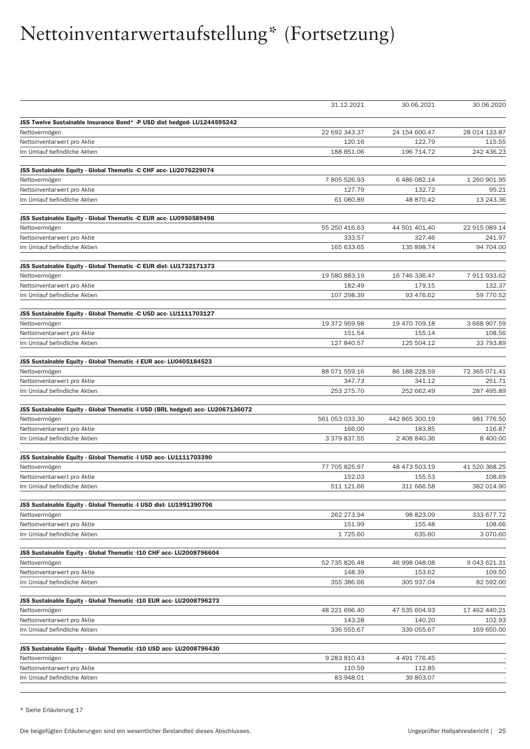|                                                                                | 31.12.2021              | 30.06.2021              | 30.06.2020              |
|--------------------------------------------------------------------------------|-------------------------|-------------------------|-------------------------|
| JSS Twelve Sustainable Insurance Bond* - P USD dist hedged- LU1244595242       |                         |                         |                         |
| Nettovermögen                                                                  | 22 692 343.37           | 24 154 600.47           | 28 014 133.87           |
| Nettoinventarwert pro Aktie                                                    | 120.16                  | 122.79                  | 115.55                  |
| Im Umlauf befindliche Aktien                                                   | 188 851.06              | 196 714.72              | 242 436.23              |
|                                                                                |                         |                         |                         |
| JSS Sustainable Equity - Global Thematic -C CHF acc- LU2076229074              |                         |                         |                         |
| Nettovermögen                                                                  | 7805526.93              | 6 486 082.14            | 1 260 901.95            |
| Nettoinventarwert pro Aktie                                                    | 127.79<br>61 080.89     | 132.72<br>48 870.42     | 95.21<br>13 243.36      |
| Im Umlauf befindliche Aktien                                                   |                         |                         |                         |
| JSS Sustainable Equity - Global Thematic -C EUR acc- LU0950589498              |                         |                         |                         |
| Nettovermögen                                                                  | 55 250 416.63           | 44 501 401.40           | 22 915 089.14           |
| Nettoinventarwert pro Aktie                                                    | 333.57                  | 327.46                  | 241.97                  |
| Im Umlauf befindliche Aktien                                                   | 165 633.65              | 135 898.74              | 94 704.00               |
| JSS Sustainable Equity - Global Thematic -C EUR dist-LU1732171373              |                         |                         |                         |
| Nettovermögen                                                                  | 19 580 883.19           | 16 746 336.47           | 7 911 933.62            |
| Nettoinventarwert pro Aktie                                                    | 182.49                  | 179.15                  | 132.37                  |
| Im Umlauf befindliche Aktien                                                   | 107 298.39              | 93 476.62               | 59 770.52               |
| JSS Sustainable Equity - Global Thematic -C USD acc- LU1111703127              |                         |                         |                         |
| Nettovermögen                                                                  | 19 372 959.98           | 19 470 709.18           | 3 668 907.59            |
| Nettoinventarwert pro Aktie                                                    | 151.54                  | 155.14                  | 108.56                  |
| Im Umlauf befindliche Aktien                                                   | 127 840.57              | 125 504.12              | 33 793.89               |
|                                                                                |                         |                         |                         |
| JSS Sustainable Equity - Global Thematic -I EUR acc- LU0405184523              |                         |                         |                         |
| Nettovermögen                                                                  | 88 071 559.16<br>347.73 | 86 188 228.59<br>341.12 | 72 365 071.41<br>251.71 |
| Nettoinventarwert pro Aktie<br>Im Umlauf befindliche Aktien                    | 253 275.70              | 252 662.49              | 287 495.89              |
|                                                                                |                         |                         |                         |
| JSS Sustainable Equity - Global Thematic -I USD (BRL hedged) acc- LU2067136072 | 561 053 033.30          | 442 865 300.19          | 981 776.50              |
| Nettovermögen<br>Nettoinventarwert pro Aktie                                   | 166.00                  | 183.85                  | 116.87                  |
| Im Umlauf befindliche Aktien                                                   | 3 379 837.55            | 2 408 840.36            | 8 400.00                |
|                                                                                |                         |                         |                         |
| JSS Sustainable Equity - Global Thematic -I USD acc- LU1111703390              |                         |                         |                         |
| Nettovermögen                                                                  | 77 705 825.97           | 48 473 503.19           | 41 520 368.25           |
| Nettoinventarwert pro Aktie                                                    | 152.03                  | 155.53                  | 108.69                  |
| Im Umlauf befindliche Aktien                                                   | 511 121.66              | 311 666.58              | 382 014.90              |
| JSS Sustainable Equity - Global Thematic -I USD dist-LU1991390706              |                         |                         |                         |
| Nettovermögen                                                                  | 262 273.94              | 98 823.09               | 333 677.72              |
| Nettoinventarwert pro Aktie                                                    | 151.99                  | 155.48                  | 108.66                  |
| Im Umlauf befindliche Aktien                                                   | 1 725.60                | 635.60                  | 3 070.60                |
| JSS Sustainable Equity - Global Thematic -110 CHF acc- LU2008796604            |                         |                         |                         |
| Nettovermögen                                                                  | 52 735 826.48           | 46 998 048.08           | 9 043 621.31            |
| Nettoinventarwert pro Aktie                                                    | 148.39                  | 153.62                  | 109.50                  |
| Im Umlauf befindliche Aktien                                                   | 355 386.66              | 305 937.04              | 82 592.00               |
| JSS Sustainable Equity - Global Thematic -110 EUR acc- LU2008796273            |                         |                         |                         |
| Nettovermögen                                                                  | 48 221 696.40           | 47 535 604.93           | 17 462 440.21           |
| Nettoinventarwert pro Aktie                                                    | 143.28                  | 140.20                  | 102.93                  |
| Im Umlauf befindliche Aktien                                                   | 336 555.67              | 339 055.67              | 169 650.00              |
| JSS Sustainable Equity - Global Thematic -110 USD acc- LU2008796430            |                         |                         |                         |
| Nettovermögen                                                                  | 9 283 810.43            | 4 491 776.45            |                         |
| Nettoinventarwert pro Aktie                                                    | 110.59                  | 112.85                  |                         |
| Im Umlauf befindliche Aktien                                                   | 83 948.01               | 39 803.07               |                         |
|                                                                                |                         |                         |                         |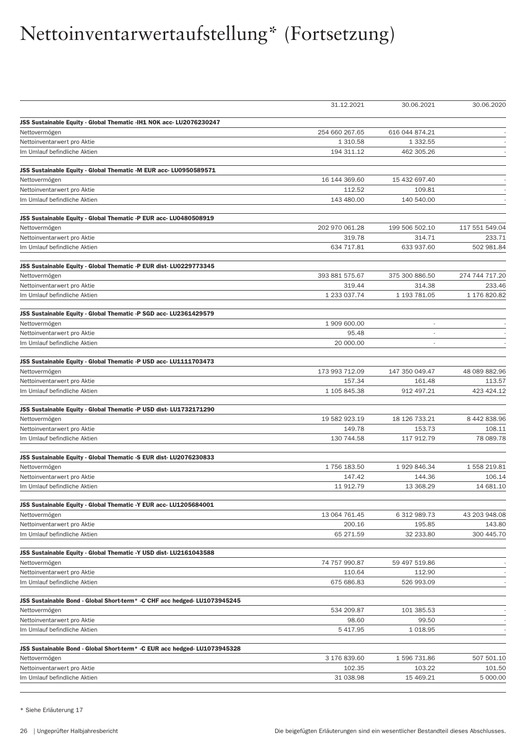|                                                                           | 31.12.2021            | 30.06.2021          | 30.06.2020             |
|---------------------------------------------------------------------------|-----------------------|---------------------|------------------------|
|                                                                           |                       |                     |                        |
| JSS Sustainable Equity - Global Thematic -IH1 NOK acc- LU2076230247       | 254 660 267.65        | 616 044 874.21      |                        |
| Nettovermögen<br>Nettoinventarwert pro Aktie                              | 1 310.58              | 1 3 3 2.5 5         |                        |
| Im Umlauf befindliche Aktien                                              | 194 311.12            | 462 305.26          |                        |
|                                                                           |                       |                     |                        |
| JSS Sustainable Equity - Global Thematic -M EUR acc- LU0950589571         |                       |                     |                        |
| Nettovermögen                                                             | 16 144 369.60         | 15 432 697.40       |                        |
| Nettoinventarwert pro Aktie                                               | 112.52                | 109.81              |                        |
| Im Umlauf befindliche Aktien                                              | 143 480.00            | 140 540.00          |                        |
|                                                                           |                       |                     |                        |
| JSS Sustainable Equity - Global Thematic -P EUR acc- LU0480508919         |                       |                     | 117 551 549.04         |
| Nettovermögen                                                             | 202 970 061.28        | 199 506 502.10      |                        |
| Nettoinventarwert pro Aktie                                               | 319.78                | 314.71              | 233.71<br>502 981.84   |
| Im Umlauf befindliche Aktien                                              | 634 717.81            | 633 937.60          |                        |
| JSS Sustainable Equity - Global Thematic -P EUR dist- LU0229773345        |                       |                     |                        |
| Nettovermögen                                                             | 393 881 575.67        | 375 300 886.50      | 274 744 717.20         |
| Nettoinventarwert pro Aktie                                               | 319.44                | 314.38              | 233.46                 |
| Im Umlauf befindliche Aktien                                              | 1 233 037.74          | 1 193 781.05        | 1 176 820.82           |
| JSS Sustainable Equity - Global Thematic -P SGD acc- LU2361429579         |                       |                     |                        |
| Nettovermögen                                                             | 1 909 600.00          |                     |                        |
| Nettoinventarwert pro Aktie                                               | 95.48                 | ÷,                  |                        |
| Im Umlauf befindliche Aktien                                              | 20 000.00             | ×,                  |                        |
|                                                                           |                       |                     |                        |
| JSS Sustainable Equity - Global Thematic -P USD acc- LU1111703473         |                       |                     |                        |
| Nettovermögen                                                             | 173 993 712.09        | 147 350 049.47      | 48 089 882.96          |
| Nettoinventarwert pro Aktie                                               | 157.34                | 161.48              | 113.57                 |
| Im Umlauf befindliche Aktien                                              | 1 105 845.38          | 912 497.21          | 423 424.12             |
| JSS Sustainable Equity - Global Thematic -P USD dist-LU1732171290         |                       |                     |                        |
| Nettovermögen                                                             | 19 582 923.19         | 18 126 733.21       | 8 442 838.96           |
| Nettoinventarwert pro Aktie                                               | 149.78                | 153.73              | 108.11                 |
| Im Umlauf befindliche Aktien                                              | 130 744.58            | 117 912.79          | 78 089.78              |
|                                                                           |                       |                     |                        |
| JSS Sustainable Equity - Global Thematic -S EUR dist-LU2076230833         |                       |                     |                        |
| Nettovermögen                                                             | 1756 183.50<br>147.42 | 1929846.34          | 1 558 219.81<br>106.14 |
| Nettoinventarwert pro Aktie<br>Im Umlauf befindliche Aktien               | 11 912.79             | 144.36<br>13 368.29 | 14 681.10              |
|                                                                           |                       |                     |                        |
| JSS Sustainable Equity - Global Thematic -Y EUR acc- LU1205684001         |                       |                     |                        |
| Nettovermögen                                                             | 13 064 761.45         | 6 312 989.73        | 43 203 948.08          |
| Nettoinventarwert pro Aktie                                               | 200.16                | 195.85              | 143.80                 |
| Im Umlauf befindliche Aktien                                              | 65 271.59             | 32 233.80           | 300 445.70             |
| JSS Sustainable Equity - Global Thematic -Y USD dist- LU2161043588        |                       |                     |                        |
| Nettovermögen                                                             | 74 757 990.87         | 59 497 519.86       |                        |
| Nettoinventarwert pro Aktie                                               | 110.64                | 112.90              |                        |
| Im Umlauf befindliche Aktien                                              | 675 686.83            | 526 993.09          |                        |
|                                                                           |                       |                     |                        |
| JSS Sustainable Bond - Global Short-term* -C CHF acc hedged- LU1073945245 |                       |                     |                        |
| Nettovermögen                                                             | 534 209.87            | 101 385.53          |                        |
| Nettoinventarwert pro Aktie                                               | 98.60                 | 99.50               |                        |
| Im Umlauf befindliche Aktien                                              | 5 417.95              | 1 0 18.95           |                        |
| JSS Sustainable Bond - Global Short-term* -C EUR acc hedged- LU1073945328 |                       |                     |                        |
| Nettovermögen                                                             | 3 176 839.60          | 1596 731.86         | 507 501.10             |
| Nettoinventarwert pro Aktie                                               | 102.35                | 103.22              | 101.50                 |
| Im Umlauf befindliche Aktien                                              | 31 038.98             | 15 469.21           | 5 000.00               |
|                                                                           |                       |                     |                        |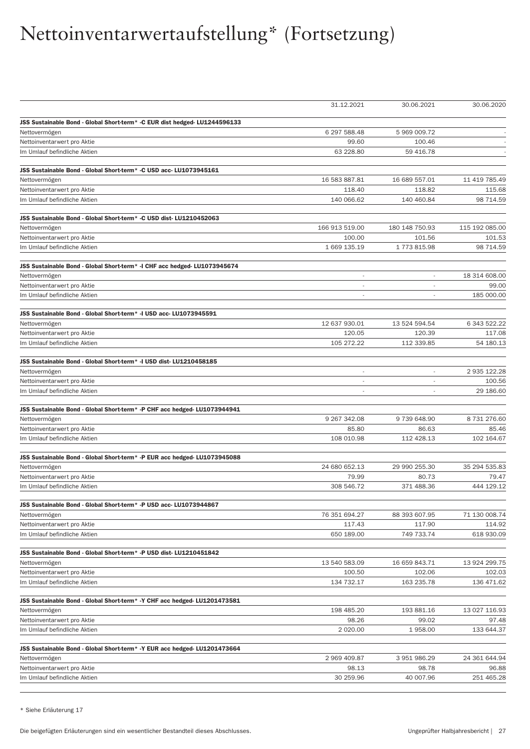|                                                                                             | 31.12.2021               | 30.06.2021               | 30.06.2020             |
|---------------------------------------------------------------------------------------------|--------------------------|--------------------------|------------------------|
|                                                                                             |                          |                          |                        |
| JSS Sustainable Bond - Global Short-term* - C EUR dist hedged- LU1244596133                 |                          |                          |                        |
| Nettovermögen                                                                               | 6 297 588.48<br>99.60    | 5 969 009.72<br>100.46   |                        |
| Nettoinventarwert pro Aktie<br>Im Umlauf befindliche Aktien                                 | 63 228.80                | 59 416.78                |                        |
|                                                                                             |                          |                          |                        |
| JSS Sustainable Bond - Global Short-term* -C USD acc- LU1073945161                          |                          |                          |                        |
| Nettovermögen                                                                               | 16 583 887.81            | 16 689 557.01            | 11 419 785.49          |
| Nettoinventarwert pro Aktie                                                                 | 118.40                   | 118.82                   | 115.68                 |
| Im Umlauf befindliche Aktien                                                                | 140 066.62               | 140 460.84               | 98 714.59              |
|                                                                                             |                          |                          |                        |
| JSS Sustainable Bond - Global Short-term* - C USD dist- LU1210452063                        |                          |                          |                        |
| Nettovermögen                                                                               | 166 913 519.00           | 180 148 750.93           | 115 192 085.00         |
| Nettoinventarwert pro Aktie                                                                 | 100.00                   | 101.56                   | 101.53                 |
| Im Umlauf befindliche Aktien                                                                | 1 669 135.19             | 1773815.98               | 98 714.59              |
| JSS Sustainable Bond - Global Short-term* -I CHF acc hedged- LU1073945674                   |                          |                          |                        |
| Nettovermögen                                                                               | $\overline{\phantom{a}}$ |                          | 18 314 608.00          |
| Nettoinventarwert pro Aktie                                                                 | $\overline{\phantom{a}}$ | $\overline{\phantom{a}}$ | 99.00                  |
| Im Umlauf befindliche Aktien                                                                |                          |                          | 185 000,00             |
|                                                                                             |                          |                          |                        |
| JSS Sustainable Bond - Global Short-term* -I USD acc- LU1073945591                          |                          |                          |                        |
| Nettovermögen                                                                               | 12 637 930.01            | 13 524 594.54            | 6 343 522.22           |
| Nettoinventarwert pro Aktie<br>Im Umlauf befindliche Aktien                                 | 120.05                   | 120.39                   | 117.08                 |
|                                                                                             | 105 272.22               | 112 339.85               | 54 180.13              |
| JSS Sustainable Bond - Global Short-term* -I USD dist-LU1210458185                          |                          |                          |                        |
| Nettovermögen                                                                               | $\overline{\phantom{a}}$ | $\overline{\phantom{a}}$ | 2 935 122.28           |
| Nettoinventarwert pro Aktie                                                                 | ÷,                       |                          | 100.56                 |
| Im Umlauf befindliche Aktien                                                                | $\overline{\phantom{a}}$ |                          | 29 186.60              |
|                                                                                             |                          |                          |                        |
| JSS Sustainable Bond - Global Short-term* - P CHF acc hedged- LU1073944941<br>Nettovermögen | 9 267 342.08             | 9739648.90               | 8 731 276.60           |
| Nettoinventarwert pro Aktie                                                                 | 85.80                    | 86.63                    | 85.46                  |
| Im Umlauf befindliche Aktien                                                                | 108 010.98               | 112 428.13               | 102 164.67             |
|                                                                                             |                          |                          |                        |
| JSS Sustainable Bond - Global Short-term* - P EUR acc hedged- LU1073945088                  |                          |                          |                        |
| Nettovermögen                                                                               | 24 680 652.13            | 29 990 255.30            | 35 294 535.83          |
| Nettoinventarwert pro Aktie                                                                 | 79.99                    | 80.73                    | 79.47                  |
| Im Umlauf befindliche Aktien                                                                | 308 546.72               | 371 488.36               | 444 129.12             |
| JSS Sustainable Bond - Global Short-term* - P USD acc- LU1073944867                         |                          |                          |                        |
| Nettovermögen                                                                               | 76 351 694.27            | 88 393 607.95            | 71 130 008.74          |
| Nettoinventarwert pro Aktie                                                                 | 117.43                   | 117.90                   | 114.92                 |
| Im Umlauf befindliche Aktien                                                                | 650 189.00               | 749 733.74               | 618 930.09             |
|                                                                                             |                          |                          |                        |
| JSS Sustainable Bond - Global Short-term* - P USD dist- LU1210451842                        |                          |                          |                        |
| Nettovermögen                                                                               | 13 540 583.09            | 16 659 843.71            | 13 924 299.75          |
| Nettoinventarwert pro Aktie                                                                 | 100.50                   | 102.06                   | 102.03                 |
| Im Umlauf befindliche Aktien                                                                | 134 732.17               | 163 235.78               | 136 471.62             |
| JSS Sustainable Bond - Global Short-term* -Y CHF acc hedged- LU1201473581                   |                          |                          |                        |
| Nettovermögen                                                                               | 198 485.20               | 193 881.16               | 13 027 116.93          |
| Nettoinventarwert pro Aktie                                                                 | 98.26                    | 99.02                    | 97.48                  |
| Im Umlauf befindliche Aktien                                                                | 2 0 2 0 . 0 0            | 1958.00                  | 133 644.37             |
|                                                                                             |                          |                          |                        |
| JSS Sustainable Bond - Global Short-term* -Y EUR acc hedged- LU1201473664                   |                          |                          |                        |
| Nettovermögen                                                                               | 2 969 409.87             | 3 951 986.29<br>98.78    | 24 361 644.94<br>96.88 |
| Nettoinventarwert pro Aktie<br>Im Umlauf befindliche Aktien                                 | 98.13<br>30 259.96       | 40 007.96                | 251 465.28             |
|                                                                                             |                          |                          |                        |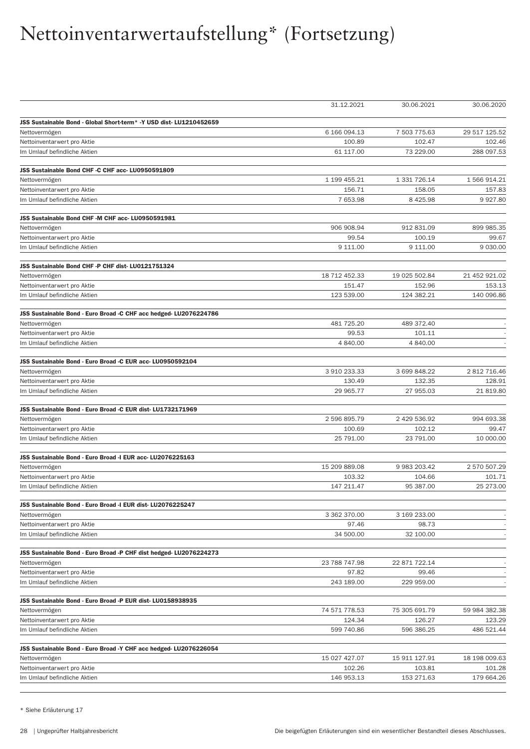|                                                                             | 31.12.2021           | 30.06.2021           | 30.06.2020           |
|-----------------------------------------------------------------------------|----------------------|----------------------|----------------------|
| JSS Sustainable Bond - Global Short-term* - Y USD dist- LU1210452659        |                      |                      |                      |
| Nettovermögen                                                               | 6 166 094.13         | 7 503 775.63         | 29 517 125.52        |
| Nettoinventarwert pro Aktie                                                 | 100.89               | 102.47               | 102.46               |
| Im Umlauf befindliche Aktien                                                | 61 117.00            | 73 229.00            | 288 097.53           |
| JSS Sustainable Bond CHF -C CHF acc- LU0950591809                           |                      |                      |                      |
| Nettovermögen                                                               | 1 199 455.21         | 1 331 726.14         | 1 566 914.21         |
| Nettoinventarwert pro Aktie                                                 | 156.71               | 158.05               | 157.83               |
| Im Umlauf befindliche Aktien                                                | 7 653.98             | 8 4 2 5.98           | 9927.80              |
| JSS Sustainable Bond CHF -M CHF acc- LU0950591981                           |                      |                      |                      |
| Nettovermögen                                                               | 906 908.94           | 912 831.09           | 899 985.35           |
| Nettoinventarwert pro Aktie                                                 | 99.54                | 100.19               | 99.67                |
| Im Umlauf befindliche Aktien                                                | 9 111.00             | 9 111.00             | 9 030.00             |
|                                                                             |                      |                      |                      |
| JSS Sustainable Bond CHF -P CHF dist-LU0121751324                           |                      |                      |                      |
| Nettovermögen                                                               | 18 712 452.33        | 19 025 502.84        | 21 452 921.02        |
| Nettoinventarwert pro Aktie                                                 | 151.47               | 152.96               | 153.13<br>140 096.86 |
| Im Umlauf befindliche Aktien                                                | 123 539.00           | 124 382.21           |                      |
| JSS Sustainable Bond - Euro Broad -C CHF acc hedged- LU2076224786           |                      |                      |                      |
| Nettovermögen                                                               | 481 725.20           | 489 372.40           |                      |
| Nettoinventarwert pro Aktie                                                 | 99.53                | 101.11               |                      |
| Im Umlauf befindliche Aktien                                                | 4 840.00             | 4 840.00             |                      |
| JSS Sustainable Bond - Euro Broad -C EUR acc- LU0950592104                  |                      |                      |                      |
| Nettovermögen                                                               | 3 910 233.33         | 3 699 848.22         | 2 812 716.46         |
| Nettoinventarwert pro Aktie                                                 | 130.49               | 132.35               | 128.91               |
| Im Umlauf befindliche Aktien                                                | 29 965.77            | 27 955.03            | 21 819.80            |
|                                                                             |                      |                      |                      |
| JSS Sustainable Bond - Euro Broad -C EUR dist- LU1732171969                 | 2 596 895.79         | 2 429 536.92         | 994 693.38           |
| Nettovermögen                                                               |                      |                      |                      |
| Nettoinventarwert pro Aktie                                                 | 100.69               | 102.12               | 99.47                |
| Im Umlauf befindliche Aktien                                                | 25 791.00            | 23 791.00            | 10 000.00            |
| JSS Sustainable Bond - Euro Broad -I EUR acc-LU2076225163                   |                      |                      |                      |
| Nettovermögen                                                               | 15 209 889.08        | 9 983 203.42         | 2 570 507.29         |
| Nettoinventarwert pro Aktie                                                 | 103.32               | 104.66               | 101.71               |
| Im Umlauf befindliche Aktien                                                | 147 211.47           | 95 387.00            | 25 273.00            |
| JSS Sustainable Bond - Euro Broad -I EUR dist- LU2076225247                 |                      |                      |                      |
| Nettovermögen                                                               | 3 362 370.00         | 3 169 233.00         |                      |
| Nettoinventarwert pro Aktie                                                 | 97.46                | 98.73                |                      |
| Im Umlauf befindliche Aktien                                                | 34 500.00            | 32 100.00            |                      |
| JSS Sustainable Bond - Euro Broad -P CHF dist hedged- LU2076224273          |                      |                      |                      |
| Nettovermögen                                                               | 23 788 747.98        | 22 871 722.14        |                      |
| Nettoinventarwert pro Aktie                                                 | 97.82                | 99.46                |                      |
| Im Umlauf befindliche Aktien                                                | 243 189.00           | 229 959.00           |                      |
|                                                                             |                      |                      |                      |
| JSS Sustainable Bond - Euro Broad -P EUR dist-LU0158938935<br>Nettovermögen | 74 571 778.53        | 75 305 691.79        |                      |
|                                                                             |                      |                      | 59 984 382.38        |
| Nettoinventarwert pro Aktie<br>Im Umlauf befindliche Aktien                 | 124.34<br>599 740.86 | 126.27<br>596 386.25 | 123.29<br>486 521.44 |
|                                                                             |                      |                      |                      |
| JSS Sustainable Bond - Euro Broad -Y CHF acc hedged- LU2076226054           |                      |                      |                      |
| Nettovermögen                                                               | 15 027 427.07        | 15 911 127.91        | 18 198 009.63        |
| Nettoinventarwert pro Aktie                                                 | 102.26               | 103.81               | 101.28               |
| Im Umlauf befindliche Aktien                                                | 146 953.13           | 153 271.63           | 179 664.26           |
|                                                                             |                      |                      |                      |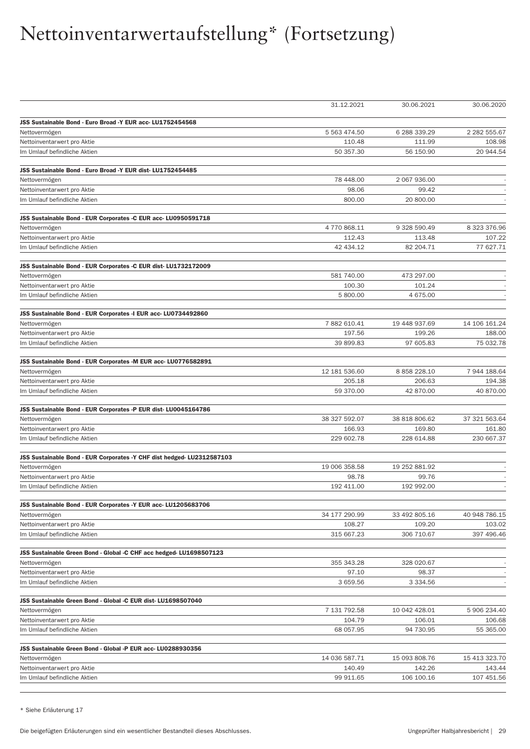|                                                                                 | 31.12.2021             | 30.06.2021              | 30.06.2020          |
|---------------------------------------------------------------------------------|------------------------|-------------------------|---------------------|
| JSS Sustainable Bond - Euro Broad -Y EUR acc-LU1752454568                       |                        |                         |                     |
| Nettovermögen                                                                   | 5 563 474.50           | 6 288 339.29            | 2 282 555.67        |
| Nettoinventarwert pro Aktie                                                     | 110.48                 | 111.99                  | 108.98              |
| Im Umlauf befindliche Aktien                                                    | 50 357.30              | 56 150.90               | 20 944.54           |
|                                                                                 |                        |                         |                     |
| JSS Sustainable Bond - Euro Broad -Y EUR dist- LU1752454485                     |                        |                         |                     |
| Nettovermögen                                                                   | 78 448.00              | 2 067 936.00            |                     |
| Nettoinventarwert pro Aktie                                                     | 98.06                  | 99.42                   |                     |
| Im Umlauf befindliche Aktien                                                    | 800.00                 | 20 800.00               |                     |
| JSS Sustainable Bond - EUR Corporates -C EUR acc- LU0950591718                  |                        |                         |                     |
| Nettovermögen                                                                   | 4770868.11             | 9 328 590.49            | 8 323 376.96        |
| Nettoinventarwert pro Aktie                                                     | 112.43                 | 113.48                  | 107.22              |
| Im Umlauf befindliche Aktien                                                    | 42 434.12              | 82 204.71               | 77 627.71           |
| JSS Sustainable Bond - EUR Corporates -C EUR dist-LU1732172009                  |                        |                         |                     |
| Nettovermögen                                                                   | 581 740.00             | 473 297.00              |                     |
| Nettoinventarwert pro Aktie                                                     | 100.30                 | 101.24                  |                     |
| Im Umlauf befindliche Aktien                                                    | 5 800.00               | 4 675.00                |                     |
|                                                                                 |                        |                         |                     |
| JSS Sustainable Bond - EUR Corporates -I EUR acc- LU0734492860<br>Nettovermögen | 7 882 610.41           | 19 448 937.69           | 14 106 161.24       |
| Nettoinventarwert pro Aktie                                                     | 197.56                 | 199.26                  | 188.00              |
| Im Umlauf befindliche Aktien                                                    | 39 899.83              | 97 605.83               | 75 032.78           |
|                                                                                 |                        |                         |                     |
| JSS Sustainable Bond - EUR Corporates -M EUR acc- LU0776582891                  |                        |                         |                     |
| Nettovermögen                                                                   | 12 181 536.60          | 8 858 228.10            | 7 944 188.64        |
| Nettoinventarwert pro Aktie<br>Im Umlauf befindliche Aktien                     | 205.18<br>59 370.00    | 206.63<br>42 870.00     | 194.38<br>40 870.00 |
|                                                                                 |                        |                         |                     |
| JSS Sustainable Bond - EUR Corporates -P EUR dist-LU0045164786                  | 38 327 592.07          | 38 818 806.62           | 37 321 563.64       |
| Nettovermögen<br>Nettoinventarwert pro Aktie                                    | 166.93                 | 169.80                  | 161.80              |
| Im Umlauf befindliche Aktien                                                    | 229 602.78             | 228 614.88              | 230 667.37          |
|                                                                                 |                        |                         |                     |
| JSS Sustainable Bond - EUR Corporates -Y CHF dist hedged- LU2312587103          |                        |                         |                     |
| Nettovermögen                                                                   | 19 006 358.58          | 19 252 881.92           |                     |
| Nettoinventarwert pro Aktie                                                     | 98.78                  | 99.76                   |                     |
| Im Umlauf befindliche Aktien                                                    | 192 411.00             | 192 992.00              |                     |
| JSS Sustainable Bond - EUR Corporates -Y EUR acc- LU1205683706                  |                        |                         |                     |
| Nettovermögen                                                                   | 34 177 290.99          | 33 492 805.16           | 40 948 786.15       |
| Nettoinventarwert pro Aktie                                                     | 108.27                 | 109.20                  | 103.02              |
| Im Umlauf befindliche Aktien                                                    | 315 667.23             | 306 710.67              | 397 496.46          |
| JSS Sustainable Green Bond - Global -C CHF acc hedged-LU1698507123              |                        |                         |                     |
| Nettovermögen                                                                   | 355 343.28             | 328 020.67              |                     |
| Nettoinventarwert pro Aktie                                                     | 97.10                  | 98.37                   |                     |
| Im Umlauf befindliche Aktien                                                    | 3 659.56               | 3 3 3 4 .5 6            |                     |
|                                                                                 |                        |                         |                     |
| JSS Sustainable Green Bond - Global -C EUR dist-LU1698507040                    |                        |                         | 5 906 234.40        |
| Nettovermögen<br>Nettoinventarwert pro Aktie                                    | 7 131 792.58<br>104.79 | 10 042 428.01<br>106.01 | 106.68              |
| Im Umlauf befindliche Aktien                                                    | 68 057.95              | 94 730.95               | 55 365.00           |
|                                                                                 |                        |                         |                     |
| JSS Sustainable Green Bond - Global -P EUR acc- LU0288930356                    |                        |                         |                     |
| Nettovermögen                                                                   | 14 036 587.71          | 15 093 808.76           | 15 413 323.70       |
| Nettoinventarwert pro Aktie                                                     | 140.49                 | 142.26                  | 143.44              |
| Im Umlauf befindliche Aktien                                                    | 99 911.65              | 106 100.16              | 107 451.56          |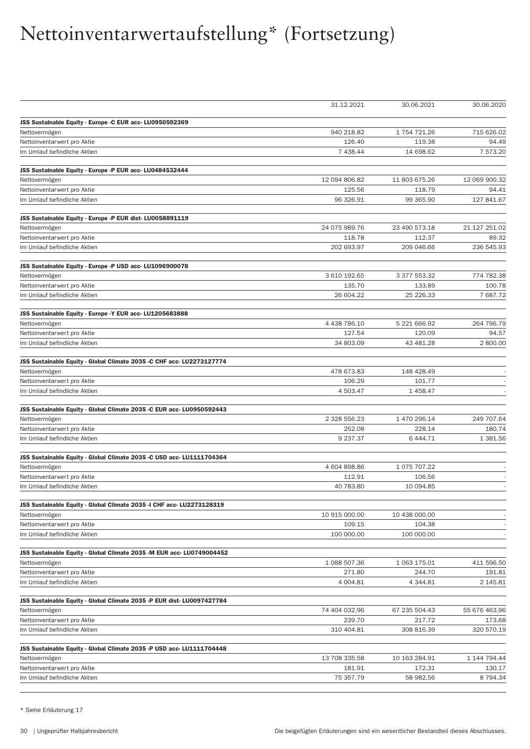|                                                                                        | 31.12.2021           | 30.06.2021           | 30.06.2020           |
|----------------------------------------------------------------------------------------|----------------------|----------------------|----------------------|
| JSS Sustainable Equity - Europe -C EUR acc- LU0950592369                               |                      |                      |                      |
| Nettovermögen                                                                          | 940 218.82           | 1 754 721.26         | 715 626.02           |
| Nettoinventarwert pro Aktie                                                            | 126.40               | 119.38               | 94.49                |
| Im Umlauf befindliche Aktien                                                           | 7 438.44             | 14 698.62            | 7 573.20             |
| JSS Sustainable Equity - Europe -P EUR acc- LU0484532444                               |                      |                      |                      |
| Nettovermögen                                                                          | 12 094 806.82        | 11 803 675.26        | 12 069 900.32        |
| Nettoinventarwert pro Aktie                                                            | 125.56               | 118.79               | 94.41                |
| Im Umlauf befindliche Aktien                                                           | 96 326.91            | 99 365.90            | 127 841.67           |
| JSS Sustainable Equity - Europe -P EUR dist-LU0058891119                               |                      |                      |                      |
| Nettovermögen                                                                          | 24 075 989.76        | 23 490 573.18        | 21 127 251.02        |
| Nettoinventarwert pro Aktie                                                            | 118.78               | 112.37               | 89.32                |
| Im Umlauf befindliche Aktien                                                           | 202 693.97           | 209 046.66           | 236 545.93           |
| JSS Sustainable Equity - Europe -P USD acc- LU1096900078                               |                      |                      |                      |
| Nettovermögen                                                                          | 3 610 192.65         | 3 377 553.32         | 774 782.38           |
| Nettoinventarwert pro Aktie                                                            | 135.70               | 133.89               | 100.78               |
| Im Umlauf befindliche Aktien                                                           | 26 604.22            | 25 226.33            | 7687.72              |
| JSS Sustainable Equity - Europe -Y EUR acc- LU1205683888                               |                      |                      |                      |
| Nettovermögen                                                                          | 4 438 786.10         | 5 221 666.92         | 264 796.79           |
| Nettoinventarwert pro Aktie                                                            | 127.54               | 120.09               | 94.57                |
| Im Umlauf befindliche Aktien                                                           | 34 803.09            | 43 481.28            | 2 800.00             |
| JSS Sustainable Equity - Global Climate 2035 -C CHF acc- LU2273127774                  |                      |                      |                      |
| Nettovermögen                                                                          | 478 673.83           | 148 428.49           |                      |
| Nettoinventarwert pro Aktie                                                            | 106.29               | 101.77               |                      |
| Im Umlauf befindliche Aktien                                                           | 4 503.47             | 1 458.47             |                      |
| JSS Sustainable Equity - Global Climate 2035 -C EUR acc- LU0950592443                  |                      |                      |                      |
| Nettovermögen                                                                          | 2 328 556.23         | 1 470 296.14         | 249 707.64           |
| Nettoinventarwert pro Aktie                                                            | 252.08               | 228.14               | 180.74               |
| Im Umlauf befindliche Aktien                                                           | 9 237.37             | 6 4 4 4.71           | 1 381.56             |
|                                                                                        |                      |                      |                      |
| JSS Sustainable Equity - Global Climate 2035 -C USD acc- LU1111704364                  |                      |                      |                      |
| Nettovermögen                                                                          | 4 604 898.86         | 1 075 707.22         |                      |
| Nettoinventarwert pro Aktie<br>Im Umlauf befindliche Aktien                            | 112.91<br>40 783.80  | 106.56<br>10 094.85  |                      |
|                                                                                        |                      |                      |                      |
| JSS Sustainable Equity - Global Climate 2035 -I CHF acc- LU2273128319<br>Nettovermögen | 10 915 000.00        | 10 438 000.00        |                      |
| Nettoinventarwert pro Aktie                                                            | 109.15               | 104.38               |                      |
| Im Umlauf befindliche Aktien                                                           | 100 000.00           | 100 000.00           |                      |
| JSS Sustainable Equity - Global Climate 2035 -M EUR acc- LU0749004452                  |                      |                      |                      |
| Nettovermögen                                                                          | 1 088 507.36         | 1 063 175.01         | 411 596.50           |
| Nettoinventarwert pro Aktie                                                            | 271.80               | 244.70               | 191.81               |
| Im Umlauf befindliche Aktien                                                           | 4 004.81             | 4 3 4 4 .8 1         | 2 145.81             |
|                                                                                        |                      |                      |                      |
| JSS Sustainable Equity - Global Climate 2035 -P EUR dist-LU0097427784                  | 74 404 032.96        |                      | 55 676 463.96        |
| Nettovermögen                                                                          |                      | 67 235 504.43        |                      |
| Nettoinventarwert pro Aktie<br>Im Umlauf befindliche Aktien                            | 239.70<br>310 404.81 | 217.72<br>308 816.39 | 173.68<br>320 570.19 |
|                                                                                        |                      |                      |                      |
| JSS Sustainable Equity - Global Climate 2035 -P USD acc- LU1111704448                  |                      |                      |                      |
| Nettovermögen                                                                          | 13 708 335.58        | 10 163 284.91        | 1 144 794.44         |
| Nettoinventarwert pro Aktie                                                            | 181.91               | 172.31               | 130.17               |
| Im Umlauf befindliche Aktien                                                           | 75 357.79            | 58 982.56            | 8 7 9 4 . 3 4        |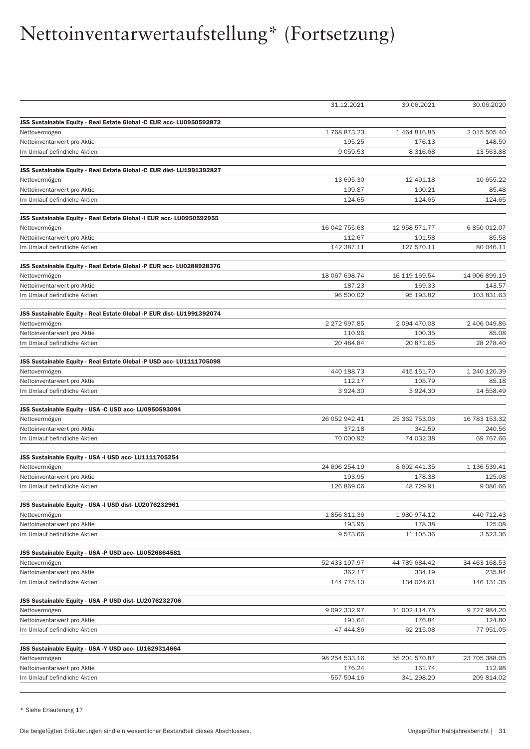|                                                                                       | 31.12.2021              | 30.06.2021             | 30.06.2020             |
|---------------------------------------------------------------------------------------|-------------------------|------------------------|------------------------|
|                                                                                       |                         |                        |                        |
| JSS Sustainable Equity - Real Estate Global -C EUR acc- LU0950592872                  | 1768873.23              | 1 464 816.85           |                        |
| Nettovermögen                                                                         | 195.25                  | 176.13                 | 2 015 505.40<br>148.59 |
| Nettoinventarwert pro Aktie<br>Im Umlauf befindliche Aktien                           | 9 0 5 9.5 3             | 8 3 1 6 . 6 8          | 13 563.88              |
|                                                                                       |                         |                        |                        |
| JSS Sustainable Equity - Real Estate Global -C EUR dist-LU1991392827                  |                         |                        |                        |
| Nettovermögen                                                                         | 13 695.30               | 12 491.18              | 10 655.22              |
| Nettoinventarwert pro Aktie                                                           | 109.87                  | 100.21                 | 85.48                  |
| Im Umlauf befindliche Aktien                                                          | 124.65                  | 124.65                 | 124.65                 |
| JSS Sustainable Equity - Real Estate Global -I EUR acc- LU0950592955                  |                         |                        |                        |
| Nettovermögen                                                                         | 16 042 755.68           | 12 958 571.77          | 6 850 012.07           |
| Nettoinventarwert pro Aktie                                                           | 112.67                  | 101.58                 | 85.58                  |
| Im Umlauf befindliche Aktien                                                          | 142 387.11              | 127 570.11             | 80 046.11              |
|                                                                                       |                         |                        |                        |
| JSS Sustainable Equity - Real Estate Global -P EUR acc- LU0288928376<br>Nettovermögen | 18 067 698.74           | 16 119 169.54          | 14 906 899.19          |
|                                                                                       | 187.23                  | 169.33                 | 143.57                 |
| Nettoinventarwert pro Aktie<br>Im Umlauf befindliche Aktien                           | 96 500.02               | 95 193.82              | 103 831.63             |
|                                                                                       |                         |                        |                        |
| JSS Sustainable Equity - Real Estate Global -P EUR dist- LU1991392074                 |                         |                        |                        |
| Nettovermögen                                                                         | 2 272 997.85            | 2 094 470.08           | 2 406 049.86           |
| Nettoinventarwert pro Aktie                                                           | 110.96                  | 100.35                 | 85.08                  |
| Im Umlauf befindliche Aktien                                                          | 20 484.84               | 20 871.65              | 28 278.40              |
| JSS Sustainable Equity - Real Estate Global -P USD acc- LU1111705098                  |                         |                        |                        |
| Nettovermögen                                                                         | 440 188.73              | 415 151.70             | 1 240 120.39           |
| Nettoinventarwert pro Aktie                                                           | 112.17                  | 105.79                 | 85.18                  |
| Im Umlauf befindliche Aktien                                                          | 3 9 24.30               | 3924.30                | 14 558.49              |
| JSS Sustainable Equity - USA -C USD acc- LU0950593094                                 |                         |                        |                        |
| Nettovermögen                                                                         | 26 052 942.41           | 25 362 753.06          | 16 783 153.32          |
| Nettoinventarwert pro Aktie                                                           | 372.18                  | 342.59                 | 240.56                 |
| Im Umlauf befindliche Aktien                                                          | 70 000.92               | 74 032.38              | 69 767.66              |
|                                                                                       |                         |                        |                        |
| JSS Sustainable Equity - USA -I USD acc- LU1111705254                                 |                         |                        |                        |
| Nettovermögen<br>Nettoinventarwert pro Aktie                                          | 24 606 254.19<br>193.95 | 8 692 441.35<br>178.38 | 1 136 539.41<br>125.08 |
| Im Umlauf befindliche Aktien                                                          | 126 869.06              | 48 729.91              | 9 086.66               |
|                                                                                       |                         |                        |                        |
| JSS Sustainable Equity - USA -I USD dist-LU2076232961                                 |                         |                        |                        |
| Nettovermögen                                                                         | 1856811.36              | 1980974.12             | 440 712.43             |
| Nettoinventarwert pro Aktie                                                           | 193.95                  | 178.38                 | 125.08                 |
| Im Umlauf befindliche Aktien                                                          | 9573.66                 | 11 105.36              | 3 523.36               |
| JSS Sustainable Equity - USA -P USD acc- LU0526864581                                 |                         |                        |                        |
| Nettovermögen                                                                         | 52 433 197.97           | 44 789 684.42          | 34 463 168.53          |
| Nettoinventarwert pro Aktie                                                           | 362.17                  | 334.19                 | 235.84                 |
| Im Umlauf befindliche Aktien                                                          | 144 775.10              | 134 024.61             | 146 131.35             |
| JSS Sustainable Equity - USA -P USD dist-LU2076232706                                 |                         |                        |                        |
| Nettovermögen                                                                         | 9 092 332.97            | 11 002 114.75          | 9727984.20             |
| Nettoinventarwert pro Aktie                                                           | 191.64                  | 176.84                 | 124.80                 |
| Im Umlauf befindliche Aktien                                                          | 47 444.86               | 62 215.08              | 77 951.05              |
|                                                                                       |                         |                        |                        |
| JSS Sustainable Equity - USA -Y USD acc- LU1629314664                                 |                         |                        |                        |
| Nettovermögen                                                                         | 98 254 533.16           | 55 201 570.87          | 23 705 388.05          |
| Nettoinventarwert pro Aktie                                                           | 176.24                  | 161.74                 | 112.98                 |
| Im Umlauf befindliche Aktien                                                          | 557 504.16              | 341 298.20             | 209 814.02             |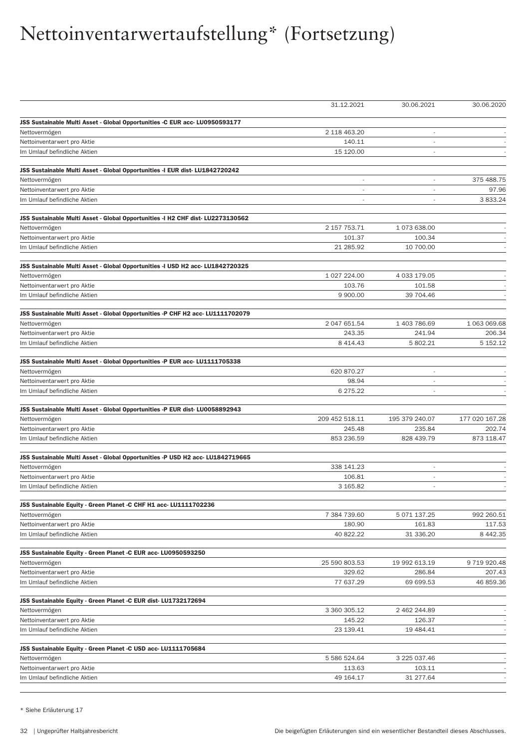|                                                                                 | 31.12.2021               | 30.06.2021                   | 30.06.2020     |
|---------------------------------------------------------------------------------|--------------------------|------------------------------|----------------|
| JSS Sustainable Multi Asset - Global Opportunities -C EUR acc- LU0950593177     |                          |                              |                |
| Nettovermögen                                                                   | 2 118 463.20             | $\qquad \qquad \blacksquare$ |                |
| Nettoinventarwert pro Aktie                                                     | 140.11                   |                              |                |
| Im Umlauf befindliche Aktien                                                    | 15 120.00                | ÷,                           |                |
| JSS Sustainable Multi Asset - Global Opportunities -I EUR dist- LU1842720242    |                          |                              |                |
| Nettovermögen                                                                   | $\overline{\phantom{a}}$ | $\overline{\phantom{a}}$     | 375 488.75     |
| Nettoinventarwert pro Aktie                                                     |                          |                              | 97.96          |
| Im Umlauf befindliche Aktien                                                    |                          | ä,                           | 3833.24        |
|                                                                                 |                          |                              |                |
| JSS Sustainable Multi Asset - Global Opportunities -I H2 CHF dist- LU2273130562 | 2 157 753.71             | 1073638.00                   |                |
| Nettovermögen                                                                   |                          |                              |                |
| Nettoinventarwert pro Aktie                                                     | 101.37                   | 100.34                       |                |
| Im Umlauf befindliche Aktien                                                    | 21 285.92                | 10 700.00                    |                |
| JSS Sustainable Multi Asset - Global Opportunities -I USD H2 acc- LU1842720325  |                          |                              |                |
| Nettovermögen                                                                   | 1 027 224.00             | 4 033 179.05                 |                |
| Nettoinventarwert pro Aktie                                                     | 103.76                   | 101.58                       |                |
| Im Umlauf befindliche Aktien                                                    | 9 900.00                 | 39 704.46                    |                |
| JSS Sustainable Multi Asset - Global Opportunities -P CHF H2 acc- LU1111702079  |                          |                              |                |
| Nettovermögen                                                                   | 2 047 651.54             | 1 403 786.69                 | 1 063 069.68   |
| Nettoinventarwert pro Aktie                                                     | 243.35                   | 241.94                       | 206.34         |
| Im Umlauf befindliche Aktien                                                    | 8 4 1 4 . 4 3            | 5 802.21                     | 5 152.12       |
| JSS Sustainable Multi Asset - Global Opportunities -P EUR acc- LU1111705338     |                          |                              |                |
| Nettovermögen                                                                   | 620 870.27               | L,                           |                |
| Nettoinventarwert pro Aktie                                                     | 98.94                    |                              |                |
| Im Umlauf befindliche Aktien                                                    | 6 275.22                 |                              |                |
| JSS Sustainable Multi Asset - Global Opportunities -P EUR dist-LU0058892943     |                          |                              |                |
| Nettovermögen                                                                   | 209 452 518.11           | 195 379 240.07               | 177 020 167.28 |
| Nettoinventarwert pro Aktie                                                     | 245.48                   | 235.84                       | 202.74         |
| Im Umlauf befindliche Aktien                                                    | 853 236.59               | 828 439.79                   | 873 118.47     |
| JSS Sustainable Multi Asset - Global Opportunities -P USD H2 acc- LU1842719665  |                          |                              |                |
| Nettovermögen                                                                   | 338 141.23               | L,                           |                |
| Nettoinventarwert pro Aktie                                                     | 106.81                   | ÷,                           |                |
| Im Umlauf befindliche Aktien                                                    | 3 165.82                 | ä,                           |                |
| JSS Sustainable Equity - Green Planet -C CHF H1 acc- LU1111702236               |                          |                              |                |
| Nettovermögen                                                                   | 7 384 739.60             | 5 071 137.25                 | 992 260.51     |
| Nettoinventarwert pro Aktie                                                     | 180.90                   | 161.83                       | 117.53         |
| Im Umlauf befindliche Aktien                                                    | 40 822.22                | 31 336.20                    | 8 4 4 2 . 3 5  |
| JSS Sustainable Equity - Green Planet -C EUR acc- LU0950593250                  |                          |                              |                |
| Nettovermögen                                                                   | 25 590 803.53            | 19 992 613.19                | 9 719 920.48   |
| Nettoinventarwert pro Aktie                                                     | 329.62                   | 286.84                       | 207.43         |
| Im Umlauf befindliche Aktien                                                    | 77 637.29                | 69 699.53                    | 46 859.36      |
|                                                                                 |                          |                              |                |
| JSS Sustainable Equity - Green Planet -C EUR dist- LU1732172694                 |                          |                              |                |
| Nettovermögen                                                                   | 3 360 305.12             | 2 462 244.89                 |                |
| Nettoinventarwert pro Aktie                                                     | 145.22                   | 126.37                       |                |
| Im Umlauf befindliche Aktien                                                    | 23 139.41                | 19 484.41                    |                |
| JSS Sustainable Equity - Green Planet -C USD acc- LU1111705684                  |                          |                              |                |
| Nettovermögen                                                                   | 5 586 524.64             | 3 225 037.46                 |                |
| Nettoinventarwert pro Aktie                                                     | 113.63                   | 103.11                       |                |
| Im Umlauf befindliche Aktien                                                    | 49 164.17                | 31 277.64                    |                |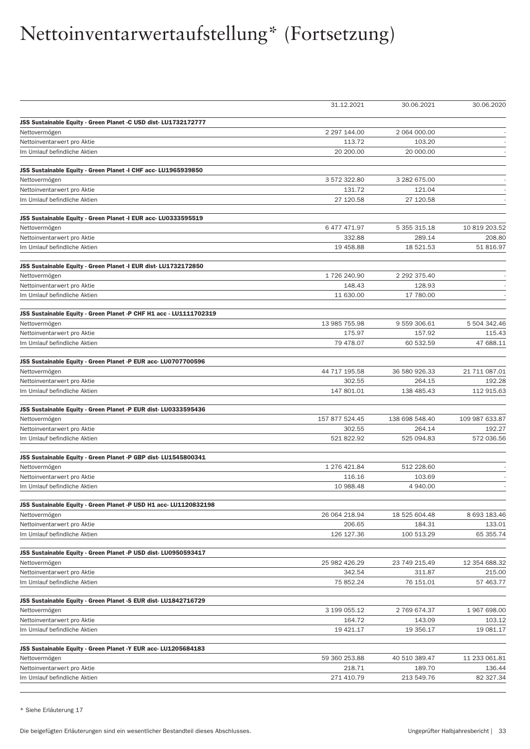|                                                                    | 31.12.2021             | 30.06.2021         | 30.06.2020     |
|--------------------------------------------------------------------|------------------------|--------------------|----------------|
| JSS Sustainable Equity - Green Planet -C USD dist- LU1732172777    |                        |                    |                |
| Nettovermögen                                                      | 2 297 144.00           | 2 064 000.00       |                |
| Nettoinventarwert pro Aktie                                        | 113.72                 | 103.20             |                |
| Im Umlauf befindliche Aktien                                       | 20 200.00              | 20 000.00          |                |
|                                                                    |                        |                    |                |
| JSS Sustainable Equity - Green Planet -I CHF acc- LU1965939850     |                        |                    |                |
| Nettovermögen                                                      | 3 572 322.80           | 3 282 675.00       |                |
| Nettoinventarwert pro Aktie                                        | 131.72                 | 121.04             |                |
| Im Umlauf befindliche Aktien                                       | 27 120.58              | 27 120.58          |                |
| JSS Sustainable Equity - Green Planet -I EUR acc- LU0333595519     |                        |                    |                |
| Nettovermögen                                                      | 6 477 471.97           | 5 355 315.18       | 10 819 203.52  |
| Nettoinventarwert pro Aktie                                        | 332.88                 | 289.14             | 208.80         |
| Im Umlauf befindliche Aktien                                       | 19 458.88              | 18 521.53          | 51 816.97      |
|                                                                    |                        |                    |                |
| JSS Sustainable Equity - Green Planet -I EUR dist- LU1732172850    | 1726 240.90            | 2 292 375.40       |                |
| Nettovermögen<br>Nettoinventarwert pro Aktie                       | 148.43                 | 128.93             |                |
| Im Umlauf befindliche Aktien                                       | 11 630.00              | 17 780.00          |                |
|                                                                    |                        |                    |                |
| JSS Sustainable Equity - Green Planet -P CHF H1 acc - LU1111702319 |                        |                    |                |
| Nettovermögen                                                      | 13 985 755.98          | 9 559 306.61       | 5 504 342.46   |
| Nettoinventarwert pro Aktie                                        | 175.97                 | 157.92             | 115.43         |
| Im Umlauf befindliche Aktien                                       | 79 478.07              | 60 532.59          | 47 688.11      |
| JSS Sustainable Equity - Green Planet -P EUR acc- LU0707700596     |                        |                    |                |
| Nettovermögen                                                      | 44 717 195.58          | 36 580 926.33      | 21 711 087.01  |
| Nettoinventarwert pro Aktie                                        | 302.55                 | 264.15             | 192.28         |
| Im Umlauf befindliche Aktien                                       | 147 801.01             | 138 485.43         | 112 915.63     |
| JSS Sustainable Equity - Green Planet -P EUR dist-LU0333595436     |                        |                    |                |
| Nettovermögen                                                      | 157 877 524.45         | 138 698 548.40     | 109 987 633.87 |
| Nettoinventarwert pro Aktie                                        | 302.55                 | 264.14             | 192.27         |
| Im Umlauf befindliche Aktien                                       | 521 822.92             | 525 094.83         | 572 036.56     |
|                                                                    |                        |                    |                |
| JSS Sustainable Equity - Green Planet -P GBP dist- LU1545800341    |                        |                    |                |
| Nettovermögen<br>Nettoinventarwert pro Aktie                       | 1 276 421.84<br>116.16 | 512 228.60         |                |
| Im Umlauf befindliche Aktien                                       | 10 988.48              | 103.69<br>4 940.00 |                |
|                                                                    |                        |                    |                |
| JSS Sustainable Equity - Green Planet -P USD H1 acc- LU1120832198  |                        |                    |                |
| Nettovermögen                                                      | 26 064 218.94          | 18 525 604.48      | 8 693 183.46   |
| Nettoinventarwert pro Aktie                                        | 206.65                 | 184.31             | 133.01         |
| Im Umlauf befindliche Aktien                                       | 126 127.36             | 100 513.29         | 65 355.74      |
| JSS Sustainable Equity - Green Planet -P USD dist-LU0950593417     |                        |                    |                |
| Nettovermögen                                                      | 25 982 426.29          | 23 749 215.49      | 12 354 688.32  |
| Nettoinventarwert pro Aktie                                        | 342.54                 | 311.87             | 215.00         |
| Im Umlauf befindliche Aktien                                       | 75 852.24              | 76 151.01          | 57 463.77      |
| JSS Sustainable Equity - Green Planet -S EUR dist- LU1842716729    |                        |                    |                |
| Nettovermögen                                                      | 3 199 055.12           | 2 769 674.37       | 1967698.00     |
| Nettoinventarwert pro Aktie                                        | 164.72                 | 143.09             | 103.12         |
| Im Umlauf befindliche Aktien                                       | 19 421.17              | 19 356.17          | 19 081.17      |
|                                                                    |                        |                    |                |
| JSS Sustainable Equity - Green Planet -Y EUR acc- LU1205684183     |                        |                    |                |
| Nettovermögen                                                      | 59 360 253.88          | 40 510 389.47      | 11 233 061.81  |
| Nettoinventarwert pro Aktie                                        | 218.71                 | 189.70             | 136.44         |
| Im Umlauf befindliche Aktien                                       | 271 410.79             | 213 549.76         | 82 327.34      |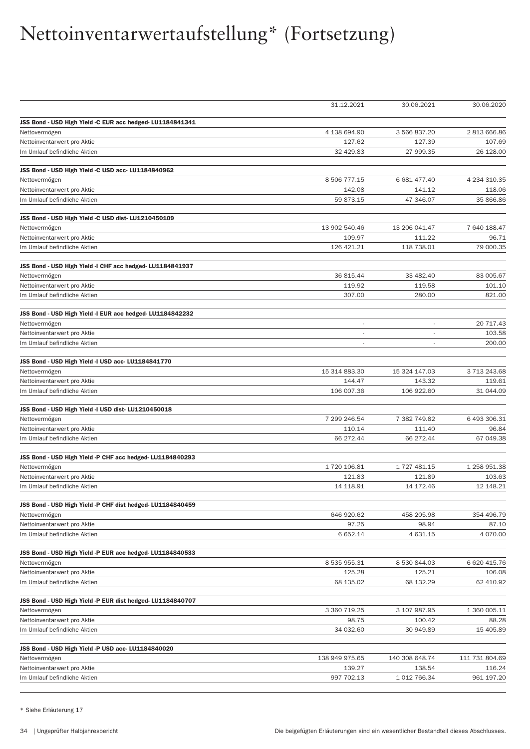|                                                             | 31.12.2021               | 30.06.2021               | 30.06.2020     |
|-------------------------------------------------------------|--------------------------|--------------------------|----------------|
| JSS Bond - USD High Yield -C EUR acc hedged- LU1184841341   |                          |                          |                |
| Nettovermögen                                               | 4 138 694.90             | 3 566 837.20             | 2813666.86     |
| Nettoinventarwert pro Aktie                                 | 127.62                   | 127.39                   | 107.69         |
| Im Umlauf befindliche Aktien                                | 32 429.83                | 27 999.35                | 26 128.00      |
| JSS Bond - USD High Yield -C USD acc- LU1184840962          |                          |                          |                |
| Nettovermögen                                               | 8 506 777.15             | 6 681 477.40             | 4 234 310.35   |
| Nettoinventarwert pro Aktie                                 | 142.08                   | 141.12                   | 118.06         |
| Im Umlauf befindliche Aktien                                | 59 873.15                | 47 346.07                | 35 866.86      |
| JSS Bond - USD High Yield -C USD dist-LU1210450109          |                          |                          |                |
| Nettovermögen                                               | 13 902 540.46            | 13 206 041.47            | 7 640 188.47   |
| Nettoinventarwert pro Aktie                                 | 109.97                   | 111.22                   | 96.71          |
| Im Umlauf befindliche Aktien                                | 126 421.21               | 118 738.01               | 79 000.35      |
| JSS Bond - USD High Yield -I CHF acc hedged-LU1184841937    |                          |                          |                |
| Nettovermögen                                               | 36 815.44                | 33 482.40                | 83 005.67      |
| Nettoinventarwert pro Aktie                                 | 119.92                   | 119.58                   | 101.10         |
| Im Umlauf befindliche Aktien                                | 307.00                   | 280.00                   | 821.00         |
| JSS Bond - USD High Yield -I EUR acc hedged- LU1184842232   |                          |                          |                |
| Nettovermögen                                               | $\overline{\phantom{a}}$ | $\overline{\phantom{a}}$ | 20 717.43      |
| Nettoinventarwert pro Aktie                                 | $\overline{\phantom{a}}$ |                          | 103.58         |
| Im Umlauf befindliche Aktien                                | $\overline{\phantom{a}}$ | $\overline{\phantom{a}}$ | 200.00         |
|                                                             |                          |                          |                |
| JSS Bond - USD High Yield -I USD acc- LU1184841770          | 15 314 883.30            | 15 324 147.03            | 3713243.68     |
| Nettovermögen                                               | 144.47                   | 143.32                   | 119.61         |
| Nettoinventarwert pro Aktie<br>Im Umlauf befindliche Aktien | 106 007.36               | 106 922.60               | 31 044.09      |
|                                                             |                          |                          |                |
| JSS Bond - USD High Yield -I USD dist-LU1210450018          | 7 299 246.54             | 7 382 749.82             |                |
| Nettovermögen                                               |                          |                          | 6 493 306.31   |
| Nettoinventarwert pro Aktie                                 | 110.14                   | 111.40                   | 96.84          |
| Im Umlauf befindliche Aktien                                | 66 272.44                | 66 272.44                | 67 049.38      |
| JSS Bond - USD High Yield -P CHF acc hedged-LU1184840293    |                          |                          |                |
| Nettovermögen                                               | 1 720 106.81             | 1 727 481.15             | 1 258 951.38   |
| Nettoinventarwert pro Aktie                                 | 121.83                   | 121.89                   | 103.63         |
| Im Umlauf befindliche Aktien                                | 14 118.91                | 14 172.46                | 12 148.21      |
| JSS Bond - USD High Yield -P CHF dist hedged- LU1184840459  |                          |                          |                |
| Nettovermögen                                               | 646 920.62               | 458 205.98               | 354 496.79     |
| Nettoinventarwert pro Aktie                                 | 97.25                    | 98.94                    | 87.10          |
| Im Umlauf befindliche Aktien                                | 6 652.14                 | 4 631.15                 | 4 070.00       |
| JSS Bond - USD High Yield -P EUR acc hedged- LU1184840533   |                          |                          |                |
| Nettovermögen                                               | 8 535 955.31             | 8 530 844.03             | 6 620 415.76   |
| Nettoinventarwert pro Aktie                                 | 125.28                   | 125.21                   | 106.08         |
| Im Umlauf befindliche Aktien                                | 68 135.02                | 68 132.29                | 62 410.92      |
| JSS Bond - USD High Yield -P EUR dist hedged- LU1184840707  |                          |                          |                |
| Nettovermögen                                               | 3 360 719.25             | 3 107 987.95             | 1 360 005.11   |
| Nettoinventarwert pro Aktie                                 | 98.75                    | 100.42                   | 88.28          |
| Im Umlauf befindliche Aktien                                | 34 032.60                | 30 949.89                | 15 405.89      |
| JSS Bond - USD High Yield -P USD acc- LU1184840020          |                          |                          |                |
| Nettovermögen                                               | 138 949 975.65           | 140 308 648.74           | 111 731 804.69 |
| Nettoinventarwert pro Aktie                                 | 139.27                   | 138.54                   | 116.24         |
| Im Umlauf befindliche Aktien                                | 997 702.13               | 1 012 766.34             | 961 197.20     |
|                                                             |                          |                          |                |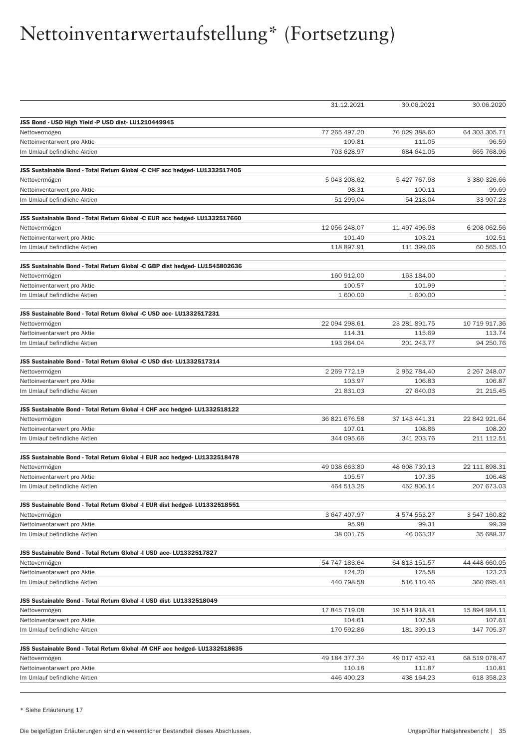|                                                                             | 31.12.2021    | 30.06.2021    | 30.06.2020    |
|-----------------------------------------------------------------------------|---------------|---------------|---------------|
| JSS Bond - USD High Yield -P USD dist- LU1210449945                         |               |               |               |
| Nettovermögen                                                               | 77 265 497.20 | 76 029 388.60 | 64 303 305.71 |
| Nettoinventarwert pro Aktie                                                 | 109.81        | 111.05        | 96.59         |
| Im Umlauf befindliche Aktien                                                | 703 628.97    | 684 641.05    | 665 768.96    |
| JSS Sustainable Bond - Total Return Global -C CHF acc hedged- LU1332517405  |               |               |               |
| Nettovermögen                                                               | 5 043 208.62  | 5 427 767.98  | 3 380 326.66  |
| Nettoinventarwert pro Aktie                                                 | 98.31         | 100.11        | 99.69         |
| Im Umlauf befindliche Aktien                                                | 51 299.04     | 54 218.04     | 33 907.23     |
| JSS Sustainable Bond - Total Return Global -C EUR acc hedged- LU1332517660  |               |               |               |
| Nettovermögen                                                               | 12 056 248.07 | 11 497 496.98 | 6 208 062.56  |
| Nettoinventarwert pro Aktie                                                 | 101.40        | 103.21        | 102.51        |
| Im Umlauf befindliche Aktien                                                | 118 897.91    | 111 399.06    | 60 565.10     |
| JSS Sustainable Bond - Total Return Global -C GBP dist hedged- LU1545802636 |               |               |               |
| Nettovermögen                                                               | 160 912.00    | 163 184.00    |               |
| Nettoinventarwert pro Aktie                                                 | 100.57        | 101.99        |               |
| Im Umlauf befindliche Aktien                                                | 1 600.00      | 1 600.00      |               |
| JSS Sustainable Bond - Total Return Global -C USD acc- LU1332517231         |               |               |               |
| Nettovermögen                                                               | 22 094 298.61 | 23 281 891.75 | 10 719 917.36 |
| Nettoinventarwert pro Aktie                                                 | 114.31        | 115.69        | 113.74        |
| Im Umlauf befindliche Aktien                                                | 193 284.04    | 201 243.77    | 94 250.76     |
| JSS Sustainable Bond - Total Return Global -C USD dist- LU1332517314        |               |               |               |
| Nettovermögen                                                               | 2 269 772.19  | 2 952 784.40  | 2 267 248.07  |
| Nettoinventarwert pro Aktie                                                 | 103.97        | 106.83        | 106.87        |
| Im Umlauf befindliche Aktien                                                | 21 831.03     | 27 640.03     | 21 215.45     |
| JSS Sustainable Bond - Total Return Global -I CHF acc hedged- LU1332518122  |               |               |               |
| Nettovermögen                                                               | 36 821 676.58 | 37 143 441.31 | 22 842 921.64 |
| Nettoinventarwert pro Aktie                                                 | 107.01        | 108.86        | 108.20        |
| Im Umlauf befindliche Aktien                                                | 344 095.66    | 341 203.76    | 211 112.51    |
| JSS Sustainable Bond - Total Return Global -I EUR acc hedged- LU1332518478  |               |               |               |
| Nettovermögen                                                               | 49 038 663.80 | 48 608 739.13 | 22 111 898.31 |
| Nettoinventarwert pro Aktie                                                 | 105.57        | 107.35        | 106.48        |
| Im Umlauf befindliche Aktien                                                | 464 513.25    | 452 806.14    | 207 673.03    |
| JSS Sustainable Bond - Total Return Global -I EUR dist hedged- LU1332518551 |               |               |               |
| Nettovermögen                                                               | 3 647 407.97  | 4 574 553.27  | 3 547 160.82  |
| Nettoinventarwert pro Aktie                                                 | 95.98         | 99.31         | 99.39         |
| Im Umlauf befindliche Aktien                                                | 38 001.75     | 46 063.37     | 35 688.37     |
| JSS Sustainable Bond - Total Return Global -I USD acc- LU1332517827         |               |               |               |
| Nettovermögen                                                               | 54 747 183.64 | 64 813 151.57 | 44 448 660.05 |
| Nettoinventarwert pro Aktie                                                 | 124.20        | 125.58        | 123.23        |
| Im Umlauf befindliche Aktien                                                | 440 798.58    | 516 110.46    | 360 695.41    |
| JSS Sustainable Bond - Total Return Global -I USD dist- LU1332518049        |               |               |               |
| Nettovermögen                                                               | 17 845 719.08 | 19 514 918.41 | 15 894 984.11 |
| Nettoinventarwert pro Aktie                                                 | 104.61        | 107.58        | 107.61        |
| Im Umlauf befindliche Aktien                                                | 170 592.86    | 181 399.13    | 147 705.37    |
| JSS Sustainable Bond - Total Return Global -M CHF acc hedged- LU1332518635  |               |               |               |
| Nettovermögen                                                               | 49 184 377.34 | 49 017 432.41 | 68 519 078.47 |
| Nettoinventarwert pro Aktie                                                 | 110.18        | 111.87        | 110.81        |
| Im Umlauf befindliche Aktien                                                | 446 400.23    | 438 164.23    | 618 358.23    |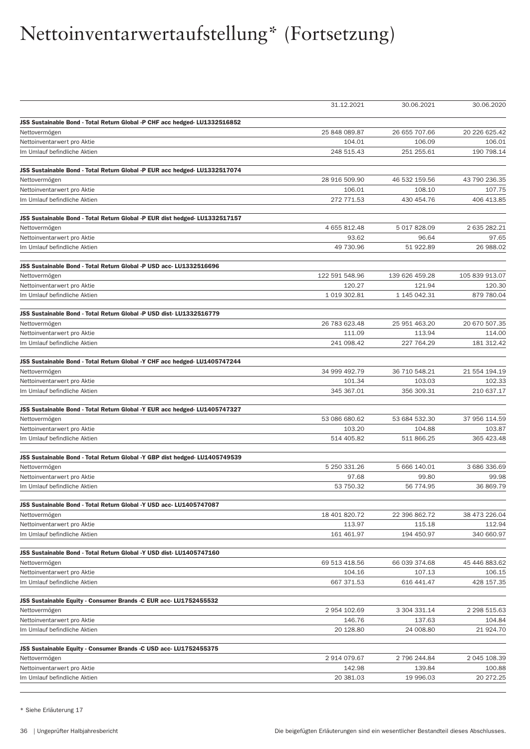|                                                                             | 31.12.2021     | 30.06.2021           | 30.06.2020           |
|-----------------------------------------------------------------------------|----------------|----------------------|----------------------|
| JSS Sustainable Bond - Total Return Global -P CHF acc hedged- LU1332516852  |                |                      |                      |
| Nettovermögen                                                               | 25 848 089.87  | 26 655 707.66        | 20 226 625.42        |
| Nettoinventarwert pro Aktie                                                 | 104.01         | 106.09               | 106.01               |
| Im Umlauf befindliche Aktien                                                | 248 515.43     | 251 255.61           | 190 798.14           |
|                                                                             |                |                      |                      |
| JSS Sustainable Bond - Total Return Global -P EUR acc hedged- LU1332517074  |                |                      |                      |
| Nettovermögen                                                               | 28 916 509.90  | 46 532 159.56        | 43 790 236.35        |
| Nettoinventarwert pro Aktie                                                 | 106.01         | 108.10               | 107.75               |
| Im Umlauf befindliche Aktien                                                | 272 771.53     | 430 454.76           | 406 413.85           |
| JSS Sustainable Bond - Total Return Global -P EUR dist hedged- LU1332517157 |                |                      |                      |
| Nettovermögen                                                               | 4 655 812.48   | 5 017 828.09         | 2 635 282.21         |
| Nettoinventarwert pro Aktie                                                 | 93.62          | 96.64                | 97.65                |
| Im Umlauf befindliche Aktien                                                | 49 730.96      | 51 922.89            | 26 988.02            |
|                                                                             |                |                      |                      |
| JSS Sustainable Bond - Total Return Global -P USD acc- LU1332516696         |                |                      |                      |
| Nettovermögen                                                               | 122 591 548.96 | 139 626 459.28       | 105 839 913.07       |
| Nettoinventarwert pro Aktie                                                 | 120.27         | 121.94               | 120.30               |
| Im Umlauf befindliche Aktien                                                | 1 019 302.81   | 1 145 042.31         | 879 780.04           |
| JSS Sustainable Bond - Total Return Global -P USD dist- LU1332516779        |                |                      |                      |
| Nettovermögen                                                               | 26 783 623.48  | 25 951 463.20        | 20 670 507.35        |
| Nettoinventarwert pro Aktie                                                 | 111.09         | 113.94               | 114.00               |
| Im Umlauf befindliche Aktien                                                | 241 098.42     | 227 764.29           | 181 312.42           |
| JSS Sustainable Bond - Total Return Global -Y CHF acc hedged- LU1405747244  |                |                      |                      |
| Nettovermögen                                                               | 34 999 492.79  | 36 710 548.21        | 21 554 194.19        |
| Nettoinventarwert pro Aktie                                                 | 101.34         | 103.03               | 102.33               |
| Im Umlauf befindliche Aktien                                                | 345 367.01     | 356 309.31           | 210 637.17           |
|                                                                             |                |                      |                      |
| JSS Sustainable Bond - Total Return Global -Y EUR acc hedged- LU1405747327  | 53 086 680.62  | 53 684 532.30        | 37 956 114.59        |
| Nettovermögen                                                               | 103.20         |                      |                      |
| Nettoinventarwert pro Aktie<br>Im Umlauf befindliche Aktien                 | 514 405.82     | 104.88<br>511 866.25 | 103.87<br>365 423.48 |
|                                                                             |                |                      |                      |
| JSS Sustainable Bond - Total Return Global -Y GBP dist hedged- LU1405749539 |                |                      |                      |
| Nettovermögen                                                               | 5 250 331.26   | 5 666 140.01         | 3 686 336.69         |
| Nettoinventarwert pro Aktie                                                 | 97.68          | 99.80                | 99.98                |
| Im Umlauf befindliche Aktien                                                | 53 750.32      | 56 774.95            | 36 869.79            |
| JSS Sustainable Bond - Total Return Global -Y USD acc- LU1405747087         |                |                      |                      |
| Nettovermögen                                                               | 18 401 820.72  | 22 396 862.72        | 38 473 226.04        |
| Nettoinventarwert pro Aktie                                                 | 113.97         | 115.18               | 112.94               |
| Im Umlauf befindliche Aktien                                                | 161 461.97     | 194 450.97           | 340 660.97           |
|                                                                             |                |                      |                      |
| JSS Sustainable Bond - Total Return Global -Y USD dist-LU1405747160         | 69 513 418.56  | 66 039 374.68        | 45 446 883.62        |
| Nettovermögen<br>Nettoinventarwert pro Aktie                                | 104.16         | 107.13               | 106.15               |
| Im Umlauf befindliche Aktien                                                | 667 371.53     | 616 441.47           | 428 157.35           |
|                                                                             |                |                      |                      |
| JSS Sustainable Equity - Consumer Brands -C EUR acc- LU1752455532           |                |                      |                      |
| Nettovermögen                                                               | 2 954 102.69   | 3 304 331.14         | 2 298 515.63         |
| Nettoinventarwert pro Aktie                                                 | 146.76         | 137.63               | 104.84               |
| Im Umlauf befindliche Aktien                                                | 20 128.80      | 24 008.80            | 21 924.70            |
| JSS Sustainable Equity - Consumer Brands -C USD acc- LU1752455375           |                |                      |                      |
| Nettovermögen                                                               | 2 914 079.67   | 2 796 244.84         | 2 045 108.39         |
| Nettoinventarwert pro Aktie                                                 | 142.98         | 139.84               | 100.88               |
| Im Umlauf befindliche Aktien                                                | 20 381.03      | 19 996.03            | 20 272.25            |
|                                                                             |                |                      |                      |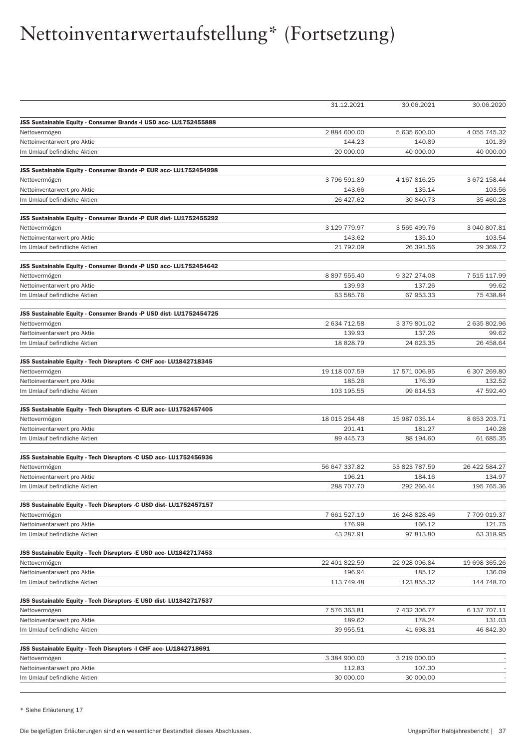|                                                                    | 31.12.2021             | 30.06.2021             | 30.06.2020             |
|--------------------------------------------------------------------|------------------------|------------------------|------------------------|
|                                                                    |                        |                        |                        |
| JSS Sustainable Equity - Consumer Brands -I USD acc- LU1752455888  |                        |                        |                        |
| Nettovermögen<br>Nettoinventarwert pro Aktie                       | 2 884 600.00<br>144.23 | 5 635 600.00<br>140.89 | 4 055 745.32<br>101.39 |
| Im Umlauf befindliche Aktien                                       | 20 000.00              | 40 000.00              | 40 000.00              |
|                                                                    |                        |                        |                        |
| JSS Sustainable Equity - Consumer Brands -P EUR acc- LU1752454998  |                        |                        |                        |
| Nettovermögen                                                      | 3796591.89             | 4 167 816.25           | 3 672 158.44           |
| Nettoinventarwert pro Aktie                                        | 143.66                 | 135.14                 | 103.56                 |
| Im Umlauf befindliche Aktien                                       | 26 427.62              | 30 840.73              | 35 460.28              |
|                                                                    |                        |                        |                        |
| JSS Sustainable Equity - Consumer Brands -P EUR dist- LU1752455292 | 3 129 779.97           | 3 565 499.76           | 3 040 807.81           |
| Nettovermögen                                                      | 143.62                 |                        |                        |
| Nettoinventarwert pro Aktie<br>Im Umlauf befindliche Aktien        | 21 792.09              | 135.10<br>26 391.56    | 103.54<br>29 369.72    |
|                                                                    |                        |                        |                        |
| JSS Sustainable Equity - Consumer Brands -P USD acc- LU1752454642  |                        |                        |                        |
| Nettovermögen                                                      | 8 897 555.40           | 9 327 274.08           | 7 515 117.99           |
| Nettoinventarwert pro Aktie                                        | 139.93                 | 137.26                 | 99.62                  |
| Im Umlauf befindliche Aktien                                       | 63 585.76              | 67 953.33              | 75 438.84              |
|                                                                    |                        |                        |                        |
| JSS Sustainable Equity - Consumer Brands -P USD dist- LU1752454725 | 2 634 712.58           | 3 379 801.02           | 2 635 802.96           |
| Nettovermögen<br>Nettoinventarwert pro Aktie                       | 139.93                 | 137.26                 | 99.62                  |
| Im Umlauf befindliche Aktien                                       | 18 828.79              | 24 623.35              | 26 458.64              |
|                                                                    |                        |                        |                        |
| JSS Sustainable Equity - Tech Disruptors -C CHF acc- LU1842718345  |                        |                        |                        |
| Nettovermögen                                                      | 19 118 007.59          | 17 571 006.95          | 6 307 269.80           |
| Nettoinventarwert pro Aktie                                        | 185.26                 | 176.39                 | 132.52                 |
| Im Umlauf befindliche Aktien                                       | 103 195.55             | 99 614.53              | 47 592.40              |
| JSS Sustainable Equity - Tech Disruptors -C EUR acc- LU1752457405  |                        |                        |                        |
| Nettovermögen                                                      | 18 015 264.48          | 15 987 035.14          | 8 653 203.71           |
| Nettoinventarwert pro Aktie                                        | 201.41                 | 181.27                 | 140.28                 |
| Im Umlauf befindliche Aktien                                       | 89 445.73              | 88 194.60              | 61 685.35              |
|                                                                    |                        |                        |                        |
| JSS Sustainable Equity - Tech Disruptors -C USD acc- LU1752456936  |                        |                        |                        |
| Nettovermögen                                                      | 56 647 337.82          | 53 823 787.59          | 26 422 584.27          |
| Nettoinventarwert pro Aktie                                        | 196.21                 | 184.16                 | 134.97                 |
| Im Umlauf befindliche Aktien                                       | 288 707.70             | 292 266.44             | 195 765.36             |
| JSS Sustainable Equity - Tech Disruptors -C USD dist- LU1752457157 |                        |                        |                        |
| Nettovermögen                                                      | 7 661 527.19           | 16 248 828.46          | 7 709 019.37           |
| Nettoinventarwert pro Aktie                                        | 176.99                 | 166.12                 | 121.75                 |
| Im Umlauf befindliche Aktien                                       | 43 287.91              | 97 813.80              | 63 318.95              |
|                                                                    |                        |                        |                        |
| JSS Sustainable Equity - Tech Disruptors -E USD acc- LU1842717453  |                        |                        |                        |
| Nettovermögen                                                      | 22 401 822.59          | 22 928 096.84          | 19 698 365.26          |
| Nettoinventarwert pro Aktie                                        | 196.94                 | 185.12                 | 136.09                 |
| Im Umlauf befindliche Aktien                                       | 113 749.48             | 123 855.32             | 144 748.70             |
| JSS Sustainable Equity - Tech Disruptors -E USD dist- LU1842717537 |                        |                        |                        |
| Nettovermögen                                                      | 7 576 363.81           | 7 432 306.77           | 6 137 707.11           |
| Nettoinventarwert pro Aktie                                        | 189.62                 | 178.24                 | 131.03                 |
| Im Umlauf befindliche Aktien                                       | 39 955.51              | 41 698.31              | 46 842.30              |
| JSS Sustainable Equity - Tech Disruptors -I CHF acc- LU1842718691  |                        |                        |                        |
| Nettovermögen                                                      | 3 384 900.00           | 3 219 000.00           |                        |
| Nettoinventarwert pro Aktie                                        | 112.83                 | 107.30                 |                        |
| Im Umlauf befindliche Aktien                                       | 30 000.00              | 30 000.00              |                        |
|                                                                    |                        |                        |                        |

\* Siehe Erläuterung 17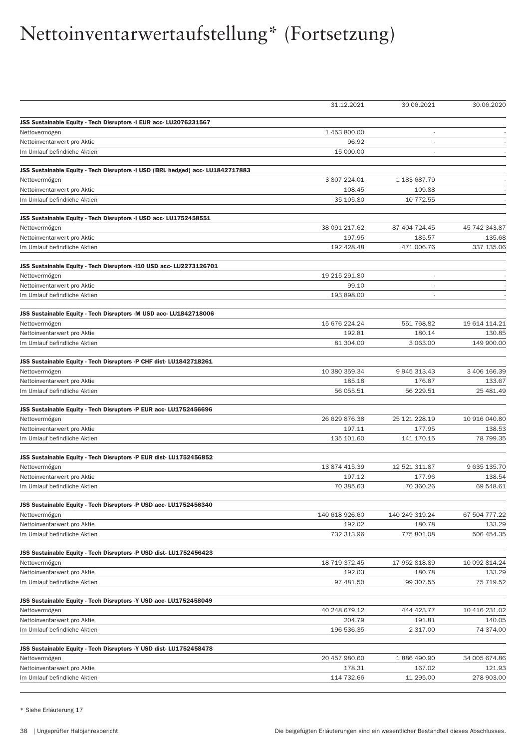|                                                                                | 31.12.2021            | 30.06.2021               | 30.06.2020    |
|--------------------------------------------------------------------------------|-----------------------|--------------------------|---------------|
|                                                                                |                       |                          |               |
| JSS Sustainable Equity - Tech Disruptors -I EUR acc- LU2076231567              |                       |                          |               |
| Nettovermögen                                                                  | 1 453 800.00<br>96.92 | ÷,<br>ä,                 |               |
| Nettoinventarwert pro Aktie<br>Im Umlauf befindliche Aktien                    | 15 000.00             | $\overline{\phantom{a}}$ |               |
|                                                                                |                       |                          |               |
| JSS Sustainable Equity - Tech Disruptors -I USD (BRL hedged) acc- LU1842717883 |                       |                          |               |
| Nettovermögen                                                                  | 3 807 224.01          | 1 183 687.79             |               |
| Nettoinventarwert pro Aktie                                                    | 108.45                | 109.88                   |               |
| Im Umlauf befindliche Aktien                                                   | 35 105.80             | 10 772.55                |               |
|                                                                                |                       |                          |               |
| JSS Sustainable Equity - Tech Disruptors -I USD acc- LU1752458551              |                       |                          |               |
| Nettovermögen                                                                  | 38 091 217.62         | 87 404 724.45            | 45 742 343.87 |
| Nettoinventarwert pro Aktie                                                    | 197.95                | 185.57                   | 135.68        |
| Im Umlauf befindliche Aktien                                                   | 192 428.48            | 471 006.76               | 337 135.06    |
| JSS Sustainable Equity - Tech Disruptors -I10 USD acc- LU2273126701            |                       |                          |               |
| Nettovermögen                                                                  | 19 215 291.80         | ÷,                       |               |
| Nettoinventarwert pro Aktie                                                    | 99.10                 | $\overline{a}$           |               |
| Im Umlauf befindliche Aktien                                                   | 193 898.00            |                          |               |
|                                                                                |                       |                          |               |
| JSS Sustainable Equity - Tech Disruptors -M USD acc- LU1842718006              |                       |                          |               |
| Nettovermögen                                                                  | 15 676 224.24         | 551 768.82               | 19 614 114.21 |
| Nettoinventarwert pro Aktie                                                    | 192.81                | 180.14<br>3 063.00       | 130.85        |
| Im Umlauf befindliche Aktien                                                   | 81 304.00             |                          | 149 900.00    |
| JSS Sustainable Equity - Tech Disruptors -P CHF dist-LU1842718261              |                       |                          |               |
| Nettovermögen                                                                  | 10 380 359.34         | 9 945 313.43             | 3 406 166.39  |
| Nettoinventarwert pro Aktie                                                    | 185.18                | 176.87                   | 133.67        |
| Im Umlauf befindliche Aktien                                                   | 56 055.51             | 56 229.51                | 25 481.49     |
| JSS Sustainable Equity - Tech Disruptors -P EUR acc- LU1752456696              |                       |                          |               |
| Nettovermögen                                                                  | 26 629 876.38         | 25 121 228.19            | 10 916 040.80 |
| Nettoinventarwert pro Aktie                                                    | 197.11                | 177.95                   | 138.53        |
| Im Umlauf befindliche Aktien                                                   | 135 101.60            | 141 170.15               | 78 799.35     |
|                                                                                |                       |                          |               |
| JSS Sustainable Equity - Tech Disruptors -P EUR dist- LU1752456852             |                       |                          |               |
| Nettovermögen                                                                  | 13 874 415.39         | 12 521 311.87            | 9 635 135.70  |
| Nettoinventarwert pro Aktie                                                    | 197.12                | 177.96                   | 138.54        |
| Im Umlauf befindliche Aktien                                                   | 70 385.63             | 70 360.26                | 69 548.61     |
| JSS Sustainable Equity - Tech Disruptors -P USD acc- LU1752456340              |                       |                          |               |
| Nettovermögen                                                                  | 140 618 926.60        | 140 249 319.24           | 67 504 777.22 |
| Nettoinventarwert pro Aktie                                                    | 192.02                | 180.78                   | 133.29        |
| Im Umlauf befindliche Aktien                                                   | 732 313.96            | 775 801.08               | 506 454.35    |
|                                                                                |                       |                          |               |
| JSS Sustainable Equity - Tech Disruptors -P USD dist- LU1752456423             |                       |                          |               |
| Nettovermögen                                                                  | 18 719 372.45         | 17 952 818.89            | 10 092 814.24 |
| Nettoinventarwert pro Aktie                                                    | 192.03                | 180.78                   | 133.29        |
| Im Umlauf befindliche Aktien                                                   | 97 481.50             | 99 307.55                | 75 719.52     |
| JSS Sustainable Equity - Tech Disruptors -Y USD acc- LU1752458049              |                       |                          |               |
| Nettovermögen                                                                  | 40 248 679.12         | 444 423.77               | 10 416 231.02 |
| Nettoinventarwert pro Aktie                                                    | 204.79                | 191.81                   | 140.05        |
| Im Umlauf befindliche Aktien                                                   | 196 536.35            | 2 317.00                 | 74 374.00     |
|                                                                                |                       |                          |               |
| JSS Sustainable Equity - Tech Disruptors -Y USD dist-LU1752458478              |                       |                          |               |
| Nettovermögen                                                                  | 20 457 980.60         | 1886 490.90              | 34 005 674.86 |
| Nettoinventarwert pro Aktie                                                    | 178.31                | 167.02                   | 121.93        |
| Im Umlauf befindliche Aktien                                                   | 114 732.66            | 11 295.00                | 278 903.00    |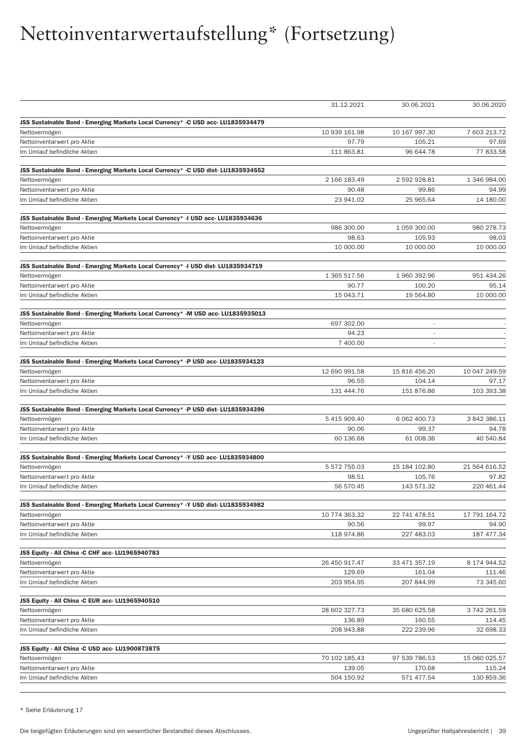|                                                                                   | 31.12.2021              | 30.06.2021               | 30.06.2020             |
|-----------------------------------------------------------------------------------|-------------------------|--------------------------|------------------------|
| JSS Sustainable Bond - Emerging Markets Local Currency* -C USD acc- LU1835934479  |                         |                          |                        |
| Nettovermögen                                                                     | 10 939 161.98           | 10 167 997.30            | 7 603 213.72           |
| Nettoinventarwert pro Aktie                                                       | 97.79                   | 105.21                   | 97.69                  |
| Im Umlauf befindliche Aktien                                                      | 111 863.81              | 96 644.78                | 77 833.58              |
|                                                                                   |                         |                          |                        |
| JSS Sustainable Bond - Emerging Markets Local Currency* -C USD dist- LU1835934552 |                         |                          |                        |
| Nettovermögen                                                                     | 2 166 183.49            | 2 592 928.81             | 1 346 984.00           |
| Nettoinventarwert pro Aktie                                                       | 90.48                   | 99.86                    | 94.99                  |
| Im Umlauf befindliche Aktien                                                      | 23 941.02               | 25 965.64                | 14 180.00              |
| JSS Sustainable Bond - Emerging Markets Local Currency* -I USD acc- LU1835934636  |                         |                          |                        |
| Nettovermögen                                                                     | 986 300.00              | 1 059 300.00             | 980 278.73             |
| Nettoinventarwert pro Aktie                                                       | 98.63                   | 105.93                   | 98.03                  |
| Im Umlauf befindliche Aktien                                                      | 10 000.00               | 10 000.00                | 10 000.00              |
| JSS Sustainable Bond - Emerging Markets Local Currency* -I USD dist- LU1835934719 |                         |                          |                        |
| Nettovermögen                                                                     | 1 365 517.56            | 1 960 392.96             | 951 434.26             |
| Nettoinventarwert pro Aktie                                                       | 90.77                   | 100.20                   | 95.14                  |
| Im Umlauf befindliche Aktien                                                      | 15 043.71               | 19 564.80                | 10 000.00              |
|                                                                                   |                         |                          |                        |
| JSS Sustainable Bond - Emerging Markets Local Currency* -M USD acc- LU1835935013  |                         |                          |                        |
| Nettovermögen                                                                     | 697 302.00              | $\overline{\phantom{a}}$ |                        |
| Nettoinventarwert pro Aktie                                                       | 94.23                   | $\sim$                   |                        |
| Im Umlauf befindliche Aktien                                                      | 7 400.00                | $\overline{\phantom{a}}$ |                        |
| JSS Sustainable Bond - Emerging Markets Local Currency* -P USD acc- LU1835934123  |                         |                          |                        |
| Nettovermögen                                                                     | 12 690 991.58           | 15 816 456.20            | 10 047 249.59          |
| Nettoinventarwert pro Aktie                                                       | 96.55                   | 104.14                   | 97.17                  |
| Im Umlauf befindliche Aktien                                                      | 131 444.76              | 151 876.86               | 103 393.38             |
| JSS Sustainable Bond - Emerging Markets Local Currency* -P USD dist- LU1835934396 |                         |                          |                        |
| Nettovermögen                                                                     | 5 415 909.40            | 6 062 400.73             | 3 842 386.11           |
| Nettoinventarwert pro Aktie                                                       | 90.06                   | 99.37                    | 94.78                  |
| Im Umlauf befindliche Aktien                                                      | 60 136.68               | 61 008.36                | 40 540.84              |
|                                                                                   |                         |                          |                        |
| JSS Sustainable Bond - Emerging Markets Local Currency* -Y USD acc- LU1835934800  |                         |                          |                        |
| Nettovermögen                                                                     | 5 572 755.03            | 15 184 102.80            | 21 564 616.52          |
| Nettoinventarwert pro Aktie<br>Im Umlauf befindliche Aktien                       | 98.51<br>56 570.45      | 105.76<br>143 571.32     | 97.82<br>220 461.44    |
|                                                                                   |                         |                          |                        |
| JSS Sustainable Bond - Emerging Markets Local Currency* -Y USD dist- LU1835934982 |                         |                          |                        |
| Nettovermögen                                                                     | 10 774 363.32           | 22 741 478.51            | 17 791 164.72          |
| Nettoinventarwert pro Aktie                                                       | 90.56                   | 99.97                    | 94.90                  |
| Im Umlauf befindliche Aktien                                                      | 118 974.86              | 227 483.03               | 187 477.34             |
| JSS Equity - All China -C CHF acc- LU1965940783                                   |                         |                          |                        |
| Nettovermögen                                                                     | 26 450 917.47           | 33 471 357.19            | 8 174 944.52           |
| Nettoinventarwert pro Aktie                                                       | 129.69                  | 161.04                   | 111.46                 |
| Im Umlauf befindliche Aktien                                                      | 203 954.95              | 207 844.99               | 73 345.60              |
|                                                                                   |                         |                          |                        |
| JSS Equity - All China -C EUR acc- LU1965940510                                   |                         |                          |                        |
| Nettovermögen                                                                     | 28 602 327.73<br>136.89 | 35 680 625.58            | 3 742 261.59<br>114.45 |
| Nettoinventarwert pro Aktie                                                       |                         | 160.55                   |                        |
| Im Umlauf befindliche Aktien                                                      | 208 943.88              | 222 239.96               | 32 698.33              |
| JSS Equity - All China -C USD acc- LU1900873875                                   |                         |                          |                        |
| Nettovermögen                                                                     | 70 102 185.43           | 97 539 786.53            | 15 080 025.57          |
| Nettoinventarwert pro Aktie                                                       | 139.05                  | 170.68                   | 115.24                 |
| Im Umlauf befindliche Aktien                                                      | 504 150.92              | 571 477.54               | 130 859.36             |
|                                                                                   |                         |                          |                        |

\* Siehe Erläuterung 17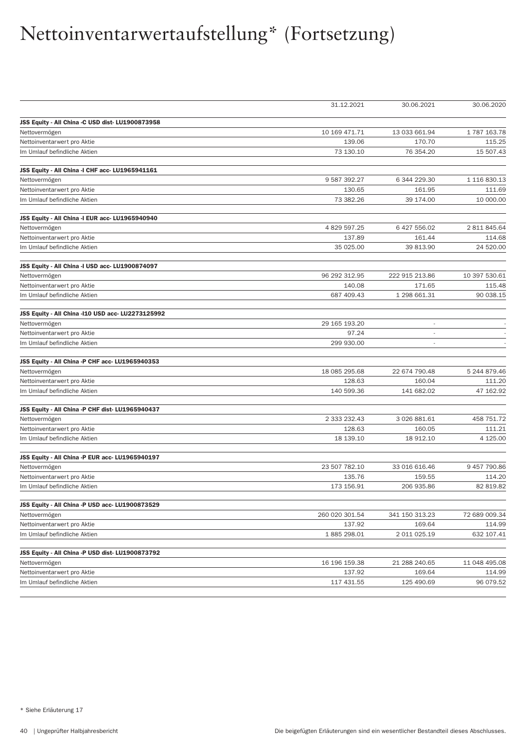|                                                   | 31.12.2021     | 30.06.2021       | 30.06.2020    |
|---------------------------------------------------|----------------|------------------|---------------|
| JSS Equity - All China -C USD dist-LU1900873958   |                |                  |               |
| Nettovermögen                                     | 10 169 471.71  | 13 033 661.94    | 1787163.78    |
| Nettoinventarwert pro Aktie                       | 139.06         | 170.70           | 115.25        |
| Im Umlauf befindliche Aktien                      | 73 130.10      | 76 354.20        | 15 507.43     |
| JSS Equity - All China - I CHF acc- LU1965941161  |                |                  |               |
| Nettovermögen                                     | 9 587 392.27   | 6 344 229.30     | 1 116 830.13  |
| Nettoinventarwert pro Aktie                       | 130.65         | 161.95           | 111.69        |
| Im Umlauf befindliche Aktien                      | 73 382.26      | 39 174.00        | 10 000.00     |
| JSS Equity - All China -I EUR acc- LU1965940940   |                |                  |               |
| Nettovermögen                                     | 4 829 597.25   | 6 427 556.02     | 2 811 845.64  |
| Nettoinventarwert pro Aktie                       | 137.89         | 161.44           | 114.68        |
| Im Umlauf befindliche Aktien                      | 35 025.00      | 39 813.90        | 24 520.00     |
| JSS Equity - All China -I USD acc- LU1900874097   |                |                  |               |
| Nettovermögen                                     | 96 292 312.95  | 222 915 213.86   | 10 397 530.61 |
| Nettoinventarwert pro Aktie                       | 140.08         | 171.65           | 115.48        |
| Im Umlauf befindliche Aktien                      | 687 409.43     | 1 298 661.31     | 90 038.15     |
| JSS Equity - All China -110 USD acc- LU2273125992 |                |                  |               |
| Nettovermögen                                     | 29 165 193.20  | i,               |               |
| Nettoinventarwert pro Aktie                       | 97.24          | $\overline{a}$   |               |
| Im Umlauf befindliche Aktien                      | 299 930.00     |                  |               |
| JSS Equity - All China -P CHF acc- LU1965940353   |                |                  |               |
| Nettovermögen                                     | 18 085 295.68  | 22 674 790.48    | 5 244 879.46  |
| Nettoinventarwert pro Aktie                       | 128.63         | 160.04           | 111.20        |
| Im Umlauf befindliche Aktien                      | 140 599.36     | 141 682.02       | 47 162.92     |
| JSS Equity - All China -P CHF dist- LU1965940437  |                |                  |               |
| Nettovermögen                                     | 2 333 232.43   | 3 0 26 8 8 1.6 1 | 458 751.72    |
| Nettoinventarwert pro Aktie                       | 128.63         | 160.05           | 111.21        |
| Im Umlauf befindliche Aktien                      | 18 139.10      | 18 912.10        | 4 1 2 5 . 0 0 |
| JSS Equity - All China -P EUR acc- LU1965940197   |                |                  |               |
| Nettovermögen                                     | 23 507 782.10  | 33 016 616.46    | 9 457 790.86  |
| Nettoinventarwert pro Aktie                       | 135.76         | 159.55           | 114.20        |
| Im Umlauf befindliche Aktien                      | 173 156.91     | 206 935.86       | 82 819.82     |
| JSS Equity - All China -P USD acc- LU1900873529   |                |                  |               |
| Nettovermögen                                     | 260 020 301.54 | 341 150 313.23   | 72 689 009.34 |
| Nettoinventarwert pro Aktie                       | 137.92         | 169.64           | 114.99        |
| Im Umlauf befindliche Aktien                      | 1885 298.01    | 2 011 025.19     | 632 107.41    |
| JSS Equity - All China -P USD dist-LU1900873792   |                |                  |               |
| Nettovermögen                                     | 16 196 159.38  | 21 288 240.65    | 11 048 495.08 |
| Nettoinventarwert pro Aktie                       | 137.92         | 169.64           | 114.99        |
| Im Umlauf befindliche Aktien                      | 117 431.55     | 125 490.69       | 96 079.52     |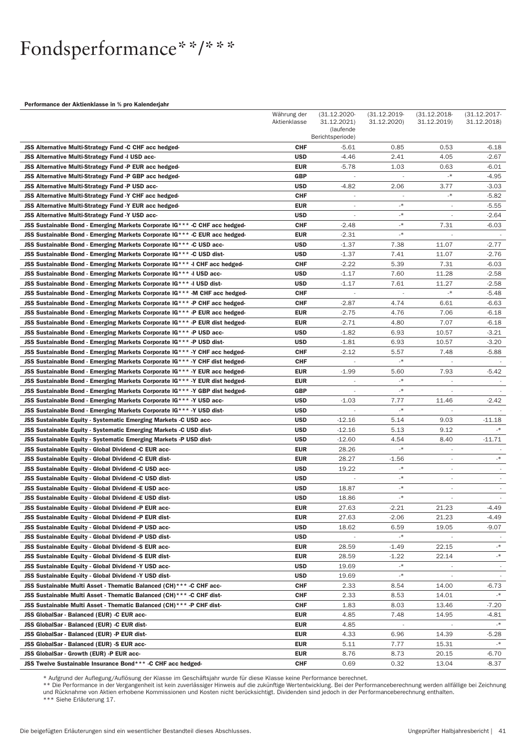## Fondsperformance\*\*/\*\*\*

#### Performance der Aktienklasse in % pro Kalenderjahr

|                                                                                                                                                           | Währung der              | $(31.12.2020 -$          | $(31.12.2019 -$          | $(31.12.2018 -$          | $(31.12.2017 -$          |
|-----------------------------------------------------------------------------------------------------------------------------------------------------------|--------------------------|--------------------------|--------------------------|--------------------------|--------------------------|
|                                                                                                                                                           | Aktienklasse             | 31.12.2021)<br>(laufende | 31.12.2020)              | 31.12.2019)              | 31.12.2018)              |
|                                                                                                                                                           |                          | Berichtsperiode)         |                          |                          |                          |
| JSS Alternative Multi-Strategy Fund -C CHF acc hedged-                                                                                                    | <b>CHF</b>               | $-5.61$                  | 0.85                     | 0.53                     | $-6.18$                  |
| JSS Alternative Multi-Strategy Fund -I USD acc-                                                                                                           | <b>USD</b>               | $-4.46$                  | 2.41                     | 4.05                     | $-2.67$                  |
| JSS Alternative Multi-Strategy Fund -P EUR acc hedged-                                                                                                    | EUR                      | $-5.78$                  | 1.03                     | 0.63                     | $-6.01$                  |
| JSS Alternative Multi-Strategy Fund -P GBP acc hedged-                                                                                                    | <b>GBP</b>               | ÷,                       | $\sim$                   | $\mathcal{A}$            | -4.95                    |
| JSS Alternative Multi-Strategy Fund -P USD acc-                                                                                                           | <b>USD</b>               | $-4.82$                  | 2.06                     | 3.77                     | $-3.03$                  |
| JSS Alternative Multi-Strategy Fund -Y CHF acc hedged-                                                                                                    | <b>CHF</b>               |                          | $\overline{\phantom{a}}$ | $\mathcal{N}_{-}$        | $-5.82$                  |
| JSS Alternative Multi-Strategy Fund -Y EUR acc hedged-                                                                                                    | EUR                      |                          | $\star$<br>$\star$       |                          | $-5.55$                  |
| JSS Alternative Multi-Strategy Fund -Y USD acc-                                                                                                           | <b>USD</b>               | $\overline{\phantom{a}}$ | -*                       | $\overline{\phantom{a}}$ | -2.64                    |
| JSS Sustainable Bond - Emerging Markets Corporate IG*** - C CHF acc hedged-<br>JSS Sustainable Bond - Emerging Markets Corporate IG*** -C EUR acc hedged- | <b>CHF</b><br>EUR        | -2.48<br>$-2.31$         | $\mathcal{A}$            | 7.31                     | -6.03                    |
| JSS Sustainable Bond - Emerging Markets Corporate IG*** -C USD acc-                                                                                       | <b>USD</b>               | $-1.37$                  | 7.38                     | 11.07                    | -2.77                    |
| JSS Sustainable Bond - Emerging Markets Corporate IG*** -C USD dist-                                                                                      | <b>USD</b>               | $-1.37$                  | 7.41                     | 11.07                    | -2.76                    |
| JSS Sustainable Bond - Emerging Markets Corporate IG*** -I CHF acc hedged-                                                                                | <b>CHF</b>               | $-2.22$                  | 5.39                     | 7.31                     | -6.03                    |
| JSS Sustainable Bond - Emerging Markets Corporate IG*** -I USD acc-                                                                                       | <b>USD</b>               | $-1.17$                  | 7.60                     | 11.28                    | $-2.58$                  |
| JSS Sustainable Bond - Emerging Markets Corporate IG*** -I USD dist-                                                                                      | <b>USD</b>               | $-1.17$                  | 7.61                     | 11.27                    | -2.58                    |
| JSS Sustainable Bond - Emerging Markets Corporate IG*** - M CHF acc hedged-                                                                               | <b>CHF</b>               |                          | $\overline{\phantom{a}}$ | $\mathbbmss{} \ast$      | -5.48                    |
| JSS Sustainable Bond - Emerging Markets Corporate IG*** -P CHF acc hedged-                                                                                | <b>CHF</b>               | -2.87                    | 4.74                     | 6.61                     | -6.63                    |
| JSS Sustainable Bond - Emerging Markets Corporate IG*** -P EUR acc hedged-                                                                                | <b>EUR</b>               | -2.75                    | 4.76                     | 7.06                     | -6.18                    |
| JSS Sustainable Bond - Emerging Markets Corporate IG*** -P EUR dist hedged-                                                                               | EUR                      | $-2.71$                  | 4.80                     | 7.07                     | -6.18                    |
| JSS Sustainable Bond - Emerging Markets Corporate IG*** -P USD acc-                                                                                       | <b>USD</b>               | $-1.82$                  | 6.93                     | 10.57                    | -3.21                    |
| JSS Sustainable Bond - Emerging Markets Corporate IG*** -P USD dist-                                                                                      | <b>USD</b>               | $-1.81$                  | 6.93                     | 10.57                    | -3.20                    |
| JSS Sustainable Bond - Emerging Markets Corporate IG*** -Y CHF acc hedged-                                                                                | <b>CHF</b>               | $-2.12$                  | 5.57                     | 7.48                     | -5.88                    |
| JSS Sustainable Bond - Emerging Markets Corporate IG*** -Y CHF dist hedged-                                                                               | CHF                      |                          | $_{-*}$                  |                          |                          |
| JSS Sustainable Bond - Emerging Markets Corporate IG*** -Y EUR acc hedged-                                                                                | <b>EUR</b>               | $-1.99$                  | 5.60                     | 7.93                     | $-5.42$                  |
| JSS Sustainable Bond - Emerging Markets Corporate IG*** -Y EUR dist hedged-                                                                               | EUR                      |                          | $_{-*}$                  |                          |                          |
| JSS Sustainable Bond - Emerging Markets Corporate IG*** -Y GBP dist hedged-                                                                               | <b>GBP</b>               |                          | $\star$                  |                          |                          |
| JSS Sustainable Bond - Emerging Markets Corporate IG*** -Y USD acc-                                                                                       | <b>USD</b>               | $-1.03$                  | 7.77                     | 11.46                    | $-2.42$                  |
| JSS Sustainable Bond - Emerging Markets Corporate IG*** -Y USD dist-                                                                                      | <b>USD</b>               |                          | $_{-*}$                  |                          |                          |
| JSS Sustainable Equity - Systematic Emerging Markets -C USD acc-                                                                                          | <b>USD</b>               | -12.16                   | 5.14                     | 9.03                     | $-11.18$<br>$\cdot$      |
| JSS Sustainable Equity - Systematic Emerging Markets -C USD dist-                                                                                         | <b>USD</b><br><b>USD</b> | $-12.16$<br>$-12.60$     | 5.13<br>4.54             | 9.12<br>8.40             | $-11.71$                 |
| JSS Sustainable Equity - Systematic Emerging Markets -P USD dist-<br>JSS Sustainable Equity - Global Dividend -C EUR acc-                                 | <b>EUR</b>               | 28.26                    | $\mathcal{A}$            | $\overline{\phantom{a}}$ |                          |
| JSS Sustainable Equity - Global Dividend -C EUR dist-                                                                                                     | <b>EUR</b>               | 28.27                    | $-1.56$                  | $\overline{\phantom{a}}$ | $\mathord{\mathbb R}^*$  |
| JSS Sustainable Equity - Global Dividend -C USD acc-                                                                                                      | <b>USD</b>               | 19.22                    | $_{-*}$                  | $\overline{\phantom{a}}$ | $\overline{\phantom{a}}$ |
| JSS Sustainable Equity - Global Dividend -C USD dist-                                                                                                     | <b>USD</b>               |                          | $_{-*}$                  | $\overline{\phantom{a}}$ |                          |
| JSS Sustainable Equity - Global Dividend -E USD acc-                                                                                                      | <b>USD</b>               | 18.87                    | $_{-*}$                  | $\overline{\phantom{a}}$ |                          |
| JSS Sustainable Equity - Global Dividend -E USD dist-                                                                                                     | <b>USD</b>               | 18.86                    | $_{-*}$                  | $\overline{\phantom{a}}$ |                          |
| JSS Sustainable Equity - Global Dividend -P EUR acc-                                                                                                      | <b>EUR</b>               | 27.63                    | $-2.21$                  | 21.23                    | $-4.49$                  |
| JSS Sustainable Equity - Global Dividend -P EUR dist-                                                                                                     | <b>EUR</b>               | 27.63                    | $-2.06$                  | 21.23                    | -4.49                    |
| JSS Sustainable Equity - Global Dividend -P USD acc-                                                                                                      | <b>USD</b>               | 18.62                    | 6.59                     | 19.05                    | -9.07                    |
| JSS Sustainable Equity - Global Dividend -P USD dist-                                                                                                     | <b>USD</b>               |                          | -*                       |                          |                          |
| <b>JSS Sustainable Equity - Global Dividend -S EUR acc-</b>                                                                                               | EUR                      | 28.59                    | -1.49                    | 22.15                    | $\cdot$                  |
| JSS Sustainable Equity - Global Dividend -S EUR dist-                                                                                                     | EUR                      | 28.59                    | $-1.22$                  | 22.14                    | $\cdot$                  |
| JSS Sustainable Equity - Global Dividend -Y USD acc-                                                                                                      | <b>USD</b>               | 19.69                    | $_{-*}$                  |                          |                          |
| JSS Sustainable Equity - Global Dividend -Y USD dist-                                                                                                     | <b>USD</b>               | 19.69                    | $^\ast$                  | J.                       |                          |
| JSS Sustainable Multi Asset - Thematic Balanced (CH)*** -C CHF acc-                                                                                       | <b>CHF</b>               | 2.33                     | 8.54                     | 14.00                    | -6.73                    |
| JSS Sustainable Multi Asset - Thematic Balanced (CH)*** -C CHF dist-                                                                                      | CHF                      | 2.33                     | 8.53                     | 14.01                    | $\mathcal{A}_-$          |
| JSS Sustainable Multi Asset - Thematic Balanced (CH)*** -P CHF dist-                                                                                      | CHF                      | 1.83                     | 8.03                     | 13.46                    | $-7.20$                  |
| <b>JSS GlobalSar - Balanced (EUR) -C EUR acc-</b>                                                                                                         | EUR                      | 4.85                     | 7.48                     | 14.95                    | -4.81<br>$_{-*}$         |
| JSS GlobalSar - Balanced (EUR) -C EUR dist-<br>JSS GlobalSar - Balanced (EUR) -P EUR dist-                                                                | EUR<br>EUR               | 4.85<br>4.33             | 6.96                     | 14.39                    | -5.28                    |
| JSS GlobalSar - Balanced (EUR) -S EUR acc-                                                                                                                | EUR                      | 5.11                     | 7.77                     | 15.31                    | $-*$                     |
| JSS GlobalSar - Growth (EUR) -P EUR acc-                                                                                                                  | EUR                      | 8.76                     | 8.73                     | 20.15                    | -6.70                    |
| JSS Twelve Sustainable Insurance Bond*** - C CHF acc hedged-                                                                                              | <b>CHF</b>               | 0.69                     | 0.32                     | 13.04                    | -8.37                    |
|                                                                                                                                                           |                          |                          |                          |                          |                          |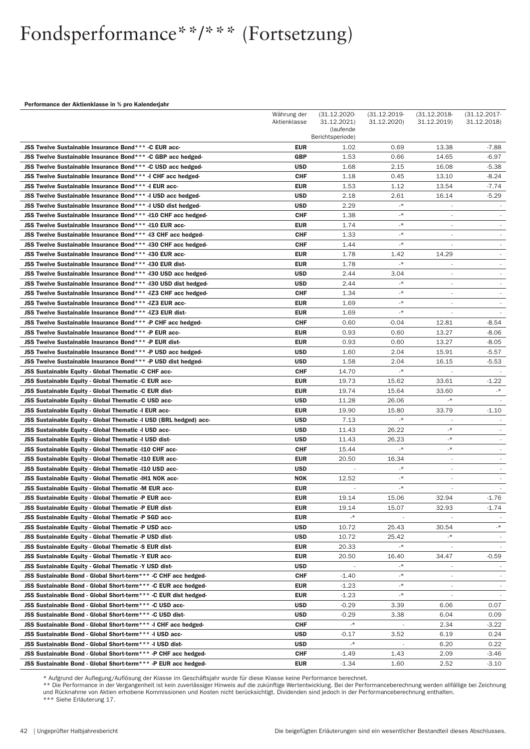#### Performance der Aktienklasse in % pro Kalenderjahr

|                                                                                                                             | Währung der              | $(31.12.2020 -$               | $(31.12.2019 -$         | $(31.12.2018 -$                  | $(31.12.2017 -$          |
|-----------------------------------------------------------------------------------------------------------------------------|--------------------------|-------------------------------|-------------------------|----------------------------------|--------------------------|
|                                                                                                                             | Aktienklasse             | 31.12.2021)                   | 31.12.2020)             | 31.12.2019)                      | 31.12.2018)              |
|                                                                                                                             |                          | (laufende<br>Berichtsperiode) |                         |                                  |                          |
| JSS Twelve Sustainable Insurance Bond*** -C EUR acc-                                                                        | <b>EUR</b>               | 1.02                          | 0.69                    | 13.38                            | $-7.88$                  |
| JSS Twelve Sustainable Insurance Bond*** -C GBP acc hedged-                                                                 | <b>GBP</b>               | 1.53                          | 0.66                    | 14.65                            | -6.97                    |
| JSS Twelve Sustainable Insurance Bond*** -C USD acc hedged-                                                                 | <b>USD</b>               | 1.68                          | 2.15                    | 16.08                            | $-5.38$                  |
| JSS Twelve Sustainable Insurance Bond*** -I CHF acc hedged-                                                                 | <b>CHF</b>               | 1.18                          | 0.45                    | 13.10                            | $-8.24$                  |
| JSS Twelve Sustainable Insurance Bond*** -I EUR acc-                                                                        | EUR                      | 1.53                          | 1.12                    | 13.54                            | -7.74                    |
| JSS Twelve Sustainable Insurance Bond*** -I USD acc hedged-                                                                 | <b>USD</b>               | 2.18                          | 2.61                    | 16.14                            | -5.29                    |
| JSS Twelve Sustainable Insurance Bond*** -I USD dist hedged-                                                                | <b>USD</b>               | 2.29                          | $_{-*}$                 |                                  |                          |
| JSS Twelve Sustainable Insurance Bond*** - I10 CHF acc hedged-                                                              | <b>CHF</b>               | 1.38                          | $^\ast$                 | ÷                                |                          |
| JSS Twelve Sustainable Insurance Bond*** -I10 EUR acc-                                                                      | EUR                      | 1.74                          | $_{-*}$                 | $\overline{\phantom{a}}$         |                          |
| JSS Twelve Sustainable Insurance Bond*** -13 CHF acc hedged-                                                                | <b>CHF</b>               | 1.33                          | $_{-*}$                 | $\overline{\phantom{a}}$         |                          |
| JSS Twelve Sustainable Insurance Bond*** - I30 CHF acc hedged-                                                              | <b>CHF</b>               | 1.44                          | $^\ast$                 | $\overline{\phantom{a}}$         |                          |
| JSS Twelve Sustainable Insurance Bond*** - I30 EUR acc-                                                                     | EUR                      | 1.78                          | 1.42                    | 14.29                            |                          |
| JSS Twelve Sustainable Insurance Bond*** - I30 EUR dist-                                                                    | EUR                      | 1.78                          | $_{-*}$                 |                                  | $\sim$                   |
| JSS Twelve Sustainable Insurance Bond*** -130 USD acc hedged-                                                               | <b>USD</b>               | 2.44                          | 3.04                    | $\overline{\phantom{a}}$         | $\overline{\phantom{a}}$ |
| JSS Twelve Sustainable Insurance Bond*** -130 USD dist hedged-                                                              | <b>USD</b>               | 2.44                          | $_{-*}$                 | $\overline{\phantom{a}}$         | $\overline{\phantom{a}}$ |
| JSS Twelve Sustainable Insurance Bond*** - IZ3 CHF acc hedged-                                                              | <b>CHF</b>               | 1.34                          | $_{-*}$                 | $\overline{\phantom{a}}$         |                          |
| JSS Twelve Sustainable Insurance Bond*** - IZ3 EUR acc-                                                                     | EUR                      | 1.69                          | $_{-*}$                 | $\overline{\phantom{a}}$         | $\overline{\phantom{a}}$ |
| JSS Twelve Sustainable Insurance Bond*** - IZ3 EUR dist-                                                                    | EUR                      | 1.69                          | $\mathcal{A}$           | $\overline{\phantom{a}}$         |                          |
| JSS Twelve Sustainable Insurance Bond*** -P CHF acc hedged-                                                                 | CHF                      | 0.60                          | $-0.04$                 | 12.81                            | -8.54                    |
| JSS Twelve Sustainable Insurance Bond*** - P EUR acc-                                                                       | <b>EUR</b>               | 0.93                          | 0.60                    | 13.27                            | -8.06                    |
| JSS Twelve Sustainable Insurance Bond*** -P EUR dist-                                                                       | EUR                      | 0.93                          | 0.60                    | 13.27                            | $-8.05$                  |
| JSS Twelve Sustainable Insurance Bond*** -P USD acc hedged-                                                                 | <b>USD</b>               | 1.60                          | 2.04                    | 15.91                            | -5.57                    |
| JSS Twelve Sustainable Insurance Bond*** -P USD dist hedged-                                                                | <b>USD</b>               | 1.58                          | 2.04                    | 16.15                            | $-5.53$                  |
| JSS Sustainable Equity - Global Thematic -C CHF acc-                                                                        | <b>CHF</b>               | 14.70                         | $_{-*}$                 |                                  |                          |
| JSS Sustainable Equity - Global Thematic -C EUR acc-                                                                        | EUR                      | 19.73                         | 15.62                   | 33.61                            | $-1.22$                  |
| JSS Sustainable Equity - Global Thematic -C EUR dist-                                                                       | EUR                      | 19.74                         | 15.64                   | 33.60                            | $\cdot$                  |
| JSS Sustainable Equity - Global Thematic -C USD acc-                                                                        | <b>USD</b>               | 11.28                         | 26.06                   | $\mathcal{N}_{-}$                |                          |
| JSS Sustainable Equity - Global Thematic -I EUR acc-                                                                        | <b>EUR</b>               | 19.90                         | 15.80                   | 33.79                            | $-1.10$                  |
| JSS Sustainable Equity - Global Thematic -I USD (BRL hedged) acc-                                                           | <b>USD</b>               | 7.13                          | $_{-*}$                 | $\overline{\phantom{a}}$         | $\sim$                   |
| JSS Sustainable Equity - Global Thematic -I USD acc-                                                                        | <b>USD</b>               | 11.43                         | 26.22                   | $_{-*}$                          |                          |
| JSS Sustainable Equity - Global Thematic -I USD dist-                                                                       | <b>USD</b>               | 11.43                         | 26.23                   | $\mathbin{{\ast}}$               |                          |
| JSS Sustainable Equity - Global Thematic -110 CHF acc-                                                                      | <b>CHF</b>               | 15.44                         | $_{-*}$                 | $\mathord{\text{--}}$            | $\overline{\phantom{a}}$ |
| JSS Sustainable Equity - Global Thematic -110 EUR acc-                                                                      | <b>EUR</b>               | 20.50                         | 16.34                   | $\overline{\phantom{a}}$         |                          |
| JSS Sustainable Equity - Global Thematic -110 USD acc-                                                                      | <b>USD</b>               |                               | $_{-*}$                 | $\overline{\phantom{a}}$         |                          |
| JSS Sustainable Equity - Global Thematic -IH1 NOK acc-                                                                      | <b>NOK</b>               | 12.52                         | $_{-*}$                 | $\overline{\phantom{a}}$         |                          |
| JSS Sustainable Equity - Global Thematic -M EUR acc-                                                                        | <b>EUR</b>               |                               | $_{-*}$                 |                                  |                          |
| JSS Sustainable Equity - Global Thematic -P EUR acc-                                                                        | <b>EUR</b>               | 19.14                         | 15.06                   | 32.94                            | -1.76                    |
| JSS Sustainable Equity - Global Thematic -P EUR dist-                                                                       | <b>EUR</b>               | 19.14                         | 15.07                   | 32.93                            | $-1.74$                  |
| JSS Sustainable Equity - Global Thematic -P SGD acc-                                                                        | <b>EUR</b>               | $\cdot$                       |                         |                                  |                          |
| JSS Sustainable Equity - Global Thematic -P USD acc-                                                                        | <b>USD</b>               | 10.72                         | 25.43                   | 30.54                            | $\mathcal{A}_-$          |
| JSS Sustainable Equity - Global Thematic -P USD dist-                                                                       | <b>USD</b>               | 10.72                         | 25.42<br>$_{-*}$        | $_{*}$                           |                          |
| JSS Sustainable Equity - Global Thematic -S EUR dist-                                                                       | <b>EUR</b>               | 20.33                         |                         |                                  |                          |
| JSS Sustainable Equity - Global Thematic -Y EUR acc-                                                                        | EUR                      | 20.50                         | 16.40<br>$\mathbf{R}^*$ | 34.47                            | -0.59                    |
| JSS Sustainable Equity - Global Thematic -Y USD dist-                                                                       | <b>USD</b><br><b>CHF</b> |                               | $\mathbf{R}^*$          |                                  |                          |
| JSS Sustainable Bond - Global Short-term*** -C CHF acc hedged-                                                              |                          | $-1.40$                       | -*                      |                                  |                          |
| JSS Sustainable Bond - Global Short-term *** -C EUR acc hedged-                                                             | <b>EUR</b>               | $-1.23$                       | $^\ast$                 |                                  |                          |
| JSS Sustainable Bond - Global Short-term*** -C EUR dist hedged-<br>JSS Sustainable Bond - Global Short-term*** -C USD acc-  | EUR<br><b>USD</b>        | $-1.23$<br>$-0.29$            | 3.39                    | $\overline{\phantom{a}}$<br>6.06 | 0.07                     |
| JSS Sustainable Bond - Global Short-term*** -C USD dist-                                                                    | <b>USD</b>               | -0.29                         | 3.38                    |                                  | 0.09                     |
|                                                                                                                             | <b>CHF</b>               | $\cdot$                       | $\sim$                  | 6.04                             |                          |
| JSS Sustainable Bond - Global Short-term *** - I CHF acc hedged-<br>JSS Sustainable Bond - Global Short-term*** -I USD acc- | <b>USD</b>               | $-0.17$                       | 3.52                    | 2.34<br>6.19                     | $-3.22$<br>0.24          |
| JSS Sustainable Bond - Global Short-term*** -I USD dist-                                                                    | <b>USD</b>               | -*                            |                         | 6.20                             | 0.22                     |
| JSS Sustainable Bond - Global Short-term*** -P CHF acc hedged-                                                              | <b>CHF</b>               | $-1.49$                       | 1.43                    | 2.09                             | -3.46                    |
| JSS Sustainable Bond - Global Short-term*** -P EUR acc hedged-                                                              | <b>EUR</b>               | $-1.34$                       | 1.60                    | 2.52                             | $-3.10$                  |
|                                                                                                                             |                          |                               |                         |                                  |                          |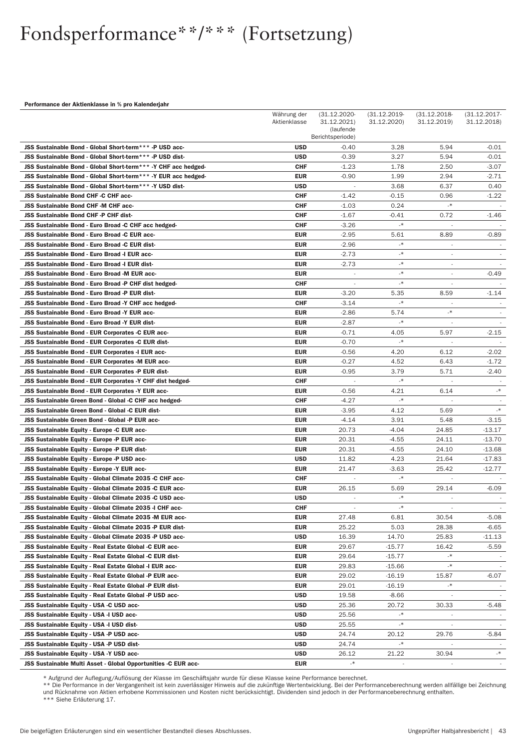#### Performance der Aktienklasse in % pro Kalenderjahr

|                                                                                   | Währung der<br>Aktienklasse | $(31.12.2020 -$<br>31.12.2021)<br>(laufende | $(31.12.2019 -$<br>31.12.2020) | $(31.12.2018 -$<br>31.12.2019) | $(31.12.2017 -$<br>31.12.2018) |
|-----------------------------------------------------------------------------------|-----------------------------|---------------------------------------------|--------------------------------|--------------------------------|--------------------------------|
|                                                                                   |                             | Berichtsperiode)                            |                                |                                |                                |
| JSS Sustainable Bond - Global Short-term*** -P USD acc-                           | <b>USD</b>                  | $-0.40$                                     | 3.28                           | 5.94                           | $-0.01$                        |
| JSS Sustainable Bond - Global Short-term*** -P USD dist-                          | <b>USD</b>                  | $-0.39$                                     | 3.27                           | 5.94                           | -0.01                          |
| JSS Sustainable Bond - Global Short-term*** - Y CHF acc hedged-                   | <b>CHF</b>                  | $-1.23$                                     | 1.78                           | 2.50                           | -3.07                          |
| JSS Sustainable Bond - Global Short-term*** - Y EUR acc hedged-                   | EUR<br><b>USD</b>           | $-0.90$                                     | 1.99                           | 2.94                           | -2.71                          |
| JSS Sustainable Bond - Global Short-term*** -Y USD dist-                          | <b>CHF</b>                  | $\overline{\phantom{a}}$                    | 3.68                           | 6.37                           | 0.40                           |
| <b>JSS Sustainable Bond CHF-C CHF acc-</b><br>JSS Sustainable Bond CHF-M CHF acc- | CHF                         | $-1.42$<br>$-1.03$                          | $-0.15$<br>0.24                | 0.96<br>$_{\star}$             | $-1.22$                        |
| <b>JSS Sustainable Bond CHF-P CHF dist-</b>                                       | CHF                         | -1.67                                       | $-0.41$                        | 0.72                           | -1.46                          |
| JSS Sustainable Bond - Euro Broad -C CHF acc hedged-                              | <b>CHF</b>                  | $-3.26$                                     | $\mathcal{A}$                  |                                |                                |
| JSS Sustainable Bond - Euro Broad -C EUR acc-                                     | <b>EUR</b>                  | $-2.95$                                     | 5.61                           | 8.89                           | -0.89                          |
| <b>JSS Sustainable Bond - Euro Broad -C EUR dist-</b>                             | <b>EUR</b>                  | -2.96                                       | $_{-*}$                        | $\sim$                         |                                |
| JSS Sustainable Bond - Euro Broad -I EUR acc-                                     | EUR                         | $-2.73$                                     | $_{-*}$                        | $\overline{\phantom{a}}$       |                                |
| JSS Sustainable Bond - Euro Broad -I EUR dist-                                    | EUR                         | $-2.73$                                     | $^\ast$                        | ÷,                             |                                |
| JSS Sustainable Bond - Euro Broad -M EUR acc-                                     | EUR                         |                                             | $^\ast$                        | ÷                              | -0.49                          |
| JSS Sustainable Bond - Euro Broad -P CHF dist hedged-                             | <b>CHF</b>                  |                                             | $_{-*}$                        |                                |                                |
| JSS Sustainable Bond - Euro Broad -P EUR dist-                                    | EUR                         | $-3.20$                                     | 5.35                           | 8.59                           | $-1.14$                        |
| JSS Sustainable Bond - Euro Broad -Y CHF acc hedged-                              | <b>CHF</b>                  | $-3.14$                                     | $_{-*}$                        | $\overline{\phantom{a}}$       | $\sim$                         |
| JSS Sustainable Bond - Euro Broad -Y EUR acc-                                     | EUR                         | $-2.86$                                     | 5.74                           | $_{-*}$                        |                                |
| JSS Sustainable Bond - Euro Broad -Y EUR dist-                                    | EUR                         | -2.87                                       | $_{-*}$                        |                                |                                |
| JSS Sustainable Bond - EUR Corporates -C EUR acc-                                 | <b>EUR</b>                  | $-0.71$                                     | 4.05                           | 5.97                           | -2.15                          |
| JSS Sustainable Bond - EUR Corporates -C EUR dist-                                | EUR                         | $-0.70$                                     | $_{-*}$                        |                                |                                |
| JSS Sustainable Bond - EUR Corporates -I EUR acc-                                 | EUR                         | $-0.56$                                     | 4.20                           | 6.12                           | -2.02                          |
| JSS Sustainable Bond - EUR Corporates -M EUR acc-                                 | <b>EUR</b>                  | $-0.27$                                     | 4.52                           | 6.43                           | $-1.72$                        |
| JSS Sustainable Bond - EUR Corporates -P EUR dist-                                | <b>EUR</b>                  | $-0.95$                                     | 3.79                           | 5.71                           | -2.40                          |
| JSS Sustainable Bond - EUR Corporates -Y CHF dist hedged-                         | <b>CHF</b>                  |                                             | $\mathcal{A}$                  |                                |                                |
| JSS Sustainable Bond - EUR Corporates -Y EUR acc-                                 | EUR                         | $-0.56$                                     | 4.21                           | 6.14                           | $_{\star}$                     |
| JSS Sustainable Green Bond - Global -C CHF acc hedged-                            | <b>CHF</b>                  | $-4.27$                                     | $_{-*}$                        |                                |                                |
| JSS Sustainable Green Bond - Global -C EUR dist-                                  | <b>EUR</b>                  | $-3.95$                                     | 4.12                           | 5.69                           | $\cdot$                        |
| JSS Sustainable Green Bond - Global -P EUR acc-                                   | <b>EUR</b>                  | $-4.14$                                     | 3.91                           | 5.48                           | -3.15                          |
| JSS Sustainable Equity - Europe -C EUR acc-                                       | <b>EUR</b>                  | 20.73                                       | $-4.04$                        | 24.85                          | $-13.17$                       |
| JSS Sustainable Equity - Europe -P EUR acc-                                       | <b>EUR</b>                  | 20.31                                       | $-4.55$                        | 24.11                          | -13.70                         |
| JSS Sustainable Equity - Europe -P EUR dist-                                      | <b>EUR</b>                  | 20.31                                       | $-4.55$                        | 24.10                          | $-13.68$                       |
| JSS Sustainable Equity - Europe -P USD acc-                                       | <b>USD</b>                  | 11.82                                       | 4.23                           | 21.64                          | $-17.83$                       |
| <b>JSS Sustainable Equity - Europe -Y EUR acc-</b>                                | <b>EUR</b>                  | 21.47                                       | $-3.63$                        | 25.42                          | $-12.77$                       |
| JSS Sustainable Equity - Global Climate 2035 -C CHF acc-                          | <b>CHF</b>                  | $\sim$                                      | $_{-*}$                        |                                |                                |
| JSS Sustainable Equity - Global Climate 2035 -C EUR acc-                          | <b>EUR</b>                  | 26.15                                       | 5.69                           | 29.14                          | -6.09                          |
| JSS Sustainable Equity - Global Climate 2035 -C USD acc-                          | <b>USD</b>                  | $\overline{a}$                              | $_{-*}$                        |                                |                                |
| JSS Sustainable Equity - Global Climate 2035 -I CHF acc-                          | <b>CHF</b>                  |                                             | –*                             |                                |                                |
| JSS Sustainable Equity - Global Climate 2035 -M EUR acc-                          | <b>EUR</b>                  | 27.48                                       | 6.81                           | 30.54                          | $-5.08$                        |
| JSS Sustainable Equity - Global Climate 2035 -P EUR dist-                         | <b>EUR</b>                  | 25.22                                       | 5.03                           | 28.38                          | $-6.65$                        |
| JSS Sustainable Equity - Global Climate 2035 -P USD acc-                          | <b>USD</b>                  | 16.39                                       | 14.70                          | 25.83                          | -11.13                         |
| JSS Sustainable Equity - Real Estate Global -C EUR acc-                           | <b>EUR</b>                  | 29.67                                       | -15.77                         | 16.42                          | $-5.59$                        |
| JSS Sustainable Equity - Real Estate Global -C EUR dist-                          | EUR                         | 29.64                                       | -15.77                         | -*                             |                                |
| JSS Sustainable Equity - Real Estate Global -I EUR acc-                           | EUR                         | 29.83                                       | $-15.66$                       | $\mathord{\text{I}}*$          |                                |
| JSS Sustainable Equity - Real Estate Global -P EUR acc-                           | <b>EUR</b>                  | 29.02                                       | $-16.19$                       | 15.87                          | -6.07                          |
| JSS Sustainable Equity - Real Estate Global -P EUR dist-                          | <b>EUR</b>                  | 29.01                                       | -16.19                         | $_{*}$                         |                                |
| JSS Sustainable Equity - Real Estate Global -P USD acc-                           | <b>USD</b>                  | 19.58                                       | $-8.66$                        |                                |                                |
| JSS Sustainable Equity - USA -C USD acc-                                          | <b>USD</b>                  | 25.36                                       | 20.72                          | 30.33                          | -5.48                          |
| JSS Sustainable Equity - USA -I USD acc-                                          | <b>USD</b>                  | 25.56                                       | -*                             |                                |                                |
| JSS Sustainable Equity - USA -I USD dist-                                         | <b>USD</b>                  | 25.55                                       | $\mathbf{R}^*$                 |                                |                                |
| JSS Sustainable Equity - USA -P USD acc-                                          | <b>USD</b>                  | 24.74                                       | 20.12                          | 29.76                          | -5.84                          |
| JSS Sustainable Equity - USA -P USD dist-                                         | <b>USD</b>                  | 24.74                                       | -*                             |                                | $\mathcal{N}_-$                |
| JSS Sustainable Equity - USA -Y USD acc-                                          | <b>USD</b>                  | 26.12                                       | 21.22                          | 30.94                          |                                |
| JSS Sustainable Multi Asset - Global Opportunities -C EUR acc-                    | EUR                         | $\cdot$                                     |                                |                                |                                |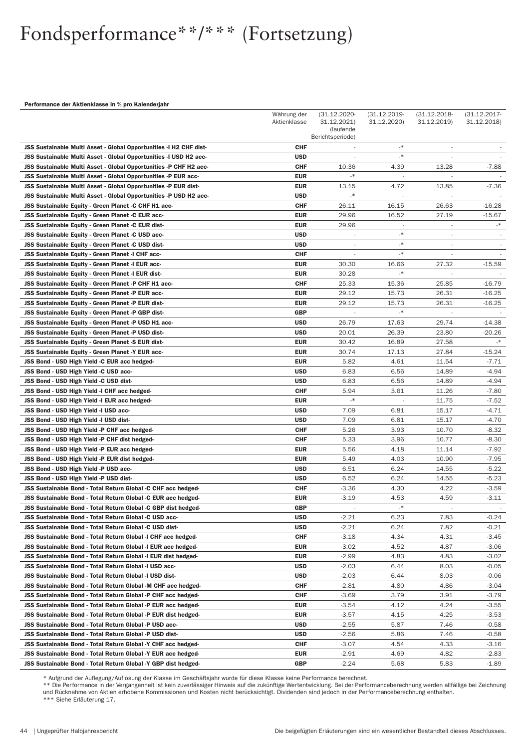#### Performance der Aktienklasse in % pro Kalenderjahr

|                                                                                                           | $(31.12.2020 -$<br>31.12.2021) | $(31.12.2019 -$<br>31.12.2020) | $(31.12.2018 -$<br>31.12.2019) | $(31.12.2017 -$<br>31.12.2018) |                    |
|-----------------------------------------------------------------------------------------------------------|--------------------------------|--------------------------------|--------------------------------|--------------------------------|--------------------|
|                                                                                                           | Aktienklasse                   | (laufende                      |                                |                                |                    |
|                                                                                                           |                                | Berichtsperiode)               |                                |                                |                    |
| JSS Sustainable Multi Asset - Global Opportunities -I H2 CHF dist-                                        | CHF                            |                                | $_{-*}$                        | ÷                              |                    |
| JSS Sustainable Multi Asset - Global Opportunities -I USD H2 acc-                                         | USD                            |                                | $\ast$                         |                                |                    |
| JSS Sustainable Multi Asset - Global Opportunities -P CHF H2 acc-                                         | <b>CHF</b>                     | 10.36                          | 4.39                           | 13.28                          | -7.88              |
| JSS Sustainable Multi Asset - Global Opportunities -P EUR acc-                                            | <b>EUR</b>                     | $\mathcal{A}$                  |                                |                                |                    |
| JSS Sustainable Multi Asset - Global Opportunities -P EUR dist-                                           | <b>EUR</b>                     | 13.15<br>.∗                    | 4.72                           | 13.85                          | $-7.36$            |
| JSS Sustainable Multi Asset - Global Opportunities -P USD H2 acc-                                         | <b>USD</b><br><b>CHF</b>       |                                | $\overline{\phantom{a}}$       | J.                             | $-16.28$           |
| JSS Sustainable Equity - Green Planet -C CHF H1 acc-<br>JSS Sustainable Equity - Green Planet -C EUR acc- | EUR                            | 26.11<br>29.96                 | 16.15<br>16.52                 | 26.63<br>27.19                 | -15.67             |
| JSS Sustainable Equity - Green Planet -C EUR dist-                                                        | EUR                            | 29.96                          | $\overline{\phantom{a}}$       | $\overline{\phantom{a}}$       | $\cdot^*$          |
| <b>JSS Sustainable Equity - Green Planet -C USD acc-</b>                                                  | <b>USD</b>                     |                                | $\mathbf{\ast}$                | $\overline{\phantom{a}}$       |                    |
| <b>JSS Sustainable Equity - Green Planet -C USD dist-</b>                                                 | <b>USD</b>                     | $\overline{a}$                 | -*                             | $\overline{a}$                 |                    |
| JSS Sustainable Equity - Green Planet -I CHF acc-                                                         | CHF                            | $\overline{a}$                 | $^\ast$                        | $\overline{a}$                 |                    |
| <b>JSS Sustainable Equity - Green Planet -I EUR acc-</b>                                                  | EUR                            | 30.30                          | 16.66                          | 27.32                          | -15.59             |
| JSS Sustainable Equity - Green Planet -I EUR dist-                                                        | EUR                            | 30.28                          | $\mathbf{\ast}$                |                                |                    |
| JSS Sustainable Equity - Green Planet -P CHF H1 acc-                                                      | <b>CHF</b>                     | 25.33                          | 15.36                          | 25.85                          | -16.79             |
| JSS Sustainable Equity - Green Planet -P EUR acc-                                                         | EUR                            | 29.12                          | 15.73                          | 26.31                          | -16.25             |
| <b>JSS Sustainable Equity - Green Planet -P EUR dist-</b>                                                 | EUR                            | 29.12                          | 15.73                          | 26.31                          | -16.25             |
| JSS Sustainable Equity - Green Planet -P GBP dist-                                                        | <b>GBP</b>                     | $\overline{a}$                 | $\mathbf{\ast}$                | ÷,                             |                    |
| JSS Sustainable Equity - Green Planet -P USD H1 acc-                                                      | <b>USD</b>                     | 26.79                          | 17.63                          | 29.74                          | -14.38             |
| JSS Sustainable Equity - Green Planet -P USD dist-                                                        | <b>USD</b>                     | 20.01                          | 26.39                          | 23.80                          | -20.26             |
| JSS Sustainable Equity - Green Planet -S EUR dist-                                                        | <b>EUR</b>                     | 30.42                          | 16.89                          | 27.58                          | $_{\star}$         |
| <b>JSS Sustainable Equity - Green Planet -Y EUR acc-</b>                                                  | <b>EUR</b>                     | 30.74                          | 17.13                          | 27.84                          | -15.24             |
| JSS Bond - USD High Yield -C EUR acc hedged-                                                              | EUR                            | 5.82                           | 4.61                           | 11.54                          | -7.71              |
| JSS Bond - USD High Yield -C USD acc-                                                                     | <b>USD</b>                     | 6.83                           | 6.56                           | 14.89                          | -4.94              |
| <b>JSS Bond - USD High Yield -C USD dist-</b>                                                             | <b>USD</b>                     | 6.83                           | 6.56                           | 14.89                          | -4.94              |
| JSS Bond - USD High Yield -I CHF acc hedged-                                                              | <b>CHF</b>                     | 5.94                           | 3.61                           | 11.26                          | -7.80              |
| JSS Bond - USD High Yield -I EUR acc hedged-                                                              | EUR                            | $\mathcal{A}$                  |                                | 11.75                          | $-7.52$            |
| JSS Bond - USD High Yield -I USD acc-                                                                     | <b>USD</b>                     | 7.09                           | 6.81                           | 15.17                          | -4.71              |
| JSS Bond - USD High Yield -I USD dist-                                                                    | <b>USD</b>                     | 7.09                           | 6.81                           | 15.17                          | -4.70              |
| JSS Bond - USD High Yield -P CHF acc hedged-                                                              | <b>CHF</b>                     | 5.26                           | 3.93                           | 10.70                          | $-8.32$            |
| JSS Bond - USD High Yield -P CHF dist hedged-                                                             | CHF                            | 5.33                           | 3.96                           | 10.77                          | $-8.30$            |
| <b>JSS Bond - USD High Yield -P EUR acc hedged-</b>                                                       | <b>EUR</b>                     | 5.56                           | 4.18                           | 11.14                          | -7.92              |
| JSS Bond - USD High Yield -P EUR dist hedged-                                                             | EUR<br><b>USD</b>              | 5.49                           | 4.03                           | 10.90                          | -7.95              |
| JSS Bond - USD High Yield -P USD acc-<br>JSS Bond - USD High Yield -P USD dist-                           | <b>USD</b>                     | 6.51<br>6.52                   | 6.24<br>6.24                   | 14.55<br>14.55                 | $-5.22$<br>$-5.23$ |
| JSS Sustainable Bond - Total Return Global -C CHF acc hedged-                                             | CHF                            | $-3.36$                        | 4.30                           | 4.22                           | $-3.59$            |
| JSS Sustainable Bond - Total Return Global -C EUR acc hedged-                                             | EUR                            | $-3.19$                        | 4.53                           | 4.59                           | $-3.11$            |
| JSS Sustainable Bond - Total Return Global -C GBP dist hedged-                                            | GBP                            | $\sim$                         | 一个                             | $\sim$                         |                    |
| <b>JSS Sustainable Bond - Total Return Global -C USD acc-</b>                                             | <b>USD</b>                     | $-2.21$                        | 6.23                           | 7.83                           | -0.24              |
| JSS Sustainable Bond - Total Return Global -C USD dist-                                                   | <b>USD</b>                     | $-2.21$                        | 6.24                           | 7.82                           | -0.21              |
| JSS Sustainable Bond - Total Return Global -I CHF acc hedged-                                             | CHF                            | $-3.18$                        | 4.34                           | 4.31                           | -3.45              |
| JSS Sustainable Bond - Total Return Global -I EUR acc hedged-                                             | EUR                            | $-3.02$                        | 4.52                           | 4.87                           | -3.06              |
| JSS Sustainable Bond - Total Return Global -I EUR dist hedged-                                            | EUR                            | -2.99                          | 4.83                           | 4.83                           | -3.02              |
| JSS Sustainable Bond - Total Return Global -I USD acc-                                                    | <b>USD</b>                     | $-2.03$                        | 6.44                           | 8.03                           | -0.05              |
| JSS Sustainable Bond - Total Return Global -I USD dist-                                                   | <b>USD</b>                     | $-2.03$                        | 6.44                           | 8.03                           | $-0.06$            |
| JSS Sustainable Bond - Total Return Global -M CHF acc hedged-                                             | CHF                            | $-2.81$                        | 4.80                           | 4.86                           | -3.04              |
| JSS Sustainable Bond - Total Return Global -P CHF acc hedged-                                             | CHF                            | $-3.69$                        | 3.79                           | 3.91                           | -3.79              |
| JSS Sustainable Bond - Total Return Global -P EUR acc hedged-                                             | EUR                            | -3.54                          | 4.12                           | 4.24                           | $-3.55$            |
| JSS Sustainable Bond - Total Return Global -P EUR dist hedged-                                            | EUR                            | $-3.57$                        | 4.15                           | 4.25                           | $-3.53$            |
| JSS Sustainable Bond - Total Return Global -P USD acc-                                                    | <b>USD</b>                     | $-2.55$                        | 5.87                           | 7.46                           | $-0.58$            |
| JSS Sustainable Bond - Total Return Global -P USD dist-                                                   | <b>USD</b>                     | $-2.56$                        | 5.86                           | 7.46                           | $-0.58$            |
| JSS Sustainable Bond - Total Return Global -Y CHF acc hedged-                                             | CHF                            | $-3.07$                        | 4.54                           | 4.33                           | -3.16              |
| JSS Sustainable Bond - Total Return Global -Y EUR acc hedged-                                             | EUR                            | $-2.91$                        | 4.69                           | 4.82                           | -2.83              |
| JSS Sustainable Bond - Total Return Global -Y GBP dist hedged-                                            | <b>GBP</b>                     | $-2.24$                        | 5.68                           | 5.83                           | $-1.89$            |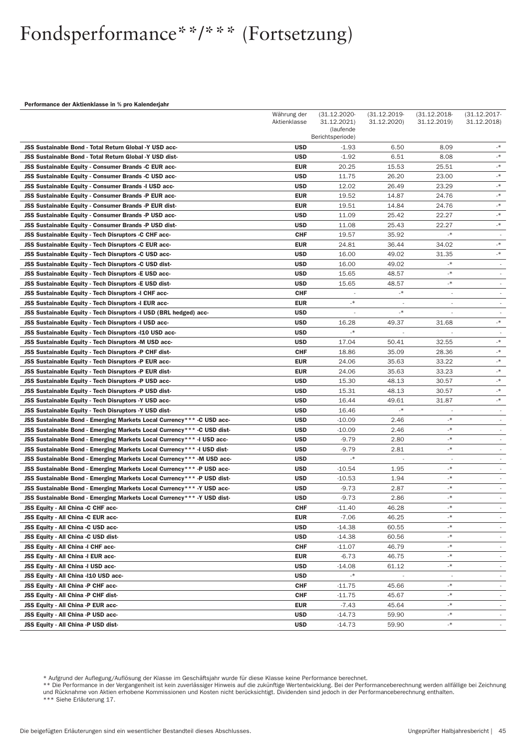#### Performance der Aktienklasse in % pro Kalenderjahr

|                                                                        | Währung der<br>Aktienklasse | (31.12.2020-<br>31.12.2021)<br>(laufende<br>Berichtsperiode) | $(31.12.2019 -$<br>31.12.2020) | $(31.12.2018 -$<br>31.12.2019) | $(31.12.2017 -$<br>31.12.2018) |
|------------------------------------------------------------------------|-----------------------------|--------------------------------------------------------------|--------------------------------|--------------------------------|--------------------------------|
| JSS Sustainable Bond - Total Return Global -Y USD acc-                 | <b>USD</b>                  | $-1.93$                                                      | 6.50                           | 8.09                           | $\mathord{\mathbb R}^*$        |
| JSS Sustainable Bond - Total Return Global -Y USD dist-                | <b>USD</b>                  | $-1.92$                                                      | 6.51                           | 8.08                           | $\mathord{\text{I}}*$          |
| JSS Sustainable Equity - Consumer Brands -C EUR acc-                   | <b>EUR</b>                  | 20.25                                                        | 15.53                          | 25.51                          | $\mathord{\mathbb R}^*$        |
| JSS Sustainable Equity - Consumer Brands -C USD acc-                   | <b>USD</b>                  | 11.75                                                        | 26.20                          | 23.00                          | $\mathord{\mathbb R}^*$        |
| JSS Sustainable Equity - Consumer Brands -I USD acc-                   | <b>USD</b>                  | 12.02                                                        | 26.49                          | 23.29                          | $\mathord{\text{I}}*$          |
| JSS Sustainable Equity - Consumer Brands -P EUR acc-                   | <b>EUR</b>                  | 19.52                                                        | 14.87                          | 24.76                          | $\cdot$                        |
| JSS Sustainable Equity - Consumer Brands -P EUR dist-                  | <b>EUR</b>                  | 19.51                                                        | 14.84                          | 24.76                          | $\mathord{\mathbb R}^*$        |
| JSS Sustainable Equity - Consumer Brands -P USD acc-                   | <b>USD</b>                  | 11.09                                                        | 25.42                          | 22.27                          | $\mathord{\text{I}}*$          |
| JSS Sustainable Equity - Consumer Brands -P USD dist-                  | <b>USD</b>                  | 11.08                                                        | 25.43                          | 22.27                          | $\mathbf{R}_{-}$               |
| JSS Sustainable Equity - Tech Disruptors -C CHF acc-                   | <b>CHF</b>                  | 19.57                                                        | 35.92                          | $\mathcal{N}_{-}$              |                                |
| JSS Sustainable Equity - Tech Disruptors -C EUR acc-                   | EUR                         | 24.81                                                        | 36.44                          | 34.02                          | $\mathord{\mathbb R}^*$        |
| JSS Sustainable Equity - Tech Disruptors -C USD acc-                   | <b>USD</b>                  | 16.00                                                        | 49.02                          | 31.35                          | $\mathbb{R}_-$                 |
| JSS Sustainable Equity - Tech Disruptors -C USD dist-                  | <b>USD</b>                  | 16.00                                                        | 49.02                          | $\mathord{\text{I}}*$          | $\overline{\phantom{a}}$       |
| JSS Sustainable Equity - Tech Disruptors -E USD acc-                   | <b>USD</b>                  | 15.65                                                        | 48.57                          | $\mathbf{\ast}$                | $\overline{\phantom{a}}$       |
| JSS Sustainable Equity - Tech Disruptors -E USD dist-                  | <b>USD</b>                  | 15.65                                                        | 48.57                          | $\mathbf{\ast}$                | $\overline{\phantom{a}}$       |
| JSS Sustainable Equity - Tech Disruptors -I CHF acc-                   | <b>CHF</b>                  |                                                              | $\mathbf{\ast}$                | $\overline{\phantom{a}}$       |                                |
| JSS Sustainable Equity - Tech Disruptors -I EUR acc-                   | <b>EUR</b>                  | .∗                                                           |                                | ä,                             |                                |
| JSS Sustainable Equity - Tech Disruptors -I USD (BRL hedged) acc-      | <b>USD</b>                  | $\overline{\phantom{a}}$                                     | .∗                             | $\overline{a}$                 | $\overline{\phantom{a}}$       |
| <b>JSS Sustainable Equity - Tech Disruptors -I USD acc-</b>            | <b>USD</b>                  | 16.28                                                        | 49.37                          | 31.68                          | $\mathord{\mathbb R}$          |
| JSS Sustainable Equity - Tech Disruptors -I10 USD acc-                 | <b>USD</b>                  | $^\ast$                                                      | $\overline{\phantom{a}}$       | $\overline{\phantom{a}}$       | $\overline{\phantom{a}}$       |
| JSS Sustainable Equity - Tech Disruptors -M USD acc-                   | <b>USD</b>                  | 17.04                                                        | 50.41                          | 32.55                          | $\cdot^*$                      |
| JSS Sustainable Equity - Tech Disruptors -P CHF dist-                  | <b>CHF</b>                  | 18.86                                                        | 35.09                          | 28.36                          | $\mathord{\mathbb R}^*$        |
| <b>JSS Sustainable Equity - Tech Disruptors -P EUR acc-</b>            | <b>EUR</b>                  | 24.06                                                        | 35.63                          | 33.22                          | -*                             |
| JSS Sustainable Equity - Tech Disruptors -P EUR dist-                  | <b>EUR</b>                  | 24.06                                                        | 35.63                          | 33.23                          | $\mathcal{A}_-$                |
| JSS Sustainable Equity - Tech Disruptors -P USD acc-                   | <b>USD</b>                  | 15.30                                                        | 48.13                          | 30.57                          | $\mathord{\mathbb R}^*$        |
| JSS Sustainable Equity - Tech Disruptors -P USD dist-                  | <b>USD</b>                  | 15.31                                                        | 48.13                          | 30.57                          | $\mathord{\text{I}}*$          |
| JSS Sustainable Equity - Tech Disruptors -Y USD acc-                   | <b>USD</b>                  | 16.44                                                        | 49.61                          | 31.87                          | $\ast$                         |
| JSS Sustainable Equity - Tech Disruptors -Y USD dist-                  | <b>USD</b>                  | 16.46                                                        | $\mathbf{\ast}$                | $\overline{\phantom{a}}$       | $\overline{\phantom{a}}$       |
| JSS Sustainable Bond - Emerging Markets Local Currency*** - C USD acc- | <b>USD</b>                  | $-10.09$                                                     | 2.46                           | $\mathbf{\ast}$                | $\overline{\phantom{a}}$       |
| JSS Sustainable Bond - Emerging Markets Local Currency*** -C USD dist- | <b>USD</b>                  | -10.09                                                       | 2.46                           | $\mathord{\mathbb R}^*$        | $\overline{\phantom{a}}$       |
| JSS Sustainable Bond - Emerging Markets Local Currency*** -I USD acc-  | <b>USD</b>                  | -9.79                                                        | 2.80                           | $\mathord{\text{I}}*$          |                                |
| JSS Sustainable Bond - Emerging Markets Local Currency*** -I USD dist- | <b>USD</b>                  | -9.79                                                        | 2.81                           | $\cdot$                        | $\overline{\phantom{a}}$       |
| JSS Sustainable Bond - Emerging Markets Local Currency*** - M USD acc- | <b>USD</b>                  | $\mathcal{A}$                                                | $\sim$                         | $\overline{\phantom{a}}$       |                                |
| JSS Sustainable Bond - Emerging Markets Local Currency*** -P USD acc-  | <b>USD</b>                  | $-10.54$                                                     | 1.95                           | $\mathord{\text{I}}*$          |                                |
| JSS Sustainable Bond - Emerging Markets Local Currency*** -P USD dist- | <b>USD</b>                  | $-10.53$                                                     | 1.94                           | $\mathbf{\ast}$                | $\overline{\phantom{a}}$       |
| JSS Sustainable Bond - Emerging Markets Local Currency*** -Y USD acc-  | <b>USD</b>                  | $-9.73$                                                      | 2.87                           | $^\ast$                        |                                |
| JSS Sustainable Bond - Emerging Markets Local Currency*** -Y USD dist- | <b>USD</b>                  | -9.73                                                        | 2.86                           | $\star$                        |                                |
| JSS Equity - All China -C CHF acc-                                     | <b>CHF</b>                  | $-11.40$                                                     | 46.28                          | _*                             |                                |
| <b>JSS Equity - All China -C EUR acc-</b>                              | EUR                         | $-7.06$                                                      | 46.25                          | -*                             |                                |
| JSS Equity - All China -C USD acc-                                     | USD                         | -14.38                                                       | 60.55                          | -*                             |                                |
| JSS Equity - All China -C USD dist-                                    | <b>USD</b>                  | $-14.38$                                                     | 60.56                          | $\mathcal{A}_-$                | $\sim$                         |
| JSS Equity - All China - I CHF acc-                                    | <b>CHF</b>                  | -11.07                                                       | 46.79                          | $_{-*}$                        |                                |
| JSS Equity - All China -I EUR acc-                                     | EUR                         | $-6.73$                                                      | 46.75                          | $\mathcal{A}_-$                |                                |
| JSS Equity - All China -I USD acc-                                     | USD                         | -14.08                                                       | 61.12                          | $\mathbf{R}_{-}$               | $\sim$                         |
| JSS Equity - All China -110 USD acc-                                   | USD                         | $\mathcal{N}_-$                                              |                                |                                |                                |
| JSS Equity - All China -P CHF acc-                                     | <b>CHF</b>                  | -11.75                                                       | 45.66                          | $\mathord{\text{I}}*$          |                                |
| JSS Equity - All China -P CHF dist-                                    | <b>CHF</b>                  | -11.75                                                       | 45.67                          | -*                             | $\sim$                         |
| JSS Equity - All China -P EUR acc-                                     | EUR                         | $-7.43$                                                      | 45.64                          | -*                             |                                |
| JSS Equity - All China -P USD acc-                                     | USD                         | -14.73                                                       | 59.90                          | $\mathbf{R}_{-}$               |                                |
| JSS Equity - All China -P USD dist-                                    | USD                         | -14.73                                                       | 59.90                          | $\mathord{\mathbb R}^*$        |                                |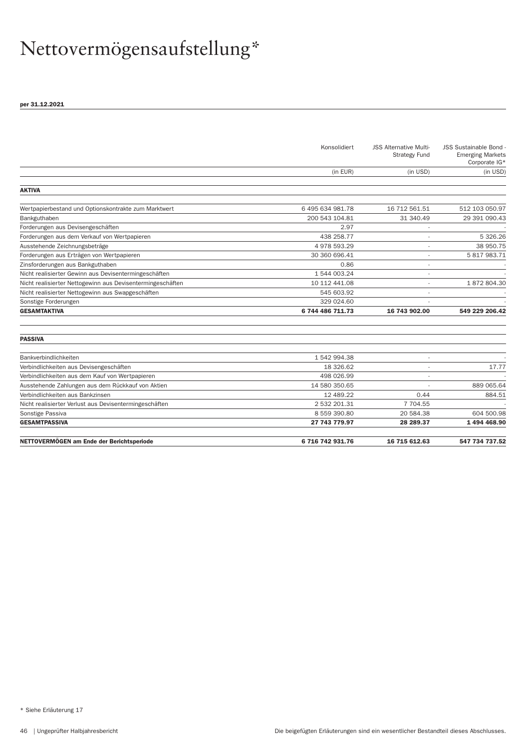# Nettovermögensaufstellung\*

|                                                            | Konsolidiert     | <b>JSS Alternative Multi-</b><br><b>Strategy Fund</b> | JSS Sustainable Bond -<br><b>Emerging Markets</b><br>Corporate IG* |
|------------------------------------------------------------|------------------|-------------------------------------------------------|--------------------------------------------------------------------|
|                                                            | (in EUR)         | (in USD)                                              | (in USD)                                                           |
| <b>AKTIVA</b>                                              |                  |                                                       |                                                                    |
| Wertpapierbestand und Optionskontrakte zum Marktwert       | 6 495 634 981.78 | 16 712 561.51                                         | 512 103 050.97                                                     |
| Bankguthaben                                               | 200 543 104.81   | 31 340.49                                             | 29 391 090.43                                                      |
| Forderungen aus Devisengeschäften                          | 2.97             |                                                       |                                                                    |
| Forderungen aus dem Verkauf von Wertpapieren               | 438 258.77       |                                                       | 5 326.26                                                           |
| Ausstehende Zeichnungsbeträge                              | 4978593.29       |                                                       | 38 950.75                                                          |
| Forderungen aus Erträgen von Wertpapieren                  | 30 360 696.41    |                                                       | 5 817 983.71                                                       |
| Zinsforderungen aus Bankguthaben                           | 0.86             |                                                       |                                                                    |
| Nicht realisierter Gewinn aus Devisentermingeschäften      | 1 544 003.24     |                                                       |                                                                    |
| Nicht realisierter Nettogewinn aus Devisentermingeschäften | 10 112 441.08    |                                                       | 1872804.30                                                         |
| Nicht realisierter Nettogewinn aus Swapgeschäften          | 545 603.92       |                                                       |                                                                    |
| Sonstige Forderungen                                       | 329 024.60       |                                                       |                                                                    |
| <b>GESAMTAKTIVA</b>                                        | 6 744 486 711.73 | 16 743 902.00                                         | 549 229 206.42                                                     |
| <b>PASSIVA</b>                                             |                  |                                                       |                                                                    |
| Bankverbindlichkeiten                                      | 1542994.38       | $\overline{\phantom{a}}$                              |                                                                    |
| Verbindlichkeiten aus Devisengeschäften                    | 18 326.62        |                                                       | 17.77                                                              |
| Verbindlichkeiten aus dem Kauf von Wertpapieren            | 498 026.99       |                                                       |                                                                    |
| Ausstehende Zahlungen aus dem Rückkauf von Aktien          | 14 580 350.65    |                                                       | 889 065.64                                                         |
| Verbindlichkeiten aus Bankzinsen                           | 12 489.22        | 0.44                                                  | 884.51                                                             |
| Nicht realisierter Verlust aus Devisentermingeschäften     | 2 532 201.31     | 7 704.55                                              |                                                                    |
| Sonstige Passiva                                           | 8 559 390.80     | 20 584.38                                             | 604 500.98                                                         |
| <b>GESAMTPASSIVA</b>                                       | 27 743 779.97    | 28 289.37                                             | 1494468.90                                                         |
| NETTOVERMÖGEN am Ende der Berichtsperiode                  | 6 716 742 931.76 | 16 715 612.63                                         | 547 734 737.52                                                     |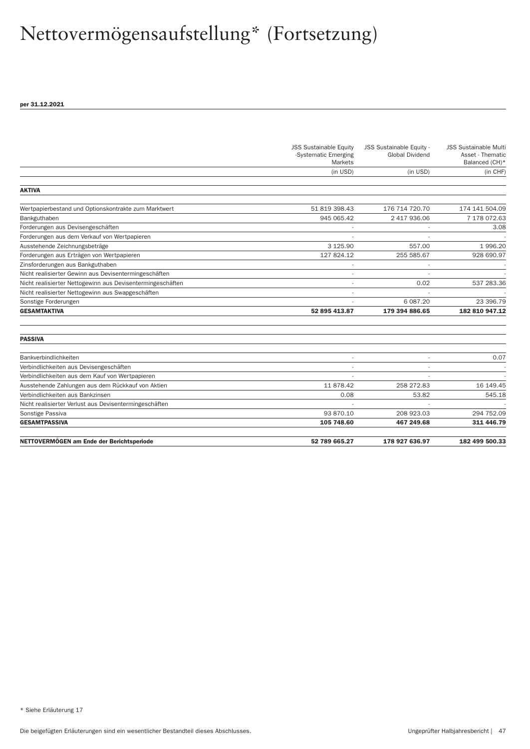|                                                            | <b>JSS Sustainable Equity</b><br>-Systematic Emerging<br>Markets | JSS Sustainable Equity -<br><b>Global Dividend</b> | <b>JSS Sustainable Multi</b><br>Asset - Thematic<br>Balanced (CH)* |
|------------------------------------------------------------|------------------------------------------------------------------|----------------------------------------------------|--------------------------------------------------------------------|
|                                                            | (in USD)                                                         | (in USD)                                           | (in CHF)                                                           |
| <b>AKTIVA</b>                                              |                                                                  |                                                    |                                                                    |
| Wertpapierbestand und Optionskontrakte zum Marktwert       | 51 819 398.43                                                    | 176 714 720.70                                     | 174 141 504.09                                                     |
| Bankguthaben                                               | 945 065.42                                                       | 2 417 936.06                                       | 7 178 072.63                                                       |
| Forderungen aus Devisengeschäften                          |                                                                  |                                                    | 3.08                                                               |
| Forderungen aus dem Verkauf von Wertpapieren               |                                                                  |                                                    |                                                                    |
| Ausstehende Zeichnungsbeträge                              | 3 1 2 5 . 9 0                                                    | 557.00                                             | 1996.20                                                            |
| Forderungen aus Erträgen von Wertpapieren                  | 127 824.12                                                       | 255 585.67                                         | 928 690.97                                                         |
| Zinsforderungen aus Bankguthaben                           |                                                                  |                                                    |                                                                    |
| Nicht realisierter Gewinn aus Devisentermingeschäften      |                                                                  |                                                    |                                                                    |
| Nicht realisierter Nettogewinn aus Devisentermingeschäften |                                                                  | 0.02                                               | 537 283.36                                                         |
| Nicht realisierter Nettogewinn aus Swapgeschäften          |                                                                  |                                                    |                                                                    |
| Sonstige Forderungen                                       |                                                                  | 6 087.20                                           | 23 396.79                                                          |
| <b>GESAMTAKTIVA</b>                                        | 52 895 413.87                                                    | 179 394 886.65                                     | 182 810 947.12                                                     |
| <b>PASSIVA</b>                                             |                                                                  |                                                    |                                                                    |
| Bankverbindlichkeiten                                      |                                                                  |                                                    | 0.07                                                               |
| Verbindlichkeiten aus Devisengeschäften                    |                                                                  |                                                    |                                                                    |
| Verbindlichkeiten aus dem Kauf von Wertpapieren            |                                                                  |                                                    |                                                                    |
| Ausstehende Zahlungen aus dem Rückkauf von Aktien          | 11 878.42                                                        | 258 272.83                                         | 16 149.45                                                          |
| Verbindlichkeiten aus Bankzinsen                           | 0.08                                                             | 53.82                                              | 545.18                                                             |
| Nicht realisierter Verlust aus Devisentermingeschäften     |                                                                  |                                                    |                                                                    |
| Sonstige Passiva                                           | 93 870.10                                                        | 208 923.03                                         | 294 752.09                                                         |
| <b>GESAMTPASSIVA</b>                                       | 105 748.60                                                       | 467 249.68                                         | 311 446.79                                                         |
| NETTOVERMÖGEN am Ende der Berichtsperiode                  | 52 789 665.27                                                    | 178 927 636.97                                     | 182 499 500.33                                                     |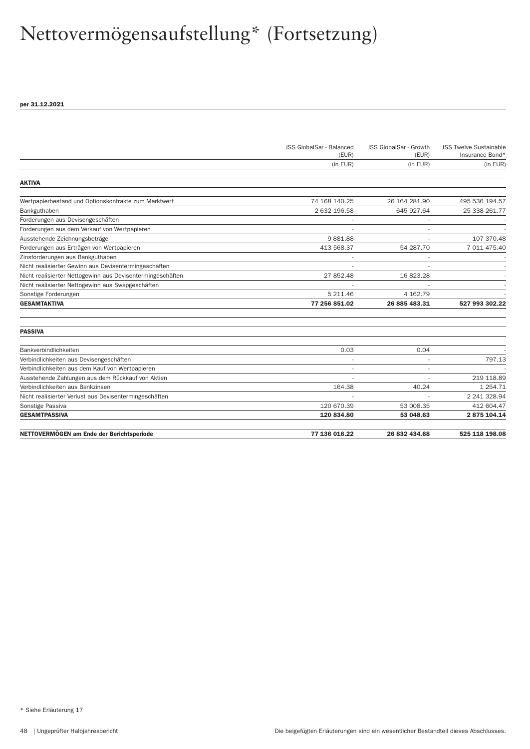|                                                            | JSS GlobalSar - Balanced | JSS GlobalSar - Growth | <b>JSS Twelve Sustainable</b> |
|------------------------------------------------------------|--------------------------|------------------------|-------------------------------|
|                                                            | (EUR)                    | (EUR)                  | Insurance Bond*               |
|                                                            | (in EUR)                 | (in EUR)               | (in EUR)                      |
| <b>AKTIVA</b>                                              |                          |                        |                               |
| Wertpapierbestand und Optionskontrakte zum Marktwert       | 74 168 140.25            | 26 164 281.90          | 495 536 194.57                |
| Bankguthaben                                               | 2 632 196.58             | 645 927.64             | 25 338 261.77                 |
| Forderungen aus Devisengeschäften                          |                          |                        |                               |
| Forderungen aus dem Verkauf von Wertpapieren               |                          |                        |                               |
| Ausstehende Zeichnungsbeträge                              | 9881.88                  |                        | 107 370.48                    |
| Forderungen aus Erträgen von Wertpapieren                  | 413 568.37               | 54 287.70              | 7 011 475.40                  |
| Zinsforderungen aus Bankguthaben                           |                          |                        |                               |
| Nicht realisierter Gewinn aus Devisentermingeschäften      |                          |                        |                               |
| Nicht realisierter Nettogewinn aus Devisentermingeschäften | 27 852.48                | 16823.28               |                               |
| Nicht realisierter Nettogewinn aus Swapgeschäften          |                          |                        |                               |
| Sonstige Forderungen                                       | 5 211.46                 | 4 162.79               |                               |
| <b>GESAMTAKTIVA</b>                                        | 77 256 851.02            | 26 885 483.31          | 527 993 302.22                |
| <b>PASSIVA</b>                                             |                          |                        |                               |
| Bankverbindlichkeiten                                      | 0.03                     | 0.04                   |                               |
| Verbindlichkeiten aus Devisengeschäften                    |                          |                        | 797.13                        |
| Verbindlichkeiten aus dem Kauf von Wertpapieren            |                          |                        |                               |
| Ausstehende Zahlungen aus dem Rückkauf von Aktien          |                          |                        | 219 118.89                    |
| Verbindlichkeiten aus Bankzinsen                           | 164.38                   | 40.24                  | 1 254.71                      |
| Nicht realisierter Verlust aus Devisentermingeschäften     |                          |                        | 2 241 328.94                  |
| Sonstige Passiva                                           | 120 670.39               | 53 008.35              | 412 604.47                    |
| <b>GESAMTPASSIVA</b>                                       | 120 834.80               | 53 048.63              | 2875104.14                    |
| NETTOVERMÖGEN am Ende der Berichtsperiode                  | 77 136 016.22            | 26 832 434.68          | 525 118 198.08                |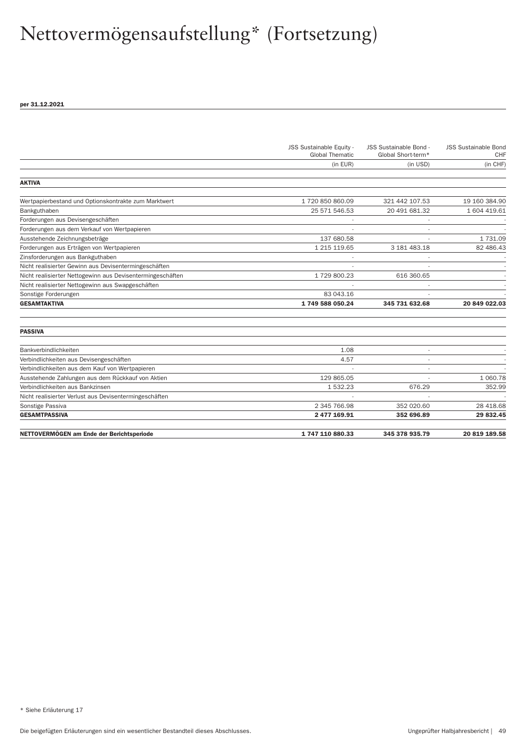|                                                            | JSS Sustainable Equity -<br><b>Global Thematic</b> | JSS Sustainable Bond -<br>Global Short-term* | <b>JSS Sustainable Bond</b><br><b>CHF</b> |
|------------------------------------------------------------|----------------------------------------------------|----------------------------------------------|-------------------------------------------|
|                                                            | (in EUR)                                           | (in USD)                                     | (in CHF)                                  |
| <b>AKTIVA</b>                                              |                                                    |                                              |                                           |
| Wertpapierbestand und Optionskontrakte zum Marktwert       | 1 720 850 860.09                                   | 321 442 107.53                               | 19 160 384.90                             |
| Bankguthaben                                               | 25 571 546.53                                      | 20 491 681.32                                | 1 604 419.61                              |
| Forderungen aus Devisengeschäften                          |                                                    |                                              |                                           |
| Forderungen aus dem Verkauf von Wertpapieren               |                                                    |                                              |                                           |
| Ausstehende Zeichnungsbeträge                              | 137 680.58                                         |                                              | 1 731.09                                  |
| Forderungen aus Erträgen von Wertpapieren                  | 1 215 119.65                                       | 3 181 483.18                                 | 82 486.43                                 |
| Zinsforderungen aus Bankguthaben                           |                                                    |                                              |                                           |
| Nicht realisierter Gewinn aus Devisentermingeschäften      |                                                    |                                              |                                           |
| Nicht realisierter Nettogewinn aus Devisentermingeschäften | 1729800.23                                         | 616 360.65                                   |                                           |
| Nicht realisierter Nettogewinn aus Swapgeschäften          |                                                    |                                              |                                           |
| Sonstige Forderungen                                       | 83 043.16                                          |                                              |                                           |
| <b>GESAMTAKTIVA</b>                                        | 1749 588 050.24                                    | 345 731 632.68                               | 20 849 022.03                             |
| <b>PASSIVA</b>                                             |                                                    |                                              |                                           |
| Bankverbindlichkeiten                                      | 1.08                                               |                                              |                                           |
| Verbindlichkeiten aus Devisengeschäften                    | 4.57                                               |                                              |                                           |
| Verbindlichkeiten aus dem Kauf von Wertpapieren            |                                                    | $\blacksquare$                               |                                           |
| Ausstehende Zahlungen aus dem Rückkauf von Aktien          | 129 865.05                                         |                                              | 1 060.78                                  |
| Verbindlichkeiten aus Bankzinsen                           | 1532.23                                            | 676.29                                       | 352.99                                    |
| Nicht realisierter Verlust aus Devisentermingeschäften     |                                                    |                                              |                                           |
| Sonstige Passiva                                           | 2 345 766.98                                       | 352 020.60                                   | 28 418.68                                 |
| <b>GESAMTPASSIVA</b>                                       | 2 477 169.91                                       | 352 696.89                                   | 29 832.45                                 |
| NETTOVERMÖGEN am Ende der Berichtsperiode                  | 1747110880.33                                      | 345 378 935.79                               | 20 819 189.58                             |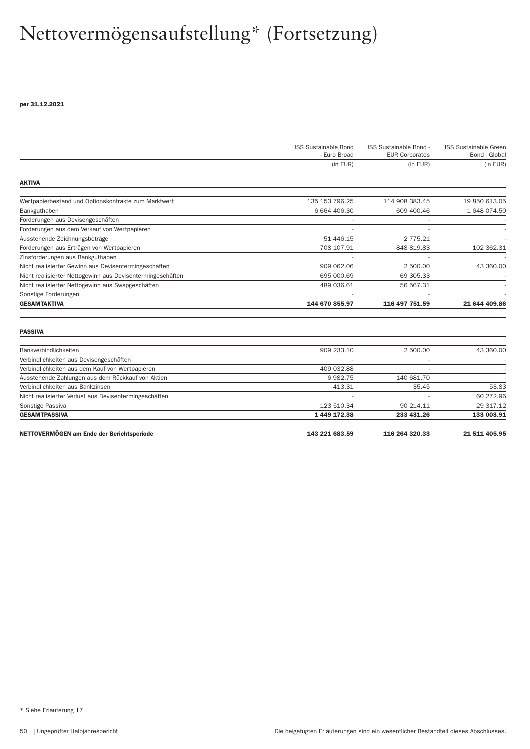|                                                            | <b>JSS Sustainable Bond</b><br>- Euro Broad | JSS Sustainable Bond -<br><b>EUR Corporates</b> | <b>JSS Sustainable Green</b><br>Bond - Global |
|------------------------------------------------------------|---------------------------------------------|-------------------------------------------------|-----------------------------------------------|
|                                                            | (in EUR)                                    | (in EUR)                                        | (in EUR)                                      |
| <b>AKTIVA</b>                                              |                                             |                                                 |                                               |
| Wertpapierbestand und Optionskontrakte zum Marktwert       | 135 153 796.25                              | 114 908 383.45                                  | 19 850 613.05                                 |
| Bankguthaben                                               | 6 664 406.30                                | 609 400.46                                      | 1 648 074.50                                  |
| Forderungen aus Devisengeschäften                          |                                             |                                                 |                                               |
| Forderungen aus dem Verkauf von Wertpapieren               |                                             |                                                 |                                               |
| Ausstehende Zeichnungsbeträge                              | 51 446.15                                   | 2 775.21                                        |                                               |
| Forderungen aus Erträgen von Wertpapieren                  | 708 107.91                                  | 848 819.83                                      | 102 362.31                                    |
| Zinsforderungen aus Bankguthaben                           |                                             |                                                 |                                               |
| Nicht realisierter Gewinn aus Devisentermingeschäften      | 909 062.06                                  | 2 500.00                                        | 43 360.00                                     |
| Nicht realisierter Nettogewinn aus Devisentermingeschäften | 695 000.69                                  | 69 305.33                                       |                                               |
| Nicht realisierter Nettogewinn aus Swapgeschäften          | 489 036.61                                  | 56 567.31                                       |                                               |
| Sonstige Forderungen                                       |                                             |                                                 |                                               |
| <b>GESAMTAKTIVA</b>                                        | 144 670 855.97                              | 116 497 751.59                                  | 21 644 409.86                                 |
| <b>PASSIVA</b>                                             |                                             |                                                 |                                               |
| Bankverbindlichkeiten                                      | 909 233.10                                  | 2 500.00                                        | 43 360.00                                     |
| Verbindlichkeiten aus Devisengeschäften                    |                                             |                                                 |                                               |
| Verbindlichkeiten aus dem Kauf von Wertpapieren            | 409 032.88                                  |                                                 |                                               |
| Ausstehende Zahlungen aus dem Rückkauf von Aktien          | 6982.75                                     | 140 681.70                                      |                                               |
| Verbindlichkeiten aus Bankzinsen                           | 413.31                                      | 35.45                                           | 53.83                                         |
| Nicht realisierter Verlust aus Devisentermingeschäften     |                                             |                                                 | 60 272.96                                     |
| Sonstige Passiva                                           | 123 510.34                                  | 90 214.11                                       | 29 317.12                                     |
| <b>GESAMTPASSIVA</b>                                       | 1 449 172.38                                | 233 431.26                                      | 133 003.91                                    |
|                                                            |                                             |                                                 |                                               |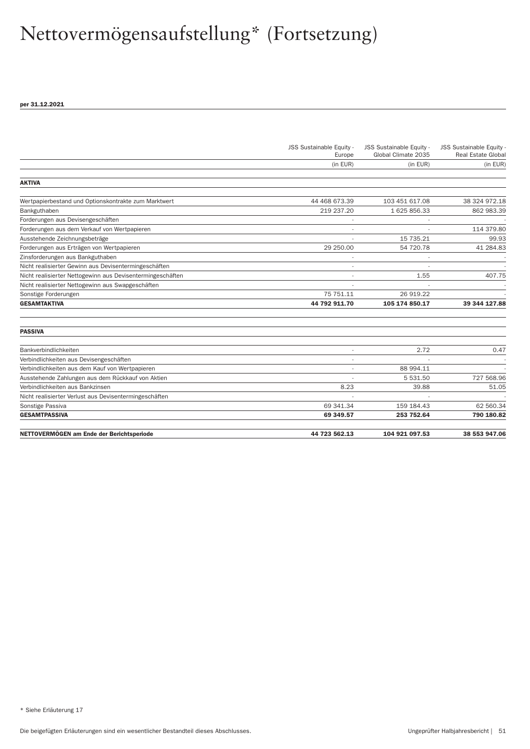|                                                            | JSS Sustainable Equity -<br>Europe | JSS Sustainable Equity -<br>Global Climate 2035 | JSS Sustainable Equity -<br><b>Real Estate Global</b> |
|------------------------------------------------------------|------------------------------------|-------------------------------------------------|-------------------------------------------------------|
|                                                            | (in EUR)                           | (in EUR)                                        | (in EUR)                                              |
|                                                            |                                    |                                                 |                                                       |
| <b>AKTIVA</b>                                              |                                    |                                                 |                                                       |
| Wertpapierbestand und Optionskontrakte zum Marktwert       | 44 468 673.39                      | 103 451 617.08                                  | 38 324 972.18                                         |
| Bankguthaben                                               | 219 237.20                         | 1 625 856.33                                    | 862 983.39                                            |
| Forderungen aus Devisengeschäften                          | $\overline{\phantom{a}}$           |                                                 |                                                       |
| Forderungen aus dem Verkauf von Wertpapieren               |                                    |                                                 | 114 379.80                                            |
| Ausstehende Zeichnungsbeträge                              |                                    | 15 735.21                                       | 99.93                                                 |
| Forderungen aus Erträgen von Wertpapieren                  | 29 250.00                          | 54 720.78                                       | 41 284.83                                             |
| Zinsforderungen aus Bankguthaben                           |                                    |                                                 |                                                       |
| Nicht realisierter Gewinn aus Devisentermingeschäften      |                                    |                                                 |                                                       |
| Nicht realisierter Nettogewinn aus Devisentermingeschäften |                                    | 1.55                                            | 407.75                                                |
| Nicht realisierter Nettogewinn aus Swapgeschäften          |                                    |                                                 |                                                       |
| Sonstige Forderungen                                       | 75 751.11                          | 26 919.22                                       |                                                       |
| <b>GESAMTAKTIVA</b>                                        | 44 792 911.70                      | 105 174 850.17                                  | 39 344 127.88                                         |
| <b>PASSIVA</b>                                             |                                    |                                                 |                                                       |
| Bankverbindlichkeiten                                      | ×,                                 | 2.72                                            | 0.47                                                  |
| Verbindlichkeiten aus Devisengeschäften                    |                                    |                                                 |                                                       |
| Verbindlichkeiten aus dem Kauf von Wertpapieren            |                                    | 88 994.11                                       |                                                       |
| Ausstehende Zahlungen aus dem Rückkauf von Aktien          |                                    | 5 531.50                                        | 727 568.96                                            |
| Verbindlichkeiten aus Bankzinsen                           | 8.23                               | 39.88                                           | 51.05                                                 |
| Nicht realisierter Verlust aus Devisentermingeschäften     |                                    |                                                 |                                                       |
| Sonstige Passiva                                           | 69 341.34                          | 159 184.43                                      | 62 560.34                                             |
| <b>GESAMTPASSIVA</b>                                       | 69 349.57                          | 253 752.64                                      | 790 180.82                                            |
| NETTOVERMÖGEN am Ende der Berichtsperiode                  | 44 723 562.13                      | 104 921 097.53                                  | 38 553 947.06                                         |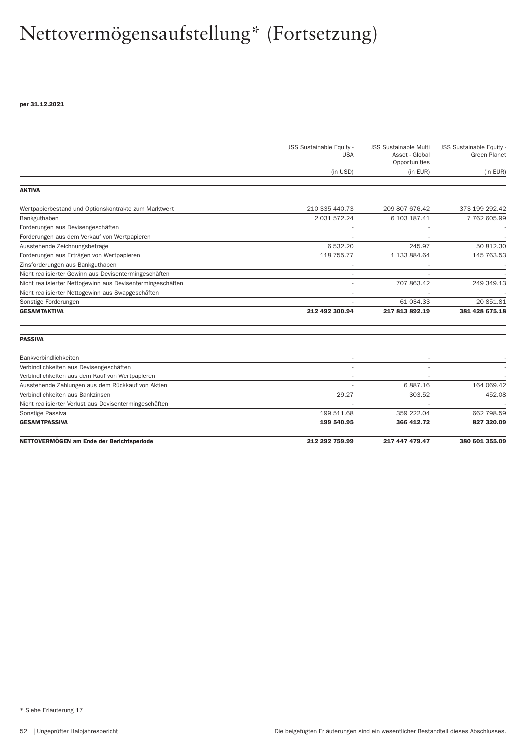|                                                            | JSS Sustainable Equity -<br><b>USA</b> | <b>JSS Sustainable Multi</b><br>Asset - Global<br>Opportunities | JSS Sustainable Equity -<br><b>Green Planet</b> |
|------------------------------------------------------------|----------------------------------------|-----------------------------------------------------------------|-------------------------------------------------|
|                                                            | (in USD)                               | (in EUR)                                                        | (in EUR)                                        |
| <b>AKTIVA</b>                                              |                                        |                                                                 |                                                 |
| Wertpapierbestand und Optionskontrakte zum Marktwert       | 210 335 440.73                         | 209 807 676.42                                                  | 373 199 292.42                                  |
| Bankguthaben                                               | 2 031 572.24                           | 6 103 187.41                                                    | 7 762 605.99                                    |
| Forderungen aus Devisengeschäften                          |                                        |                                                                 |                                                 |
| Forderungen aus dem Verkauf von Wertpapieren               |                                        |                                                                 |                                                 |
| Ausstehende Zeichnungsbeträge                              | 6 532.20                               | 245.97                                                          | 50 812.30                                       |
| Forderungen aus Erträgen von Wertpapieren                  | 118 755.77                             | 1 133 884.64                                                    | 145 763.53                                      |
| Zinsforderungen aus Bankguthaben                           |                                        |                                                                 |                                                 |
| Nicht realisierter Gewinn aus Devisentermingeschäften      |                                        |                                                                 |                                                 |
| Nicht realisierter Nettogewinn aus Devisentermingeschäften |                                        | 707 863.42                                                      | 249 349.13                                      |
| Nicht realisierter Nettogewinn aus Swapgeschäften          | ٠                                      |                                                                 |                                                 |
| Sonstige Forderungen                                       |                                        | 61 034.33                                                       | 20 851.81                                       |
| <b>GESAMTAKTIVA</b>                                        | 212 492 300.94                         | 217 813 892.19                                                  | 381 428 675.18                                  |
| <b>PASSIVA</b>                                             |                                        |                                                                 |                                                 |
| Bankverbindlichkeiten                                      |                                        |                                                                 |                                                 |
| Verbindlichkeiten aus Devisengeschäften                    |                                        |                                                                 |                                                 |
| Verbindlichkeiten aus dem Kauf von Wertpapieren            |                                        |                                                                 |                                                 |
| Ausstehende Zahlungen aus dem Rückkauf von Aktien          |                                        | 6887.16                                                         | 164 069.42                                      |
| Verbindlichkeiten aus Bankzinsen                           | 29.27                                  | 303.52                                                          | 452.08                                          |
| Nicht realisierter Verlust aus Devisentermingeschäften     |                                        |                                                                 |                                                 |
| Sonstige Passiva                                           | 199 511.68                             | 359 222.04                                                      | 662 798.59                                      |
| <b>GESAMTPASSIVA</b>                                       | 199 540.95                             | 366 412.72                                                      | 827 320.09                                      |
| NETTOVERMÖGEN am Ende der Berichtsperiode                  | 212 292 759.99                         | 217 447 479.47                                                  | 380 601 355.09                                  |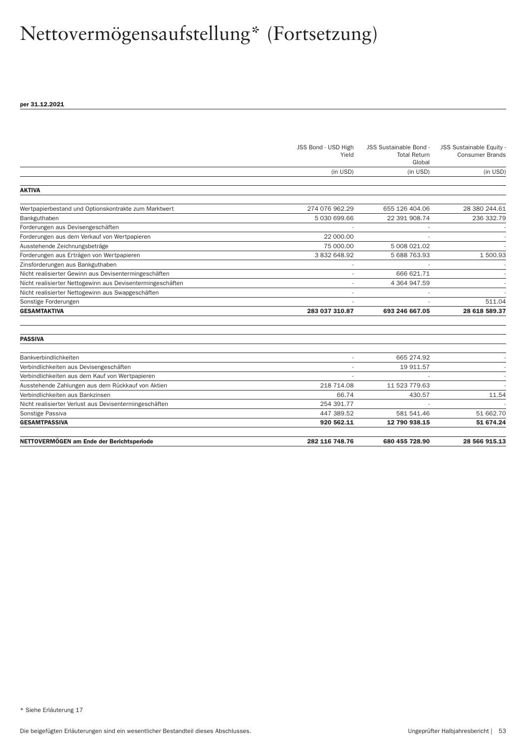|                                                            | JSS Bond - USD High<br>Yield | JSS Sustainable Bond -<br><b>Total Return</b><br>Global | JSS Sustainable Equity -<br><b>Consumer Brands</b> |
|------------------------------------------------------------|------------------------------|---------------------------------------------------------|----------------------------------------------------|
|                                                            | (in USD)                     | (in USD)                                                | (in USD)                                           |
| <b>AKTIVA</b>                                              |                              |                                                         |                                                    |
| Wertpapierbestand und Optionskontrakte zum Marktwert       | 274 076 962.29               | 655 126 404.06                                          | 28 380 244.61                                      |
| Bankguthaben                                               | 5 030 699.66                 | 22 391 908.74                                           | 236 332.79                                         |
| Forderungen aus Devisengeschäften                          |                              |                                                         |                                                    |
| Forderungen aus dem Verkauf von Wertpapieren               | 22 000.00                    |                                                         |                                                    |
| Ausstehende Zeichnungsbeträge                              | 75 000,00                    | 5 008 021.02                                            |                                                    |
| Forderungen aus Erträgen von Wertpapieren                  | 3832648.92                   | 5 688 763.93                                            | 1500.93                                            |
| Zinsforderungen aus Bankguthaben                           |                              |                                                         |                                                    |
| Nicht realisierter Gewinn aus Devisentermingeschäften      |                              | 666 621.71                                              |                                                    |
| Nicht realisierter Nettogewinn aus Devisentermingeschäften |                              | 4 364 947.59                                            |                                                    |
| Nicht realisierter Nettogewinn aus Swapgeschäften          |                              |                                                         |                                                    |
| Sonstige Forderungen                                       |                              |                                                         | 511.04                                             |
| <b>GESAMTAKTIVA</b>                                        | 283 037 310.87               | 693 246 667.05                                          | 28 618 589.37                                      |
| <b>PASSIVA</b>                                             |                              |                                                         |                                                    |
| Bankverbindlichkeiten                                      |                              | 665 274.92                                              |                                                    |
| Verbindlichkeiten aus Devisengeschäften                    |                              | 19 911.57                                               |                                                    |
| Verbindlichkeiten aus dem Kauf von Wertpapieren            |                              |                                                         |                                                    |
| Ausstehende Zahlungen aus dem Rückkauf von Aktien          | 218 714.08                   | 11 523 779.63                                           |                                                    |
| Verbindlichkeiten aus Bankzinsen                           | 66.74                        | 430.57                                                  | 11.54                                              |
| Nicht realisierter Verlust aus Devisentermingeschäften     | 254 391.77                   |                                                         |                                                    |
| Sonstige Passiva                                           | 447 389.52                   | 581 541.46                                              | 51 662.70                                          |
| <b>GESAMTPASSIVA</b>                                       | 920 562.11                   | 12 790 938.15                                           | 51 674.24                                          |
| NETTOVERMÖGEN am Ende der Berichtsperiode                  | 282 116 748.76               | 680 455 728.90                                          | 28 566 915.13                                      |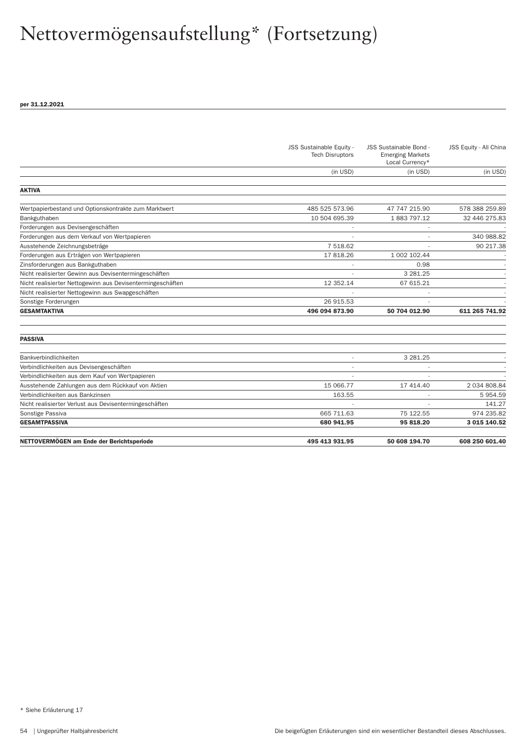| NETTOVERMÖGEN am Ende der Berichtsperiode                  | 495 413 931.95           | 50 608 194.70            | 608 250 601.40         |
|------------------------------------------------------------|--------------------------|--------------------------|------------------------|
| <b>GESAMTPASSIVA</b>                                       | 680 941.95               | 95 818.20                | 3 015 140.52           |
| Sonstige Passiva                                           | 665 711.63               | 75 122.55                | 974 235.82             |
| Nicht realisierter Verlust aus Devisentermingeschäften     |                          |                          | 141.27                 |
| Verbindlichkeiten aus Bankzinsen                           | 163.55                   |                          | 5954.59                |
| Ausstehende Zahlungen aus dem Rückkauf von Aktien          | 15 066.77                | 17 414.40                | 2 034 808.84           |
| Verbindlichkeiten aus dem Kauf von Wertpapieren            |                          |                          |                        |
| Verbindlichkeiten aus Devisengeschäften                    |                          |                          |                        |
| Bankverbindlichkeiten                                      |                          | 3 281.25                 |                        |
| <b>PASSIVA</b>                                             |                          |                          |                        |
|                                                            |                          |                          |                        |
| <b>GESAMTAKTIVA</b>                                        | 496 094 873.90           | 50 704 012.90            | 611 265 741.92         |
| Sonstige Forderungen                                       | 26 915.53                |                          |                        |
| Nicht realisierter Nettogewinn aus Swapgeschäften          |                          | $\overline{\phantom{a}}$ |                        |
| Nicht realisierter Nettogewinn aus Devisentermingeschäften | 12 352.14                | 67 615.21                |                        |
| Nicht realisierter Gewinn aus Devisentermingeschäften      |                          | 3 281.25                 |                        |
| Zinsforderungen aus Bankguthaben                           |                          | 0.98                     |                        |
| Forderungen aus Erträgen von Wertpapieren                  | 17818.26                 | 1 002 102.44             |                        |
| Ausstehende Zeichnungsbeträge                              | 7 518.62                 |                          | 90 217.38              |
| Forderungen aus dem Verkauf von Wertpapieren               |                          |                          | 340 988.82             |
| Forderungen aus Devisengeschäften                          |                          |                          |                        |
| Bankguthaben                                               | 10 504 695.39            | 1883797.12               | 32 446 275.83          |
| Wertpapierbestand und Optionskontrakte zum Marktwert       | 485 525 573.96           | 47 747 215.90            | 578 388 259.89         |
| <b>AKTIVA</b>                                              |                          |                          |                        |
|                                                            | (in USD)                 | (in USD)                 | (in USD)               |
|                                                            |                          | Local Currency*          |                        |
|                                                            | <b>Tech Disruptors</b>   | <b>Emerging Markets</b>  |                        |
|                                                            | JSS Sustainable Equity - | JSS Sustainable Bond -   | JSS Equity - All China |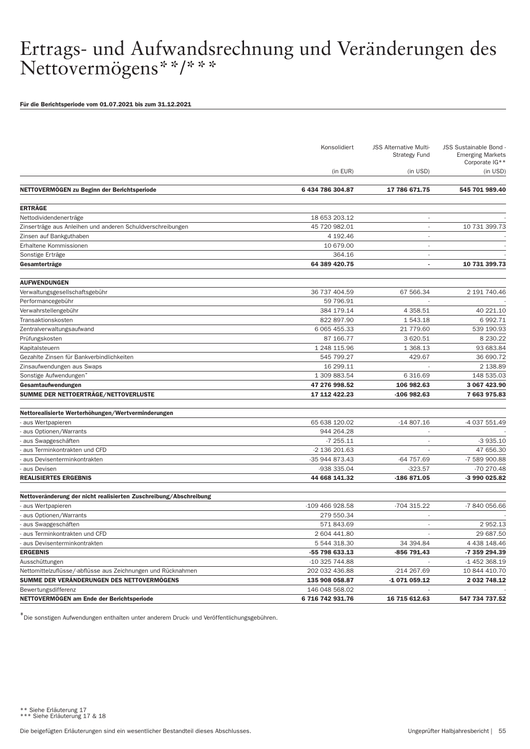Für die Berichtsperiode vom 01.07.2021 bis zum 31.12.2021

|                                                                   | Konsolidiert     | <b>JSS Alternative Multi-</b><br><b>Strategy Fund</b> | JSS Sustainable Bond -<br><b>Emerging Markets</b><br>Corporate IG** |
|-------------------------------------------------------------------|------------------|-------------------------------------------------------|---------------------------------------------------------------------|
|                                                                   | (in EUR)         | (in USD)                                              | (in USD)                                                            |
| NETTOVERMÖGEN zu Beginn der Berichtsperiode                       | 6 434 786 304.87 | 17 786 671.75                                         | 545 701 989.40                                                      |
| <b>ERTRÄGE</b>                                                    |                  |                                                       |                                                                     |
| Nettodividendenerträge                                            | 18 653 203.12    | $\overline{\phantom{a}}$                              |                                                                     |
| Zinserträge aus Anleihen und anderen Schuldverschreibungen        | 45 720 982.01    |                                                       | 10 731 399.73                                                       |
| Zinsen auf Bankguthaben                                           | 4 192.46         | $\overline{\phantom{a}}$                              |                                                                     |
| Erhaltene Kommissionen                                            | 10 679.00        | $\overline{a}$                                        |                                                                     |
| Sonstige Erträge                                                  | 364.16           | $\overline{\phantom{a}}$                              |                                                                     |
| Gesamterträge                                                     | 64 389 420.75    | $\blacksquare$                                        | 10 731 399.73                                                       |
| <b>AUFWENDUNGEN</b>                                               |                  |                                                       |                                                                     |
| Verwaltungsgesellschaftsgebühr                                    | 36 737 404.59    | 67 566.34                                             | 2 191 740.46                                                        |
| Performancegebühr                                                 | 59 796.91        |                                                       |                                                                     |
| Verwahrstellengebühr                                              | 384 179.14       | 4 3 58.51                                             | 40 221.10                                                           |
| Transaktionskosten                                                | 822 897.90       | 1 543.18                                              | 6 992.71                                                            |
| Zentralverwaltungsaufwand                                         | 6 0 65 4 5 5.33  | 21 779.60                                             | 539 190.93                                                          |
| Prüfungskosten                                                    | 87 166.77        | 3 620.51                                              | 8 2 3 0.2 2                                                         |
| Kapitalsteuern                                                    | 1 248 115.96     | 1 368.13                                              | 93 683.84                                                           |
| Gezahlte Zinsen für Bankverbindlichkeiten                         | 545 799.27       | 429.67                                                | 36 690.72                                                           |
| Zinsaufwendungen aus Swaps                                        | 16 299.11        |                                                       | 2 138.89                                                            |
| Sonstige Aufwendungen                                             | 1 309 883.54     | 6 316.69                                              | 148 535.03                                                          |
| Gesamtaufwendungen                                                | 47 276 998.52    | 106 982.63                                            | 3 067 423.90                                                        |
| SUMME DER NETTOERTRÄGE/NETTOVERLUSTE                              | 17 112 422.23    | -106 982.63                                           | 7 663 975.83                                                        |
|                                                                   |                  |                                                       |                                                                     |
| Nettorealisierte Werterhöhungen/Wertverminderungen                |                  |                                                       |                                                                     |
| aus Wertpapieren                                                  | 65 638 120.02    | $-14807.16$                                           | -4 037 551.49                                                       |
| aus Optionen/Warrants                                             | 944 264.28       |                                                       |                                                                     |
| aus Swapgeschäften                                                | $-7255.11$       |                                                       | $-3935.10$                                                          |
| aus Terminkontrakten und CFD                                      | -2 136 201.63    |                                                       | 47 656.30                                                           |
| aus Devisenterminkontrakten                                       | -35 944 873.43   | -64 757.69                                            | -7 589 900.88                                                       |
| aus Devisen                                                       | -938 335.04      | $-323.57$                                             | -70 270.48                                                          |
| <b>REALISIERTES ERGEBNIS</b>                                      | 44 668 141.32    | -186 871.05                                           | -3 990 025.82                                                       |
| Nettoveränderung der nicht realisierten Zuschreibung/Abschreibung |                  |                                                       |                                                                     |
| aus Wertpapieren                                                  | -109 466 928.58  | -704 315.22                                           | -7 840 056.66                                                       |
| aus Optionen/Warrants                                             | 279 550.34       |                                                       |                                                                     |
| aus Swapgeschäften                                                | 571 843.69       | $\overline{\phantom{a}}$                              | 2 952.13                                                            |
| aus Terminkontrakten und CFD                                      | 2 604 441.80     |                                                       | 29 687.50                                                           |
| - aus Devisenterminkontrakten                                     | 5 544 318.30     | 34 394.84                                             | 4 438 148.46                                                        |
| <b>ERGEBNIS</b>                                                   | -55 798 633.13   | -856 791.43                                           | -7 359 294.39                                                       |
| Ausschüttungen                                                    | -10 325 744.88   |                                                       | -1 452 368.19                                                       |
| Nettomittelzuflüsse/-abflüsse aus Zeichnungen und Rücknahmen      | 202 032 436.88   | -214 267.69                                           | 10 844 410.70                                                       |
| SUMME DER VERÄNDERUNGEN DES NETTOVERMÖGENS                        | 135 908 058.87   | -1 071 059.12                                         | 2 032 748.12                                                        |
| Bewertungsdifferenz                                               | 146 048 568.02   |                                                       |                                                                     |
| NETTOVERMÖGEN am Ende der Berichtsperiode                         | 6 716 742 931.76 | 16 715 612.63                                         | 547 734 737.52                                                      |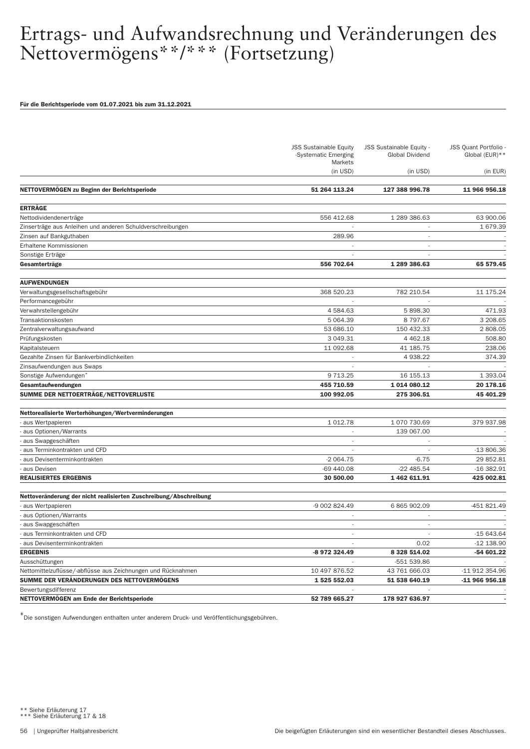#### Für die Berichtsperiode vom 01.07.2021 bis zum 31.12.2021

|                                                                   | <b>JSS Sustainable Equity</b><br>-Systematic Emerging<br>Markets | JSS Sustainable Equity -<br>Global Dividend | <b>JSS Quant Portfolio</b><br>Global (EUR)** |
|-------------------------------------------------------------------|------------------------------------------------------------------|---------------------------------------------|----------------------------------------------|
|                                                                   | (in USD)                                                         | (in USD)                                    | (in EUR)                                     |
| NETTOVERMÖGEN zu Beginn der Berichtsperiode                       | 51 264 113.24                                                    | 127 388 996.78                              | 11 966 956.18                                |
| <b>ERTRÄGE</b>                                                    |                                                                  |                                             |                                              |
| Nettodividendenerträge                                            | 556 412.68                                                       | 1 289 386.63                                | 63 900.06                                    |
| Zinserträge aus Anleihen und anderen Schuldverschreibungen        |                                                                  | $\overline{\phantom{a}}$                    | 1 679.39                                     |
| Zinsen auf Bankguthaben                                           | 289.96                                                           |                                             |                                              |
| Erhaltene Kommissionen                                            |                                                                  | $\overline{\phantom{a}}$                    |                                              |
| Sonstige Erträge                                                  |                                                                  |                                             |                                              |
| Gesamterträge                                                     | 556 702.64                                                       | 1 289 386.63                                | 65 579.45                                    |
| <b>AUFWENDUNGEN</b>                                               |                                                                  |                                             |                                              |
| Verwaltungsgesellschaftsgebühr                                    | 368 520.23                                                       | 782 210.54                                  | 11 175.24                                    |
| Performancegebühr                                                 |                                                                  |                                             |                                              |
| Verwahrstellengebühr                                              | 4 584.63                                                         | 5 898.30                                    | 471.93                                       |
| Transaktionskosten                                                | 5 0 64.39                                                        | 8 797.67                                    | 3 208.65                                     |
| Zentralverwaltungsaufwand                                         | 53 686.10                                                        | 150 432.33                                  | 2 808.05                                     |
| Prüfungskosten                                                    | 3 049.31                                                         | 4 4 6 2.18                                  | 508.80                                       |
| Kapitalsteuern                                                    | 11 092.68                                                        | 41 185.75                                   | 238.06                                       |
| Gezahlte Zinsen für Bankverbindlichkeiten                         | $\sim$                                                           | 4 9 38.22                                   | 374.39                                       |
| Zinsaufwendungen aus Swaps                                        |                                                                  |                                             |                                              |
| Sonstige Aufwendungen <sup>*</sup>                                | 9 7 1 3.25                                                       | 16 155.13                                   | 1 393.04                                     |
| Gesamtaufwendungen                                                | 455 710.59                                                       | 1 014 080.12                                | 20 178.16                                    |
| SUMME DER NETTOERTRÄGE/NETTOVERLUSTE                              | 100 992.05                                                       | 275 306.51                                  | 45 401.29                                    |
| Nettorealisierte Werterhöhungen/Wertverminderungen                |                                                                  |                                             |                                              |
| - aus Wertpapieren                                                | 1 0 1 2.78                                                       | 1 070 730.69                                | 379 937.98                                   |
| aus Optionen/Warrants                                             |                                                                  | 139 067.00                                  |                                              |
| aus Swapgeschäften                                                | $\overline{\phantom{a}}$                                         |                                             |                                              |
| aus Terminkontrakten und CFD                                      |                                                                  |                                             | $-13806.36$                                  |
| aus Devisenterminkontrakten                                       | $-2064.75$                                                       | $-6.75$                                     | 29 852.81                                    |
| aus Devisen                                                       | -69 440.08                                                       | $-22485.54$                                 | $-16382.91$                                  |
| <b>REALISIERTES ERGEBNIS</b>                                      | 30 500.00                                                        | 1 462 611.91                                | 425 002.81                                   |
| Nettoveränderung der nicht realisierten Zuschreibung/Abschreibung |                                                                  |                                             |                                              |
| - aus Wertpapieren                                                | -9 002 824.49                                                    | 6 865 902.09                                | -451 821.49                                  |
| aus Optionen/Warrants                                             |                                                                  |                                             |                                              |
| aus Swapgeschäften                                                |                                                                  | $\overline{\phantom{a}}$                    |                                              |
| aus Terminkontrakten und CFD                                      |                                                                  |                                             | $-15643.64$                                  |
| - aus Devisenterminkontrakten                                     |                                                                  | 0.02                                        | $-12$ 138.90                                 |
| <b>ERGEBNIS</b>                                                   | -8 972 324.49                                                    | 8 328 514.02                                | -54 601.22                                   |
| Ausschüttungen                                                    |                                                                  | -551 539.86                                 |                                              |
| Nettomittelzuflüsse/-abflüsse aus Zeichnungen und Rücknahmen      | 10 497 876.52                                                    | 43 761 666.03                               | -11 912 354.96                               |
| SUMME DER VERÄNDERUNGEN DES NETTOVERMÖGENS                        | 1 525 552.03                                                     | 51 538 640.19                               | -11 966 956.18                               |
| Bewertungsdifferenz                                               |                                                                  |                                             |                                              |
| NETTOVERMÖGEN am Ende der Berichtsperiode                         | 52 789 665.27                                                    | 178 927 636.97                              |                                              |

\*Die sonstigen Aufwendungen enthalten unter anderem Druck- und Veröffentlichungsgebühren.

\*\* Siehe Erläuterung 17 \*\*\* Siehe Erläuterung 17 & 18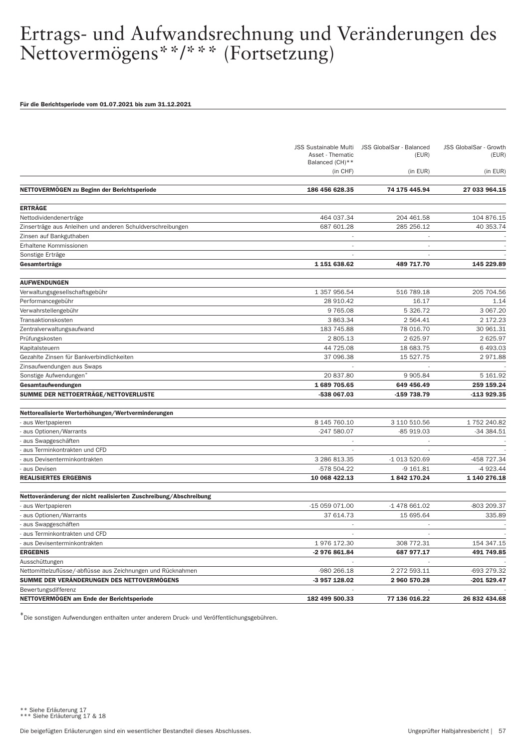#### Für die Berichtsperiode vom 01.07.2021 bis zum 31.12.2021

|                                                                   | <b>JSS Sustainable Multi</b><br>Asset - Thematic<br>Balanced (CH)** | JSS GlobalSar - Balanced<br>(EUR) | JSS GlobalSar - Growth<br>(EUR) |
|-------------------------------------------------------------------|---------------------------------------------------------------------|-----------------------------------|---------------------------------|
|                                                                   | (in CHF)                                                            | (in EUR)                          | (in EUR)                        |
| NETTOVERMÖGEN zu Beginn der Berichtsperiode                       | 186 456 628.35                                                      | 74 175 445.94                     | 27 033 964.15                   |
| <b>ERTRÄGE</b>                                                    |                                                                     |                                   |                                 |
| Nettodividendenerträge                                            | 464 037.34                                                          | 204 461.58                        | 104 876.15                      |
| Zinserträge aus Anleihen und anderen Schuldverschreibungen        | 687 601.28                                                          | 285 256.12                        | 40 353.74                       |
| Zinsen auf Bankguthaben                                           |                                                                     |                                   |                                 |
| Erhaltene Kommissionen                                            |                                                                     |                                   |                                 |
| Sonstige Erträge                                                  |                                                                     |                                   |                                 |
| Gesamterträge                                                     | 1 151 638.62                                                        | 489 717.70                        | 145 229.89                      |
| <b>AUFWENDUNGEN</b>                                               |                                                                     |                                   |                                 |
| Verwaltungsgesellschaftsgebühr                                    | 1 357 956.54                                                        | 516 789.18                        | 205 704.56                      |
| Performancegebühr                                                 | 28 910.42                                                           | 16.17                             | 1.14                            |
| Verwahrstellengebühr                                              | 9 7 6 5 . 0 8                                                       | 5 326.72                          | 3 067.20                        |
| Transaktionskosten                                                | 3 863.34                                                            | 2 5 64.41                         | 2 172.23                        |
| Zentralverwaltungsaufwand                                         | 183 745.88                                                          | 78 016.70                         | 30 961.31                       |
| Prüfungskosten                                                    | 2 805.13                                                            | 2 625.97                          | 2 625.97                        |
| Kapitalsteuern                                                    | 44 725.08                                                           | 18 683.75                         | 6 493.03                        |
| Gezahlte Zinsen für Bankverbindlichkeiten                         | 37 096.38                                                           | 15 527.75                         | 2971.88                         |
| Zinsaufwendungen aus Swaps                                        |                                                                     |                                   |                                 |
| Sonstige Aufwendungen <sup>3</sup>                                | 20 837.80                                                           | 9 9 0 5.84                        | 5 161.92                        |
| Gesamtaufwendungen                                                | 1689 705.65                                                         | 649 456.49                        | 259 159.24                      |
| SUMME DER NETTOERTRÄGE/NETTOVERLUSTE                              | -538 067.03                                                         | -159 738.79                       | -113 929.35                     |
| Nettorealisierte Werterhöhungen/Wertverminderungen                |                                                                     |                                   |                                 |
| - aus Wertpapieren                                                | 8 145 760.10                                                        | 3 110 510.56                      | 1752 240.82                     |
| aus Optionen/Warrants                                             | -247 580.07                                                         | -85 919.03                        | -34 384.51                      |
| aus Swapgeschäften                                                |                                                                     |                                   |                                 |
| aus Terminkontrakten und CFD                                      |                                                                     |                                   |                                 |
| aus Devisenterminkontrakten                                       | 3 286 813.35                                                        | -1 013 520.69                     | -458 727.34                     |
| aus Devisen                                                       | -578 504.22                                                         | $-9161.81$                        | -4 923.44                       |
| <b>REALISIERTES ERGEBNIS</b>                                      | 10 068 422.13                                                       | 1842 170.24                       | 1 140 276.18                    |
| Nettoveränderung der nicht realisierten Zuschreibung/Abschreibung |                                                                     |                                   |                                 |
| - aus Wertpapieren                                                | -15 059 071.00                                                      | -1 478 661.02                     | -803 209.37                     |
| aus Optionen/Warrants                                             | 37 614.73                                                           | 15 695.64                         | 335.89                          |
| aus Swapgeschäften                                                | $\sim$                                                              | $\overline{\phantom{a}}$          |                                 |
| aus Terminkontrakten und CFD                                      |                                                                     |                                   |                                 |
| - aus Devisenterminkontrakten                                     | 1976 172.30                                                         | 308 772.31                        | 154 347.15                      |
| <b>ERGEBNIS</b>                                                   | -2 976 861.84                                                       | 687 977.17                        | 491 749.85                      |
| Ausschüttungen                                                    |                                                                     |                                   |                                 |
| Nettomittelzuflüsse/-abflüsse aus Zeichnungen und Rücknahmen      | -980 266.18                                                         | 2 272 593.11                      | -693 279.32                     |
| SUMME DER VERÄNDERUNGEN DES NETTOVERMÖGENS                        | -3 957 128.02                                                       | 2 960 570.28                      | -201 529.47                     |
| Bewertungsdifferenz                                               |                                                                     |                                   |                                 |
| NETTOVERMOGEN am Ende der Berichtsperiode                         | 182 499 500.33                                                      | 77 136 016.22                     | 26 832 434.68                   |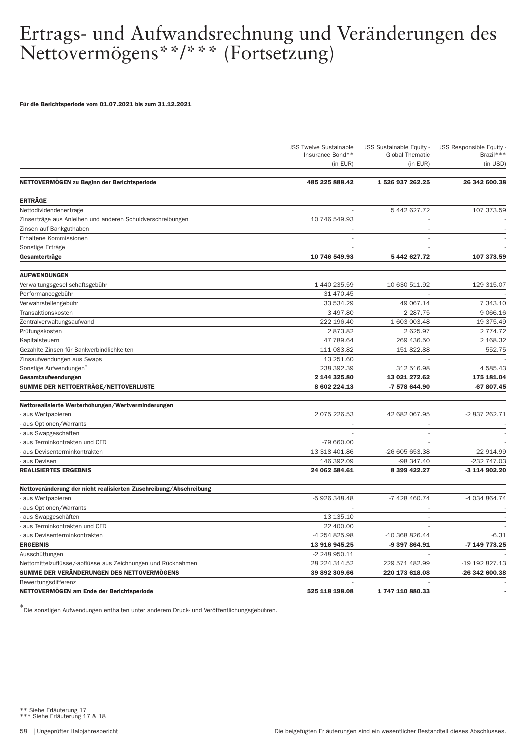#### Für die Berichtsperiode vom 01.07.2021 bis zum 31.12.2021

|                                                                   | <b>JSS Twelve Sustainable</b><br>Insurance Bond** | JSS Sustainable Equity -<br><b>Global Thematic</b> | <b>JSS Responsible Equity</b><br>Brazil*** |
|-------------------------------------------------------------------|---------------------------------------------------|----------------------------------------------------|--------------------------------------------|
|                                                                   | (in EUR)                                          | (in EUR)                                           | $(in$ USD)                                 |
| NETTOVERMÖGEN zu Beginn der Berichtsperiode                       | 485 225 888.42                                    | 1 526 937 262.25                                   | 26 342 600.38                              |
| <b>ERTRÄGE</b>                                                    |                                                   |                                                    |                                            |
| Nettodividendenerträge                                            |                                                   | 5 442 627.72                                       | 107 373.59                                 |
| Zinserträge aus Anleihen und anderen Schuldverschreibungen        | 10 746 549.93                                     | $\overline{\phantom{a}}$                           |                                            |
| Zinsen auf Bankguthaben                                           |                                                   | ٠                                                  |                                            |
| Erhaltene Kommissionen                                            | $\overline{\phantom{a}}$                          | $\overline{\phantom{a}}$                           |                                            |
| Sonstige Erträge                                                  |                                                   |                                                    |                                            |
| Gesamterträge                                                     | 10 746 549.93                                     | 5 442 627.72                                       | 107 373.59                                 |
| <b>AUFWENDUNGEN</b>                                               |                                                   |                                                    |                                            |
| Verwaltungsgesellschaftsgebühr                                    | 1 440 235.59                                      | 10 630 511.92                                      | 129 315.07                                 |
| Performancegebühr                                                 | 31 470.45                                         |                                                    |                                            |
| Verwahrstellengebühr                                              | 33 534.29                                         | 49 067.14                                          | 7 343.10                                   |
| Transaktionskosten                                                | 3 497.80                                          | 2 2 8 7 . 7 5                                      | 9 0 66.16                                  |
| Zentralverwaltungsaufwand                                         | 222 196.40                                        | 1 603 003.48                                       | 19 375.49                                  |
| Prüfungskosten                                                    | 2873.82                                           | 2 625.97                                           | 2 7 7 4 . 7 2                              |
| Kapitalsteuern                                                    | 47 789.64                                         | 269 436.50                                         | 2 168.32                                   |
| Gezahlte Zinsen für Bankverbindlichkeiten                         | 111 083.82                                        | 151 822.88                                         | 552.75                                     |
| Zinsaufwendungen aus Swaps                                        | 13 251.60                                         | $\overline{a}$                                     |                                            |
| Sonstige Aufwendungen <sup>®</sup>                                | 238 392.39                                        | 312 516.98                                         | 4 585.43                                   |
| Gesamtaufwendungen                                                | 2 144 325.80                                      | 13 021 272.62                                      | 175 181.04                                 |
| SUMME DER NETTOERTRÄGE/NETTOVERLUSTE                              | 8 602 224.13                                      | -7 578 644.90                                      | -67 807.45                                 |
| Nettorealisierte Werterhöhungen/Wertverminderungen                |                                                   |                                                    |                                            |
| aus Wertpapieren                                                  | 2 075 226.53                                      | 42 682 067.95                                      | -2 837 262.71                              |
| aus Optionen/Warrants                                             |                                                   |                                                    |                                            |
| aus Swapgeschäften                                                |                                                   | ÷,                                                 |                                            |
| aus Terminkontrakten und CFD                                      | -79 660.00                                        |                                                    |                                            |
| aus Devisenterminkontrakten                                       | 13 318 401.86                                     | -26 605 653.38                                     | 22 914.99                                  |
| aus Devisen                                                       | 146 392.09                                        | -98 347.40                                         | -232 747.03                                |
| <b>REALISIERTES ERGEBNIS</b>                                      | 24 062 584.61                                     | 8 399 422.27                                       | -3 114 902.20                              |
| Nettoveränderung der nicht realisierten Zuschreibung/Abschreibung |                                                   |                                                    |                                            |
| aus Wertpapieren                                                  | -5 926 348.48                                     | -7 428 460.74                                      | -4 034 864.74                              |
| aus Optionen/Warrants                                             |                                                   | ٠                                                  |                                            |
| aus Swapgeschäften                                                | 13 135.10                                         | ÷                                                  |                                            |
| aus Terminkontrakten und CFD                                      | 22 400.00                                         |                                                    |                                            |
| aus Devisenterminkontrakten                                       | -4 254 825.98                                     | -10 368 826.44                                     | $-6.31$                                    |
| <b>ERGEBNIS</b>                                                   | 13 916 945.25                                     | -9 397 864.91                                      | -7 149 773.25                              |
| Ausschüttungen                                                    | -2 248 950.11                                     |                                                    |                                            |
| Nettomittelzuflüsse/-abflüsse aus Zeichnungen und Rücknahmen      | 28 224 314.52                                     | 229 571 482.99                                     | -19 192 827.13                             |
| SUMME DER VERÄNDERUNGEN DES NETTOVERMÖGENS                        | 39 892 309.66                                     | 220 173 618.08                                     | -26 342 600.38                             |
| Bewertungsdifferenz                                               |                                                   |                                                    |                                            |
| NETTOVERMÖGEN am Ende der Berichtsperiode                         | 525 118 198.08                                    | 1747110880.33                                      |                                            |

<sup>\*\*</sup> Siehe Erläuterung 17 \*\*\* Siehe Erläuterung 17 & 18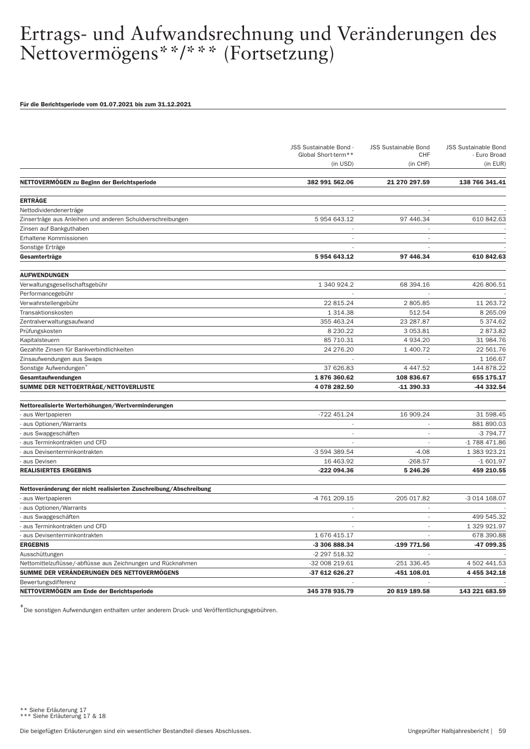#### Für die Berichtsperiode vom 01.07.2021 bis zum 31.12.2021

|                                                                   | JSS Sustainable Bond -<br>Global Short-term**<br>(in USD) | <b>JSS Sustainable Bond</b><br><b>CHF</b> | <b>JSS Sustainable Bond</b><br>- Euro Broad |
|-------------------------------------------------------------------|-----------------------------------------------------------|-------------------------------------------|---------------------------------------------|
|                                                                   |                                                           | (in CHF)                                  | (in EUR)                                    |
| NETTOVERMOGEN zu Beginn der Berichtsperiode                       | 382 991 562.06                                            | 21 270 297.59                             | 138 766 341.41                              |
| <b>ERTRÄGE</b>                                                    |                                                           |                                           |                                             |
| Nettodividendenerträge                                            |                                                           |                                           |                                             |
| Zinserträge aus Anleihen und anderen Schuldverschreibungen        | 5 954 643.12                                              | 97 446.34                                 | 610 842.63                                  |
| Zinsen auf Bankguthaben                                           |                                                           |                                           |                                             |
| Erhaltene Kommissionen                                            | $\sim$                                                    | ÷,                                        |                                             |
| Sonstige Erträge                                                  |                                                           |                                           |                                             |
| Gesamterträge                                                     | 5954643.12                                                | 97 446.34                                 | 610 842.63                                  |
| <b>AUFWENDUNGEN</b>                                               |                                                           |                                           |                                             |
| Verwaltungsgesellschaftsgebühr                                    | 1 340 924.2                                               | 68 394.16                                 | 426 806.51                                  |
| Performancegebühr                                                 |                                                           |                                           |                                             |
| Verwahrstellengebühr                                              | 22 815.24                                                 | 2805.85                                   | 11 263.72                                   |
| Transaktionskosten                                                | 1 3 1 4 . 3 8                                             | 512.54                                    | 8 2 6 5 . 0 9                               |
| Zentralverwaltungsaufwand                                         | 355 463.24                                                | 23 287.87                                 | 5 374.62                                    |
| Prüfungskosten                                                    | 8 2 3 0.2 2                                               | 3 0 5 3 . 8 1                             | 2873.82                                     |
| Kapitalsteuern                                                    | 85 710.31                                                 | 4 9 3 4 . 20                              | 31 984.76                                   |
| Gezahlte Zinsen für Bankverbindlichkeiten                         | 24 276.20                                                 | 1 400.72                                  | 22 561.76                                   |
| Zinsaufwendungen aus Swaps                                        |                                                           |                                           | 1 166.67                                    |
| Sonstige Aufwendungen <sup>*</sup>                                | 37 626.83                                                 | 4 4 4 7 .5 2                              | 144 878.22                                  |
| Gesamtaufwendungen                                                | 1876360.62                                                | 108 836.67                                | 655 175.17                                  |
| SUMME DER NETTOERTRÄGE/NETTOVERLUSTE                              | 4 078 282.50                                              | -11 390.33                                | -44 332.54                                  |
| Nettorealisierte Werterhöhungen/Wertverminderungen                |                                                           |                                           |                                             |
| aus Wertpapieren                                                  | -722 451.24                                               | 16 909.24                                 | 31 598.45                                   |
| aus Optionen/Warrants                                             | $\overline{\phantom{a}}$                                  | $\overline{\phantom{a}}$                  | 881 890.03                                  |
| aus Swapgeschäften                                                | ÷                                                         | J.                                        | -3 794.77                                   |
| aus Terminkontrakten und CFD                                      | ÷                                                         | L,                                        | -1 788 471.86                               |
| aus Devisenterminkontrakten                                       | -3 594 389.54                                             | $-4.08$                                   | 1 383 923.21                                |
| aus Devisen                                                       | 16 463.92                                                 | $-268.57$                                 | $-1601.97$                                  |
| <b>REALISIERTES ERGEBNIS</b>                                      | -222 094.36                                               | 5 246.26                                  | 459 210.55                                  |
| Nettoveränderung der nicht realisierten Zuschreibung/Abschreibung |                                                           |                                           |                                             |
| aus Wertpapieren                                                  | -4 761 209.15                                             | -205 017.82                               | -3 014 168.07                               |
| aus Optionen/Warrants                                             |                                                           |                                           |                                             |
| aus Swapgeschäften                                                | $\overline{\phantom{a}}$                                  | L.                                        | 499 545.32                                  |
| aus Terminkontrakten und CFD                                      |                                                           | ٠                                         | 1 329 921.97                                |
| aus Devisenterminkontrakten                                       | 1 676 415.17                                              | L,                                        | 678 390.88                                  |
| <b>ERGEBNIS</b>                                                   | -3 306 888.34                                             | -199 771.56                               | -47 099.35                                  |
| Ausschüttungen                                                    | -2 297 518.32                                             |                                           |                                             |
| Nettomittelzuflüsse/-abflüsse aus Zeichnungen und Rücknahmen      | -32 008 219.61                                            | $-251336.45$                              | 4 502 441.53                                |
| SUMME DER VERÄNDERUNGEN DES NETTOVERMÖGENS                        | -37 612 626.27                                            | -451 108.01                               | 4 4 5 5 3 4 2.18                            |
| Bewertungsdifferenz                                               |                                                           |                                           |                                             |
| NETTOVERMÖGEN am Ende der Berichtsperiode                         | 345 378 935.79                                            | 20 819 189.58                             | 143 221 683.59                              |

<sup>\*\*</sup> Siehe Erläuterung 17 \*\*\* Siehe Erläuterung 17 & 18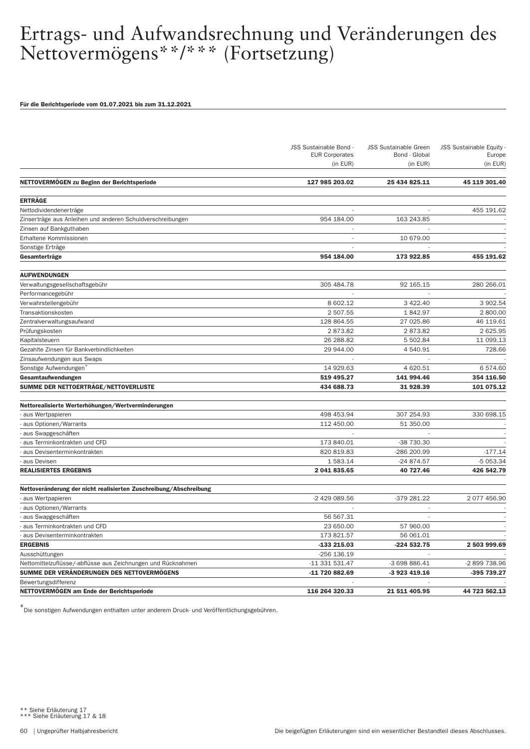#### Für die Berichtsperiode vom 01.07.2021 bis zum 31.12.2021

|                                                                   | JSS Sustainable Bond -<br><b>EUR Corporates</b><br>(in EUR) | <b>JSS Sustainable Green</b><br>Bond - Global<br>(in EUR) | <b>JSS Sustainable Equity</b><br>Europe<br>(in EUR) |
|-------------------------------------------------------------------|-------------------------------------------------------------|-----------------------------------------------------------|-----------------------------------------------------|
| NETTOVERMÖGEN zu Beginn der Berichtsperiode                       | 127 985 203.02                                              | 25 434 825.11                                             | 45 119 301.40                                       |
|                                                                   |                                                             |                                                           |                                                     |
| <b>ERTRÄGE</b>                                                    |                                                             |                                                           |                                                     |
| Nettodividendenerträge                                            |                                                             |                                                           | 455 191.62                                          |
| Zinserträge aus Anleihen und anderen Schuldverschreibungen        | 954 184.00                                                  | 163 243.85                                                |                                                     |
| Zinsen auf Bankguthaben                                           |                                                             |                                                           |                                                     |
| Erhaltene Kommissionen                                            | $\sim$                                                      | 10 679.00                                                 |                                                     |
| Sonstige Erträge                                                  |                                                             |                                                           |                                                     |
| Gesamterträge                                                     | 954 184.00                                                  | 173 922.85                                                | 455 191.62                                          |
| <b>AUFWENDUNGEN</b>                                               |                                                             |                                                           |                                                     |
| Verwaltungsgesellschaftsgebühr                                    | 305 484.78                                                  | 92 165.15                                                 | 280 266.01                                          |
| Performancegebühr                                                 | $\sim$                                                      |                                                           |                                                     |
| Verwahrstellengebühr                                              | 8 602.12                                                    | 3 4 2 2.40                                                | 3 902.54                                            |
| Transaktionskosten                                                | 2 507.55                                                    | 1842.97                                                   | 2 800.00                                            |
| Zentralverwaltungsaufwand                                         | 128 864.55                                                  | 27 025.86                                                 | 46 119.61                                           |
| Prüfungskosten                                                    | 2873.82                                                     | 2873.82                                                   | 2 625.95                                            |
| Kapitalsteuern                                                    | 26 288.82                                                   | 5 502.84                                                  | 11 099.13                                           |
| Gezahlte Zinsen für Bankverbindlichkeiten                         | 29 944.00                                                   | 4 540.91                                                  | 728.66                                              |
| Zinsaufwendungen aus Swaps                                        |                                                             | J.                                                        |                                                     |
| Sonstige Aufwendungen                                             | 14 929.63                                                   | 4 620.51                                                  | 6 574.60                                            |
| Gesamtaufwendungen                                                | 519 495.27                                                  | 141 994.46                                                | 354 116.50                                          |
| SUMME DER NETTOERTRÄGE/NETTOVERLUSTE                              | 434 688.73                                                  | 31 928.39                                                 | 101 075.12                                          |
|                                                                   |                                                             |                                                           |                                                     |
| Nettorealisierte Werterhöhungen/Wertverminderungen                |                                                             |                                                           |                                                     |
| aus Wertpapieren                                                  | 498 453.94                                                  | 307 254.93                                                | 330 698.15                                          |
| aus Optionen/Warrants                                             | 112 450.00                                                  | 51 350.00                                                 |                                                     |
| aus Swapgeschäften                                                |                                                             |                                                           |                                                     |
| aus Terminkontrakten und CFD                                      | 173 840.01                                                  | -38 730.30                                                |                                                     |
| aus Devisenterminkontrakten                                       | 820 819.83                                                  | -286 200.99                                               | $-177.14$                                           |
| aus Devisen                                                       | 1 583.14                                                    | -24 874.57                                                | -5 053.34                                           |
| <b>REALISIERTES ERGEBNIS</b>                                      | 2 041 835.65                                                | 40 727.46                                                 | 426 542.79                                          |
| Nettoveränderung der nicht realisierten Zuschreibung/Abschreibung |                                                             |                                                           |                                                     |
| aus Wertpapieren                                                  | -2 429 089.56                                               | -379 281.22                                               | 2077456.90                                          |
| aus Optionen/Warrants                                             |                                                             |                                                           |                                                     |
| aus Swapgeschäften                                                | 56 567.31                                                   |                                                           |                                                     |
| aus Terminkontrakten und CFD                                      | 23 650.00                                                   | 57 960.00                                                 |                                                     |
| aus Devisenterminkontrakten                                       | 173 821.57                                                  | 56 061.01                                                 |                                                     |
| <b>ERGEBNIS</b>                                                   | -133 215.03                                                 | -224 532.75                                               | 2 503 999.69                                        |
| Ausschüttungen                                                    | -256 136.19                                                 |                                                           |                                                     |
| Nettomittelzuflüsse/-abflüsse aus Zeichnungen und Rücknahmen      | -11 331 531.47                                              | -3 698 886.41                                             | -2 899 738.96                                       |
| SUMME DER VERÄNDERUNGEN DES NETTOVERMÖGENS                        | -11 720 882.69                                              | -3 923 419.16                                             | -395 739.27                                         |
| Bewertungsdifferenz                                               |                                                             |                                                           |                                                     |
| NETTOVERMÖGEN am Ende der Berichtsperiode                         | 116 264 320.33                                              | 21 511 405.95                                             | 44 723 562.13                                       |

<sup>\*\*</sup> Siehe Erläuterung 17 \*\*\* Siehe Erläuterung 17 & 18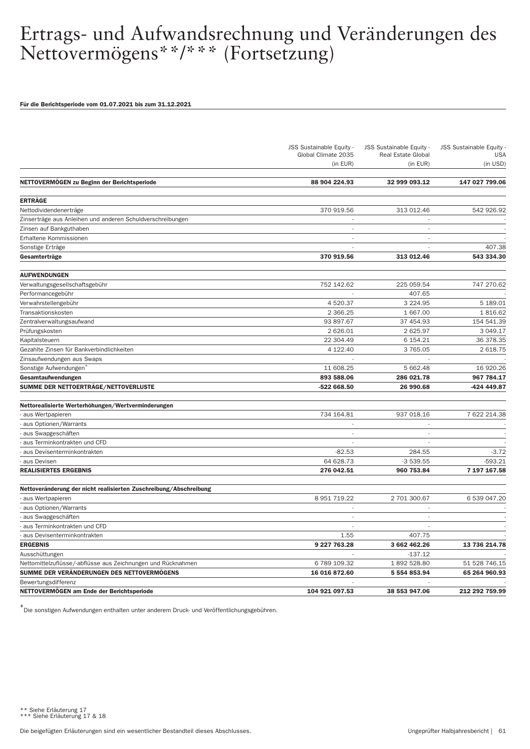#### Für die Berichtsperiode vom 01.07.2021 bis zum 31.12.2021

|                                                                                                            | JSS Sustainable Equity -<br>Global Climate 2035 | JSS Sustainable Equity -<br><b>Real Estate Global</b> | <b>JSS Sustainable Equity</b><br><b>USA</b> |
|------------------------------------------------------------------------------------------------------------|-------------------------------------------------|-------------------------------------------------------|---------------------------------------------|
|                                                                                                            | (in EUR)                                        | (in EUR)                                              | (in USD)                                    |
| NETTOVERMOGEN zu Beginn der Berichtsperiode                                                                | 88 904 224.93                                   | 32 999 093.12                                         | 147 027 799.06                              |
| <b>ERTRÄGE</b>                                                                                             |                                                 |                                                       |                                             |
| Nettodividendenerträge                                                                                     | 370 919.56                                      | 313 012.46                                            | 542 926.92                                  |
| Zinserträge aus Anleihen und anderen Schuldverschreibungen                                                 | $\overline{\phantom{a}}$                        | $\overline{\phantom{a}}$                              |                                             |
| Zinsen auf Bankguthaben                                                                                    |                                                 | $\overline{\phantom{a}}$                              |                                             |
| Erhaltene Kommissionen                                                                                     | $\overline{\phantom{a}}$                        | $\overline{\phantom{a}}$                              |                                             |
| Sonstige Erträge                                                                                           |                                                 |                                                       | 407.38                                      |
| Gesamterträge                                                                                              | 370 919.56                                      | 313 012.46                                            | 543 334.30                                  |
| <b>AUFWENDUNGEN</b>                                                                                        |                                                 |                                                       |                                             |
| Verwaltungsgesellschaftsgebühr                                                                             | 752 142.62                                      | 225 059.54                                            | 747 270.62                                  |
| Performancegebühr                                                                                          |                                                 | 407.65                                                |                                             |
| Verwahrstellengebühr                                                                                       | 4 520.37                                        | 3 2 2 4 . 9 5                                         | 5 189.01                                    |
| Transaktionskosten                                                                                         | 2 3 6 6.25                                      | 1 667.00                                              | 1816.62                                     |
| Zentralverwaltungsaufwand                                                                                  | 93 897.67                                       | 37 454.93                                             | 154 541.39                                  |
| Prüfungskosten                                                                                             | 2 6 2 6 .0 1                                    | 2 625.97                                              | 3 049.17                                    |
| Kapitalsteuern                                                                                             | 22 304.49                                       | 6 154.21                                              | 36 378.35                                   |
| Gezahlte Zinsen für Bankverbindlichkeiten                                                                  | 4 122.40                                        | 3765.05                                               | 2 618.75                                    |
| Zinsaufwendungen aus Swaps                                                                                 | $\overline{\phantom{a}}$                        | $\overline{\phantom{a}}$                              |                                             |
| Sonstige Aufwendungen <sup>*</sup>                                                                         | 11 608.25                                       | 5 662.48                                              | 16 920.26                                   |
| Gesamtaufwendungen                                                                                         | 893 588.06                                      | 286 021.78                                            | 967 784.17                                  |
| SUMME DER NETTOERTRÄGE/NETTOVERLUSTE                                                                       | -522 668.50                                     | 26 990.68                                             | -424 449.87                                 |
| Nettorealisierte Werterhöhungen/Wertverminderungen                                                         |                                                 |                                                       |                                             |
| aus Wertpapieren                                                                                           | 734 164.81                                      | 937 018.16                                            | 7 622 214.38                                |
| aus Optionen/Warrants                                                                                      | ÷,                                              |                                                       |                                             |
| aus Swapgeschäften                                                                                         |                                                 | $\overline{\phantom{a}}$                              |                                             |
| aus Terminkontrakten und CFD                                                                               | ÷,                                              | L.                                                    |                                             |
| aus Devisenterminkontrakten                                                                                | $-82.53$                                        | 284.55                                                | $-3.72$                                     |
| aus Devisen                                                                                                | 64 628.73                                       | $-3539.55$                                            | $-593.21$                                   |
| <b>REALISIERTES ERGEBNIS</b>                                                                               | 276 042.51                                      | 960 753.84                                            | 7 197 167.58                                |
| Nettoveränderung der nicht realisierten Zuschreibung/Abschreibung                                          |                                                 |                                                       |                                             |
| aus Wertpapieren                                                                                           | 8 951 719.22                                    | 2 701 300.67                                          | 6 539 047.20                                |
| aus Optionen/Warrants                                                                                      |                                                 | ÷                                                     |                                             |
| aus Swapgeschäften                                                                                         | $\sim$                                          | $\sim$                                                |                                             |
| aus Terminkontrakten und CFD                                                                               | ÷,                                              | $\sim$                                                |                                             |
| aus Devisenterminkontrakten                                                                                | 1.55                                            | 407.75                                                |                                             |
| <b>ERGEBNIS</b>                                                                                            | 9 227 763.28                                    | 3 662 462.26                                          | 13 736 214.78                               |
| Ausschüttungen                                                                                             |                                                 | $-137.12$                                             |                                             |
|                                                                                                            | 6 789 109.32                                    | 1892 528.80                                           | 51 528 746.15                               |
| Nettomittelzuflüsse/-abflüsse aus Zeichnungen und Rücknahmen<br>SUMME DER VERÄNDERUNGEN DES NETTOVERMÖGENS | 16 016 872.60                                   | 5 554 853.94                                          | 65 264 960.93                               |
| Bewertungsdifferenz                                                                                        |                                                 |                                                       |                                             |
|                                                                                                            |                                                 |                                                       |                                             |
| NETTOVERMOGEN am Ende der Berichtsperiode                                                                  | 104 921 097.53                                  | 38 553 947.06                                         | 212 292 759.99                              |

<sup>\*\*</sup> Siehe Erläuterung 17 \*\*\* Siehe Erläuterung 17 & 18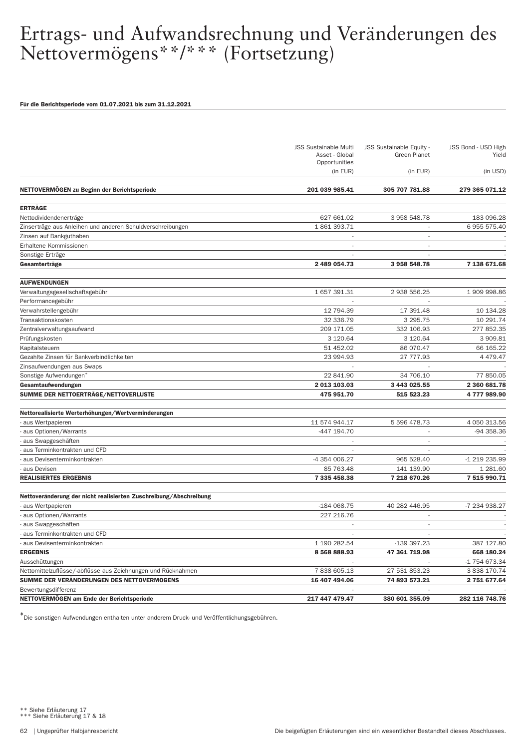#### Für die Berichtsperiode vom 01.07.2021 bis zum 31.12.2021

|                                                                   | <b>JSS Sustainable Multi</b><br>Asset - Global<br>Opportunities | <b>JSS Sustainable Equity -</b><br><b>Green Planet</b> | JSS Bond - USD High<br>Yield |
|-------------------------------------------------------------------|-----------------------------------------------------------------|--------------------------------------------------------|------------------------------|
|                                                                   | (in EUR)                                                        | (in EUR)                                               | (in USD)                     |
| NETTOVERMÖGEN zu Beginn der Berichtsperiode                       | 201 039 985.41                                                  | 305 707 781.88                                         | 279 365 071.12               |
| <b>ERTRÄGE</b>                                                    |                                                                 |                                                        |                              |
| Nettodividendenerträge                                            | 627 661.02                                                      | 3 958 548.78                                           | 183 096.28                   |
| Zinserträge aus Anleihen und anderen Schuldverschreibungen        | 1861393.71                                                      |                                                        | 6 955 575.40                 |
| Zinsen auf Bankguthaben                                           |                                                                 |                                                        |                              |
| Erhaltene Kommissionen                                            | $\sim$                                                          | L,                                                     |                              |
| Sonstige Erträge                                                  |                                                                 |                                                        |                              |
| Gesamterträge                                                     | 2 489 054.73                                                    | 3 958 548.78                                           | 7 138 671.68                 |
| <b>AUFWENDUNGEN</b>                                               |                                                                 |                                                        |                              |
| Verwaltungsgesellschaftsgebühr                                    | 1 657 391.31                                                    | 2 938 556.25                                           | 1909998.86                   |
| Performancegebühr                                                 |                                                                 |                                                        |                              |
| Verwahrstellengebühr                                              | 12 794.39                                                       | 17 391.48                                              | 10 134.28                    |
| Transaktionskosten                                                | 32 336.79                                                       | 3 295.75                                               | 10 291.74                    |
| Zentralverwaltungsaufwand                                         | 209 171.05                                                      | 332 106.93                                             | 277 852.35                   |
| Prüfungskosten                                                    | 3 120.64                                                        | 3 1 2 0 . 6 4                                          | 3 909.81                     |
| Kapitalsteuern                                                    | 51 452.02                                                       | 86 070.47                                              | 66 165.22                    |
| Gezahlte Zinsen für Bankverbindlichkeiten                         | 23 994.93                                                       | 27 777.93                                              | 4 4 7 9 . 4 7                |
| Zinsaufwendungen aus Swaps                                        |                                                                 |                                                        |                              |
| Sonstige Aufwendungen <sup>7</sup>                                | 22 841.90                                                       | 34 706.10                                              | 77 850.05                    |
| Gesamtaufwendungen                                                | 2 013 103.03                                                    | 3 443 025.55                                           | 2 360 681.78                 |
| SUMME DER NETTOERTRÄGE/NETTOVERLUSTE                              | 475 951.70                                                      | 515 523.23                                             | 4777989.90                   |
|                                                                   |                                                                 |                                                        |                              |
| Nettorealisierte Werterhöhungen/Wertverminderungen                |                                                                 |                                                        |                              |
| - aus Wertpapieren                                                | 11 574 944.17                                                   | 5 596 478.73                                           | 4 050 313.56                 |
| aus Optionen/Warrants                                             | -447 194.70                                                     | ٠                                                      | -94 358.36                   |
| aus Swapgeschäften                                                |                                                                 | ٠                                                      |                              |
| aus Terminkontrakten und CFD                                      |                                                                 |                                                        |                              |
| aus Devisenterminkontrakten<br>aus Devisen                        | -4 354 006.27<br>85 763.48                                      | 965 528.40<br>141 139.90                               | -1 219 235.99<br>1 281.60    |
| <b>REALISIERTES ERGEBNIS</b>                                      | 7 335 458.38                                                    | 7 218 670.26                                           | 7 515 990.71                 |
|                                                                   |                                                                 |                                                        |                              |
| Nettoveränderung der nicht realisierten Zuschreibung/Abschreibung |                                                                 |                                                        |                              |
| - aus Wertpapieren                                                | -184 068.75                                                     | 40 282 446.95                                          | -7 234 938.27                |
| aus Optionen/Warrants                                             | 227 216.76                                                      |                                                        |                              |
| aus Swapgeschäften                                                | $\overline{\phantom{a}}$                                        | $\sim$                                                 |                              |
| aus Terminkontrakten und CFD                                      |                                                                 |                                                        |                              |
| - aus Devisenterminkontrakten                                     | 1 190 282.54                                                    | -139 397.23                                            | 387 127.80                   |
| <b>ERGEBNIS</b>                                                   | 8 568 888.93                                                    | 47 361 719.98                                          | 668 180.24                   |
| Ausschüttungen                                                    |                                                                 |                                                        | -1 754 673.34                |
| Nettomittelzuflüsse/-abflüsse aus Zeichnungen und Rücknahmen      | 7838605.13                                                      | 27 531 853.23                                          | 3 838 170.74                 |
| SUMME DER VERÄNDERUNGEN DES NETTOVERMÖGENS                        | 16 407 494.06                                                   | 74 893 573.21                                          | 2 751 677.64                 |
| Bewertungsdifferenz                                               |                                                                 |                                                        |                              |
| NETTOVERMÖGEN am Ende der Berichtsperiode                         | 217 447 479.47                                                  | 380 601 355.09                                         | 282 116 748.76               |

\*Die sonstigen Aufwendungen enthalten unter anderem Druck- und Veröffentlichungsgebühren.

\*\* Siehe Erläuterung 17 \*\*\* Siehe Erläuterung 17 & 18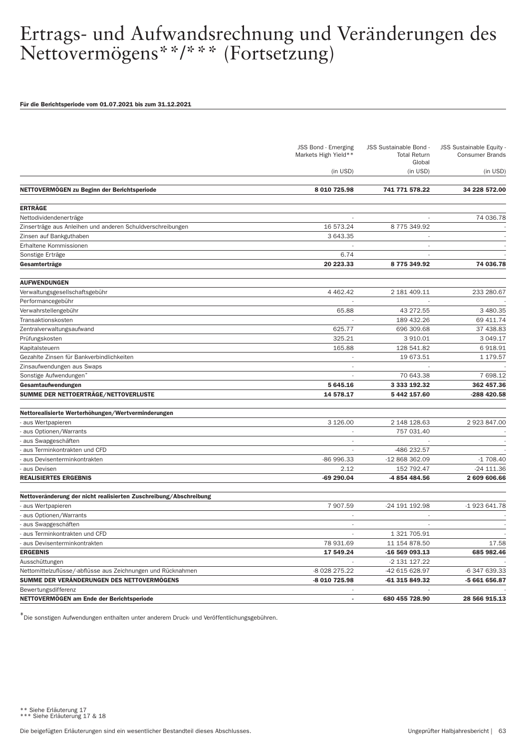#### Für die Berichtsperiode vom 01.07.2021 bis zum 31.12.2021

|                                                                   | JSS Bond - Emerging<br>Markets High Yield** | JSS Sustainable Bond -<br><b>Total Return</b><br>Global | <b>JSS Sustainable Equity</b><br><b>Consumer Brands</b> |
|-------------------------------------------------------------------|---------------------------------------------|---------------------------------------------------------|---------------------------------------------------------|
|                                                                   | (in USD)                                    | (in USD)                                                | (in USD)                                                |
| NETTOVERMÖGEN zu Beginn der Berichtsperiode                       | 8 010 725.98                                | 741 771 578.22                                          | 34 228 572.00                                           |
| <b>ERTRÄGE</b>                                                    |                                             |                                                         |                                                         |
| Nettodividendenerträge                                            |                                             |                                                         | 74 036.78                                               |
| Zinserträge aus Anleihen und anderen Schuldverschreibungen        | 16 573.24                                   | 8775349.92                                              |                                                         |
| Zinsen auf Bankguthaben                                           | 3 643.35                                    |                                                         |                                                         |
| Erhaltene Kommissionen                                            |                                             | $\overline{\phantom{a}}$                                |                                                         |
| Sonstige Erträge                                                  | 6.74                                        |                                                         |                                                         |
| Gesamterträge                                                     | 20 223.33                                   | 8775349.92                                              | 74 036.78                                               |
|                                                                   |                                             |                                                         |                                                         |
| <b>AUFWENDUNGEN</b><br>Verwaltungsgesellschaftsgebühr             | 4 4 6 2.4 2                                 | 2 181 409.11                                            | 233 280.67                                              |
| Performancegebühr                                                 |                                             |                                                         |                                                         |
| Verwahrstellengebühr                                              | 65.88                                       | 43 272.55                                               | 3 480.35                                                |
| Transaktionskosten                                                |                                             | 189 432.26                                              | 69 411.74                                               |
| Zentralverwaltungsaufwand                                         | 625.77                                      | 696 309.68                                              | 37 438.83                                               |
| Prüfungskosten                                                    | 325.21                                      | 3 910.01                                                | 3 049.17                                                |
| Kapitalsteuern                                                    | 165.88                                      | 128 541.82                                              | 6918.91                                                 |
| Gezahlte Zinsen für Bankverbindlichkeiten                         | ٠                                           | 19 673.51                                               | 1 179.57                                                |
| Zinsaufwendungen aus Swaps                                        |                                             |                                                         |                                                         |
| Sonstige Aufwendungen <sup>®</sup>                                |                                             | 70 643.38                                               | 7 698.12                                                |
| Gesamtaufwendungen                                                | 5 645.16                                    | 3 333 192.32                                            | 362 457.36                                              |
| SUMME DER NETTOERTRÄGE/NETTOVERLUSTE                              | 14 578.17                                   | 5 442 157.60                                            | -288 420.58                                             |
| Nettorealisierte Werterhöhungen/Wertverminderungen                |                                             |                                                         |                                                         |
| - aus Wertpapieren                                                | 3 1 2 6 .00                                 | 2 148 128.63                                            | 2923847.00                                              |
| aus Optionen/Warrants                                             |                                             | 757 031.40                                              |                                                         |
| aus Swapgeschäften                                                | $\sim$                                      |                                                         |                                                         |
| aus Terminkontrakten und CFD                                      |                                             | -486 232.57                                             |                                                         |
| aus Devisenterminkontrakten                                       | -86 996.33                                  | -12 868 362.09                                          | $-1708.40$                                              |
| aus Devisen                                                       | 2.12                                        | 152 792.47                                              | -24 111.36                                              |
| <b>REALISIERTES ERGEBNIS</b>                                      | -69 290.04                                  | -4 854 484.56                                           | 2 609 606.66                                            |
| Nettoveränderung der nicht realisierten Zuschreibung/Abschreibung |                                             |                                                         |                                                         |
| - aus Wertpapieren                                                | 7 907.59                                    | -24 191 192.98                                          | -1 923 641.78                                           |
| aus Optionen/Warrants                                             |                                             |                                                         |                                                         |
| aus Swapgeschäften                                                |                                             |                                                         |                                                         |
| aus Terminkontrakten und CFD                                      |                                             | 1 321 705.91                                            |                                                         |
| - aus Devisenterminkontrakten                                     | 78 931.69                                   | 11 154 878.50                                           | 17.58                                                   |
| <b>ERGEBNIS</b>                                                   | 17 549.24                                   | -16 569 093.13                                          | 685 982.46                                              |
| Ausschüttungen                                                    |                                             | -2 131 127.22                                           |                                                         |
| Nettomittelzuflüsse/-abflüsse aus Zeichnungen und Rücknahmen      | -8 028 275.22                               | -42 615 628.97                                          | -6 347 639.33                                           |
| SUMME DER VERÄNDERUNGEN DES NETTOVERMÖGENS                        | -8 010 725.98                               | -61 315 849.32                                          | -5 661 656.87                                           |
| Bewertungsdifferenz                                               |                                             |                                                         |                                                         |
| NETTOVERMÖGEN am Ende der Berichtsperiode                         |                                             | 680 455 728.90                                          | 28 566 915.13                                           |

\*Die sonstigen Aufwendungen enthalten unter anderem Druck- und Veröffentlichungsgebühren.

\*\* Siehe Erläuterung 17 \*\*\* Siehe Erläuterung 17 & 18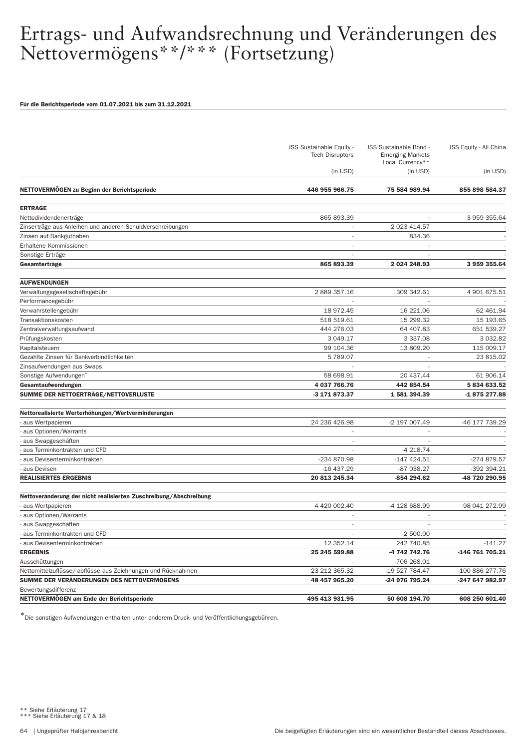#### Für die Berichtsperiode vom 01.07.2021 bis zum 31.12.2021

|                                                                   | JSS Sustainable Equity -<br><b>Tech Disruptors</b> | JSS Sustainable Bond -<br><b>Emerging Markets</b><br>Local Currency** | JSS Equity - All China |
|-------------------------------------------------------------------|----------------------------------------------------|-----------------------------------------------------------------------|------------------------|
|                                                                   | (in USD)                                           | (in USD)                                                              | (in USD)               |
| NETTOVERMÖGEN zu Beginn der Berichtsperiode                       | 446 955 966.75                                     | 75 584 989.94                                                         | 855 898 584.37         |
| <b>ERTRÄGE</b>                                                    |                                                    |                                                                       |                        |
| Nettodividendenerträge                                            | 865 893.39                                         |                                                                       | 3 959 355.64           |
| Zinserträge aus Anleihen und anderen Schuldverschreibungen        |                                                    | 2 023 414.57                                                          |                        |
| Zinsen auf Bankguthaben                                           |                                                    | 834.36                                                                |                        |
| Erhaltene Kommissionen                                            |                                                    |                                                                       |                        |
| Sonstige Erträge                                                  |                                                    |                                                                       |                        |
| Gesamterträge                                                     | 865 893.39                                         | 2 024 248.93                                                          | 3 959 355.64           |
| <b>AUFWENDUNGEN</b>                                               |                                                    |                                                                       |                        |
| Verwaltungsgesellschaftsgebühr                                    | 2 889 357.16                                       | 309 342.61                                                            | 4 901 675.51           |
| Performancegebühr                                                 |                                                    |                                                                       |                        |
| Verwahrstellengebühr                                              | 18 972.45                                          | 16 221.06                                                             | 62 461.94              |
| Transaktionskosten                                                | 518 519.61                                         | 15 299.32                                                             | 15 193.65              |
| Zentralverwaltungsaufwand                                         | 444 276.03                                         | 64 407.83                                                             | 651 539.27             |
| Prüfungskosten                                                    | 3 049.17                                           | 3 3 3 7 . 0 8                                                         | 3 0 3 2.8 2            |
| Kapitalsteuern                                                    | 99 104.36                                          | 13 809.20                                                             | 115 009.17             |
| Gezahlte Zinsen für Bankverbindlichkeiten                         | 5789.07                                            |                                                                       | 23 815.02              |
| Zinsaufwendungen aus Swaps                                        |                                                    |                                                                       |                        |
| Sonstige Aufwendungen                                             | 58 698.91                                          | 20 437.44                                                             | 61 906.14              |
| Gesamtaufwendungen                                                | 4 037 766.76                                       | 442 854.54                                                            | 5834633.52             |
| SUMME DER NETTOERTRÄGE/NETTOVERLUSTE                              | -3 171 873.37                                      | 1 581 394.39                                                          | -1875277.88            |
| Nettorealisierte Werterhöhungen/Wertverminderungen                |                                                    |                                                                       |                        |
| - aus Wertpapieren                                                | 24 236 426.98                                      | -2 197 007.49                                                         | -46 177 739.29         |
| aus Optionen/Warrants                                             | $\overline{\phantom{a}}$                           |                                                                       |                        |
| aus Swapgeschäften                                                | $\overline{\phantom{a}}$                           |                                                                       |                        |
| aus Terminkontrakten und CFD                                      | $\overline{\phantom{a}}$                           | -4 218.74                                                             |                        |
| aus Devisenterminkontrakten                                       | -234 870.98                                        | -147 424.51                                                           | -274 879.57            |
| aus Devisen                                                       | $-16437.29$                                        | -87 038.27                                                            | -392 394.21            |
| <b>REALISIERTES ERGEBNIS</b>                                      | 20 813 245.34                                      | -854 294.62                                                           | -48 720 290.95         |
| Nettoveränderung der nicht realisierten Zuschreibung/Abschreibung |                                                    |                                                                       |                        |
| aus Wertpapieren                                                  | 4 420 002.40                                       | -4 128 688.99                                                         | -98 041 272.99         |
| aus Optionen/Warrants                                             |                                                    |                                                                       |                        |
| aus Swapgeschäften                                                | $\overline{\phantom{a}}$                           |                                                                       |                        |
| aus Terminkontrakten und CFD                                      |                                                    | $-2500.00$                                                            |                        |
| - aus Devisenterminkontrakten                                     | 12 352.14                                          | 242 740.85                                                            | $-141.27$              |
| <b>ERGEBNIS</b>                                                   | 25 245 599.88                                      | -4 742 742.76                                                         | -146 761 705.21        |
| Ausschüttungen                                                    |                                                    | -706 268.01                                                           |                        |
| Nettomittelzuflüsse/-abflüsse aus Zeichnungen und Rücknahmen      | 23 212 365.32                                      | -19 527 784.47                                                        | -100 886 277.76        |
| SUMME DER VERÄNDERUNGEN DES NETTOVERMÖGENS                        | 48 457 965.20                                      | -24 976 795.24                                                        | -247 647 982.97        |
| Bewertungsdifferenz                                               |                                                    |                                                                       |                        |
| NETTOVERMOGEN am Ende der Berichtsperiode                         | 495 413 931.95                                     | 50 608 194.70                                                         | 608 250 601.40         |

\*\* Siehe Erläuterung 17 \*\*\* Siehe Erläuterung 17 & 18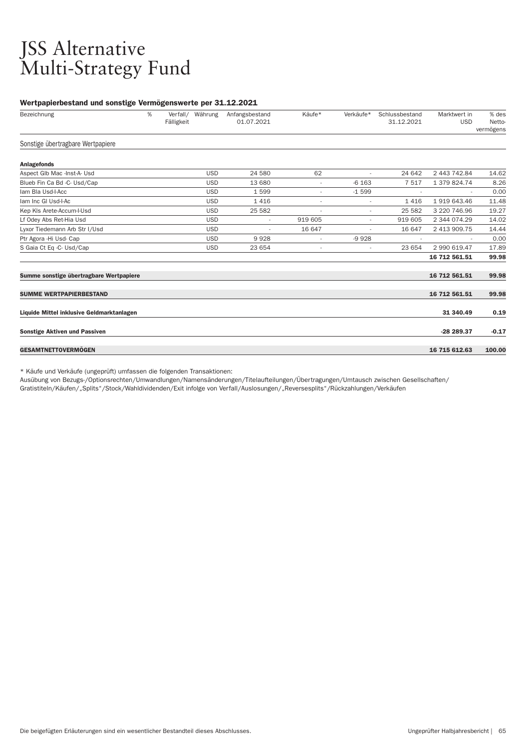### JSS Alternative Multi-Strategy Fund

#### Wertpapierbestand und sonstige Vermögenswerte per 31.12.2021

| Bezeichnung                               | %<br>Fälligkeit | Verfall/ Währung | Anfangsbestand<br>01.07.2021 | Käufe*                   | Verkäufe*      | Schlussbestand<br>31.12.2021 | Marktwert in<br><b>USD</b> | % des<br>Netto-<br>vermögens |
|-------------------------------------------|-----------------|------------------|------------------------------|--------------------------|----------------|------------------------------|----------------------------|------------------------------|
| Sonstige übertragbare Wertpapiere         |                 |                  |                              |                          |                |                              |                            |                              |
| <b>Anlagefonds</b>                        |                 |                  |                              |                          |                |                              |                            |                              |
| Aspect Glb Mac -Inst-A- Usd               |                 | <b>USD</b>       | 24 580                       | 62                       | $\overline{a}$ | 24 642                       | 2 443 742.84               | 14.62                        |
| Blueb Fin Ca Bd -C- Usd/Cap               |                 | <b>USD</b>       | 13 680                       | $\overline{\phantom{a}}$ | $-6163$        | 7517                         | 1 379 824.74               | 8.26                         |
| Iam Bla Usd-I-Acc                         |                 | <b>USD</b>       | 1599                         |                          | $-1599$        |                              |                            | 0.00                         |
| lam Inc GI Usd-I-Ac                       |                 | <b>USD</b>       | 1416                         | $\overline{\phantom{a}}$ |                | 1416                         | 1919643.46                 | 11.48                        |
| Kep KIs Arete-Accum-I-Usd                 |                 | <b>USD</b>       | 25 5 82                      |                          |                | 25 582                       | 3 220 746.96               | 19.27                        |
| Lf Odey Abs Ret-Hia Usd                   |                 | <b>USD</b>       | $\overline{\phantom{a}}$     | 919 605                  | $\overline{a}$ | 919 605                      | 2 344 074.29               | 14.02                        |
| Lyxor Tiedemann Arb Str I/Usd             |                 | <b>USD</b>       |                              | 16 647                   |                | 16 647                       | 2 413 909.75               | 14.44                        |
| Ptr Agora - Hi Usd- Cap                   |                 | <b>USD</b>       | 9928                         | $\overline{\phantom{a}}$ | $-9928$        |                              |                            | 0.00                         |
| S Gaia Ct Eq -C- Usd/Cap                  |                 | <b>USD</b>       | 23 654                       |                          | ٠              | 23 654                       | 2 990 619.47               | 17.89                        |
|                                           |                 |                  |                              |                          |                |                              | 16 712 561.51              | 99.98                        |
| Summe sonstige übertragbare Wertpapiere   |                 |                  |                              |                          |                |                              | 16 712 561.51              | 99.98                        |
| <b>SUMME WERTPAPIERBESTAND</b>            |                 |                  |                              |                          |                |                              | 16 712 561.51              | 99.98                        |
| Liquide Mittel inklusive Geldmarktanlagen |                 |                  |                              |                          |                |                              | 31 340.49                  | 0.19                         |
| <b>Sonstige Aktiven und Passiven</b>      |                 |                  |                              |                          |                |                              | -28 289.37                 | $-0.17$                      |
| <b>GESAMTNETTOVERMÖGEN</b>                |                 |                  |                              |                          |                |                              | 16 715 612.63              | 100.00                       |

\* Käufe und Verkäufe (ungeprüft) umfassen die folgenden Transaktionen:

Ausübung von Bezugs-/Optionsrechten/Umwandlungen/Namensänderungen/Titelaufteilungen/Über tragungen/Umtausch zwischen Gesellschaften/

Gratistiteln/Käufen/"Splits"/Stock/Wahldividenden/Exit infolge von Ver fall/Auslosungen/"Reversesplits"/Rückzahlungen/Verkäufen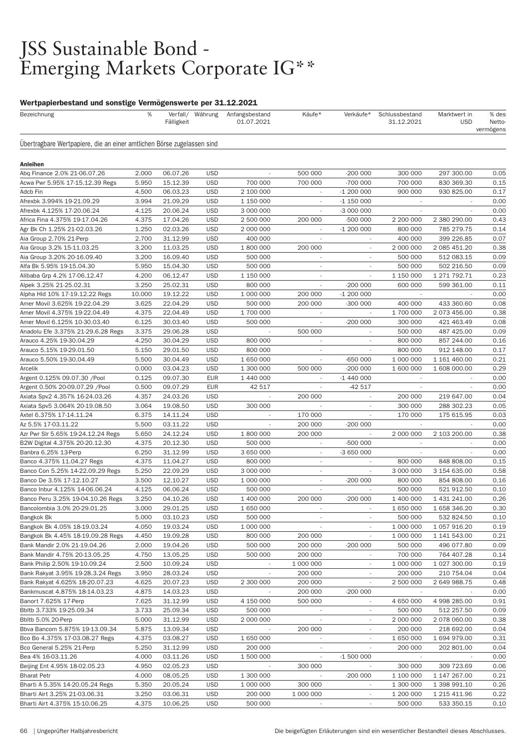### JSS Sustainable Bond - Emerging Markets Corporate IG\*\*

### Wertpapierbestand und sonstige Vermögenswerte per 31.12.2021

| Bezeichnung                                                            | %              | Fälligkeit           | Verfall/ Währung         | Anfangsbestand<br>01.07.2021       | Käufe*                              | Verkäufe*                           | Schlussbestand<br>31.12.2021 | Marktwert in<br><b>USD</b> | % des<br>Netto-<br>vermögens |
|------------------------------------------------------------------------|----------------|----------------------|--------------------------|------------------------------------|-------------------------------------|-------------------------------------|------------------------------|----------------------------|------------------------------|
| Ubertragbare Wertpapiere, die an einer amtlichen Börse zugelassen sind |                |                      |                          |                                    |                                     |                                     |                              |                            |                              |
| Anleihen                                                               |                |                      |                          |                                    |                                     |                                     |                              |                            |                              |
| Abq Finance 2.0% 21-06.07.26                                           | 2.000          | 06.07.26             | <b>USD</b>               | $\overline{\phantom{a}}$           | 500 000                             | $-200000$                           | 300 000                      | 297 300.00                 | 0.05                         |
| Acwa Pwr 5.95% 17-15.12.39 Regs                                        | 5.950          | 15.12.39             | <b>USD</b>               | 700 000                            | 700 000                             | -700 000                            | 700 000                      | 830 369.30                 | 0.15                         |
| Adcb Fin                                                               | 4.500          | 06.03.23             | <b>USD</b>               | 2 100 000                          | $\overline{\phantom{a}}$            | $-1200000$                          | 900 000                      | 930 825.00                 | 0.17                         |
| Afrexbk 3.994% 19-21.09.29                                             | 3.994          | 21.09.29             | <b>USD</b>               | 1 150 000                          |                                     | $-1$ 150 000                        |                              |                            | 0.00                         |
| Afrexbk 4.125% 17-20.06.24                                             | 4.125          | 20.06.24             | <b>USD</b>               | 3 000 000                          | ×,                                  | -3 000 000                          | $\sim$                       | ٠                          | 0.00                         |
| Africa Fina 4.375% 19-17.04.26                                         | 4.375          | 17.04.26             | <b>USD</b>               | 2 500 000                          | 200 000                             | -500 000                            | 2 200 000                    | 2 380 290.00               | 0.43                         |
| Agr Bk Ch 1.25% 21-02.03.26                                            | 1.250          | 02.03.26             | <b>USD</b>               | 2 000 000                          | $\sim$                              | $-1200000$                          | 800 000                      | 785 279.75                 | 0.14                         |
| Aia Group 2.70% 21-Perp                                                | 2.700          | 31.12.99             | <b>USD</b>               | 400 000                            |                                     |                                     | 400 000                      | 399 226.85                 | 0.07                         |
| Aia Group 3.2% 15-11.03.25                                             | 3.200          | 11.03.25             | <b>USD</b>               | 1 800 000                          | 200 000                             | $\overline{\phantom{a}}$            | 2 000 000                    | 2 085 451.20               | 0.38                         |
| Aia Group 3.20% 20-16.09.40                                            | 3.200          | 16.09.40             | <b>USD</b>               | 500 000                            | $\overline{\phantom{a}}$            | $\overline{\phantom{a}}$            | 500 000                      | 512 083.15                 | 0.09                         |
| Alfa Bk 5.95% 19-15.04.30                                              | 5.950          | 15.04.30             | <b>USD</b>               | 500 000                            | $\overline{\phantom{a}}$            |                                     | 500 000                      | 502 216.50                 | 0.09                         |
| Alibaba Grp 4.2% 17-06.12.47                                           | 4.200          | 06.12.47             | <b>USD</b>               | 1 150 000                          | $\overline{\phantom{a}}$            |                                     | 1 150 000                    | 1 271 792.71               | 0.23                         |
| Alpek 3.25% 21-25.02.31                                                | 3.250          | 25.02.31             | <b>USD</b>               | 800 000                            | $\overline{\phantom{a}}$            | $-200000$                           | 600 000                      | 599 361.00                 | 0.11                         |
| Alpha Hld 10% 17-19.12.22 Regs                                         | 10.000         | 19.12.22             | <b>USD</b>               | 1 000 000                          | 200 000                             | $-1200000$                          |                              |                            | 0.00                         |
| Amer Movil 3.625% 19-22.04.29                                          | 3.625          | 22.04.29             | <b>USD</b>               | 500 000                            | 200 000                             | -300 000                            | 400 000                      | 433 360.60                 | 0.08                         |
| Amer Movil 4.375% 19-22.04.49                                          | 4.375          | 22.04.49             | <b>USD</b>               | 1 700 000                          |                                     |                                     | 1 700 000                    | 2 073 456.00               | 0.38                         |
| Amer Movil 6.125% 10-30.03.40                                          | 6.125          | 30.03.40             | <b>USD</b>               | 500 000                            | $\overline{\phantom{a}}$            | $-200000$                           | 300 000                      | 421 463.49                 | 0.08                         |
| Anadolu Efe 3.375% 21-29.6.28 Regs                                     | 3.375          | 29.06.28             | <b>USD</b>               |                                    | 500 000                             |                                     | 500 000                      | 487 425.00                 | 0.09                         |
| Arauco 4.25% 19-30.04.29                                               | 4.250          | 30.04.29             | <b>USD</b>               | 800 000                            | $\overline{\phantom{a}}$            |                                     | 800 000                      | 857 244.00                 | 0.16                         |
| Arauco 5.15% 19-29.01.50                                               | 5.150          | 29.01.50             | <b>USD</b>               | 800 000                            | ٠                                   |                                     | 800 000                      | 912 148.00                 | 0.17                         |
| Arauco 5.50% 19-30.04.49                                               | 5.500          | 30.04.49             | <b>USD</b>               | 1 650 000                          | $\overline{\phantom{a}}$<br>500 000 | $-650000$                           | 1 000 000                    | 1 161 460.00               | 0.21                         |
| Arcelik                                                                | 0.000<br>0.125 | 03.04.23             | <b>USD</b><br><b>EUR</b> | 1 300 000                          |                                     | -200 000                            | 1 600 000                    | 1 608 000.00               | 0.29<br>0.00                 |
| Argent 0.125% 09.07.30 /Pool                                           |                | 09.07.30             | <b>EUR</b>               | 1 440 000                          |                                     | $-1440000$                          |                              |                            | 0.00                         |
| Argent 0.50% 20-09.07.29 /Pool                                         | 0.500          | 09.07.29             | <b>USD</b>               | 42 517<br>$\overline{\phantom{a}}$ | 200 000                             | -42 517<br>$\overline{\phantom{a}}$ | 200 000                      |                            | 0.04                         |
| Axiata Spv2 4.357% 16-24.03.26                                         | 4.357<br>3.064 | 24.03.26<br>19.08.50 | <b>USD</b>               | 300 000                            |                                     |                                     | 300 000                      | 219 647.00<br>288 302.23   | 0.05                         |
| Axiata Spv5 3.064% 20-19.08.50<br>Axtel 6.375% 17-14.11.24             | 6.375          | 14.11.24             | <b>USD</b>               |                                    | 170 000                             |                                     | 170 000                      | 175 615.95                 | 0.03                         |
| Az 5.5% 17-03.11.22                                                    | 5.500          | 03.11.22             | <b>USD</b>               |                                    | 200 000                             | $-200000$                           |                              |                            | 0.00                         |
| Azr Pwr Slr 5.65% 19-24.12.24 Regs                                     | 5.650          | 24.12.24             | <b>USD</b>               | 1 800 000                          | 200 000                             |                                     | 2 000 000                    | 2 103 200.00               | 0.38                         |
| B2W Digital 4.375% 20-20.12.30                                         | 4.375          | 20.12.30             | <b>USD</b>               | 500 000                            | $\overline{\phantom{a}}$            | -500 000                            |                              |                            | 0.00                         |
| Banbra 6.25% 13-Perp                                                   | 6.250          | 31.12.99             | <b>USD</b>               | 3 650 000                          |                                     | -3 650 000                          |                              |                            | 0.00                         |
| Banco 4.375% 11.04.27 Regs                                             | 4.375          | 11.04.27             | <b>USD</b>               | 800 000                            | $\overline{\phantom{a}}$            | $\overline{\phantom{a}}$            | 800 000                      | 848 808.00                 | 0.15                         |
| Banco Con 5.25% 14-22.09.29 Regs                                       | 5.250          | 22.09.29             | <b>USD</b>               | 3 000 000                          | $\sim$                              | $\overline{\phantom{a}}$            | 3 000 000                    | 3 154 635.00               | 0.58                         |
| Banco De 3.5% 17-12.10.27                                              | 3.500          | 12.10.27             | <b>USD</b>               | 1 000 000                          | $\overline{\phantom{a}}$            | $-200000$                           | 800 000                      | 854 808.00                 | 0.16                         |
| Banco Inbur 4.125% 14-06.06.24                                         | 4.125          | 06.06.24             | <b>USD</b>               | 500 000                            |                                     |                                     | 500 000                      | 521 912.50                 | 0.10                         |
| Banco Peru 3.25% 19-04.10.26 Regs                                      | 3.250          | 04.10.26             | <b>USD</b>               | 1 400 000                          | 200 000                             | $-200000$                           | 1 400 000                    | 1 431 241.00               | 0.26                         |
| Bancolombia 3.0% 20-29.01.25                                           | 3.000          | 29.01.25             | <b>USD</b>               | 1 650 000                          |                                     |                                     | 1 650 000                    | 1 658 346.20               | 0.30                         |
| Bangkok Bk                                                             | 5.000          | 03.10.23             | <b>USD</b>               | 500 000                            | $\overline{\phantom{a}}$            | $\overline{\phantom{a}}$            | 500 000                      | 532 824.50                 | 0.10                         |
| Bangkok Bk 4.05% 18-19.03.24                                           | 4.050          | 19.03.24             | <b>USD</b>               | 1 000 000                          |                                     |                                     | 1 000 000                    | 1 057 916.20               | 0.19                         |
| Bangkok Bk 4.45% 18-19.09.28 Regs                                      | 4.450          | 19.09.28             | <b>USD</b>               | 800 000                            | 200 000                             |                                     | 1 000 000                    | 1 141 543.00               | 0.21                         |
| Bank Mandir 2.0% 21-19.04.26                                           | 2.000          | 19.04.26             | <b>USD</b>               | 500 000                            | 200 000                             | $-200000$                           | 500 000                      | 496 077.80                 | 0.09                         |
| Bank Mandir 4.75% 20-13.05.25                                          | 4.750          | 13.05.25             | <b>USD</b>               | 500 000                            | 200 000                             |                                     | 700 000                      | 764 407.28                 | 0.14                         |
| Bank Philip 2.50% 19-10.09.24                                          | 2.500          | 10.09.24             | <b>USD</b>               |                                    | 1 000 000                           |                                     | 1 000 000                    | 1 027 300.00               | 0.19                         |
| Bank Rakyat 3.95% 19-28.3.24 Regs                                      | 3.950          | 28.03.24             | <b>USD</b>               |                                    | 200 000                             |                                     | 200 000                      | 210 754.04                 | 0.04                         |
| Bank Rakyat 4.625% 18-20.07.23                                         | 4.625          | 20.07.23             | <b>USD</b>               | 2 300 000                          | 200 000                             |                                     | 2 500 000                    | 2 649 988.75               | 0.48                         |
| Bankmuscat 4.875% 18-14.03.23                                          | 4.875          | 14.03.23             | <b>USD</b>               |                                    | 200 000                             | $-200000$                           |                              |                            | 0.00                         |
| Banort 7.625% 17-Perp                                                  | 7.625          | 31.12.99             | <b>USD</b>               | 4 150 000                          | 500 000                             |                                     | 4 650 000                    | 4 998 285.00               | 0.91                         |
| Bbltb 3.733% 19-25.09.34                                               | 3.733          | 25.09.34             | <b>USD</b>               | 500 000                            | $\overline{\phantom{a}}$            | $\overline{\phantom{a}}$            | 500 000                      | 512 257.50                 | 0.09                         |
| Bbltb 5.0% 20-Perp                                                     | 5.000          | 31.12.99             | <b>USD</b>               | 2 000 000                          | $\overline{a}$                      | $\overline{\phantom{a}}$            | 2 000 000                    | 2 078 060.00               | 0.38                         |
| Bbva Bancom 5.875% 19-13.09.34                                         | 5.875          | 13.09.34             | <b>USD</b>               |                                    | 200 000                             |                                     | 200 000                      | 218 692.00                 | 0.04                         |
| Bco Bo 4.375% 17-03.08.27 Regs                                         | 4.375          | 03.08.27             | <b>USD</b>               | 1 650 000                          | $\overline{\phantom{a}}$            |                                     | 1 650 000                    | 1 694 979.00               | 0.31                         |
| Bco General 5.25% 21-Perp                                              | 5.250          | 31.12.99             | <b>USD</b>               | 200 000                            | $\overline{\phantom{a}}$            |                                     | 200 000                      | 202 801.00                 | 0.04                         |
| Bea 4% 16-03.11.26                                                     | 4.000          | 03.11.26             | <b>USD</b>               | 1 500 000                          | $\overline{\phantom{a}}$            | $-1500000$                          |                              |                            | 0.00                         |
| Beijing Ent 4.95% 18-02.05.23                                          | 4.950          | 02.05.23             | <b>USD</b>               |                                    | 300 000                             |                                     | 300 000                      | 309 723.69                 | 0.06                         |
| <b>Bharat Petr</b>                                                     | 4.000          | 08.05.25             | <b>USD</b>               | 1 300 000                          |                                     | $-200000$                           | 1 100 000                    | 1 147 267.00               | 0.21                         |
| Bharti A 5.35% 14-20.05.24 Regs                                        | 5.350          | 20.05.24             | <b>USD</b>               | 1 000 000                          | 300 000                             | $\overline{\phantom{a}}$            | 1 300 000                    | 1 398 991.10               | 0.26                         |
| Bharti Airt 3.25% 21-03.06.31                                          | 3.250          | 03.06.31             | <b>USD</b>               | 200 000                            | 1 000 000                           | $\overline{\phantom{a}}$            | 1 200 000                    | 1 215 411.96               | 0.22                         |
| Bharti Airt 4.375% 15-10.06.25                                         | 4.375          | 10.06.25             | <b>USD</b>               | 500 000                            | $\sim$                              | $\overline{\phantom{a}}$            | 500 000                      | 533 350.15                 | 0.10                         |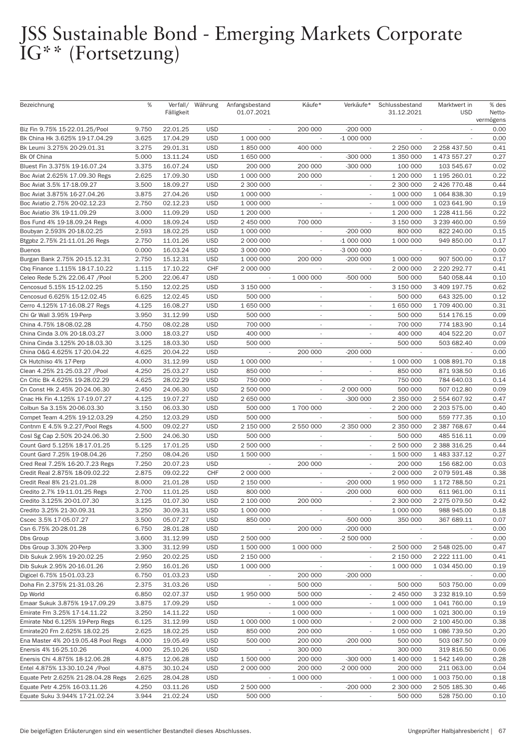| Bezeichnung                         | %     | Verfall/<br>Fälligkeit | Währung    | Anfangsbestand<br>01.07.2021 | Käufe*                   | Verkäufe*                | Schlussbestand<br>31.12.2021 | Marktwert in<br><b>USD</b> | % des<br>Netto-<br>vermögens |
|-------------------------------------|-------|------------------------|------------|------------------------------|--------------------------|--------------------------|------------------------------|----------------------------|------------------------------|
| Biz Fin 9.75% 15-22.01.25/Pool      | 9.750 | 22.01.25               | <b>USD</b> |                              | 200 000                  | $-200000$                |                              |                            | 0.00                         |
| Bk China Hk 3.625% 19-17.04.29      | 3.625 | 17.04.29               | <b>USD</b> | 1 000 000                    |                          | $-1000000$               | $\overline{\phantom{a}}$     |                            | 0.00                         |
| Bk Leumi 3.275% 20-29.01.31         | 3.275 | 29.01.31               | <b>USD</b> | 1850000                      | 400 000                  |                          | 2 250 000                    | 2 258 437.50               | 0.41                         |
| Bk Of China                         | 5.000 | 13.11.24               | <b>USD</b> | 1 650 000                    |                          | $-300000$                | 1 350 000                    | 1 473 557.27               | 0.27                         |
| Bluest Fin 3.375% 19-16.07.24       | 3.375 | 16.07.24               | <b>USD</b> | 200 000                      | 200 000                  | $-300000$                | 100 000                      | 103 545.67                 | 0.02                         |
| Boc Aviat 2.625% 17.09.30 Regs      | 2.625 | 17.09.30               | <b>USD</b> | 1 000 000                    | 200 000                  | $\overline{\phantom{a}}$ | 1 200 000                    | 1 195 260.01               | 0.22                         |
| Boc Aviat 3.5% 17-18.09.27          | 3.500 | 18.09.27               | <b>USD</b> | 2 300 000                    | $\overline{\phantom{a}}$ |                          | 2 300 000                    | 2 426 770.48               | 0.44                         |
| Boc Aviat 3.875% 16-27.04.26        | 3.875 | 27.04.26               | <b>USD</b> | 1 000 000                    |                          |                          | 1 000 000                    | 1 064 838.30               | 0.19                         |
| Boc Aviatio 2.75% 20-02.12.23       | 2.750 | 02.12.23               | <b>USD</b> | 1 000 000                    | $\sim$                   | $\overline{\phantom{a}}$ | 1 000 000                    | 1 023 641.90               | 0.19                         |
| Boc Aviatio 3% 19-11.09.29          | 3.000 | 11.09.29               | <b>USD</b> | 1 200 000                    | $\overline{\phantom{a}}$ | $\sim$                   | 1 200 000                    | 1 228 411.56               | 0.22                         |
| Bos Fund 4% 19-18.09.24 Regs        | 4.000 | 18.09.24               | <b>USD</b> | 2 450 000                    | 700 000                  | $\overline{\phantom{a}}$ | 3 150 000                    | 3 239 460.00               | 0.59                         |
| Boubyan 2.593% 20-18.02.25          | 2.593 | 18.02.25               | <b>USD</b> | 1 000 000                    |                          | $-200000$                | 800 000                      | 822 240.00                 | 0.15                         |
| Btgpbz 2.75% 21-11.01.26 Regs       | 2.750 | 11.01.26               | <b>USD</b> | 2 000 000                    | $\mathcal{L}$            | $-1000000$               | 1 000 000                    | 949 850.00                 | 0.17                         |
| <b>Buenos</b>                       | 0.000 | 16.03.24               | <b>USD</b> | 3 000 000                    | $\overline{\phantom{a}}$ | -3 000 000               | $\overline{\phantom{a}}$     |                            | 0.00                         |
| Burgan Bank 2.75% 20-15.12.31       | 2.750 | 15.12.31               | <b>USD</b> | 1 000 000                    | 200 000                  | $-200000$                | 1 000 000                    | 907 500.00                 | 0.17                         |
| Cbq Finance 1.115% 18-17.10.22      | 1.115 | 17.10.22               | <b>CHF</b> | 2 000 000                    | $\overline{\phantom{a}}$ | $\sim$                   | 2 000 000                    | 2 220 292.77               | 0.41                         |
| Celeo Rede 5.2% 22.06.47 / Pool     | 5.200 | 22.06.47               | <b>USD</b> | $\overline{\phantom{a}}$     | 1 000 000                | -500 000                 | 500 000                      | 540 058.44                 | 0.10                         |
| Cencosud 5.15% 15-12.02.25          | 5.150 | 12.02.25               | <b>USD</b> | 3 150 000                    | $\overline{\phantom{a}}$ | $\overline{\phantom{a}}$ | 3 150 000                    | 3 409 197.75               | 0.62                         |
| Cencosud 6.625% 15-12.02.45         | 6.625 | 12.02.45               | <b>USD</b> | 500 000                      | $\overline{\phantom{a}}$ | $\overline{\phantom{a}}$ | 500 000                      | 643 325.00                 | 0.12                         |
| Cerro 4.125% 17-16.08.27 Regs       | 4.125 | 16.08.27               | <b>USD</b> | 1 650 000                    | $\sim$                   |                          | 1 650 000                    | 1 709 400.00               | 0.31                         |
| Chi Gr Wall 3.95% 19-Perp           | 3.950 | 31.12.99               | <b>USD</b> | 500 000                      | $\overline{\phantom{a}}$ | $\overline{\phantom{a}}$ | 500 000                      | 514 176.15                 | 0.09                         |
| China 4.75% 18-08.02.28             | 4.750 | 08.02.28               | <b>USD</b> | 700 000                      | $\overline{\phantom{a}}$ | $\overline{\phantom{a}}$ | 700 000                      | 774 183.90                 | 0.14                         |
| China Cinda 3.0% 20-18.03.27        | 3.000 | 18.03.27               | <b>USD</b> | 400 000                      |                          |                          | 400 000                      | 404 522.20                 | 0.07                         |
| China Cinda 3.125% 20-18.03.30      | 3.125 | 18.03.30               | <b>USD</b> | 500 000                      |                          |                          | 500 000                      | 503 682.40                 | 0.09                         |
| China O&G 4.625% 17-20.04.22        | 4.625 | 20.04.22               | <b>USD</b> | $\overline{\phantom{a}}$     | 200 000                  | $-200000$                |                              |                            | 0.00                         |
| Ck Hutchiso 4% 17-Perp              | 4.000 | 31.12.99               | <b>USD</b> | 1 000 000                    | $\overline{\phantom{a}}$ | $\overline{\phantom{a}}$ | 1 000 000                    | 1 008 891.70               | 0.18                         |
| Clean 4.25% 21-25.03.27 /Pool       | 4.250 | 25.03.27               | <b>USD</b> | 850 000                      | $\overline{\phantom{a}}$ |                          | 850 000                      | 871 938.50                 | 0.16                         |
| Cn Citic Bk 4.625% 19-28.02.29      | 4.625 | 28.02.29               | <b>USD</b> | 750 000                      | $\overline{\phantom{a}}$ |                          | 750 000                      | 784 640.03                 | 0.14                         |
| Cn Const Hk 2.45% 20-24.06.30       | 2.450 | 24.06.30               | <b>USD</b> | 2 500 000                    | $\overline{\phantom{a}}$ | -2 000 000               | 500 000                      | 507 012.80                 | 0.09                         |
| Cnac Hk Fin 4.125% 17-19.07.27      | 4.125 | 19.07.27               | <b>USD</b> | 2 650 000                    | $\overline{\phantom{a}}$ | $-300000$                | 2 350 000                    | 2 554 607.92               | 0.47                         |
| Colbun Sa 3.15% 20-06.03.30         | 3.150 | 06.03.30               | <b>USD</b> | 500 000                      | 1 700 000                |                          | 2 200 000                    | 2 203 575.00               | 0.40                         |
| Compet Team 4.25% 19-12.03.29       | 4.250 | 12.03.29               | <b>USD</b> | 500 000                      |                          |                          | 500 000                      | 559 777.35                 | 0.10                         |
| Contnm E 4.5% 9.2.27/Pool Regs      | 4.500 | 09.02.27               | <b>USD</b> | 2 150 000                    | 2 550 000                | -2 350 000               | 2 350 000                    | 2 387 768.67               | 0.44                         |
| Cosl Sg Cap 2.50% 20-24.06.30       | 2.500 | 24.06.30               | <b>USD</b> | 500 000                      | $\overline{\phantom{a}}$ |                          | 500 000                      | 485 516.11                 | 0.09                         |
| Count Gard 5.125% 18-17.01.25       | 5.125 | 17.01.25               | <b>USD</b> | 2 500 000                    |                          |                          | 2 500 000                    | 2 388 316.25               | 0.44                         |
| Count Gard 7.25% 19-08.04.26        | 7.250 | 08.04.26               | <b>USD</b> | 1 500 000                    |                          |                          | 1 500 000                    | 1 483 337.12               | 0.27                         |
| Cred Real 7.25% 16-20.7.23 Regs     | 7.250 | 20.07.23               | <b>USD</b> |                              | 200 000                  | ÷.                       | 200 000                      | 156 682.00                 | 0.03                         |
| Credit Real 2.875% 18-09.02.22      | 2.875 | 09.02.22               | CHF        | 2 000 000                    | $\overline{\phantom{a}}$ |                          | 2 000 000                    | 2 079 591.48               | 0.38                         |
| Credit Real 8% 21-21.01.28          | 8.000 | 21.01.28               | <b>USD</b> | 2 150 000                    | $\overline{\phantom{a}}$ | $-200000$                | 1 950 000                    | 1 172 788.50               | 0.21                         |
| Credito 2.7% 19-11.01.25 Regs       | 2.700 | 11.01.25               | <b>USD</b> | 800 000                      |                          | $-200000$                | 600 000                      | 611 961.00                 | 0.11                         |
| Credito 3.125% 20-01.07.30          | 3.125 | 01.07.30               | <b>USD</b> | 2 100 000                    | 200 000                  | $\overline{\phantom{a}}$ | 2 300 000                    | 2 275 079.50               | 0.42                         |
| Credito 3.25% 21-30.09.31           | 3.250 | 30.09.31               | <b>USD</b> | 1 000 000                    |                          |                          | 1 000 000                    | 988 945.00                 | 0.18                         |
| Cscec 3.5% 17-05.07.27              | 3.500 | 05.07.27               | <b>USD</b> | 850 000                      | $\overline{\phantom{a}}$ | -500 000                 | 350 000                      | 367 689.11                 | 0.07                         |
| Csn 6.75% 20-28.01.28               | 6.750 | 28.01.28               | <b>USD</b> |                              | 200 000                  | $-200000$                |                              |                            | 0.00                         |
| Dbs Group                           | 3.600 | 31.12.99               | <b>USD</b> | 2 500 000                    | $\overline{\phantom{a}}$ | -2 500 000               | $\overline{\phantom{a}}$     | $\sim$                     | 0.00                         |
| Dbs Group 3.30% 20-Perp             | 3.300 | 31.12.99               | <b>USD</b> | 1 500 000                    | 1 000 000                | $\overline{\phantom{a}}$ | 2 500 000                    | 2 548 025.00               | 0.47                         |
| Dib Sukuk 2.95% 19-20.02.25         | 2.950 | 20.02.25               | <b>USD</b> | 2 150 000                    | $\overline{\phantom{a}}$ | $\sim$                   | 2 150 000                    | 2 222 111.00               | 0.41                         |
| Dib Sukuk 2.95% 20-16.01.26         | 2.950 | 16.01.26               | <b>USD</b> | 1 000 000                    |                          |                          | 1 000 000                    | 1 034 450.00               | 0.19                         |
| Digicel 6.75% 15-01.03.23           | 6.750 | 01.03.23               | <b>USD</b> | $\overline{\phantom{a}}$     | 200 000                  | $-200000$                | $\overline{\phantom{a}}$     | $\overline{\phantom{a}}$   | 0.00                         |
| Doha Fin 2.375% 21-31.03.26         | 2.375 | 31.03.26               | <b>USD</b> | $\overline{\phantom{a}}$     | 500 000                  | $\overline{\phantom{a}}$ | 500 000                      | 503 750.00                 | 0.09                         |
| Dp World                            | 6.850 | 02.07.37               | <b>USD</b> | 1 950 000                    | 500 000                  | $\sim$                   | 2 450 000                    | 3 232 819.10               | 0.59                         |
| Emaar Sukuk 3.875% 19-17.09.29      | 3.875 | 17.09.29               | <b>USD</b> |                              | 1 000 000                |                          | 1 000 000                    | 1 041 760.00               | 0.19                         |
| Emirate Frn 3.25% 17-14.11.22       | 3.250 | 14.11.22               | <b>USD</b> | $\overline{\phantom{a}}$     | 1 000 000                | $\sim$                   | 1 000 000                    | 1 021 300.00               | 0.19                         |
| Emirate Nbd 6.125% 19-Perp Regs     | 6.125 | 31.12.99               | <b>USD</b> | 1 000 000                    | 1 000 000                | $\overline{\phantom{a}}$ | 2 000 000                    | 2 100 450.00               | 0.38                         |
| Emirate20 Frn 2.625% 18.02.25       | 2.625 | 18.02.25               | <b>USD</b> | 850 000                      | 200 000                  | $\overline{\phantom{a}}$ | 1 050 000                    | 1 086 739.50               | 0.20                         |
| Ena Master 4% 20-19.05.48 Pool Regs | 4.000 | 19.05.49               | <b>USD</b> | 500 000                      | 200 000                  | $-200000$                | 500 000                      | 503 087.50                 | 0.09                         |
| Enersis 4% 16-25.10.26              | 4.000 | 25.10.26               | <b>USD</b> | $\overline{\phantom{a}}$     | 300 000                  |                          | 300 000                      | 319 816.50                 | 0.06                         |
| Enersis Chi 4.875% 18-12.06.28      | 4.875 | 12.06.28               | <b>USD</b> | 1 500 000                    | 200 000                  | $-300000$                | 1 400 000                    | 1 542 149.00               | 0.28                         |
| Entel 4.875% 13-30.10.24 /Pool      | 4.875 | 30.10.24               | <b>USD</b> | 2 000 000                    | 200 000                  | $-2000000$               | 200 000                      | 211 063.00                 | 0.04                         |
| Equate Petr 2.625% 21-28.04.28 Regs | 2.625 | 28.04.28               | <b>USD</b> |                              | 1 000 000                |                          | 1 000 000                    | 1 003 750.00               | 0.18                         |
| Equate Petr 4.25% 16-03.11.26       | 4.250 | 03.11.26               | <b>USD</b> | 2 500 000                    | $\overline{\phantom{a}}$ | $-200000$                | 2 300 000                    | 2 505 185.30               | 0.46                         |
| Equate Suku 3.944% 17-21.02.24      | 3.944 | 21.02.24               | <b>USD</b> | 500 000                      | $\overline{\phantom{a}}$ |                          | 500 000                      | 528 750.00                 | 0.10                         |
|                                     |       |                        |            |                              |                          |                          |                              |                            |                              |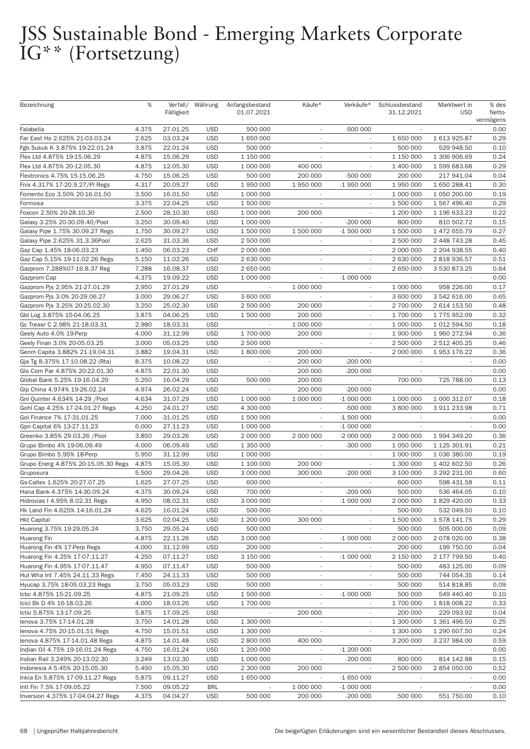| Bezeichnung                         | %     | Verfall/   | Währung    | Anfangsbestand           | Käufe*                   | Verkäufe*                | Schlussbestand           | Marktwert in             | % des     |
|-------------------------------------|-------|------------|------------|--------------------------|--------------------------|--------------------------|--------------------------|--------------------------|-----------|
|                                     |       | Fälligkeit |            | 01.07.2021               |                          |                          | 31.12.2021               | <b>USD</b>               | Netto-    |
|                                     |       |            |            |                          |                          |                          |                          |                          | vermögens |
| Falabella                           | 4.375 | 27.01.25   | <b>USD</b> | 500 000                  |                          | -500 000                 |                          |                          | 0.00      |
| Far East Ho 2.625% 21-03.03.24      | 2.625 | 03.03.24   | <b>USD</b> | 1 650 000                | $\overline{\phantom{a}}$ | $\sim$                   | 1 650 000                | 1 613 925.87             | 0.29      |
| Fgb Sukuk K 3.875% 19-22.01.24      | 3.875 | 22.01.24   | <b>USD</b> | 500 000                  | $\sim$                   | $\sim$                   | 500 000                  | 529 948.50               | 0.10      |
| Flex Ltd 4.875% 19-15.06.29         | 4.875 | 15.06.29   | <b>USD</b> | 1 150 000                | $\overline{\phantom{a}}$ |                          | 1 150 000                | 1 306 906.69             | 0.24      |
| Flex Ltd 4.875% 20-12.05.30         | 4.875 | 12.05.30   | <b>USD</b> | 1 000 000                | 400 000                  |                          | 1 400 000                | 1599683.68               | 0.29      |
| Flextronics 4.75% 15-15.06.25       | 4.750 | 15.06.25   | <b>USD</b> | 500 000                  | 200 000                  | -500 000                 | 200 000                  | 217 941.04               | 0.04      |
| Fnix 4.317% 17-20.9.27/Pl Regs      | 4.317 | 20.09.27   | <b>USD</b> | 1 950 000                | 1 950 000                | -1 950 000               | 1 950 000                | 1 650 288.41             | 0.30      |
| Fomento Eco 3.50% 20-16.01.50       | 3.500 | 16.01.50   | <b>USD</b> | 1 000 000                | $\overline{\phantom{a}}$ |                          | 1 000 000                | 1 050 200.00             | 0.19      |
| Formosa                             | 3.375 | 22.04.25   | <b>USD</b> | 1 500 000                |                          |                          | 1 500 000                | 1 567 496.40             | 0.29      |
| Foxcon 2.50% 20-28.10.30            | 2.500 | 28.10.30   | <b>USD</b> | 1 000 000                | 200 000                  | $\sim$                   | 1 200 000                | 1 196 633.23             | 0.22      |
| Galaxy 3.25% 20-30.09.40/Pool       | 3.250 | 30.09.40   | <b>USD</b> | 1 000 000                |                          | $-200000$                | 800 000                  | 810 502.72               | 0.15      |
| Galaxy Pipe 1.75% 30.09.27 Regs     | 1.750 | 30.09.27   | <b>USD</b> | 1 500 000                | 1 500 000                | $-1500000$               | 1 500 000                | 1 472 655.79             | 0.27      |
| Galaxy Pipe 2.625% 31.3.36Pool      | 2.625 | 31.03.36   | <b>USD</b> | 2 500 000                |                          |                          | 2 500 000                | 2 448 743.28             | 0.45      |
|                                     |       | 06.03.23   | CHF        |                          |                          |                          | 2 000 000                |                          | 0.40      |
| Gaz Cap 1.45% 18-06.03.23           | 1.450 |            |            | 2 000 000                | $\sim$                   | $\overline{\phantom{a}}$ |                          | 2 204 938.55             |           |
| Gaz Cap 5.15% 19-11.02.26 Regs      | 5.150 | 11.02.26   | <b>USD</b> | 2 630 000                | $\overline{\phantom{a}}$ |                          | 2 630 000                | 2818936.57               | 0.51      |
| Gazprom 7.288%07-16.8.37 Reg        | 7.288 | 16.08.37   | <b>USD</b> | 2 650 000                | $\overline{\phantom{a}}$ |                          | 2 650 000                | 3 530 873.25             | 0.64      |
| Gazprom Cap                         | 4.375 | 19.09.22   | <b>USD</b> | 1 000 000                |                          | $-1000000$               |                          |                          | 0.00      |
| Gazprom Pjs 2.95% 21-27.01.29       | 2.950 | 27.01.29   | <b>USD</b> | $\overline{\phantom{a}}$ | 1 000 000                | $\overline{\phantom{a}}$ | 1 000 000                | 958 226.00               | 0.17      |
| Gazprom Pjs 3.0% 20-29.06.27        | 3.000 | 29.06.27   | <b>USD</b> | 3 600 000                |                          | $\overline{\phantom{a}}$ | 3 600 000                | 3 542 616.00             | 0.65      |
| Gazprom Pjs 3.25% 20-25.02.30       | 3.250 | 25.02.30   | <b>USD</b> | 2 500 000                | 200 000                  |                          | 2 700 000                | 2 614 153.50             | 0.48      |
| Gbl Log 3.875% 15-04.06.25          | 3.875 | 04.06.25   | <b>USD</b> | 1 500 000                | 200 000                  |                          | 1 700 000                | 1775 952.09              | 0.32      |
| Gc Treasr C 2.98% 21-18.03.31       | 2.980 | 18.03.31   | <b>USD</b> | $\overline{\phantom{a}}$ | 1 000 000                | $\sim$                   | 1 000 000                | 1 012 594.50             | 0.18      |
| Geely Auto 4.0% 19-Perp             | 4.000 | 31.12.99   | <b>USD</b> | 1 700 000                | 200 000                  |                          | 1 900 000                | 1 960 272.94             | 0.36      |
| Geely Finan 3.0% 20-05.03.25        | 3.000 | 05.03.25   | <b>USD</b> | 2 500 000                |                          |                          | 2 500 000                | 2 512 405.25             | 0.46      |
| Genm Capita 3.882% 21-19.04.31      | 3.882 | 19.04.31   | <b>USD</b> | 1 800 000                | 200 000                  | L.                       | 2 000 000                | 1 953 176.22             | 0.36      |
| Gja Tg 8.375% 17-10.08.22 (Rta)     | 8.375 | 10.08.22   | <b>USD</b> | $\overline{\phantom{a}}$ | 200 000                  | $-200000$                | $\overline{\phantom{a}}$ | $\overline{\phantom{a}}$ | 0.00      |
| Glo Com Par 4.875% 20-22.01.30      | 4.875 | 22.01.30   | <b>USD</b> | $\overline{\phantom{a}}$ | 200 000                  | $-200000$                | $\overline{\phantom{a}}$ |                          | 0.00      |
| Global Bank 5.25% 19-16.04.29       | 5.250 | 16.04.29   | <b>USD</b> | 500 000                  | 200 000                  |                          | 700 000                  | 725 788.00               | 0.13      |
| Glp China 4.974% 19-26.02.24        | 4.974 | 26.02.24   | <b>USD</b> |                          | 200 000                  | $-200000$                | $\mathcal{L}$            | $\sim$                   | 0.00      |
| Gnl Quinter 4.634% 14-29 / Pool     | 4.634 | 31.07.29   | <b>USD</b> | 1 000 000                | 1 000 000                | $-1000000$               | 1 000 000                | 1 000 312.07             | 0.18      |
| Gohl Cap 4.25% 17-24.01.27 Regs     | 4.250 | 24.01.27   | <b>USD</b> | 4 300 000                |                          | -500 000                 | 3 800 000                | 3 911 233.98             | 0.71      |
| Gol Finance 7% 17-31.01.25          | 7.000 | 31.01.25   | <b>USD</b> | 1 500 000                |                          | $-1500000$               | $\overline{\phantom{a}}$ |                          | 0.00      |
| Gpn Capital 6% 13-27.11.23          | 6.000 | 27.11.23   | <b>USD</b> | 1 000 000                |                          | $-1000000$               | $\mathcal{L}$            | ÷.                       | 0.00      |
| Greenko 3.85% 29.03.26 / Pool       | 3.850 | 29.03.26   | <b>USD</b> | 2 000 000                | 2 000 000                | $-2000000$               | 2 000 000                | 1 994 349.20             | 0.36      |
| Grupo Bimbo 4% 19-06.09.49          | 4.000 | 06.09.49   | <b>USD</b> | 1 350 000                |                          | -300 000                 | 1 050 000                | 1 125 301.91             | 0.21      |
| Grupo Bimbo 5.95% 18-Perp           | 5.950 | 31.12.99   | <b>USD</b> | 1 000 000                |                          |                          | 1 000 000                | 1 036 380.00             | 0.19      |
| Grupo Energ 4.875% 20-15.05.30 Regs |       |            | <b>USD</b> |                          | 200 000                  | $\sim$                   |                          |                          |           |
|                                     | 4.875 | 15.05.30   |            | 1 100 000                |                          |                          | 1 300 000                | 1 402 602.50             | 0.26      |
| Gruposura                           | 5.500 | 29.04.26   | <b>USD</b> | 3 000 000                | 300 000                  | $-200000$                | 3 100 000                | 3 292 231.00             | 0.60      |
| Gs-Caltex 1.625% 20-27.07.25        | 1.625 | 27.07.25   | <b>USD</b> | 600 000                  |                          | $\sim$                   | 600 000                  | 598 431.58               | 0.11      |
| Hana Bank 4.375% 14-30.09.24        | 4.375 | 30.09.24   | <b>USD</b> | 700 000                  |                          | $-200000$                | 500 000                  | 536 464.05               | 0.10      |
| Hidrovias I 4.95% 8.02.31 Regs      | 4.950 | 08.02.31   | <b>USD</b> | 3 000 000                |                          | $-1000000$               | 2 000 000                | 1 829 420.00             | 0.33      |
| Hk Land Fin 4.625% 14-16.01.24      | 4.625 | 16.01.24   | <b>USD</b> | 500 000                  |                          |                          | 500 000                  | 532 049.50               | 0.10      |
| <b>Hkt Capital</b>                  | 3.625 | 02.04.25   | <b>USD</b> | 1 200 000                | 300 000                  |                          | 1 500 000                | 1 578 141.75             | 0.29      |
| Huarong 3.75% 19-29.05.24           | 3.750 | 29.05.24   | <b>USD</b> | 500 000                  | $\overline{\phantom{a}}$ |                          | 500 000                  | 505 000.00               | 0.09      |
| Huarong Fin                         | 4.875 | 22.11.26   | <b>USD</b> | 3 000 000                | $\overline{\phantom{a}}$ | $-1000000$               | 2 000 000                | 2 078 020.00             | 0.38      |
| Huarong Fin 4% 17-Perp Regs         | 4.000 | 31.12.99   | <b>USD</b> | 200 000                  | $\overline{\phantom{a}}$ |                          | 200 000                  | 199 750.00               | 0.04      |
| Huarong Fin 4.25% 17-07.11.27       | 4.250 | 07.11.27   | <b>USD</b> | 3 150 000                | $\overline{\phantom{a}}$ | $-1000000$               | 2 150 000                | 2 177 799.50             | 0.40      |
| Huarong Fin 4.95% 17-07.11.47       | 4.950 | 07.11.47   | <b>USD</b> | 500 000                  | $\overline{\phantom{a}}$ |                          | 500 000                  | 483 125.00               | 0.09      |
| Hut Wha Int 7.45% 24.11.33 Regs     | 7.450 | 24.11.33   | <b>USD</b> | 500 000                  | $\overline{\phantom{a}}$ |                          | 500 000                  | 744 054.35               | 0.14      |
| Hyucap 3.75% 18-05.03.23 Regs       | 3.750 | 05.03.23   | <b>USD</b> | 500 000                  | $\overline{\phantom{a}}$ |                          | 500 000                  | 514 818.85               | 0.09      |
| Icbc 4.875% 15-21.09.25             | 4.875 | 21.09.25   | <b>USD</b> | 1 500 000                | $\overline{\phantom{a}}$ | $-1000000$               | 500 000                  | 549 440.40               | 0.10      |
| Icici Bk D 4% 16-18.03.26           | 4.000 | 18.03.26   | <b>USD</b> | 1 700 000                |                          |                          | 1 700 000                | 1818008.22               | 0.33      |
| lctsi 5.875% 13-17.09.25            | 5.875 | 17.09.25   | <b>USD</b> |                          | 200 000                  | $\overline{\phantom{a}}$ | 200 000                  | 229 093.92               | 0.04      |
| lenova 3.75% 17-14.01.28            | 3.750 | 14.01.28   | <b>USD</b> | 1 300 000                | $\overline{\phantom{a}}$ | $\overline{\phantom{a}}$ | 1 300 000                | 1 361 496.50             | 0.25      |
| lenova 4.75% 20-15.01.51 Regs       | 4.750 | 15.01.51   | <b>USD</b> | 1 300 000                |                          |                          | 1 300 000                | 1 290 607.50             | 0.24      |
| lenova 4.875% 17-14.01.48 Regs      | 4.875 | 14.01.48   | <b>USD</b> | 2 800 000                | 400 000                  |                          | 3 200 000                | 3 237 984.00             | 0.59      |
|                                     | 4.750 | 16.01.24   | <b>USD</b> | 1 200 000                | $\overline{\phantom{a}}$ | $-1200000$               | $\overline{\phantom{a}}$ | $\overline{\phantom{a}}$ | 0.00      |
| Indian Oil 4.75% 19-16.01.24 Regs   |       |            |            |                          |                          |                          |                          |                          |           |
| Indian Rail 3.249% 20-13.02.30      | 3.249 | 13.02.30   | <b>USD</b> | 1 000 000                | $\overline{\phantom{a}}$ | $-200000$                | 800 000                  | 814 142.88               | 0.15      |
| Indonesia A 5.45% 20-15.05.30       | 5.450 | 15.05.30   | <b>USD</b> | 2 300 000                | 200 000                  | $\sim$                   | 2 500 000                | 2 854 050.00             | 0.52      |
| Inkia En 5.875% 17-09.11.27 Regs    | 5.875 | 09.11.27   | <b>USD</b> | 1 650 000                |                          | $-1650000$               |                          |                          | 0.00      |
| Intl Fin 7.5% 17-09.05.22           | 7.500 | 09.05.22   | <b>BRL</b> |                          | 1 000 000                | $-1000000$               | $\overline{\phantom{a}}$ | $\overline{\phantom{a}}$ | 0.00      |
| Inversion 4.375% 17-04.04.27 Regs   | 4.375 | 04.04.27   | <b>USD</b> | 500 000                  | 200 000                  | $-200000$                | 500 000                  | 551 750.00               | 0.10      |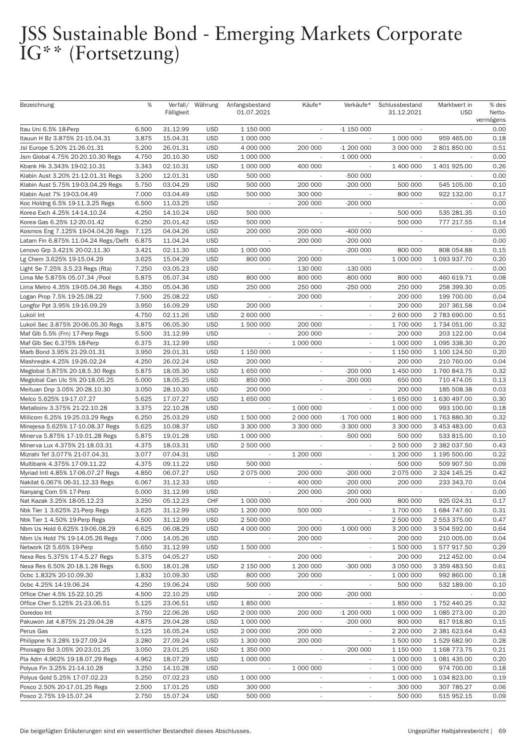| Bezeichnung                          | %     | Verfall/<br>Fälligkeit | Währung    | Anfangsbestand<br>01.07.2021 | Käufe*                   | Verkäufe*                | Schlussbestand<br>31.12.2021 | Marktwert in<br><b>USD</b> | % des<br>Netto-<br>vermögens |
|--------------------------------------|-------|------------------------|------------|------------------------------|--------------------------|--------------------------|------------------------------|----------------------------|------------------------------|
| Itau Uni 6.5% 18-Perp                | 6.500 | 31.12.99               | <b>USD</b> | 1 150 000                    |                          | $-1$ 150 000             |                              |                            | 0.00                         |
| Itauun H Bz 3.875% 21-15.04.31       | 3.875 | 15.04.31               | <b>USD</b> | 1 000 000                    | $\sim$                   |                          | 1 000 000                    | 959 465.00                 | 0.18                         |
| Jsl Europe 5.20% 21-26.01.31         | 5.200 | 26.01.31               | <b>USD</b> | 4 000 000                    | 200 000                  | $-1200000$               | 3 000 000                    | 2 801 850.00               | 0.51                         |
| Jsm Global 4.75% 20-20.10.30 Regs    | 4.750 | 20.10.30               | <b>USD</b> | 1 000 000                    |                          | $-1000000$               |                              |                            | 0.00                         |
| Kbank Hk 3.343% 19-02.10.31          | 3.343 | 02.10.31               | <b>USD</b> | 1 000 000                    | 400 000                  |                          | 1 400 000                    | 1 401 925.00               | 0.26                         |
| Klabin Aust 3.20% 21-12.01.31 Regs   | 3.200 | 12.01.31               | <b>USD</b> | 500 000                      |                          | -500 000                 | $\overline{\phantom{a}}$     |                            | 0.00                         |
| Klabin Aust 5.75% 19-03.04.29 Regs   | 5.750 | 03.04.29               | <b>USD</b> | 500 000                      | 200 000                  | $-200000$                | 500 000                      | 545 105.00                 | 0.10                         |
| Klabin Aust 7% 19-03.04.49           | 7.000 | 03.04.49               | <b>USD</b> | 500 000                      | 300 000                  |                          | 800 000                      | 922 132.00                 | 0.17                         |
| Koc Holdng 6.5% 19-11.3.25 Regs      | 6.500 | 11.03.25               | <b>USD</b> |                              | 200 000                  | $-200000$                |                              |                            | 0.00                         |
| Korea Exch 4.25% 14-14.10.24         | 4.250 | 14.10.24               | <b>USD</b> | 500 000                      | $\overline{\phantom{a}}$ | $\overline{\phantom{a}}$ | 500 000                      | 535 281.35                 | 0.10                         |
| Korea Gas 6.25% 12-20.01.42          | 6.250 | 20.01.42               | <b>USD</b> | 500 000                      | $\overline{\phantom{a}}$ | $\overline{\phantom{a}}$ | 500 000                      | 777 217.55                 | 0.14                         |
| Kosmos Eng 7.125% 19-04.04.26 Regs   | 7.125 | 04.04.26               | <b>USD</b> | 200 000                      | 200 000                  | $-400000$                |                              |                            | 0.00                         |
| Latam Fin 6.875% 11.04.24 Regs/Deflt | 6.875 | 11.04.24               | <b>USD</b> | $\sim$                       | 200 000                  | $-200000$                | $\mathcal{L}$                | ÷                          | 0.00                         |
| Lenovo Grp 3.421% 20-02.11.30        | 3.421 | 02.11.30               | <b>USD</b> | 1 000 000                    | $\overline{\phantom{a}}$ | $-200000$                | 800 000                      | 808 054.88                 | 0.15                         |
| Lg Chem 3.625% 19-15.04.29           | 3.625 | 15.04.29               | <b>USD</b> | 800 000                      | 200 000                  | $\overline{\phantom{a}}$ | 1 000 000                    | 1 093 937.70               | 0.20                         |
|                                      | 7.250 | 03.05.23               | <b>USD</b> |                              | 130 000                  | $-130000$                |                              |                            | 0.00                         |
| Light Se 7.25% 3.5.23 Regs (Rta)     |       |                        |            |                              |                          |                          |                              |                            |                              |
| Lima Me 5.875% 05.07.34 /Pool        | 5.875 | 05.07.34               | <b>USD</b> | 800 000                      | 800 000                  | -800 000                 | 800 000                      | 460 619.71                 | 0.08                         |
| Lima Metro 4.35% 19-05.04.36 Regs    | 4.350 | 05.04.36               | <b>USD</b> | 250 000                      | 250 000                  | $-250000$                | 250 000                      | 258 399.30                 | 0.05                         |
| Logan Prop 7.5% 19-25.08.22          | 7.500 | 25.08.22               | <b>USD</b> |                              | 200 000                  | $\overline{\phantom{a}}$ | 200 000                      | 199 700.00                 | 0.04                         |
| Longfor Ppt 3.95% 19-16.09.29        | 3.950 | 16.09.29               | <b>USD</b> | 200 000                      |                          |                          | 200 000                      | 207 361.58                 | 0.04                         |
| Lukoil Int                           | 4.750 | 02.11.26               | <b>USD</b> | 2 600 000                    | $\sim$                   | $\overline{\phantom{a}}$ | 2 600 000                    | 2 783 690.00               | 0.51                         |
| Lukoil Sec 3.875% 20-06.05.30 Regs   | 3.875 | 06.05.30               | <b>USD</b> | 1 500 000                    | 200 000                  | $\overline{\phantom{a}}$ | 1 700 000                    | 1 734 051.00               | 0.32                         |
| Maf Glb 5.5% (Frn) 17-Perp Regs      | 5.500 | 31.12.99               | <b>USD</b> | $\overline{\phantom{a}}$     | 200 000                  | $\overline{\phantom{a}}$ | 200 000                      | 203 122.00                 | 0.04                         |
| Maf Glb Sec 6.375% 18-Perp           | 6.375 | 31.12.99               | <b>USD</b> |                              | 1 000 000                |                          | 1 000 000                    | 1 095 338.30               | 0.20                         |
| Marb Bond 3.95% 21-29.01.31          | 3.950 | 29.01.31               | <b>USD</b> | 1 150 000                    | $\overline{\phantom{a}}$ | $\overline{\phantom{a}}$ | 1 150 000                    | 1 100 124.50               | 0.20                         |
| Mashreqbk 4.25% 19-26.02.24          | 4.250 | 26.02.24               | <b>USD</b> | 200 000                      | $\overline{\phantom{a}}$ |                          | 200 000                      | 210 760.00                 | 0.04                         |
| Meglobal 5.875% 20-18.5.30 Regs      | 5.875 | 18.05.30               | <b>USD</b> | 1 650 000                    |                          | $-200000$                | 1 450 000                    | 1760843.75                 | 0.32                         |
| Meglobal Can Ulc 5% 20-18.05.25      | 5.000 | 18.05.25               | <b>USD</b> | 850 000                      |                          | $-200000$                | 650 000                      | 710 474.05                 | 0.13                         |
| Meituan Dnp 3.05% 20-28.10.30        | 3.050 | 28.10.30               | <b>USD</b> | 200 000                      | $\overline{\phantom{a}}$ | $\overline{\phantom{a}}$ | 200 000                      | 185 508.38                 | 0.03                         |
| Melco 5.625% 19-17.07.27             | 5.625 | 17.07.27               | <b>USD</b> | 1 650 000                    |                          |                          | 1 650 000                    | 1 630 497.00               | 0.30                         |
| Metalloinv 3.375% 21-22.10.28        | 3.375 | 22.10.28               | <b>USD</b> | $\sim$                       | 1 000 000                |                          | 1 000 000                    | 993 100.00                 | 0.18                         |
| Millicom 6.25% 19-25.03.29 Regs      | 6.250 | 25.03.29               | <b>USD</b> | 1 500 000                    | 2 000 000                | $-1700000$               | 1 800 000                    | 1763880.30                 | 0.32                         |
| Minejesa 5.625% 17-10.08.37 Regs     | 5.625 | 10.08.37               | <b>USD</b> | 3 300 000                    | 3 300 000                | -3 300 000               | 3 300 000                    | 3 453 483.00               | 0.63                         |
| Minerva 5.875% 17-19.01.28 Regs      | 5.875 | 19.01.28               | <b>USD</b> | 1 000 000                    | $\overline{\phantom{a}}$ | -500 000                 | 500 000                      | 533 815.00                 | 0.10                         |
| Minerva Lux 4.375% 21-18.03.31       | 4.375 | 18.03.31               | <b>USD</b> | 2 500 000                    |                          |                          | 2 500 000                    | 2 382 037.50               | 0.43                         |
| Mizrahi Tef 3.077% 21-07.04.31       | 3.077 | 07.04.31               | <b>USD</b> |                              | 1 200 000                |                          | 1 200 000                    | 1 195 500.00               | 0.22                         |
| Multibank 4.375% 17-09.11.22         | 4.375 | 09.11.22               | <b>USD</b> | 500 000                      |                          | $\mathcal{L}$            | 500 000                      | 509 907.50                 | 0.09                         |
| Myriad Intl 4.85% 17-06.07.27 Regs   | 4.850 | 06.07.27               | <b>USD</b> | 2 075 000                    | 200 000                  | $-200000$                | 2 075 000                    | 2 324 145.25               | 0.42                         |
| Nakilat 6.067% 06-31.12.33 Regs      | 6.067 | 31.12.33               | <b>USD</b> |                              | 400 000                  | $-200000$                | 200 000                      | 233 343.70                 | 0.04                         |
| Nanyang Com 5% 17-Perp               | 5.000 | 31.12.99               | <b>USD</b> |                              | 200 000                  | $-200000$                | $\overline{\phantom{a}}$     |                            | 0.00                         |
| Nat Kazak 3.25% 18-05.12.23          | 3.250 | 05.12.23               | CHF        | 1 000 000                    | $\overline{\phantom{a}}$ | $-200000$                | 800 000                      | 925 024.31                 | 0.17                         |
| Nbk Tier 1 3.625% 21-Perp Regs       | 3.625 | 31.12.99               | <b>USD</b> | 1 200 000                    | 500 000                  |                          | 1 700 000                    | 1 684 747.60               | 0.31                         |
|                                      | 4.500 | 31.12.99               | <b>USD</b> | 2 500 000                    | $\overline{\phantom{a}}$ |                          | 2 500 000                    |                            | 0.47                         |
| Nbk Tier 1 4.50% 19-Perp Regs        |       | 06.08.29               |            |                              | 200 000                  |                          |                              | 2 553 375.00               |                              |
| Nbm Us Hold 6.625% 19-06.08.29       | 6.625 |                        | <b>USD</b> | 4 000 000                    |                          | $-1000000$               | 3 200 000                    | 3 504 592.00               | 0.64                         |
| Nbm Us Hold 7% 19-14.05.26 Regs      | 7.000 | 14.05.26               | <b>USD</b> | $\sim$                       | 200 000                  | $\overline{\phantom{a}}$ | 200 000                      | 210 005.00                 | 0.04                         |
| Network I2I 5.65% 19-Perp            | 5.650 | 31.12.99               | <b>USD</b> | 1 500 000                    |                          | $\overline{\phantom{a}}$ | 1 500 000                    | 1 577 917.50               | 0.29                         |
| Nexa Res 5.375% 17-4.5.27 Regs       | 5.375 | 04.05.27               | <b>USD</b> |                              | 200 000                  |                          | 200 000                      | 212 452.00                 | 0.04                         |
| Nexa Res 6.50% 20-18.1.28 Regs       | 6.500 | 18.01.28               | <b>USD</b> | 2 150 000                    | 1 200 000                | $-300000$                | 3 050 000                    | 3 359 483.50               | 0.61                         |
| Ocbc 1.832% 20-10.09.30              | 1.832 | 10.09.30               | <b>USD</b> | 800 000                      | 200 000                  | $\overline{\phantom{a}}$ | 1 000 000                    | 992 860.00                 | 0.18                         |
| Ocbc 4.25% 14-19.06.24               | 4.250 | 19.06.24               | <b>USD</b> | 500 000                      | $\overline{\phantom{a}}$ |                          | 500 000                      | 532 189.00                 | 0.10                         |
| Office Cher 4.5% 15-22.10.25         | 4.500 | 22.10.25               | <b>USD</b> | $\sim$                       | 200 000                  | $-200000$                | $\overline{\phantom{a}}$     |                            | 0.00                         |
| Office Cher 5.125% 21-23.06.51       | 5.125 | 23.06.51               | <b>USD</b> | 1850000                      |                          |                          | 1850000                      | 1 752 440.25               | 0.32                         |
| Ooredoo Int                          | 3.750 | 22.06.26               | <b>USD</b> | 2 000 000                    | 200 000                  | $-1200000$               | 1 000 000                    | 1 085 273.00               | 0.20                         |
| Pakuwon Jat 4.875% 21-29.04.28       | 4.875 | 29.04.28               | <b>USD</b> | 1 000 000                    |                          | $-200000$                | 800 000                      | 817 918.80                 | 0.15                         |
| Perus Gas                            | 5.125 | 16.05.24               | <b>USD</b> | 2 000 000                    | 200 000                  |                          | 2 200 000                    | 2 381 623.64               | 0.43                         |
| Philippne N 3.28% 19-27.09.24        | 3.280 | 27.09.24               | <b>USD</b> | 1 300 000                    | 200 000                  |                          | 1 500 000                    | 1529682.90                 | 0.28                         |
| Phosagro Bd 3.05% 20-23.01.25        | 3.050 | 23.01.25               | <b>USD</b> | 1 350 000                    | $\overline{\phantom{a}}$ | $-200000$                | 1 150 000                    | 1 168 773.75               | 0.21                         |
| Pla Adm 4.962% 19-18.07.29 Regs      | 4.962 | 18.07.29               | <b>USD</b> | 1 000 000                    | $\overline{\phantom{a}}$ | $\overline{\phantom{a}}$ | 1 000 000                    | 1 081 435.00               | 0.20                         |
| Polyus Fin 3.25% 21-14.10.28         | 3.250 | 14.10.28               | <b>USD</b> | $\overline{\phantom{a}}$     | 1 000 000                |                          | 1 000 000                    | 974 700.00                 | 0.18                         |
| Polyus Gold 5.25% 17-07.02.23        | 5.250 | 07.02.23               | <b>USD</b> | 1 000 000                    | $\sim$                   |                          | 1 000 000                    | 1 034 823.00               | 0.19                         |
| Posco 2.50% 20-17.01.25 Regs         | 2.500 | 17.01.25               | <b>USD</b> | 300 000                      | $\sim$                   | $\overline{\phantom{a}}$ | 300 000                      | 307 785.27                 | 0.06                         |
| Posco 2.75% 19-15.07.24              | 2.750 | 15.07.24               | <b>USD</b> | 500 000                      | $\overline{\phantom{a}}$ | $\overline{\phantom{a}}$ | 500 000                      | 515 952.15                 | 0.09                         |
|                                      |       |                        |            |                              |                          |                          |                              |                            |                              |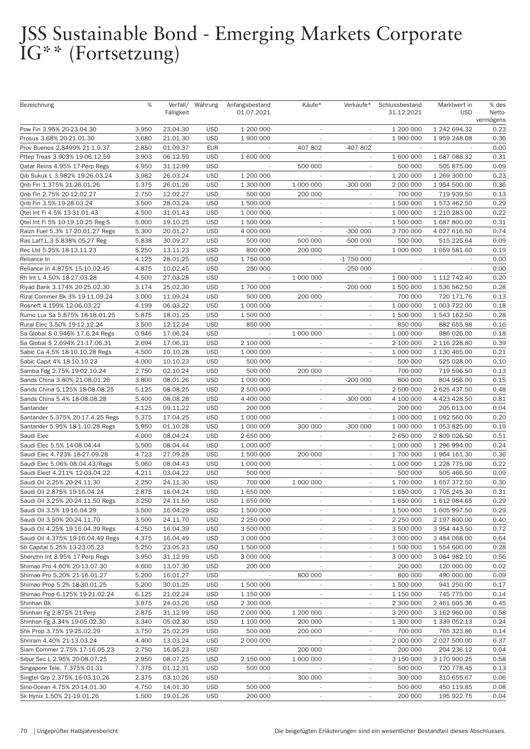| Bezeichnung                       | %     |            | Verfall/ Währung | Anfangsbestand           | Käufe*                   | Verkäufe*                | Schlussbestand | Marktwert in | % des     |
|-----------------------------------|-------|------------|------------------|--------------------------|--------------------------|--------------------------|----------------|--------------|-----------|
|                                   |       | Fälligkeit |                  | 01.07.2021               |                          |                          | 31.12.2021     | <b>USD</b>   | Netto-    |
|                                   |       |            |                  |                          |                          |                          |                |              | vermögens |
| Pow Fin 3.95% 20-23.04.30         | 3.950 | 23.04.30   | <b>USD</b>       | 1 200 000                |                          |                          | 1 200 000      | 1 242 694.32 | 0.23      |
| Prosus 3.68% 20-21.01.30          | 3.680 | 21.01.30   | <b>USD</b>       | 1 900 000                | $\sim$                   | $\sim$                   | 1 900 000      | 1 959 248.08 | 0.36      |
| Prov Buenos 2.8499% 21-1.9.37     | 2.850 | 01.09.37   | <b>EUR</b>       |                          | 407 802                  | -407 802                 |                |              | 0.00      |
| Pttep Treas 3.903% 19-06.12.59    | 3.903 | 06.12.59   | <b>USD</b>       | 1 600 000                | $\overline{\phantom{a}}$ |                          | 1 600 000      | 1 687 088.32 | 0.31      |
| Qatar Reins 4.95% 17-Perp Regs    | 4.950 | 31.12.99   | <b>USD</b>       |                          | 500 000                  |                          | 500 000        | 505 875.00   | 0.09      |
| Qib Sukuk L 3.982% 19-26.03.24    | 3.982 | 26.03.24   | <b>USD</b>       | 1 200 000                | $\overline{\phantom{a}}$ | $\overline{\phantom{a}}$ | 1 200 000      | 1 269 300.00 | 0.23      |
| Qnb Fin 1.375% 21-26.01.26        | 1.375 | 26.01.26   | <b>USD</b>       | 1 300 000                | 1 000 000                | $-300000$                | 2 000 000      | 1 954 500.00 | 0.36      |
| Qnb Fin 2.75% 20-12.02.27         | 2.750 | 12.02.27   | <b>USD</b>       | 500 000                  | 200 000                  | $\sim$                   | 700 000        | 719 939.50   | 0.13      |
| Qnb Fin 3.5% 19-28.03.24          | 3.500 | 28.03.24   | <b>USD</b>       | 1 500 000                | $\sim$                   |                          | 1 500 000      | 1 573 462.50 | 0.29      |
| Qtel Int Fi 4.5% 13-31.01.43      | 4.500 | 31.01.43   | <b>USD</b>       | 1 000 000                | $\sim$                   | $\sim$                   | 1 000 000      | 1 210 283.00 | 0.22      |
| Qtel Int Fi 5% 10-19.10.25 Reg-S  | 5.000 | 19.10.25   | <b>USD</b>       | 1 500 000                | $\sim$                   |                          | 1 500 000      | 1 687 800.00 | 0.31      |
| Raizn Fuel 5.3% 17-20.01.27 Regs  | 5.300 | 20.01.27   | <b>USD</b>       | 4 000 000                | $\sim$                   | $-300000$                | 3 700 000      | 4 027 616.50 | 0.74      |
| Ras Laff.L.3 5.838% 05-27 Reg     | 5.838 | 30.09.27   | <b>USD</b>       | 500 000                  | 500 000                  | -500 000                 | 500 000        | 515 225.64   | 0.09      |
| Rec Ltd 5.25% 18-13.11.23         | 5.250 | 13.11.23   | <b>USD</b>       | 800 000                  | 200 000                  | $\overline{\phantom{a}}$ | 1 000 000      | 1 059 581.60 | 0.19      |
| Reliance In                       | 4.125 | 28.01.25   | <b>USD</b>       | 1 750 000                |                          | -1 750 000               |                |              | 0.00      |
| Reliance In 4.875% 15-10.02.45    | 4.875 | 10.02.45   | <b>USD</b>       | 250 000                  |                          | $-250000$                |                |              | 0.00      |
| Rh Int L 4.50% 18-27.03.28        | 4.500 | 27.03.28   | <b>USD</b>       |                          | 1 000 000                |                          | 1 000 000      | 1 112 742.40 | 0.20      |
| Riyad Bank 3.174% 20-25.02.30     | 3.174 | 25.02.30   | <b>USD</b>       | 1 700 000                | ÷.                       | $-200000$                | 1 500 000      | 1 536 562.50 | 0.28      |
| Rizal Commer Bk 3% 19-11.09.24    | 3.000 | 11.09.24   | <b>USD</b>       | 500 000                  | 200 000                  |                          | 700 000        | 720 171.76   | 0.13      |
|                                   | 4.199 | 06.03.22   | <b>USD</b>       |                          | $\sim$                   |                          | 1 000 000      |              | 0.18      |
| Rosneft 4.199% 12-06.03.22        |       |            | <b>USD</b>       | 1 000 000                | $\overline{\phantom{a}}$ | ÷,                       | 1 500 000      | 1 003 722.00 | 0.28      |
| Rumo Lux Sa 5.875% 18-18.01.25    | 5.875 | 18.01.25   |                  | 1 500 000                |                          |                          |                | 1 543 162.50 |           |
| Rural Elec 3.50% 19-12.12.24      | 3.500 | 12.12.24   | <b>USD</b>       | 850 000                  | $\overline{\phantom{a}}$ | $\sim$                   | 850 000        | 882 655.98   | 0.16      |
| Sa Global S 0.946% 17.6.24 Regs   | 0.946 | 17.06.24   | <b>USD</b>       | $\overline{\phantom{a}}$ | 1 000 000                |                          | 1 000 000      | 986 026.00   | 0.18      |
| Sa Global S 2.694% 21-17.06.31    | 2.694 | 17.06.31   | <b>USD</b>       | 2 100 000                | $\sim$                   |                          | 2 100 000      | 2 116 228.80 | 0.39      |
| Sabic Ca 4.5% 18-10.10.28 Regs    | 4.500 | 10.10.28   | <b>USD</b>       | 1 000 000                | $\overline{\phantom{a}}$ | $\sim$                   | 1 000 000      | 1 130 465.00 | 0.21      |
| Sabic Capit 4% 18-10.10.23        | 4.000 | 10.10.23   | <b>USD</b>       | 500 000                  | $\overline{\phantom{a}}$ | $\overline{\phantom{a}}$ | 500 000        | 525 028.00   | 0.10      |
| Samba Fdg 2.75% 19-02.10.24       | 2.750 | 02.10.24   | <b>USD</b>       | 500 000                  | 200 000                  |                          | 700 000        | 719 596.50   | 0.13      |
| Sands China 3.80% 21-08.01.26     | 3.800 | 08.01.26   | <b>USD</b>       | 1 000 000                |                          | $-200000$                | 800 000        | 804 956.00   | 0.15      |
| Sands China 5.125% 18-08.08.25    | 5.125 | 08.08.25   | <b>USD</b>       | 2 500 000                | $\overline{\phantom{a}}$ | $\mathcal{L}$            | 2 500 000      | 2 625 437.50 | 0.48      |
| Sands China 5.4% 18-08.08.28      | 5.400 | 08.08.28   | <b>USD</b>       | 4 400 000                | $\sim$                   | $-300000$                | 4 100 000      | 4 423 428.50 | 0.81      |
| Santander                         | 4.125 | 09.11.22   | <b>USD</b>       | 200 000                  | $\overline{\phantom{a}}$ |                          | 200 000        | 205 013.00   | 0.04      |
| Santander 5.375% 20-17.4.25 Regs  | 5.375 | 17.04.25   | <b>USD</b>       | 1 000 000                |                          |                          | 1 000 000      | 1 092 560.00 | 0.20      |
| Santander 5.95% 18-1.10.28 Regs   | 5.950 | 01.10.28   | <b>USD</b>       | 1 000 000                | 300 000                  | $-300000$                | 1 000 000      | 1 053 825.00 | 0.19      |
| Saudi Elec                        | 4.000 | 08.04.24   | <b>USD</b>       | 2 650 000                | $\overline{\phantom{a}}$ | $\overline{\phantom{a}}$ | 2 650 000      | 2 809 026.50 | 0.51      |
| Saudi Elec 5.5% 14-08.04.44       | 5.500 | 08.04.44   | <b>USD</b>       | 1 000 000                | $\overline{\phantom{a}}$ | $\overline{\phantom{a}}$ | 1 000 000      | 1 296 994.00 | 0.24      |
| Saudi Elec 4.723% 18-27.09.28     | 4.723 | 27.09.28   | <b>USD</b>       | 1 500 000                | 200 000                  |                          | 1 700 000      | 1 964 161.30 | 0.36      |
| Saudi Elec 5.06% 08.04.43/Regs    | 5.060 | 08.04.43   | <b>USD</b>       | 1 000 000                | ÷.                       | $\overline{\phantom{a}}$ | 1 000 000      | 1 228 775.00 | 0.22      |
| Saudi Elect 4.211% 12-03.04.22    | 4.211 | 03.04.22   | <b>USD</b>       | 500 000                  | $\overline{\phantom{a}}$ | $\overline{\phantom{a}}$ | 500 000        | 505 466.50   | 0.09      |
| Saudi Oil 2.25% 20-24.11.30       | 2.250 | 24.11.30   | <b>USD</b>       | 700 000                  | 1 000 000                |                          | 1 700 000      | 1 657 372.50 | 0.30      |
| Saudi Oil 2.875% 19-16.04.24      | 2.875 | 16.04.24   | <b>USD</b>       | 1 650 000                | $\overline{\phantom{a}}$ |                          | 1 650 000      | 1705 245.30  | 0.31      |
| Saudi Oil 3.25% 20-24.11.50 Regs  | 3.250 | 24.11.50   | <b>USD</b>       | 1 650 000                | $\overline{\phantom{a}}$ | $\overline{\phantom{a}}$ | 1 650 000      | 1 612 084.65 | 0.29      |
| Saudi Oil 3.5% 19-16.04.29        | 3.500 | 16.04.29   | <b>USD</b>       | 1 500 000                | $\overline{\phantom{a}}$ | $\overline{\phantom{a}}$ | 1 500 000      | 1 605 997.50 | 0.29      |
| Saudi Oil 3.50% 20-24.11.70       | 3.500 | 24.11.70   | <b>USD</b>       | 2 250 000                | $\overline{\phantom{a}}$ | $\overline{\phantom{a}}$ | 2 250 000      | 2 197 800.00 | 0.40      |
| Saudi Oil 4.25% 19-16.04.39 Regs  | 4.250 | 16.04.39   | <b>USD</b>       | 3 500 000                | $\overline{\phantom{a}}$ |                          | 3 500 000      | 3 954 443.50 | 0.72      |
| Saudi Oil 4.375% 19-16.04.49 Regs | 4.375 | 16.04.49   | <b>USD</b>       | 3 000 000                | $\overline{\phantom{a}}$ | $\overline{\phantom{a}}$ | 3 000 000      | 3 484 068.00 | 0.64      |
| Sb Capital 5.25% 13-23.05.23      | 5.250 | 23.05.23   | <b>USD</b>       | 1 500 000                | $\overline{\phantom{a}}$ | $\overline{\phantom{a}}$ | 1 500 000      | 1 554 600.00 | 0.28      |
| Shenzhn Int 3.95% 17-Perp Regs    | 3.950 | 31.12.99   | <b>USD</b>       | 3 000 000                | $\overline{\phantom{a}}$ |                          | 3 000 000      | 3 064 982.10 | 0.56      |
| Shimao Pro 4.60% 20-13.07.30      | 4.600 | 13.07.30   | <b>USD</b>       | 200 000                  |                          |                          | 200 000        | 120 000.00   | 0.02      |
| Shimao Pro 5.20% 21-16.01.27      | 5.200 | 16.01.27   | <b>USD</b>       |                          | 800 000                  | $\overline{\phantom{a}}$ | 800 000        | 490 000.00   | 0.09      |
| Shimao Prop 5.2% 18-30.01.25      | 5.200 | 30.01.25   | <b>USD</b>       | 1 500 000                | $\overline{\phantom{a}}$ | $\overline{\phantom{a}}$ | 1 500 000      | 941 250.00   | 0.17      |
| Shimao Prop 6.125% 19-21.02.24    | 6.125 | 21.02.24   | <b>USD</b>       | 1 150 000                |                          |                          | 1 150 000      | 745 775.00   | 0.14      |
| Shinhan Bk                        | 3.875 | 24.03.26   | <b>USD</b>       | 2 300 000                |                          |                          | 2 300 000      | 2 461 605.36 | 0.45      |
| Shinhan Fg 2.875% 21-Perp         | 2.875 | 31.12.99   | <b>USD</b>       | 2 000 000                | 1 200 000                | $\overline{\phantom{a}}$ | 3 200 000      | 3 162 960.00 | 0.58      |
| Shinhan Fg 3.34% 19-05.02.30      | 3.340 | 05.02.30   | <b>USD</b>       | 1 100 000                | 200 000                  | $\overline{\phantom{a}}$ | 1 300 000      | 1 339 052.13 | 0.24      |
| Shk Prop 3.75% 19-25.02.29        | 3.750 | 25.02.29   | <b>USD</b>       | 500 000                  | 200 000                  |                          | 700 000        | 765 323.86   | 0.14      |
| Shriram 4.40% 21-13.03.24         | 4.400 | 13.03.24   | <b>USD</b>       | 2 000 000                |                          |                          | 2 000 000      | 2 027 500.00 | 0.37      |
| Siam Commer 2.75% 17-16.05.23     | 2.750 | 16.05.23   | <b>USD</b>       | $\overline{\phantom{a}}$ | 200 000                  | $\overline{\phantom{a}}$ | 200 000        | 204 236.12   | 0.04      |
| Sibur Sec L 2.95% 20-08.07.25     | 2.950 | 08.07.25   | <b>USD</b>       | 2 150 000                | 1 000 000                | $\overline{\phantom{a}}$ | 3 150 000      | 3 170 900.25 | 0.58      |
| Singapore Tele. 7.375% 01-31      | 7.375 | 01.12.31   | <b>USD</b>       | 500 000                  | $\overline{\phantom{a}}$ | $\overline{\phantom{a}}$ | 500 000        | 720 778.45   | 0.13      |
|                                   |       | 03.10.26   |                  |                          |                          |                          | 300 000        |              |           |
| Singtel Grp 2.375% 16-03.10.26    | 2.375 |            | <b>USD</b>       |                          | 300 000                  |                          |                | 310 655.67   | 0.06      |
| Sino-Ocean 4.75% 20-14.01.30      | 4.750 | 14.01.30   | <b>USD</b>       | 500 000                  | $\overline{\phantom{a}}$ | $\overline{\phantom{a}}$ | 500 000        | 450 119.85   | 0.08      |
| Sk Hynix 1.50% 21-19.01.26        | 1.500 | 19.01.26   | <b>USD</b>       | 200 000                  | $\overline{\phantom{a}}$ | $\overline{\phantom{a}}$ | 200 000        | 195 922.75   | 0.04      |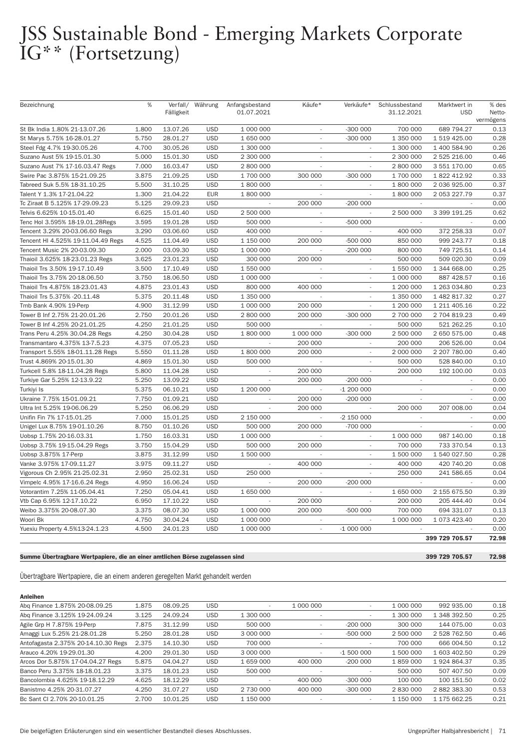| Bezeichnung                        | %     | Verfall/   | Währung    | Anfangsbestand           | Käufe*                   | Verkäufe*                | Schlussbestand           | Marktwert in   | % des     |
|------------------------------------|-------|------------|------------|--------------------------|--------------------------|--------------------------|--------------------------|----------------|-----------|
|                                    |       | Fälligkeit |            | 01.07.2021               |                          |                          | 31.12.2021               | <b>USD</b>     | Netto-    |
|                                    |       |            |            |                          |                          |                          |                          |                | vermögens |
| St Bk India 1.80% 21-13.07.26      | 1.800 | 13.07.26   | <b>USD</b> | 1 000 000                | $\sim$                   | $-300000$                | 700 000                  | 689 794.27     | 0.13      |
| St Marys 5.75% 16-28.01.27         | 5.750 | 28.01.27   | <b>USD</b> | 1 650 000                | ÷                        | $-300000$                | 1 350 000                | 1 519 425.00   | 0.28      |
| Steel Fdg 4.7% 19-30.05.26         | 4.700 | 30.05.26   | <b>USD</b> | 1 300 000                | ÷.                       |                          | 1 300 000                | 1 400 584.90   | 0.26      |
| Suzano Aust 5% 19-15.01.30         | 5.000 | 15.01.30   | <b>USD</b> | 2 300 000                |                          |                          | 2 300 000                | 2 525 216.00   | 0.46      |
| Suzano Aust 7% 17-16.03.47 Regs    | 7.000 | 16.03.47   | <b>USD</b> | 2 800 000                | $\overline{\phantom{a}}$ | $\sim$                   | 2 800 000                | 3 551 170.00   | 0.65      |
| Swire Pac 3.875% 15-21.09.25       | 3.875 | 21.09.25   | <b>USD</b> | 1 700 000                | 300 000                  | $-300000$                | 1 700 000                | 1 822 412.92   | 0.33      |
| Tabreed Suk 5.5% 18-31.10.25       | 5.500 | 31.10.25   | <b>USD</b> | 1 800 000                | $\overline{\phantom{a}}$ | ÷.                       | 1 800 000                | 2 036 925.00   | 0.37      |
| Talent Y 1.3% 17-21.04.22          | 1.300 | 21.04.22   | <b>EUR</b> | 1 800 000                | ÷.                       | ÷.                       | 1 800 000                | 2 053 227.79   | 0.37      |
| Tc Ziraat B 5.125% 17-29.09.23     | 5.125 | 29.09.23   | <b>USD</b> |                          | 200 000                  | $-200000$                |                          |                | 0.00      |
| Telvis 6.625% 10-15.01.40          | 6.625 | 15.01.40   | <b>USD</b> | 2 500 000                |                          |                          | 2 500 000                | 3 399 191.25   | 0.62      |
| Tenc Hol 3.595% 18-19.01.28Regs    | 3.595 | 19.01.28   | <b>USD</b> | 500 000                  |                          | $-500000$                |                          |                | 0.00      |
| Tencent 3.29% 20-03.06.60 Regs     | 3.290 | 03.06.60   | <b>USD</b> | 400 000                  | $\sim$                   | $\overline{\phantom{a}}$ | 400 000                  | 372 258.33     | 0.07      |
| Tencent HI 4.525% 19-11.04.49 Regs | 4.525 | 11.04.49   | <b>USD</b> | 1 150 000                | 200 000                  | $-500000$                | 850 000                  | 999 243.77     | 0.18      |
| Tencent Music 2% 20-03.09.30       | 2.000 | 03.09.30   | <b>USD</b> | 1 000 000                | $\overline{\phantom{a}}$ | $-200000$                | 800 000                  | 749 725.51     | 0.14      |
| Thaioil 3.625% 18-23.01.23 Regs    | 3.625 | 23.01.23   | <b>USD</b> | 300 000                  | 200 000                  |                          | 500 000                  | 509 020.30     | 0.09      |
| Thaioil Trs 3.50% 19-17.10.49      | 3.500 | 17.10.49   | <b>USD</b> | 1 550 000                |                          | $\sim$                   | 1 550 000                | 1 344 668.00   | 0.25      |
| Thaioil Trs 3.75% 20-18.06.50      | 3.750 | 18.06.50   | <b>USD</b> | 1 000 000                | ÷,                       | ×.                       | 1 000 000                | 887 428.57     | 0.16      |
| Thaioil Trs 4.875% 18-23.01.43     | 4.875 | 23.01.43   | <b>USD</b> | 800 000                  | 400 000                  |                          | 1 200 000                | 1 263 034.80   | 0.23      |
| Thaioil Trs 5.375% - 20.11.48      | 5.375 | 20.11.48   | <b>USD</b> | 1 350 000                | $\overline{\phantom{a}}$ | $\sim$                   | 1 350 000                | 1 482 817.32   | 0.27      |
| Tmb Bank 4.90% 19-Perp             | 4.900 | 31.12.99   | <b>USD</b> | 1 000 000                | 200 000                  | $\sim$                   | 1 200 000                | 1 211 405.16   | 0.22      |
| Tower B Inf 2.75% 21-20.01.26      | 2.750 | 20.01.26   | <b>USD</b> | 2 800 000                | 200 000                  | $-300000$                | 2 700 000                | 2 704 819.23   | 0.49      |
| Tower B Inf 4.25% 20-21.01.25      | 4.250 | 21.01.25   | <b>USD</b> | 500 000                  |                          |                          | 500 000                  | 521 262.25     | 0.10      |
| Trans Peru 4.25% 30.04.28 Regs     | 4.250 | 30.04.28   | <b>USD</b> | 1 800 000                | 1 000 000                | $-300000$                | 2 500 000                | 2 650 575.00   | 0.48      |
| Transmantaro 4.375% 13-7.5.23      | 4.375 | 07.05.23   | <b>USD</b> |                          | 200 000                  | $\overline{\phantom{a}}$ | 200 000                  | 206 526.00     | 0.04      |
| Transport 5.55% 18-01.11.28 Regs   | 5.550 | 01.11.28   | <b>USD</b> | 1 800 000                | 200 000                  |                          | 2 000 000                | 2 207 780.00   | 0.40      |
| Trust 4.869% 20-15.01.30           | 4.869 | 15.01.30   | <b>USD</b> | 500 000                  | $\overline{\phantom{a}}$ | $\sim$                   | 500 000                  | 528 840.00     | 0.10      |
| Turkcell 5.8% 18-11.04.28 Regs     | 5.800 | 11.04.28   | <b>USD</b> | $\overline{\phantom{a}}$ | 200 000                  |                          | 200 000                  | 192 100.00     | 0.03      |
| Turkiye Gar 5.25% 12-13.9.22       | 5.250 | 13.09.22   | <b>USD</b> | $\mathbf{r}$             | 200 000                  | $-200000$                | $\sim$                   | $\sim$         | 0.00      |
| Turkiyi Is                         | 5.375 | 06.10.21   | <b>USD</b> | 1 200 000                |                          | $-1200000$               | $\overline{\phantom{a}}$ | $\sim$         | 0.00      |
| Ukraine 7.75% 15-01.09.21          | 7.750 | 01.09.21   | <b>USD</b> |                          | 200 000                  | $-200000$                | $\overline{\phantom{a}}$ |                | 0.00      |
| Ultra Int 5.25% 19-06.06.29        | 5.250 | 06.06.29   | <b>USD</b> |                          | 200 000                  |                          | 200 000                  | 207 008.00     | 0.04      |
| Unifin Fin 7% 17-15.01.25          | 7.000 | 15.01.25   | <b>USD</b> | 2 150 000                |                          | -2 150 000               |                          |                | 0.00      |
| Unigel Lux 8.75% 19-01.10.26       | 8.750 | 01.10.26   | <b>USD</b> | 500 000                  | 200 000                  | -700 000                 | $\sim$                   |                | 0.00      |
| Uobsp 1.75% 20-16.03.31            | 1.750 | 16.03.31   | <b>USD</b> | 1 000 000                | $\overline{\phantom{a}}$ | $\sim$                   | 1 000 000                | 987 140.00     | 0.18      |
| Uobsp 3.75% 19-15.04.29 Regs       | 3.750 | 15.04.29   | <b>USD</b> | 500 000                  | 200 000                  | $\overline{\phantom{a}}$ | 700 000                  | 733 370.54     | 0.13      |
| Uobsp 3.875% 17-Perp               | 3.875 | 31.12.99   | <b>USD</b> | 1 500 000                |                          | ÷.                       | 1 500 000                | 1 540 027.50   | 0.28      |
| Vanke 3.975% 17-09.11.27           | 3.975 | 09.11.27   | <b>USD</b> |                          | 400 000                  | $\sim$                   | 400 000                  | 420 740.20     | 0.08      |
| Vigorous Ch 2.95% 21-25.02.31      | 2.950 | 25.02.31   | <b>USD</b> | 250 000                  |                          | L.                       | 250 000                  | 241 586.65     | 0.04      |
| Vimpelc 4.95% 17-16.6.24 Regs      | 4.950 | 16.06.24   | <b>USD</b> |                          | 200 000                  | $-200000$                |                          |                | 0.00      |
| Votorantim 7.25% 11-05.04.41       | 7.250 | 05.04.41   | <b>USD</b> | 1 650 000                |                          | $\sim$                   | 1 650 000                | 2 155 675.50   | 0.39      |
| Vtb Cap 6.95% 12-17.10.22          | 6.950 | 17.10.22   | <b>USD</b> |                          | 200 000                  | $\sim$                   | 200 000                  | 205 444.40     | 0.04      |
| Weibo 3.375% 20-08.07.30           | 3.375 | 08.07.30   | <b>USD</b> | 1 000 000                | 200 000                  | $-500000$                | 700 000                  | 694 331.07     | 0.13      |
| Woori Bk                           | 4.750 | 30.04.24   | <b>USD</b> | 1 000 000                |                          |                          | 1 000 000                | 1 073 423.40   | 0.20      |
| Yuexiu Property 4.5%13-24.1.23     | 4.500 | 24.01.23   | <b>USD</b> | 1 000 000                | $\overline{\phantom{a}}$ | $-1000000$               |                          |                | 0.00      |
|                                    |       |            |            |                          |                          |                          |                          | 399 729 705.57 | 72.98     |
|                                    |       |            |            |                          |                          |                          |                          |                |           |

#### Summe Übertragbare Wertpapiere, die an einer amtlichen Börse zugelassen sind 399 729 705.57 72.98

### Übertragbare Wertpapiere, die an einem anderen geregelten Markt gehandelt werden

#### Anleihen

| Abg Finance 1.875% 20-08.09.25      | 1.875 | 08.09.25 | <b>USD</b> | $\,$      | 1 000 000 | $\,$                     | 1 000 000 | 992 935.00   | 0.18 |
|-------------------------------------|-------|----------|------------|-----------|-----------|--------------------------|-----------|--------------|------|
| Abg Finance 3.125% 19-24.09.24      | 3.125 | 24.09.24 | <b>USD</b> | 1 300 000 |           |                          | 1 300 000 | 1 348 392.50 | 0.25 |
| Agile Grp H 7.875% 19-Perp          | 7.875 | 31.12.99 | <b>USD</b> | 500 000   | $\,$      | $-200000$                | 300 000   | 144 075.00   | 0.03 |
| Amaggi Lux 5.25% 21-28.01.28        | 5.250 | 28.01.28 | <b>USD</b> | 3 000 000 | $\,$      | $-500000$                | 2 500 000 | 2 528 762.50 | 0.46 |
| Antofagasta 2.375% 20-14.10.30 Regs | 2.375 | 14.10.30 | <b>USD</b> | 700 000   |           |                          | 700 000   | 666 004.50   | 0.12 |
| Arauco 4.20% 19-29.01.30            | 4.200 | 29.01.30 | <b>USD</b> | 3 000 000 | ۰         | $-1500000$               | 1 500 000 | 1 603 402.50 | 0.29 |
| Arcos Dor 5.875% 17-04.04.27 Regs   | 5.875 | 04.04.27 | <b>USD</b> | 1 659 000 | 400 000   | $-200000$                | 1859000   | 1 924 864.37 | 0.35 |
| Banco Peru 3.375% 18-18.01.23       | 3.375 | 18.01.23 | <b>USD</b> | 500 000   |           | $\overline{\phantom{a}}$ | 500 000   | 507 407.50   | 0.09 |
| Bancolombia 4.625% 19-18.12.29      | 4.625 | 18.12.29 | <b>USD</b> | $\,$      | 400 000   | $-300000$                | 100 000   | 100 151.50   | 0.02 |
| Banistmo 4.25% 20-31.07.27          | 4.250 | 31.07.27 | <b>USD</b> | 2 730 000 | 400 000   | $-300000$                | 2 830 000 | 2882383.30   | 0.53 |
| Bc Sant CI 2.70% 20-10.01.25        | 2.700 | 10.01.25 | <b>USD</b> | 1 150 000 |           | $\sim$                   | 1 150 000 | 1 175 662.25 | 0.21 |
|                                     |       |          |            |           |           |                          |           |              |      |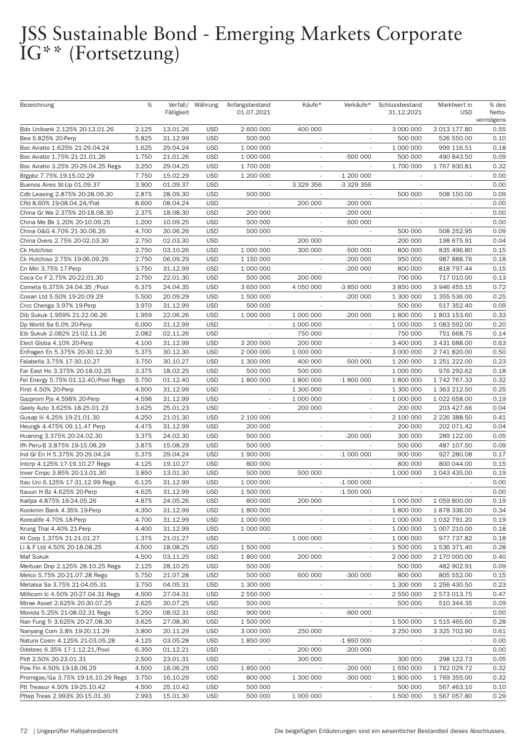| Bezeichnung                         | %     | Verfall/<br>Fälligkeit | Währung    | Anfangsbestand<br>01.07.2021 | Käufe*                   | Verkäufe*                   | Schlussbestand<br>31.12.2021 | Marktwert in<br><b>USD</b> | % des<br>Netto-<br>vermögens |
|-------------------------------------|-------|------------------------|------------|------------------------------|--------------------------|-----------------------------|------------------------------|----------------------------|------------------------------|
| Bdo Unibank 2.125% 20-13.01.26      | 2.125 | 13.01.26               | <b>USD</b> | 2 600 000                    | 400 000                  |                             | 3 000 000                    | 3 013 177.80               | 0.55                         |
| Bea 5.825% 20-Perp                  | 5.825 | 31.12.99               | <b>USD</b> | 500 000                      | $\overline{\phantom{a}}$ | $\overline{\phantom{a}}$    | 500 000                      | 526 550.00                 | 0.10                         |
| Boc Aviatio 1.625% 21-29.04.24      | 1.625 | 29.04.24               | <b>USD</b> | 1 000 000                    | $\overline{\phantom{a}}$ |                             | 1 000 000                    | 999 116.51                 | 0.18                         |
| Boc Aviatio 1.75% 21-21.01.26       | 1.750 | 21.01.26               | <b>USD</b> | 1 000 000                    |                          | $-500000$                   | 500 000                      | 490 843.50                 | 0.09                         |
| Boc Aviatio 3.25% 20-29.04.25 Regs  | 3.250 | 29.04.25               | <b>USD</b> | 1 700 000                    | $\sim$                   |                             | 1 700 000                    | 1767930.81                 | 0.32                         |
| Btgpbz 7.75% 19-15.02.29            | 7.750 | 15.02.29               | <b>USD</b> | 1 200 000                    | $\overline{\phantom{a}}$ | $-1200000$                  |                              |                            | 0.00                         |
| Buenos Aires St-Up 01.09.37         | 3.900 | 01.09.37               | <b>USD</b> | $\overline{\phantom{a}}$     | 3 329 356                | -3 329 356                  | $\sim$                       |                            | 0.00                         |
| Cdb Leasing 2.875% 20-28.09.30      | 2.875 | 28.09.30               | <b>USD</b> | 500 000                      |                          |                             | 500 000                      | 508 150.00                 | 0.09                         |
| Cfld 8.60% 19-08.04.24/Flat         | 8.600 | 08.04.24               | <b>USD</b> | $\sim$                       | 200 000                  | $-200000$                   | $\sim$                       | $\mathcal{L}$              | 0.00                         |
| China Gr Wa 2.375% 20-18.08.30      | 2.375 | 18.08.30               | <b>USD</b> | 200 000                      | $\overline{\phantom{a}}$ | $-200000$                   | $\sim$                       | $\overline{\phantom{a}}$   | 0.00                         |
| China Me Bk 1.20% 20-10.09.25       | 1.200 | 10.09.25               | <b>USD</b> | 500 000                      | $\overline{\phantom{a}}$ | -500 000                    | $\sim$                       |                            | 0.00                         |
| China 0&G 4.70% 21-30.06.26         | 4.700 | 30.06.26               | <b>USD</b> | 500 000                      |                          |                             | 500 000                      | 508 252.95                 | 0.09                         |
| China Overs 2.75% 20-02.03.30       | 2.750 | 02.03.30               | <b>USD</b> |                              | 200 000                  |                             | 200 000                      | 198 675.91                 | 0.04                         |
| Ck Hutchiso                         | 2.750 | 03.10.26               | <b>USD</b> | 1 000 000                    | 300 000                  | -500 000                    | 800 000                      | 835 496.80                 | 0.15                         |
| Ck Hutchiso 2.75% 19-06.09.29       | 2.750 | 06.09.29               | <b>USD</b> | 1 150 000                    |                          | $-200000$                   | 950 000                      | 987 888.76                 | 0.18                         |
| Cn Min 3.75% 17-Perp                | 3.750 | 31.12.99               | <b>USD</b> | 1 000 000                    |                          | $-200000$                   | 800 000                      | 818 797.44                 | 0.15                         |
| Coca Co F 2.75% 20-22.01.30         | 2.750 | 22.01.30               | <b>USD</b> | 500 000                      | 200 000                  | $\mathcal{L}_{\mathcal{A}}$ | 700 000                      | 717 010.00                 | 0.13                         |
| Cometa 6.375% 24.04.35 / Pool       | 6.375 | 24.04.35               | <b>USD</b> | 3 650 000                    | 4 050 000                | -3 850 000                  | 3 850 000                    | 3 946 455.15               | 0.72                         |
| Cosan Ltd 5.50% 19-20.09.29         | 5.500 | 20.09.29               | <b>USD</b> | 1 500 000                    |                          | $-200000$                   | 1 300 000                    | 1 355 536.00               | 0.25                         |
| Crcc Chenga 3.97% 19-Perp           | 3.970 | 31.12.99               | <b>USD</b> | 500 000                      |                          |                             | 500 000                      | 517 352.40                 | 0.09                         |
| Dib Sukuk 1.959% 21-22.06.26        | 1.959 | 22.06.26               | <b>USD</b> | 1 000 000                    | 1 000 000                | $-200000$                   | 1 800 000                    | 1803153.60                 | 0.33                         |
| Dp World Sa 6.0% 20-Perp            | 6.000 | 31.12.99               | <b>USD</b> |                              | 1 000 000                |                             | 1 000 000                    | 1 083 592.00               | 0.20                         |
| Eib Sukuk 2.082% 21-02.11.26        | 2.082 | 02.11.26               | <b>USD</b> |                              | 750 000                  |                             | 750 000                      | 751 668.75                 | 0.14                         |
| Elect Globa 4.10% 20-Perp           | 4.100 | 31.12.99               | <b>USD</b> | 3 200 000                    | 200 000                  |                             | 3 400 000                    | 3 431 688.00               | 0.63                         |
| Enfragen En 5.375% 20-30.12.30      | 5.375 | 30.12.30               | <b>USD</b> | 2 000 000                    | 1 000 000                | ÷.                          | 3 000 000                    | 2 741 820.00               | 0.50                         |
| Falabella 3.75% 17-30.10.27         | 3.750 | 30.10.27               | <b>USD</b> | 1 300 000                    | 400 000                  | -500 000                    | 1 200 000                    | 1 251 222.00               | 0.23                         |
| Far East Ho 3.375% 20-18.02.25      | 3.375 | 18.02.25               | <b>USD</b> | 500 000                      | 500 000                  | $\overline{\phantom{a}}$    | 1 000 000                    | 976 292.62                 | 0.18                         |
| Fel Energy 5.75% 01.12.40/Pool Regs | 5.750 | 01.12.40               | <b>USD</b> | 1 800 000                    | 1 800 000                | $-1800000$                  | 1 800 000                    | 1 742 767.33               | 0.32                         |
| First 4.50% 20-Perp                 | 4.500 | 31.12.99               | <b>USD</b> | $\overline{\phantom{a}}$     | 1 300 000                | $\overline{\phantom{a}}$    | 1 300 000                    | 1 363 212.50               | 0.25                         |
| Gazprom Pjs 4.598% 20-Perp          | 4.598 | 31.12.99               | <b>USD</b> | $\overline{\phantom{a}}$     | 1 000 000                | $\overline{\phantom{a}}$    | 1 000 000                    | 1 022 658.00               | 0.19                         |
| Geely Auto 3.625% 18-25.01.23       | 3.625 | 25.01.23               | <b>USD</b> |                              | 200 000                  |                             | 200 000                      | 203 427.66                 | 0.04                         |
| Gusap lii 4.25% 19-21.01.30         | 4.250 | 21.01.30               | <b>USD</b> | 2 100 000                    |                          |                             | 2 100 000                    | 2 226 388.50               | 0.41                         |
| Heungk 4.475% 09.11.47 Perp         | 4.475 | 31.12.99               | <b>USD</b> | 200 000                      | $\overline{\phantom{a}}$ | ÷                           | 200 000                      | 202 071.42                 | 0.04                         |
| Huarong 3.375% 20-24.02.30          | 3.375 | 24.02.30               | <b>USD</b> | 500 000                      | $\overline{\phantom{a}}$ | $-200000$                   | 300 000                      | 289 122.00                 | 0.05                         |
| Ifh Peru-B 3.875% 19-15.08.29       | 3.875 | 15.08.29               | <b>USD</b> | 500 000                      |                          |                             | 500 000                      | 487 107.50                 | 0.09                         |
| Ind Gr En H 5.375% 20-29.04.24      | 5.375 | 29.04.24               | <b>USD</b> | 1 900 000                    |                          | $-1000000$                  | 900 000                      | 927 280.08                 | 0.17                         |
| Intcrp 4.125% 17-19.10.27 Regs      | 4.125 | 19.10.27               | <b>USD</b> | 800 000                      | $\sim$                   | $\sim$                      | 800 000                      | 800 044.00                 | 0.15                         |
| Inver Cmpc 3.85% 20-13.01.30        | 3.850 | 13.01.30               | <b>USD</b> | 500 000                      | 500 000                  |                             | 1 000 000                    | 1 043 435.00               | 0.19                         |
| Itau Uni 6.125% 17-31.12.99 Regs    | 6.125 | 31.12.99               | <b>USD</b> | 1 000 000                    | $\sim$                   | $-1000000$                  |                              |                            | 0.00                         |
| Itauun H Bz 4.625% 20-Perp          | 4.625 | 31.12.99               | <b>USD</b> | 1 500 000                    |                          | $-1500000$                  |                              |                            | 0.00                         |
| Kallpa 4.875% 16-24.05.26           | 4.875 | 24.05.26               | <b>USD</b> | 800 000                      | 200 000                  | $\overline{\phantom{a}}$    | 1 000 000                    | 1 059 800.00               | 0.19                         |
| Kookmin Bank 4.35% 19-Perp          | 4.350 | 31.12.99               | <b>USD</b> | 1 800 000                    |                          | $\overline{\phantom{a}}$    | 1 800 000                    | 1878336.00                 | 0.34                         |
| Korealife 4.70% 18-Perp             | 4.700 | 31.12.99               | <b>USD</b> | 1 000 000                    | $\overline{\phantom{a}}$ | $\overline{\phantom{a}}$    | 1 000 000                    | 1 032 791.20               | 0.19                         |
| Krung Thai 4.40% 21-Perp            | 4.400 | 31.12.99               | <b>USD</b> | 1 000 000                    |                          |                             | 1 000 000                    | 1 007 210.00               | 0.18                         |
| Kt Corp 1.375% 21-21.01.27          | 1.375 | 21.01.27               | <b>USD</b> | $\overline{\phantom{a}}$     | 1 000 000                | $\sim$                      | 1 000 000                    | 977 737.82                 | 0.18                         |
| Li & F Ltd 4.50% 20-18.08.25        | 4.500 | 18.08.25               | <b>USD</b> | 1 500 000                    |                          | $\overline{\phantom{a}}$    | 1 500 000                    | 1 536 371.40               | 0.28                         |
| Maf Sukuk                           | 4.500 | 03.11.25               | <b>USD</b> | 1 800 000                    | 200 000                  | $\overline{\phantom{a}}$    | 2 000 000                    | 2 170 000.00               | 0.40                         |
| Meituan Dnp 2.125% 28.10.25 Regs    | 2.125 | 28.10.25               | <b>USD</b> | 500 000                      |                          |                             | 500 000                      | 482 902.91                 | 0.09                         |
| Melco 5.75% 20-21.07.28 Regs        | 5.750 | 21.07.28               | <b>USD</b> | 500 000                      | 600 000                  | $-300000$                   | 800 000                      | 805 552.00                 | 0.15                         |
| Metalsa Sa 3.75% 21-04.05.31        | 3.750 | 04.05.31               | <b>USD</b> | 1 300 000                    | $\overline{\phantom{a}}$ | $\overline{\phantom{a}}$    | 1 300 000                    | 1 256 430.50               | 0.23                         |
| Millicom Ic 4.50% 20-27.04.31 Regs  | 4.500 | 27.04.31               | <b>USD</b> | 2 550 000                    | $\overline{\phantom{a}}$ | $\overline{\phantom{a}}$    | 2 550 000                    | 2 573 013.75               | 0.47                         |
| Mirae Asset 2.625% 20-30.07.25      | 2.625 | 30.07.25               | <b>USD</b> | 500 000                      |                          |                             | 500 000                      | 510 344.35                 | 0.09                         |
|                                     | 5.250 | 08.02.31               | <b>USD</b> | 900 000                      |                          | $-900000$                   |                              |                            | 0.00                         |
| Movida 5.25% 21-08.02.31 Regs       |       |                        |            |                              | $\overline{\phantom{a}}$ |                             | $\overline{\phantom{a}}$     |                            |                              |
| Nan Fung Tr 3.625% 20-27.08.30      | 3.625 | 27.08.30               | <b>USD</b> | 1 500 000                    | $\overline{\phantom{a}}$ | $\sim$                      | 1 500 000                    | 1 515 465.60               | 0.28                         |
| Nanyang Com 3.8% 19-20.11.29        | 3.800 | 20.11.29               | <b>USD</b> | 3 000 000                    | 250 000                  | $\sim$                      | 3 250 000                    | 3 325 702.90               | 0.61                         |
| Natura Cosm 4.125% 21-03.05.28      | 4.125 | 03.05.28               | <b>USD</b> | 1850000                      |                          | $-1850000$                  |                              |                            | 0.00                         |
| Odebrec 6.35% 17-1.12.21/Pool       | 6.350 | 01.12.21               | <b>USD</b> | $\overline{\phantom{a}}$     | 200 000                  | $-200000$                   | $\sim$                       | $\overline{\phantom{a}}$   | 0.00                         |
| Pldt 2.50% 20-23.01.31              | 2.500 | 23.01.31               | <b>USD</b> |                              | 300 000                  |                             | 300 000                      | 298 122.73                 | 0.05                         |
| Pow Fin 4.50% 19-18.06.29           | 4.500 | 18.06.29               | <b>USD</b> | 1850000                      |                          | $-200000$                   | 1 650 000                    | 1762029.72                 | 0.32                         |
| Promigas/Ga 3.75% 19-16.10.29 Regs  | 3.750 | 16.10.29               | <b>USD</b> | 800 000                      | 1 300 000                | $-300000$                   | 1 800 000                    | 1769355.00                 | 0.32                         |
| Ptt Treasur 4.50% 19-25.10.42       | 4.500 | 25.10.42               | <b>USD</b> | 500 000                      |                          | $\overline{\phantom{a}}$    | 500 000                      | 567 463.10                 | 0.10                         |
| Pttep Treas 2.993% 20-15.01.30      | 2.993 | 15.01.30               | <b>USD</b> | 500 000                      | 1 000 000                | $\overline{\phantom{a}}$    | 1 500 000                    | 1 567 057.80               | 0.29                         |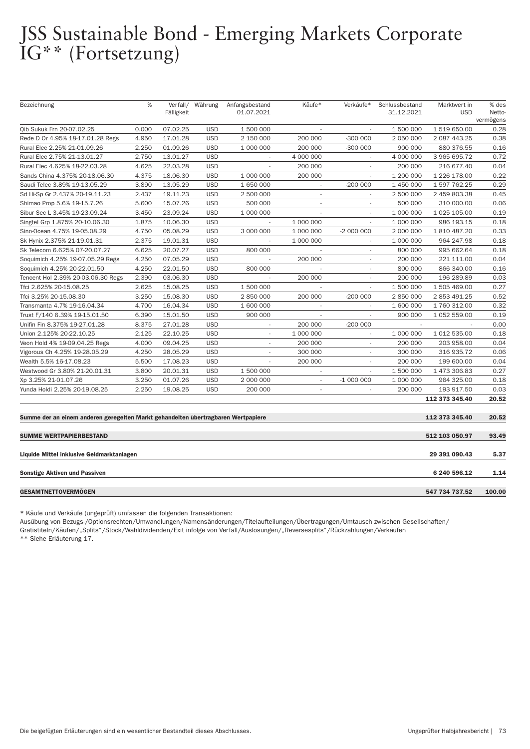# JSS Sustainable Bond - Emerging Markets Corporate<br>IG\*\* (Fortsetzung)

| Bezeichnung                                                                       | $\%$  | Verfall/   | Währung    | Anfangsbestand           | Käufe*                   | Verkäufe*  | Schlussbestand | Marktwert in   | % des               |
|-----------------------------------------------------------------------------------|-------|------------|------------|--------------------------|--------------------------|------------|----------------|----------------|---------------------|
|                                                                                   |       | Fälligkeit |            | 01.07.2021               |                          |            | 31.12.2021     | <b>USD</b>     | Netto-<br>vermögens |
| Qib Sukuk Frn 20-07.02.25                                                         | 0.000 | 07.02.25   | <b>USD</b> | 1 500 000                |                          |            | 1 500 000      | 1 519 650.00   | 0.28                |
| Rede D Or 4.95% 18-17.01.28 Regs                                                  | 4.950 | 17.01.28   | <b>USD</b> | 2 150 000                | 200 000                  | $-300000$  | 2 050 000      | 2 087 443.25   | 0.38                |
| Rural Elec 2.25% 21-01.09.26                                                      | 2.250 | 01.09.26   | <b>USD</b> | 1 000 000                | 200 000                  | $-300000$  | 900 000        | 880 376.55     | 0.16                |
| Rural Elec 2.75% 21-13.01.27                                                      | 2.750 | 13.01.27   | <b>USD</b> | $\sim$                   | 4 000 000                |            | 4 000 000      | 3 965 695.72   | 0.72                |
| Rural Elec 4.625% 18-22.03.28                                                     | 4.625 | 22.03.28   | <b>USD</b> |                          | 200 000                  |            | 200 000        | 216 677.40     | 0.04                |
| Sands China 4.375% 20-18.06.30                                                    | 4.375 | 18.06.30   | <b>USD</b> | 1 000 000                | 200 000                  | ÷.         | 1 200 000      | 1 226 178.00   | 0.22                |
| Saudi Telec 3.89% 19-13.05.29                                                     | 3.890 | 13.05.29   | <b>USD</b> | 1 650 000                | $\overline{\phantom{a}}$ | $-200000$  | 1 450 000      | 1 597 762.25   | 0.29                |
| Sd Hi-Sp Gr 2.437% 20-19.11.23                                                    | 2.437 | 19.11.23   | <b>USD</b> | 2 500 000                | $\overline{\phantom{a}}$ |            | 2 500 000      | 2 459 803.38   | 0.45                |
| Shimao Prop 5.6% 19-15.7.26                                                       | 5.600 | 15.07.26   | <b>USD</b> | 500 000                  | ٠                        |            | 500 000        | 310 000.00     | 0.06                |
| Sibur Sec L 3.45% 19-23.09.24                                                     | 3.450 | 23.09.24   | <b>USD</b> | 1 000 000                | $\overline{\phantom{a}}$ | $\sim$     | 1 000 000      | 1 025 105.00   | 0.19                |
| Singtel Grp 1.875% 20-10.06.30                                                    | 1.875 | 10.06.30   | <b>USD</b> |                          | 1 000 000                |            | 1 000 000      | 986 193.15     | 0.18                |
| Sino-Ocean 4.75% 19-05.08.29                                                      | 4.750 | 05.08.29   | <b>USD</b> | 3 000 000                | 1 000 000                | -2 000 000 | 2 000 000      | 1810487.20     | 0.33                |
| Sk Hynix 2.375% 21-19.01.31                                                       | 2.375 | 19.01.31   | <b>USD</b> |                          | 1 000 000                |            | 1 000 000      | 964 247.98     | 0.18                |
| Sk Telecom 6.625% 07-20.07.27                                                     | 6.625 | 20.07.27   | <b>USD</b> | 800 000                  |                          | $\sim$     | 800 000        | 995 662.64     | 0.18                |
| Soquimich 4.25% 19-07.05.29 Regs                                                  | 4.250 | 07.05.29   | <b>USD</b> |                          | 200 000                  | $\sim$     | 200 000        | 221 111.00     | 0.04                |
| Soquimich 4.25% 20-22.01.50                                                       | 4.250 | 22.01.50   | <b>USD</b> | 800 000                  |                          |            | 800 000        | 866 340.00     | 0.16                |
| Tencent Hol 2.39% 20-03.06.30 Regs                                                | 2.390 | 03.06.30   | <b>USD</b> |                          | 200 000                  |            | 200 000        | 196 289.89     | 0.03                |
| Tfci 2.625% 20-15.08.25                                                           | 2.625 | 15.08.25   | <b>USD</b> | 1 500 000                | $\overline{\phantom{a}}$ | ÷.         | 1 500 000      | 1 505 469.00   | 0.27                |
| Tfci 3.25% 20-15.08.30                                                            | 3.250 | 15.08.30   | <b>USD</b> | 2 850 000                | 200 000                  | $-200000$  | 2 850 000      | 2 853 491.25   | 0.52                |
| Transmanta 4.7% 19-16.04.34                                                       | 4.700 | 16.04.34   | <b>USD</b> | 1 600 000                | $\overline{\phantom{a}}$ |            | 1 600 000      | 1 760 312.00   | 0.32                |
| Trust F/140 6.39% 19-15.01.50                                                     | 6.390 | 15.01.50   | <b>USD</b> | 900 000                  | ÷,                       | ÷.         | 900 000        | 1 052 559.00   | 0.19                |
| Unifin Fin 8.375% 19-27.01.28                                                     | 8.375 | 27.01.28   | <b>USD</b> | $\overline{\phantom{a}}$ | 200 000                  | $-200000$  |                |                | 0.00                |
| Union 2.125% 20-22.10.25                                                          | 2.125 | 22.10.25   | <b>USD</b> | $\overline{\phantom{a}}$ | 1 000 000                |            | 1 000 000      | 1 012 535.00   | 0.18                |
| Veon Hold 4% 19-09.04.25 Regs                                                     | 4.000 | 09.04.25   | <b>USD</b> |                          | 200 000                  |            | 200 000        | 203 958.00     | 0.04                |
| Vigorous Ch 4.25% 19-28.05.29                                                     | 4.250 | 28.05.29   | <b>USD</b> | $\overline{\phantom{a}}$ | 300 000                  | ÷.         | 300 000        | 316 935.72     | 0.06                |
| Wealth 5.5% 16-17.08.23                                                           | 5.500 | 17.08.23   | <b>USD</b> |                          | 200 000                  |            | 200 000        | 199 600.00     | 0.04                |
| Westwood Gr 3.80% 21-20.01.31                                                     | 3.800 | 20.01.31   | <b>USD</b> | 1 500 000                | $\overline{\phantom{a}}$ |            | 1 500 000      | 1 473 306.83   | 0.27                |
| Xp 3.25% 21-01.07.26                                                              | 3.250 | 01.07.26   | <b>USD</b> | 2 000 000                | ×,                       | $-1000000$ | 1 000 000      | 964 325.00     | 0.18                |
| Yunda Holdi 2.25% 20-19.08.25                                                     | 2.250 | 19.08.25   | <b>USD</b> | 200 000                  | $\overline{\phantom{a}}$ | ÷.         | 200 000        | 193 917.50     | 0.03                |
|                                                                                   |       |            |            |                          |                          |            |                | 112 373 345.40 | 20.52               |
|                                                                                   |       |            |            |                          |                          |            |                |                |                     |
| Summe der an einem anderen geregelten Markt gehandelten übertragbaren Wertpapiere |       |            |            |                          |                          |            |                | 112 373 345.40 | 20.52               |
|                                                                                   |       |            |            |                          |                          |            |                |                |                     |
| <b>SUMME WERTPAPIERBESTAND</b>                                                    |       |            |            |                          |                          |            |                | 512 103 050.97 | 93.49               |
| Liquide Mittel inklusive Geldmarktanlagen                                         |       |            |            |                          |                          |            |                | 29 391 090.43  | 5.37                |
| <b>Sonstige Aktiven und Passiven</b>                                              |       |            |            |                          |                          |            |                | 6 240 596.12   | 1.14                |
| <b>GESAMTNETTOVERMÖGEN</b>                                                        |       |            |            |                          |                          |            |                | 547 734 737.52 | 100.00              |

\* Käufe und Verkäufe (ungeprüft) umfassen die folgenden Transaktionen:

Ausübung von Bezugs-/Optionsrechten/Umwandlungen/Namensänderungen/Titelaufteilungen/Übertragungen/Umtausch zwischen Gesellschaften/ Gratistiteln/Käufen/"Splits"/Stock/Wahldividenden/Exit infolge von Verfall/Auslosungen/"Reversesplits"/Rückzahlungen/Verkäufen

\*\* Siehe Erläuterung 17.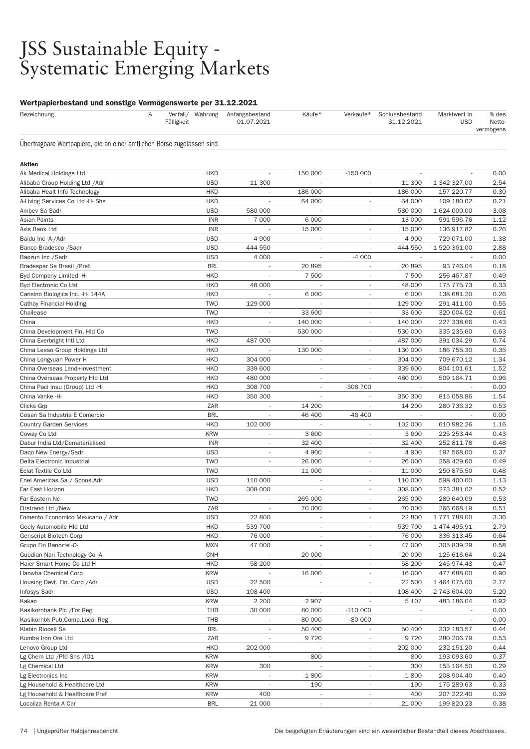### JSS Sustainable Equity - Systematic Emerging Markets

| Bezeichnung                                                            | % | Fälligkeit | Verfall/ Währung         | Anfangsbestand<br>01.07.2021 | Käufe*                   | Verkäufe*                                            | Schlussbestand<br>31.12.2021 | Marktwert in<br><b>USD</b> | % des<br>Netto-<br>vermögens |
|------------------------------------------------------------------------|---|------------|--------------------------|------------------------------|--------------------------|------------------------------------------------------|------------------------------|----------------------------|------------------------------|
| Übertragbare Wertpapiere, die an einer amtlichen Börse zugelassen sind |   |            |                          |                              |                          |                                                      |                              |                            |                              |
| Aktien                                                                 |   |            |                          |                              |                          |                                                      |                              |                            |                              |
| Ak Medical Holdings Ltd                                                |   |            | <b>HKD</b>               | $\overline{\phantom{a}}$     | 150 000                  | $-150000$                                            |                              |                            | 0.00                         |
| Alibaba Group Holding Ltd / Adr                                        |   |            | <b>USD</b>               | 11 300                       |                          |                                                      | 11 300                       | 1 342 327.00               | 2.54                         |
| Alibaba Healt Info Technology                                          |   |            | <b>HKD</b>               | ä,                           | 186 000                  | $\overline{\phantom{a}}$                             | 186 000                      | 157 220.77                 | 0.30                         |
| A-Living Services Co Ltd -H- Shs                                       |   |            | <b>HKD</b>               | ×,                           | 64 000                   | $\overline{\phantom{a}}$                             | 64 000                       | 109 180.02                 | 0.21                         |
| Ambev Sa Sadr                                                          |   |            | <b>USD</b>               | 580 000                      |                          | $\overline{a}$                                       | 580 000                      | 1 624 000.00               | 3.08                         |
| Asian Paints                                                           |   |            | <b>INR</b>               | 7 000                        | 6 0 0 0                  |                                                      | 13 000                       | 591 596.76                 | 1.12                         |
| Axis Bank Ltd                                                          |   |            | <b>INR</b>               | i,                           | 15 000                   | $\overline{\phantom{a}}$                             | 15 000                       | 136 917.82                 | 0.26                         |
| Baidu Inc -A-/Adr                                                      |   |            | <b>USD</b>               | 4 9 0 0                      |                          | $\overline{\phantom{a}}$                             | 4 9 0 0                      | 729 071.00                 | 1.38                         |
| Banco Bradesco / Sadr                                                  |   |            | <b>USD</b>               | 444 550                      | $\overline{\phantom{a}}$ | $\overline{a}$                                       | 444 550                      | 1 520 361.00               | 2.88                         |
| Baozun Inc / Sadr                                                      |   |            | <b>USD</b>               | 4 0 0 0                      |                          | $-4000$                                              |                              |                            | 0.00                         |
| Bradespar Sa Brasil / Pref.                                            |   |            | <b>BRL</b>               | $\overline{\phantom{a}}$     | 20895                    | $\overline{\phantom{a}}$                             | 20895                        | 93 746.04                  | 0.18                         |
| Byd Company Limited -H-                                                |   |            | <b>HKD</b>               |                              | 7 500                    | $\overline{\phantom{a}}$                             | 7 500                        | 256 467.87                 | 0.49                         |
| Byd Electronic Co Ltd                                                  |   |            | <b>HKD</b>               | 48 000                       |                          | $\overline{\phantom{a}}$                             | 48 000                       | 175 775.73                 | 0.33                         |
| Cansino Biologics Inc. - H- 144A                                       |   |            | <b>HKD</b>               |                              | 6 0 0 0                  |                                                      | 6 0 0 0                      | 138 681.20                 | 0.26                         |
| Cathay Financial Holding                                               |   |            | <b>TWD</b>               | 129 000                      |                          | $\overline{\phantom{a}}$                             | 129 000                      | 291 411.00                 | 0.55                         |
| Chailease                                                              |   |            | <b>TWD</b>               |                              | 33 600                   | $\overline{\phantom{a}}$                             | 33 600                       | 320 004.52                 | 0.61                         |
| China                                                                  |   |            | <b>HKD</b>               | $\overline{\phantom{a}}$     | 140 000                  | $\overline{\phantom{a}}$                             | 140 000                      | 227 338.66                 | 0.43                         |
| China Development Fin. Hld Co                                          |   |            | <b>TWD</b>               |                              | 530 000                  |                                                      | 530 000                      | 335 235.60                 | 0.63                         |
| China Everbright Intl Ltd                                              |   |            | <b>HKD</b>               | 487 000                      | $\overline{\phantom{a}}$ | $\overline{\phantom{a}}$                             | 487 000                      | 391 034.29                 | 0.74                         |
| China Lesso Group Holdings Ltd                                         |   |            | <b>HKD</b>               |                              | 130 000                  | $\overline{\phantom{a}}$                             | 130 000                      | 186 755.30                 | 0.35                         |
| China Longyuan Power H                                                 |   |            | <b>HKD</b>               | 304 000                      | $\overline{\phantom{a}}$ | ×,                                                   | 304 000                      | 709 670.12                 | 1.34                         |
| China Overseas Land+Investment                                         |   |            | <b>HKD</b>               | 339 600                      | $\overline{\phantom{a}}$ |                                                      | 339 600                      | 804 101.61                 | 1.52                         |
| China Overseas Property Hld Ltd                                        |   |            | <b>HKD</b>               | 480 000                      | $\overline{\phantom{a}}$ | $\overline{a}$                                       | 480 000                      | 509 164.71                 | 0.96                         |
| China Paci Insu (Group) Ltd -H-                                        |   |            | <b>HKD</b>               | 308 700                      | $\overline{\phantom{a}}$ | -308 700                                             |                              |                            | 0.00                         |
| China Vanke -H-                                                        |   |            | <b>HKD</b>               | 350 300                      | $\overline{\phantom{a}}$ | ٠                                                    | 350 300                      | 815 058.86                 | 1.54                         |
| Clicks Grp                                                             |   |            | ZAR                      |                              | 14 200                   |                                                      | 14 200                       | 280 736.32                 | 0.53                         |
| Cosan Sa Industria E Comercio                                          |   |            | <b>BRL</b>               | ٠                            | 46 400                   | $-46400$                                             | $\overline{\phantom{a}}$     |                            | 0.00                         |
| <b>Country Garden Services</b>                                         |   |            | <b>HKD</b>               | 102 000                      |                          | $\overline{\phantom{a}}$                             | 102 000                      | 610 982.26                 | 1.16                         |
| Coway Co Ltd                                                           |   |            | <b>KRW</b>               | $\overline{\phantom{a}}$     | 3 600                    | $\overline{\phantom{a}}$                             | 3 600                        | 225 253.44                 | 0.43                         |
| Dabur India Ltd/Dematerialised                                         |   |            | <b>INR</b>               | $\overline{\phantom{a}}$     | 32 400                   | $\overline{\phantom{a}}$                             | 32 400                       | 252 811.78                 | 0.48                         |
| Daqo New Energy/Sadr                                                   |   |            | <b>USD</b>               | $\overline{\phantom{a}}$     | 4 9 0 0                  | $\overline{\phantom{a}}$                             | 4 9 0 0                      | 197 568.00                 | 0.37                         |
| Delta Electronic Industrial                                            |   |            | <b>TWD</b>               | $\overline{a}$               | 26 000                   | $\overline{\phantom{a}}$                             | 26 000                       | 258 429.60                 | 0.49                         |
| Eclat Textile Co Ltd                                                   |   |            | <b>TWD</b>               | ٠                            | 11 000                   | ٠                                                    | 11 000                       | 250 875.50                 | 0.48                         |
| Enel Americas Sa / Spons. Adr                                          |   |            | <b>USD</b>               | 110 000                      |                          | ÷,                                                   | 110 000                      | 598 400.00                 | 1.13                         |
| Far East Horizon                                                       |   |            | <b>HKD</b>               | 308 000                      |                          | $\overline{\phantom{a}}$                             | 308 000                      | 273 381.02                 | 0.52                         |
| Far Eastern Nc                                                         |   |            | <b>TWD</b>               |                              | 265 000                  |                                                      | 265 000                      | 280 640.09                 | 0.53                         |
| Firstrand Ltd /New                                                     |   |            | ZAR                      |                              | 70 000                   |                                                      | 70 000                       | 266 668.19                 | 0.51                         |
| Fomento Economico Mexicano / Adr                                       |   |            | <b>USD</b>               | 22 800                       |                          |                                                      | 22 800                       | 1771788.00                 | 3.36                         |
| Geely Automobile HId Ltd                                               |   |            | <b>HKD</b>               | 539 700                      | $\overline{\phantom{a}}$ | $\overline{\phantom{a}}$                             | 539 700                      | 1 474 495.91               | 2.79                         |
| Genscript Biotech Corp                                                 |   |            | <b>HKD</b>               | 76 000                       | $\overline{\phantom{a}}$ |                                                      | 76 000                       | 336 313.45                 | 0.64                         |
| Grupo Fin Banorte -O-                                                  |   |            | <b>MXN</b>               | 47 000                       |                          |                                                      | 47 000                       | 305 839.29                 | 0.58                         |
| Guodian Nari Technology Co -A-                                         |   |            | <b>CNH</b>               |                              | 20 000                   |                                                      | 20 000                       | 125 616.64                 | 0.24                         |
| Haier Smart Home Co Ltd H                                              |   |            | <b>HKD</b>               | 58 200                       |                          | $\overline{\phantom{a}}$                             | 58 200                       | 245 974.43                 | 0.47                         |
| Hanwha Chemical Corp                                                   |   |            | <b>KRW</b>               |                              | 16 000                   | $\overline{\phantom{a}}$                             | 16 000                       | 477 688.00                 | 0.90                         |
| Housing Devt. Fin. Corp / Adr                                          |   |            | <b>USD</b>               | 22 500                       |                          |                                                      | 22 500                       | 1 464 075.00               | 2.77                         |
| Infosys Sadr                                                           |   |            | <b>USD</b>               | 108 400                      |                          |                                                      | 108 400                      | 2 743 604.00               | 5.20                         |
| Kakao                                                                  |   |            | <b>KRW</b>               | 2 2 0 0                      | 2 9 0 7                  |                                                      | 5 107                        | 483 186.04                 | 0.92                         |
| Kasikornbank Plc /For Reg                                              |   |            | THB                      | 30 000                       | 80 000                   | $-110000$                                            |                              |                            | 0.00                         |
| Kasikornbk Pub.Comp.Local Reg                                          |   |            | THB                      | ÷,                           | 80 000                   | -80 000<br>$\mathcal{L}_{\mathcal{A}}$               | $\overline{\phantom{a}}$     |                            | 0.00                         |
| Klabin Riocell Sa<br>Kumba Iron Ore Ltd                                |   |            | <b>BRL</b><br>ZAR        | $\overline{\phantom{a}}$     | 50 400<br>9720           | $\overline{\phantom{a}}$                             | 50 400<br>9720               | 232 183.57<br>280 206.79   | 0.44<br>0.53                 |
|                                                                        |   |            | <b>HKD</b>               |                              |                          |                                                      |                              |                            | 0.44                         |
| Lenovo Group Ltd                                                       |   |            |                          | 202 000                      |                          | $\overline{\phantom{a}}$                             | 202 000                      | 232 151.20                 |                              |
| Lg Chem Ltd / Pfd Shs / 101                                            |   |            | <b>KRW</b><br><b>KRW</b> | 300                          | 800                      | $\overline{\phantom{m}}$<br>$\overline{\phantom{a}}$ | 800                          | 193 093.60                 | 0.37<br>0.29                 |
| Lg Chemical Ltd                                                        |   |            | <b>KRW</b>               | $\overline{\phantom{a}}$     |                          | $\overline{\phantom{a}}$                             | 300                          | 155 164.50                 | 0.40                         |
| Lg Electronics Inc                                                     |   |            | <b>KRW</b>               | $\overline{\phantom{a}}$     | 1800<br>190              | $\overline{\phantom{a}}$                             | 1800<br>190                  | 208 904.40                 | 0.33                         |
| Lg Household & Healthcare Ltd<br>Lg Household & Healthcare Pref        |   |            | <b>KRW</b>               | 400                          |                          |                                                      | 400                          | 175 289.63<br>207 222.40   | 0.39                         |
| Localiza Renta A Car                                                   |   |            | <b>BRL</b>               | 21 000                       | $\overline{\phantom{a}}$ | $\overline{\phantom{a}}$                             | 21 000                       | 199 820.23                 | 0.38                         |
|                                                                        |   |            |                          |                              |                          |                                                      |                              |                            |                              |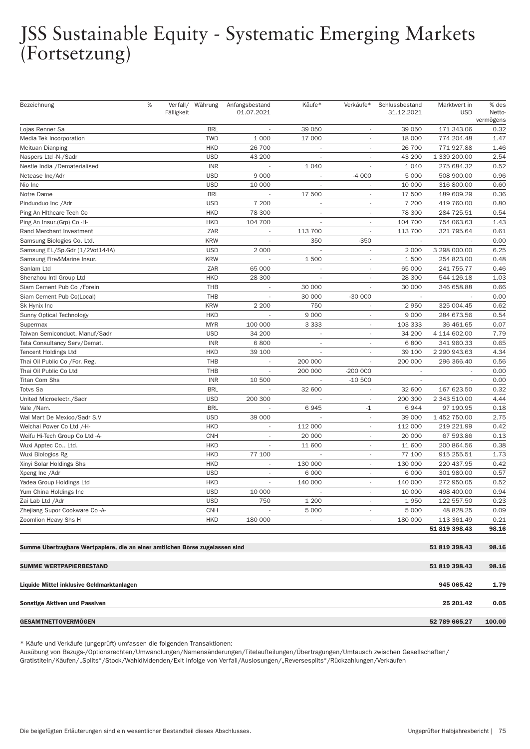## JSS Sustainable Equity - Systematic Emerging Markets (Fortsetzung)

| Bezeichnung                                                                  | $\%$ | Fälligkeit | Verfall/ Währung | Anfangsbestand<br>01.07.2021 | Käufe*                   | Verkäufe*                | Schlussbestand<br>31.12.2021 | Marktwert in<br><b>USD</b> | % des<br>Netto- |
|------------------------------------------------------------------------------|------|------------|------------------|------------------------------|--------------------------|--------------------------|------------------------------|----------------------------|-----------------|
|                                                                              |      |            |                  |                              |                          |                          |                              |                            | vermögens       |
| Lojas Renner Sa                                                              |      |            | <b>BRL</b>       |                              | 39 050                   | $\overline{\phantom{a}}$ | 39 050                       | 171 343.06                 | 0.32            |
| Media Tek Incorporation                                                      |      |            | <b>TWD</b>       | 1 0 0 0                      | 17 000                   | $\overline{\phantom{a}}$ | 18 000                       | 774 204.48                 | 1.47            |
| Meituan Dianping                                                             |      |            | <b>HKD</b>       | 26 700                       | $\overline{\phantom{a}}$ |                          | 26 700                       | 771 927.88                 | 1.46            |
| Naspers Ltd -N-/Sadr                                                         |      |            | <b>USD</b>       | 43 200                       |                          |                          | 43 200                       | 1 339 200.00               | 2.54            |
| Nestle India /Dematerialised                                                 |      |            | <b>INR</b>       |                              | 1 0 4 0                  | $\sim$                   | 1 0 4 0                      | 275 684.32                 | 0.52            |
| Netease Inc/Adr                                                              |      |            | <b>USD</b>       | 9 0 0 0                      |                          | $-4000$                  | 5 0 0 0                      | 508 900.00                 | 0.96            |
| Nio Inc                                                                      |      |            | <b>USD</b>       | 10 000                       |                          | $\overline{\phantom{a}}$ | 10 000                       | 316 800.00                 | 0.60            |
| Notre Dame                                                                   |      |            | <b>BRL</b>       |                              | 17 500                   |                          | 17 500                       | 189 609.29                 | 0.36            |
| Pinduoduo Inc / Adr                                                          |      |            | <b>USD</b>       | 7 200                        | $\overline{\phantom{a}}$ | $\overline{\phantom{a}}$ | 7 200                        | 419 760.00                 | 0.80            |
| Ping An Hithcare Tech Co                                                     |      |            | <b>HKD</b>       | 78 300                       | $\overline{\phantom{a}}$ | $\overline{\phantom{a}}$ | 78 300                       | 284 725.51                 | 0.54            |
| Ping An Insur.(Grp) Co -H-                                                   |      |            | <b>HKD</b>       | 104 700                      | $\sim$                   | $\overline{\phantom{a}}$ | 104 700                      | 754 063.63                 | 1.43            |
| Rand Merchant Investment                                                     |      |            | ZAR              |                              | 113 700                  |                          | 113 700                      | 321 795.64                 | 0.61            |
| Samsung Biologics Co. Ltd.                                                   |      |            | <b>KRW</b>       | ÷,                           | 350                      | $-350$                   | $\overline{\phantom{a}}$     | $\sim$                     | 0.00            |
| Samsung El./Sp.Gdr (1/2Vot144A)                                              |      |            | <b>USD</b>       | 2 0 0 0                      |                          | $\overline{\phantom{a}}$ | 2 0 0 0                      | 3 298 000.00               | 6.25            |
| Samsung Fire&Marine Insur.                                                   |      |            | <b>KRW</b>       |                              | 1500                     |                          | 1500                         | 254 823.00                 | 0.48            |
| Sanlam Ltd                                                                   |      |            | ZAR              | 65 000                       |                          |                          | 65 000                       | 241 755.77                 | 0.46            |
| Shenzhou Intl Group Ltd                                                      |      |            | <b>HKD</b>       | 28 300                       |                          |                          | 28 300                       | 544 126.18                 | 1.03            |
| Siam Cement Pub Co / Forein                                                  |      |            | THB              |                              | 30 000                   |                          | 30 000                       | 346 658.88                 | 0.66            |
| Siam Cement Pub Co(Local)                                                    |      |            | THB              |                              | 30 000                   | $-30000$                 |                              |                            | 0.00            |
| Sk Hynix Inc                                                                 |      |            | <b>KRW</b>       | 2 2 0 0                      | 750                      |                          | 2950                         | 325 004.45                 | 0.62            |
| Sunny Optical Technology                                                     |      |            | <b>HKD</b>       |                              | 9 0 0 0                  | $\overline{\phantom{a}}$ | 9 0 0 0                      | 284 673.56                 | 0.54            |
| Supermax                                                                     |      |            | <b>MYR</b>       | 100 000                      | 3 3 3 3                  | $\overline{\phantom{a}}$ | 103 333                      | 36 461.65                  | 0.07            |
| Taiwan Semiconduct. Manuf/Sadr                                               |      |            | <b>USD</b>       | 34 200                       | $\overline{\phantom{a}}$ | $\overline{\phantom{a}}$ | 34 200                       | 4 114 602.00               | 7.79            |
| Tata Consultancy Serv/Demat.                                                 |      |            | <b>INR</b>       | 6800                         |                          |                          | 6800                         | 341 960.33                 | 0.65            |
| <b>Tencent Holdings Ltd</b>                                                  |      |            | <b>HKD</b>       | 39 100                       | $\overline{\phantom{a}}$ | $\overline{\phantom{a}}$ | 39 100                       | 2 290 943.63               | 4.34            |
| Thai Oil Public Co /For. Reg.                                                |      |            | THB              |                              | 200 000                  | $\overline{\phantom{a}}$ | 200 000                      | 296 366.40                 | 0.56            |
| Thai Oil Public Co Ltd                                                       |      |            | THB              | $\overline{\phantom{a}}$     | 200 000                  | $-200000$                | $\overline{\phantom{a}}$     |                            | 0.00            |
| <b>Titan Com Shs</b>                                                         |      |            | <b>INR</b>       | 10 500                       |                          | $-10500$                 |                              |                            | 0.00            |
| <b>Totvs Sa</b>                                                              |      |            | <b>BRL</b>       |                              | 32 600                   | $\overline{\phantom{a}}$ | 32 600                       | 167 623.50                 | 0.32            |
| United Microelectr./Sadr                                                     |      |            | <b>USD</b>       | 200 300                      |                          | $\overline{\phantom{a}}$ | 200 300                      | 2 343 510.00               | 4.44            |
| Vale /Nam.                                                                   |      |            | <b>BRL</b>       | $\overline{a}$               | 6945                     | $-1$                     | 6944                         | 97 190.95                  | 0.18            |
| Wal Mart De Mexico/Sadr S.V                                                  |      |            | <b>USD</b>       | 39 000                       |                          |                          | 39 000                       | 1 452 750.00               | 2.75            |
| Weichai Power Co Ltd /-H-                                                    |      |            | <b>HKD</b>       | $\overline{\phantom{a}}$     | 112 000                  | $\overline{\phantom{a}}$ | 112 000                      | 219 221.99                 | 0.42            |
| Weifu Hi-Tech Group Co Ltd -A-                                               |      |            | <b>CNH</b>       | $\overline{\phantom{a}}$     | 20 000                   | $\overline{\phantom{a}}$ | 20 000                       | 67 593.86                  | 0.13            |
| Wuxi Apptec Co Ltd.                                                          |      |            | <b>HKD</b>       | $\overline{\phantom{a}}$     | 11 600                   | $\overline{\phantom{a}}$ | 11 600                       | 200 864.56                 | 0.38            |
| Wuxi Biologics Rg                                                            |      |            | <b>HKD</b>       | 77 100                       |                          |                          | 77 100                       | 915 255.51                 | 1.73            |
| Xinyi Solar Holdings Shs                                                     |      |            | <b>HKD</b>       | $\overline{\phantom{a}}$     | 130 000                  | $\overline{\phantom{a}}$ | 130 000                      | 220 437.95                 | 0.42            |
| Xpeng Inc / Adr                                                              |      |            | <b>USD</b>       | $\overline{\phantom{a}}$     | 6 0 0 0                  | $\overline{\phantom{a}}$ | 6 0 0 0                      | 301 980.00                 | 0.57            |
| Yadea Group Holdings Ltd                                                     |      |            | <b>HKD</b>       |                              | 140 000                  | $\overline{\phantom{a}}$ | 140 000                      | 272 950.05                 | 0.52            |
| Yum China Holdings Inc                                                       |      |            | <b>USD</b>       | 10 000                       | $\sim$                   |                          | 10 000                       | 498 400.00                 | 0.94            |
| Zai Lab Ltd / Adr                                                            |      |            | <b>USD</b>       | 750                          | 1 200                    | $\overline{\phantom{a}}$ | 1950                         | 122 557.50                 | 0.23            |
| Zhejiang Supor Cookware Co-A-                                                |      |            | <b>CNH</b>       |                              | 5 0 0 0                  | $\overline{\phantom{a}}$ | 5 0 0 0                      | 48 828.25                  | 0.09            |
| Zoomlion Heavy Shs H                                                         |      |            | <b>HKD</b>       | 180 000                      | $\overline{\phantom{a}}$ | $\overline{\phantom{a}}$ | 180 000                      | 113 361.49                 | 0.21            |
|                                                                              |      |            |                  |                              |                          |                          |                              | 51 819 398.43              | 98.16           |
|                                                                              |      |            |                  |                              |                          |                          |                              |                            |                 |
| Summe Übertragbare Wertpapiere, die an einer amtlichen Börse zugelassen sind |      |            |                  |                              |                          |                          |                              | 51 819 398.43              | 98.16           |
| <b>SUMME WERTPAPIERBESTAND</b>                                               |      |            |                  |                              |                          |                          |                              | 51 819 398.43              | 98.16           |
| Liquide Mittel inklusive Geldmarktanlagen                                    |      |            |                  |                              |                          |                          |                              | 945 065.42                 |                 |
|                                                                              |      |            |                  |                              |                          |                          |                              |                            | 1.79            |
| Sonstige Aktiven und Passiven                                                |      |            |                  |                              |                          |                          |                              | 25 201.42                  | 0.05            |
| GESAMTNETTOVERMÖGEN                                                          |      |            |                  |                              |                          |                          |                              | 52 789 665.27              | 100.00          |

\* Käufe und Verkäufe (ungeprüft) umfassen die folgenden Transaktionen:

Ausübung von Bezugs-/Optionsrechten/Umwandlungen/Namensänderungen/Titelaufteilungen/Über tragungen/Umtausch zwischen Gesellschaften/

Gratistiteln/Käufen/"Splits"/Stock/Wahldividenden/Exit infolge von Ver fall/Auslosungen/"Reversesplits"/Rückzahlungen/Verkäufen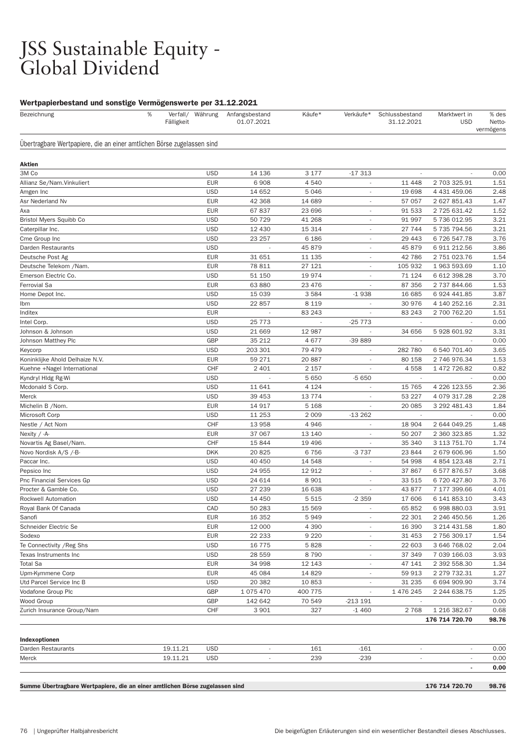### JSS Sustainable Equity - Global Dividend

#### Wertpapierbestand und sonstige Vermögenswerte per 31.12.2021

| Bezeichnung                                                            | %<br>Fälligkeit |                          | Verfall/ Währung Anfangsbestand<br>01.07.2021 | Käufe*           | Verkäufe*                | Schlussbestand<br>31.12.2021 | Marktwert in<br><b>USD</b>   | % des<br><b>Netto</b><br>vermögens |
|------------------------------------------------------------------------|-----------------|--------------------------|-----------------------------------------------|------------------|--------------------------|------------------------------|------------------------------|------------------------------------|
| Übertragbare Wertpapiere, die an einer amtlichen Börse zugelassen sind |                 |                          |                                               |                  |                          |                              |                              |                                    |
| Aktien                                                                 |                 |                          |                                               |                  |                          |                              |                              |                                    |
| 3M Co                                                                  |                 | <b>USD</b>               | 14 136                                        | 3 1 7 7          | $-17313$                 |                              |                              | 0.00                               |
| Allianz Se/Nam.Vinkuliert                                              |                 | <b>EUR</b>               | 6908                                          | 4540             |                          | 11 448                       | 2 703 325.91                 | 1.51                               |
| Amgen Inc                                                              |                 | <b>USD</b>               | 14 652                                        | 5 0 4 6          | $\overline{\phantom{a}}$ | 19 698                       | 4 431 459.06                 | 2.48                               |
| Asr Nederland Nv                                                       |                 | <b>EUR</b>               | 42 368                                        | 14 689           | $\overline{\phantom{a}}$ | 57 057                       | 2 627 851.43                 | 1.47                               |
| Аха                                                                    |                 | <b>EUR</b>               | 67837                                         | 23 696           | $\sim$                   | 91 533                       | 2 725 631.42                 | 1.52                               |
| Bristol Myers Squibb Co                                                |                 | <b>USD</b>               | 50 729                                        | 41 268           |                          | 91 997                       | 5 736 012.95                 | 3.21                               |
| Caterpillar Inc.                                                       |                 | <b>USD</b>               | 12 4 30                                       | 15 314           | $\sim$                   | 27 744                       | 5 735 794.56                 | 3.21                               |
| Cme Group Inc                                                          |                 | <b>USD</b>               | 23 257                                        | 6 1 8 6          | $\overline{\phantom{a}}$ | 29 4 43                      | 6726547.78                   | 3.76                               |
| Darden Restaurants                                                     |                 | <b>USD</b>               |                                               | 45 879           | $\sim$                   | 45 879                       | 6 911 212.56                 | 3.86                               |
| Deutsche Post Ag                                                       |                 | <b>EUR</b>               | 31 651                                        | 11 135           | $\sim$                   | 42 786                       | 2 751 023.76                 | 1.54                               |
| Deutsche Telekom /Nam.                                                 |                 | <b>EUR</b>               | 78 811                                        | 27 121           | $\overline{\phantom{a}}$ | 105 932                      | 1 963 593.69                 | 1.10                               |
| Emerson Electric Co.                                                   |                 | <b>USD</b>               | 51 150                                        | 19 974           | $\overline{\phantom{a}}$ | 71 124                       | 6 612 398.28                 | 3.70                               |
| Ferrovial Sa                                                           |                 | <b>EUR</b>               | 63 880                                        | 23 4 76          | $\overline{\phantom{a}}$ | 87 356                       | 2 737 844.66                 | 1.53                               |
| Home Depot Inc.                                                        |                 | <b>USD</b>               | 15 0 39                                       | 3584             | $-1938$                  | 16 685                       | 6 924 441.85                 | 3.87                               |
| Ibm                                                                    |                 | <b>USD</b>               | 22 857                                        | 8 1 1 9          | $\overline{\phantom{a}}$ | 30 976                       | 4 140 252.16                 | 2.31                               |
| Inditex                                                                |                 | <b>EUR</b>               |                                               | 83 243           |                          | 83 243                       | 2 700 762.20                 | 1.51                               |
| Intel Corp.                                                            |                 | <b>USD</b>               | 25 7 7 3                                      |                  | $-25773$                 |                              |                              | 0.00                               |
| Johnson & Johnson                                                      |                 | <b>USD</b>               | 21 669                                        | 12 987           |                          | 34 656                       | 5 928 601.92                 | 3.31                               |
| Johnson Matthey Plc                                                    |                 | GBP                      | 35 212                                        | 4677             | -39 889                  | $\overline{\phantom{a}}$     |                              | 0.00                               |
| Keycorp                                                                |                 | <b>USD</b>               | 203 301                                       | 79 479           |                          | 282 780                      | 6 540 701.40                 | 3.65                               |
| Koninklijke Ahold Delhaize N.V.                                        |                 | <b>EUR</b>               | 59 271                                        | 20 887           |                          | 80 158                       | 2 746 976.34                 | 1.53                               |
| Kuehne +Nagel International                                            |                 | CHF                      | 2 4 0 1                                       | 2 157            |                          | 4558                         | 1 472 726.82                 | 0.82                               |
| Kyndryl Hldg Rg-Wi                                                     |                 | <b>USD</b>               |                                               | 5 6 5 0          | $-5650$                  | $\sim$                       |                              | 0.00                               |
| Mcdonald S Corp.                                                       |                 | <b>USD</b>               | 11 641                                        | 4 1 2 4          |                          | 15 7 65                      | 4 226 123.55                 | 2.36                               |
| Merck                                                                  |                 | <b>USD</b>               | 39 453                                        | 13774            |                          | 53 227                       | 4 079 317.28                 | 2.28                               |
| Michelin B /Nom.                                                       |                 | <b>EUR</b>               | 14 917                                        | 5 1 6 8          |                          | 20 085                       | 3 292 481.43                 | 1.84                               |
| Microsoft Corp                                                         |                 | <b>USD</b>               | 11 253                                        | 2 0 0 9          | $-13262$                 | $\sim$                       |                              | 0.00                               |
| Nestle / Act Nom                                                       |                 | CHF                      | 13 958                                        | 4946             |                          | 18 904                       | 2 644 049.25                 | 1.48                               |
| Nexity $/ -A$ -                                                        |                 | <b>EUR</b>               | 37 067                                        | 13 140           |                          | 50 207                       | 2 360 323.85                 | 1.32                               |
| Novartis Ag Basel/Nam.                                                 |                 | CHF                      | 15 844                                        | 19 4 96          |                          | 35 340                       | 3 113 751.70                 | 1.74                               |
| Novo Nordisk A/S /-B-                                                  |                 | <b>DKK</b><br><b>USD</b> | 20825                                         | 6756             | $-3737$                  | 23844                        | 2679606.96                   | 1.50<br>2.71                       |
| Paccar Inc.<br>Pepsico Inc                                             |                 | <b>USD</b>               | 40 450<br>24 955                              | 14 548<br>12 912 |                          | 54 998<br>37 867             | 4 854 123.48<br>6 577 876.57 | 3.68                               |
| Pnc Financial Services Gp                                              |                 | <b>USD</b>               | 24 614                                        | 8 9 0 1          |                          | 33 515                       | 6720427.80                   | 3.76                               |
| Procter & Gamble Co.                                                   |                 | <b>USD</b>               | 27 239                                        | 16 638           |                          | 43 877                       | 7 177 399.66                 | 4.01                               |
| <b>Rockwell Automation</b>                                             |                 | <b>USD</b>               | 14 450                                        | 5 5 1 5          | $-2359$                  | 17 606                       | 6 141 853.10                 | 3.43                               |
| Royal Bank Of Canada                                                   |                 | CAD                      | 50 283                                        | 15 5 69          | $\overline{\phantom{a}}$ | 65 852                       | 6 998 880.03                 | 3.91                               |
| Sanofi                                                                 |                 | <b>EUR</b>               | 16 352                                        | 5949             |                          | 22 301                       | 2 246 450.56                 | 1.26                               |
| Schneider Electric Se                                                  |                 | <b>EUR</b>               | 12 000                                        | 4 3 9 0          | $\overline{\phantom{a}}$ | 16 390                       | 3 214 431.58                 | 1.80                               |
| Sodexo                                                                 |                 | <b>EUR</b>               | 22 233                                        | 9 2 2 0          | $\overline{\phantom{a}}$ | 31 453                       | 2 756 309.17                 | 1.54                               |
| Te Connectivity / Reg Shs                                              |                 | <b>USD</b>               | 16 775                                        | 5828             |                          | 22 603                       | 3 646 768.02                 | 2.04                               |
| Texas Instruments Inc                                                  |                 | <b>USD</b>               | 28 559                                        | 8790             | $\overline{\phantom{a}}$ | 37 349                       | 7 039 166.03                 | 3.93                               |
| <b>Total Sa</b>                                                        |                 | <b>EUR</b>               | 34 998                                        | 12 143           | $\overline{\phantom{a}}$ | 47 141                       | 2 392 558.30                 | 1.34                               |
| Upm-Kymmene Corp                                                       |                 | <b>EUR</b>               | 45 084                                        | 14 8 29          | $\overline{\phantom{a}}$ | 59 913                       | 2 279 732.31                 | 1.27                               |
| Utd Parcel Service Inc B                                               |                 | <b>USD</b>               | 20 382                                        | 10853            |                          | 31 235                       | 6 694 909.90                 | 3.74                               |
| Vodafone Group Plc                                                     |                 | GBP                      | 1 075 470                                     | 400 775          | $\overline{\phantom{a}}$ | 1 476 245                    | 2 244 638.75                 | 1.25                               |
| Wood Group                                                             |                 | GBP                      | 142 642                                       | 70 549           | $-213191$                | $\overline{\phantom{a}}$     | $\overline{\phantom{a}}$     | 0.00                               |
| Zurich Insurance Group/Nam                                             |                 | <b>CHF</b>               | 3 9 0 1                                       | 327              | $-1460$                  | 2768                         | 1 216 382.67                 | 0.68                               |
|                                                                        |                 |                          |                                               |                  |                          |                              | 176 714 720.70               | 98.76                              |

| Darden | $\sim$<br>$\mathbf{u}$<br>. . <u>.</u> | <b>USD</b> | $\sim$<br>$\overline{\phantom{a}}$ | $\sim$<br>. |  | 0.00           |
|--------|----------------------------------------|------------|------------------------------------|-------------|--|----------------|
| Merck  | $\bigcap$<br>.                         | USD        | $\cap \cap$                        | nor<br>⊶دے  |  | $\sim$<br>U.UC |
|        |                                        |            |                                    |             |  | 0.00           |

Summe Übertragbare Wertpapiere, die an einer amtlichen Börse zugelassen sind 176 714 720.70 98.76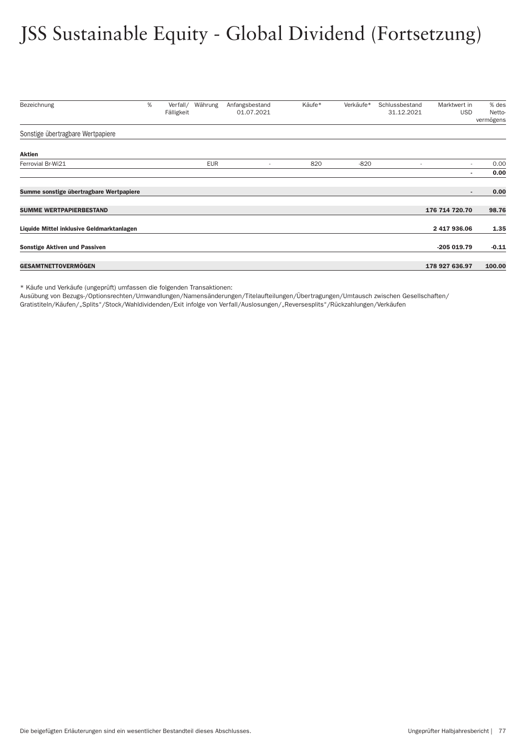## JSS Sustainable Equity - Global Dividend (Fortsetzung)

| Bezeichnung                               | % | Verfall/<br>Fälligkeit | Währung    | Anfangsbestand<br>01.07.2021 | Käufe* | Verkäufe* | Schlussbestand<br>31.12.2021 | Marktwert in<br><b>USD</b> | % des<br>Netto- |
|-------------------------------------------|---|------------------------|------------|------------------------------|--------|-----------|------------------------------|----------------------------|-----------------|
|                                           |   |                        |            |                              |        |           |                              |                            | vermögens       |
| Sonstige übertragbare Wertpapiere         |   |                        |            |                              |        |           |                              |                            |                 |
| Aktien                                    |   |                        |            |                              |        |           |                              |                            |                 |
| Ferrovial Br-Wi21                         |   |                        | <b>EUR</b> | ٠                            | 820    | $-820$    |                              | $\overline{\phantom{a}}$   | 0.00            |
|                                           |   |                        |            |                              |        |           |                              | ۰                          | 0.00            |
| Summe sonstige übertragbare Wertpapiere   |   |                        |            |                              |        |           |                              | $\sim$                     | 0.00            |
| <b>SUMME WERTPAPIERBESTAND</b>            |   |                        |            |                              |        |           |                              | 176 714 720.70             | 98.76           |
| Liquide Mittel inklusive Geldmarktanlagen |   |                        |            |                              |        |           |                              | 2 417 936.06               | 1.35            |
| <b>Sonstige Aktiven und Passiven</b>      |   |                        |            |                              |        |           |                              | $-205019.79$               | $-0.11$         |
| <b>GESAMTNETTOVERMÖGEN</b>                |   |                        |            |                              |        |           |                              | 178 927 636.97             | 100.00          |

\* Käufe und Verkäufe (ungeprüft) umfassen die folgenden Transaktionen:

Ausübung von Bezugs-/Optionsrechten/Umwandlungen/Namensänderungen/Titelaufteilungen/Über tragungen/Umtausch zwischen Gesellschaften/ Gratistiteln/Käufen/"Splits"/Stock/Wahldividenden/Exit infolge von Ver fall/Auslosungen/"Reversesplits"/Rückzahlungen/Verkäufen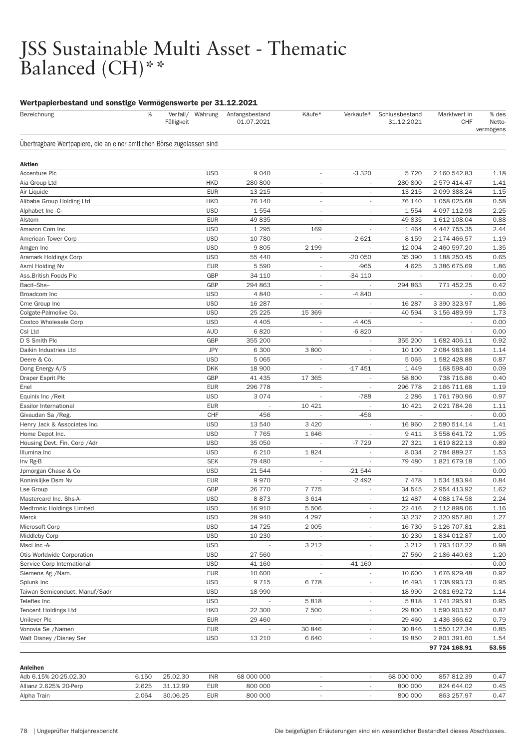### JSS Sustainable Multi Asset - Thematic Balanced (CH)\*\*

| . .<br>$\%$<br>Bezeichnung                                             | Verfall/ Währung<br>Fälligkeit | Anfangsbestand<br>01.07.2021 | Käufe*                   | Verkäufe*                | Schlussbestand<br>31.12.2021 | Marktwert in<br><b>CHF</b> | % des<br>Netto-<br>vermögens |
|------------------------------------------------------------------------|--------------------------------|------------------------------|--------------------------|--------------------------|------------------------------|----------------------------|------------------------------|
| Übertragbare Wertpapiere, die an einer amtlichen Börse zugelassen sind |                                |                              |                          |                          |                              |                            |                              |
| Aktien                                                                 |                                |                              |                          |                          |                              |                            |                              |
| Accenture Plc                                                          | <b>USD</b>                     | 9 0 4 0                      | $\sim$                   | $-3320$                  | 5720                         | 2 160 542.83               | 1.18                         |
| Aia Group Ltd                                                          | <b>HKD</b>                     | 280 800                      | $\overline{\phantom{a}}$ | $\overline{\phantom{a}}$ | 280 800                      | 2 579 414.47               | 1.41                         |
| Air Liquide                                                            | <b>EUR</b>                     | 13 215                       | $\overline{\phantom{a}}$ | ä,                       | 13 215                       | 2 099 388.24               | 1.15                         |
| Alibaba Group Holding Ltd                                              | <b>HKD</b>                     | 76 140                       | $\overline{\phantom{a}}$ |                          | 76 140                       | 1 058 025.68               | 0.58                         |
| Alphabet Inc -C-                                                       | <b>USD</b>                     | 1554                         | $\overline{\phantom{a}}$ | $\overline{\phantom{a}}$ | 1554                         | 4 097 112.98               | 2.25                         |
| Alstom                                                                 | <b>EUR</b>                     | 49835                        | $\overline{\phantom{a}}$ | $\overline{\phantom{a}}$ | 49835                        | 1 612 108.04               | 0.88                         |
| Amazon Com Inc                                                         | <b>USD</b>                     | 1 2 9 5                      | 169                      |                          | 1 4 6 4                      | 4 447 755.35               | 2.44                         |
| American Tower Corp                                                    | <b>USD</b>                     | 10 780                       |                          | $-2621$                  | 8 1 5 9                      | 2 174 466.57               | 1.19                         |
| Amgen Inc                                                              | <b>USD</b>                     | 9805                         | 2 1 9 9                  |                          | 12 004                       | 2 460 597.20               | 1.35                         |
| Aramark Holdings Corp                                                  | <b>USD</b>                     | 55 440                       | $\overline{\phantom{a}}$ | $-200050$                | 35 390                       | 1 188 250.45               | 0.65                         |
| Asml Holding Nv                                                        | <b>EUR</b>                     | 5 5 9 0                      | $\overline{a}$           | $-965$                   | 4 6 25                       | 3 386 675.69               | 1.86                         |
| Ass.British Foods Plc                                                  | GBP                            | 34 110                       | $\overline{a}$           | $-34110$                 |                              |                            | 0.00                         |
| Bacit-Shs-                                                             | GBP                            | 294 863                      | $\overline{\phantom{a}}$ |                          | 294 863                      | 771 452.25                 | 0.42                         |
| Broadcom Inc                                                           | <b>USD</b>                     | 4840                         | $\overline{\phantom{a}}$ | -4 840                   |                              |                            | 0.00                         |
| Cme Group Inc                                                          | <b>USD</b>                     | 16 287                       |                          |                          | 16 287                       | 3 390 323.97               | 1.86                         |
| Colgate-Palmolive Co.                                                  | <b>USD</b>                     | 25 225                       | 15 3 69                  |                          | 40 594                       | 3 156 489.99               | 1.73                         |
| Costco Wholesale Corp                                                  | <b>USD</b>                     | 4 4 0 5                      | $\overline{\phantom{a}}$ | $-4405$                  | $\overline{\phantom{a}}$     | $\sim$                     | 0.00                         |
| Csl Ltd                                                                | <b>AUD</b>                     | 6820                         | $\overline{a}$           | $-6820$                  | $\overline{\phantom{a}}$     |                            | 0.00                         |
| D S Smith Plc                                                          | GBP                            | 355 200                      |                          |                          | 355 200                      | 1 682 406.11               | 0.92                         |
| Daikin Industries Ltd                                                  | <b>JPY</b>                     | 6 300                        | 3800                     |                          | 10 100                       | 2 084 983.86               | 1.14                         |
| Deere & Co.                                                            | <b>USD</b>                     | 5 0 6 5                      |                          |                          | 5 0 6 5                      | 1 582 428.88               | 0.87                         |
| Dong Energy A/S                                                        | <b>DKK</b>                     | 18 900                       | $\overline{\phantom{a}}$ | $-17451$                 | 1 4 4 9                      | 168 598.40                 | 0.09                         |
| Draper Esprit Plc                                                      | GBP                            | 41 435                       | 17 365                   | $\overline{\phantom{a}}$ | 58 800                       | 738 716.86                 | 0.40                         |
| Enel                                                                   | <b>EUR</b>                     | 296 778                      |                          |                          | 296 778                      | 2 166 711.68               | 1.19                         |
| Equinix Inc / Reit                                                     | <b>USD</b>                     | 3074                         | $\overline{a}$           | $-788$                   | 2 2 8 6                      | 1761790.96                 | 0.97                         |
| <b>Essilor International</b>                                           | <b>EUR</b>                     |                              | 10 4 21                  |                          | 10 4 21                      | 2 021 784.26               | 1.11                         |
| Givaudan Sa / Reg.                                                     | CHF                            | 456                          | $\overline{\phantom{a}}$ | $-456$                   | $\overline{\phantom{a}}$     |                            | 0.00                         |
|                                                                        | <b>USD</b>                     | 13540                        | 3 4 2 0                  |                          | 16 960                       | 2 580 514.14               | 1.41                         |
| Henry Jack & Associates Inc.                                           | <b>USD</b>                     | 7765                         | 1646                     | $\overline{\phantom{a}}$ | 9 4 1 1                      |                            | 1.95                         |
| Home Depot Inc.                                                        |                                |                              |                          |                          |                              | 3 558 641.72               |                              |
| Housing Devt. Fin. Corp / Adr                                          | <b>USD</b>                     | 35 050                       |                          | -7729                    | 27 321                       | 1 619 822.13               | 0.89                         |
| Illumina Inc                                                           | <b>USD</b>                     | 6 2 1 0                      | 1824                     | $\overline{\phantom{a}}$ | 8 0 3 4                      | 2 784 889.27               | 1.53                         |
| Inv Rg-B                                                               | <b>SEK</b>                     | 79 480                       |                          |                          | 79 480                       | 1821679.18                 | 1.00                         |
| Jpmorgan Chase & Co                                                    | <b>USD</b>                     | 21 544                       | $\overline{\phantom{a}}$ | $-21544$                 | $\sim$                       | $\overline{\phantom{a}}$   | 0.00                         |
| Koninklijke Dsm Nv                                                     | <b>EUR</b>                     | 9970                         | $\overline{\phantom{a}}$ | $-2492$                  | 7478                         | 1 534 183.94               | 0.84                         |
| Lse Group                                                              | GBP                            | 26 770                       | 7775                     | ٠                        | 34 545                       | 2 954 413.92               | 1.62                         |
| Mastercard Inc. Shs-A-                                                 | <b>USD</b>                     | 8873                         | 3614                     |                          | 12 487                       | 4 088 174.58               | 2.24                         |
| Medtronic Holdings Limited                                             | <b>USD</b>                     | 16 910                       | 5 5 0 6                  | $\overline{\phantom{a}}$ | 22 4 16                      | 2 112 898.06               | 1.16                         |
| Merck                                                                  | <b>USD</b>                     | 28 940                       | 4 2 9 7                  | $\overline{\phantom{a}}$ | 33 237                       | 2 320 957.80               | 1.27                         |
| Microsoft Corp                                                         | <b>USD</b>                     | 14 7 25                      | 2 0 0 5                  | $\overline{\phantom{a}}$ | 16 730                       | 5 126 707.81               | 2.81                         |
| <b>Middleby Corp</b>                                                   | <b>USD</b>                     | 10 230                       |                          |                          | 10 230                       | 1834012.87                 | 1.00                         |
| Msci Inc -A-                                                           | <b>USD</b>                     |                              | 3 2 1 2                  | $\overline{\phantom{a}}$ | 3 2 1 2                      | 1 793 107.22               | 0.98                         |
| Otis Worldwide Corporation                                             | <b>USD</b>                     | 27 560                       |                          | $\overline{\phantom{a}}$ | 27 560                       | 2 186 440.63               | 1.20                         |
| Service Corp International                                             | <b>USD</b>                     | 41 160                       |                          | $-41160$                 |                              |                            | 0.00                         |
| Siemens Ag /Nam.                                                       | <b>EUR</b>                     | 10 600                       |                          |                          | 10 600                       | 1676929.48                 | 0.92                         |
| Splunk Inc                                                             | <b>USD</b>                     | 9715                         | 6778                     | $\overline{\phantom{a}}$ | 16 4 93                      | 1738 993.73                | 0.95                         |
| Taiwan Semiconduct. Manuf/Sadr                                         | <b>USD</b>                     | 18 990                       |                          | $\overline{\phantom{a}}$ | 18 990                       | 2 081 692.72               | 1.14                         |
| Teleflex Inc                                                           | <b>USD</b>                     |                              | 5818                     | $\overline{\phantom{a}}$ | 5818                         | 1 741 295.91               | 0.95                         |
| <b>Tencent Holdings Ltd</b>                                            | <b>HKD</b>                     | 22 300                       | 7 500                    |                          | 29 800                       | 1 590 903.52               | 0.87                         |
| Unilever Plc                                                           | <b>EUR</b>                     | 29 460                       |                          | $\overline{\phantom{a}}$ | 29 460                       | 1 436 366.62               | 0.79                         |
| Vonovia Se /Namen                                                      | <b>EUR</b>                     |                              | 30 846                   | $\overline{\phantom{a}}$ | 30 846                       | 1 550 127.34               | 0.85                         |
| Walt Disney / Disney Ser                                               | <b>USD</b>                     | 13 210                       | 6 6 4 0                  | $\overline{\phantom{a}}$ | 19850                        | 2 801 391.60               | 1.54                         |
|                                                                        |                                |                              |                          |                          |                              | 97 724 168.91              | 53.55                        |

| Anleihen               |       |          |            |            |  |            |            |      |
|------------------------|-------|----------|------------|------------|--|------------|------------|------|
| Adb 6.15% 20-25.02.30  | 6.150 | 25.02.30 | <b>INR</b> | 68 000 000 |  | 68 000 000 | 857 812.39 | 0.47 |
| Allianz 2.625% 20-Perp | 2.625 | 31.12.99 | EUR        | 800 000    |  | 800 000    | 824 644.02 | 0.45 |
| Alpha Train            | 2.064 | 30.06.25 | EUR        | 800 000    |  | 800 000    | 863 257.97 | 0.47 |
|                        |       |          |            |            |  |            |            |      |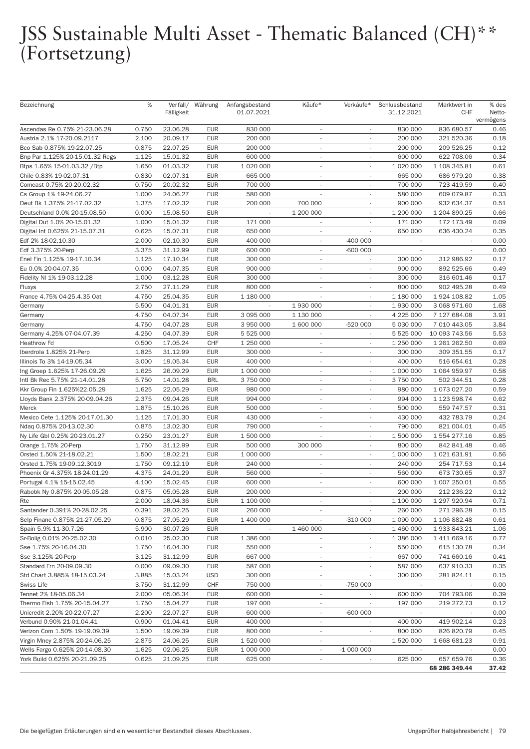## JSS Sustainable Multi Asset - Thematic Balanced (CH)\*\* (Fortsetzung)

| Bezeichnung                     | %     | Fälligkeit | Verfall/ Währung | Anfangsbestand<br>01.07.2021 | Käufe*                   | Verkäufe*                | Schlussbestand<br>31.12.2021 | Marktwert in<br><b>CHF</b> | % des<br>Netto-<br>vermögens |
|---------------------------------|-------|------------|------------------|------------------------------|--------------------------|--------------------------|------------------------------|----------------------------|------------------------------|
| Ascendas Re 0.75% 21-23.06.28   | 0.750 | 23.06.28   | <b>EUR</b>       | 830 000                      | $\overline{\phantom{a}}$ |                          | 830 000                      | 836 680.57                 | 0.46                         |
| Austria 2.1% 17-20.09.2117      | 2.100 | 20.09.17   | <b>EUR</b>       | 200 000                      | $\overline{\phantom{a}}$ |                          | 200 000                      | 321 520.36                 | 0.18                         |
| Bco Sab 0.875% 19-22.07.25      | 0.875 | 22.07.25   | <b>EUR</b>       | 200 000                      | $\sim$                   | $\sim$                   | 200 000                      | 209 526.25                 | 0.12                         |
| Bnp Par 1.125% 20-15.01.32 Regs | 1.125 | 15.01.32   | <b>EUR</b>       | 600 000                      | $\sim$                   | $\sim$                   | 600 000                      | 622 708.06                 | 0.34                         |
| Btps 1.65% 15-01.03.32 / Btp    | 1.650 | 01.03.32   | <b>EUR</b>       | 1 020 000                    | $\sim$                   | $\overline{\phantom{a}}$ | 1 020 000                    | 1 108 345.81               | 0.61                         |
| Chile 0.83% 19-02.07.31         | 0.830 | 02.07.31   | <b>EUR</b>       | 665 000                      | $\sim$                   |                          | 665 000                      | 686 979.20                 | 0.38                         |
| Comcast 0.75% 20-20.02.32       | 0.750 | 20.02.32   | <b>EUR</b>       | 700 000                      | $\overline{\phantom{a}}$ | $\sim$                   | 700 000                      | 723 419.59                 | 0.40                         |
| Cs Group 1% 19-24.06.27         | 1.000 | 24.06.27   | <b>EUR</b>       | 580 000                      |                          |                          | 580 000                      | 609 079.87                 | 0.33                         |
| Deut Bk 1.375% 21-17.02.32      | 1.375 | 17.02.32   | <b>EUR</b>       | 200 000                      | 700 000                  |                          | 900 000                      | 932 634.37                 | 0.51                         |
| Deutschland 0.0% 20-15.08.50    | 0.000 | 15.08.50   | <b>EUR</b>       |                              | 1 200 000                |                          | 1 200 000                    | 1 204 890.25               | 0.66                         |
| Digital Dut 1.0% 20-15.01.32    | 1.000 | 15.01.32   | <b>EUR</b>       | 171 000                      | $\overline{\phantom{a}}$ | $\sim$                   | 171 000                      | 172 173.49                 | 0.09                         |
| Digital Int 0.625% 21-15.07.31  | 0.625 | 15.07.31   | <b>EUR</b>       | 650 000                      | $\sim$                   |                          | 650 000                      | 636 430.24                 | 0.35                         |
| Edf 2% 18-02.10.30              | 2.000 | 02.10.30   | <b>EUR</b>       | 400 000                      | $\sim$                   | $-400000$                |                              |                            | 0.00                         |
| Edf 3.375% 20-Perp              | 3.375 | 31.12.99   | <b>EUR</b>       | 600 000                      | ٠                        | -600 000                 |                              |                            | 0.00                         |
| Enel Fin 1.125% 19-17.10.34     | 1.125 | 17.10.34   | <b>EUR</b>       | 300 000                      | $\sim$                   | $\overline{\phantom{a}}$ | 300 000                      | 312 986.92                 | 0.17                         |
| Eu 0.0% 20-04.07.35             | 0.000 | 04.07.35   | <b>EUR</b>       | 900 000                      | ٠                        |                          | 900 000                      | 892 525.66                 | 0.49                         |
| Fidelity NI 1% 19-03.12.28      | 1.000 | 03.12.28   | <b>EUR</b>       | 300 000                      | $\sim$                   |                          | 300 000                      | 316 601.46                 | 0.17                         |
| Fluxys                          | 2.750 | 27.11.29   | <b>EUR</b>       | 800 000                      | $\overline{\phantom{a}}$ |                          | 800 000                      | 902 495.28                 | 0.49                         |
| France 4.75% 04-25.4.35 Oat     | 4.750 | 25.04.35   | <b>EUR</b>       | 1 180 000                    | ٠                        | $\sim$                   | 1 180 000                    | 1 924 108.82               | 1.05                         |
| Germany                         | 5.500 | 04.01.31   | <b>EUR</b>       |                              | 1 930 000                |                          | 1 930 000                    | 3 068 971.60               | 1.68                         |
| Germany                         | 4.750 | 04.07.34   | <b>EUR</b>       | 3 095 000                    | 1 130 000                |                          | 4 225 000                    | 7 127 684.08               | 3.91                         |
| Germany                         | 4.750 | 04.07.28   | <b>EUR</b>       | 3 950 000                    | 1 600 000                | -520 000                 | 5 030 000                    | 7 010 443.05               | 3.84                         |
| Germany 4.25% 07-04.07.39       | 4.250 | 04.07.39   | <b>EUR</b>       | 5 5 2 5 0 0 0                | $\overline{\phantom{a}}$ | $\overline{\phantom{a}}$ | 5 525 000                    | 10 093 743.56              | 5.53                         |
| <b>Heathrow Fd</b>              | 0.500 | 17.05.24   | <b>CHF</b>       | 1 250 000                    | $\overline{a}$           |                          | 1 250 000                    | 1 261 262.50               | 0.69                         |
| Iberdrola 1.825% 21-Perp        | 1.825 | 31.12.99   | <b>EUR</b>       | 300 000                      | $\overline{\phantom{a}}$ |                          | 300 000                      | 309 351.55                 | 0.17                         |
| Illinois To 3% 14-19.05.34      | 3.000 | 19.05.34   | <b>EUR</b>       | 400 000                      | $\overline{\phantom{a}}$ |                          | 400 000                      | 516 654.61                 | 0.28                         |
| Ing Groep 1.625% 17-26.09.29    | 1.625 | 26.09.29   | <b>EUR</b>       | 1 000 000                    | $\sim$                   | $\overline{\phantom{a}}$ | 1 000 000                    | 1 064 959.97               | 0.58                         |
| Intl Bk Rec 5.75% 21-14.01.28   | 5.750 | 14.01.28   | <b>BRL</b>       | 3 750 000                    | $\overline{\phantom{a}}$ |                          | 3 750 000                    | 502 344.51                 | 0.28                         |
| Kkr Group Fin 1.625%22.05.29    | 1.625 | 22.05.29   | <b>EUR</b>       | 980 000                      | $\overline{\phantom{a}}$ |                          | 980 000                      | 1 073 027.20               | 0.59                         |
| Lloyds Bank 2.375% 20-09.04.26  | 2.375 | 09.04.26   | <b>EUR</b>       | 994 000                      | $\overline{\phantom{a}}$ | $\overline{\phantom{a}}$ | 994 000                      | 1 123 598.74               | 0.62                         |
| Merck                           | 1.875 | 15.10.26   | <b>EUR</b>       | 500 000                      | $\overline{\phantom{a}}$ | $\overline{\phantom{a}}$ | 500 000                      | 559 747.57                 | 0.31                         |
| Mexico Cete 1.125% 20-17.01.30  | 1.125 | 17.01.30   | <b>EUR</b>       | 430 000                      | ÷,                       |                          | 430 000                      | 432 783.79                 | 0.24                         |
| Ndaq 0.875% 20-13.02.30         | 0.875 | 13.02.30   | <b>EUR</b>       | 790 000                      | $\overline{\phantom{a}}$ |                          | 790 000                      | 821 004.01                 | 0.45                         |
| Ny Life GbI 0.25% 20-23.01.27   | 0.250 | 23.01.27   | <b>EUR</b>       | 1 500 000                    |                          | $\overline{\phantom{a}}$ | 1 500 000                    | 1 554 277.16               | 0.85                         |
| Orange 1.75% 20-Perp            | 1.750 | 31.12.99   | <b>EUR</b>       | 500 000                      | 300 000                  | $\overline{\phantom{a}}$ | 800 000                      | 842 841.48                 | 0.46                         |
| Orsted 1.50% 21-18.02.21        | 1.500 | 18.02.21   | <b>EUR</b>       | 1 000 000                    | ÷,                       |                          | 1 000 000                    | 1 021 631.91               | 0.56                         |
| Orsted 1.75% 19-09.12.3019      | 1.750 | 09.12.19   | <b>EUR</b>       | 240 000                      | $\overline{\phantom{a}}$ |                          | 240 000                      | 254 717.53                 | 0.14                         |
| Phoenix Gr 4.375% 18-24.01.29   | 4.375 | 24.01.29   | <b>EUR</b>       | 560 000                      | $\overline{\phantom{a}}$ |                          | 560 000                      | 673 730.65                 | 0.37                         |
| Portugal 4.1% 15-15.02.45       | 4.100 | 15.02.45   | <b>EUR</b>       | 600 000                      | $\overline{\phantom{a}}$ |                          | 600 000                      | 1 007 250.01               | 0.55                         |
| Rabobk Ny 0.875% 20-05.05.28    | 0.875 | 05.05.28   | <b>EUR</b>       | 200 000                      | ÷,                       |                          | 200 000                      | 212 236.22                 | 0.12                         |
| Rte                             | 2.000 | 18.04.36   | EUR              | 1 100 000                    | $\overline{\phantom{a}}$ |                          | 1 100 000                    | 1 297 920.94               | 0.71                         |
| Santander 0.391% 20-28.02.25    | 0.391 | 28.02.25   | <b>EUR</b>       | 260 000                      | $\overline{\phantom{a}}$ |                          | 260 000                      | 271 296.28                 | 0.15                         |
| Selp Financ 0.875% 21-27.05.29  | 0.875 | 27.05.29   | <b>EUR</b>       | 1 400 000                    | $\overline{\phantom{a}}$ | $-310000$                | 1 090 000                    | 1 106 882.48               | 0.61                         |
| Spain 5.9% 11-30.7.26           | 5.900 | 30.07.26   | <b>EUR</b>       | $\overline{\phantom{a}}$     | 1 460 000                |                          | 1 460 000                    | 1933843.21                 | 1.06                         |
| Sr-Bolig 0.01% 20-25.02.30      | 0.010 | 25.02.30   | <b>EUR</b>       | 1 386 000                    | $\overline{\phantom{a}}$ |                          | 1 386 000                    | 1 411 669.16               | 0.77                         |
| Sse 1.75% 20-16.04.30           | 1.750 | 16.04.30   | <b>EUR</b>       | 550 000                      | $\overline{\phantom{a}}$ | $\overline{\phantom{a}}$ | 550 000                      | 615 130.78                 | 0.34                         |
| Sse 3.125% 20-Perp              | 3.125 | 31.12.99   | <b>EUR</b>       | 667 000                      | $\overline{\phantom{a}}$ | $\overline{\phantom{a}}$ | 667 000                      | 741 660.16                 | 0.41                         |
| Standard Frn 20-09.09.30        | 0.000 | 09.09.30   | <b>EUR</b>       | 587 000                      | $\overline{\phantom{a}}$ |                          | 587 000                      | 637 910.33                 | 0.35                         |
| Std Chart 3.885% 18-15.03.24    | 3.885 | 15.03.24   | <b>USD</b>       | 300 000                      | $\overline{\phantom{a}}$ |                          | 300 000                      | 281 824.11                 | 0.15                         |
| Swiss Life                      | 3.750 | 31.12.99   | CHF              | 750 000                      | $\overline{\phantom{a}}$ | -750 000                 | $\overline{\phantom{a}}$     | $\overline{\phantom{a}}$   | 0.00                         |
| Tennet 2% 18-05.06.34           | 2.000 | 05.06.34   | <b>EUR</b>       | 600 000                      | $\overline{\phantom{a}}$ |                          | 600 000                      | 704 793.06                 | 0.39                         |
| Thermo Fish 1.75% 20-15.04.27   | 1.750 | 15.04.27   | <b>EUR</b>       | 197 000                      | $\overline{\phantom{a}}$ |                          | 197 000                      | 219 272.73                 | 0.12                         |
| Unicredit 2.20% 20-22.07.27     | 2.200 | 22.07.27   | <b>EUR</b>       | 600 000                      |                          | -600 000                 |                              |                            | 0.00                         |
| Verbund 0.90% 21-01.04.41       | 0.900 | 01.04.41   | <b>EUR</b>       | 400 000                      | $\overline{\phantom{a}}$ | $\overline{\phantom{a}}$ | 400 000                      | 419 902.14                 | 0.23                         |
| Verizon Com 1.50% 19-19.09.39   | 1.500 | 19.09.39   | <b>EUR</b>       | 800 000                      | $\overline{\phantom{a}}$ |                          | 800 000                      | 826 820.79                 | 0.45                         |
| Virgin Mney 2.875% 20-24.06.25  | 2.875 | 24.06.25   | <b>EUR</b>       | 1 520 000                    | $\overline{a}$           |                          | 1 520 000                    | 1 668 681.23               | 0.91                         |
| Wells Fargo 0.625% 20-14.08.30  | 1.625 | 02.06.25   | <b>EUR</b>       | 1 000 000                    |                          | $-1000000$               |                              |                            | 0.00                         |
| York Build 0.625% 20-21.09.25   | 0.625 | 21.09.25   | <b>EUR</b>       | 625 000                      | $\overline{\phantom{a}}$ |                          | 625 000                      | 657 659.76                 | 0.36                         |
|                                 |       |            |                  |                              |                          |                          |                              | 68 286 349.44              | 37.42                        |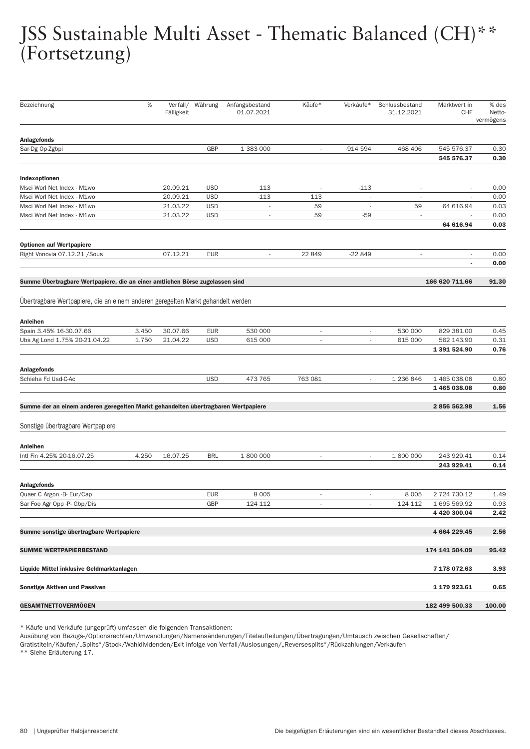## JSS Sustainable Multi Asset - Thematic Balanced (CH)\*\* (Fortsetzung)

| Bezeichnung                                                                       | $\%$  | Verfall/   | Währung    | Anfangsbestand           | Käufe*                   | Verkäufe*                | Schlussbestand           | Marktwert in                 | % des               |
|-----------------------------------------------------------------------------------|-------|------------|------------|--------------------------|--------------------------|--------------------------|--------------------------|------------------------------|---------------------|
|                                                                                   |       | Fälligkeit |            | 01.07.2021               |                          |                          | 31.12.2021               | <b>CHF</b>                   | Netto-<br>vermögens |
|                                                                                   |       |            |            |                          |                          |                          |                          |                              |                     |
| <b>Anlagefonds</b><br>Sar-Dg Op-Zgbpi                                             |       |            | <b>GBP</b> | 1 383 000                | $\overline{\phantom{a}}$ | $-914594$                | 468 406                  | 545 576.37                   | 0.30                |
|                                                                                   |       |            |            |                          |                          |                          |                          | 545 576.37                   | 0.30                |
| Indexoptionen                                                                     |       |            |            |                          |                          |                          |                          |                              |                     |
| Msci Worl Net Index - M1wo                                                        |       | 20.09.21   | <b>USD</b> | 113                      | $\overline{\phantom{a}}$ | $-113$                   | $\overline{\phantom{a}}$ |                              | 0.00                |
| Msci Worl Net Index - M1wo                                                        |       | 20.09.21   | <b>USD</b> | $-113$                   | 113                      |                          | $\overline{\phantom{a}}$ |                              | 0.00                |
| Msci Worl Net Index - M1wo                                                        |       | 21.03.22   | <b>USD</b> | $\overline{\phantom{a}}$ | 59                       |                          | 59                       | 64 616.94                    | 0.03                |
| Msci Worl Net Index - M1wo                                                        |       | 21.03.22   | <b>USD</b> | $\overline{\phantom{a}}$ | 59                       | $-59$                    | $\overline{\phantom{a}}$ | 64 616.94                    | 0.00<br>0.03        |
|                                                                                   |       |            |            |                          |                          |                          |                          |                              |                     |
| Optionen auf Wertpapiere<br>Right Vonovia 07.12.21 / Sous                         |       | 07.12.21   | <b>EUR</b> | $\overline{\phantom{a}}$ | 22 849                   | $-22849$                 | $\overline{\phantom{a}}$ |                              | 0.00                |
|                                                                                   |       |            |            |                          |                          |                          |                          | $\sim$                       | 0.00                |
| Summe Übertragbare Wertpapiere, die an einer amtlichen Börse zugelassen sind      |       |            |            |                          |                          |                          |                          | 166 620 711.66               | 91.30               |
|                                                                                   |       |            |            |                          |                          |                          |                          |                              |                     |
| Übertragbare Wertpapiere, die an einem anderen geregelten Markt gehandelt werden  |       |            |            |                          |                          |                          |                          |                              |                     |
| Anleihen                                                                          |       |            |            |                          |                          |                          |                          |                              |                     |
| Spain 3.45% 16-30.07.66                                                           | 3.450 | 30.07.66   | <b>EUR</b> | 530 000                  | $\overline{\phantom{a}}$ |                          | 530 000                  | 829 381.00                   | 0.45                |
| Ubs Ag Lond 1.75% 20-21.04.22                                                     | 1.750 | 21.04.22   | <b>USD</b> | 615 000                  | $\overline{\phantom{a}}$ |                          | 615 000                  | 562 143.90<br>1 391 524.90   | 0.31<br>0.76        |
|                                                                                   |       |            |            |                          |                          |                          |                          |                              |                     |
| <b>Anlagefonds</b><br>Schieha Fd Usd-C-Ac                                         |       |            | <b>USD</b> | 473 765                  | 763 081                  | $\overline{\phantom{a}}$ | 1 236 846                | 1 465 038.08                 | 0.80                |
|                                                                                   |       |            |            |                          |                          |                          |                          | 1465038.08                   | 0.80                |
| Summe der an einem anderen geregelten Markt gehandelten übertragbaren Wertpapiere |       |            |            |                          |                          |                          |                          | 2856562.98                   | 1.56                |
|                                                                                   |       |            |            |                          |                          |                          |                          |                              |                     |
| Sonstige übertragbare Wertpapiere                                                 |       |            |            |                          |                          |                          |                          |                              |                     |
| Anleihen                                                                          |       |            |            |                          |                          |                          |                          |                              |                     |
| Intl Fin 4.25% 20-16.07.25                                                        | 4.250 | 16.07.25   | <b>BRL</b> | 1 800 000                | $\overline{\phantom{a}}$ | $\overline{\phantom{a}}$ | 1 800 000                | 243 929.41                   | 0.14                |
|                                                                                   |       |            |            |                          |                          |                          |                          | 243 929.41                   | 0.14                |
| <b>Anlagefonds</b>                                                                |       |            |            |                          |                          |                          |                          |                              |                     |
| Quaer C Argon - B- Eur/Cap                                                        |       |            | <b>EUR</b> | 8 0 0 5                  |                          |                          | 8 0 0 5                  | 2 724 730.12                 | 1.49                |
| Sar Foo Agr Opp -P- Gbp/Dis                                                       |       |            | GBP        | 124 112                  | $\overline{\phantom{a}}$ | $\overline{\phantom{a}}$ | 124 112                  | 1 695 569.92<br>4 420 300.04 | 0.93<br>2.42        |
|                                                                                   |       |            |            |                          |                          |                          |                          |                              |                     |
| Summe sonstige übertragbare Wertpapiere                                           |       |            |            |                          |                          |                          |                          | 4 664 229.45                 | 2.56                |
| <b>SUMME WERTPAPIERBESTAND</b>                                                    |       |            |            |                          |                          |                          |                          | 174 141 504.09               | 95.42               |
| Liquide Mittel inklusive Geldmarktanlagen                                         |       |            |            |                          |                          |                          |                          | 7 178 072.63                 | 3.93                |
| <b>Sonstige Aktiven und Passiven</b>                                              |       |            |            |                          |                          |                          |                          | 1 179 923.61                 | 0.65                |
| <b>GESAMTNETTOVERMÖGEN</b>                                                        |       |            |            |                          |                          |                          |                          | 182 499 500.33               | 100.00              |

\* Käufe und Verkäufe (ungeprüft) umfassen die folgenden Transaktionen:

Ausübung von Bezugs-/Optionsrechten/Umwandlungen/Namensänderungen/Titelaufteilungen/Übertragungen/Umtausch zwischen Gesellschaften/

Gratistiteln/Käufen/"Splits"/Stock/Wahldividenden/Exit infolge von Verfall/Auslosungen/"Reversesplits"/Rückzahlungen/Verkäufen

\*\* Siehe Erläuterung 17.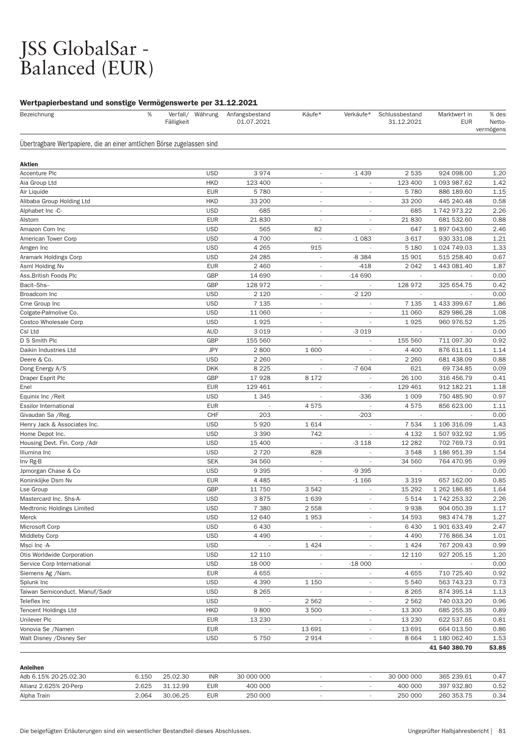## JSS GlobalSar - Balanced (EUR)

| . .<br>%<br>Bezeichnung                                                | Verfall/ Währung<br>Fälligkeit | Anfangsbestand<br>01.07.2021 | Käufe*                   | Verkäufe*                | Schlussbestand<br>31.12.2021 | Marktwert in<br><b>EUR</b> | % des<br>Netto-<br>vermögens |
|------------------------------------------------------------------------|--------------------------------|------------------------------|--------------------------|--------------------------|------------------------------|----------------------------|------------------------------|
| Übertragbare Wertpapiere, die an einer amtlichen Börse zugelassen sind |                                |                              |                          |                          |                              |                            |                              |
| Aktien                                                                 |                                |                              |                          |                          |                              |                            |                              |
| <b>Accenture Plc</b>                                                   | <b>USD</b>                     | 3974                         | $\sim$                   | $-1439$                  | 2 5 3 5                      | 924 098.00                 | 1.20                         |
| Aia Group Ltd                                                          | <b>HKD</b>                     | 123 400                      | $\overline{\phantom{a}}$ | $\overline{\phantom{a}}$ | 123 400                      | 1 093 987.62               | 1.42                         |
| Air Liquide                                                            | <b>EUR</b>                     | 5780                         | $\overline{\phantom{a}}$ | $\overline{a}$           | 5780                         | 886 189.60                 | 1.15                         |
| Alibaba Group Holding Ltd                                              | <b>HKD</b>                     | 33 200                       | $\overline{\phantom{a}}$ |                          | 33 200                       | 445 240.48                 | 0.58                         |
| Alphabet Inc -C-                                                       | <b>USD</b>                     | 685                          | ÷,                       | $\overline{\phantom{a}}$ | 685                          | 1 742 973.22               | 2.26                         |
| Alstom                                                                 | <b>EUR</b>                     | 21 830                       | $\overline{\phantom{a}}$ | $\overline{\phantom{a}}$ | 21830                        | 681 532.60                 | 0.88                         |
| Amazon Com Inc                                                         | <b>USD</b>                     | 565                          | 82                       |                          | 647                          | 1897043.60                 | 2.46                         |
| American Tower Corp                                                    | <b>USD</b>                     | 4700                         | ÷,                       | $-1083$                  | 3617                         | 930 331.08                 | 1.21                         |
| Amgen Inc                                                              | <b>USD</b>                     | 4 2 6 5                      | 915                      |                          | 5 1 8 0                      | 1 024 749.03               | 1.33                         |
| Aramark Holdings Corp                                                  | <b>USD</b>                     | 24 285                       | $\overline{\phantom{a}}$ | $-8384$                  | 15 901                       | 515 258.40                 | 0.67                         |
| Asml Holding Nv                                                        | <b>EUR</b>                     | 2 4 6 0                      | $\overline{\phantom{a}}$ | $-418$                   | 2 0 4 2                      | 1 443 081.40               | 1.87                         |
| Ass.British Foods Plc                                                  | GBP                            | 14 690                       | $\overline{\phantom{a}}$ | $-14690$                 |                              |                            | 0.00                         |
| Bacit-Shs-                                                             | GBP                            | 128 972                      | $\overline{\phantom{a}}$ |                          | 128 972                      | 325 654.75                 | 0.42                         |
| Broadcom Inc                                                           | <b>USD</b>                     | 2 1 2 0                      | $\overline{\phantom{a}}$ | $-2120$                  |                              |                            | 0.00                         |
| Cme Group Inc                                                          | <b>USD</b>                     | 7 1 3 5                      | $\overline{\phantom{a}}$ |                          | 7 1 3 5                      | 1 433 399.67               | 1.86                         |
| Colgate-Palmolive Co.                                                  | <b>USD</b>                     | 11 060                       | $\overline{\phantom{a}}$ |                          | 11 060                       | 829 986.28                 | 1.08                         |
| <b>Costco Wholesale Corp</b>                                           | <b>USD</b>                     | 1925                         | $\overline{\phantom{a}}$ | $\sim$                   | 1925                         | 960 976.52                 | 1.25                         |
| Csl Ltd                                                                | <b>AUD</b>                     | 3 0 1 9                      | $\overline{\phantom{a}}$ | $-3019$                  | $\overline{\phantom{a}}$     |                            | 0.00                         |
| D S Smith Plc                                                          | GBP                            | 155 560                      | $\overline{\phantom{a}}$ | $\overline{a}$           | 155 560                      | 711 097.30                 | 0.92                         |
| Daikin Industries Ltd                                                  | <b>JPY</b>                     | 2800                         | 1 600                    |                          | 4 4 0 0                      | 876 611.61                 | 1.14                         |
| Deere & Co.                                                            | <b>USD</b>                     | 2 2 6 0                      |                          |                          | 2 2 6 0                      | 681 438.09                 | 0.88                         |
| Dong Energy A/S                                                        | <b>DKK</b>                     | 8 2 2 5                      | $\overline{\phantom{a}}$ | $-7604$                  | 621                          | 69 734.85                  | 0.09                         |
| Draper Esprit Plc                                                      | GBP                            | 17928                        | 8 1 7 2                  | $\overline{\phantom{a}}$ | 26 100                       | 316 456.79                 | 0.41                         |
| Enel                                                                   | <b>EUR</b>                     | 129 461                      |                          |                          | 129 461                      | 912 182.21                 | 1.18                         |
| Equinix Inc / Reit                                                     | <b>USD</b>                     | 1 3 4 5                      | $\overline{\phantom{a}}$ | $-336$                   | 1 0 0 9                      | 750 485.90                 | 0.97                         |
| <b>Essilor International</b>                                           | <b>EUR</b>                     |                              | 4575                     |                          | 4575                         | 856 623.00                 | 1.11                         |
| Givaudan Sa / Reg.                                                     | <b>CHF</b>                     | 203                          | $\overline{\phantom{a}}$ | $-203$                   | $\sim$                       |                            | 0.00                         |
| Henry Jack & Associates Inc.                                           | <b>USD</b>                     | 5920                         | 1614                     |                          | 7 5 3 4                      | 1 106 316.09               | 1.43                         |
| Home Depot Inc.                                                        | <b>USD</b>                     | 3 3 9 0                      | 742                      | $\overline{\phantom{a}}$ | 4 1 3 2                      | 1507932.92                 | 1.95                         |
| Housing Devt. Fin. Corp / Adr                                          | <b>USD</b>                     | 15 400                       |                          | $-3118$                  | 12 2 8 2                     | 702 769.73                 | 0.91                         |
| Illumina Inc                                                           | <b>USD</b>                     | 2720                         | 828                      | $\overline{\phantom{a}}$ | 3548                         | 1 186 951.39               | 1.54                         |
| Inv Rg-B                                                               | <b>SEK</b>                     | 34 560                       |                          |                          | 34 560                       | 764 470.95                 | 0.99                         |
| Jpmorgan Chase & Co                                                    | <b>USD</b>                     | 9 3 9 5                      | $\overline{\phantom{a}}$ | $-9395$                  | $\sim$                       | $\overline{\phantom{a}}$   | 0.00                         |
| Koninklijke Dsm Nv                                                     | <b>EUR</b>                     | 4 4 8 5                      | $\overline{\phantom{a}}$ | $-1166$                  | 3 3 1 9                      | 657 162.00                 | 0.85                         |
| Lse Group                                                              | <b>GBP</b>                     | 11 750                       | 3542                     | ٠                        | 15 29 2                      | 1 262 186.85               | 1.64                         |
| Mastercard Inc. Shs-A-                                                 | <b>USD</b>                     | 3875                         | 1639                     |                          | 5 5 1 4                      | 1 742 253.32               | 2.26                         |
| <b>Medtronic Holdings Limited</b>                                      | <b>USD</b>                     | 7 3 8 0                      | 2 5 5 8                  | $\overline{\phantom{a}}$ | 9938                         | 904 050.39                 | 1.17                         |
| Merck                                                                  | <b>USD</b>                     | 12 640                       | 1953                     | $\overline{\phantom{a}}$ | 14 593                       | 983 474.78                 | 1.27                         |
| Microsoft Corp                                                         | <b>USD</b>                     | 6430                         | $\overline{\phantom{a}}$ | $\overline{\phantom{a}}$ | 6 4 3 0                      | 1 901 633.49               | 2.47                         |
| <b>Middleby Corp</b>                                                   | <b>USD</b>                     | 4 4 9 0                      |                          |                          | 4 4 9 0                      | 776 866.34                 | 1.01                         |
| Msci Inc -A-                                                           | <b>USD</b>                     |                              | 1424                     | $\overline{\phantom{a}}$ | 1424                         | 767 209.43                 | 0.99                         |
| Otis Worldwide Corporation                                             | <b>USD</b>                     | 12 110                       |                          | $\overline{\phantom{a}}$ | 12 110                       | 927 205.15                 | 1.20                         |
| Service Corp International                                             | <b>USD</b>                     | 18 000                       |                          | $-18000$                 |                              |                            | 0.00                         |
| Siemens Ag /Nam.                                                       | <b>EUR</b>                     | 4 6 5 5                      |                          |                          | 4655                         | 710 725.40                 | 0.92                         |
| Splunk Inc                                                             | <b>USD</b>                     | 4 3 9 0                      | 1 1 5 0                  | $\overline{\phantom{a}}$ | 5 5 4 0                      | 563 743.23                 | 0.73                         |
| Taiwan Semiconduct. Manuf/Sadr                                         | <b>USD</b>                     | 8 2 6 5                      |                          | $\overline{\phantom{a}}$ | 8 2 6 5                      | 874 395.14                 | 1.13                         |
| Teleflex Inc                                                           | <b>USD</b>                     |                              | 2562                     | $\overline{\phantom{a}}$ | 2562                         | 740 033.20                 | 0.96                         |
| <b>Tencent Holdings Ltd</b>                                            | <b>HKD</b>                     | 9800                         | 3500                     |                          | 13 300                       | 685 255.35                 | 0.89                         |
| Unilever Plc                                                           | <b>EUR</b>                     | 13 2 30                      |                          | ÷                        | 13 2 30                      | 622 537.65                 | 0.81                         |
| Vonovia Se /Namen                                                      | <b>EUR</b>                     |                              | 13 691                   | $\overline{\phantom{a}}$ | 13 691                       | 664 013.50                 | 0.86                         |
| Walt Disney / Disney Ser                                               | <b>USD</b>                     | 5750                         | 2914                     | $\overline{\phantom{a}}$ | 8 6 6 4                      | 1 180 062.40               | 1.53                         |
|                                                                        |                                |                              |                          |                          |                              | 41 540 380.70              | 53.85                        |

|  | Anleihen |
|--|----------|
|  |          |

| Adb 6.15% 20-25.02.30  | 6.150 | 25.02.30 | <b>INR</b> | 30 000 000 |  | 30 000 000 | 365 239.61 | 0.47 |
|------------------------|-------|----------|------------|------------|--|------------|------------|------|
| Allianz 2.625% 20-Perp | 2.625 | 31 12 99 | <b>EUR</b> | 400 000    |  | 400 000    | 397 932.80 | 0.52 |
| Alpha Train            | 2.064 | 30.06.25 | <b>EUR</b> | 250 000    |  | 250 000    | 260 353.75 | 0.34 |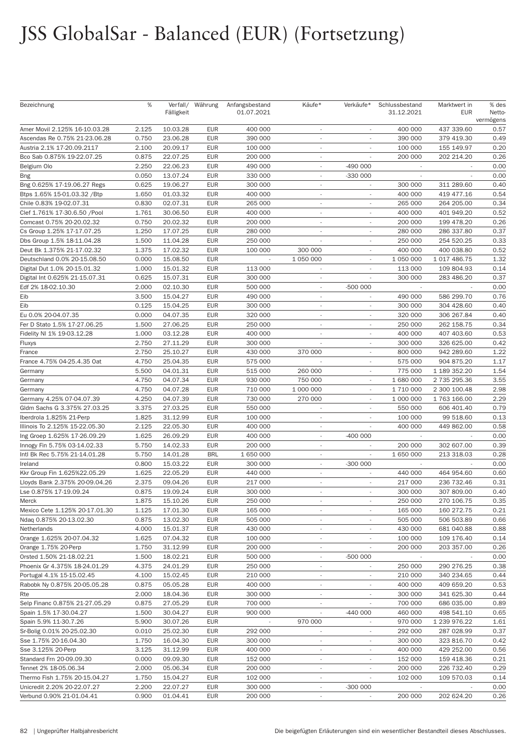# JSS GlobalSar - Balanced (EUR) (Fortsetzung)

| Bezeichnung                    | %     | Fälligkeit | Verfall/ Währung | Anfangsbestand<br>01.07.2021 | Käufe*                   | Verkäufe*                | Schlussbestand<br>31.12.2021 | Marktwert in<br><b>EUR</b> | % des<br>Netto-   |
|--------------------------------|-------|------------|------------------|------------------------------|--------------------------|--------------------------|------------------------------|----------------------------|-------------------|
| Amer Movil 2.125% 16-10.03.28  | 2.125 | 10.03.28   | <b>EUR</b>       | 400 000                      | $\overline{\phantom{a}}$ |                          | 400 000                      | 437 339.60                 | vermögens<br>0.57 |
| Ascendas Re 0.75% 21-23.06.28  | 0.750 | 23.06.28   | <b>EUR</b>       | 390 000                      |                          |                          | 390 000                      | 379 419.30                 | 0.49              |
| Austria 2.1% 17-20.09.2117     | 2.100 | 20.09.17   | <b>EUR</b>       | 100 000                      | $\overline{\phantom{a}}$ | ٠                        | 100 000                      | 155 149.97                 | 0.20              |
| Bco Sab 0.875% 19-22.07.25     | 0.875 | 22.07.25   | <b>EUR</b>       | 200 000                      | $\sim$                   |                          | 200 000                      | 202 214.20                 | 0.26              |
| Belgium Olo                    | 2.250 | 22.06.23   | <b>EUR</b>       | 490 000                      |                          | $-490000$                |                              |                            | 0.00              |
| Bng                            | 0.050 | 13.07.24   | <b>EUR</b>       | 330 000                      |                          | -330 000                 |                              |                            | 0.00              |
| Bng 0.625% 17-19.06.27 Regs    | 0.625 | 19.06.27   | <b>EUR</b>       | 300 000                      | $\overline{\phantom{a}}$ | $\overline{\phantom{a}}$ | 300 000                      | 311 289.60                 | 0.40              |
| Btps 1.65% 15-01.03.32 / Btp   | 1.650 | 01.03.32   | <b>EUR</b>       | 400 000                      | $\sim$                   | $\overline{\phantom{a}}$ | 400 000                      | 419 477.16                 | 0.54              |
| Chile 0.83% 19-02.07.31        | 0.830 | 02.07.31   | <b>EUR</b>       | 265 000                      |                          |                          | 265 000                      | 264 205.00                 | 0.34              |
| Clef 1.761% 17-30.6.50 /Pool   | 1.761 | 30.06.50   | <b>EUR</b>       | 400 000                      | $\overline{\phantom{a}}$ |                          | 400 000                      | 401 949.20                 | 0.52              |
| Comcast 0.75% 20-20.02.32      | 0.750 | 20.02.32   | <b>EUR</b>       | 200 000                      | $\overline{\phantom{a}}$ | $\overline{\phantom{a}}$ | 200 000                      | 199 478.20                 | 0.26              |
| Cs Group 1.25% 17-17.07.25     | 1.250 | 17.07.25   | <b>EUR</b>       | 280 000                      | $\sim$                   | $\overline{\phantom{a}}$ | 280 000                      | 286 337.80                 | 0.37              |
| Dbs Group 1.5% 18-11.04.28     | 1.500 | 11.04.28   | <b>EUR</b>       | 250 000                      |                          |                          | 250 000                      | 254 520.25                 | 0.33              |
| Deut Bk 1.375% 21-17.02.32     | 1.375 | 17.02.32   | <b>EUR</b>       | 100 000                      | 300 000                  |                          | 400 000                      | 400 038.80                 | 0.52              |
| Deutschland 0.0% 20-15.08.50   | 0.000 | 15.08.50   | <b>EUR</b>       | $\sim$                       | 1 050 000                | $\overline{\phantom{a}}$ | 1 050 000                    | 1 017 486.75               | 1.32              |
| Digital Dut 1.0% 20-15.01.32   | 1.000 | 15.01.32   | <b>EUR</b>       | 113 000                      | $\overline{\phantom{a}}$ | $\overline{a}$           | 113 000                      | 109 804.93                 | 0.14              |
| Digital Int 0.625% 21-15.07.31 | 0.625 | 15.07.31   | <b>EUR</b>       | 300 000                      |                          | ٠                        | 300 000                      | 283 486.20                 | 0.37              |
| Edf 2% 18-02.10.30             | 2.000 | 02.10.30   | <b>EUR</b>       | 500 000                      |                          | $-500000$                |                              |                            | 0.00              |
| Eib                            | 3.500 | 15.04.27   | <b>EUR</b>       | 490 000                      | $\overline{\phantom{a}}$ | $\overline{\phantom{a}}$ | 490 000                      | 586 299.70                 | 0.76              |
| Eib                            | 0.125 | 15.04.25   | <b>EUR</b>       | 300 000                      | $\sim$                   | $\overline{\phantom{a}}$ | 300 000                      | 304 428.60                 | 0.40              |
| Eu 0.0% 20-04.07.35            | 0.000 | 04.07.35   | <b>EUR</b>       | 320 000                      | $\sim$                   | ٠                        | 320 000                      | 306 267.84                 | 0.40              |
| Fer D Stato 1.5% 17-27.06.25   | 1.500 | 27.06.25   | <b>EUR</b>       | 250 000                      | $\sim$                   |                          | 250 000                      | 262 158.75                 | 0.34              |
| Fidelity NI 1% 19-03.12.28     | 1.000 | 03.12.28   | <b>EUR</b>       | 400 000                      | $\overline{\phantom{a}}$ | $\overline{\phantom{a}}$ | 400 000                      | 407 403.60                 | 0.53              |
| Fluxys                         | 2.750 | 27.11.29   | <b>EUR</b>       | 300 000                      |                          | $\overline{\phantom{a}}$ | 300 000                      | 326 625.00                 | 0.42              |
| France                         | 2.750 | 25.10.27   | <b>EUR</b>       | 430 000                      | 370 000                  | ٠                        | 800 000                      | 942 289.60                 | 1.22              |
| France 4.75% 04-25.4.35 Oat    | 4.750 | 25.04.35   | <b>EUR</b>       | 575 000                      |                          |                          | 575 000                      | 904 875.20                 | 1.17              |
| Germany                        | 5.500 | 04.01.31   | <b>EUR</b>       | 515 000                      | 260 000                  | $\overline{\phantom{a}}$ | 775 000                      | 1 189 352.20               | 1.54              |
| Germany                        | 4.750 | 04.07.34   | <b>EUR</b>       | 930 000                      | 750 000                  | $\overline{\phantom{a}}$ | 1 680 000                    | 2 735 295.36               | 3.55              |
| Germany                        | 4.750 | 04.07.28   | <b>EUR</b>       | 710 000                      | 1 000 000                | ٠                        | 1 710 000                    | 2 300 100.48               | 2.98              |
| Germany 4.25% 07-04.07.39      | 4.250 | 04.07.39   | <b>EUR</b>       | 730 000                      | 270 000                  |                          | 1 000 000                    | 1763166.00                 | 2.29              |
| Gldm Sachs G 3.375% 27.03.25   | 3.375 | 27.03.25   | <b>EUR</b>       | 550 000                      | $\overline{\phantom{a}}$ | $\overline{\phantom{a}}$ | 550 000                      | 606 401.40                 | 0.79              |
| Iberdrola 1.825% 21-Perp       | 1.825 | 31.12.99   | <b>EUR</b>       | 100 000                      | $\sim$                   | $\overline{\phantom{a}}$ | 100 000                      | 99 518.60                  | 0.13              |
| Illinois To 2.125% 15-22.05.30 | 2.125 | 22.05.30   | <b>EUR</b>       | 400 000                      | $\sim$                   | ×.                       | 400 000                      | 449 862.00                 | 0.58              |
| Ing Groep 1.625% 17-26.09.29   | 1.625 | 26.09.29   | <b>EUR</b>       | 400 000                      |                          | $-400000$                |                              |                            | 0.00              |
| Innogy Fin 5.75% 03-14.02.33   | 5.750 | 14.02.33   | <b>EUR</b>       | 200 000                      | $\overline{\phantom{a}}$ | $\sim$                   | 200 000                      | 302 607.00                 | 0.39              |
| Intl Bk Rec 5.75% 21-14.01.28  | 5.750 | 14.01.28   | <b>BRL</b>       | 1 650 000                    | $\overline{\phantom{a}}$ | $\overline{\phantom{a}}$ | 1 650 000                    | 213 318.03                 | 0.28              |
| Ireland                        | 0.800 | 15.03.22   | <b>EUR</b>       | 300 000                      | $\sim$                   | $-300000$                |                              |                            | 0.00              |
| Kkr Group Fin 1.625%22.05.29   | 1.625 | 22.05.29   | <b>EUR</b>       | 440 000                      |                          |                          | 440 000                      | 464 954.60                 | 0.60              |
| Lloyds Bank 2.375% 20-09.04.26 | 2.375 | 09.04.26   | <b>EUR</b>       | 217 000                      | $\sim$                   | $\overline{\phantom{a}}$ | 217 000                      | 236 732.46                 | 0.31              |
| Lse 0.875% 17-19.09.24         | 0.875 | 19.09.24   | <b>EUR</b>       | 300 000                      |                          |                          | 300 000                      | 307 809.00                 | 0.40              |
| Merck                          | 1.875 | 15.10.26   | <b>EUR</b>       | 250 000                      | $\sim$                   | $\overline{\phantom{a}}$ | 250 000                      | 270 106.75                 | 0.35              |
| Mexico Cete 1.125% 20-17.01.30 | 1.125 | 17.01.30   | <b>EUR</b>       | 165 000                      | $\sim$                   |                          | 165 000                      | 160 272.75                 | 0.21              |
| Ndaq 0.875% 20-13.02.30        | 0.875 | 13.02.30   | <b>EUR</b>       | 505 000                      | $\sim$                   | $\overline{\phantom{a}}$ | 505 000                      | 506 503.89                 | 0.66              |
| Netherlands                    | 4.000 | 15.01.37   | <b>EUR</b>       | 430 000                      | $\overline{\phantom{a}}$ | $\overline{\phantom{a}}$ | 430 000                      | 681 040.88                 | 0.88              |
| Orange 1.625% 20-07.04.32      | 1.625 | 07.04.32   | <b>EUR</b>       | 100 000                      | $\sim$                   | $\overline{\phantom{a}}$ | 100 000                      | 109 176.40                 | 0.14              |
| Orange 1.75% 20-Perp           | 1.750 | 31.12.99   | <b>EUR</b>       | 200 000                      | $\sim$                   |                          | 200 000                      | 203 357.00                 | 0.26              |
| Orsted 1.50% 21-18.02.21       | 1.500 | 18.02.21   | <b>EUR</b>       | 500 000                      | $\overline{\phantom{a}}$ | -500 000                 |                              |                            | 0.00              |
| Phoenix Gr 4.375% 18-24.01.29  | 4.375 | 24.01.29   | <b>EUR</b>       | 250 000                      | $\overline{\phantom{a}}$ |                          | 250 000                      | 290 276.25                 | 0.38              |
| Portugal 4.1% 15-15.02.45      | 4.100 | 15.02.45   | <b>EUR</b>       | 210 000                      | $\sim$                   |                          | 210 000                      | 340 234.65                 | 0.44              |
| Rabobk Ny 0.875% 20-05.05.28   | 0.875 | 05.05.28   | <b>EUR</b>       | 400 000                      | $\sim$                   |                          | 400 000                      | 409 659.20                 | 0.53              |
| Rte                            | 2.000 | 18.04.36   | <b>EUR</b>       | 300 000                      | $\overline{\phantom{a}}$ | $\overline{\phantom{a}}$ | 300 000                      | 341 625.30                 | 0.44              |
| Selp Financ 0.875% 21-27.05.29 | 0.875 | 27.05.29   | <b>EUR</b>       | 700 000                      | $\sim$                   |                          | 700 000                      | 686 035.00                 | 0.89              |
| Spain 1.5% 17-30.04.27         | 1.500 | 30.04.27   | <b>EUR</b>       | 900 000                      | $\overline{\phantom{a}}$ | $-440000$                | 460 000                      | 498 541.10                 | 0.65              |
| Spain 5.9% 11-30.7.26          | 5.900 | 30.07.26   | <b>EUR</b>       |                              | 970 000                  |                          | 970 000                      | 1 239 976.22               | 1.61              |
| Sr-Bolig 0.01% 20-25.02.30     | 0.010 | 25.02.30   | <b>EUR</b>       | 292 000                      | $\sim$                   | $\overline{\phantom{a}}$ | 292 000                      | 287 028.99                 | 0.37              |
| Sse 1.75% 20-16.04.30          | 1.750 | 16.04.30   | <b>EUR</b>       | 300 000                      | $\overline{\phantom{a}}$ | $\overline{\phantom{a}}$ | 300 000                      | 323 816.70                 | 0.42              |
| Sse 3.125% 20-Perp             | 3.125 | 31.12.99   | <b>EUR</b>       | 400 000                      | $\sim$                   |                          | 400 000                      | 429 252.00                 | 0.56              |
| Standard Frn 20-09.09.30       | 0.000 | 09.09.30   | <b>EUR</b>       | 152 000                      | $\overline{\phantom{a}}$ |                          | 152 000                      | 159 418.36                 | 0.21              |
| Tennet 2% 18-05.06.34          | 2.000 | 05.06.34   | <b>EUR</b>       | 200 000                      | $\sim$                   |                          | 200 000                      | 226 732.40                 | 0.29              |
| Thermo Fish 1.75% 20-15.04.27  | 1.750 | 15.04.27   | <b>EUR</b>       | 102 000                      | $\overline{\phantom{a}}$ |                          | 102 000                      | 109 570.03                 | 0.14              |
| Unicredit 2.20% 20-22.07.27    | 2.200 | 22.07.27   | <b>EUR</b>       | 300 000                      | $\sim$                   | $-300000$                | $\sim$                       |                            | 0.00              |
| Verbund 0.90% 21-01.04.41      | 0.900 | 01.04.41   | <b>EUR</b>       | 200 000                      | $\overline{\phantom{a}}$ | $\overline{\phantom{a}}$ | 200 000                      | 202 624.20                 | 0.26              |
|                                |       |            |                  |                              |                          |                          |                              |                            |                   |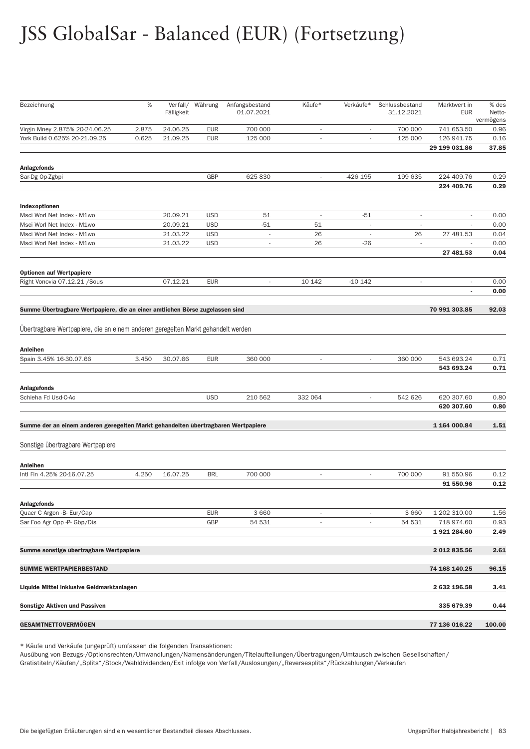# JSS GlobalSar - Balanced (EUR) (Fortsetzung)

| Bezeichnung                                                                       | $\%$  | Verfall/<br>Fälligkeit | Währung    | Anfangsbestand<br>01.07.2021 | Käufe*                   | Verkäufe*                | Schlussbestand<br>31.12.2021 | Marktwert in<br><b>EUR</b> | % des<br>Netto-<br>vermögens |
|-----------------------------------------------------------------------------------|-------|------------------------|------------|------------------------------|--------------------------|--------------------------|------------------------------|----------------------------|------------------------------|
| Virgin Mney 2.875% 20-24.06.25                                                    | 2.875 | 24.06.25               | <b>EUR</b> | 700 000                      | $\overline{a}$           |                          | 700 000                      | 741 653.50                 | 0.96                         |
| York Build 0.625% 20-21.09.25                                                     | 0.625 | 21.09.25               | <b>EUR</b> | 125 000                      | $\overline{a}$           |                          | 125 000                      | 126 941.75                 | 0.16                         |
|                                                                                   |       |                        |            |                              |                          |                          |                              | 29 199 031.86              | 37.85                        |
| <b>Anlagefonds</b>                                                                |       |                        |            |                              |                          |                          |                              |                            |                              |
| Sar-Dg Op-Zgbpi                                                                   |       |                        | GBP        | 625 830                      | $\overline{\phantom{a}}$ | -426 195                 | 199 635                      | 224 409.76<br>224 409.76   | 0.29<br>0.29                 |
| Indexoptionen                                                                     |       |                        |            |                              |                          |                          |                              |                            |                              |
| Msci Worl Net Index - M1wo                                                        |       | 20.09.21               | <b>USD</b> | 51                           | $\overline{\phantom{a}}$ | $-51$                    | $\overline{\phantom{a}}$     | $\overline{\phantom{a}}$   | 0.00                         |
| Msci Worl Net Index - M1wo                                                        |       | 20.09.21               | <b>USD</b> | $-51$                        | 51                       | $\overline{\phantom{a}}$ | $\overline{\phantom{a}}$     |                            | 0.00                         |
| Msci Worl Net Index - M1wo                                                        |       | 21.03.22               | <b>USD</b> | $\overline{a}$               | 26                       |                          | 26                           | 27 481.53                  | 0.04                         |
| Msci Worl Net Index - M1wo                                                        |       | 21.03.22               | <b>USD</b> | $\overline{\phantom{a}}$     | 26                       | $-26$                    | $\overline{\phantom{a}}$     |                            | 0.00                         |
|                                                                                   |       |                        |            |                              |                          |                          |                              | 27 481.53                  | 0.04                         |
| <b>Optionen auf Wertpapiere</b>                                                   |       | 07.12.21               | <b>EUR</b> | ×,                           | 10 142                   | $-10142$                 | $\overline{\phantom{a}}$     |                            | 0.00                         |
| Right Vonovia 07.12.21 / Sous                                                     |       |                        |            |                              |                          |                          |                              | $\blacksquare$             | 0.00                         |
| Summe Übertragbare Wertpapiere, die an einer amtlichen Börse zugelassen sind      |       |                        |            |                              |                          |                          |                              | 70 991 303.85              | 92.03                        |
| Übertragbare Wertpapiere, die an einem anderen geregelten Markt gehandelt werden  |       |                        |            |                              |                          |                          |                              |                            |                              |
| <b>Anleihen</b>                                                                   |       |                        |            |                              |                          |                          |                              |                            |                              |
| Spain 3.45% 16-30.07.66                                                           | 3.450 | 30.07.66               | <b>EUR</b> | 360 000                      | $\overline{\phantom{a}}$ | $\overline{\phantom{a}}$ | 360 000                      | 543 693.24<br>543 693.24   | 0.71<br>0.71                 |
| <b>Anlagefonds</b>                                                                |       |                        |            |                              |                          |                          |                              |                            |                              |
| Schieha Fd Usd-C-Ac                                                               |       |                        | <b>USD</b> | 210 562                      | 332 064                  | $\overline{\phantom{a}}$ | 542 626                      | 620 307.60                 | 0.80                         |
|                                                                                   |       |                        |            |                              |                          |                          |                              | 620 307.60                 | 0.80                         |
| Summe der an einem anderen geregelten Markt gehandelten übertragbaren Wertpapiere |       |                        |            |                              |                          |                          |                              | 1 164 000.84               | 1.51                         |
| Sonstige übertragbare Wertpapiere                                                 |       |                        |            |                              |                          |                          |                              |                            |                              |
| Anleihen                                                                          |       |                        |            |                              |                          |                          |                              |                            |                              |
| Intl Fin 4.25% 20-16.07.25                                                        | 4.250 | 16.07.25               | <b>BRL</b> | 700 000                      | $\sim$                   | $\overline{\phantom{a}}$ | 700 000                      | 91 550.96<br>91 550.96     | 0.12<br>0.12                 |
|                                                                                   |       |                        |            |                              |                          |                          |                              |                            |                              |
| <b>Anlagefonds</b>                                                                |       |                        |            |                              |                          |                          |                              |                            |                              |
| Quaer C Argon - B- Eur/Cap                                                        |       |                        | <b>EUR</b> | 3 6 6 0                      | $\overline{\phantom{a}}$ |                          | 3 6 6 0                      | 1 202 310.00               | 1.56                         |
| Sar Foo Agr Opp -P- Gbp/Dis                                                       |       |                        | GBP        | 54 531                       | $\overline{\phantom{a}}$ |                          | 54 531                       | 718 974.60<br>1921284.60   | 0.93<br>2.49                 |
| Summe sonstige übertragbare Wertpapiere                                           |       |                        |            |                              |                          |                          |                              | 2 012 835.56               | 2.61                         |
|                                                                                   |       |                        |            |                              |                          |                          |                              |                            |                              |
| <b>SUMME WERTPAPIERBESTAND</b>                                                    |       |                        |            |                              |                          |                          |                              | 74 168 140.25              | 96.15                        |
| Liquide Mittel inklusive Geldmarktanlagen                                         |       |                        |            |                              |                          |                          |                              | 2 632 196.58               | 3.41                         |
| Sonstige Aktiven und Passiven                                                     |       |                        |            |                              |                          |                          |                              | 335 679.39                 | 0.44                         |
| <b>GESAMTNETTOVERMOGEN</b>                                                        |       |                        |            |                              |                          |                          |                              | 77 136 016.22              | 100.00                       |

\* Käufe und Verkäufe (ungeprüft) umfassen die folgenden Transaktionen:

Ausübung von Bezugs-/Optionsrechten/Umwandlungen/Namensänderungen/Titelaufteilungen/Übertragungen/Umtausch zwischen Gesellschaften/ Gratistiteln/Käufen/"Splits"/Stock/Wahldividenden/Exit infolge von Verfall/Auslosungen/"Reversesplits"/Rückzahlungen/Verkäufen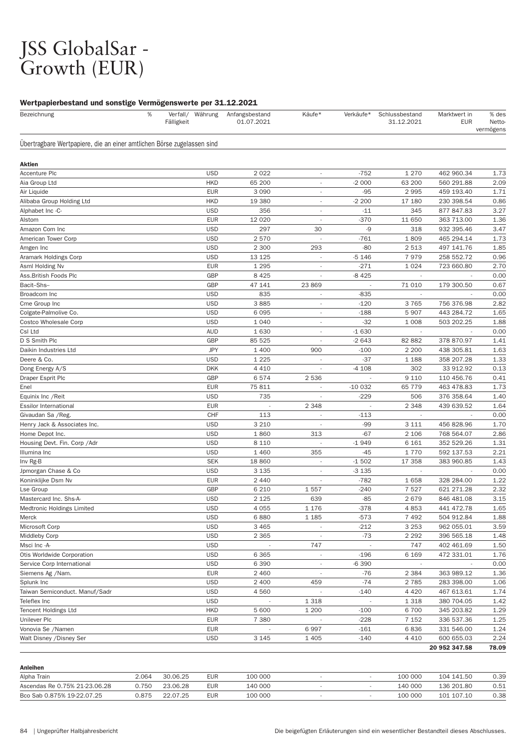## JSS GlobalSar - Growth (EUR)

| Bezeichnung                                                            | % | Fälligkeit | Verfall/ Währung | Anfangsbestand<br>01.07.2021 | Käufe*                   | Verkäufe* | Schlussbestand<br>31.12.2021 | Marktwert in<br><b>EUR</b> | % des<br>Netto-<br>vermögens |
|------------------------------------------------------------------------|---|------------|------------------|------------------------------|--------------------------|-----------|------------------------------|----------------------------|------------------------------|
| Ubertragbare Wertpapiere, die an einer amtlichen Börse zugelassen sind |   |            |                  |                              |                          |           |                              |                            |                              |
| Aktien                                                                 |   |            |                  |                              |                          |           |                              |                            |                              |
| <b>Accenture Plc</b>                                                   |   |            | <b>USD</b>       | 2022                         | $\overline{\phantom{a}}$ | $-752$    | 1 2 7 0                      | 462 960.34                 | 1.73                         |
| Aia Group Ltd                                                          |   |            | <b>HKD</b>       | 65 200                       | $\overline{\phantom{a}}$ | $-2000$   | 63 200                       | 560 291.88                 | 2.09                         |
| Air Liquide                                                            |   |            | <b>EUR</b>       | 3 0 9 0                      | $\overline{\phantom{a}}$ | $-95$     | 2 9 9 5                      | 459 193.40                 | 1.71                         |
| Alibaba Group Holding Ltd                                              |   |            | <b>HKD</b>       | 19 380                       | $\overline{\phantom{a}}$ | $-2200$   | 17 180                       | 230 398.54                 | 0.86                         |
| Alphabet Inc -C-                                                       |   |            | <b>USD</b>       | 356                          | $\overline{\phantom{a}}$ | $-11$     | 345                          | 877 847.83                 | 3.27                         |
| Alstom                                                                 |   |            | <b>EUR</b>       | 12 0 20                      | $\overline{\phantom{a}}$ | $-370$    | 11 650                       | 363 713.00                 | 1.36                         |
| Amazon Com Inc                                                         |   |            | <b>USD</b>       | 297                          | 30                       | -9        | 318                          | 932 395.46                 | 3.47                         |
| American Tower Corp                                                    |   |            | <b>USD</b>       | 2570                         |                          | $-761$    | 1809                         | 465 294.14                 | 1.73                         |
| Amgen Inc                                                              |   |            | <b>USD</b>       | 2 3 0 0                      | 293                      | $-80$     | 2 5 1 3                      | 497 141.76                 | 1.85                         |
| Aramark Holdings Corp                                                  |   |            | <b>USD</b>       | 13 1 25                      | $\overline{\phantom{a}}$ | $-5146$   | 7979                         | 258 552.72                 | 0.96                         |
| Asml Holding Nv                                                        |   |            | <b>EUR</b>       | 1 2 9 5                      | $\overline{\phantom{a}}$ | $-271$    | 1 0 2 4                      | 723 660.80                 | 2.70                         |
| Ass.British Foods Plc                                                  |   |            | GBP              | 8 4 2 5                      |                          | $-8425$   |                              |                            | 0.00                         |
| Bacit-Shs-                                                             |   |            | GBP              | 47 141                       | 23 869                   |           | 71 010                       | 179 300.50                 | 0.67                         |
| Broadcom Inc                                                           |   |            | <b>USD</b>       | 835                          | $\overline{\phantom{a}}$ | $-835$    |                              |                            | 0.00                         |
| Cme Group Inc                                                          |   |            | <b>USD</b>       | 3885                         | $\overline{\phantom{a}}$ | $-120$    | 3765                         | 756 376.98                 | 2.82                         |
| Colgate-Palmolive Co.                                                  |   |            | <b>USD</b>       | 6 0 9 5                      |                          | $-188$    | 5 9 0 7                      | 443 284.72                 | 1.65                         |
| Costco Wholesale Corp                                                  |   |            | <b>USD</b>       | 1 0 4 0                      | $\sim$                   | $-32$     | 1 0 0 8                      | 503 202.25                 | 1.88                         |
| Csl Ltd                                                                |   |            | <b>AUD</b>       | 1630                         | $\overline{\phantom{a}}$ | $-1630$   |                              |                            | 0.00                         |
| D S Smith Plc                                                          |   |            | <b>GBP</b>       | 85 525                       | $\overline{\phantom{a}}$ | $-2643$   | 82 882                       | 378 870.97                 | 1.41                         |
| Daikin Industries Ltd                                                  |   |            | <b>JPY</b>       | 1 400                        | 900                      | $-100$    | 2 200                        | 438 305.81                 | 1.63                         |
| Deere & Co.                                                            |   |            | <b>USD</b>       | 1 2 2 5                      | $\overline{\phantom{a}}$ | $-37$     | 1 1 8 8                      | 358 207.28                 | 1.33                         |
| Dong Energy A/S                                                        |   |            | <b>DKK</b>       | 4 4 1 0                      | $\overline{\phantom{a}}$ | $-4108$   | 302                          | 33 912.92                  | 0.13                         |
|                                                                        |   |            | <b>GBP</b>       | 6574                         | 2536                     |           | 9 1 1 0                      | 110 456.76                 | 0.41                         |
| Draper Esprit Plc<br>Enel                                              |   |            | <b>EUR</b>       | 75 811                       |                          | $-10032$  | 65 7 7 9                     | 463 478.83                 | 1.73                         |
|                                                                        |   |            | <b>USD</b>       |                              | $\overline{\phantom{a}}$ |           | 506                          |                            |                              |
| Equinix Inc / Reit                                                     |   |            |                  | 735                          |                          | $-229$    |                              | 376 358.64                 | 1.40                         |
| <b>Essilor International</b>                                           |   |            | <b>EUR</b>       |                              | 2 3 4 8                  |           | 2 3 4 8                      | 439 639.52                 | 1.64                         |
| Givaudan Sa / Reg.                                                     |   |            | CHF              | 113                          | $\overline{\phantom{a}}$ | $-113$    | $\overline{\phantom{a}}$     |                            | 0.00                         |
| Henry Jack & Associates Inc.                                           |   |            | <b>USD</b>       | 3 2 1 0                      |                          | $-99$     | 3 1 1 1                      | 456 828.96                 | 1.70                         |
| Home Depot Inc.                                                        |   |            | <b>USD</b>       | 1860                         | 313                      | $-67$     | 2 1 0 6                      | 768 564.07                 | 2.86                         |
| Housing Devt. Fin. Corp / Adr                                          |   |            | <b>USD</b>       | 8 1 1 0                      |                          | $-1949$   | 6 1 6 1                      | 352 529.26                 | 1.31                         |
| Illumina Inc                                                           |   |            | <b>USD</b>       | 1 4 6 0                      | 355                      | $-45$     | 1770                         | 592 137.53                 | 2.21                         |
| Inv Rg-B                                                               |   |            | <b>SEK</b>       | 18 860                       | $\overline{\phantom{a}}$ | $-1502$   | 17 358                       | 383 960.85                 | 1.43                         |
| Jpmorgan Chase & Co                                                    |   |            | <b>USD</b>       | 3 1 3 5                      | $\overline{\phantom{a}}$ | $-3135$   | $\overline{\phantom{a}}$     |                            | 0.00                         |
| Koninklijke Dsm Nv                                                     |   |            | <b>EUR</b>       | 2 4 4 0                      | $\overline{\phantom{a}}$ | $-782$    | 1658                         | 328 284.00                 | 1.22                         |
| Lse Group                                                              |   |            | <b>GBP</b>       | 6 2 1 0                      | 1557                     | $-240$    | 7 5 2 7                      | 621 271.28                 | 2.32                         |
| Mastercard Inc. Shs-A-                                                 |   |            | <b>USD</b>       | 2 1 2 5                      | 639                      | $-85$     | 2679                         | 846 481.08                 | 3.15                         |
| <b>Medtronic Holdings Limited</b>                                      |   |            | <b>USD</b>       | 4 0 5 5                      | 1 1 7 6                  | $-378$    | 4853                         | 441 472.78                 | 1.65                         |
| Merck                                                                  |   |            | <b>USD</b>       | 6880                         | 1 1 8 5                  | $-573$    | 7492                         | 504 912.84                 | 1.88                         |
| Microsoft Corp                                                         |   |            | <b>USD</b>       | 3 4 6 5                      |                          | $-212$    | 3 2 5 3                      | 962 055.01                 | 3.59                         |
| <b>Middleby Corp</b>                                                   |   |            | <b>USD</b>       | 2 3 6 5                      |                          | $-73$     | 2 2 9 2                      | 396 565.18                 | 1.48                         |
| Msci Inc -A-                                                           |   |            | <b>USD</b>       |                              | 747                      |           | 747                          | 402 461.69                 | 1.50                         |
| Otis Worldwide Corporation                                             |   |            | <b>USD</b>       | 6 3 6 5                      |                          | $-196$    | 6 169                        | 472 331.01                 | 1.76                         |
| Service Corp International                                             |   |            | <b>USD</b>       | 6 3 9 0                      |                          | $-6390$   |                              |                            | 0.00                         |
| Siemens Ag /Nam.                                                       |   |            | <b>EUR</b>       | 2 4 6 0                      |                          | $-76$     | 2 3 8 4                      | 363 989.12                 | 1.36                         |
| Splunk Inc                                                             |   |            | <b>USD</b>       | 2 4 0 0                      | 459                      | $-74$     | 2 7 8 5                      | 283 398.00                 | 1.06                         |
| Taiwan Semiconduct. Manuf/Sadr                                         |   |            | <b>USD</b>       | 4 5 6 0                      |                          | $-140$    | 4 4 2 0                      | 467 613.61                 | 1.74                         |
| Teleflex Inc                                                           |   |            | <b>USD</b>       |                              | 1 3 1 8                  |           | 1 3 1 8                      | 380 704.05                 | 1.42                         |
| <b>Tencent Holdings Ltd</b>                                            |   |            | <b>HKD</b>       | 5 600                        | 1 200                    | $-100$    | 6700                         | 345 203.82                 | 1.29                         |
| Unilever Plc                                                           |   |            | EUR              | 7 3 8 0                      |                          | $-228$    | 7 1 5 2                      | 336 537.36                 | 1.25                         |
| Vonovia Se /Namen                                                      |   |            | <b>EUR</b>       |                              | 6997                     | $-161$    | 6836                         | 331 546.00                 | 1.24                         |
| Walt Disney / Disney Ser                                               |   |            | <b>USD</b>       | 3 1 4 5                      | 1 4 0 5                  | $-140$    | 4 4 1 0                      | 600 655.03                 | 2.24                         |
|                                                                        |   |            |                  |                              |                          |           |                              | 20 952 347.58              | 78.09                        |

| 2.064 | 30.06.25 | <b>EUR</b> | 100 000 |  | 100 000 | 104 141.50 | 0.39 |
|-------|----------|------------|---------|--|---------|------------|------|
| 0.750 | 23.06.28 | <b>EUR</b> | 140 000 |  | 140 000 | 136 201.80 | 0.51 |
| 0.875 | 22.07.25 | <b>EUR</b> | 100 000 |  | 100 000 | 101 107.10 | 0.38 |
|       |          |            |         |  |         |            |      |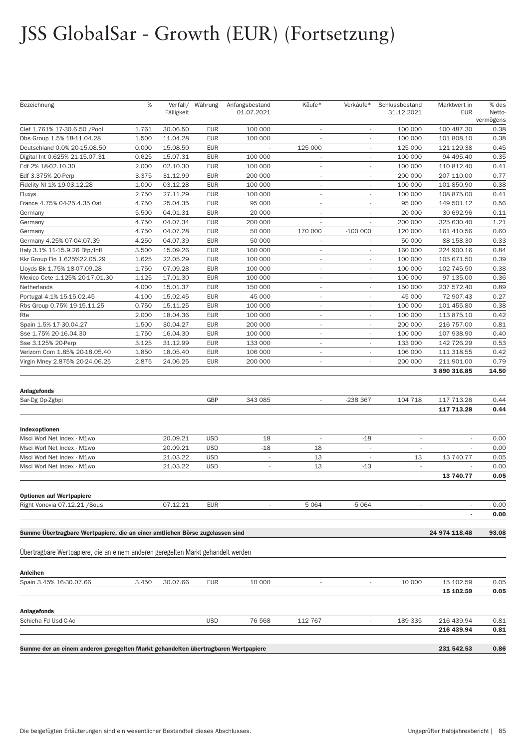# JSS GlobalSar - Growth (EUR) (Fortsetzung)

| Bezeichnung                                                                       | %     | Fälligkeit | Verfall/ Währung | Anfangsbestand<br>01.07.2021 | Käufe*                         | Verkäufe*                | Schlussbestand<br>31.12.2021 | Marktwert in<br><b>EUR</b>    | % des<br>Netto-<br>vermögens |
|-----------------------------------------------------------------------------------|-------|------------|------------------|------------------------------|--------------------------------|--------------------------|------------------------------|-------------------------------|------------------------------|
| Clef 1.761% 17-30.6.50 /Pool                                                      | 1.761 | 30.06.50   | <b>EUR</b>       | 100 000                      | $\overline{\phantom{a}}$       |                          | 100 000                      | 100 487.30                    | 0.38                         |
| Dbs Group 1.5% 18-11.04.28                                                        | 1.500 | 11.04.28   | <b>EUR</b>       | 100 000                      |                                |                          | 100 000                      | 101 808.10                    | 0.38                         |
| Deutschland 0.0% 20-15.08.50                                                      | 0.000 | 15.08.50   | <b>EUR</b>       |                              | 125 000                        | $\overline{\phantom{a}}$ | 125 000                      | 121 129.38                    | 0.45                         |
| Digital Int 0.625% 21-15.07.31                                                    | 0.625 | 15.07.31   | <b>EUR</b>       | 100 000                      | $\overline{\phantom{a}}$       | $\overline{a}$           | 100 000                      | 94 495.40                     | 0.35                         |
| Edf 2% 18-02.10.30                                                                | 2.000 | 02.10.30   | <b>EUR</b>       | 100 000                      | $\overline{\phantom{a}}$       |                          | 100 000                      | 110 812.40                    | 0.41                         |
| Edf 3.375% 20-Perp                                                                | 3.375 | 31.12.99   | <b>EUR</b>       | 200 000                      | $\overline{\phantom{a}}$       |                          | 200 000                      | 207 110.00                    | 0.77                         |
| Fidelity NI 1% 19-03.12.28                                                        | 1.000 | 03.12.28   | <b>EUR</b>       | 100 000                      | $\sim$                         | $\overline{\phantom{a}}$ | 100 000                      | 101 850.90                    | 0.38                         |
| Fluxys                                                                            | 2.750 | 27.11.29   | <b>EUR</b>       | 100 000                      | $\overline{\phantom{a}}$       | $\overline{a}$           | 100 000                      | 108 875.00                    | 0.41                         |
| France 4.75% 04-25.4.35 Oat                                                       | 4.750 | 25.04.35   | <b>EUR</b>       | 95 000                       | $\overline{\phantom{a}}$       |                          | 95 000                       | 149 501.12                    | 0.56                         |
| Germany                                                                           | 5.500 | 04.01.31   | <b>EUR</b>       | 20 000                       | $\overline{\phantom{a}}$       | $\overline{\phantom{a}}$ | 20 000                       | 30 692.96                     | 0.11                         |
| Germany                                                                           | 4.750 | 04.07.34   | <b>EUR</b>       | 200 000                      | $\overline{\phantom{a}}$       |                          | 200 000                      | 325 630.40                    | 1.21                         |
| Germany                                                                           | 4.750 | 04.07.28   | <b>EUR</b>       | 50 000                       | 170 000                        | $-100000$                | 120 000                      | 161 410.56                    | 0.60                         |
| Germany 4.25% 07-04.07.39                                                         | 4.250 | 04.07.39   | <b>EUR</b>       | 50 000                       |                                |                          | 50 000                       | 88 158.30                     | 0.33                         |
| Italy 3.1% 11-15.9.26 Btp/Infl                                                    | 3.500 | 15.09.26   | <b>EUR</b>       | 160 000                      | $\overline{\phantom{a}}$       | $\overline{a}$           | 160 000                      | 224 900.16                    | 0.84                         |
| Kkr Group Fin 1.625%22.05.29                                                      | 1.625 | 22.05.29   | <b>EUR</b>       | 100 000                      | $\sim$                         | $\overline{\phantom{a}}$ | 100 000                      | 105 671.50                    | 0.39                         |
| Lloyds Bk 1.75% 18-07.09.28                                                       | 1.750 | 07.09.28   | <b>EUR</b>       | 100 000                      | $\overline{\phantom{a}}$       | ÷,                       | 100 000                      | 102 745.50                    | 0.38                         |
| Mexico Cete 1.125% 20-17.01.30                                                    | 1.125 | 17.01.30   | <b>EUR</b>       | 100 000                      | $\overline{\phantom{a}}$       | $\overline{\phantom{a}}$ | 100 000                      | 97 135.00                     | 0.36                         |
| Netherlands                                                                       | 4.000 | 15.01.37   | <b>EUR</b>       | 150 000                      | $\overline{\phantom{a}}$       | $\overline{\phantom{a}}$ | 150 000                      | 237 572.40                    | 0.89                         |
| Portugal 4.1% 15-15.02.45                                                         | 4.100 | 15.02.45   | <b>EUR</b>       | 45 000                       | $\overline{\phantom{a}}$       | $\overline{\phantom{a}}$ | 45 000                       | 72 907.43                     | 0.27                         |
| Rbs Group 0.75% 19-15.11.25                                                       | 0.750 | 15.11.25   | <b>EUR</b>       | 100 000                      | $\overline{\phantom{a}}$       | $\overline{\phantom{a}}$ | 100 000                      | 101 455.80                    | 0.38                         |
| Rte                                                                               | 2.000 | 18.04.36   | <b>EUR</b>       | 100 000                      | $\overline{\phantom{a}}$       |                          | 100 000                      | 113 875.10                    | 0.42                         |
| Spain 1.5% 17-30.04.27                                                            | 1.500 | 30.04.27   | <b>EUR</b>       | 200 000                      | $\overline{\phantom{a}}$       | ÷.                       | 200 000                      | 216 757.00                    | 0.81                         |
| Sse 1.75% 20-16.04.30                                                             | 1.750 | 16.04.30   | <b>EUR</b>       | 100 000                      | $\overline{\phantom{a}}$       | $\overline{\phantom{a}}$ | 100 000                      | 107 938.90                    | 0.40                         |
| Sse 3.125% 20-Perp                                                                | 3.125 | 31.12.99   | <b>EUR</b>       | 133 000                      | $\overline{\phantom{a}}$       | ÷,                       | 133 000                      | 142 726.29                    | 0.53                         |
| Verizom Com 1.85% 20-18.05.40                                                     | 1.850 | 18.05.40   | <b>EUR</b>       | 106 000                      | $\overline{\phantom{a}}$       |                          | 106 000                      | 111 318.55                    | 0.42                         |
| Virgin Mney 2.875% 20-24.06.25                                                    | 2.875 | 24.06.25   | <b>EUR</b>       | 200 000                      | $\overline{\phantom{a}}$       | $\overline{\phantom{a}}$ | 200 000                      | 211 901.00                    | 0.79                         |
|                                                                                   |       |            |                  |                              |                                |                          |                              | 3 890 316.85                  | 14.50                        |
| <b>Anlagefonds</b>                                                                |       |            |                  |                              |                                |                          |                              |                               |                              |
| Sar-Dg Op-Zgbpi                                                                   |       |            | GBP              | 343 085                      |                                | -238 367                 | 104 718                      | 117 713.28<br>117 713.28      | 0.44<br>0.44                 |
|                                                                                   |       |            |                  |                              |                                |                          |                              |                               |                              |
| Indexoptionen                                                                     |       | 20.09.21   | <b>USD</b>       | 18                           |                                |                          |                              | ٠                             | 0.00                         |
| Msci Worl Net Index - M1wo<br>Msci Worl Net Index - M1wo                          |       | 20.09.21   | <b>USD</b>       | $-18$                        | $\overline{\phantom{a}}$<br>18 | $-18$                    | $\overline{\phantom{a}}$     |                               | 0.00                         |
|                                                                                   |       | 21.03.22   | <b>USD</b>       | i,                           | 13                             | $\sim$                   | 13                           |                               |                              |
| Msci Worl Net Index - M1wo<br>Msci Worl Net Index - M1wo                          |       | 21.03.22   | <b>USD</b>       | $\overline{\phantom{a}}$     | 13                             | $-13$                    | $\overline{\phantom{a}}$     | 13 740.77                     | 0.05<br>0.00                 |
|                                                                                   |       |            |                  |                              |                                |                          |                              | 13 740.77                     | 0.05                         |
| <b>Optionen auf Wertpapiere</b>                                                   |       |            |                  |                              |                                |                          |                              |                               |                              |
| Right Vonovia 07.12.21 / Sous                                                     |       | 07.12.21   | <b>EUR</b>       | i,                           | 5 0 6 4                        | $-5064$                  | $\overline{\phantom{a}}$     | $\overline{\phantom{a}}$<br>٠ | 0.00<br>0.00                 |
|                                                                                   |       |            |                  |                              |                                |                          |                              |                               |                              |
| Summe Übertragbare Wertpapiere, die an einer amtlichen Börse zugelassen sind      |       |            |                  |                              |                                |                          |                              | 24 974 118.48                 | 93.08                        |
| Ubertragbare Wertpapiere, die an einem anderen geregelten Markt gehandelt werden  |       |            |                  |                              |                                |                          |                              |                               |                              |
| Anleihen                                                                          |       |            |                  |                              |                                |                          |                              |                               |                              |
| Spain 3.45% 16-30.07.66                                                           | 3.450 | 30.07.66   | EUR              | 10 000                       |                                |                          | 10 000                       | 15 102.59                     | 0.05                         |
|                                                                                   |       |            |                  |                              |                                |                          |                              | 15 102.59                     | 0.05                         |
| <b>Anlagefonds</b>                                                                |       |            |                  |                              |                                |                          |                              |                               |                              |
| Schieha Fd Usd-C-Ac                                                               |       |            | <b>USD</b>       | 76 568                       | 112 767                        | $\overline{\phantom{a}}$ | 189 335                      | 216 439.94<br>216 439.94      | 0.81<br>0.81                 |
| Summe der an einem anderen geregelten Markt gehandelten übertragbaren Wertpapiere |       |            |                  |                              |                                |                          |                              | 231 542.53                    | 0.86                         |
|                                                                                   |       |            |                  |                              |                                |                          |                              |                               |                              |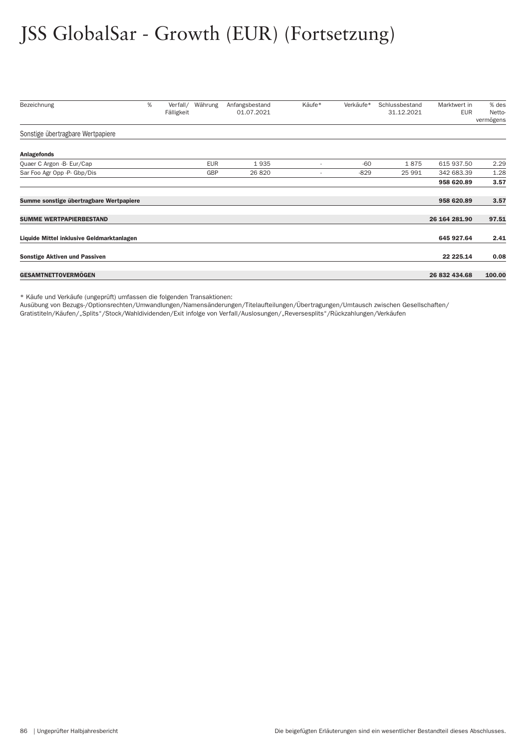# JSS GlobalSar - Growth (EUR) (Fortsetzung)

| Bezeichnung                               | % | Verfall/<br>Fälligkeit | Währung    | Anfangsbestand<br>01.07.2021 | Käufe*                   | Verkäufe* | Schlussbestand<br>31.12.2021 | Marktwert in<br><b>EUR</b> | % des<br>Netto-<br>vermögens |
|-------------------------------------------|---|------------------------|------------|------------------------------|--------------------------|-----------|------------------------------|----------------------------|------------------------------|
| Sonstige übertragbare Wertpapiere         |   |                        |            |                              |                          |           |                              |                            |                              |
| <b>Anlagefonds</b>                        |   |                        |            |                              |                          |           |                              |                            |                              |
| Quaer C Argon -B- Eur/Cap                 |   |                        | <b>EUR</b> | 1935                         | $\overline{\phantom{a}}$ | $-60$     | 1875                         | 615 937.50                 | 2.29                         |
| Sar Foo Agr Opp -P- Gbp/Dis               |   |                        | GBP        | 26 8 20                      | $\overline{\phantom{a}}$ | $-829$    | 25 991                       | 342 683.39                 | 1.28                         |
|                                           |   |                        |            |                              |                          |           |                              | 958 620.89                 | 3.57                         |
| Summe sonstige übertragbare Wertpapiere   |   |                        |            |                              |                          |           |                              | 958 620.89                 | 3.57                         |
| <b>SUMME WERTPAPIERBESTAND</b>            |   |                        |            |                              |                          |           |                              | 26 164 281.90              | 97.51                        |
| Liquide Mittel inklusive Geldmarktanlagen |   |                        |            |                              |                          |           |                              | 645 927.64                 | 2.41                         |
| <b>Sonstige Aktiven und Passiven</b>      |   |                        |            |                              |                          |           |                              | 22 225.14                  | 0.08                         |
| <b>GESAMTNETTOVERMÖGEN</b>                |   |                        |            |                              |                          |           |                              | 26 832 434.68              | 100.00                       |

\* Käufe und Verkäufe (ungeprüft) umfassen die folgenden Transaktionen:

Ausübung von Bezugs-/Optionsrechten/Umwandlungen/Namensänderungen/Titelaufteilungen/Über tragungen/Umtausch zwischen Gesellschaften/

Gratistiteln/Käufen/"Splits"/Stock/Wahldividenden/Exit infolge von Ver fall/Auslosungen/"Reversesplits"/Rückzahlungen/Verkäufen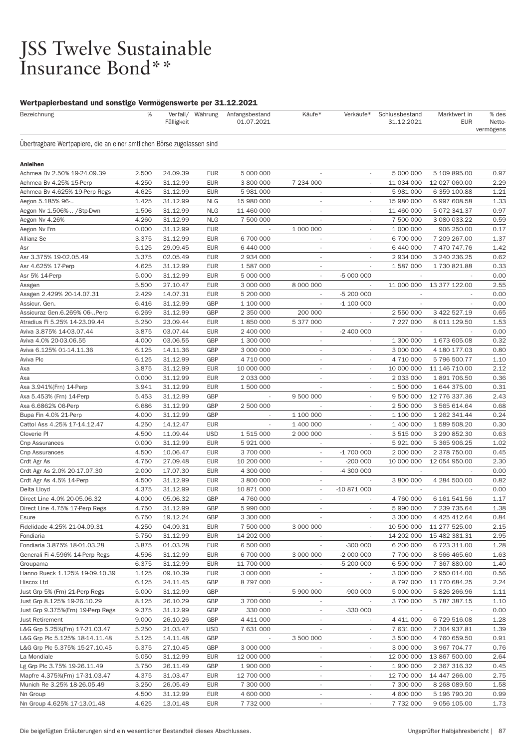# JSS Twelve Sustainable<br>Insurance Bond\*\*

| Bezeichnung                                                            | %              | Fälligkeit           | Verfall/ Währung         | Anfangsbestand<br>01.07.2021 | Käufe*                                               | Verkäufe*                | Schlussbestand<br>31.12.2021 | Marktwert in<br><b>EUR</b>    | % des<br>Netto-<br>vermögens |
|------------------------------------------------------------------------|----------------|----------------------|--------------------------|------------------------------|------------------------------------------------------|--------------------------|------------------------------|-------------------------------|------------------------------|
| Übertragbare Wertpapiere, die an einer amtlichen Börse zugelassen sind |                |                      |                          |                              |                                                      |                          |                              |                               |                              |
| <b>Anleihen</b>                                                        |                |                      |                          |                              |                                                      |                          |                              |                               |                              |
| Achmea Bv 2.50% 19-24.09.39                                            | 2.500          | 24.09.39             | EUR                      | 5 000 000                    | $\overline{\phantom{a}}$                             | $\overline{\phantom{a}}$ | 5 000 000                    | 5 109 895.00                  | 0.97                         |
| Achmea Bv 4.25% 15-Perp                                                | 4.250          | 31.12.99             | <b>EUR</b>               | 3 800 000                    | 7 234 000                                            | $\sim$                   | 11 034 000                   | 12 027 060.00                 | 2.29                         |
| Achmea By 4.625% 19-Perp Regs                                          | 4.625          | 31.12.99             | <b>EUR</b>               | 5 981 000                    |                                                      |                          | 5 981 000                    | 6 359 100.88                  | 1.21                         |
| Aegon 5.185% 96-                                                       | 1.425          | 31.12.99             | <b>NLG</b>               | 15 980 000                   | $\overline{\phantom{a}}$                             | $\overline{\phantom{a}}$ | 15 980 000                   | 6 997 608.58                  | 1.33                         |
| Aegon Nv 1.506% / Stp-Dwn                                              | 1.506          | 31.12.99             | <b>NLG</b>               | 11 460 000                   | $\overline{\phantom{a}}$                             | $\overline{\phantom{a}}$ | 11 460 000                   | 5 072 341.37                  | 0.97                         |
| Aegon Nv 4.26%                                                         | 4.260          | 31.12.99             | <b>NLG</b>               | 7 500 000                    | ٠                                                    | $\sim$                   | 7 500 000                    | 3 080 033.22                  | 0.59                         |
| Aegon Nv Frn                                                           | 0.000          | 31.12.99             | <b>EUR</b>               |                              | 1 000 000                                            | $\overline{\phantom{a}}$ | 1 000 000                    | 906 250.00                    | 0.17                         |
| Allianz Se                                                             | 3.375          | 31.12.99             | <b>EUR</b>               | 6 700 000                    | $\overline{\phantom{a}}$                             | $\sim$                   | 6 700 000                    | 7 209 267.00                  | 1.37                         |
| Asr                                                                    | 5.125          | 29.09.45             | <b>EUR</b>               | 6 440 000                    | $\overline{\phantom{a}}$                             | $\overline{\phantom{a}}$ | 6 440 000                    | 7 470 747.76                  | 1.42                         |
| Asr 3.375% 19-02.05.49                                                 | 3.375          | 02.05.49             | <b>EUR</b>               | 2 934 000                    | $\overline{\phantom{a}}$                             | $\overline{\phantom{a}}$ | 2 934 000                    | 3 240 236.25                  | 0.62                         |
| Asr 4.625% 17-Perp                                                     | 4.625          | 31.12.99             | <b>EUR</b>               | 1 587 000                    | ٠                                                    |                          | 1 587 000                    | 1730 821.88                   | 0.33                         |
| Asr 5% 14-Perp                                                         | 5.000          | 31.12.99             | <b>EUR</b>               | 5 000 000                    | $\overline{\phantom{a}}$                             | -5 000 000               |                              |                               | 0.00                         |
| Assgen                                                                 | 5.500          | 27.10.47             | <b>EUR</b>               | 3 000 000                    | 8 000 000                                            |                          | 11 000 000                   | 13 377 122.00                 | 2.55                         |
| Assgen 2.429% 20-14.07.31                                              | 2.429          | 14.07.31             | <b>EUR</b>               | 5 200 000                    | ٠                                                    | -5 200 000               |                              |                               | 0.00                         |
| Assicur. Gen.                                                          | 6.416          | 31.12.99             | <b>GBP</b>               | 1 100 000                    |                                                      | $-1$ 100 000             |                              |                               | 0.00                         |
| Assicuraz Gen.6.269% 06-Perp                                           | 6.269          | 31.12.99             | <b>GBP</b>               | 2 350 000                    | 200 000                                              | $\overline{\phantom{a}}$ | 2 550 000                    | 3 422 527.19                  | 0.65                         |
| Atradius Fi 5.25% 14-23.09.44                                          | 5.250          | 23.09.44             | <b>EUR</b>               | 1850000                      | 5 377 000                                            |                          | 7 227 000                    | 8 011 129.50                  | 1.53                         |
| Aviva 3.875% 14-03.07.44                                               | 3.875          | 03.07.44             | <b>EUR</b>               | 2 400 000                    | $\overline{\phantom{a}}$                             | $-2400000$               |                              |                               | 0.00                         |
| Aviva 4.0% 20-03.06.55                                                 | 4.000          | 03.06.55             | <b>GBP</b>               | 1 300 000                    | $\overline{\phantom{a}}$                             |                          | 1 300 000                    | 1 673 605.08                  | 0.32                         |
| Aviva 6.125% 01-14.11.36                                               | 6.125          | 14.11.36             | <b>GBP</b>               | 3 000 000                    | $\sim$                                               | $\overline{\phantom{a}}$ | 3 000 000                    | 4 180 177.03                  | 0.80                         |
| Aviva Plc                                                              | 6.125          | 31.12.99             | GBP                      | 4 710 000                    | $\overline{\phantom{a}}$                             | $\overline{\phantom{a}}$ | 4 710 000                    | 5 796 500.77                  | 1.10                         |
| Axa                                                                    | 3.875          | 31.12.99             | <b>EUR</b>               | 10 000 000                   | ÷,                                                   |                          | 10 000 000                   | 11 146 710.00                 | 2.12                         |
| Аха                                                                    | 0.000          | 31.12.99             | <b>EUR</b>               | 2 033 000                    | ÷,                                                   |                          | 2 033 000                    | 1891706.50                    | 0.36                         |
| Axa 3.941%(Frn) 14-Perp                                                | 3.941          | 31.12.99             | EUR                      | 1 500 000                    |                                                      | $\overline{\phantom{a}}$ | 1 500 000                    | 1 644 375.00                  | 0.31                         |
| Axa 5.453% (Frn) 14-Perp                                               | 5.453          | 31.12.99             | <b>GBP</b>               | i,                           | 9 500 000                                            |                          | 9 500 000                    | 12 776 337.36                 | 2.43                         |
| Axa 6.6862% 06-Perp                                                    | 6.686          | 31.12.99             | <b>GBP</b>               | 2 500 000                    |                                                      |                          | 2 500 000                    | 3 565 614.64                  | 0.68                         |
| Bupa Fin 4.0% 21-Perp                                                  | 4.000          | 31.12.99             | <b>GBP</b>               | ٠                            | 1 100 000                                            | $\sim$                   | 1 100 000                    | 1 262 341.44                  | 0.24                         |
| Cattol Ass 4.25% 17-14.12.47                                           | 4.250          | 14.12.47             | <b>EUR</b>               | $\overline{\phantom{a}}$     | 1 400 000                                            | $\sim$                   | 1 400 000                    | 1 589 508.20                  | 0.30                         |
| Cloverie PI                                                            | 4.500          | 11.09.44             | <b>USD</b>               | 1 515 000                    | 2 000 000                                            | $\overline{\phantom{a}}$ | 3 515 000                    | 3 290 852.30                  | 0.63                         |
| Cnp Assurances                                                         | 0.000          | 31.12.99             | <b>EUR</b>               | 5921000                      |                                                      |                          | 5 921 000                    | 5 365 906.25                  | 1.02                         |
| Cnp Assurances                                                         | 4.500          | 10.06.47             | <b>EUR</b>               | 3 700 000                    | $\overline{\phantom{a}}$                             | $-1700000$               | 2 000 000                    | 2 378 750.00                  | 0.45                         |
| Crdt Agr As                                                            | 4.750          | 27.09.48             | <b>EUR</b>               | 10 200 000                   | $\overline{\phantom{a}}$                             | $-200000$                | 10 000 000                   | 12 054 950.00                 | 2.30                         |
| Crdt Agr As 2.0% 20-17.07.30                                           | 2.000          | 17.07.30             | <b>EUR</b>               | 4 300 000                    | $\overline{\phantom{a}}$                             | -4 300 000               |                              |                               | 0.00                         |
| Crdt Agr As 4.5% 14-Perp                                               | 4.500          | 31.12.99             | <b>EUR</b>               | 3 800 000                    | $\sim$                                               |                          | 3 800 000                    | 4 284 500.00                  | 0.82                         |
| Delta Lloyd                                                            | 4.375          | 31.12.99             | <b>EUR</b>               | 10 871 000                   | $\overline{\phantom{a}}$                             | $-10871000$              |                              |                               | 0.00                         |
| Direct Line 4.0% 20-05.06.32                                           | 4.000          | 05.06.32             | <b>GBP</b>               | 4 760 000                    | $\overline{\phantom{a}}$                             | $\overline{\phantom{a}}$ | 4 760 000                    | 6 161 541.56                  | 1.17                         |
| Direct Line 4.75% 17-Perp Regs                                         | 4.750          | 31.12.99             | GBP                      | 5 990 000                    |                                                      |                          | 5 990 000                    | 7 239 735.64                  | 1.38                         |
| Esure                                                                  | 6.750          | 19.12.24             | <b>GBP</b>               | 3 300 000                    |                                                      |                          | 3 300 000                    | 4 4 2 5 4 1 2 . 6 4           | 0.84                         |
| Fidelidade 4.25% 21-04.09.31                                           | 4.250          | 04.09.31             | <b>EUR</b>               | 7 500 000                    | 3 000 000                                            |                          | 10 500 000                   | 11 277 525.00                 | 2.15                         |
| Fondiaria                                                              | 5.750          | 31.12.99             | <b>EUR</b>               | 14 202 000                   |                                                      | $\overline{\phantom{a}}$ | 14 202 000                   | 15 482 381.31                 | 2.95                         |
| Fondiaria 3.875% 18-01.03.28                                           | 3.875          | 01.03.28             | <b>EUR</b>               | 6 500 000                    | $\overline{\phantom{a}}$                             | $-300000$                | 6 200 000                    | 6 723 311.00                  | 1.28                         |
| Generali Fi 4.596% 14-Perp Regs                                        | 4.596          | 31.12.99             | <b>EUR</b>               | 6 700 000                    | 3 000 000                                            | $-2000000$               | 7 700 000                    | 8 566 465.60                  | 1.63                         |
| Groupama                                                               | 6.375          | 31.12.99             | <b>EUR</b>               | 11 700 000<br>3 000 000      | $\overline{\phantom{a}}$                             | -5 200 000               | 6 500 000                    | 7 367 880.00                  | 1.40                         |
| Hanno Rueck 1.125% 19-09.10.39                                         | 1.125          | 09.10.39             | <b>EUR</b>               |                              | $\overline{\phantom{a}}$<br>$\overline{\phantom{a}}$ |                          | 3 000 000                    | 2 950 014.00                  | 0.56                         |
| Hiscox Ltd                                                             | 6.125          | 24.11.45             | <b>GBP</b><br>GBP        | 8 797 000                    |                                                      |                          | 8 797 000                    | 11 770 684.25                 | 2.24                         |
| Just Grp 5% (Frn) 21-Perp Regs                                         | 5.000          | 31.12.99             |                          |                              | 5 900 000                                            | $-900000$                | 5 000 000                    | 5826266.96                    | 1.11                         |
| Just Grp 8.125% 19-26.10.29<br>Just Grp 9.375%(Frn) 19-Perp Regs       | 8.125<br>9.375 | 26.10.29             | GBP<br><b>GBP</b>        | 3700000<br>330 000           | $\overline{\phantom{a}}$                             | $-330000$                | 3 700 000                    | 5 787 387.15                  | 1.10<br>0.00                 |
|                                                                        |                | 31.12.99             |                          |                              | $\overline{\phantom{a}}$                             |                          |                              |                               |                              |
| <b>Just Retirement</b>                                                 | 9.000<br>5.250 | 26.10.26             | GBP                      | 4 411 000<br>7 631 000       | $\overline{\phantom{a}}$                             |                          | 4 411 000                    | 6 729 516.08                  | 1.28<br>1.39                 |
| L&G Grp 5.25%(Frn) 17-21.03.47                                         |                | 21.03.47             | <b>USD</b>               |                              |                                                      |                          | 7 631 000                    | 7 304 937.81                  |                              |
| L&G Grp Plc 5.125% 18-14.11.48                                         | 5.125          | 14.11.48             | <b>GBP</b>               |                              | 3 500 000                                            | $\overline{\phantom{a}}$ | 3 500 000                    | 4 760 659.50                  | 0.91                         |
| L&G Grp Plc 5.375% 15-27.10.45                                         | 5.375          | 27.10.45             | GBP                      | 3 000 000                    | $\overline{\phantom{a}}$                             | $\overline{\phantom{a}}$ | 3 000 000                    | 3 967 704.77                  | 0.76                         |
| La Mondiale                                                            | 5.050<br>3.750 | 31.12.99             | <b>EUR</b><br><b>GBP</b> | 12 000 000                   | $\overline{\phantom{a}}$                             |                          | 12 000 000                   | 13 867 500.00                 | 2.64<br>0.45                 |
| Lg Grp Plc 3.75% 19-26.11.49                                           | 4.375          | 26.11.49<br>31.03.47 | <b>EUR</b>               | 1 900 000<br>12 700 000      | $\overline{\phantom{a}}$                             | $\overline{\phantom{a}}$ | 1 900 000<br>12 700 000      | 2 367 316.32<br>14 447 266.00 | 2.75                         |
| Mapfre 4.375%(Frn) 17-31.03.47<br>Munich Re 3.25% 18-26.05.49          | 3.250          | 26.05.49             | <b>EUR</b>               | 7 300 000                    | $\overline{\phantom{a}}$                             |                          | 7 300 000                    | 8 268 089.50                  | 1.58                         |
| Nn Group                                                               | 4.500          | 31.12.99             | <b>EUR</b>               | 4 600 000                    | $\overline{\phantom{a}}$                             | $\overline{\phantom{a}}$ | 4 600 000                    | 5 196 790.20                  | 0.99                         |
| Nn Group 4.625% 17-13.01.48                                            | 4.625          | 13.01.48             | <b>EUR</b>               | 7 732 000                    |                                                      |                          | 7 732 000                    | 9 056 105.00                  | 1.73                         |
|                                                                        |                |                      |                          |                              |                                                      |                          |                              |                               |                              |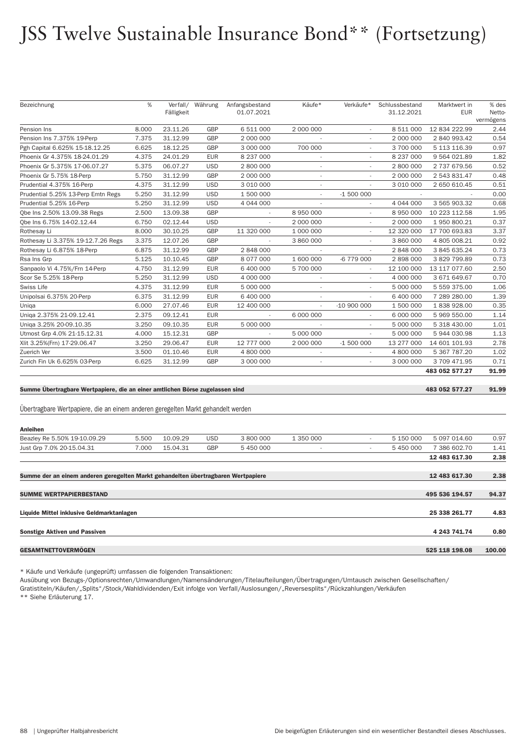## JSS Twelve Sustainable Insurance Bond\*\* (Fortsetzung)

| Bezeichnung                                                                       | %     | Verfall/   | Währung    | Anfangsbestand | Käufe*                   | Verkäufe*                | Schlussbestand | Marktwert in   | % des     |
|-----------------------------------------------------------------------------------|-------|------------|------------|----------------|--------------------------|--------------------------|----------------|----------------|-----------|
|                                                                                   |       | Fälligkeit |            | 01.07.2021     |                          |                          | 31.12.2021     | <b>EUR</b>     | Netto-    |
|                                                                                   |       |            |            |                |                          |                          |                |                | vermögens |
| Pension Ins                                                                       | 8.000 | 23.11.26   | GBP        | 6 511 000      | 2 000 000                |                          | 8 511 000      | 12 834 222.99  | 2.44      |
| Pension Ins 7.375% 19-Perp                                                        | 7.375 | 31.12.99   | GBP        | 2 000 000      |                          | ÷,                       | 2 000 000      | 2 840 993.42   | 0.54      |
| Pgh Capital 6.625% 15-18.12.25                                                    | 6.625 | 18.12.25   | GBP        | 3 000 000      | 700 000                  |                          | 3 700 000      | 5 113 116.39   | 0.97      |
| Phoenix Gr 4.375% 18-24.01.29                                                     | 4.375 | 24.01.29   | <b>EUR</b> | 8 237 000      | ÷,                       | ÷,                       | 8 237 000      | 9 564 021.89   | 1.82      |
| Phoenix Gr 5.375% 17-06.07.27                                                     | 5.375 | 06.07.27   | <b>USD</b> | 2 800 000      | $\sim$                   | $\sim$                   | 2 800 000      | 2 737 679.56   | 0.52      |
| Phoenix Gr 5.75% 18-Perp                                                          | 5.750 | 31.12.99   | GBP        | 2 000 000      | $\sim$                   | ÷,                       | 2 000 000      | 2 543 831.47   | 0.48      |
| Prudential 4.375% 16-Perp                                                         | 4.375 | 31.12.99   | <b>USD</b> | 3 010 000      | $\sim$                   | ÷.                       | 3 010 000      | 2 650 610.45   | 0.51      |
| Prudential 5.25% 13-Perp Emtn Regs                                                | 5.250 | 31.12.99   | <b>USD</b> | 1 500 000      | $\sim$                   | $-1500000$               |                |                | 0.00      |
| Prudential 5.25% 16-Perp                                                          | 5.250 | 31.12.99   | <b>USD</b> | 4 044 000      | ÷,                       | $\sim$                   | 4 044 000      | 3 565 903.32   | 0.68      |
| Qbe Ins 2.50% 13.09.38 Regs                                                       | 2.500 | 13.09.38   | GBP        |                | 8 950 000                | ÷,                       | 8 950 000      | 10 223 112.58  | 1.95      |
| Qbe Ins 6.75% 14-02.12.44                                                         | 6.750 | 02.12.44   | <b>USD</b> |                | 2 000 000                | $\overline{\phantom{a}}$ | 2 000 000      | 1 950 800.21   | 0.37      |
| Rothesay Li                                                                       | 8.000 | 30.10.25   | GBP        | 11 320 000     | 1 000 000                |                          | 12 320 000     | 17 700 693.83  | 3.37      |
| Rothesay Li 3.375% 19-12.7.26 Regs                                                | 3.375 | 12.07.26   | <b>GBP</b> |                | 3 860 000                | $\overline{\phantom{a}}$ | 3 860 000      | 4 805 008.21   | 0.92      |
| Rothesay Li 6.875% 18-Perp                                                        | 6.875 | 31.12.99   | GBP        | 2 848 000      |                          |                          | 2 848 000      | 3 845 635.24   | 0.73      |
| Rsa Ins Grp                                                                       | 5.125 | 10.10.45   | GBP        | 8 077 000      | 1 600 000                | -6 779 000               | 2 898 000      | 3 829 799.89   | 0.73      |
| Sanpaolo Vi 4.75%/Frn 14-Perp                                                     | 4.750 | 31.12.99   | <b>EUR</b> | 6 400 000      | 5700000                  | $\overline{\phantom{a}}$ | 12 100 000     | 13 117 077.60  | 2.50      |
| Scor Se 5.25% 18-Perp                                                             | 5.250 | 31.12.99   | <b>USD</b> | 4 000 000      | $\overline{\phantom{a}}$ | $\overline{\phantom{a}}$ | 4 000 000      | 3 671 649.67   | 0.70      |
| Swiss Life                                                                        | 4.375 | 31.12.99   | <b>EUR</b> | 5 000 000      | $\sim$                   | $\sim$                   | 5 000 000      | 5 559 375.00   | 1.06      |
| Unipolsai 6.375% 20-Perp                                                          | 6.375 | 31.12.99   | <b>EUR</b> | 6 400 000      | $\mathcal{L}$            | $\overline{a}$           | 6 400 000      | 7 289 280.00   | 1.39      |
| Uniqa                                                                             | 6.000 | 27.07.46   | <b>EUR</b> | 12 400 000     | ÷,                       | $-10900000$              | 1 500 000      | 1838928.00     | 0.35      |
| Uniqa 2.375% 21-09.12.41                                                          | 2.375 | 09.12.41   | <b>EUR</b> |                | 6 000 000                | $\sim$                   | 6 000 000      | 5 969 550.00   | 1.14      |
| Uniga 3.25% 20-09.10.35                                                           | 3.250 | 09.10.35   | <b>EUR</b> | 5 000 000      |                          |                          | 5 000 000      | 5 318 430.00   | 1.01      |
| Utmost Grp 4.0% 21-15.12.31                                                       | 4.000 | 15.12.31   | GBP        |                | 5 000 000                | ÷,                       | 5 000 000      | 5 944 030.98   | 1.13      |
| Xlit 3.25%(Frn) 17-29.06.47                                                       | 3.250 | 29.06.47   | <b>EUR</b> | 12 777 000     | 2 000 000                | $-1500000$               | 13 277 000     | 14 601 101.93  | 2.78      |
| Zuerich Ver                                                                       | 3.500 | 01.10.46   | <b>EUR</b> | 4 800 000      | ÷,                       |                          | 4 800 000      | 5 367 787.20   | 1.02      |
| Zurich Fin Uk 6.625% 03-Perp                                                      | 6.625 | 31.12.99   | GBP        | 3 000 000      | $\sim$                   | $\sim$                   | 3 000 000      | 3 709 471.95   | 0.71      |
|                                                                                   |       |            |            |                |                          |                          |                | 483 052 577.27 | 91.99     |
| Summe Übertragbare Wertpapiere, die an einer amtlichen Börse zugelassen sind      |       |            |            |                |                          |                          |                | 483 052 577.27 | 91.99     |
| Ubertragbare Wertpapiere, die an einem anderen geregelten Markt gehandelt werden  |       |            |            |                |                          |                          |                |                |           |
| Anleihen                                                                          |       |            |            |                |                          |                          |                |                |           |
| Beazley Re 5.50% 19-10.09.29                                                      | 5.500 | 10.09.29   | <b>USD</b> | 3 800 000      | 1 350 000                |                          | 5 150 000      | 5 097 014.60   | 0.97      |
| Just Grp 7.0% 20-15.04.31                                                         | 7.000 | 15.04.31   | GBP        | 5 450 000      | ÷,                       | $\overline{\phantom{a}}$ | 5 450 000      | 7 386 602.70   | 1.41      |
|                                                                                   |       |            |            |                |                          |                          |                | 12 483 617.30  | 2.38      |
| Summe der an einem anderen geregelten Markt gehandelten übertragbaren Wertpapiere |       |            |            |                |                          |                          |                | 12 483 617.30  | 2.38      |
| <b>SUMME WERTPAPIERBESTAND</b>                                                    |       |            |            |                |                          |                          |                | 495 536 194.57 | 94.37     |
| Liquide Mittel inklusive Geldmarktanlagen                                         |       |            |            |                |                          |                          |                | 25 338 261.77  | 4.83      |
| <b>Sonstige Aktiven und Passiven</b>                                              |       |            |            |                |                          |                          |                | 4 243 741.74   | 0.80      |
| <b>GESAMTNETTOVERMÖGEN</b>                                                        |       |            |            |                |                          |                          |                | 525 118 198.08 | 100.00    |

\* Käufe und Verkäufe (ungeprüft) umfassen die folgenden Transaktionen:

Ausübung von Bezugs-/Optionsrechten/Umwandlungen/Namensänderungen/Titelaufteilungen/Über tragungen/Umtausch zwischen Gesellschaften/

Gratistiteln/Käufen/"Splits"/Stock/Wahldividenden/Exit infolge von Ver fall/Auslosungen/"Reversesplits"/Rückzahlungen/Verkäufen

\*\* Siehe Erläuterung 17.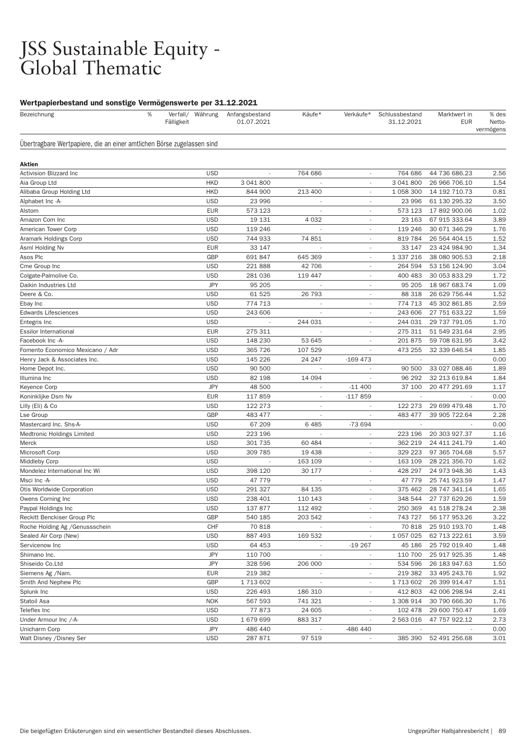### JSS Sustainable Equity - Global Thematic

| Bezeichnung                                                            | % | Fälligkeit | Verfall/ Währung | Anfangsbestand<br>01.07.2021 | Käufe*                   | Verkäufe*                | Schlussbestand<br>31.12.2021 | Marktwert in<br><b>EUR</b> | % des<br>Netto-<br>vermögens |
|------------------------------------------------------------------------|---|------------|------------------|------------------------------|--------------------------|--------------------------|------------------------------|----------------------------|------------------------------|
| Ubertragbare Wertpapiere, die an einer amtlichen Börse zugelassen sind |   |            |                  |                              |                          |                          |                              |                            |                              |
| Aktien                                                                 |   |            |                  |                              |                          |                          |                              |                            |                              |
| Activision Blizzard Inc                                                |   |            | <b>USD</b>       | $\sim$                       | 764 686                  | $\overline{\phantom{a}}$ | 764 686                      | 44 736 686.23              | 2.56                         |
| Aia Group Ltd                                                          |   |            | <b>HKD</b>       | 3 041 800                    |                          |                          | 3 041 800                    | 26 966 706.10              | 1.54                         |
| Alibaba Group Holding Ltd                                              |   |            | <b>HKD</b>       | 844 900                      | 213 400                  |                          | 1 058 300                    | 14 192 710.73              | 0.81                         |
| Alphabet Inc -A-                                                       |   |            | <b>USD</b>       | 23 996                       |                          |                          | 23 996                       | 61 130 295.32              | 3.50                         |
| Alstom                                                                 |   |            | <b>EUR</b>       | 573 123                      | $\overline{\phantom{a}}$ | $\overline{\phantom{a}}$ | 573 123                      | 17 892 900.06              | 1.02                         |
| Amazon Com Inc                                                         |   |            | <b>USD</b>       | 19 131                       | 4 0 3 2                  | $\overline{\phantom{a}}$ | 23 163                       | 67 915 333.64              | 3.89                         |
| American Tower Corp                                                    |   |            | <b>USD</b>       | 119 246                      | $\overline{\phantom{a}}$ | $\overline{\phantom{a}}$ | 119 246                      | 30 671 346.29              | 1.76                         |
| Aramark Holdings Corp                                                  |   |            | <b>USD</b>       | 744 933                      | 74 851                   |                          | 819 784                      | 26 564 404.15              | 1.52                         |
| Asml Holding Nv                                                        |   |            | <b>EUR</b>       | 33 147                       | $\overline{\phantom{a}}$ | $\overline{\phantom{a}}$ | 33 147                       | 23 424 984.90              | 1.34                         |
| Asos Plc                                                               |   |            | <b>GBP</b>       | 691 847                      | 645 369                  | $\overline{\phantom{a}}$ | 1 337 216                    | 38 080 905.53              | 2.18                         |
| Cme Group Inc                                                          |   |            | <b>USD</b>       | 221888                       | 42 706                   | $\sim$                   | 264 594                      | 53 156 124.90              | 3.04                         |
| Colgate-Palmolive Co.                                                  |   |            | <b>USD</b>       | 281 036                      | 119 447                  |                          | 400 483                      | 30 053 833.29              | 1.72                         |
| Daikin Industries Ltd                                                  |   |            | <b>JPY</b>       | 95 205                       | $\overline{\phantom{a}}$ | $\overline{\phantom{a}}$ | 95 205                       | 18 967 683.74              | 1.09                         |
| Deere & Co.                                                            |   |            | <b>USD</b>       | 61 525                       | 26 793                   | $\overline{\phantom{a}}$ | 88 318                       | 26 629 756.44              | 1.52                         |
| Ebay Inc                                                               |   |            | <b>USD</b>       | 774 713                      | $\overline{\phantom{a}}$ | $\overline{\phantom{a}}$ | 774 713                      | 45 302 861.85              | 2.59                         |
| <b>Edwards Lifesciences</b>                                            |   |            | <b>USD</b>       | 243 606                      |                          |                          | 243 606                      | 27 751 633.22              | 1.59                         |
| Entegris Inc                                                           |   |            | <b>USD</b>       | $\overline{\phantom{a}}$     | 244 031                  | $\overline{\phantom{a}}$ | 244 031                      | 29 737 791.05              | 1.70                         |
| <b>Essilor International</b>                                           |   |            | <b>EUR</b>       | 275 311                      |                          | $\overline{\phantom{a}}$ | 275 311                      | 51 549 231.64              | 2.95                         |
| Facebook Inc -A-                                                       |   |            | <b>USD</b>       | 148 230                      | 53 645                   | $\overline{\phantom{a}}$ | 201 875                      | 59 708 631.95              | 3.42                         |
| Fomento Economico Mexicano / Adr                                       |   |            | <b>USD</b>       | 365 726                      | 107 529                  |                          | 473 255                      | 32 339 646.54              | 1.85                         |
| Henry Jack & Associates Inc.                                           |   |            | <b>USD</b>       | 145 226                      | 24 247                   | $-169473$                |                              |                            | 0.00                         |
| Home Depot Inc.                                                        |   |            | <b>USD</b>       | 90 500                       |                          |                          | 90 500                       | 33 027 088.46              | 1.89                         |
| Illumina Inc                                                           |   |            | <b>USD</b>       | 82 198                       | 14 094                   |                          | 96 29 2                      | 32 213 619.84              | 1.84                         |
| Keyence Corp                                                           |   |            | <b>JPY</b>       | 48 500                       |                          | $-11400$                 | 37 100                       | 20 477 291.69              | 1.17                         |
| Koninklijke Dsm Nv                                                     |   |            | <b>EUR</b>       | 117859                       | $\overline{\phantom{a}}$ | $-117859$                | $\sim$                       | $\overline{\phantom{a}}$   | 0.00                         |
| Lilly (Eli) & Co                                                       |   |            | <b>USD</b>       | 122 273                      | $\overline{\phantom{a}}$ |                          | 122 273                      | 29 699 479.48              | 1.70                         |
| Lse Group                                                              |   |            | GBP              | 483 477                      | ٠                        |                          | 483 477                      | 39 905 722.64              | 2.28                         |
| Mastercard Inc. Shs-A-                                                 |   |            | <b>USD</b>       | 67 209                       | 6485                     | -73 694                  |                              |                            | 0.00                         |
| Medtronic Holdings Limited                                             |   |            | <b>USD</b>       | 223 196                      | ÷,                       | $\overline{\phantom{a}}$ | 223 196                      | 20 303 927.37              | 1.16                         |
| Merck                                                                  |   |            | <b>USD</b>       | 301 735                      | 60 484                   | $\overline{\phantom{a}}$ | 362 219                      | 24 411 241.79              | 1.40                         |
| Microsoft Corp                                                         |   |            | <b>USD</b>       | 309 785                      | 19 438                   | $\overline{\phantom{a}}$ | 329 223                      | 97 365 704.68              | 5.57                         |
| Middleby Corp                                                          |   |            | <b>USD</b>       |                              | 163 109                  |                          | 163 109                      | 28 221 356.70              | 1.62                         |
| Mondelez International Inc Wi                                          |   |            | <b>USD</b>       | 398 120                      | 30 177                   | $\sim$                   | 428 297                      | 24 973 948.36              | 1.43                         |
| Msci Inc -A-                                                           |   |            | <b>USD</b>       | 47 779                       |                          | $\overline{\phantom{a}}$ | 47 779                       | 25 741 923.59              | 1.47                         |
| Otis Worldwide Corporation                                             |   |            | <b>USD</b>       | 291 327                      | 84 135                   | $\sim$                   | 375 462                      | 28 747 341.14              | 1.65                         |
| Owens Corning Inc                                                      |   |            | <b>USD</b>       | 238 401                      | 110 143                  |                          | 348 544                      | 27 737 629.26              | 1.59                         |
| Paypal Holdings Inc                                                    |   |            | <b>USD</b>       | 137 877                      | 112 492                  | $\sim$                   | 250 369                      | 41 518 278.24              | 2.38                         |
| Reckitt Benckiser Group Plc                                            |   |            | GBP              | 540 185                      | 203 542                  |                          | 743 727                      | 56 177 953.26              | 3.22                         |
| Roche Holding Ag / Genussschein                                        |   |            | CHF              | 70818                        |                          |                          | 70 818                       | 25 910 193.70              | 1.48                         |
| Sealed Air Corp (New)                                                  |   |            | <b>USD</b>       | 887 493                      | 169 532                  |                          | 1 057 025                    | 62 713 222.61              | 3.59                         |
| Servicenow Inc                                                         |   |            | <b>USD</b>       | 64 453                       | $\overline{\phantom{a}}$ | $-19267$                 | 45 186                       | 25 792 019.40              | 1.48                         |
| Shimano Inc.                                                           |   |            | <b>JPY</b>       | 110 700                      |                          |                          | 110 700                      | 25 917 925.35              | 1.48                         |
| Shiseido Co.Ltd                                                        |   |            | <b>JPY</b>       | 328 596                      | 206 000                  |                          | 534 596                      | 26 183 947.63              | 1.50                         |
| Siemens Ag / Nam.                                                      |   |            | <b>EUR</b>       | 219 382                      |                          | $\overline{\phantom{a}}$ | 219 382                      | 33 495 243.76              | 1.92                         |
| Smith And Nephew Plc                                                   |   |            | GBP              | 1713602                      | ÷,                       | $\sim$                   | 1713602                      | 26 399 914.47              | 1.51                         |
| Splunk Inc                                                             |   |            | <b>USD</b>       | 226 493                      | 186 310                  | $\overline{\phantom{a}}$ | 412 803                      | 42 006 298.94              | 2.41                         |
| Statoil Asa                                                            |   |            | <b>NOK</b>       | 567 593                      | 741 321                  |                          | 1 308 914                    | 30 790 666.30              | 1.76                         |
| Teleflex Inc                                                           |   |            | <b>USD</b>       | 77873                        | 24 605                   |                          | 102 478                      | 29 600 750.47              | 1.69                         |
| Under Armour Inc /-A-                                                  |   |            | <b>USD</b>       | 1679699                      | 883 317                  | $\overline{\phantom{a}}$ | 2 563 016                    | 47 757 922.12              | 2.73                         |
| Unicharm Corp                                                          |   |            | JPY              | 486 440                      |                          | -486 440                 |                              |                            | 0.00                         |
| Walt Disney / Disney Ser                                               |   |            | <b>USD</b>       | 287 871                      | 97 519                   |                          |                              | 385 390 52 491 256.68      | 3.01                         |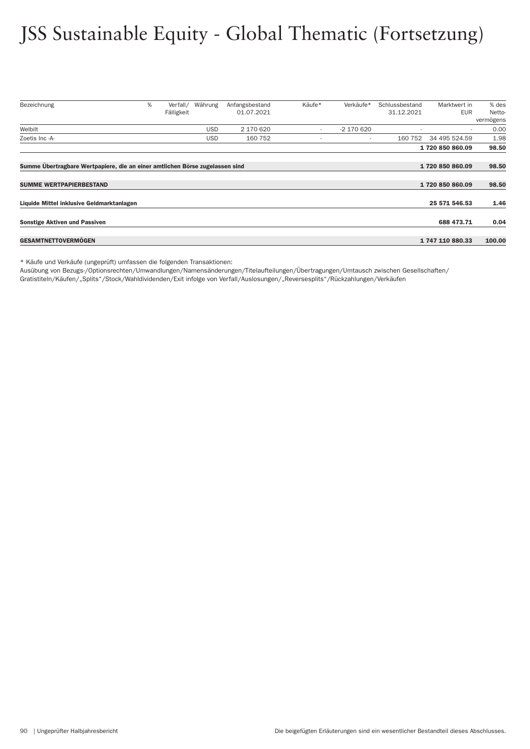## JSS Sustainable Equity - Global Thematic (Fortsetzung)

| Bezeichnung                                                                  | % | Verfall/   | Währung    | Anfangsbestand | Käufe* | Verkäufe*  | Schlussbestand | Marktwert in    | % des     |
|------------------------------------------------------------------------------|---|------------|------------|----------------|--------|------------|----------------|-----------------|-----------|
|                                                                              |   | Fälligkeit |            | 01.07.2021     |        |            | 31.12.2021     | <b>EUR</b>      | Netto-    |
|                                                                              |   |            |            |                |        |            |                |                 | vermögens |
| Welbilt                                                                      |   |            | <b>USD</b> | 2 170 620      | $\sim$ | -2 170 620 |                | $\sim$          | 0.00      |
| Zoetis Inc -A-                                                               |   |            | <b>USD</b> | 160 752        |        | ۰          | 160 752        | 34 495 524.59   | 1.98      |
|                                                                              |   |            |            |                |        |            |                | 1720 850 860.09 | 98.50     |
|                                                                              |   |            |            |                |        |            |                |                 |           |
| Summe Übertragbare Wertpapiere, die an einer amtlichen Börse zugelassen sind |   |            |            |                |        |            |                | 1720850860.09   | 98.50     |
|                                                                              |   |            |            |                |        |            |                |                 |           |
| <b>SUMME WERTPAPIERBESTAND</b>                                               |   |            |            |                |        |            |                | 1720850860.09   | 98.50     |
|                                                                              |   |            |            |                |        |            |                |                 |           |
| Liquide Mittel inklusive Geldmarktanlagen                                    |   |            |            |                |        |            |                | 25 571 546.53   | 1.46      |
| <b>Sonstige Aktiven und Passiven</b>                                         |   |            |            |                |        |            |                | 688 473.71      | 0.04      |
|                                                                              |   |            |            |                |        |            |                |                 |           |
| <b>GESAMTNETTOVERMOGEN</b>                                                   |   |            |            |                |        |            |                | 1747110880.33   | 100.00    |

\* Käufe und Verkäufe (ungeprüft) umfassen die folgenden Transaktionen:

Ausübung von Bezugs-/Optionsrechten/Umwandlungen/Namensänderungen/Titelaufteilungen/Über tragungen/Umtausch zwischen Gesellschaften/

Gratistiteln/Käufen/"Splits"/Stock/Wahldividenden/Exit infolge von Verfall/Auslosungen/"Reversesplits"/Rückzahlungen/Verkäufen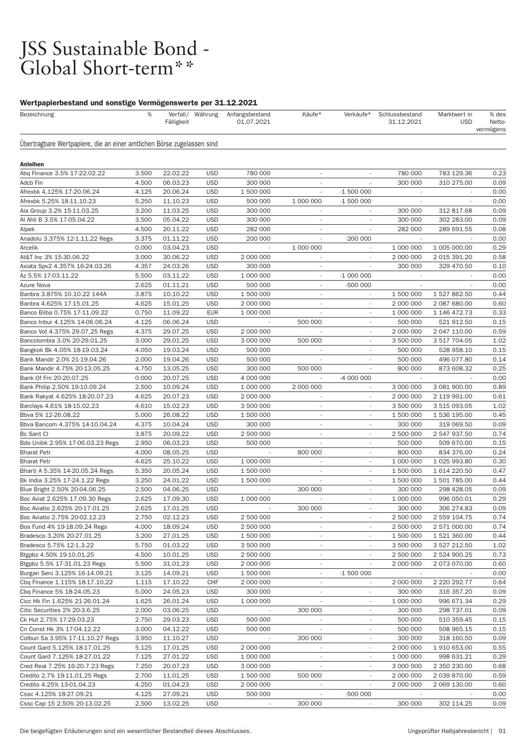# JSS Sustainable Bond -<br>Global Short-term\*\*

| Bezeichnung                                                            | %              | Fälligkeit           | Verfall/ Währung         | Anfangsbestand<br>01.07.2021 | Käufe*                   | Verkäufe*                | Schlussbestand<br>31.12.2021 | Marktwert in<br><b>USD</b> | % des<br>Netto-<br>vermögens |
|------------------------------------------------------------------------|----------------|----------------------|--------------------------|------------------------------|--------------------------|--------------------------|------------------------------|----------------------------|------------------------------|
| Ubertragbare Wertpapiere, die an einer amtlichen Börse zugelassen sind |                |                      |                          |                              |                          |                          |                              |                            |                              |
| <b>Anleihen</b>                                                        |                |                      |                          |                              |                          |                          |                              |                            |                              |
| Abg Finance 3.5% 17-22.02.22                                           | 3.500          | 22.02.22             | <b>USD</b>               | 780 000                      | $\overline{\phantom{a}}$ | $\overline{\phantom{a}}$ | 780 000                      | 783 129.36                 | 0.23                         |
| Adcb Fin                                                               | 4.500          | 06.03.23             | <b>USD</b>               | 300 000                      | $\overline{a}$           |                          | 300 000                      | 310 275.00                 | 0.09                         |
| Afrexbk 4.125% 17-20.06.24                                             | 4.125          | 20.06.24             | <b>USD</b>               | 1 500 000                    |                          | $-1500000$               |                              |                            | 0.00                         |
| Afrexbk 5.25% 18-11.10.23                                              | 5.250          | 11.10.23             | <b>USD</b>               | 500 000                      | 1 000 000                | $-1500000$               | $\sim$                       | $\sim$                     | 0.00                         |
| Aia Group 3.2% 15-11.03.25                                             | 3.200          | 11.03.25             | <b>USD</b>               | 300 000                      | $\overline{\phantom{a}}$ | $\overline{\phantom{a}}$ | 300 000                      | 312 817.68                 | 0.09                         |
| Al Ahli B 3.5% 17-05.04.22                                             | 3.500          | 05.04.22             | <b>USD</b>               | 300 000                      | $\overline{\phantom{a}}$ |                          | 300 000                      | 302 283.00                 | 0.09                         |
| Alpek                                                                  | 4.500          | 20.11.22             | <b>USD</b>               | 282 000                      | $\overline{\phantom{a}}$ |                          | 282 000                      | 289 691.55                 | 0.08                         |
| Anadolu 3.375% 12-1.11.22 Regs                                         | 3.375          | 01.11.22             | <b>USD</b>               | 200 000                      | $\overline{\phantom{a}}$ | $-200000$                | $\sim$                       | $\overline{\phantom{a}}$   | 0.00                         |
| Arcelik                                                                | 0.000          | 03.04.23             | <b>USD</b>               |                              | 1 000 000                | $\overline{\phantom{a}}$ | 1 000 000                    | 1 005 000.00               | 0.29                         |
| At&T Inc 3% 15-30.06.22                                                | 3.000          | 30.06.22             | <b>USD</b>               | 2 000 000                    | $\overline{\phantom{a}}$ | ٠                        | 2 000 000                    | 2 015 391.20               | 0.58                         |
| Axiata Spv2 4.357% 16-24.03.26                                         | 4.357          | 24.03.26             | <b>USD</b>               | 300 000                      | $\sim$                   |                          | 300 000                      | 329 470.50                 | 0.10                         |
| Az 5.5% 17-03.11.22                                                    | 5.500          | 03.11.22             | <b>USD</b>               | 1 000 000                    | $\sim$                   | $-1000000$               | $\sim$                       |                            | 0.00                         |
| Azure Nova                                                             | 2.625          | 01.11.21             | <b>USD</b>               | 500 000                      | $\sim$                   | $-500000$                |                              |                            | 0.00                         |
| Banbra 3.875% 10.10.22 144A                                            | 3.875          | 10.10.22             | <b>USD</b>               | 1 500 000                    | $\overline{\phantom{a}}$ | $\overline{\phantom{a}}$ | 1 500 000                    | 1 527 862.50               | 0.44                         |
| Banbra 4.625% 17-15.01.25                                              | 4.625          | 15.01.25             | <b>USD</b>               | 2 000 000                    | $\overline{\phantom{a}}$ |                          | 2 000 000                    | 2 087 680.00               | 0.60                         |
| Banco Bilba 0.75% 17-11.09.22                                          | 0.750          | 11.09.22             | <b>EUR</b>               | 1 000 000                    | $\overline{\phantom{a}}$ | $\overline{\phantom{a}}$ | 1 000 000                    | 1 146 472.73               | 0.33                         |
| Banco Inbur 4.125% 14-06.06.24                                         | 4.125          | 06.06.24             | <b>USD</b>               |                              | 500 000                  | ٠                        | 500 000                      | 521 912.50                 | 0.15                         |
| Banco Vot 4.375% 29.07.25 Regs                                         | 4.375          | 29.07.25             | <b>USD</b>               | 2 000 000                    | ÷.                       | ٠                        | 2 000 000                    | 2 047 110.00               | 0.59                         |
| Bancolombia 3.0% 20-29.01.25                                           | 3.000          | 29.01.25             | <b>USD</b>               | 3 000 000                    | 500 000                  | ×,                       | 3 500 000                    | 3 517 704.05               | 1.02                         |
| Bangkok Bk 4.05% 18-19.03.24                                           | 4.050          | 19.03.24             | <b>USD</b>               | 500 000                      | $\overline{\phantom{a}}$ | $\sim$                   | 500 000                      | 528 958.10                 | 0.15                         |
| Bank Mandir 2.0% 21-19.04.26                                           | 2.000          | 19.04.26             | <b>USD</b>               | 500 000                      | $\overline{\phantom{a}}$ | $\overline{\phantom{a}}$ | 500 000                      | 496 077.80                 | 0.14                         |
| Bank Mandir 4.75% 20-13.05.25                                          | 4.750          | 13.05.25             | <b>USD</b>               | 300 000                      | 500 000                  |                          | 800 000                      | 873 608.32                 | 0.25                         |
| Bank Of Frn 20-20.07.25                                                | 0.000          | 20.07.25             | <b>USD</b>               | 4 000 000                    |                          | -4 000 000               |                              |                            | 0.00                         |
| Bank Philip 2.50% 19-10.09.24                                          | 2.500          | 10.09.24             | <b>USD</b>               | 1 000 000                    | 2 000 000                | $\overline{\phantom{a}}$ | 3 000 000                    | 3 081 900.00               | 0.89                         |
| Bank Rakyat 4.625% 18-20.07.23                                         | 4.625          | 20.07.23             | <b>USD</b>               | 2 000 000                    | $\overline{\phantom{a}}$ | $\overline{a}$           | 2 000 000                    | 2 119 991.00               | 0.61                         |
| Barclays 4.61% 18-15.02.23                                             | 4.610          | 15.02.23             | <b>USD</b>               | 3 500 000                    | $\overline{\phantom{a}}$ |                          | 3 500 000                    | 3 515 093.05               | 1.02                         |
| Bbva 5% 12-26.08.22                                                    | 5.000          | 26.08.22             | <b>USD</b>               | 1 500 000                    | $\overline{\phantom{a}}$ | $\sim$                   | 1 500 000                    | 1 536 195.00               | 0.45                         |
| Bbva Bancom 4.375% 14-10.04.24                                         | 4.375          | 10.04.24             | <b>USD</b>               | 300 000                      | $\sim$                   | $\overline{\phantom{a}}$ | 300 000                      | 319 069.50                 | 0.09                         |
| Bc Sant CI                                                             | 3.875          | 20.09.22             | <b>USD</b>               | 2 500 000                    | $\overline{\phantom{a}}$ | $\overline{\phantom{a}}$ | 2 500 000                    | 2 547 937.50               | 0.74                         |
| Bdo Unibk 2.95% 17-06.03.23 Regs                                       | 2.950          | 06.03.23             | <b>USD</b>               | 500 000                      |                          |                          | 500 000                      | 509 670.00                 | 0.15                         |
| <b>Bharat Petr</b>                                                     | 4.000          | 08.05.25             | <b>USD</b>               |                              | 800 000                  | $\overline{\phantom{a}}$ | 800 000                      | 834 376.00                 | 0.24                         |
| <b>Bharat Petr</b>                                                     | 4.625          | 25.10.22             | <b>USD</b>               | 1 000 000                    | $\overline{\phantom{a}}$ | ÷                        | 1 000 000                    | 1 025 993.80               | 0.30                         |
| Bharti A 5.35% 14-20.05.24 Regs                                        | 5.350          | 20.05.24             | <b>USD</b>               | 1 500 000                    | $\overline{\phantom{a}}$ | $\overline{\phantom{a}}$ | 1 500 000                    | 1 614 220.50               | 0.47                         |
| Bk India 3.25% 17-24.1.22 Regs                                         | 3.250          | 24.01.22             | <b>USD</b>               | 1 500 000                    | $\overline{\phantom{a}}$ |                          | 1 500 000                    | 1 501 785.00               | 0.44                         |
| Blue Bright 2.50% 20-04.06.25                                          | 2.500          | 04.06.25             | <b>USD</b>               |                              | 300 000                  | $\overline{\phantom{a}}$ | 300 000                      | 298 428.05                 | 0.09                         |
| Boc Aviat 2.625% 17.09.30 Regs                                         | 2.625          | 17.09.30             | <b>USD</b>               | 1 000 000                    | $\overline{\phantom{a}}$ | $\overline{\phantom{a}}$ | 1 000 000                    | 996 050.01                 | 0.29                         |
| Boc Aviatio 2.625% 20-17.01.25                                         | 2.625          | 17.01.25             | <b>USD</b>               |                              | 300 000                  |                          | 300 000                      | 306 274.83                 | 0.09                         |
| Boc Aviatio 2.75% 20-02.12.23                                          | 2.750          | 02.12.23             | <b>USD</b>               | 2 500 000                    |                          |                          | 2 500 000                    | 2 559 104.75               | 0.74                         |
| Bos Fund 4% 19-18.09.24 Regs                                           | 4.000          | 18.09.24             | <b>USD</b>               | 2 500 000                    | $\overline{\phantom{a}}$ |                          | 2 500 000                    | 2 571 000.00               | 0.74                         |
| Bradesco 3.20% 20-27.01.25                                             | 3.200          | 27.01.25             | <b>USD</b>               | 1 500 000                    | $\sim$                   | ٠                        | 1 500 000                    | 1 521 360.00               | 0.44                         |
| Bradesco 5.75% 12-1.3.22                                               | 5.750          | 01.03.22             | <b>USD</b>               | 3 500 000                    | $\overline{\phantom{a}}$ | $\overline{\phantom{a}}$ | 3 500 000                    | 3 527 212.50               | 1.02                         |
| Btgpbz 4.50% 19-10.01.25                                               | 4.500          | 10.01.25             | <b>USD</b>               | 2 500 000                    | $\overline{\phantom{a}}$ |                          | 2 500 000                    | 2 524 900.25               | 0.73                         |
| Btgpbz 5.5% 17-31.01.23 Regs                                           | 5.500          | 31.01.23             | <b>USD</b>               | 2 000 000                    | $\overline{\phantom{a}}$ | ÷.                       | 2 000 000                    | 2 073 070.00               | 0.60                         |
| Burgan Seni 3.125% 16-14.09.21                                         | 3.125          | 14.09.21             | <b>USD</b>               | 1 500 000                    | $\sim$                   | $-1500000$               | $\sim$                       |                            | 0.00                         |
| Cbq Finance 1.115% 18-17.10.22                                         | 1.115          | 17.10.22             | CHF                      | 2 000 000                    | $\overline{\phantom{a}}$ | $\overline{\phantom{a}}$ | 2 000 000                    | 2 220 292.77               | 0.64                         |
| Cbq Finance 5% 18-24.05.23                                             | 5.000          | 24.05.23             | <b>USD</b>               | 300 000                      | $\overline{\phantom{a}}$ |                          | 300 000                      | 316 357.20                 | 0.09                         |
| Cicc Hk Fin 1.625% 21-26.01.24                                         | 1.625          | 26.01.24             | <b>USD</b>               | 1 000 000                    | $\overline{\phantom{a}}$ | $\overline{\phantom{a}}$ | 1 000 000                    | 996 671.34                 | 0.29                         |
| Citic Securities 2% 20-3.6.25                                          | 2.000          | 03.06.25             | <b>USD</b>               |                              | 300 000                  | ٠                        | 300 000                      | 298 737.01                 | 0.09                         |
| Ck Hut 2.75% 17-29.03.23                                               | 2.750          | 29.03.23             | <b>USD</b>               | 500 000                      | $\overline{\phantom{a}}$ | $\overline{\phantom{a}}$ | 500 000                      | 510 359.45                 | 0.15                         |
| Cn Const Hk 3% 17-04.12.22                                             | 3.000          | 04.12.22             | <b>USD</b>               | 500 000                      |                          |                          | 500 000                      | 508 965.15                 | 0.15                         |
| Colbun Sa 3.95% 17-11.10.27 Regs                                       | 3.950          | 11.10.27             | <b>USD</b>               |                              | 300 000                  | $\overline{\phantom{a}}$ | 300 000                      | 318 160.50                 | 0.09                         |
| Count Gard 5.125% 18-17.01.25                                          | 5.125          | 17.01.25             | <b>USD</b>               | 2 000 000                    | $\overline{\phantom{a}}$ | ۰                        | 2 000 000                    | 1 910 653.00               | 0.55                         |
| Count Gard 7.125% 18-27.01.22                                          | 7.125          | 27.01.22             | <b>USD</b>               | 1 000 000                    |                          |                          | 1 000 000                    | 998 631.21                 | 0.29                         |
| Cred Real 7.25% 16-20.7.23 Regs                                        | 7.250          | 20.07.23             | <b>USD</b>               | 3 000 000                    |                          |                          | 3 000 000                    | 2 350 230.00               | 0.68                         |
| Credito 2.7% 19-11.01.25 Regs                                          | 2.700          | 11.01.25             | <b>USD</b>               | 1 500 000                    | 500 000                  |                          | 2 000 000                    | 2 039 870.00               | 0.59                         |
| Credito 4.25% 13-01.04.23                                              | 4.250          | 01.04.23             | <b>USD</b>               | 2 000 000                    |                          | $\overline{\phantom{a}}$ | 2 000 000                    | 2 069 130.00               | 0.60                         |
| Cssc 4.125% 18-27.09.21<br>Cssc Cap 15 2.50% 20-13.02.25               | 4.125<br>2.500 | 27.09.21<br>13.02.25 | <b>USD</b><br><b>USD</b> | 500 000                      | 300 000                  | -500 000                 | 300 000                      | 302 114.25                 | 0.00<br>0.09                 |
|                                                                        |                |                      |                          |                              |                          |                          |                              |                            |                              |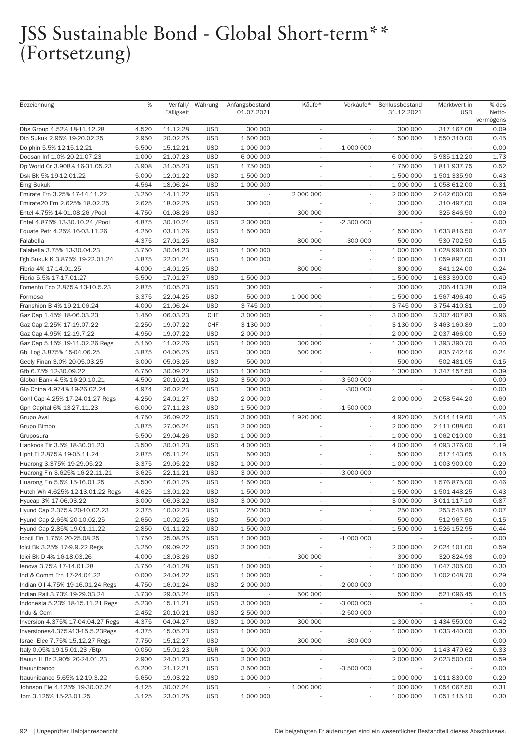## JSS Sustainable Bond - Global Short-term\*\* (Fortsetzung)

| Bezeichnung                       | %     |            | Verfall/ Währung | Anfangsbestand | Käufe*                   | Verkäufe*                   | Schlussbestand              | Marktwert in | % des     |
|-----------------------------------|-------|------------|------------------|----------------|--------------------------|-----------------------------|-----------------------------|--------------|-----------|
|                                   |       | Fälligkeit |                  | 01.07.2021     |                          |                             | 31.12.2021                  | <b>USD</b>   | Netto-    |
|                                   |       |            |                  |                |                          |                             |                             |              | vermögens |
| Dbs Group 4.52% 18-11.12.28       | 4.520 | 11.12.28   | <b>USD</b>       | 300 000        | $\overline{\phantom{a}}$ | $\overline{\phantom{a}}$    | 300 000                     | 317 167.08   | 0.09      |
| Dib Sukuk 2.95% 19-20.02.25       | 2.950 | 20.02.25   | <b>USD</b>       | 1 500 000      | $\sim$                   |                             | 1 500 000                   | 1 550 310.00 | 0.45      |
| Dolphin 5.5% 12-15.12.21          | 5.500 | 15.12.21   | <b>USD</b>       | 1 000 000      | $\overline{\phantom{a}}$ | $-1000000$                  |                             |              | 0.00      |
| Doosan Inf 1.0% 20-21.07.23       | 1.000 | 21.07.23   | <b>USD</b>       | 6 000 000      | $\overline{\phantom{a}}$ |                             | 6 000 000                   | 5 985 112.20 | 1.73      |
| Dp World Cr 3.908% 16-31.05.23    | 3.908 | 31.05.23   | <b>USD</b>       | 1 750 000      | $\overline{\phantom{a}}$ | $\overline{\phantom{a}}$    | 1 750 000                   | 1811937.75   | 0.52      |
| Dsk Bk 5% 19-12.01.22             | 5.000 | 12.01.22   | <b>USD</b>       | 1 500 000      | $\overline{\phantom{a}}$ | $\overline{\phantom{a}}$    | 1 500 000                   | 1 501 335.90 | 0.43      |
| Emg Sukuk                         | 4.564 | 18.06.24   | <b>USD</b>       | 1 000 000      |                          |                             | 1 000 000                   | 1 058 612.00 | 0.31      |
| Emirate Frn 3.25% 17-14.11.22     | 3.250 | 14.11.22   | <b>USD</b>       |                | 2 000 000                |                             | 2 000 000                   | 2 042 600.00 | 0.59      |
| Emirate20 Frn 2.625% 18.02.25     | 2.625 | 18.02.25   | <b>USD</b>       | 300 000        | $\overline{\phantom{a}}$ | $\overline{\phantom{a}}$    | 300 000                     | 310 497.00   | 0.09      |
| Entel 4.75% 14-01.08.26 /Pool     | 4.750 | 01.08.26   | <b>USD</b>       |                | 300 000                  |                             | 300 000                     | 325 846.50   | 0.09      |
| Entel 4.875% 13-30.10.24 /Pool    | 4.875 | 30.10.24   | <b>USD</b>       | 2 300 000      | $\overline{\phantom{a}}$ | -2 300 000                  |                             |              | 0.00      |
| Equate Petr 4.25% 16-03.11.26     | 4.250 | 03.11.26   | <b>USD</b>       | 1 500 000      |                          |                             | 1 500 000                   | 1 633 816.50 | 0.47      |
| Falabella                         | 4.375 | 27.01.25   | <b>USD</b>       |                | 800 000                  | $-300000$                   | 500 000                     | 530 702.50   | 0.15      |
| Falabella 3.75% 13-30.04.23       | 3.750 | 30.04.23   | <b>USD</b>       | 1 000 000      | $\overline{\phantom{a}}$ | $\overline{\phantom{a}}$    | 1 000 000                   | 1 028 990.00 | 0.30      |
|                                   |       |            | <b>USD</b>       |                |                          |                             |                             |              | 0.31      |
| Fgb Sukuk K 3.875% 19-22.01.24    | 3.875 | 22.01.24   |                  | 1 000 000      |                          | $\overline{\phantom{a}}$    | 1 000 000                   | 1 059 897.00 |           |
| Fibria 4% 17-14.01.25             | 4.000 | 14.01.25   | <b>USD</b>       |                | 800 000                  |                             | 800 000                     | 841 124.00   | 0.24      |
| Fibria 5.5% 17-17.01.27           | 5.500 | 17.01.27   | <b>USD</b>       | 1 500 000      | $\overline{\phantom{a}}$ | $\overline{\phantom{a}}$    | 1 500 000                   | 1 683 390.00 | 0.49      |
| Fomento Eco 2.875% 13-10.5.23     | 2.875 | 10.05.23   | <b>USD</b>       | 300 000        | $\overline{\phantom{a}}$ | $\overline{\phantom{a}}$    | 300 000                     | 306 413.28   | 0.09      |
| Formosa                           | 3.375 | 22.04.25   | <b>USD</b>       | 500 000        | 1 000 000                |                             | 1 500 000                   | 1 567 496.40 | 0.45      |
| Franshion B 4% 19-21.06.24        | 4.000 | 21.06.24   | <b>USD</b>       | 3 745 000      |                          |                             | 3 745 000                   | 3 754 410.81 | 1.09      |
| Gaz Cap 1.45% 18-06.03.23         | 1.450 | 06.03.23   | CHF              | 3 000 000      | $\overline{\phantom{a}}$ | $\overline{\phantom{a}}$    | 3 000 000                   | 3 307 407.83 | 0.96      |
| Gaz Cap 2.25% 17-19.07.22         | 2.250 | 19.07.22   | <b>CHF</b>       | 3 130 000      | $\sim$                   | $\overline{\phantom{a}}$    | 3 130 000                   | 3 463 160.89 | 1.00      |
| Gaz Cap 4.95% 12-19.7.22          | 4.950 | 19.07.22   | <b>USD</b>       | 2 000 000      | $\sim$                   | ٠                           | 2 000 000                   | 2 037 466.00 | 0.59      |
| Gaz Cap 5.15% 19-11.02.26 Regs    | 5.150 | 11.02.26   | <b>USD</b>       | 1 000 000      | 300 000                  |                             | 1 300 000                   | 1 393 390.70 | 0.40      |
| Gbl Log 3.875% 15-04.06.25        | 3.875 | 04.06.25   | <b>USD</b>       | 300 000        | 500 000                  | $\sim$                      | 800 000                     | 835 742.16   | 0.24      |
| Geely Finan 3.0% 20-05.03.25      | 3.000 | 05.03.25   | <b>USD</b>       | 500 000        | $\overline{\phantom{a}}$ | $\overline{\phantom{a}}$    | 500 000                     | 502 481.05   | 0.15      |
| Gfb 6.75% 12-30.09.22             | 6.750 | 30.09.22   | <b>USD</b>       | 1 300 000      | $\sim$                   | $\overline{\phantom{a}}$    | 1 300 000                   | 1 347 157.50 | 0.39      |
| Global Bank 4.5% 16-20.10.21      | 4.500 | 20.10.21   | <b>USD</b>       | 3 500 000      | $\overline{\phantom{a}}$ | -3 500 000                  |                             |              | 0.00      |
| Glp China 4.974% 19-26.02.24      | 4.974 | 26.02.24   | <b>USD</b>       | 300 000        | $\sim$                   | $-300000$                   | $\sim$                      | $\sim$       | 0.00      |
| Gohl Cap 4.25% 17-24.01.27 Regs   | 4.250 | 24.01.27   | <b>USD</b>       | 2 000 000      | $\overline{\phantom{a}}$ | $\overline{\phantom{a}}$    | 2 000 000                   | 2 058 544.20 | 0.60      |
| Gpn Capital 6% 13-27.11.23        | 6.000 | 27.11.23   | <b>USD</b>       | 1 500 000      | $\overline{\phantom{a}}$ | $-1500000$                  | $\sim$                      |              | 0.00      |
| Grupo Aval                        | 4.750 | 26.09.22   | <b>USD</b>       | 3 000 000      | 1920000                  |                             | 4 920 000                   | 5 014 119.60 | 1.45      |
| Grupo Bimbo                       | 3.875 | 27.06.24   | <b>USD</b>       | 2 000 000      | $\sim$                   | $\overline{\phantom{a}}$    | 2 000 000                   | 2 111 088.60 | 0.61      |
| Gruposura                         | 5.500 | 29.04.26   | <b>USD</b>       | 1 000 000      | $\overline{\phantom{a}}$ | $\overline{\phantom{a}}$    | 1 000 000                   | 1 062 010.00 | 0.31      |
| Hankook Tir 3.5% 18-30.01.23      | 3.500 | 30.01.23   | <b>USD</b>       | 4 000 000      | $\overline{\phantom{a}}$ | ×.                          | 4 000 000                   | 4 093 376.00 | 1.19      |
| Hpht Fi 2.875% 19-05.11.24        | 2.875 | 05.11.24   | <b>USD</b>       | 500 000        | $\sim$                   |                             | 500 000                     | 517 143.65   | 0.15      |
| Huarong 3.375% 19-29.05.22        | 3.375 | 29.05.22   | <b>USD</b>       | 1 000 000      | $\sim$                   | $\mathcal{L}_{\mathcal{A}}$ | 1 000 000                   | 1 003 900.00 | 0.29      |
| Huarong Fin 3.625% 16-22.11.21    | 3.625 | 22.11.21   | <b>USD</b>       | 3 000 000      | $\overline{\phantom{a}}$ | $-3000000$                  |                             |              | 0.00      |
| Huarong Fin 5.5% 15-16.01.25      | 5.500 | 16.01.25   | <b>USD</b>       | 1 500 000      | $\sim$                   |                             | 1 500 000                   | 1576875.00   | 0.46      |
| Hutch Wh 4.625% 12-13.01.22 Regs  | 4.625 | 13.01.22   | <b>USD</b>       | 1 500 000      | $\sim$                   |                             | 1 500 000                   | 1 501 448.25 | 0.43      |
| Hyucap 3% 17-06.03.22             | 3.000 | 06.03.22   | <b>USD</b>       | 3 000 000      | $\sim$                   | $\overline{\phantom{a}}$    | 3 000 000                   | 3 011 117.10 | 0.87      |
| Hyund Cap 2.375% 20-10.02.23      | 2.375 | 10.02.23   | <b>USD</b>       | 250 000        | $\sim$                   |                             | 250 000                     | 253 545.85   | 0.07      |
|                                   |       |            |                  |                |                          | ۰                           |                             |              | 0.15      |
| Hyund Cap 2.65% 20-10.02.25       | 2.650 | 10.02.25   | <b>USD</b>       | 500 000        | $\overline{\phantom{a}}$ |                             | 500 000                     | 512 967.50   |           |
| Hyund Cap 2.85% 19-01.11.22       | 2.850 | 01.11.22   | <b>USD</b>       | 1 500 000      | $\sim$                   |                             | 1 500 000                   | 1 526 152.95 | 0.44      |
| Icbcil Fin 1.75% 20-25.08.25      | 1.750 | 25.08.25   | <b>USD</b>       | 1 000 000      | $\overline{\phantom{a}}$ | $-1000000$                  |                             |              | 0.00      |
| Icici Bk 3.25% 17-9.9.22 Regs     | 3.250 | 09.09.22   | <b>USD</b>       | 2 000 000      | $\overline{\phantom{a}}$ |                             | 2 000 000                   | 2 024 101.00 | 0.59      |
| Icici Bk D 4% 16-18.03.26         | 4.000 | 18.03.26   | <b>USD</b>       |                | 300 000                  |                             | 300 000                     | 320 824.98   | 0.09      |
| lenova 3.75% 17-14.01.28          | 3.750 | 14.01.28   | <b>USD</b>       | 1 000 000      |                          |                             | 1 000 000                   | 1 047 305.00 | 0.30      |
| Ind & Comm Frn 17-24.04.22        | 0.000 | 24.04.22   | <b>USD</b>       | 1 000 000      | $\overline{\phantom{a}}$ | ÷.                          | 1 000 000                   | 1 002 048.70 | 0.29      |
| Indian Oil 4.75% 19-16.01.24 Regs | 4.750 | 16.01.24   | <b>USD</b>       | 2 000 000      | $\overline{\phantom{a}}$ | $-2000000$                  |                             |              | 0.00      |
| Indian Rail 3.73% 19-29.03.24     | 3.730 | 29.03.24   | <b>USD</b>       |                | 500 000                  |                             | 500 000                     | 521 096.45   | 0.15      |
| Indonesia 5.23% 18-15.11.21 Regs  | 5.230 | 15.11.21   | <b>USD</b>       | 3 000 000      |                          | -3 000 000                  | $\mathcal{L}_{\mathcal{A}}$ |              | 0.00      |
| Indu & Com                        | 2.452 | 20.10.21   | <b>USD</b>       | 2 500 000      | $\overline{\phantom{a}}$ | -2 500 000                  | $\overline{\phantom{a}}$    |              | 0.00      |
| Inversion 4.375% 17-04.04.27 Regs | 4.375 | 04.04.27   | <b>USD</b>       | 1 000 000      | 300 000                  | $\sim$                      | 1 300 000                   | 1 434 550.00 | 0.42      |
| Inversiones4.375%13-15.5.23Regs   | 4.375 | 15.05.23   | <b>USD</b>       | 1 000 000      |                          |                             | 1 000 000                   | 1 033 440.00 | 0.30      |
| Israel Elec 7.75% 15.12.27 Regs   | 7.750 | 15.12.27   | <b>USD</b>       |                | 300 000                  | $-300000$                   |                             |              | 0.00      |
| Italy 0.05% 19-15.01.23 / Btp     | 0.050 | 15.01.23   | <b>EUR</b>       | 1 000 000      | $\overline{\phantom{a}}$ | $\overline{\phantom{a}}$    | 1 000 000                   | 1 143 479.62 | 0.33      |
| Itauun H Bz 2.90% 20-24.01.23     | 2.900 | 24.01.23   | <b>USD</b>       | 2 000 000      | $\overline{\phantom{a}}$ | $\overline{\phantom{a}}$    | 2 000 000                   | 2 023 500.00 | 0.59      |
| Itauunibanco                      | 6.200 | 21.12.21   | <b>USD</b>       | 3 500 000      |                          | -3 500 000                  |                             |              | 0.00      |
| Itauunibanco 5.65% 12-19.3.22     | 5.650 | 19.03.22   | <b>USD</b>       | 1 000 000      |                          | $\mathcal{L}_{\mathcal{A}}$ | 1 000 000                   | 1 011 830.00 | 0.29      |
| Johnson Ele 4.125% 19-30.07.24    | 4.125 | 30.07.24   | <b>USD</b>       |                | 1 000 000                | $\overline{\phantom{a}}$    | 1 000 000                   | 1 054 067.50 | 0.31      |
|                                   |       |            |                  |                |                          |                             |                             |              |           |
| Jpm 3.125% 15-23.01.25            | 3.125 | 23.01.25   | <b>USD</b>       | 1 000 000      |                          | $\overline{\phantom{a}}$    | 1 000 000                   | 1 051 115.10 | 0.30      |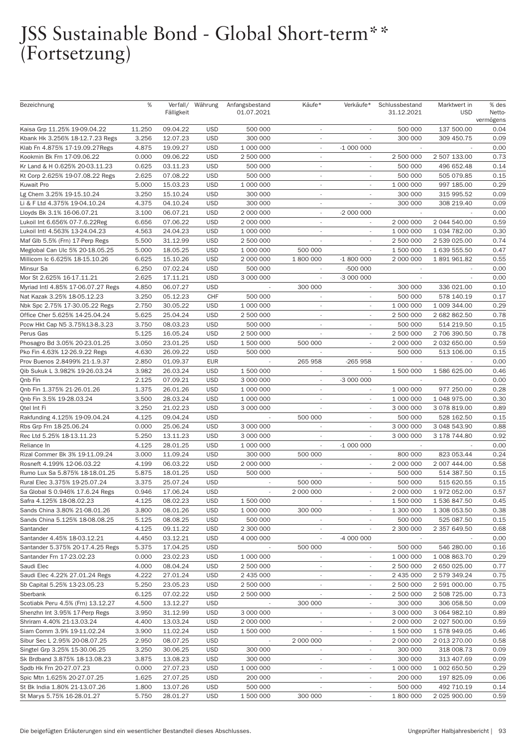# JSS Sustainable Bond - Global Short-term\*\*<br>(Fortsetzung)

| Bezeichnung                        | %              |            | Verfall/ Währung         | Anfangsbestand | Käufe*                   | Verkäufe*                | Schlussbestand           | Marktwert in             | % des     |
|------------------------------------|----------------|------------|--------------------------|----------------|--------------------------|--------------------------|--------------------------|--------------------------|-----------|
|                                    |                | Fälligkeit |                          | 01.07.2021     |                          |                          | 31.12.2021               | <b>USD</b>               | Netto-    |
|                                    |                |            |                          |                |                          |                          |                          |                          | vermögens |
| Kaisa Grp 11.25% 19-09.04.22       | 11.250         | 09.04.22   | <b>USD</b>               | 500 000        | $\sim$                   | $\sim$                   | 500 000                  | 137 500.00               | 0.04      |
| Kbank Hk 3.256% 18-12.7.23 Regs    | 3.256          | 12.07.23   | <b>USD</b>               | 300 000        | $\overline{\phantom{a}}$ |                          | 300 000                  | 309 450.75               | 0.09      |
| Klab Fn 4.875% 17-19.09.27Regs     | 4.875          | 19.09.27   | <b>USD</b>               | 1 000 000      | $\sim$                   | $-1000000$               |                          |                          | 0.00      |
| Kookmin Bk Frn 17-09.06.22         | 0.000          | 09.06.22   | <b>USD</b>               | 2 500 000      | $\sim$                   |                          | 2 500 000                | 2 507 133.00             | 0.73      |
| Kr Land & H 0.625% 20-03.11.23     | 0.625          | 03.11.23   | <b>USD</b>               | 500 000        | $\sim$                   | $\overline{\phantom{a}}$ | 500 000                  | 496 652.48               | 0.14      |
| Kt Corp 2.625% 19-07.08.22 Regs    | 2.625          | 07.08.22   | <b>USD</b>               | 500 000        | $\sim$                   | $\sim$                   | 500 000                  | 505 079.85               | 0.15      |
| Kuwait Pro                         | 5.000          | 15.03.23   | <b>USD</b>               | 1 000 000      | $\sim$                   |                          | 1 000 000                | 997 185.00               | 0.29      |
|                                    |                |            |                          |                |                          |                          |                          |                          |           |
| Lg Chem 3.25% 19-15.10.24          | 3.250          | 15.10.24   | <b>USD</b>               | 300 000        | $\sim$                   |                          | 300 000                  | 315 995.52               | 0.09      |
| Li & F Ltd 4.375% 19-04.10.24      | 4.375          | 04.10.24   | <b>USD</b>               | 300 000        | $\sim$                   | $\overline{\phantom{a}}$ | 300 000                  | 308 219.40               | 0.09      |
| Lloyds Bk 3.1% 16-06.07.21         | 3.100          | 06.07.21   | <b>USD</b>               | 2 000 000      | $\overline{\phantom{a}}$ | $-2000000$               |                          |                          | 0.00      |
| Lukoil Int 6.656% 07-7.6.22Reg     | 6.656          | 07.06.22   | <b>USD</b>               | 2 000 000      | $\sim$                   |                          | 2 000 000                | 2 044 540.00             | 0.59      |
| Lukoil Intl 4.563% 13-24.04.23     | 4.563          | 24.04.23   | <b>USD</b>               | 1 000 000      | $\sim$                   |                          | 1 000 000                | 1 034 782.00             | 0.30      |
| Maf Glb 5.5% (Frn) 17-Perp Regs    | 5.500          | 31.12.99   | <b>USD</b>               | 2 500 000      | $\sim$                   | $\overline{\phantom{a}}$ | 2 500 000                | 2 539 025.00             | 0.74      |
| Meglobal Can Ulc 5% 20-18.05.25    | 5.000          | 18.05.25   | <b>USD</b>               | 1 000 000      | 500 000                  |                          | 1 500 000                | 1 639 555.50             | 0.47      |
| Millicom Ic 6.625% 18-15.10.26     | 6.625          | 15.10.26   | <b>USD</b>               | 2 000 000      | 1 800 000                | $-1800000$               | 2 000 000                | 1891961.82               | 0.55      |
| Minsur Sa                          | 6.250          | 07.02.24   | <b>USD</b>               | 500 000        |                          | -500 000                 |                          |                          | 0.00      |
| Mor St 2.625% 16-17.11.21          | 2.625          | 17.11.21   | <b>USD</b>               | 3 000 000      | ÷.                       | -3 000 000               | $\overline{\phantom{a}}$ |                          | 0.00      |
| Myriad Intl 4.85% 17-06.07.27 Regs | 4.850          | 06.07.27   | <b>USD</b>               |                | 300 000                  | $\overline{\phantom{a}}$ | 300 000                  | 336 021.00               | 0.10      |
| Nat Kazak 3.25% 18-05.12.23        | 3.250          | 05.12.23   | CHF                      | 500 000        | $\sim$                   |                          | 500 000                  | 578 140.19               | 0.17      |
| Nbk Spc 2.75% 17-30.05.22 Regs     | 2.750          | 30.05.22   | <b>USD</b>               | 1 000 000      | $\sim$                   |                          | 1 000 000                | 1 009 344.00             | 0.29      |
| Office Cher 5.625% 14-25.04.24     | 5.625          | 25.04.24   | <b>USD</b>               | 2 500 000      | $\sim$                   | $\overline{\phantom{a}}$ | 2 500 000                | 2 682 862.50             | 0.78      |
|                                    |                |            |                          |                |                          |                          |                          | 514 219.50               |           |
| Pccw Hkt Cap N5 3.75%13-8.3.23     | 3.750          | 08.03.23   | <b>USD</b>               | 500 000        | $\sim$                   |                          | 500 000                  |                          | 0.15      |
| Perus Gas                          | 5.125          | 16.05.24   | <b>USD</b>               | 2 500 000      |                          |                          | 2 500 000                | 2 706 390.50             | 0.78      |
| Phosagro Bd 3.05% 20-23.01.25      | 3.050          | 23.01.25   | <b>USD</b>               | 1 500 000      | 500 000                  |                          | 2 000 000                | 2 032 650.00             | 0.59      |
| Pko Fin 4.63% 12-26.9.22 Regs      | 4.630          | 26.09.22   | <b>USD</b>               | 500 000        | $\overline{\phantom{a}}$ | $\overline{\phantom{a}}$ | 500 000                  | 513 106.00               | 0.15      |
| Prov Buenos 2.8499% 21-1.9.37      | 2.850          | 01.09.37   | <b>EUR</b>               |                | 265 958                  | $-265958$                |                          |                          | 0.00      |
| Qib Sukuk L 3.982% 19-26.03.24     | 3.982          | 26.03.24   | <b>USD</b>               | 1 500 000      |                          |                          | 1 500 000                | 1 586 625.00             | 0.46      |
| Qnb Fin                            | 2.125          | 07.09.21   | <b>USD</b>               | 3 000 000      | $\overline{\phantom{a}}$ | -3 000 000               |                          |                          | 0.00      |
| Qnb Fin 1.375% 21-26.01.26         | 1.375          | 26.01.26   | <b>USD</b>               | 1 000 000      | $\overline{\phantom{a}}$ | $\overline{\phantom{a}}$ | 1 000 000                | 977 250.00               | 0.28      |
| Qnb Fin 3.5% 19-28.03.24           | 3.500          | 28.03.24   | <b>USD</b>               | 1 000 000      | ÷.                       | ÷.                       | 1 000 000                | 1 048 975.00             | 0.30      |
| Qtel Int Fi                        | 3.250          | 21.02.23   | <b>USD</b>               | 3 000 000      |                          |                          | 3 000 000                | 3 078 819.00             | 0.89      |
| Rakfunding 4.125% 19-09.04.24      | 4.125          | 09.04.24   | <b>USD</b>               |                | 500 000                  | $\overline{\phantom{a}}$ | 500 000                  | 528 162.50               | 0.15      |
| Rbs Grp Frn 18-25.06.24            | 0.000          | 25.06.24   | <b>USD</b>               | 3 000 000      | $\overline{\phantom{a}}$ | $\overline{\phantom{a}}$ | 3 000 000                | 3 048 543.90             | 0.88      |
| Rec Ltd 5.25% 18-13.11.23          | 5.250          | 13.11.23   | <b>USD</b>               | 3 000 000      | $\overline{\phantom{a}}$ | $\overline{\phantom{a}}$ | 3 000 000                | 3 178 744.80             | 0.92      |
| Reliance In                        | 4.125          | 28.01.25   | <b>USD</b>               | 1 000 000      | $\overline{\phantom{a}}$ | $-1000000$               |                          |                          | 0.00      |
| Rizal Commer Bk 3% 19-11.09.24     | 3.000          | 11.09.24   | <b>USD</b>               | 300 000        | 500 000                  | $\overline{\phantom{a}}$ | 800 000                  | 823 053.44               | 0.24      |
| Rosneft 4.199% 12-06.03.22         | 4.199          | 06.03.22   | <b>USD</b>               | 2 000 000      | $\overline{\phantom{a}}$ | $\overline{\phantom{a}}$ | 2 000 000                | 2 007 444.00             | 0.58      |
|                                    |                |            |                          | 500 000        |                          | $\overline{\phantom{a}}$ |                          |                          |           |
| Rumo Lux Sa 5.875% 18-18.01.25     | 5.875<br>3.375 | 18.01.25   | <b>USD</b><br><b>USD</b> |                |                          |                          | 500 000                  | 514 387.50<br>515 620.55 | 0.15      |
| Rural Elec 3.375% 19-25.07.24      |                | 25.07.24   |                          |                | 500 000                  |                          | 500 000                  |                          | 0.15      |
| Sa Global S 0.946% 17.6.24 Regs    | 0.946          | 17.06.24   | <b>USD</b>               | $\sim$         | 2 000 000                | $\overline{\phantom{a}}$ | 2 000 000                | 1 972 052.00             | 0.57      |
| Safra 4.125% 18-08.02.23           | 4.125          | 08.02.23   | <b>USD</b>               | 1 500 000      |                          | $\overline{\phantom{a}}$ | 1 500 000                | 1 536 847.50             | 0.45      |
| Sands China 3.80% 21-08.01.26      | 3.800          | 08.01.26   | <b>USD</b>               | 1 000 000      | 300 000                  |                          | 1 300 000                | 1 308 053.50             | 0.38      |
| Sands China 5.125% 18-08.08.25     | 5.125          | 08.08.25   | <b>USD</b>               | 500 000        |                          |                          | 500 000                  | 525 087.50               | 0.15      |
| Santander                          | 4.125          | 09.11.22   | <b>USD</b>               | 2 300 000      | $\overline{\phantom{a}}$ | ÷.                       | 2 300 000                | 2 357 649.50             | 0.68      |
| Santander 4.45% 18-03.12.21        | 4.450          | 03.12.21   | <b>USD</b>               | 4 000 000      | $\overline{\phantom{a}}$ | -4 000 000               |                          |                          | 0.00      |
| Santander 5.375% 20-17.4.25 Regs   | 5.375          | 17.04.25   | <b>USD</b>               |                | 500 000                  | $\overline{\phantom{a}}$ | 500 000                  | 546 280.00               | 0.16      |
| Santander Frn 17-23.02.23          | 0.000          | 23.02.23   | <b>USD</b>               | 1 000 000      |                          |                          | 1 000 000                | 1 008 863.70             | 0.29      |
| Saudi Elec                         | 4.000          | 08.04.24   | <b>USD</b>               | 2 500 000      | $\overline{\phantom{a}}$ | ÷.                       | 2 500 000                | 2 650 025.00             | 0.77      |
| Saudi Elec 4.22% 27.01.24 Regs     | 4.222          | 27.01.24   | <b>USD</b>               | 2 435 000      | $\overline{\phantom{a}}$ | $\overline{\phantom{a}}$ | 2 435 000                | 2 579 349.24             | 0.75      |
| Sb Capital 5.25% 13-23.05.23       | 5.250          | 23.05.23   | <b>USD</b>               | 2 500 000      | $\overline{\phantom{a}}$ |                          | 2 500 000                | 2 591 000.00             | 0.75      |
| Sberbank                           | 6.125          | 07.02.22   | <b>USD</b>               | 2 500 000      |                          |                          | 2 500 000                | 2 508 725.00             | 0.73      |
| Scotiabk Peru 4.5% (Frn) 13.12.27  | 4.500          | 13.12.27   | <b>USD</b>               |                | 300 000                  | ÷.                       | 300 000                  | 306 058.50               | 0.09      |
| Shenzhn Int 3.95% 17-Perp Regs     | 3.950          | 31.12.99   | <b>USD</b>               | 3 000 000      |                          | $\overline{\phantom{a}}$ | 3 000 000                | 3 064 982.10             | 0.89      |
|                                    |                |            |                          |                | $\overline{\phantom{a}}$ |                          |                          |                          | 0.59      |
| Shriram 4.40% 21-13.03.24          | 4.400          | 13.03.24   | <b>USD</b>               | 2 000 000      |                          |                          | 2 000 000                | 2 027 500.00             |           |
| Siam Comm 3.9% 19-11.02.24         | 3.900          | 11.02.24   | <b>USD</b>               | 1 500 000      |                          |                          | 1 500 000                | 1 578 949.05             | 0.46      |
| Sibur Sec L 2.95% 20-08.07.25      | 2.950          | 08.07.25   | <b>USD</b>               |                | 2 000 000                | ÷.                       | 2 000 000                | 2 013 270.00             | 0.58      |
| Singtel Grp 3.25% 15-30.06.25      | 3.250          | 30.06.25   | <b>USD</b>               | 300 000        | $\overline{\phantom{a}}$ | $\overline{\phantom{a}}$ | 300 000                  | 318 008.73               | 0.09      |
| Sk Brdband 3.875% 18-13.08.23      | 3.875          | 13.08.23   | <b>USD</b>               | 300 000        | $\overline{\phantom{a}}$ | $\overline{\phantom{a}}$ | 300 000                  | 313 407.69               | 0.09      |
| Spdb Hk Frn 20-27.07.23            | 0.000          | 27.07.23   | <b>USD</b>               | 1 000 000      |                          |                          | 1 000 000                | 1 002 650.50             | 0.29      |
| Spic Mtn 1.625% 20-27.07.25        | 1.625          | 27.07.25   | <b>USD</b>               | 200 000        | $\overline{\phantom{a}}$ | $\overline{\phantom{a}}$ | 200 000                  | 197 825.09               | 0.06      |
| St Bk India 1.80% 21-13.07.26      | 1.800          | 13.07.26   | <b>USD</b>               | 500 000        |                          | $\overline{\phantom{a}}$ | 500 000                  | 492 710.19               | 0.14      |
| St Marys 5.75% 16-28.01.27         | 5.750          | 28.01.27   | <b>USD</b>               | 1 500 000      | 300 000                  | $\overline{\phantom{a}}$ | 1 800 000                | 2 025 900.00             | 0.59      |
|                                    |                |            |                          |                |                          |                          |                          |                          |           |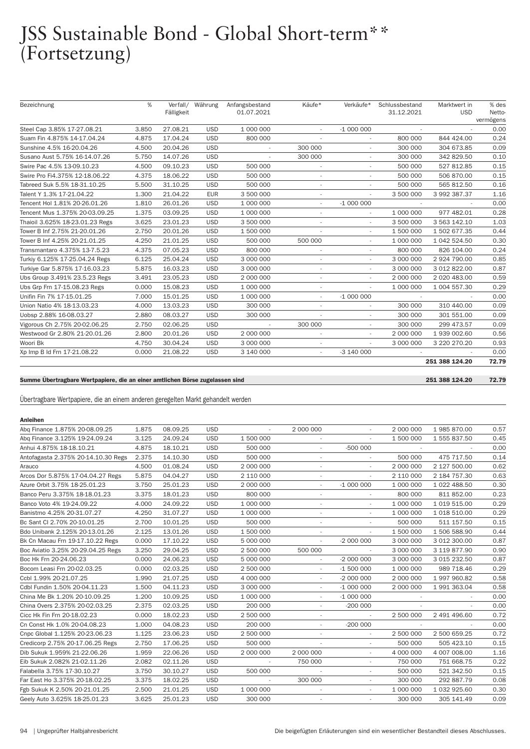## JSS Sustainable Bond - Global Short-term\*\* (Fortsetzung)

| Bezeichnung                     | %     | Verfall/   | Währung    | Anfangsbestand | Käufe*                   | Verkäufe*                | Schlussbestand | Marktwert in<br><b>USD</b> | % des               |
|---------------------------------|-------|------------|------------|----------------|--------------------------|--------------------------|----------------|----------------------------|---------------------|
|                                 |       | Fälligkeit |            | 01.07.2021     |                          |                          | 31.12.2021     |                            | Netto-<br>vermögens |
| Steel Cap 3.85% 17-27.08.21     | 3.850 | 27.08.21   | <b>USD</b> | 1 000 000      | $\sim$                   | $-1000000$               |                |                            | 0.00                |
| Suam Fin 4.875% 14-17.04.24     | 4.875 | 17.04.24   | <b>USD</b> | 800 000        |                          |                          | 800 000        | 844 424,00                 | 0.24                |
| Sunshine 4.5% 16-20.04.26       | 4.500 | 20.04.26   | <b>USD</b> |                | 300 000                  |                          | 300 000        | 304 673.85                 | 0.09                |
| Susano Aust 5.75% 16-14.07.26   | 5.750 | 14.07.26   | <b>USD</b> |                | 300 000                  |                          | 300 000        | 342 829.50                 | 0.10                |
| Swire Pac 4.5% 13-09.10.23      | 4.500 | 09.10.23   | <b>USD</b> | 500 000        | $\overline{\phantom{a}}$ | $\sim$                   | 500 000        | 527 812.85                 | 0.15                |
| Swire Pro Fi4.375% 12-18.06.22  | 4.375 | 18.06.22   | <b>USD</b> | 500 000        |                          |                          | 500 000        | 506 870.00                 | 0.15                |
| Tabreed Suk 5.5% 18-31.10.25    | 5.500 | 31.10.25   | <b>USD</b> | 500 000        | $\overline{\phantom{a}}$ | ÷.                       | 500 000        | 565 812.50                 | 0.16                |
| Talent Y 1.3% 17-21.04.22       | 1.300 | 21.04.22   | <b>EUR</b> | 3 500 000      |                          |                          | 3 500 000      | 3 992 387.37               | 1.16                |
| Tencent Hol 1.81% 20-26.01.26   | 1.810 | 26.01.26   | <b>USD</b> | 1 000 000      | $\sim$                   | $-1000000$               |                |                            | 0.00                |
| Tencent Mus 1.375% 20-03.09.25  | 1.375 | 03.09.25   | <b>USD</b> | 1 000 000      | $\overline{\phantom{a}}$ | $\sim$                   | 1 000 000      | 977 482.01                 | 0.28                |
| Thaioil 3.625% 18-23.01.23 Regs | 3.625 | 23.01.23   | <b>USD</b> | 3 500 000      |                          |                          | 3 500 000      | 3 563 142.10               | 1.03                |
| Tower B Inf 2.75% 21-20.01.26   | 2.750 | 20.01.26   | <b>USD</b> | 1 500 000      |                          | $\overline{\phantom{a}}$ | 1 500 000      | 1 502 677.35               | 0.44                |
| Tower B Inf 4.25% 20-21.01.25   | 4.250 | 21.01.25   | <b>USD</b> | 500 000        | 500 000                  | $\overline{\phantom{a}}$ | 1 000 000      | 1 042 524.50               | 0.30                |
| Transmantaro 4.375% 13-7.5.23   | 4.375 | 07.05.23   | <b>USD</b> | 800 000        | $\overline{\phantom{a}}$ | ٠                        | 800 000        | 826 104.00                 | 0.24                |
| Turkiy 6.125% 17-25.04.24 Regs  | 6.125 | 25.04.24   | <b>USD</b> | 3 000 000      | $\sim$                   | $\sim$                   | 3 000 000      | 2 924 790.00               | 0.85                |
| Turkiye Gar 5.875% 17-16.03.23  | 5.875 | 16.03.23   | <b>USD</b> | 3 000 000      |                          |                          | 3 000 000      | 3 012 822.00               | 0.87                |
| Ubs Group 3.491% 23.5.23 Regs   | 3.491 | 23.05.23   | <b>USD</b> | 2 000 000      |                          |                          | 2 000 000      | 2 020 483.00               | 0.59                |
| Ubs Grp Frn 17-15.08.23 Regs    | 0.000 | 15.08.23   | <b>USD</b> | 1 000 000      | $\sim$                   | ٠                        | 1 000 000      | 1 004 557.30               | 0.29                |
| Unifin Fin 7% 17-15.01.25       | 7.000 | 15.01.25   | <b>USD</b> | 1 000 000      | $\sim$                   | $-1000000$               |                |                            | 0.00                |
| Union Natio 4% 18-13.03.23      | 4.000 | 13.03.23   | <b>USD</b> | 300 000        |                          | ٠                        | 300 000        | 310 440.00                 | 0.09                |
| Uobsp 2.88% 16-08.03.27         | 2.880 | 08.03.27   | <b>USD</b> | 300 000        |                          | ٠                        | 300 000        | 301 551.00                 | 0.09                |
| Vigorous Ch 2.75% 20-02.06.25   | 2.750 | 02.06.25   | <b>USD</b> |                | 300 000                  |                          | 300 000        | 299 473.57                 | 0.09                |
| Westwood Gr 2.80% 21-20.01.26   | 2.800 | 20.01.26   | <b>USD</b> | 2 000 000      | $\sim$                   | $\overline{\phantom{a}}$ | 2 000 000      | 1 939 002.60               | 0.56                |
| Woori Bk                        | 4.750 | 30.04.24   | <b>USD</b> | 3 000 000      |                          | ٠                        | 3 000 000      | 3 220 270.20               | 0.93                |
| Xp Imp B Id Frn 17-21.08.22     | 0.000 | 21.08.22   | <b>USD</b> | 3 140 000      | $\overline{\phantom{a}}$ | $-3$ 140 000             |                |                            | 0.00                |
|                                 |       |            |            |                |                          |                          |                | 251 388 124.20             | 72.79               |

#### Summe Übertragbare Wertpapiere, die an einer amtlichen Börse zugelassen sind

251 388 124.20 72.79

Übertragbare Wertpapiere, die an einem anderen geregelten Markt gehandelt werden

#### Anleihen

| Abg Finance 1.875% 20-08.09.25      | 1.875 | 08.09.25 | <b>USD</b> | ÷.        | 2 000 000                |                          | 2 000 000 | 1985870.00   | 0.57 |
|-------------------------------------|-------|----------|------------|-----------|--------------------------|--------------------------|-----------|--------------|------|
| Abg Finance 3.125% 19-24.09.24      | 3.125 | 24.09.24 | <b>USD</b> | 1 500 000 | $\sim$                   |                          | 1 500 000 | 1 555 837.50 | 0.45 |
| Anhui 4.875% 18-18.10.21            | 4.875 | 18.10.21 | <b>USD</b> | 500 000   |                          | $-500000$                |           |              | 0.00 |
| Antofagasta 2.375% 20-14.10.30 Regs | 2.375 | 14.10.30 | <b>USD</b> | 500 000   | $\sim$                   | $\overline{\phantom{a}}$ | 500 000   | 475 717.50   | 0.14 |
| Arauco                              | 4.500 | 01.08.24 | <b>USD</b> | 2 000 000 |                          |                          | 2 000 000 | 2 127 500.00 | 0.62 |
| Arcos Dor 5.875% 17-04.04.27 Regs   | 5.875 | 04.04.27 | <b>USD</b> | 2 110 000 | $\overline{\phantom{a}}$ |                          | 2 110 000 | 2 184 757.30 | 0.63 |
| Azure Orbit 3.75% 18-25.01.23       | 3.750 | 25.01.23 | <b>USD</b> | 2 000 000 | $\overline{\phantom{a}}$ | $-1000000$               | 1 000 000 | 1 022 488.50 | 0.30 |
| Banco Peru 3.375% 18-18.01.23       | 3.375 | 18.01.23 | <b>USD</b> | 800 000   | $\overline{\phantom{a}}$ |                          | 800 000   | 811 852.00   | 0.23 |
| Banco Voto 4% 19-24.09.22           | 4.000 | 24.09.22 | <b>USD</b> | 1 000 000 | ٠                        | ٠                        | 1 000 000 | 1 019 515.00 | 0.29 |
| Banistmo 4.25% 20-31.07.27          | 4.250 | 31.07.27 | <b>USD</b> | 1 000 000 |                          |                          | 1 000 000 | 1 018 510.00 | 0.29 |
| Bc Sant Cl 2.70% 20-10.01.25        | 2.700 | 10.01.25 | <b>USD</b> | 500 000   | $\overline{\phantom{a}}$ |                          | 500 000   | 511 157.50   | 0.15 |
| Bdo Unibank 2.125% 20-13.01.26      | 2.125 | 13.01.26 | <b>USD</b> | 1 500 000 |                          |                          | 1 500 000 | 1506588.90   | 0.44 |
| Bk Cn Macau Frn 19-17.10.22 Regs    | 0.000 | 17.10.22 | <b>USD</b> | 5 000 000 | $\overline{\phantom{a}}$ | $-2000000$               | 3 000 000 | 3 012 300.00 | 0.87 |
| Boc Aviatio 3.25% 20-29.04.25 Regs  | 3.250 | 29.04.25 | <b>USD</b> | 2 500 000 | 500 000                  |                          | 3 000 000 | 3 119 877.90 | 0.90 |
| Boc Hk Frn 20-24.06.23              | 0.000 | 24.06.23 | <b>USD</b> | 5 000 000 | $\overline{\phantom{a}}$ | $-2000000$               | 3 000 000 | 3 015 232.50 | 0.87 |
| Bocom Leasi Frn 20-02.03.25         | 0.000 | 02.03.25 | <b>USD</b> | 2 500 000 |                          | $-1500000$               | 1 000 000 | 989 718.46   | 0.29 |
| Ccbl 1.99% 20-21.07.25              | 1.990 | 21.07.25 | <b>USD</b> | 4 000 000 | $\overline{\phantom{a}}$ | $-2000000$               | 2 000 000 | 1 997 960.82 | 0.58 |
| Cdbl Fundin 1.50% 20-04.11.23       | 1.500 | 04.11.23 | <b>USD</b> | 3 000 000 |                          | $-1000000$               | 2 000 000 | 1991363.04   | 0.58 |
| China Me Bk 1.20% 20-10.09.25       | 1.200 | 10.09.25 | <b>USD</b> | 1 000 000 | $\overline{\phantom{a}}$ | $-1000000$               |           |              | 0.00 |
| China Overs 2.375% 20-02.03.25      | 2.375 | 02.03.25 | <b>USD</b> | 200 000   | $\sim$                   | $-200000$                |           |              | 0.00 |
| Cicc Hk Fin Frn 20-18.02.23         | 0.000 | 18.02.23 | <b>USD</b> | 2 500 000 | $\overline{\phantom{a}}$ | $\overline{\phantom{a}}$ | 2 500 000 | 2 491 496.60 | 0.72 |
| Cn Const Hk 1.0% 20-04.08.23        | 1.000 | 04.08.23 | <b>USD</b> | 200 000   | $\overline{\phantom{a}}$ | $-200000$                |           |              | 0.00 |
| Cnpc Global 1.125% 20-23.06.23      | 1.125 | 23.06.23 | <b>USD</b> | 2 500 000 | $\overline{\phantom{a}}$ | $\overline{\phantom{a}}$ | 2 500 000 | 2 500 659.25 | 0.72 |
| Credicorp 2.75% 20-17.06.25 Regs    | 2.750 | 17.06.25 | <b>USD</b> | 500 000   |                          |                          | 500 000   | 505 423.10   | 0.15 |
| Dib Sukuk 1.959% 21-22.06.26        | 1.959 | 22.06.26 | <b>USD</b> | 2 000 000 | 2 000 000                |                          | 4 000 000 | 4 007 008.00 | 1.16 |
| Eib Sukuk 2.082% 21-02.11.26        | 2.082 | 02.11.26 | <b>USD</b> | $\sim$    | 750 000                  | ÷.                       | 750 000   | 751 668.75   | 0.22 |
| Falabella 3.75% 17-30.10.27         | 3.750 | 30.10.27 | <b>USD</b> | 500 000   |                          |                          | 500 000   | 521 342.50   | 0.15 |
| Far East Ho 3.375% 20-18.02.25      | 3.375 | 18.02.25 | <b>USD</b> | $\sim$    | 300 000                  | ٠                        | 300 000   | 292 887.79   | 0.08 |
| Fgb Sukuk K 2.50% 20-21.01.25       | 2.500 | 21.01.25 | <b>USD</b> | 1 000 000 | $\overline{\phantom{a}}$ |                          | 1 000 000 | 1 032 925.60 | 0.30 |
| Geelv Auto 3.625% 18-25.01.23       | 3.625 | 25.01.23 | <b>USD</b> | 300 000   | $\sim$                   | $\sim$                   | 300 000   | 305 141.49   | 0.09 |
|                                     |       |          |            |           |                          |                          |           |              |      |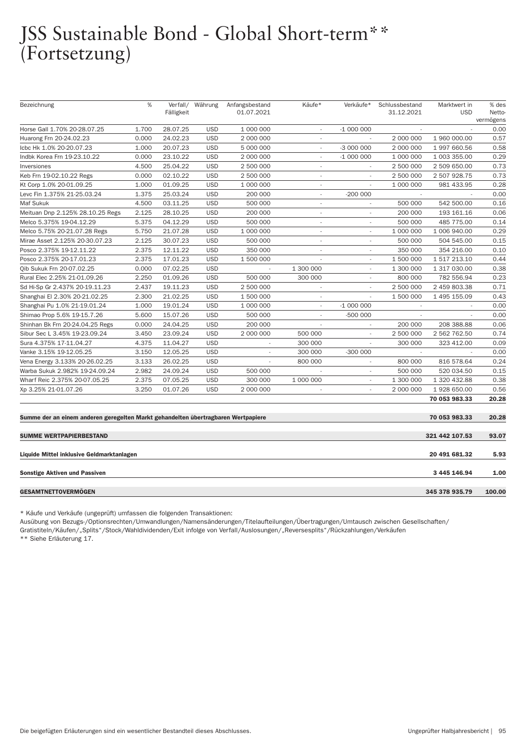## JSS Sustainable Bond - Global Short-term\*\* (Fortsetzung)

| Bezeichnung                                                                       | %     | Verfall/<br>Fälligkeit | Währung    | Anfangsbestand<br>01.07.2021 | Käufe*                   | Verkäufe*                | Schlussbestand<br>31.12.2021 | Marktwert in<br><b>USD</b> | % des<br>Netto- |
|-----------------------------------------------------------------------------------|-------|------------------------|------------|------------------------------|--------------------------|--------------------------|------------------------------|----------------------------|-----------------|
|                                                                                   |       |                        |            |                              |                          |                          |                              |                            | vermögens       |
| Horse Gall 1.70% 20-28.07.25                                                      | 1.700 | 28.07.25               | <b>USD</b> | 1 000 000                    | $\sim$                   | $-1000000$               |                              |                            | 0.00            |
| Huarong Frn 20-24.02.23                                                           | 0.000 | 24.02.23               | <b>USD</b> | 2 000 000                    | $\overline{\phantom{a}}$ |                          | 2 000 000                    | 1 960 000.00               | 0.57            |
| Icbc Hk 1.0% 20-20.07.23                                                          | 1.000 | 20.07.23               | <b>USD</b> | 5 000 000                    | $\overline{\phantom{a}}$ | -3 000 000               | 2 000 000                    | 1 997 660.56               | 0.58            |
| Indbk Korea Frn 19-23.10.22                                                       | 0.000 | 23.10.22               | <b>USD</b> | 2 000 000                    | $\sim$                   | $-1000000$               | 1 000 000                    | 1 003 355.00               | 0.29            |
| Inversiones                                                                       | 4.500 | 25.04.22               | <b>USD</b> | 2 500 000                    | $\overline{\phantom{a}}$ | $\sim$                   | 2 500 000                    | 2 509 650.00               | 0.73            |
| Keb Frn 19-02.10.22 Regs                                                          | 0.000 | 02.10.22               | <b>USD</b> | 2 500 000                    | $\overline{\phantom{a}}$ | $\overline{\phantom{a}}$ | 2 500 000                    | 2 507 928.75               | 0.73            |
| Kt Corp 1.0% 20-01.09.25                                                          | 1.000 | 01.09.25               | <b>USD</b> | 1 000 000                    | $\sim$                   | $\sim$                   | 1 000 000                    | 981 433.95                 | 0.28            |
| Levc Fin 1.375% 21-25.03.24                                                       | 1.375 | 25.03.24               | <b>USD</b> | 200 000                      | $\sim$                   | $-200000$                |                              |                            | 0.00            |
| Maf Sukuk                                                                         | 4.500 | 03.11.25               | <b>USD</b> | 500 000                      | $\overline{\phantom{a}}$ | $\overline{\phantom{a}}$ | 500 000                      | 542 500.00                 | 0.16            |
| Meituan Dnp 2.125% 28.10.25 Regs                                                  | 2.125 | 28.10.25               | <b>USD</b> | 200 000                      | $\overline{\phantom{a}}$ | $\overline{\phantom{a}}$ | 200 000                      | 193 161.16                 | 0.06            |
| Melco 5.375% 19-04.12.29                                                          | 5.375 | 04.12.29               | <b>USD</b> | 500 000                      | $\overline{\phantom{a}}$ |                          | 500 000                      | 485 775.00                 | 0.14            |
| Melco 5.75% 20-21.07.28 Regs                                                      | 5.750 | 21.07.28               | <b>USD</b> | 1 000 000                    | $\overline{\phantom{a}}$ |                          | 1 000 000                    | 1 006 940.00               | 0.29            |
| Mirae Asset 2.125% 20-30.07.23                                                    | 2.125 | 30.07.23               | <b>USD</b> | 500 000                      | $\overline{\phantom{a}}$ | ÷.                       | 500 000                      | 504 545.00                 | 0.15            |
| Posco 2.375% 19-12.11.22                                                          | 2.375 | 12.11.22               | <b>USD</b> | 350 000                      | $\overline{\phantom{a}}$ | ä,                       | 350 000                      | 354 216.00                 | 0.10            |
| Posco 2.375% 20-17.01.23                                                          | 2.375 | 17.01.23               | <b>USD</b> | 1 500 000                    | $\overline{\phantom{a}}$ | ÷,                       | 1 500 000                    | 1 517 213.10               | 0.44            |
| Oib Sukuk Frn 20-07.02.25                                                         | 0.000 | 07.02.25               | <b>USD</b> |                              | 1 300 000                |                          | 1 300 000                    | 1 317 030.00               | 0.38            |
| Rural Elec 2.25% 21-01.09.26                                                      | 2.250 | 01.09.26               | <b>USD</b> | 500 000                      | 300 000                  | ÷.                       | 800 000                      | 782 556.94                 | 0.23            |
| Sd Hi-Sp Gr 2.437% 20-19.11.23                                                    | 2.437 | 19.11.23               | <b>USD</b> | 2 500 000                    | $\overline{\phantom{a}}$ | $\overline{\phantom{a}}$ | 2 500 000                    | 2 459 803.38               | 0.71            |
| Shanghai El 2.30% 20-21.02.25                                                     | 2.300 | 21.02.25               | <b>USD</b> | 1 500 000                    | $\overline{\phantom{a}}$ | ÷.                       | 1 500 000                    | 1 495 155.09               | 0.43            |
| Shanghai Pu 1.0% 21-19.01.24                                                      | 1.000 | 19.01.24               | <b>USD</b> | 1 000 000                    |                          | $-1000000$               |                              |                            | 0.00            |
| Shimao Prop 5.6% 19-15.7.26                                                       | 5.600 | 15.07.26               | <b>USD</b> | 500 000                      | $\overline{\phantom{a}}$ | -500 000                 | $\overline{\phantom{a}}$     | $\sim$                     | 0.00            |
| Shinhan Bk Frn 20-24.04.25 Regs                                                   | 0.000 | 24.04.25               | <b>USD</b> | 200 000                      |                          |                          | 200 000                      | 208 388.88                 | 0.06            |
| Sibur Sec L 3.45% 19-23.09.24                                                     | 3.450 | 23.09.24               | <b>USD</b> | 2 000 000                    | 500 000                  | ٠                        | 2 500 000                    | 2 562 762.50               | 0.74            |
| Sura 4.375% 17-11.04.27                                                           | 4.375 | 11.04.27               | <b>USD</b> |                              | 300 000                  |                          | 300 000                      | 323 412.00                 | 0.09            |
| Vanke 3.15% 19-12.05.25                                                           | 3.150 | 12.05.25               | <b>USD</b> | $\overline{\phantom{a}}$     | 300 000                  | $-300000$                | $\overline{\phantom{a}}$     |                            | 0.00            |
| Vena Energy 3.133% 20-26.02.25                                                    | 3.133 | 26.02.25               | <b>USD</b> |                              | 800 000                  | ÷,                       | 800 000                      | 816 578.64                 | 0.24            |
| Warba Sukuk 2.982% 19-24.09.24                                                    | 2.982 | 24.09.24               | <b>USD</b> | 500 000                      |                          |                          | 500 000                      | 520 034.50                 | 0.15            |
| Wharf Reic 2.375% 20-07.05.25                                                     | 2.375 | 07.05.25               | <b>USD</b> | 300 000                      | 1 000 000                | L.                       | 1 300 000                    | 1 320 432.88               | 0.38            |
| Xp 3.25% 21-01.07.26                                                              | 3.250 | 01.07.26               | <b>USD</b> | 2 000 000                    | $\overline{\phantom{a}}$ | $\overline{\phantom{a}}$ | 2 000 000                    | 1 928 650.00               | 0.56            |
|                                                                                   |       |                        |            |                              |                          |                          |                              | 70 053 983.33              | 20.28           |
|                                                                                   |       |                        |            |                              |                          |                          |                              |                            |                 |
| Summe der an einem anderen geregelten Markt gehandelten übertragbaren Wertpapiere |       |                        |            |                              |                          |                          |                              | 70 053 983.33              | 20.28           |
| <b>SUMME WERTPAPIERBESTAND</b>                                                    |       |                        |            |                              |                          |                          |                              | 321 442 107.53             | 93.07           |
|                                                                                   |       |                        |            |                              |                          |                          |                              |                            |                 |
| Liquide Mittel inklusive Geldmarktanlagen                                         |       |                        |            |                              |                          |                          |                              | 20 491 681.32              | 5.93            |
| <b>Sonstige Aktiven und Passiven</b>                                              |       |                        |            |                              |                          |                          |                              | 3 445 146.94               | 1.00            |
| <b>GESAMTNETTOVERMÖGEN</b>                                                        |       |                        |            |                              |                          |                          |                              | 345 378 935.79             | 100.00          |

\* Käufe und Verkäufe (ungeprüft) umfassen die folgenden Transaktionen:

Ausübung von Bezugs-/Optionsrechten/Umwandlungen/Namensänderungen/Titelaufteilungen/Übertragungen/Umtausch zwischen Gesellschaften/ Gratistiteln/Käufen/"Splits"/Stock/Wahldividenden/Exit infolge von Verfall/Auslosungen/"Reversesplits"/Rückzahlungen/Verkäufen

\*\* Siehe Erläuterung 17.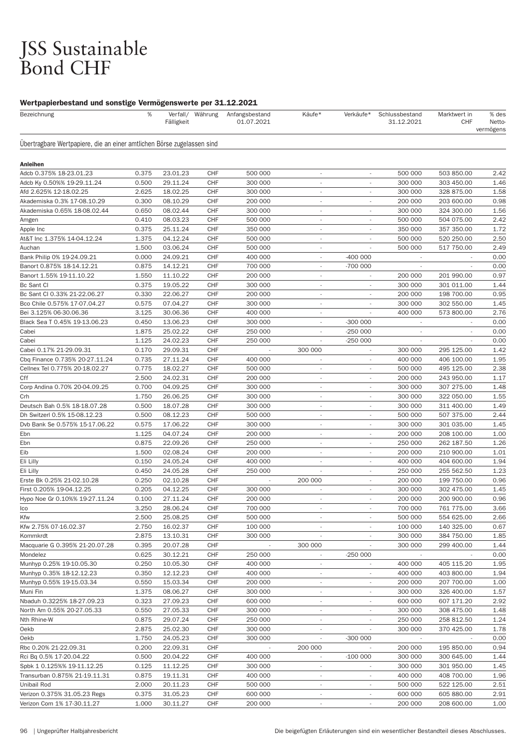# JSS Sustainable<br>Bond CHF

| Bezeichnung                                                            | %              | Fälligkeit           | Verfall/ Währung  | Anfangsbestand<br>01.07.2021 | Käufe*                                               | Verkäufe*                | Schlussbestand<br>31.12.2021 | Marktwert in<br><b>CHF</b> | % des<br>Netto-<br>vermögens |
|------------------------------------------------------------------------|----------------|----------------------|-------------------|------------------------------|------------------------------------------------------|--------------------------|------------------------------|----------------------------|------------------------------|
| Übertragbare Wertpapiere, die an einer amtlichen Börse zugelassen sind |                |                      |                   |                              |                                                      |                          |                              |                            |                              |
| <b>Anleihen</b>                                                        |                |                      |                   |                              |                                                      |                          |                              |                            |                              |
| Adcb 0.375% 18-23.01.23                                                | 0.375          | 23.01.23             | <b>CHF</b>        | 500 000                      | $\overline{\phantom{a}}$                             | $\overline{\phantom{a}}$ | 500 000                      | 503 850.00                 | 2.42                         |
| Adcb Ky 0.50%% 19-29.11.24                                             | 0.500          | 29.11.24             | CHF               | 300 000                      | $\overline{\phantom{a}}$                             |                          | 300 000                      | 303 450.00                 | 1.46                         |
| Afd 2.625% 12-18.02.25                                                 | 2.625          | 18.02.25             | CHF               | 300 000                      |                                                      |                          | 300 000                      | 328 875.00                 | 1.58                         |
| Akademiska 0.3% 17-08.10.29                                            | 0.300          | 08.10.29             | <b>CHF</b>        | 200 000                      | $\overline{\phantom{a}}$                             | $\overline{\phantom{a}}$ | 200 000                      | 203 600.00                 | 0.98                         |
| Akademiska 0.65% 18-08.02.44                                           | 0.650          | 08.02.44             | <b>CHF</b>        | 300 000                      | $\overline{\phantom{a}}$                             | $\overline{\phantom{a}}$ | 300 000                      | 324 300.00                 | 1.56                         |
| Amgen                                                                  | 0.410          | 08.03.23             | CHF               | 500 000                      | $\overline{\phantom{a}}$                             | ٠                        | 500 000                      | 504 075.00                 | 2.42                         |
| Apple Inc                                                              | 0.375          | 25.11.24             | CHF               | 350 000                      | $\overline{\phantom{a}}$                             |                          | 350 000                      | 357 350.00                 | 1.72                         |
| At&T Inc 1.375% 14-04.12.24                                            | 1.375          | 04.12.24             | <b>CHF</b>        | 500 000                      | $\overline{\phantom{a}}$                             | $\overline{\phantom{a}}$ | 500 000                      | 520 250.00                 | 2.50                         |
| Auchan                                                                 | 1.500          | 03.06.24             | <b>CHF</b>        | 500 000                      | $\overline{\phantom{a}}$                             |                          | 500 000                      | 517 750.00                 | 2.49                         |
| Bank Philip 0% 19-24.09.21                                             | 0.000          | 24.09.21             | <b>CHF</b>        | 400 000                      | $\sim$                                               | $-400000$                | $\overline{\phantom{a}}$     |                            | 0.00                         |
| Banort 0.875% 18-14.12.21                                              | 0.875          | 14.12.21             | CHF               | 700 000                      |                                                      | -700 000                 |                              |                            | 0.00                         |
| Banort 1.55% 19-11.10.22                                               | 1.550          | 11.10.22             | <b>CHF</b>        | 200 000                      | $\overline{\phantom{a}}$                             | $\overline{\phantom{a}}$ | 200 000                      | 201 990.00                 | 0.97                         |
| Bc Sant Cl                                                             | 0.375          | 19.05.22             | <b>CHF</b>        | 300 000                      | $\overline{\phantom{a}}$                             | $\overline{\phantom{a}}$ | 300 000                      | 301 011.00                 | 1.44                         |
| Bc Sant Cl 0.33% 21-22.06.27                                           | 0.330          | 22.06.27             | <b>CHF</b>        | 200 000                      | $\overline{\phantom{a}}$                             | ٠                        | 200 000                      | 198 700.00                 | 0.95                         |
| Bco Chile 0.575% 17-07.04.27                                           | 0.575          | 07.04.27             | CHF               | 300 000                      | $\overline{\phantom{a}}$                             |                          | 300 000                      | 302 550.00                 | 1.45                         |
| Bei 3.125% 06-30.06.36                                                 | 3.125          | 30.06.36             | <b>CHF</b>        | 400 000                      | $\overline{\phantom{a}}$                             |                          | 400 000                      | 573 800.00                 | 2.76                         |
| Black Sea T 0.45% 19-13.06.23                                          | 0.450          | 13.06.23             | <b>CHF</b>        | 300 000                      | $\overline{\phantom{a}}$                             | $-300000$                |                              |                            | 0.00                         |
| Cabei                                                                  | 1.875          | 25.02.22             | <b>CHF</b>        | 250 000                      | ٠                                                    | $-250000$                | ٠                            |                            | 0.00                         |
| Cabei                                                                  | 1.125          | 24.02.23             | <b>CHF</b>        | 250 000                      |                                                      | $-250000$                |                              |                            | 0.00                         |
| Cabei 0.17% 21-29.09.31                                                | 0.170          | 29.09.31             | <b>CHF</b>        | $\overline{\phantom{a}}$     | 300 000                                              | $\overline{\phantom{a}}$ | 300 000                      | 295 125.00                 | 1.42                         |
| Cbq Finance 0.735% 20-27.11.24                                         | 0.735          | 27.11.24             | <b>CHF</b>        | 400 000                      |                                                      | $\overline{\phantom{a}}$ | 400 000                      | 406 100.00                 | 1.95                         |
| Cellnex Tel 0.775% 20-18.02.27                                         | 0.775          | 18.02.27             | <b>CHF</b>        | 500 000                      | $\sim$                                               | ٠                        | 500 000                      | 495 125.00                 | 2.38                         |
| Cff                                                                    | 2.500          | 24.02.31             | CHF               | 200 000                      | $\overline{\phantom{a}}$                             | ٠                        | 200 000                      | 243 950.00                 | 1.17                         |
| Corp Andina 0.70% 20-04.09.25                                          | 0.700          | 04.09.25             | <b>CHF</b>        | 300 000                      | $\sim$                                               | $\sim$                   | 300 000                      | 307 275.00                 | 1.48                         |
| Crh                                                                    | 1.750          | 26.06.25             | <b>CHF</b>        | 300 000                      | $\overline{\phantom{a}}$                             | $\overline{\phantom{a}}$ | 300 000                      | 322 050.00                 | 1.55                         |
| Deutsch Bah 0.5% 18-18.07.28                                           | 0.500          | 18.07.28             | CHF               | 300 000                      | $\overline{\phantom{a}}$                             | ٠                        | 300 000                      | 311 400.00                 | 1.49                         |
| Dh Switzerl 0.5% 15-08.12.23                                           | 0.500          | 08.12.23             | CHF               | 500 000                      | $\sim$                                               | ٠                        | 500 000                      | 507 375.00                 | 2.44                         |
| Dvb Bank Se 0.575% 15-17.06.22                                         | 0.575          | 17.06.22             | <b>CHF</b>        | 300 000                      | $\sim$                                               | $\overline{\phantom{a}}$ | 300 000                      | 301 035.00                 | 1.45                         |
| Ebn                                                                    | 1.125          | 04.07.24             | <b>CHF</b>        | 200 000                      | $\sim$                                               | $\overline{\phantom{a}}$ | 200 000                      | 208 100.00                 | 1.00                         |
| Ebn                                                                    | 0.875          | 22.09.26             | <b>CHF</b>        | 250 000                      | $\overline{\phantom{a}}$                             | ٠                        | 250 000                      | 262 187.50                 | 1.26                         |
| Eib                                                                    | 1.500          | 02.08.24             | CHF               | 200 000                      | $\overline{\phantom{a}}$                             | ٠                        | 200 000                      | 210 900.00                 | 1.01                         |
| Eli Lilly                                                              | 0.150          | 24.05.24             | <b>CHF</b>        | 400 000                      | $\overline{\phantom{a}}$                             | $\sim$                   | 400 000                      | 404 600.00                 | 1.94                         |
| Eli Lilly                                                              | 0.450          | 24.05.28             | <b>CHF</b>        | 250 000                      | ٠                                                    | ٠                        | 250 000                      | 255 562.50                 | 1.23                         |
| Erste Bk 0.25% 21-02.10.28                                             | 0.250          | 02.10.28             | CHF               |                              | 200 000                                              | ٠                        | 200 000                      | 199 750.00                 | 0.96                         |
| First 0.205% 19-04.12.25                                               | 0.205          | 04.12.25             | CHF               | 300 000                      |                                                      |                          | 300 000                      | 302 475.00                 | 1.45                         |
| Hypo Noe Gr 0.10%% 19-27.11.24                                         | 0.100          | 27.11.24             | <b>CHF</b>        | 200 000                      | $\overline{\phantom{a}}$                             | ٠                        | 200 000                      | 200 900.00                 | 0.96                         |
| Ico                                                                    | 3.250          | 28.06.24             | CHF               | 700 000                      |                                                      | $\overline{\phantom{a}}$ | 700 000                      | 761 775.00                 | 3.66                         |
| Kfw                                                                    | 2.500          | 25.08.25             | <b>CHF</b>        | 500 000                      | $\overline{\phantom{a}}$                             |                          | 500 000                      | 554 625.00                 | 2.66                         |
| Kfw 2.75% 07-16.02.37                                                  | 2.750          | 16.02.37             | <b>CHF</b>        | 100 000                      | $\overline{\phantom{a}}$                             |                          | 100 000                      | 140 325.00                 | 0.67                         |
| Kommkrdt                                                               | 2.875          | 13.10.31             | <b>CHF</b>        | 300 000                      | $\overline{\phantom{a}}$                             | $\overline{\phantom{a}}$ | 300 000                      | 384 750.00                 | 1.85                         |
| Macquarie G 0.395% 21-20.07.28                                         | 0.395          | 20.07.28             | <b>CHF</b>        |                              | 300 000                                              |                          | 300 000                      | 299 400.00                 | 1.44                         |
| Mondelez                                                               | 0.625          | 30.12.21             | CHF               | 250 000                      |                                                      | $-250000$                |                              |                            | 0.00                         |
| Munhyp 0.25% 19-10.05.30                                               | 0.250          | 10.05.30             | CHF               | 400 000<br>400 000           | $\overline{\phantom{a}}$                             | $\overline{\phantom{a}}$ | 400 000                      | 405 115.20                 | 1.95                         |
| Munhyp 0.35% 18-12.12.23                                               | 0.350          | 12.12.23             | <b>CHF</b>        |                              | $\overline{\phantom{a}}$                             | $\overline{\phantom{a}}$ | 400 000                      | 403 800.00                 | 1.94                         |
| Munhyp 0.55% 19-15.03.34                                               | 0.550          | 15.03.34             | <b>CHF</b>        | 200 000                      | $\overline{\phantom{a}}$                             | $\overline{\phantom{a}}$ | 200 000                      | 207 700.00                 | 1.00                         |
| Muni Fin                                                               | 1.375          | 08.06.27             | CHF               | 300 000                      | $\overline{\phantom{a}}$                             |                          | 300 000                      | 326 400.00<br>607 171.20   | 1.57                         |
| Nbaduh 0.3225% 18-27.09.23<br>North Am 0.55% 20-27.05.33               | 0.323          | 27.09.23             | <b>CHF</b>        | 600 000                      | $\overline{\phantom{a}}$                             | $\overline{\phantom{a}}$ | 600 000<br>300 000           |                            | 2.92<br>1.48                 |
|                                                                        | 0.550          | 27.05.33             | <b>CHF</b>        | 300 000                      | $\overline{\phantom{a}}$                             | ÷                        |                              | 308 475.00                 |                              |
| Nth Rhine-W                                                            | 0.875          | 29.07.24             | <b>CHF</b>        | 250 000                      | $\overline{\phantom{a}}$                             | $\overline{\phantom{a}}$ | 250 000                      | 258 812.50                 | 1.24                         |
| Oekb                                                                   | 2.875          | 25.02.30             | <b>CHF</b>        | 300 000                      | $\overline{\phantom{a}}$                             |                          | 300 000                      | 370 425.00                 | 1.78                         |
| Oekb                                                                   | 1.750          | 24.05.23             | <b>CHF</b>        | 300 000                      | $\overline{\phantom{a}}$                             | $-300000$                | $\sim$                       |                            | 0.00                         |
| Rbc 0.20% 21-22.09.31                                                  | 0.200          | 22.09.31             | CHF               | $\sim$                       | 200 000                                              |                          | 200 000                      | 195 850.00                 | 0.94                         |
| Rci Bq 0.5% 17-20.04.22                                                | 0.500<br>0.125 | 20.04.22<br>11.12.25 | <b>CHF</b><br>CHF | 400 000                      | $\overline{\phantom{a}}$<br>$\overline{\phantom{a}}$ | $-100000$                | 300 000                      | 300 645.00                 | 1.44<br>1.45                 |
| Spbk 1 0.125%% 19-11.12.25<br>Transurban 0.875% 21-19.11.31            | 0.875          | 19.11.31             | CHF               | 300 000<br>400 000           | $\overline{\phantom{a}}$                             |                          | 300 000<br>400 000           | 301 950.00<br>408 700.00   | 1.96                         |
| Unibail Rod                                                            | 2.000          | 20.11.23             | CHF               | 500 000                      | $\overline{\phantom{a}}$                             |                          | 500 000                      | 522 125.00                 | 2.51                         |
| Verizon 0.375% 31.05.23 Regs                                           | 0.375          | 31.05.23             | <b>CHF</b>        | 600 000                      | $\overline{\phantom{a}}$                             | ۰                        | 600 000                      | 605 880.00                 | 2.91                         |
| Verizon Com 1% 17-30.11.27                                             | 1.000          | 30.11.27             | CHF               | 200 000                      |                                                      | $\overline{\phantom{a}}$ | 200 000                      | 208 600.00                 | 1.00                         |
|                                                                        |                |                      |                   |                              |                                                      |                          |                              |                            |                              |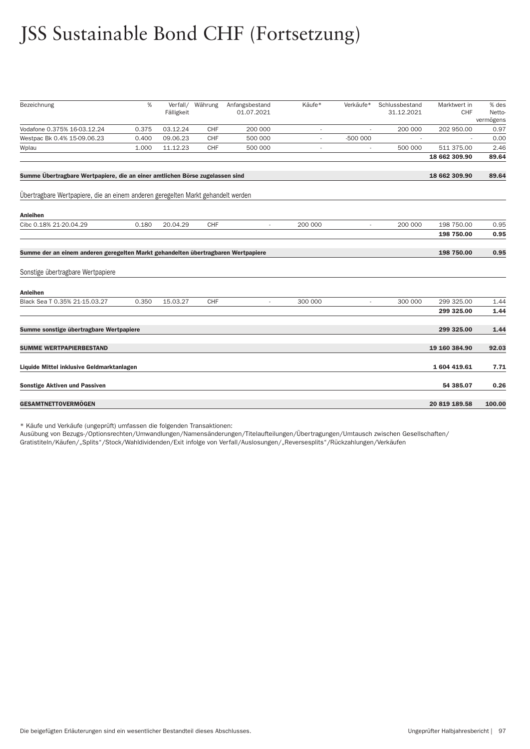# JSS Sustainable Bond CHF (Fortsetzung)

| Bezeichnung                                                                       | %     | Verfall/<br>Fälligkeit | Währung | Anfangsbestand<br>01.07.2021 | Käufe*                   | Verkäufe*                | Schlussbestand<br>31.12.2021 | Marktwert in<br><b>CHF</b> | % des<br>Netto-<br>vermögens |
|-----------------------------------------------------------------------------------|-------|------------------------|---------|------------------------------|--------------------------|--------------------------|------------------------------|----------------------------|------------------------------|
| Vodafone 0.375% 16-03.12.24                                                       | 0.375 | 03.12.24               | CHF     | 200 000                      | $\overline{\phantom{a}}$ | $\overline{a}$           | 200 000                      | 202 950.00                 | 0.97                         |
| Westpac Bk 0.4% 15-09.06.23                                                       | 0.400 | 09.06.23               | CHF     | 500 000                      |                          | $-500000$                |                              |                            | 0.00                         |
| Wplau                                                                             | 1.000 | 11.12.23               | CHF     | 500 000                      |                          | $\overline{\phantom{a}}$ | 500 000                      | 511 375.00                 | 2.46                         |
|                                                                                   |       |                        |         |                              |                          |                          |                              | 18 662 309.90              | 89.64                        |
| Summe Übertragbare Wertpapiere, die an einer amtlichen Börse zugelassen sind      |       |                        |         |                              |                          |                          |                              | 18 662 309.90              | 89.64                        |
| Übertragbare Wertpapiere, die an einem anderen geregelten Markt gehandelt werden  |       |                        |         |                              |                          |                          |                              |                            |                              |
| <b>Anleihen</b>                                                                   |       |                        |         |                              |                          |                          |                              |                            |                              |
| Cibc 0.18% 21-20.04.29                                                            | 0.180 | 20.04.29               | CHF     | $\overline{\phantom{a}}$     | 200 000                  | $\overline{\phantom{a}}$ | 200 000                      | 198 750.00                 | 0.95                         |
|                                                                                   |       |                        |         |                              |                          |                          |                              | 198 750.00                 | 0.95                         |
| Summe der an einem anderen geregelten Markt gehandelten übertragbaren Wertpapiere |       |                        |         |                              |                          |                          |                              | 198 750.00                 | 0.95                         |
| Sonstige übertragbare Wertpapiere                                                 |       |                        |         |                              |                          |                          |                              |                            |                              |
| <b>Anleihen</b>                                                                   |       |                        |         |                              |                          |                          |                              |                            |                              |
| Black Sea T 0.35% 21-15.03.27                                                     | 0.350 | 15.03.27               | CHF     | $\sim$                       | 300 000                  | $\overline{\phantom{a}}$ | 300 000                      | 299 325.00                 | 1.44                         |
|                                                                                   |       |                        |         |                              |                          |                          |                              | 299 325.00                 | 1.44                         |
| Summe sonstige übertragbare Wertpapiere                                           |       |                        |         |                              |                          |                          |                              | 299 325.00                 | 1.44                         |
| <b>SUMME WERTPAPIERBESTAND</b>                                                    |       |                        |         |                              |                          |                          |                              | 19 160 384.90              | 92.03                        |
| Liquide Mittel inklusive Geldmarktanlagen                                         |       |                        |         |                              |                          |                          |                              | 1 604 419.61               | 7.71                         |
| <b>Sonstige Aktiven und Passiven</b>                                              |       |                        |         |                              |                          |                          |                              | 54 385.07                  | 0.26                         |
| <b>GESAMTNETTOVERMÖGEN</b>                                                        |       |                        |         |                              |                          |                          |                              | 20 819 189.58              | 100.00                       |
|                                                                                   |       |                        |         |                              |                          |                          |                              |                            |                              |

\* Käufe und Verkäufe (ungeprüft) umfassen die folgenden Transaktionen:

Ausübung von Bezugs-/Optionsrechten/Umwandlungen/Namensänderungen/Titelaufteilungen/Über tragungen/Umtausch zwischen Gesellschaften/

Gratistiteln/Käufen/"Splits"/Stock/Wahldividenden/Exit infolge von Ver fall/Auslosungen/"Reversesplits"/Rückzahlungen/Verkäufen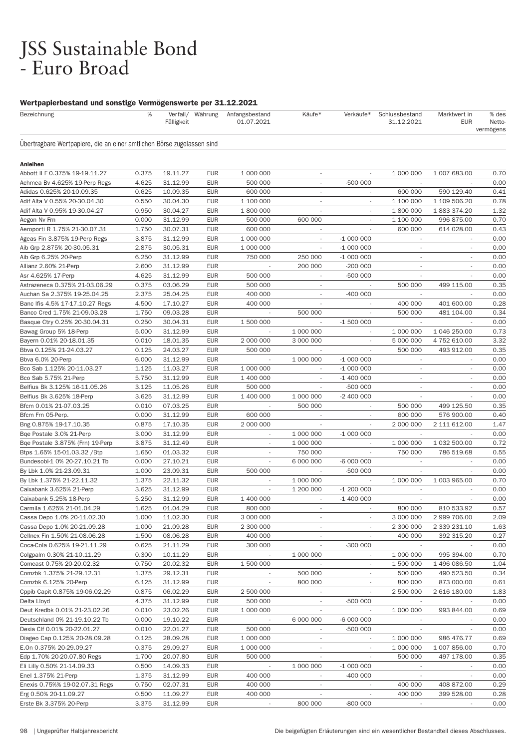# JSS Sustainable Bond<br>- Euro Broad

| Bezeichnung                                                            | %              | Fälligkeit           | Verfall/ Währung         | Anfangsbestand<br>01.07.2021                         | Käufe*                   | Verkäufe*                              | Schlussbestand<br>31.12.2021 | Marktwert in<br><b>EUR</b> | % des<br>Netto-<br>vermögens |
|------------------------------------------------------------------------|----------------|----------------------|--------------------------|------------------------------------------------------|--------------------------|----------------------------------------|------------------------------|----------------------------|------------------------------|
| Übertragbare Wertpapiere, die an einer amtlichen Börse zugelassen sind |                |                      |                          |                                                      |                          |                                        |                              |                            |                              |
| <b>Anleihen</b>                                                        |                |                      |                          |                                                      |                          |                                        |                              |                            |                              |
| Abbott II F 0.375% 19-19.11.27                                         | 0.375          | 19.11.27             | <b>EUR</b>               | 1 000 000                                            | $\overline{\phantom{a}}$ | $\overline{\phantom{a}}$               | 1 000 000                    | 1 007 683.00               | 0.70                         |
| Achmea Bv 4.625% 19-Perp Regs                                          | 4.625          | 31.12.99             | <b>EUR</b>               | 500 000                                              | $\overline{\phantom{a}}$ | $-500000$                              |                              |                            | 0.00                         |
| Adidas 0.625% 20-10.09.35                                              | 0.625          | 10.09.35             | <b>EUR</b>               | 600 000                                              |                          |                                        | 600 000                      | 590 129.40                 | 0.41                         |
| Adif Alta V 0.55% 20-30.04.30                                          | 0.550          | 30.04.30             | <b>EUR</b>               | 1 100 000                                            | $\sim$                   | $\overline{\phantom{a}}$               | 1 100 000                    | 1 109 506.20               | 0.78                         |
| Adif Alta V 0.95% 19-30.04.27                                          | 0.950          | 30.04.27             | <b>EUR</b>               | 1 800 000                                            | $\overline{\phantom{a}}$ | $\overline{\phantom{a}}$               | 1 800 000                    | 1883374.20                 | 1.32                         |
| Aegon Nv Frn                                                           | 0.000          | 31.12.99             | <b>EUR</b>               | 500 000                                              | 600 000                  | ٠                                      | 1 100 000                    | 996 875.00                 | 0.70                         |
| Aeroporti R 1.75% 21-30.07.31                                          | 1.750          | 30.07.31             | <b>EUR</b>               | 600 000                                              |                          |                                        | 600 000                      | 614 028.00                 | 0.43                         |
| Ageas Fin 3.875% 19-Perp Regs                                          | 3.875          | 31.12.99             | <b>EUR</b>               | 1 000 000                                            | $\overline{\phantom{a}}$ | $-1000000$                             | $\sim$                       | $\overline{\phantom{a}}$   | 0.00                         |
| Aib Grp 2.875% 20-30.05.31                                             | 2.875          | 30.05.31             | <b>EUR</b>               | 1 000 000                                            | $\overline{\phantom{a}}$ | $-1000000$                             | $\overline{\phantom{a}}$     | $\overline{\phantom{a}}$   | 0.00                         |
| Aib Grp 6.25% 20-Perp                                                  | 6.250          | 31.12.99             | <b>EUR</b>               | 750 000                                              | 250 000                  | $-1000000$                             | ٠                            | $\sim$                     | 0.00                         |
| Allianz 2.60% 21-Perp                                                  | 2.600          | 31.12.99             | <b>EUR</b>               |                                                      | 200 000                  | $-200000$                              |                              |                            | 0.00                         |
| Asr 4.625% 17-Perp                                                     | 4.625          | 31.12.99             | <b>EUR</b>               | 500 000                                              | $\overline{\phantom{a}}$ | -500 000                               | $\sim$                       | $\sim$                     | 0.00                         |
| Astrazeneca 0.375% 21-03.06.29                                         | 0.375          | 03.06.29             | <b>EUR</b>               | 500 000                                              | $\overline{\phantom{a}}$ |                                        | 500 000                      | 499 115.00                 | 0.35                         |
| Auchan Sa 2.375% 19-25.04.25                                           | 2.375          | 25.04.25             | <b>EUR</b>               | 400 000                                              | $\overline{\phantom{a}}$ | $-400000$                              | $\sim$                       |                            | 0.00                         |
| Banc Ifis 4.5% 17-17.10.27 Regs                                        | 4.500          | 17.10.27             | <b>EUR</b>               | 400 000                                              |                          |                                        | 400 000                      | 401 600.00                 | 0.28                         |
| Banco Cred 1.75% 21-09.03.28                                           | 1.750          | 09.03.28             | <b>EUR</b>               | $\overline{\phantom{a}}$                             | 500 000                  | $\sim$                                 | 500 000                      | 481 104.00                 | 0.34                         |
| Basque Ctry 0.25% 20-30.04.31                                          | 0.250          | 30.04.31             | <b>EUR</b>               | 1 500 000                                            | $\overline{\phantom{a}}$ | $-1500000$                             |                              |                            | 0.00                         |
| Bawag Group 5% 18-Perp                                                 | 5.000          | 31.12.99             | <b>EUR</b>               | $\sim$                                               | 1 000 000                | ٠                                      | 1 000 000                    | 1 046 250.00               | 0.73                         |
| Bayern 0.01% 20-18.01.35                                               | 0.010          | 18.01.35             | <b>EUR</b>               | 2 000 000                                            | 3 000 000                |                                        | 5 000 000                    | 4 752 610.00               | 3.32                         |
| Bbva 0.125% 21-24.03.27                                                | 0.125          | 24.03.27             | <b>EUR</b>               | 500 000                                              | $\overline{\phantom{a}}$ | ٠                                      | 500 000                      | 493 912.00                 | 0.35                         |
| Bbva 6.0% 20-Perp                                                      | 6.000          | 31.12.99             | <b>EUR</b>               |                                                      | 1 000 000                | $-1000000$                             | $\overline{\phantom{a}}$     |                            | 0.00                         |
| Bco Sab 1.125% 20-11.03.27                                             | 1.125          | 11.03.27             | <b>EUR</b>               | 1 000 000                                            |                          | $-1000000$                             | $\overline{\phantom{a}}$     | ٠                          | 0.00                         |
| Bco Sab 5.75% 21-Perp                                                  | 5.750          | 31.12.99             | <b>EUR</b>               | 1 400 000                                            |                          | $-1400000$                             |                              |                            | 0.00                         |
| Belfius Bk 3.125% 16-11.05.26                                          | 3.125          | 11.05.26             | <b>EUR</b>               | 500 000                                              | $\overline{\phantom{a}}$ | -500 000                               | $\sim$                       | $\sim$                     | 0.00                         |
| Belfius Bk 3.625% 18-Perp                                              | 3.625          | 31.12.99             | <b>EUR</b>               | 1 400 000                                            | 1 000 000                | -2 400 000                             | $\sim$                       |                            | 0.00                         |
| Bfcm 0.01% 21-07.03.25                                                 | 0.010          | 07.03.25             | <b>EUR</b>               | $\sim$                                               | 500 000                  | ٠                                      | 500 000                      | 499 125.50                 | 0.35                         |
| Bfcm Frn 05-Perp.                                                      | 0.000          | 31.12.99             | <b>EUR</b>               | 600 000                                              |                          |                                        | 600 000                      | 576 900.00                 | 0.40                         |
| Bng 0.875% 19-17.10.35                                                 | 0.875          | 17.10.35             | <b>EUR</b><br><b>EUR</b> | 2 000 000                                            | $\overline{\phantom{a}}$ | $\overline{\phantom{a}}$               | 2 000 000                    | 2 111 612.00               | 1.47<br>0.00                 |
| Bge Postale 3.0% 21-Perp                                               | 3.000<br>3.875 | 31.12.99<br>31.12.49 | <b>EUR</b>               | $\overline{\phantom{a}}$<br>$\overline{\phantom{a}}$ | 1 000 000<br>1 000 000   | $-1000000$<br>$\overline{\phantom{a}}$ | 1 000 000                    | 1 032 500.00               | 0.72                         |
| Bqe Postale 3.875% (Frn) 19-Perp<br>Btps 1.65% 15-01.03.32 / Btp       | 1.650          | 01.03.32             | <b>EUR</b>               | $\overline{\phantom{a}}$                             | 750 000                  |                                        | 750 000                      | 786 519.68                 | 0.55                         |
| Bundesobl-1 0% 20-27.10.21 Tb                                          | 0.000          | 27.10.21             | <b>EUR</b>               | $\overline{\phantom{a}}$                             | 6 000 000                | -6 000 000                             | $\sim$                       | $\overline{\phantom{a}}$   | 0.00                         |
| By Lbk 1.0% 21-23.09.31                                                | 1.000          | 23.09.31             | <b>EUR</b>               | 500 000                                              |                          | -500 000                               |                              |                            | 0.00                         |
| By Lbk 1.375% 21-22.11.32                                              | 1.375          | 22.11.32             | <b>EUR</b>               | ٠                                                    | 1 000 000                | $\overline{\phantom{a}}$               | 1 000 000                    | 1 003 965.00               | 0.70                         |
| Caixabank 3.625% 21-Perp                                               | 3.625          | 31.12.99             | <b>EUR</b>               |                                                      | 1 200 000                | $-1200000$                             |                              |                            | 0.00                         |
| Caixabank 5.25% 18-Perp                                                | 5.250          | 31.12.99             | <b>EUR</b>               | 1 400 000                                            | $\overline{\phantom{a}}$ | $-1400000$                             | $\overline{\phantom{a}}$     | $\overline{\phantom{a}}$   | 0.00                         |
| Carmila 1.625% 21-01.04.29                                             | 1.625          | 01.04.29             | <b>EUR</b>               | 800 000                                              |                          |                                        | 800 000                      | 810 533.92                 | 0.57                         |
| Cassa Depo 1.0% 20-11.02.30                                            | 1.000          | 11.02.30             | <b>EUR</b>               | 3 000 000                                            | $\overline{\phantom{a}}$ |                                        | 3 000 000                    | 2 999 706.00               | 2.09                         |
| Cassa Depo 1.0% 20-21.09.28                                            | 1.000          | 21.09.28             | <b>EUR</b>               | 2 300 000                                            | ÷.                       |                                        | 2 300 000                    | 2 339 231.10               | 1.63                         |
| Cellnex Fin 1.50% 21-08.06.28                                          | 1.500          | 08.06.28             | <b>EUR</b>               | 400 000                                              | $\overline{\phantom{a}}$ |                                        | 400 000                      | 392 315.20                 | 0.27                         |
| Coca-Cola 0.625% 19-21.11.29                                           | 0.625          | 21.11.29             | <b>EUR</b>               | 300 000                                              | $\overline{\phantom{a}}$ | $-300000$                              |                              |                            | 0.00                         |
| Colgpalm 0.30% 21-10.11.29                                             | 0.300          | 10.11.29             | <b>EUR</b>               |                                                      | 1 000 000                |                                        | 1 000 000                    | 995 394.00                 | 0.70                         |
| Comcast 0.75% 20-20.02.32                                              | 0.750          | 20.02.32             | <b>EUR</b>               | 1 500 000                                            |                          | L.                                     | 1 500 000                    | 1 496 086.50               | 1.04                         |
| Comzbk 1.375% 21-29.12.31                                              | 1.375          | 29.12.31             | <b>EUR</b>               |                                                      | 500 000                  | $\sim$                                 | 500 000                      | 490 523.50                 | 0.34                         |
| Comzbk 6.125% 20-Perp                                                  | 6.125          | 31.12.99             | <b>EUR</b>               | $\overline{\phantom{a}}$                             | 800 000                  |                                        | 800 000                      | 873 000.00                 | 0.61                         |
| Cppib Capit 0.875% 19-06.02.29                                         | 0.875          | 06.02.29             | EUR                      | 2 500 000                                            | $\sim$                   |                                        | 2 500 000                    | 2 616 180.00               | 1.83                         |
| Delta Lloyd                                                            | 4.375          | 31.12.99             | <b>EUR</b>               | 500 000                                              | $\sim$                   | -500 000                               |                              |                            | 0.00                         |
| Deut Kredbk 0.01% 21-23.02.26                                          | 0.010          | 23.02.26             | EUR                      | 1 000 000                                            | $\overline{\phantom{a}}$ |                                        | 1 000 000                    | 993 844.00                 | 0.69                         |
| Deutschland 0% 21-19.10.22 Tb                                          | 0.000          | 19.10.22             | <b>EUR</b>               | $\overline{\phantom{a}}$                             | 6 000 000                | -6 000 000                             |                              |                            | 0.00                         |
| Dexia Clf 0.01% 20-22.01.27                                            | 0.010          | 22.01.27             | <b>EUR</b>               | 500 000                                              |                          | -500 000                               |                              |                            | 0.00                         |
| Diageo Cap 0.125% 20-28.09.28                                          | 0.125          | 28.09.28             | <b>EUR</b>               | 1 000 000                                            | $\sim$                   | $\sim$                                 | 1 000 000                    | 986 476.77                 | 0.69                         |
| E.On 0.375% 20-29.09.27                                                | 0.375          | 29.09.27             | <b>EUR</b>               | 1 000 000                                            | $\overline{\phantom{a}}$ | $\overline{\phantom{a}}$               | 1 000 000                    | 1 007 856.00               | 0.70                         |
| Edp 1.70% 20-20.07.80 Regs                                             | 1.700          | 20.07.80             | <b>EUR</b>               | 500 000                                              | $\sim$                   | $\overline{\phantom{a}}$               | 500 000                      | 497 178.00                 | 0.35                         |
| Eli Lilly 0.50% 21-14.09.33                                            | 0.500          | 14.09.33             | EUR                      |                                                      | 1 000 000                | $-1000000$                             |                              |                            | 0.00                         |
| Enel 1.375% 21-Perp                                                    | 1.375          | 31.12.99             | <b>EUR</b>               | 400 000                                              | $\sim$                   | $-400000$                              | $\overline{\phantom{a}}$     |                            | 0.00                         |
| Enexis 0.75%% 19-02.07.31 Regs                                         | 0.750          | 02.07.31             | EUR                      | 400 000                                              | $\overline{\phantom{a}}$ | $\overline{\phantom{a}}$               | 400 000                      | 408 872.00                 | 0.29                         |
| Erg 0.50% 20-11.09.27                                                  | 0.500          | 11.09.27             | EUR                      | 400 000                                              |                          |                                        | 400 000                      | 399 528.00                 | 0.28                         |
| Erste Bk 3.375% 20-Perp                                                | 3.375          | 31.12.99             | EUR                      |                                                      | 800 000                  | -800 000                               |                              |                            | 0.00                         |
|                                                                        |                |                      |                          |                                                      |                          |                                        |                              |                            |                              |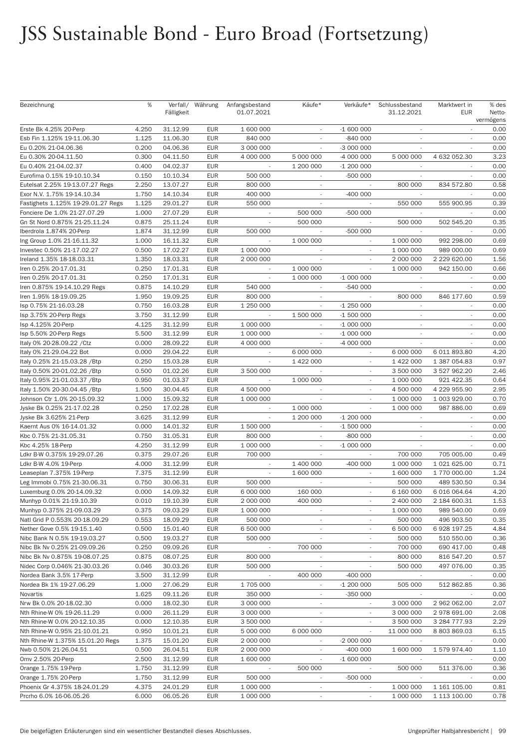## JSS Sustainable Bond - Euro Broad (Fortsetzung)

| Bezeichnung                        | %     | Fälligkeit | Verfall/ Währung | Anfangsbestand<br>01.07.2021 | Käufe*                      | Verkäufe*                | Schlussbestand<br>31.12.2021 | Marktwert in<br><b>EUR</b>  | % des<br>Netto-<br>vermögens |
|------------------------------------|-------|------------|------------------|------------------------------|-----------------------------|--------------------------|------------------------------|-----------------------------|------------------------------|
| Erste Bk 4.25% 20-Perp             | 4.250 | 31.12.99   | <b>EUR</b>       | 1 600 000                    | $\sim$                      | $-1600000$               | $\overline{\phantom{a}}$     |                             | 0.00                         |
| Esb Fin 1.125% 19-11.06.30         | 1.125 | 11.06.30   | <b>EUR</b>       | 840 000                      |                             | -840 000                 |                              |                             | 0.00                         |
| Eu 0.20% 21-04.06.36               | 0.200 | 04.06.36   | <b>EUR</b>       | 3 000 000                    | $\overline{\phantom{a}}$    | -3 000 000               | $\overline{\phantom{a}}$     | $\overline{\phantom{a}}$    | 0.00                         |
| Eu 0.30% 20-04.11.50               | 0.300 | 04.11.50   | <b>EUR</b>       | 4 000 000                    | 5 000 000                   | -4 000 000               | 5 000 000                    | 4 632 052.30                | 3.23                         |
| Eu 0.40% 21-04.02.37               | 0.400 | 04.02.37   | <b>EUR</b>       |                              | 1 200 000                   | $-1200000$               |                              |                             | 0.00                         |
| Eurofima 0.15% 19-10.10.34         | 0.150 | 10.10.34   | <b>EUR</b>       | 500 000                      |                             | -500 000                 |                              |                             | 0.00                         |
| Eutelsat 2.25% 19-13.07.27 Regs    | 2.250 | 13.07.27   | <b>EUR</b>       | 800 000                      | $\sim$                      | $\overline{\phantom{a}}$ | 800 000                      | 834 572.80                  | 0.58                         |
| Exor N.V. 1.75% 19-14.10.34        | 1.750 | 14.10.34   | <b>EUR</b>       | 400 000                      | $\overline{\phantom{a}}$    | $-400000$                |                              |                             | 0.00                         |
| Fastighets 1.125% 19-29.01.27 Regs | 1.125 | 29.01.27   | <b>EUR</b>       | 550 000                      |                             |                          | 550 000                      | 555 900.95                  | 0.39                         |
| Fonciere De 1.0% 21-27.07.29       | 1.000 | 27.07.29   | <b>EUR</b>       |                              | 500 000                     | -500 000                 |                              |                             | 0.00                         |
| Gn St Nord 0.875% 21-25.11.24      | 0.875 | 25.11.24   | <b>EUR</b>       | $\overline{\phantom{a}}$     | 500 000                     | $\overline{\phantom{a}}$ | 500 000                      | 502 545.20                  | 0.35                         |
| Iberdrola 1.874% 20-Perp           | 1.874 | 31.12.99   | <b>EUR</b>       | 500 000                      |                             | -500 000                 |                              |                             | 0.00                         |
| Ing Group 1.0% 21-16.11.32         | 1.000 | 16.11.32   | <b>EUR</b>       |                              | 1 000 000                   |                          | 1 000 000                    | 992 298.00                  | 0.69                         |
| Investec 0.50% 21-17.02.27         | 0.500 | 17.02.27   | <b>EUR</b>       | 1 000 000                    |                             |                          | 1 000 000                    | 989 000.00                  | 0.69                         |
| Ireland 1.35% 18-18.03.31          | 1.350 | 18.03.31   | <b>EUR</b>       | 2 000 000                    | $\overline{\phantom{a}}$    | $\overline{\phantom{a}}$ | 2 000 000                    | 2 229 620.00                | 1.56                         |
| Iren 0.25% 20-17.01.31             | 0.250 | 17.01.31   | <b>EUR</b>       |                              | 1 000 000                   |                          | 1 000 000                    | 942 150.00                  | 0.66                         |
| Iren 0.25% 20-17.01.31             | 0.250 | 17.01.31   | <b>EUR</b>       |                              | 1 000 000                   | $-1000000$               | $\overline{\phantom{a}}$     |                             | 0.00                         |
| Iren 0.875% 19-14.10.29 Regs       | 0.875 | 14.10.29   | <b>EUR</b>       | 540 000                      |                             | -540 000                 |                              |                             | 0.00                         |
| Iren 1.95% 18-19.09.25             | 1.950 | 19.09.25   | <b>EUR</b>       | 800 000                      | $\sim$                      |                          | 800 000                      | 846 177.60                  | 0.59                         |
| Isp 0.75% 21-16.03.28              | 0.750 | 16.03.28   | <b>EUR</b>       | 1 250 000                    | $\overline{\phantom{a}}$    | $-1250000$               | ٠                            |                             | 0.00                         |
| Isp 3.75% 20-Perp Regs             | 3.750 | 31.12.99   | <b>EUR</b>       |                              | 1 500 000                   | $-1500000$               | $\overline{\phantom{a}}$     |                             | 0.00                         |
| Isp 4.125% 20-Perp                 | 4.125 | 31.12.99   | <b>EUR</b>       | 1 000 000                    |                             | $-1000000$               | $\overline{\phantom{a}}$     |                             | 0.00                         |
| Isp 5.50% 20-Perp Regs             | 5.500 | 31.12.99   | <b>EUR</b>       | 1 000 000                    | $\overline{\phantom{a}}$    | $-1000000$               | $\sim$                       | $\overline{\phantom{a}}$    | 0.00                         |
| Italy 0% 20-28.09.22 / Ctz         | 0.000 | 28.09.22   | <b>EUR</b>       | 4 000 000                    |                             | -4 000 000               |                              |                             | 0.00                         |
| Italy 0% 21-29.04.22 Bot           | 0.000 | 29.04.22   | <b>EUR</b>       |                              | 6 000 000                   |                          | 6 000 000                    | 6 011 893.80                | 4.20                         |
| Italy 0.25% 21-15.03.28 / Btp      | 0.250 | 15.03.28   | <b>EUR</b>       |                              | 1 422 000                   | $\sim$                   | 1 422 000                    | 1 387 054.83                | 0.97                         |
| Italy 0.50% 20-01.02.26 / Btp      | 0.500 | 01.02.26   | <b>EUR</b>       | 3 500 000                    |                             | $\overline{\phantom{a}}$ | 3 500 000                    | 3 527 962.20                | 2.46                         |
| Italy 0.95% 21-01.03.37 / Btp      | 0.950 | 01.03.37   | <b>EUR</b>       |                              | 1 000 000                   | $\overline{\phantom{a}}$ | 1 000 000                    | 921 422.35                  | 0.64                         |
| Italy 1.50% 20-30.04.45 / Btp      | 1.500 | 30.04.45   | <b>EUR</b>       | 4 500 000                    |                             |                          | 4 500 000                    | 4 229 955.90                | 2.95                         |
| Johnson Ctr 1.0% 20-15.09.32       | 1.000 | 15.09.32   | <b>EUR</b>       | 1 000 000                    | $\sim$                      |                          | 1 000 000                    | 1 003 929.00                | 0.70                         |
| Jyske Bk 0.25% 21-17.02.28         | 0.250 | 17.02.28   | <b>EUR</b>       | $\overline{\phantom{a}}$     | 1 000 000                   | $\overline{\phantom{a}}$ | 1 000 000                    | 987 886.00                  | 0.69                         |
| Jyske Bk 3.625% 21-Perp            | 3.625 | 31.12.99   | <b>EUR</b>       | $\overline{\phantom{a}}$     | 1 200 000                   | -1 200 000               |                              |                             | 0.00                         |
| Kaernt Aus 0% 16-14.01.32          | 0.000 | 14.01.32   | <b>EUR</b>       | 1 500 000                    | $\overline{\phantom{a}}$    | -1 500 000               |                              |                             | 0.00                         |
| Kbc 0.75% 21-31.05.31              | 0.750 | 31.05.31   | <b>EUR</b>       | 800 000                      | $\mathcal{L}_{\mathcal{A}}$ | $-800000$                | $\overline{\phantom{a}}$     | $\mathcal{L}_{\mathcal{A}}$ | 0.00                         |
| Kbc 4.25% 18-Perp                  | 4.250 | 31.12.99   | <b>EUR</b>       | 1 000 000                    | $\overline{\phantom{a}}$    | $-1000000$               | $\sim$                       |                             | 0.00                         |
| Ldkr B-W 0.375% 19-29.07.26        | 0.375 | 29.07.26   | <b>EUR</b>       | 700 000                      |                             |                          | 700 000                      | 705 005.00                  | 0.49                         |
| Ldkr B-W 4.0% 19-Perp              | 4.000 | 31.12.99   | <b>EUR</b>       |                              | 1 400 000                   | $-400000$                | 1 000 000                    | 1 021 625.00                | 0.71                         |
| Leaseplan 7.375% 19-Perp           | 7.375 | 31.12.99   | <b>EUR</b>       | $\mathcal{L}_{\mathcal{A}}$  | 1 600 000                   | $\overline{\phantom{a}}$ | 1 600 000                    | 1 770 000.00                | 1.24                         |
| Leg Immobi 0.75% 21-30.06.31       | 0.750 | 30.06.31   | <b>EUR</b>       | 500 000                      |                             | $\overline{\phantom{a}}$ | 500 000                      | 489 530.50                  | 0.34                         |
| Luxemburg 0.0% 20-14.09.32         | 0.000 | 14.09.32   | <b>EUR</b>       | 6 000 000                    | 160 000                     | $\sim$                   | 6 160 000                    | 6 016 064.64                | 4.20                         |
| Munhyp 0.01% 21-19.10.39           | 0.010 | 19.10.39   | <b>EUR</b>       | 2 000 000                    | 400 000                     |                          | 2 400 000                    | 2 184 600.31                | 1.53                         |
| Munhyp 0.375% 21-09.03.29          | 0.375 | 09.03.29   | <b>EUR</b>       | 1 000 000                    | $\overline{\phantom{a}}$    | $\overline{\phantom{a}}$ | 1 000 000                    | 989 540.00                  | 0.69                         |
| Natl Grid P 0.553% 20-18.09.29     | 0.553 | 18.09.29   | <b>EUR</b>       | 500 000                      | $\overline{\phantom{a}}$    | ÷                        | 500 000                      | 496 903.50                  | 0.35                         |
| Nether Gove 0.5% 19-15.1.40        | 0.500 | 15.01.40   | <b>EUR</b>       | 6 500 000                    | $\overline{\phantom{a}}$    |                          | 6 500 000                    | 6 928 197.25                | 4.84                         |
| Nibc Bank N 0.5% 19-19.03.27       | 0.500 | 19.03.27   | <b>EUR</b>       | 500 000                      |                             |                          | 500 000                      | 510 550.00                  | 0.36                         |
| Nibc Bk Nv 0.25% 21-09.09.26       | 0.250 | 09.09.26   | <b>EUR</b>       |                              | 700 000                     | $\overline{\phantom{a}}$ | 700 000                      | 690 417.00                  | 0.48                         |
| Nibc Bk Nv 0.875% 19-08.07.25      | 0.875 | 08.07.25   | <b>EUR</b>       | 800 000                      | $\overline{\phantom{a}}$    | $\overline{\phantom{a}}$ | 800 000                      | 816 547.20                  | 0.57                         |
| Nidec Corp 0.046% 21-30.03.26      | 0.046 | 30.03.26   | <b>EUR</b>       | 500 000                      | $\overline{\phantom{a}}$    |                          | 500 000                      | 497 076.00                  | 0.35                         |
| Nordea Bank 3.5% 17-Perp           | 3.500 | 31.12.99   | <b>EUR</b>       |                              | 400 000                     | $-400000$                |                              |                             | 0.00                         |
| Nordea Bk 1% 19-27.06.29           | 1.000 | 27.06.29   | <b>EUR</b>       | 1705 000                     | $\overline{\phantom{a}}$    | $-1200000$               | 505 000                      | 512 862.85                  | 0.36                         |
| Novartis                           | 1.625 | 09.11.26   | <b>EUR</b>       | 350 000                      | $\overline{\phantom{a}}$    | $-350000$                | $\overline{\phantom{a}}$     |                             | 0.00                         |
| Nrw Bk 0.0% 20-18.02.30            | 0.000 | 18.02.30   | <b>EUR</b>       | 3 000 000                    | $\overline{\phantom{a}}$    | $\overline{\phantom{a}}$ | 3 000 000                    | 2 962 062.00                | 2.07                         |
| Nth Rhine-W 0% 19-26.11.29         | 0.000 | 26.11.29   | <b>EUR</b>       | 3 000 000                    |                             |                          | 3 000 000                    | 2 978 691.00                | 2.08                         |
| Nth Rhine-W 0.0% 20-12.10.35       | 0.000 | 12.10.35   | <b>EUR</b>       | 3 500 000                    | $\overline{\phantom{a}}$    |                          | 3 500 000                    | 3 284 777.93                | 2.29                         |
| Nth Rhine-W 0.95% 21-10.01.21      | 0.950 | 10.01.21   | <b>EUR</b>       | 5 000 000                    | 6 000 000                   | $\overline{\phantom{a}}$ | 11 000 000                   | 8 803 869.03                | 6.15                         |
| Nth Rhine-W 1.375% 15.01.20 Regs   | 1.375 | 15.01.20   | <b>EUR</b>       | 2 000 000                    |                             | $-2000000$               |                              |                             | 0.00                         |
| Nwb 0.50% 21-26.04.51              | 0.500 | 26.04.51   | <b>EUR</b>       | 2 000 000                    |                             | $-400000$                | 1 600 000                    | 1579974.40                  | 1.10                         |
| Omv 2.50% 20-Perp                  | 2.500 | 31.12.99   | <b>EUR</b>       | 1 600 000                    | $\overline{\phantom{a}}$    | $-1600000$               | $\overline{\phantom{a}}$     |                             | 0.00                         |
| Orange 1.75% 19-Perp               | 1.750 | 31.12.99   | <b>EUR</b>       |                              | 500 000                     |                          | 500 000                      | 511 376.00                  | 0.36                         |
| Orange 1.75% 20-Perp               | 1.750 | 31.12.99   | <b>EUR</b>       | 500 000                      | $\overline{\phantom{a}}$    | $-500000$                | $\sim$                       |                             | 0.00                         |
| Phoenix Gr 4.375% 18-24.01.29      | 4.375 | 24.01.29   | <b>EUR</b>       | 1 000 000                    |                             |                          | 1 000 000                    | 1 161 105.00                | 0.81                         |
| Prcrho 6.0% 16-06.05.26            | 6.000 | 06.05.26   | <b>EUR</b>       | 1 000 000                    | $\overline{\phantom{a}}$    | $\overline{\phantom{a}}$ | 1 000 000                    | 1 113 100.00                | 0.78                         |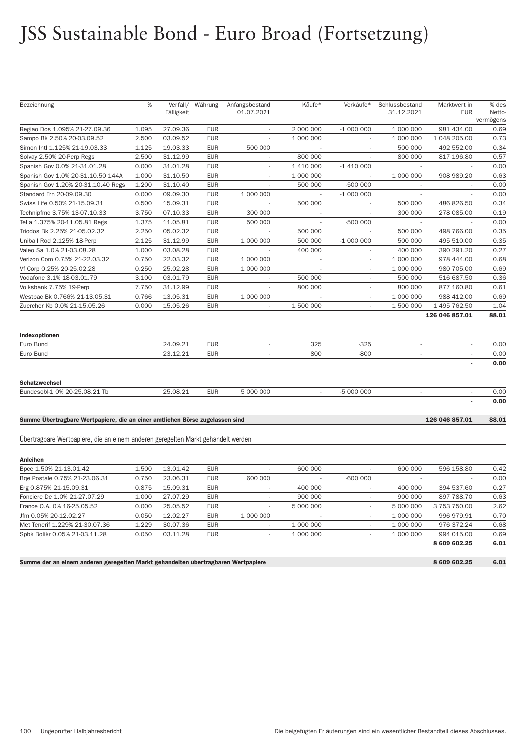## JSS Sustainable Bond - Euro Broad (Fortsetzung)

| Bezeichnung                                                                       | %     |            | Verfall/ Währung | Anfangsbestand           | Käufe*                   | Verkäufe*                | Schlussbestand           | Marktwert in   | % des             |
|-----------------------------------------------------------------------------------|-------|------------|------------------|--------------------------|--------------------------|--------------------------|--------------------------|----------------|-------------------|
|                                                                                   |       | Fälligkeit |                  | 01.07.2021               |                          |                          | 31.12.2021               | EUR            | Netto-            |
| Regiao Dos 1.095% 21-27.09.36                                                     | 1.095 | 27.09.36   | <b>EUR</b>       | $\overline{\phantom{a}}$ | 2 000 000                | $-1000000$               | 1 000 000                | 981 434.00     | vermögens<br>0.69 |
| Sampo Bk 2.50% 20-03.09.52                                                        | 2.500 | 03.09.52   | <b>EUR</b>       |                          | 1 000 000                |                          | 1 000 000                | 1 048 205.00   | 0.73              |
| Simon Intl 1.125% 21-19.03.33                                                     | 1.125 | 19.03.33   | <b>EUR</b>       | 500 000                  |                          |                          | 500 000                  | 492 552.00     | 0.34              |
| Solvay 2.50% 20-Perp Regs                                                         | 2.500 | 31.12.99   | <b>EUR</b>       | $\overline{\phantom{a}}$ | 800 000                  | ×,                       | 800 000                  | 817 196.80     | 0.57              |
| Spanish Gov 0.0% 21-31.01.28                                                      | 0.000 | 31.01.28   | <b>EUR</b>       | $\overline{\phantom{a}}$ | 1 410 000                | $-1410000$               |                          |                | 0.00              |
| Spanish Gov 1.0% 20-31.10.50 144A                                                 | 1.000 | 31.10.50   | <b>EUR</b>       | $\overline{\phantom{a}}$ | 1 000 000                | $\overline{\phantom{a}}$ | 1 000 000                | 908 989.20     | 0.63              |
| Spanish Gov 1.20% 20-31.10.40 Regs                                                | 1.200 | 31.10.40   | <b>EUR</b>       |                          | 500 000                  | -500 000                 |                          |                | 0.00              |
| Standard Frn 20-09.09.30                                                          | 0.000 | 09.09.30   | <b>EUR</b>       | 1 000 000                | $\overline{\phantom{a}}$ | $-1000000$               | $\overline{\phantom{a}}$ |                | 0.00              |
| Swiss Life 0.50% 21-15.09.31                                                      | 0.500 | 15.09.31   | <b>EUR</b>       |                          | 500 000                  |                          | 500 000                  | 486 826.50     | 0.34              |
| Technipfmc 3.75% 13-07.10.33                                                      | 3.750 | 07.10.33   | <b>EUR</b>       | 300 000                  | $\overline{\phantom{a}}$ |                          | 300 000                  | 278 085.00     | 0.19              |
| Telia 1.375% 20-11.05.81 Regs                                                     | 1.375 | 11.05.81   | <b>EUR</b>       | 500 000                  |                          | -500 000                 |                          |                | 0.00              |
| Triodos Bk 2.25% 21-05.02.32                                                      | 2.250 | 05.02.32   | <b>EUR</b>       | $\overline{\phantom{a}}$ | 500 000                  | $\overline{\phantom{a}}$ | 500 000                  | 498 766.00     | 0.35              |
| Unibail Rod 2.125% 18-Perp                                                        | 2.125 | 31.12.99   | <b>EUR</b>       | 1 000 000                | 500 000                  | $-1000000$               | 500 000                  | 495 510.00     | 0.35              |
| Valeo Sa 1.0% 21-03.08.28                                                         | 1.000 | 03.08.28   | <b>EUR</b>       | $\overline{\phantom{a}}$ | 400 000                  |                          | 400 000                  | 390 291.20     | 0.27              |
| Verizon Com 0.75% 21-22.03.32                                                     | 0.750 | 22.03.32   | <b>EUR</b>       | 1 000 000                |                          |                          | 1 000 000                | 978 444.00     | 0.68              |
| Vf Corp 0.25% 20-25.02.28                                                         | 0.250 | 25.02.28   | <b>EUR</b>       | 1 000 000                | $\overline{\phantom{a}}$ | $\overline{\phantom{a}}$ | 1 000 000                | 980 705.00     | 0.69              |
| Vodafone 3.1% 18-03.01.79                                                         | 3.100 | 03.01.79   | <b>EUR</b>       |                          | 500 000                  | $\overline{\phantom{a}}$ | 500 000                  | 516 687.50     | 0.36              |
| Volksbank 7.75% 19-Perp                                                           | 7.750 | 31.12.99   | <b>EUR</b>       | $\sim$                   | 800 000                  | $\overline{\phantom{a}}$ | 800 000                  | 877 160.80     | 0.61              |
| Westpac Bk 0.766% 21-13.05.31                                                     | 0.766 | 13.05.31   | <b>EUR</b>       | 1 000 000                |                          |                          | 1 000 000                | 988 412.00     | 0.69              |
| Zuercher Kb 0.0% 21-15.05.26                                                      | 0.000 | 15.05.26   | <b>EUR</b>       | $\overline{\phantom{a}}$ | 1 500 000                | $\overline{\phantom{a}}$ | 1 500 000                | 1 495 762.50   | 1.04              |
|                                                                                   |       |            |                  |                          |                          |                          |                          | 126 046 857.01 | 88.01             |
|                                                                                   |       |            |                  |                          |                          |                          |                          |                |                   |
| Indexoptionen<br>Euro Bund                                                        |       | 24.09.21   | <b>EUR</b>       |                          | 325                      | $-325$                   |                          |                | 0.00              |
| Euro Bund                                                                         |       | 23.12.21   | <b>EUR</b>       | $\sim$                   | 800                      | $-800$                   | $\sim$                   | $\sim$         | 0.00              |
|                                                                                   |       |            |                  |                          |                          |                          |                          |                | 0.00              |
|                                                                                   |       |            |                  |                          |                          |                          |                          |                |                   |
| <b>Schatzwechsel</b>                                                              |       |            |                  |                          |                          |                          |                          |                |                   |
| Bundesobl-1 0% 20-25.08.21 Tb                                                     |       | 25.08.21   | <b>EUR</b>       | 5 000 000                |                          | -5 000 000               | $\sim$                   | $\sim$         | 0.00              |
|                                                                                   |       |            |                  |                          |                          |                          |                          |                | 0.00              |
| Summe Übertragbare Wertpapiere, die an einer amtlichen Börse zugelassen sind      |       |            |                  |                          |                          |                          |                          | 126 046 857.01 | 88.01             |
| Übertragbare Wertpapiere, die an einem anderen geregelten Markt gehandelt werden  |       |            |                  |                          |                          |                          |                          |                |                   |
|                                                                                   |       |            |                  |                          |                          |                          |                          |                |                   |
| <b>Anleihen</b>                                                                   |       |            |                  |                          |                          |                          |                          |                |                   |
| Bpce 1.50% 21-13.01.42                                                            | 1.500 | 13.01.42   | <b>EUR</b>       | $\overline{\phantom{a}}$ | 600 000                  |                          | 600 000                  | 596 158.80     | 0.42              |
| Bge Postale 0.75% 21-23.06.31                                                     | 0.750 | 23.06.31   | <b>EUR</b>       | 600 000                  |                          | $-600000$                |                          |                | 0.00              |
| Erg 0.875% 21-15.09.31                                                            | 0.875 | 15.09.31   | <b>EUR</b>       |                          | 400 000                  |                          | 400 000                  | 394 537.60     | 0.27              |
| Fonciere De 1.0% 21-27.07.29                                                      | 1.000 | 27.07.29   | <b>EUR</b>       |                          | 900 000                  |                          | 900 000                  | 897 788.70     | 0.63              |
| France O.A. 0% 16-25.05.52                                                        | 0.000 | 25.05.52   | <b>EUR</b>       | $\overline{\phantom{a}}$ | 5 000 000                | $\overline{\phantom{a}}$ | 5 000 000                | 3 753 750.00   | 2.62              |
| Jfm 0.05% 20-12.02.27                                                             | 0.050 | 12.02.27   | <b>EUR</b>       | 1 000 000                |                          |                          | 1 000 000                | 996 979.91     | 0.70              |
| Met Tenerif 1.229% 21-30.07.36                                                    | 1.229 | 30.07.36   | <b>EUR</b>       | $\sim$                   | 1 000 000                |                          | 1 000 000                | 976 372.24     | 0.68              |
| Spbk Bolikr 0.05% 21-03.11.28                                                     | 0.050 | 03.11.28   | EUR              | $\overline{\phantom{a}}$ | 1 000 000                | $\overline{\phantom{a}}$ | 1 000 000                | 994 015.00     | 0.69              |
|                                                                                   |       |            |                  |                          |                          |                          |                          | 8 609 602.25   | 6.01              |
| Summe der an einem anderen geregelten Markt gehandelten übertragbaren Wertpapiere |       |            |                  |                          |                          |                          |                          | 8 609 602.25   | 6.01              |
|                                                                                   |       |            |                  |                          |                          |                          |                          |                |                   |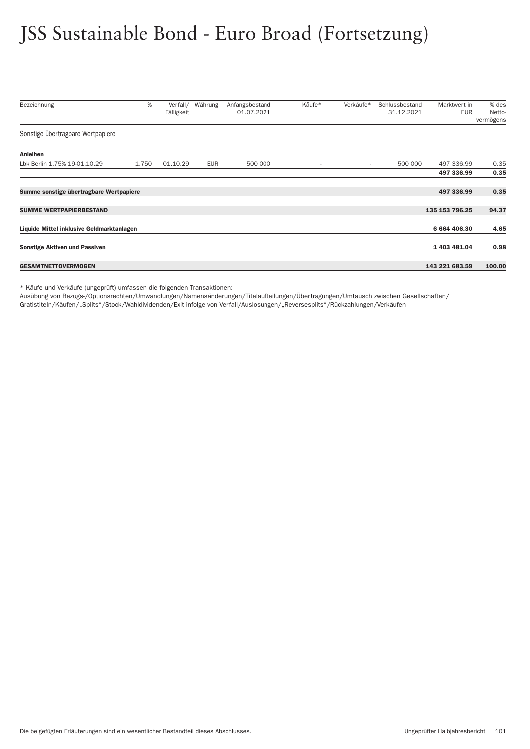## JSS Sustainable Bond - Euro Broad (Fortsetzung)

| Bezeichnung                               | %     | Verfall/   | Währung | Anfangsbestand | Käufe* | Verkäufe*                | Schlussbestand | Marktwert in   | % des               |
|-------------------------------------------|-------|------------|---------|----------------|--------|--------------------------|----------------|----------------|---------------------|
|                                           |       | Fälligkeit |         | 01.07.2021     |        |                          | 31.12.2021     | <b>EUR</b>     | Netto-<br>vermögens |
| Sonstige übertragbare Wertpapiere         |       |            |         |                |        |                          |                |                |                     |
| Anleihen                                  |       |            |         |                |        |                          |                |                |                     |
| Lbk Berlin 1.75% 19-01.10.29              | 1.750 | 01.10.29   | EUR     | 500 000        |        | $\overline{\phantom{a}}$ | 500 000        | 497 336.99     | 0.35                |
|                                           |       |            |         |                |        |                          |                | 497 336.99     | 0.35                |
| Summe sonstige übertragbare Wertpapiere   |       |            |         |                |        |                          |                | 497 336.99     | 0.35                |
| <b>SUMME WERTPAPIERBESTAND</b>            |       |            |         |                |        |                          |                | 135 153 796.25 | 94.37               |
| Liquide Mittel inklusive Geldmarktanlagen |       |            |         |                |        |                          |                | 6 664 406.30   | 4.65                |
| <b>Sonstige Aktiven und Passiven</b>      |       |            |         |                |        |                          |                | 1 403 481.04   | 0.98                |
| <b>GESAMTNETTOVERMÖGEN</b>                |       |            |         |                |        |                          |                | 143 221 683.59 | 100.00              |

\* Käufe und Verkäufe (ungeprüft) umfassen die folgenden Transaktionen:

Ausübung von Bezugs-/Optionsrechten/Umwandlungen/Namensänderungen/Titelaufteilungen/Über tragungen/Umtausch zwischen Gesellschaften/ Gratistiteln/Käufen/"Splits"/Stock/Wahldividenden/Exit infolge von Ver fall/Auslosungen/"Reversesplits"/Rückzahlungen/Verkäufen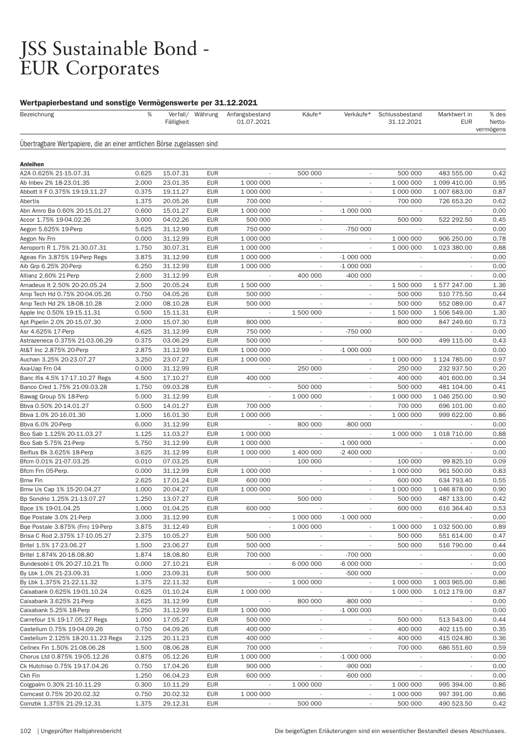# JSS Sustainable Bond -<br>EUR Corporates

| Bezeichnung                                                            | $\%$           | Fälligkeit           | Verfall/ Währung         | Anfangsbestand<br>01.07.2021 | Käufe*                   | Verkäufe*                | Schlussbestand<br>31.12.2021 | Marktwert in<br><b>EUR</b> | % des<br>Netto-<br>vermögens |
|------------------------------------------------------------------------|----------------|----------------------|--------------------------|------------------------------|--------------------------|--------------------------|------------------------------|----------------------------|------------------------------|
| Übertragbare Wertpapiere, die an einer amtlichen Börse zugelassen sind |                |                      |                          |                              |                          |                          |                              |                            |                              |
| <b>Anleihen</b>                                                        |                |                      |                          |                              |                          |                          |                              |                            |                              |
| A2A 0.625% 21-15.07.31                                                 | 0.625          | 15.07.31             | <b>EUR</b>               |                              | 500 000                  | $\overline{\phantom{a}}$ | 500 000                      | 483 555.00                 | 0.42                         |
| Ab Inbev 2% 18-23.01.35                                                | 2.000          | 23.01.35             | <b>EUR</b>               | 1 000 000                    | $\overline{\phantom{a}}$ |                          | 1 000 000                    | 1 099 410.00               | 0.95                         |
| Abbott II F 0.375% 19-19.11.27                                         | 0.375          | 19.11.27             | <b>EUR</b>               | 1 000 000                    | $\overline{\phantom{a}}$ |                          | 1 000 000                    | 1 007 683.00               | 0.87                         |
| Abertis                                                                | 1.375          | 20.05.26             | <b>EUR</b>               | 700 000                      | $\sim$                   |                          | 700 000                      | 726 653.20                 | 0.62                         |
| Abn Amro Ba 0.60% 20-15.01.27                                          | 0.600          | 15.01.27             | <b>EUR</b>               | 1 000 000                    | $\overline{\phantom{a}}$ | $-1000000$               | $\overline{\phantom{a}}$     |                            | 0.00                         |
| Accor 1.75% 19-04.02.26                                                | 3.000          | 04.02.26             | <b>EUR</b>               | 500 000                      | $\overline{\phantom{a}}$ |                          | 500 000                      | 522 292.50                 | 0.45                         |
| Aegon 5.625% 19-Perp                                                   | 5.625          | 31.12.99             | <b>EUR</b>               | 750 000                      |                          | -750 000                 |                              |                            | 0.00                         |
| Aegon Nv Frn                                                           | 0.000          | 31.12.99             | <b>EUR</b>               | 1 000 000                    | $\overline{\phantom{a}}$ |                          | 1 000 000                    | 906 250.00                 | 0.78                         |
| Aeroporti R 1.75% 21-30.07.31                                          | 1.750          | 30.07.31             | <b>EUR</b>               | 1 000 000                    | $\overline{\phantom{a}}$ |                          | 1 000 000                    | 1 023 380.00               | 0.88                         |
| Ageas Fin 3.875% 19-Perp Regs                                          | 3.875          | 31.12.99             | <b>EUR</b>               | 1 000 000                    | $\overline{\phantom{a}}$ | $-1000000$               |                              |                            | 0.00                         |
| Aib Grp 6.25% 20-Perp                                                  | 6.250          | 31.12.99             | <b>EUR</b>               | 1 000 000                    |                          | $-1000000$               |                              |                            | 0.00                         |
| Allianz 2.60% 21-Perp                                                  | 2.600          | 31.12.99             | <b>EUR</b>               |                              | 400 000                  | $-400000$                |                              |                            | 0.00                         |
| Amadeus It 2.50% 20-20.05.24                                           | 2.500          | 20.05.24             | <b>EUR</b>               | 1 500 000                    | $\overline{\phantom{a}}$ | $\overline{\phantom{a}}$ | 1 500 000                    | 1 577 247.00               | 1.36                         |
| Amp Tech Hd 0.75% 20-04.05.26                                          | 0.750          | 04.05.26             | <b>EUR</b>               | 500 000                      | $\overline{\phantom{a}}$ | $\overline{\phantom{a}}$ | 500 000                      | 510 775.50                 | 0.44                         |
| Amp Tech Hd 2% 18-08.10.28                                             | 2.000          | 08.10.28             | <b>EUR</b>               | 500 000                      |                          |                          | 500 000                      | 552 089.00                 | 0.47                         |
| Apple Inc 0.50% 19-15.11.31                                            | 0.500          | 15.11.31             | <b>EUR</b>               | ÷,                           | 1 500 000                | $\overline{\phantom{a}}$ | 1 500 000                    | 1 506 549.00               | 1.30                         |
| Apt Pipelin 2.0% 20-15.07.30                                           | 2.000          | 15.07.30             | <b>EUR</b>               | 800 000                      | $\overline{\phantom{a}}$ |                          | 800 000                      | 847 249.60                 | 0.73                         |
| Asr 4.625% 17-Perp                                                     | 4.625          | 31.12.99             | <b>EUR</b>               | 750 000                      | $\overline{\phantom{a}}$ | $-750000$                |                              |                            | 0.00                         |
| Astrazeneca 0.375% 21-03.06.29                                         | 0.375          | 03.06.29             | <b>EUR</b>               | 500 000                      | $\overline{\phantom{a}}$ |                          | 500 000                      | 499 115.00                 | 0.43                         |
| At&T Inc 2.875% 20-Perp                                                | 2.875          | 31.12.99             | <b>EUR</b>               | 1 000 000                    | $\overline{\phantom{a}}$ | $-1000000$               |                              |                            | 0.00                         |
| Auchan 3.25% 20-23.07.27                                               | 3.250          | 23.07.27             | <b>EUR</b>               | 1 000 000                    | $\overline{\phantom{a}}$ | $\overline{\phantom{a}}$ | 1 000 000                    | 1 124 785.00               | 0.97                         |
| Axa-Uap Frn 04                                                         | 0.000          | 31.12.99             | <b>EUR</b>               |                              | 250 000                  | $\overline{\phantom{a}}$ | 250 000                      | 232 937.50                 | 0.20                         |
| Banc Ifis 4.5% 17-17.10.27 Regs                                        | 4.500          | 17.10.27             | <b>EUR</b>               | 400 000                      |                          |                          | 400 000                      | 401 600.00                 | 0.34                         |
| Banco Cred 1.75% 21-09.03.28                                           | 1.750          | 09.03.28             | <b>EUR</b>               | $\overline{\phantom{a}}$     | 500 000                  | $\overline{\phantom{a}}$ | 500 000                      | 481 104.00                 | 0.41                         |
| Bawag Group 5% 18-Perp                                                 | 5.000          | 31.12.99             | <b>EUR</b>               | $\overline{\phantom{a}}$     | 1 000 000                | $\overline{\phantom{a}}$ | 1 000 000                    | 1 046 250.00               | 0.90                         |
| Bbva 0.50% 20-14.01.27<br>Bbva 1.0% 20-16.01.30                        | 0.500<br>1.000 | 14.01.27<br>16.01.30 | <b>EUR</b><br><b>EUR</b> | 700 000<br>1 000 000         |                          |                          | 700 000                      | 696 101.00                 | 0.60<br>0.86                 |
|                                                                        |                | 31.12.99             | <b>EUR</b>               |                              | 800 000                  |                          | 1 000 000                    | 999 622.00                 | 0.00                         |
| Bbva 6.0% 20-Perp<br>Bco Sab 1.125% 20-11.03.27                        | 6.000<br>1.125 | 11.03.27             | <b>EUR</b>               | 1 000 000                    |                          | -800 000                 | 1 000 000                    | 1 018 710.00               | 0.88                         |
| Bco Sab 5.75% 21-Perp                                                  | 5.750          | 31.12.99             | <b>EUR</b>               | 1 000 000                    | $\overline{\phantom{a}}$ | $-1000000$               |                              |                            | 0.00                         |
| Belfius Bk 3.625% 18-Perp                                              | 3.625          | 31.12.99             | <b>EUR</b>               | 1 000 000                    | 1 400 000                | -2 400 000               |                              |                            | 0.00                         |
| Bfcm 0.01% 21-07.03.25                                                 | 0.010          | 07.03.25             | <b>EUR</b>               |                              | 100 000                  | $\overline{\phantom{a}}$ | 100 000                      | 99 825.10                  | 0.09                         |
| Bfcm Frn 05-Perp.                                                      | 0.000          | 31.12.99             | <b>EUR</b>               | 1 000 000                    | $\overline{\phantom{a}}$ | $\overline{\phantom{a}}$ | 1 000 000                    | 961 500.00                 | 0.83                         |
| <b>Bmw Fin</b>                                                         | 2.625          | 17.01.24             | <b>EUR</b>               | 600 000                      |                          |                          | 600 000                      | 634 793.40                 | 0.55                         |
| Bmw Us Cap 1% 15-20.04.27                                              | 1.000          | 20.04.27             | <b>EUR</b>               | 1 000 000                    |                          |                          | 1 000 000                    | 1 046 878.00               | 0.90                         |
| Bp Sondrio 1.25% 21-13.07.27                                           | 1.250          | 13.07.27             | <b>EUR</b>               |                              | 500 000                  |                          | 500 000                      | 487 133.00                 | 0.42                         |
| Bpce 1% 19-01.04.25                                                    | 1.000          | 01.04.25             | EUR                      | 600 000                      |                          |                          | 600 000                      | 616 364.40                 | 0.53                         |
| Bge Postale 3.0% 21-Perp                                               | 3.000          | 31.12.99             | <b>EUR</b>               |                              | 1 000 000                | $-1000000$               |                              |                            | 0.00                         |
| Bge Postale 3.875% (Frn) 19-Perp                                       | 3.875          | 31.12.49             | <b>EUR</b>               |                              | 1 000 000                |                          | 1 000 000                    | 1 032 500.00               | 0.89                         |
| Brisa C Rod 2.375% 17-10.05.27                                         | 2.375          | 10.05.27             | <b>EUR</b>               | 500 000                      | $\sim$                   | $\overline{\phantom{a}}$ | 500 000                      | 551 614.00                 | 0.47                         |
| Britel 1.5% 17-23.06.27                                                | 1.500          | 23.06.27             | <b>EUR</b>               | 500 000                      | $\overline{\phantom{a}}$ |                          | 500 000                      | 516 790.00                 | 0.44                         |
| Britel 1.874% 20-18.08.80                                              | 1.874          | 18.08.80             | <b>EUR</b>               | 700 000                      | $\overline{\phantom{a}}$ | $-700000$                | $\overline{\phantom{a}}$     |                            | 0.00                         |
| Bundesobl-1 0% 20-27.10.21 Tb                                          | 0.000          | 27.10.21             | <b>EUR</b>               |                              | 6 000 000                | -6 000 000               |                              |                            | 0.00                         |
| By Lbk 1.0% 21-23.09.31                                                | 1.000          | 23.09.31             | <b>EUR</b>               | 500 000                      | $\overline{\phantom{a}}$ | $-500000$                | $\overline{\phantom{a}}$     | $\overline{\phantom{a}}$   | 0.00                         |
| By Lbk 1.375% 21-22.11.32                                              | 1.375          | 22.11.32             | <b>EUR</b>               |                              | 1 000 000                | $\overline{\phantom{a}}$ | 1 000 000                    | 1 003 965.00               | 0.86                         |
| Caixabank 0.625% 19-01.10.24                                           | 0.625          | 01.10.24             | <b>EUR</b>               | 1 000 000                    | $\overline{\phantom{a}}$ | $\overline{\phantom{a}}$ | 1 000 000                    | 1 012 179.00               | 0.87                         |
| Caixabank 3.625% 21-Perp                                               | 3.625          | 31.12.99             | <b>EUR</b>               |                              | 800 000                  | -800 000                 |                              |                            | 0.00                         |
| Caixabank 5.25% 18-Perp                                                | 5.250          | 31.12.99             | <b>EUR</b>               | 1 000 000                    | $\overline{\phantom{a}}$ | $-1000000$               | $\sim$                       | $\overline{\phantom{a}}$   | 0.00                         |
| Carrefour 1% 19-17.05.27 Regs                                          | 1.000          | 17.05.27             | <b>EUR</b>               | 500 000                      | $\overline{\phantom{a}}$ | $\overline{\phantom{a}}$ | 500 000                      | 513 543.00                 | 0.44                         |
| Castellum 0.75% 19-04.09.26                                            | 0.750          | 04.09.26             | <b>EUR</b>               | 400 000                      | $\overline{\phantom{a}}$ | $\overline{\phantom{a}}$ | 400 000                      | 402 115.60                 | 0.35                         |
| Castellum 2.125% 18-20.11.23 Regs                                      | 2.125          | 20.11.23             | <b>EUR</b>               | 400 000                      | $\overline{a}$           |                          | 400 000                      | 415 024.80                 | 0.36                         |
| Cellnex Fin 1.50% 21-08.06.28                                          | 1.500          | 08.06.28             | <b>EUR</b>               | 700 000                      | $\overline{\phantom{a}}$ |                          | 700 000                      | 686 551.60                 | 0.59                         |
| Chorus Ltd 0.875% 19-05.12.26                                          | 0.875          | 05.12.26             | <b>EUR</b>               | 1 000 000                    | $\overline{\phantom{a}}$ | $-1000000$               | $\overline{\phantom{a}}$     |                            | 0.00                         |
| Ck Hutchiso 0.75% 19-17.04.26                                          | 0.750          | 17.04.26             | <b>EUR</b>               | 900 000                      | $\overline{\phantom{a}}$ | $-900000$                |                              |                            | 0.00                         |
| Ckh Fin                                                                | 1.250          | 06.04.23             | <b>EUR</b>               | 600 000                      |                          | $-600000$                |                              |                            | 0.00                         |
| Colgpalm 0.30% 21-10.11.29                                             | 0.300          | 10.11.29             | <b>EUR</b>               | $\overline{\phantom{a}}$     | 1 000 000                | $\overline{\phantom{a}}$ | 1 000 000                    | 995 394.00                 | 0.86                         |
| Comcast 0.75% 20-20.02.32                                              | 0.750          | 20.02.32             | <b>EUR</b>               | 1 000 000                    |                          | $\overline{\phantom{a}}$ | 1 000 000                    | 997 391.00                 | 0.86                         |
| Comzbk 1.375% 21-29.12.31                                              | 1.375          | 29.12.31             | <b>EUR</b>               |                              | 500 000                  |                          | 500 000                      | 490 523.50                 | 0.42                         |
|                                                                        |                |                      |                          |                              |                          |                          |                              |                            |                              |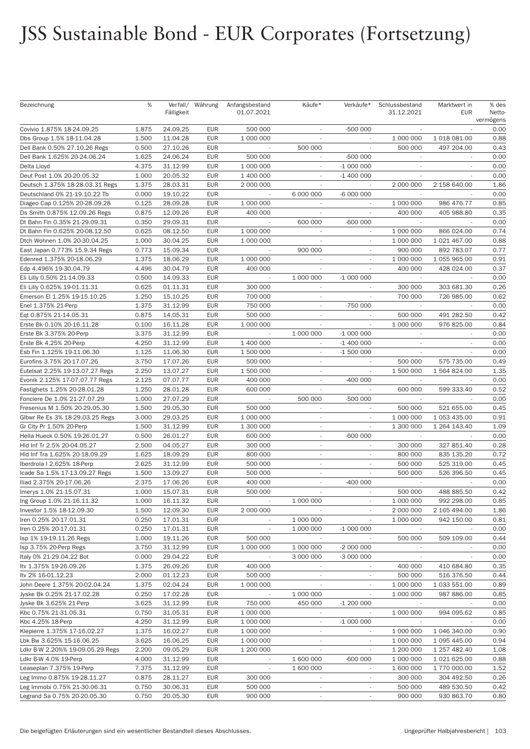# JSS Sustainable Bond - EUR Corporates (Fortsetzung)

| Bezeichnung                                      | %     | Fälligkeit           | Verfall/ Währung         | Anfangsbestand<br>01.07.2021 | Käufe*                   | Verkäufe*                   | Schlussbestand<br>31.12.2021 | Marktwert in<br><b>EUR</b> | % des<br>Netto-<br>vermögens |
|--------------------------------------------------|-------|----------------------|--------------------------|------------------------------|--------------------------|-----------------------------|------------------------------|----------------------------|------------------------------|
| Covivio 1.875% 18-24.09.25                       | 1.875 | 24.09.25             | <b>EUR</b>               | 500 000                      |                          | -500 000                    |                              |                            | 0.00                         |
| Dbs Group 1.5% 18-11.04.28                       | 1.500 | 11.04.28             | <b>EUR</b>               | 1 000 000                    |                          |                             | 1 000 000                    | 1 018 081.00               | 0.88                         |
| Dell Bank 0.50% 27.10.26 Regs                    | 0.500 | 27.10.26             | <b>EUR</b>               | $\sim$                       | 500 000                  | $\mathcal{L}_{\mathcal{A}}$ | 500 000                      | 497 204.00                 | 0.43                         |
| Dell Bank 1.625% 20-24.06.24                     | 1.625 | 24.06.24             | <b>EUR</b>               | 500 000                      |                          | -500 000                    |                              |                            | 0.00                         |
| Delta Lloyd                                      | 4.375 | 31.12.99             | <b>EUR</b>               | 1 000 000                    | $\overline{\phantom{a}}$ | $-1000000$                  | $\sim$                       |                            | 0.00                         |
| Deut Post 1.0% 20-20.05.32                       | 1.000 | 20.05.32             | <b>EUR</b>               | 1 400 000                    |                          | $-1400000$                  |                              |                            | 0.00                         |
| Deutsch 1.375% 18-28.03.31 Regs                  | 1.375 | 28.03.31             | <b>EUR</b>               | 2 000 000                    | $\sim$                   | $\sim$                      | 2 000 000                    | 2 158 640.00               | 1.86                         |
| Deutschland 0% 21-19.10.22 Tb                    | 0.000 | 19.10.22             | <b>EUR</b>               |                              | 6 000 000                | -6 000 000                  |                              |                            | 0.00                         |
| Diageo Cap 0.125% 20-28.09.28                    | 0.125 | 28.09.28             | <b>EUR</b>               | 1 000 000                    | $\sim$                   | $\sim$                      | 1 000 000                    | 986 476.77                 | 0.85                         |
| Ds Smith 0.875% 12.09.26 Regs                    | 0.875 | 12.09.26             | <b>EUR</b>               | 400 000                      |                          |                             | 400 000                      | 405 988.80                 | 0.35                         |
| Dt Bahn Fin 0.35% 21-29.09.31                    | 0.350 | 29.09.31             | <b>EUR</b>               | $\sim$                       | 600 000                  | $-600000$                   | $\sim$                       | $\sim$                     | 0.00                         |
| Dt Bahn Fin 0.625% 20-08.12.50                   | 0.625 | 08.12.50             | <b>EUR</b>               | 1 000 000                    | $\overline{\phantom{a}}$ | $\sim$                      | 1 000 000                    | 866 024.00                 | 0.74                         |
| Dtch Wohnen 1.0% 20-30.04.25                     | 1.000 | 30.04.25             | <b>EUR</b>               | 1 000 000                    | $\overline{\phantom{a}}$ | $\overline{\phantom{a}}$    | 1 000 000                    | 1 021 467.00               | 0.88                         |
| East Japan 0.773% 15.9.34 Regs                   | 0.773 | 15.09.34             | <b>EUR</b>               |                              | 900 000                  |                             | 900 000                      | 892 783.07                 | 0.77                         |
| Edenred 1.375% 20-18.06.29                       | 1.375 | 18.06.29             | <b>EUR</b>               | 1 000 000                    | $\overline{\phantom{a}}$ | $\overline{\phantom{a}}$    | 1 000 000                    | 1 055 965.00               | 0.91                         |
| Edp 4.496% 19-30.04.79                           | 4.496 | 30.04.79             | <b>EUR</b>               | 400 000                      | $\overline{\phantom{a}}$ | $\overline{\phantom{a}}$    | 400 000                      | 428 024.00                 | 0.37                         |
| Eli Lilly 0.50% 21-14.09.33                      | 0.500 | 14.09.33             | <b>EUR</b>               | $\sim$                       | 1 000 000                | $-1000000$                  | $\sim$                       |                            | 0.00                         |
| Eli Lilly 0.625% 19-01.11.31                     | 0.625 | 01.11.31             | <b>EUR</b>               | 300 000                      |                          |                             | 300 000                      | 303 681.30                 | 0.26                         |
| Emerson El 1.25% 19-15.10.25                     | 1.250 | 15.10.25             | <b>EUR</b>               | 700 000                      | $\sim$                   | $\sim$                      | 700 000                      | 726 985.00                 | 0.62                         |
| Enel 1.375% 21-Perp                              | 1.375 | 31.12.99             | <b>EUR</b>               | 750 000                      | $\overline{\phantom{a}}$ | -750 000                    |                              |                            | 0.00                         |
| Eqt 0.875% 21-14.05.31                           | 0.875 | 14.05.31             | <b>EUR</b>               | 500 000                      | $\sim$                   |                             | 500 000                      | 491 282.50                 | 0.42                         |
| Erste Bk 0.10% 20-16.11.28                       | 0.100 | 16.11.28             | <b>EUR</b>               | 1 000 000                    |                          |                             | 1 000 000                    | 976 825.00                 | 0.84                         |
| Erste Bk 3.375% 20-Perp                          | 3.375 | 31.12.99             | <b>EUR</b>               | $\sim$                       | 1 000 000                | $-1000000$                  | $\sim$                       | $\overline{\phantom{a}}$   | 0.00                         |
| Erste Bk 4.25% 20-Perp                           | 4.250 | 31.12.99             | <b>EUR</b>               | 1 400 000                    |                          | $-1400000$                  |                              |                            | 0.00                         |
| Esb Fin 1.125% 19-11.06.30                       | 1.125 | 11.06.30             | <b>EUR</b>               | 1 500 000                    | $\sim$                   | $-1500000$                  | $\sim$                       |                            | 0.00                         |
| Eurofins 3.75% 20-17.07.26                       | 3.750 | 17.07.26             | <b>EUR</b>               | 500 000                      | $\sim$                   |                             | 500 000                      | 575 735.00                 | 0.49                         |
| Eutelsat 2.25% 19-13.07.27 Regs                  | 2.250 | 13.07.27             | <b>EUR</b>               | 1 500 000                    | $\sim$                   | $\sim$                      | 1 500 000                    | 1 564 824.00               | 1.35                         |
| Evonik 2.125% 17-07.07.77 Regs                   | 2.125 | 07.07.77             | <b>EUR</b>               | 400 000                      | $\overline{\phantom{a}}$ | $-400000$                   |                              |                            | 0.00                         |
| Fastighets 1.25% 20-28.01.28                     | 1.250 | 28.01.28             | <b>EUR</b>               | 600 000                      | $\sim$                   | $\sim$                      | 600 000                      | 599 333.40                 | 0.52                         |
| Fonciere De 1.0% 21-27.07.29                     | 1.000 | 27.07.29             | <b>EUR</b>               |                              | 500 000                  | $-500000$                   |                              |                            | 0.00                         |
| Fresenius M 1.50% 20-29.05.30                    | 1.500 | 29.05.30             | <b>EUR</b>               | 500 000                      | $\sim$                   | $\overline{\phantom{a}}$    | 500 000                      | 521 655.00                 | 0.45                         |
| Glbwr Re Es 3% 18-29.03.25 Regs                  | 3.000 | 29.03.25             | <b>EUR</b>               | 1 000 000                    | $\sim$                   |                             | 1 000 000                    | 1 053 435.00               | 0.91                         |
| Gr City Pr 1.50% 20-Perp                         | 1.500 | 31.12.99             | <b>EUR</b>               | 1 300 000                    | $\sim$                   |                             | 1 300 000                    | 1 264 143.40               | 1.09                         |
| Hella Hueck 0.50% 19-26.01.27                    | 0.500 | 26.01.27             | <b>EUR</b>               | 600 000                      | $\overline{\phantom{a}}$ | $-600000$                   |                              |                            | 0.00                         |
| Hld Inf Tr 2.5% 20-04.05.27                      | 2.500 | 04.05.27             | <b>EUR</b>               | 300 000                      | $\sim$                   | $\overline{\phantom{a}}$    | 300 000                      | 327 851.40                 | 0.28                         |
| Hld Inf Tra 1.625% 20-18.09.29                   | 1.625 | 18.09.29             | <b>EUR</b>               | 800 000                      | $\sim$                   | $\overline{\phantom{a}}$    | 800 000                      | 835 135.20                 | 0.72                         |
| Iberdrola I 2.625% 18-Perp                       | 2.625 | 31.12.99             | <b>EUR</b>               | 500 000                      | $\overline{\phantom{a}}$ |                             | 500 000                      | 525 319.00                 | 0.45                         |
| Icade Sa 1.5% 17-13.09.27 Regs                   | 1.500 | 13.09.27             | <b>EUR</b>               | 500 000                      |                          |                             | 500 000                      | 526 396.50                 | 0.45                         |
| Iliad 2.375% 20-17.06.26                         | 2.375 | 17.06.26             | <b>EUR</b>               | 400 000                      | $\overline{\phantom{a}}$ | $-400000$                   | $\sim$                       |                            | 0.00                         |
| Imerys 1.0% 21-15.07.31                          | 1.000 | 15.07.31             | <b>EUR</b>               | 500 000                      |                          |                             | 500 000                      | 488 885.50                 | 0.42                         |
| Ing Group 1.0% 21-16.11.32                       | 1.000 | 16.11.32             | <b>EUR</b>               |                              | 1 000 000                |                             | 1 000 000                    | 992 298.00                 | 0.85                         |
| Investor 1.5% 18-12.09.30                        | 1.500 | 12.09.30             | <b>EUR</b>               | 2 000 000                    |                          |                             | 2 000 000                    | 2 165 494.00               | 1.86                         |
| Iren 0.25% 20-17.01.31                           | 0.250 | 17.01.31             | <b>EUR</b>               | $\sim$                       | 1 000 000                |                             | 1 000 000                    | 942 150.00                 | 0.81                         |
| Iren 0.25% 20-17.01.31                           | 0.250 | 17.01.31             | <b>EUR</b>               | $\overline{\phantom{a}}$     | 1 000 000                | $-1000000$                  | $\sim$                       |                            | 0.00                         |
| Isp 1% 19-19.11.26 Regs                          | 1.000 | 19.11.26             | <b>EUR</b>               | 500 000                      |                          |                             | 500 000                      | 509 109.00                 | 0.44                         |
| Isp 3.75% 20-Perp Regs                           | 3.750 | 31.12.99             | <b>EUR</b>               | 1 000 000                    | 1 000 000                | $-2000000$                  | $\sim$                       |                            | 0.00                         |
| Italy 0% 21-29.04.22 Bot                         | 0.000 | 29.04.22             | <b>EUR</b>               |                              | 3 000 000                | -3 000 000                  | $\sim$                       | $\overline{\phantom{a}}$   | 0.00                         |
| Itv 1.375% 19-26.09.26                           | 1.375 | 26.09.26             | <b>EUR</b>               | 400 000                      | $\overline{\phantom{a}}$ | $\overline{\phantom{a}}$    | 400 000                      | 410 684.80                 | 0.35                         |
| Itv 2% 16-01.12.23                               | 2.000 | 01.12.23             | <b>EUR</b>               | 500 000                      |                          |                             | 500 000                      | 516 376.50                 | 0.44                         |
| John Deere 1.375% 20-02.04.24                    | 1.375 | 02.04.24             | <b>EUR</b>               | 1 000 000                    |                          | $\overline{\phantom{a}}$    | 1 000 000                    | 1 033 551.00               | 0.89                         |
| Jyske Bk 0.25% 21-17.02.28                       | 0.250 | 17.02.28             | <b>EUR</b>               | $\overline{\phantom{a}}$     | 1 000 000                | $\overline{\phantom{a}}$    | 1 000 000                    | 987 886.00                 | 0.85                         |
|                                                  | 3.625 |                      | <b>EUR</b>               | 750 000                      | 450 000                  | $-1200000$                  |                              |                            | 0.00                         |
| Jyske Bk 3.625% 21-Perp<br>Kbc 0.75% 21-31.05.31 | 0.750 | 31.12.99<br>31.05.31 | <b>EUR</b>               | 1 000 000                    | $\sim$                   |                             | $\sim$<br>1 000 000          | 994 095.62                 | 0.85                         |
|                                                  |       |                      |                          |                              |                          |                             |                              |                            |                              |
| Kbc 4.25% 18-Perp                                | 4.250 | 31.12.99             | <b>EUR</b>               | 1 000 000                    | $\overline{\phantom{a}}$ | $-1000000$                  | $\sim$                       |                            | 0.00                         |
| Klepierre 1.375% 17-16.02.27                     | 1.375 | 16.02.27             | <b>EUR</b>               | 1 000 000                    | $\overline{\phantom{a}}$ | $\sim$                      | 1 000 000                    | 1 046 340.00               | 0.90                         |
| Lbk Bw 3.625% 15-16.06.25                        | 3.625 | 16.06.25             | <b>EUR</b><br><b>EUR</b> | 1 000 000                    | $\overline{\phantom{a}}$ | $\overline{\phantom{a}}$    | 1 000 000                    | 1 095 445.00               | 0.94                         |
| Ldkr B-W 2.20%% 19-09.05.29 Regs                 | 2.200 | 09.05.29<br>31.12.99 |                          | 1 200 000<br>$\sim$          | 1 600 000                | $-600000$                   | 1 200 000                    | 1 257 482.40               | 1.08<br>0.88                 |
| Ldkr B-W 4.0% 19-Perp                            | 4.000 |                      | <b>EUR</b>               |                              |                          |                             | 1 000 000                    | 1 021 625.00               |                              |
| Leaseplan 7.375% 19-Perp                         | 7.375 | 31.12.99             | <b>EUR</b>               | $\overline{\phantom{a}}$     | 1 600 000                | $\overline{\phantom{a}}$    | 1 600 000                    | 1 770 000.00               | 1.52                         |
| Leg Immo 0.875% 19-28.11.27                      | 0.875 | 28.11.27             | <b>EUR</b>               | 300 000                      | $\overline{\phantom{a}}$ | $\overline{\phantom{a}}$    | 300 000                      | 304 492.50                 | 0.26                         |
| Leg Immobi 0.75% 21-30.06.31                     | 0.750 | 30.06.31<br>20.05.30 | <b>EUR</b>               | 500 000<br>900 000           | $\overline{\phantom{a}}$ | $\overline{\phantom{a}}$    | 500 000<br>900 000           | 489 530.50<br>930 863.70   | 0.42<br>0.80                 |
| Legrand Sa 0.75% 20-20.05.30                     | 0.750 |                      | <b>EUR</b>               |                              | $\overline{\phantom{a}}$ |                             |                              |                            |                              |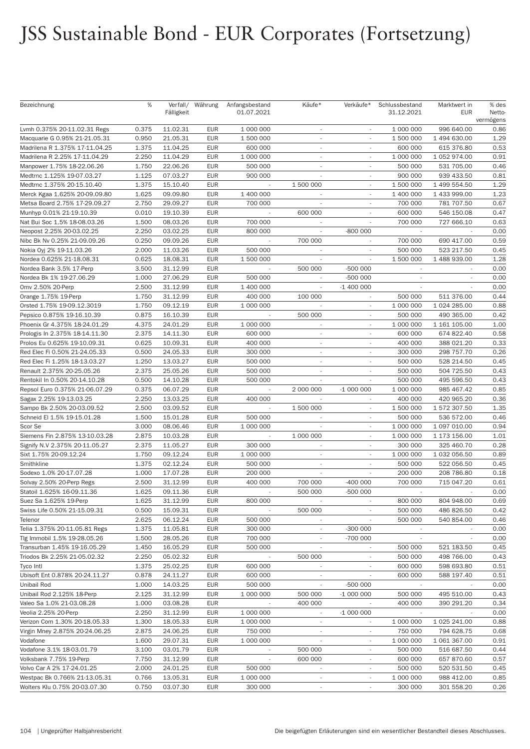# JSS Sustainable Bond - EUR Corporates (Fortsetzung)

| Bezeichnung                                           | %              | Fälligkeit           | Verfall/ Währung         | Anfangsbestand<br>01.07.2021 | Käufe*                                               | Verkäufe*                | Schlussbestand<br>31.12.2021 | Marktwert in<br><b>EUR</b> | % des<br>Netto-<br>vermögens |
|-------------------------------------------------------|----------------|----------------------|--------------------------|------------------------------|------------------------------------------------------|--------------------------|------------------------------|----------------------------|------------------------------|
| Lvmh 0.375% 20-11.02.31 Regs                          | 0.375          | 11.02.31             | EUR                      | 1 000 000                    | $\overline{\phantom{a}}$                             |                          | 1 000 000                    | 996 640.00                 | 0.86                         |
| Macquarie G 0.95% 21-21.05.31                         | 0.950          | 21.05.31             | <b>EUR</b>               | 1 500 000                    |                                                      |                          | 1 500 000                    | 1 494 630.00               | 1.29                         |
| Madrilena R 1.375% 17-11.04.25                        | 1.375          | 11.04.25             | <b>EUR</b>               | 600 000                      | $\sim$                                               | $\overline{\phantom{a}}$ | 600 000                      | 615 376.80                 | 0.53                         |
| Madrilena R 2.25% 17-11.04.29                         | 2.250          | 11.04.29             | <b>EUR</b>               | 1 000 000                    | $\overline{\phantom{a}}$                             | $\overline{\phantom{a}}$ | 1 000 000                    | 1 052 974.00               | 0.91                         |
| Manpower 1.75% 18-22.06.26                            | 1.750          | 22.06.26             | <b>EUR</b>               | 500 000                      | $\sim$                                               | $\overline{\phantom{a}}$ | 500 000                      | 531 705.00                 | 0.46                         |
| Medtrnc 1.125% 19-07.03.27                            | 1.125          | 07.03.27             | <b>EUR</b>               | 900 000                      |                                                      |                          | 900 000                      | 939 433.50                 | 0.81                         |
| Medtrnc 1.375% 20-15.10.40                            | 1.375          | 15.10.40             | <b>EUR</b>               | $\overline{\phantom{a}}$     | 1 500 000                                            | $\overline{\phantom{a}}$ | 1 500 000                    | 1 499 554.50               | 1.29                         |
| Merck Kgaa 1.625% 20-09.09.80                         | 1.625          | 09.09.80             | <b>EUR</b>               | 1 400 000                    |                                                      | $\overline{\phantom{a}}$ | 1 400 000                    | 1 433 999.00               | 1.23                         |
| Metsa Board 2.75% 17-29.09.27                         | 2.750          | 29.09.27             | <b>EUR</b>               | 700 000                      | $\overline{\phantom{a}}$                             | $\overline{\phantom{a}}$ | 700 000                      | 781 707.50                 | 0.67                         |
| Munhyp 0.01% 21-19.10.39                              | 0.010          | 19.10.39             | <b>EUR</b>               |                              | 600 000                                              |                          | 600 000                      | 546 150.08                 | 0.47                         |
| Nat Bui Soc 1.5% 18-08.03.26                          | 1.500          | 08.03.26             | <b>EUR</b>               | 700 000                      | $\overline{\phantom{a}}$                             | $\overline{\phantom{a}}$ | 700 000                      | 727 666.10                 | 0.63                         |
| Neopost 2.25% 20-03.02.25                             | 2.250          | 03.02.25             | <b>EUR</b>               | 800 000                      | $\overline{\phantom{a}}$                             | -800 000                 |                              |                            | 0.00                         |
| Nibc Bk Nv 0.25% 21-09.09.26                          | 0.250          | 09.09.26             | <b>EUR</b>               | $\sim$                       | 700 000                                              | $\sim$                   | 700 000                      | 690 417.00                 | 0.59                         |
| Nokia Oyj 2% 19-11.03.26                              | 2.000          | 11.03.26             | <b>EUR</b>               | 500 000                      |                                                      |                          | 500 000                      | 523 217.50                 | 0.45                         |
| Nordea 0.625% 21-18.08.31                             | 0.625          | 18.08.31             | <b>EUR</b>               | 1 500 000                    | $\sim$                                               | $\sim$                   | 1 500 000                    | 1 488 939.00               | 1.28                         |
| Nordea Bank 3.5% 17-Perp                              | 3.500          | 31.12.99             | <b>EUR</b>               |                              | 500 000                                              | -500 000                 |                              |                            | 0.00                         |
| Nordea Bk 1% 19-27.06.29                              | 1.000          | 27.06.29             | <b>EUR</b>               | 500 000                      | $\sim$                                               | -500 000                 | $\overline{\phantom{a}}$     |                            | 0.00                         |
| 0mv 2.50% 20-Perp                                     | 2.500          | 31.12.99             | <b>EUR</b>               | 1 400 000                    |                                                      | $-1400000$               |                              |                            | 0.00                         |
| Orange 1.75% 19-Perp                                  | 1.750          | 31.12.99             | <b>EUR</b>               | 400 000                      | 100 000                                              | $\sim$                   | 500 000                      | 511 376.00                 | 0.44                         |
| Orsted 1.75% 19-09.12.3019                            | 1.750          | 09.12.19             | <b>EUR</b>               | 1 000 000                    |                                                      | $\overline{\phantom{a}}$ | 1 000 000                    | 1 024 285.00               | 0.88                         |
| Pepsico 0.875% 19-16.10.39                            | 0.875          | 16.10.39             | <b>EUR</b>               |                              | 500 000                                              | $\overline{\phantom{a}}$ | 500 000                      | 490 365.00                 | 0.42                         |
| Phoenix Gr 4.375% 18-24.01.29                         | 4.375          | 24.01.29             | <b>EUR</b>               | 1 000 000                    |                                                      |                          | 1 000 000                    | 1 161 105.00               | 1.00                         |
| Prologis In 2.375% 18-14.11.30                        | 2.375          | 14.11.30             | <b>EUR</b>               | 600 000                      | $\sim$                                               | $\overline{\phantom{a}}$ | 600 000                      | 674 822.40                 | 0.58                         |
| Prolos Eu 0.625% 19-10.09.31                          | 0.625          | 10.09.31             | <b>EUR</b>               | 400 000                      | ٠                                                    | $\overline{\phantom{a}}$ | 400 000                      | 388 021.20                 | 0.33                         |
| Red Elec Fi 0.50% 21-24.05.33                         | 0.500          | 24.05.33             | <b>EUR</b>               | 300 000                      | $\sim$                                               | $\overline{\phantom{a}}$ | 300 000                      | 298 757.70                 | 0.26                         |
| Red Elec Fi 1.25% 18-13.03.27                         | 1.250          | 13.03.27             | <b>EUR</b>               | 500 000                      | $\sim$                                               |                          | 500 000                      | 528 214.50                 | 0.45                         |
| Renault 2.375% 20-25.05.26                            | 2.375          | 25.05.26             | <b>EUR</b>               | 500 000                      | $\sim$                                               | $\sim$                   | 500 000                      | 504 725.50                 | 0.43                         |
| Rentokil In 0.50% 20-14.10.28                         | 0.500          | 14.10.28             | <b>EUR</b>               | 500 000                      |                                                      |                          | 500 000                      | 495 596.50                 | 0.43                         |
| Repsol Euro 0.375% 21-06.07.29                        | 0.375          | 06.07.29             | <b>EUR</b>               |                              | 2 000 000                                            | $-1000000$               | 1 000 000                    | 985 467.42                 | 0.85                         |
| Sagax 2.25% 19-13.03.25                               | 2.250          | 13.03.25             | <b>EUR</b>               | 400 000                      |                                                      |                          | 400 000                      | 420 965.20                 | 0.36                         |
| Sampo Bk 2.50% 20-03.09.52                            | 2.500          | 03.09.52             | <b>EUR</b>               |                              | 1 500 000                                            | $\sim$                   | 1 500 000                    | 1 572 307.50               | 1.35                         |
| Schneid El 1.5% 19-15.01.28                           | 1.500          | 15.01.28             | <b>EUR</b>               | 500 000                      |                                                      |                          | 500 000                      | 536 572.00                 | 0.46                         |
| Scor Se                                               | 3.000          | 08.06.46             | <b>EUR</b>               | 1 000 000                    |                                                      |                          | 1 000 000                    | 1 097 010.00               | 0.94                         |
| Siemens Fin 2.875% 13-10.03.28                        | 2.875          | 10.03.28             | <b>EUR</b>               |                              | 1 000 000                                            |                          | 1 000 000                    | 1 173 156.00               | 1.01                         |
| Signify N.V 2.375% 20-11.05.27                        | 2.375          | 11.05.27             | <b>EUR</b>               | 300 000                      | $\overline{\phantom{a}}$                             | $\sim$                   | 300 000                      | 325 460.70                 | 0.28                         |
| Sixt 1.75% 20-09.12.24                                | 1.750          | 09.12.24             | <b>EUR</b>               | 1 000 000                    | ٠                                                    | $\overline{\phantom{a}}$ | 1 000 000                    | 1 032 056.50               | 0.89                         |
| Smithkline                                            | 1.375          | 02.12.24             | <b>EUR</b>               | 500 000                      | ٠                                                    |                          | 500 000                      | 522 056.50                 | 0.45                         |
| Sodexo 1.0% 20-17.07.28                               | 1.000          | 17.07.28             | <b>EUR</b>               | 200 000                      |                                                      |                          | 200 000                      | 208 786.80                 | 0.18                         |
| Solvay 2.50% 20-Perp Regs                             | 2.500          | 31.12.99             | <b>EUR</b>               | 400 000                      | 700 000                                              | $-400000$                | 700 000                      | 715 047.20                 | 0.61                         |
| Statoil 1.625% 16-09.11.36                            | 1.625          | 09.11.36             | <b>EUR</b>               |                              | 500 000                                              | -500 000                 |                              |                            | 0.00                         |
| Suez Sa 1.625% 19-Perp                                | 1.625          | 31.12.99             | <b>EUR</b>               | 800 000                      |                                                      |                          | 800 000                      | 804 948.00                 | 0.69                         |
| Swiss Life 0.50% 21-15.09.31                          | 0.500          | 15.09.31             | <b>EUR</b>               |                              | 500 000                                              |                          | 500 000                      | 486 826.50                 | 0.42                         |
| Telenor                                               | 2.625          | 06.12.24             | <b>EUR</b>               | 500 000                      | $\overline{\phantom{a}}$                             |                          | 500 000                      | 540 854.00                 | 0.46                         |
| Telia 1.375% 20-11.05.81 Regs                         | 1.375          | 11.05.81             | <b>EUR</b>               | 300 000                      | $\overline{\phantom{a}}$                             | $-300000$                |                              |                            | 0.00                         |
| Tlg Immobil 1.5% 19-28.05.26                          | 1.500          | 28.05.26             | <b>EUR</b>               | 700 000                      |                                                      | -700 000                 |                              |                            | 0.00                         |
| Transurban 1.45% 19-16.05.29                          | 1.450          | 16.05.29             | <b>EUR</b>               | 500 000                      |                                                      | $\sim$                   | 500 000                      | 521 183.50                 | 0.45                         |
| Triodos Bk 2.25% 21-05.02.32                          | 2.250          | 05.02.32             | <b>EUR</b>               |                              | 500 000                                              | $\overline{\phantom{a}}$ | 500 000                      | 498 766.00                 | 0.43                         |
| Tyco Intl                                             | 1.375          | 25.02.25             | <b>EUR</b>               | 600 000                      | $\overline{\phantom{a}}$                             |                          | 600 000                      | 598 693.80                 | 0.51                         |
| Ubisoft Ent 0.878% 20-24.11.27                        | 0.878          | 24.11.27             | <b>EUR</b>               | 600 000                      |                                                      |                          | 600 000                      | 588 197.40                 | 0.51                         |
| Unibail Rod                                           | 1.000          | 14.03.25             | <b>EUR</b>               | 500 000                      |                                                      | -500 000                 | $\sim$                       |                            | 0.00                         |
| Unibail Rod 2.125% 18-Perp                            | 2.125          | 31.12.99             | <b>EUR</b>               | 1 000 000                    | 500 000                                              | $-1000000$               | 500 000                      | 495 510.00                 | 0.43                         |
| Valeo Sa 1.0% 21-03.08.28                             | 1.000          | 03.08.28             | EUR                      |                              | 400 000                                              |                          | 400 000                      | 390 291.20                 | 0.34                         |
| Veolia 2.25% 20-Perp                                  | 2.250          | 31.12.99             | <b>EUR</b>               | 1 000 000                    | $\overline{\phantom{a}}$                             | $-1000000$               |                              |                            | 0.00                         |
| Verizon Com 1.30% 20-18.05.33                         | 1.300          | 18.05.33             | EUR                      | 1 000 000                    | $\overline{\phantom{a}}$                             | $\overline{\phantom{a}}$ | 1 000 000                    | 1 025 241.00               | 0.88                         |
| Virgin Mney 2.875% 20-24.06.25                        | 2.875          | 24.06.25             | <b>EUR</b>               | 750 000                      | $\overline{\phantom{a}}$                             | $\overline{\phantom{a}}$ | 750 000                      | 794 628.75                 | 0.68                         |
| Vodafone                                              | 1.600          | 29.07.31             | <b>EUR</b>               | 1 000 000                    | $\overline{\phantom{a}}$                             | $\overline{\phantom{a}}$ | 1 000 000<br>500 000         | 1 061 367.00               | 0.91                         |
| Vodafone 3.1% 18-03.01.79                             | 3.100<br>7.750 | 03.01.79<br>31.12.99 | <b>EUR</b>               | ÷,                           | 500 000<br>600 000                                   |                          | 600 000                      | 516 687.50<br>657 870.60   | 0.44<br>0.57                 |
| Volksbank 7.75% 19-Perp<br>Volvo Car A 2% 17-24.01.25 |                | 24.01.25             | <b>EUR</b>               |                              |                                                      | $\overline{\phantom{a}}$ | 500 000                      | 520 531.50                 | 0.45                         |
| Westpac Bk 0.766% 21-13.05.31                         | 2.000<br>0.766 | 13.05.31             | <b>EUR</b><br><b>EUR</b> | 500 000<br>1 000 000         | $\overline{\phantom{a}}$                             | $\sim$                   | 1 000 000                    | 988 412.00                 | 0.85                         |
| Wolters Klu 0.75% 20-03.07.30                         | 0.750          | 03.07.30             | <b>EUR</b>               | 300 000                      | $\overline{\phantom{a}}$<br>$\overline{\phantom{a}}$ | $\overline{\phantom{a}}$ | 300 000                      | 301 558.20                 | 0.26                         |
|                                                       |                |                      |                          |                              |                                                      |                          |                              |                            |                              |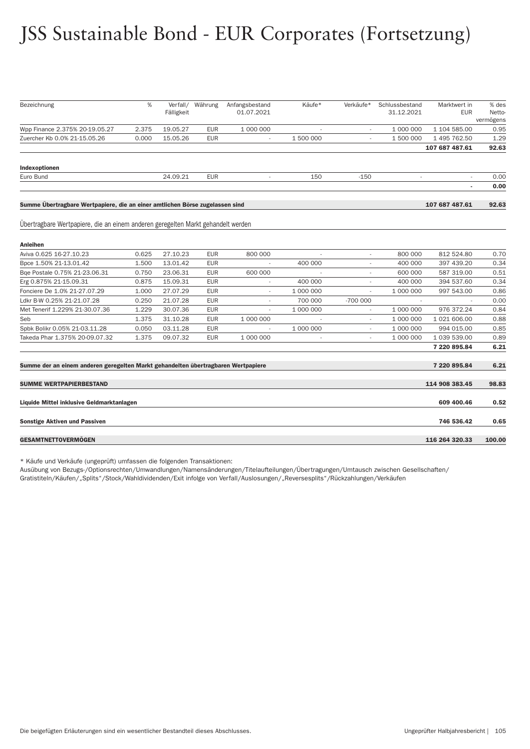# JSS Sustainable Bond - EUR Corporates (Fortsetzung)

| Bezeichnung                                                                       | %     | Fälligkeit | Verfall/ Währung | Anfangsbestand<br>01.07.2021 | Käufe*    | Verkäufe*                | Schlussbestand<br>31.12.2021 | Marktwert in<br><b>EUR</b> | % des<br>Netto- |
|-----------------------------------------------------------------------------------|-------|------------|------------------|------------------------------|-----------|--------------------------|------------------------------|----------------------------|-----------------|
|                                                                                   |       |            |                  |                              |           |                          |                              |                            | vermögens       |
| Wpp Finance 2.375% 20-19.05.27                                                    | 2.375 | 19.05.27   | <b>EUR</b>       | 1 000 000                    |           |                          | 1 000 000                    | 1 104 585.00               | 0.95            |
| Zuercher Kb 0.0% 21-15.05.26                                                      | 0.000 | 15.05.26   | <b>EUR</b>       |                              | 1 500 000 |                          | 1 500 000                    | 1 495 762.50               | 1.29            |
|                                                                                   |       |            |                  |                              |           |                          |                              | 107 687 487.61             | 92.63           |
| Indexoptionen                                                                     |       |            |                  |                              |           |                          |                              |                            |                 |
| Euro Bund                                                                         |       | 24.09.21   | EUR              | $\overline{\phantom{a}}$     | 150       | $-150$                   | $\overline{\phantom{a}}$     |                            | 0.00            |
|                                                                                   |       |            |                  |                              |           |                          |                              |                            | 0.00            |
|                                                                                   |       |            |                  |                              |           |                          |                              |                            |                 |
| Summe Übertragbare Wertpapiere, die an einer amtlichen Börse zugelassen sind      |       |            |                  |                              |           |                          |                              | 107 687 487.61             | 92.63           |
|                                                                                   |       |            |                  |                              |           |                          |                              |                            |                 |
| Übertragbare Wertpapiere, die an einem anderen geregelten Markt gehandelt werden  |       |            |                  |                              |           |                          |                              |                            |                 |
|                                                                                   |       |            |                  |                              |           |                          |                              |                            |                 |
| Anleihen                                                                          |       |            |                  |                              |           |                          |                              |                            |                 |
| Aviva 0.625 16-27.10.23                                                           | 0.625 | 27.10.23   | <b>EUR</b>       | 800 000                      |           |                          | 800 000                      | 812 524.80                 | 0.70            |
| Bpce 1.50% 21-13.01.42                                                            | 1.500 | 13.01.42   | <b>EUR</b>       |                              | 400 000   |                          | 400 000                      | 397 439.20                 | 0.34            |
| Bqe Postale 0.75% 21-23.06.31                                                     | 0.750 | 23.06.31   | <b>EUR</b>       | 600 000                      |           |                          | 600 000                      | 587 319.00                 | 0.51            |
| Erg 0.875% 21-15.09.31                                                            | 0.875 | 15.09.31   | <b>EUR</b>       |                              | 400 000   |                          | 400 000                      | 394 537.60                 | 0.34            |
| Fonciere De 1.0% 21-27.07.29                                                      | 1.000 | 27.07.29   | <b>EUR</b>       |                              | 1 000 000 |                          | 1 000 000                    | 997 543.00                 | 0.86            |
| Ldkr B-W 0.25% 21-21.07.28                                                        | 0.250 | 21.07.28   | <b>EUR</b>       |                              | 700 000   | -700 000                 |                              |                            | 0.00            |
| Met Tenerif 1.229% 21-30.07.36                                                    | 1.229 | 30.07.36   | <b>EUR</b>       |                              | 1 000 000 |                          | 1 000 000                    | 976 372.24                 | 0.84            |
| Seb                                                                               | 1.375 | 31.10.28   | <b>EUR</b>       | 1 000 000                    |           |                          | 1 000 000                    | 1 021 606.00               | 0.88            |
| Spbk Bolikr 0.05% 21-03.11.28                                                     | 0.050 | 03.11.28   | <b>EUR</b>       |                              | 1 000 000 |                          | 1 000 000                    | 994 015.00                 | 0.85            |
| Takeda Phar 1.375% 20-09.07.32                                                    | 1.375 | 09.07.32   | <b>EUR</b>       | 1 000 000                    |           | $\overline{\phantom{a}}$ | 1 000 000                    | 1 039 539.00               | 0.89            |
|                                                                                   |       |            |                  |                              |           |                          |                              | 7 220 895.84               | 6.21            |
| Summe der an einem anderen geregelten Markt gehandelten übertragbaren Wertpapiere |       |            |                  |                              |           |                          |                              | 7 220 895.84               | 6.21            |
|                                                                                   |       |            |                  |                              |           |                          |                              |                            |                 |
| <b>SUMME WERTPAPIERBESTAND</b>                                                    |       |            |                  |                              |           |                          |                              | 114 908 383.45             | 98.83           |
| Liquide Mittel inklusive Geldmarktanlagen                                         |       |            |                  |                              |           |                          |                              | 609 400.46                 | 0.52            |
|                                                                                   |       |            |                  |                              |           |                          |                              |                            |                 |
| <b>Sonstige Aktiven und Passiven</b>                                              |       |            |                  |                              |           |                          |                              | 746 536.42                 | 0.65            |
| <b>GESAMTNETTOVERMÖGEN</b>                                                        |       |            |                  |                              |           |                          |                              | 116 264 320.33             | 100.00          |

\* Käufe und Verkäufe (ungeprüft) umfassen die folgenden Transaktionen:

Ausübung von Bezugs-/Optionsrechten/Umwandlungen/Namensänderungen/Titelaufteilungen/Übertragungen/Umtausch zwischen Gesellschaften/ Gratistiteln/Käufen/"Splits"/Stock/Wahldividenden/Exit infolge von Verfall/Auslosungen/"Reversesplits"/Rückzahlungen/Verkäufen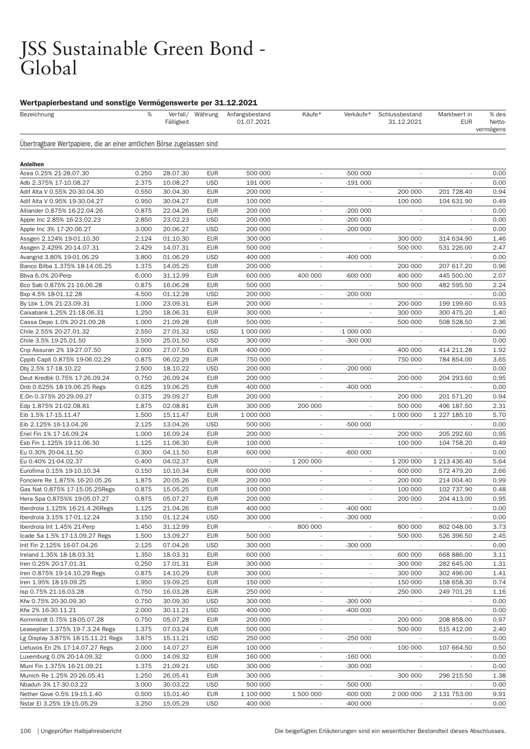# JSS Sustainable Green Bond -<br>Global

| Bezeichnung                                                            | %     | Fälligkeit | Verfall/ Währung | Anfangsbestand<br>01.07.2021 | Käufe*                   | Verkäufe*                | Schlussbestand<br>31.12.2021 | Marktwert in<br><b>EUR</b> | % des<br>Netto-<br>vermögens |
|------------------------------------------------------------------------|-------|------------|------------------|------------------------------|--------------------------|--------------------------|------------------------------|----------------------------|------------------------------|
| Ubertragbare Wertpapiere, die an einer amtlichen Börse zugelassen sind |       |            |                  |                              |                          |                          |                              |                            |                              |
| <b>Anleihen</b>                                                        |       |            |                  |                              |                          |                          |                              |                            |                              |
| Acea 0.25% 21-28.07.30                                                 | 0.250 | 28.07.30   | <b>EUR</b>       | 500 000                      | $\overline{\phantom{a}}$ | $-500000$                | $\overline{\phantom{a}}$     | $\sim$                     | 0.00                         |
| Adb 2.375% 17-10.08.27                                                 | 2.375 | 10.08.27   | <b>USD</b>       | 191 000                      | $\overline{\phantom{a}}$ | $-191000$                |                              |                            | 0.00                         |
| Adif Alta V 0.55% 20-30.04.30                                          | 0.550 | 30.04.30   | <b>EUR</b>       | 200 000                      | $\overline{\phantom{a}}$ |                          | 200 000                      | 201 728.40                 | 0.94                         |
| Adif Alta V 0.95% 19-30.04.27                                          | 0.950 | 30.04.27   | <b>EUR</b>       | 100 000                      | $\overline{\phantom{a}}$ |                          | 100 000                      | 104 631.90                 | 0.49                         |
| Alliander 0.875% 16-22.04.26                                           | 0.875 | 22.04.26   | <b>EUR</b>       | 200 000                      | $\overline{\phantom{a}}$ | $-200000$                | $\overline{\phantom{a}}$     |                            | 0.00                         |
| Apple Inc 2.85% 16-23.02.23                                            | 2.850 | 23.02.23   | <b>USD</b>       | 200 000                      | $\overline{\phantom{a}}$ | $-200000$                | $\overline{\phantom{a}}$     |                            | 0.00                         |
| Apple Inc 3% 17-20.06.27                                               | 3.000 | 20.06.27   | <b>USD</b>       | 200 000                      |                          | $-200000$                |                              |                            | 0.00                         |
| Assgen 2.124% 19-01.10.30                                              | 2.124 | 01.10.30   | <b>EUR</b>       | 300 000                      | $\overline{\phantom{a}}$ | $\overline{\phantom{a}}$ | 300 000                      | 314 634.90                 | 1.46                         |
| Assgen 2.429% 20-14.07.31                                              | 2.429 | 14.07.31   | <b>EUR</b>       | 500 000                      | $\sim$                   |                          | 500 000                      | 531 226.00                 | 2.47                         |
|                                                                        | 3.800 | 01.06.29   | <b>USD</b>       | 400 000                      | $\overline{\phantom{a}}$ | $-400000$                |                              |                            | 0.00                         |
| Avangrid 3.80% 19-01.06.29<br>Banco Bilba 1.375% 18-14.05.25           | 1.375 | 14.05.25   | <b>EUR</b>       | 200 000                      |                          |                          | 200 000                      | 207 617.20                 | 0.96                         |
|                                                                        |       | 31.12.99   | <b>EUR</b>       |                              | 400 000                  | $-600000$                |                              |                            | 2.07                         |
| Bbva 6.0% 20-Perp                                                      | 6.000 |            |                  | 600 000                      |                          |                          | 400 000                      | 445 500.00                 |                              |
| Bco Sab 0.875% 21-16.06.28                                             | 0.875 | 16.06.28   | <b>EUR</b>       | 500 000                      | $\overline{\phantom{a}}$ |                          | 500 000                      | 482 595.50                 | 2.24                         |
| Bxp 4.5% 18-01.12.28                                                   | 4.500 | 01.12.28   | <b>USD</b>       | 200 000                      | $\overline{\phantom{a}}$ | $-200000$                |                              |                            | 0.00                         |
| By Lbk 1.0% 21-23.09.31                                                | 1.000 | 23.09.31   | <b>EUR</b>       | 200 000                      | $\overline{\phantom{a}}$ |                          | 200 000                      | 199 199.60                 | 0.93                         |
| Caixabank 1.25% 21-18.06.31                                            | 1.250 | 18.06.31   | <b>EUR</b>       | 300 000                      | $\overline{\phantom{a}}$ |                          | 300 000                      | 300 475.20                 | 1.40                         |
| Cassa Depo 1.0% 20-21.09.28                                            | 1.000 | 21.09.28   | <b>EUR</b>       | 500 000                      | $\overline{\phantom{a}}$ |                          | 500 000                      | 508 528.50                 | 2.36                         |
| Chile 2.55% 20-27.01.32                                                | 2.550 | 27.01.32   | <b>USD</b>       | 1 000 000                    | $\overline{\phantom{a}}$ | $-1000000$               |                              |                            | 0.00                         |
| Chile 3.5% 19-25.01.50                                                 | 3.500 | 25.01.50   | <b>USD</b>       | 300 000                      | $\overline{\phantom{a}}$ | $-300000$                |                              |                            | 0.00                         |
| Cnp Assuran 2% 19-27.07.50                                             | 2.000 | 27.07.50   | <b>EUR</b>       | 400 000                      | $\overline{\phantom{a}}$ | $\overline{\phantom{a}}$ | 400 000                      | 414 211.28                 | 1.92                         |
| Cppib Capit 0.875% 19-06.02.29                                         | 0.875 | 06.02.29   | <b>EUR</b>       | 750 000                      | $\sim$                   |                          | 750 000                      | 784 854.00                 | 3.65                         |
| Dbj 2.5% 17-18.10.22                                                   | 2.500 | 18.10.22   | <b>USD</b>       | 200 000                      | $\overline{\phantom{a}}$ | $-200000$                |                              |                            | 0.00                         |
| Deut Kredbk 0.75% 17-26.09.24                                          | 0.750 | 26.09.24   | <b>EUR</b>       | 200 000                      | $\overline{\phantom{a}}$ |                          | 200 000                      | 204 293.60                 | 0.95                         |
| Dnb 0.625% 18-19.06.25 Regs                                            | 0.625 | 19.06.25   | <b>EUR</b>       | 400 000                      | $\overline{\phantom{a}}$ | $-400000$                |                              |                            | 0.00                         |
| E.On 0.375% 20-29.09.27                                                | 0.375 | 29.09.27   | <b>EUR</b>       | 200 000                      | $\overline{\phantom{a}}$ | $\overline{\phantom{a}}$ | 200 000                      | 201 571.20                 | 0.94                         |
| Edp 1.875% 21-02.08.81                                                 | 1.875 | 02.08.81   | <b>EUR</b>       | 300 000                      | 200 000                  |                          | 500 000                      | 496 187.50                 | 2.31                         |
| Eib 1.5% 17-15.11.47                                                   | 1.500 | 15.11.47   | <b>EUR</b>       | 1 000 000                    | $\overline{\phantom{a}}$ |                          | 1 000 000                    | 1 227 185.10               | 5.70                         |
| Eib 2.125% 16-13.04.26                                                 | 2.125 | 13.04.26   | <b>USD</b>       | 500 000                      | $\overline{\phantom{a}}$ | $-500000$                |                              |                            | 0.00                         |
| Enel Fin 1% 17-16.09.24                                                | 1.000 | 16.09.24   | <b>EUR</b>       | 200 000                      | $\overline{\phantom{a}}$ |                          | 200 000                      | 205 292.60                 | 0.95                         |
| Esb Fin 1.125% 19-11.06.30                                             | 1.125 | 11.06.30   | <b>EUR</b>       | 100 000                      | $\overline{\phantom{a}}$ | $\overline{\phantom{a}}$ | 100 000                      | 104 758.20                 | 0.49                         |
| Eu 0.30% 20-04.11.50                                                   | 0.300 | 04.11.50   | <b>EUR</b>       | 600 000                      |                          | $-600000$                |                              |                            | 0.00                         |
| Eu 0.40% 21-04.02.37                                                   | 0.400 | 04.02.37   | <b>EUR</b>       | $\overline{\phantom{a}}$     | 1 200 000                | $\overline{\phantom{a}}$ | 1 200 000                    | 1 213 436.40               | 5.64                         |
| Eurofima 0.15% 19-10.10.34                                             | 0.150 | 10.10.34   | <b>EUR</b>       | 600 000                      | $\overline{\phantom{a}}$ | $\overline{\phantom{a}}$ | 600 000                      | 572 479.20                 | 2.66                         |
| Fonciere Re 1.875% 16-20.05.26                                         | 1.875 | 20.05.26   | <b>EUR</b>       | 200 000                      | $\overline{\phantom{a}}$ |                          | 200 000                      | 214 004.40                 | 0.99                         |
| Gas Nat 0.875% 17-15.05.25 Regs                                        | 0.875 | 15.05.25   | <b>EUR</b>       | 100 000                      | $\overline{\phantom{a}}$ |                          | 100 000                      | 102 737.90                 | 0.48                         |
| Hera Spa 0.875%% 19-05.07.27                                           | 0.875 | 05.07.27   | <b>EUR</b>       | 200 000                      | $\overline{\phantom{a}}$ | ٠                        | 200 000                      | 204 413.00                 | 0.95                         |
| Iberdrola 1.125% 16-21.4.26 Regs                                       | 1.125 | 21.04.26   | <b>EUR</b>       | 400 000                      | $\overline{\phantom{a}}$ | $-400000$                |                              |                            | 0.00                         |
| Iberdrola 3.15% 17-01.12.24                                            | 3.150 | 01.12.24   | <b>USD</b>       | 300 000                      |                          | $-300000$                |                              |                            | 0.00                         |
| Iberdrola Int 1.45% 21-Perp                                            | 1.450 | 31.12.99   | <b>EUR</b>       |                              | 800 000                  |                          | 800 000                      | 802 048.00                 | 3.73                         |
| Icade Sa 1.5% 17-13.09.27 Regs                                         | 1.500 | 13.09.27   | <b>EUR</b>       | 500 000                      | $\overline{\phantom{a}}$ | ٠                        | 500 000                      | 526 396.50                 | 2.45                         |
| Intl Fin 2.125% 16-07.04.26                                            | 2.125 | 07.04.26   | <b>USD</b>       | 300 000                      | $\overline{\phantom{a}}$ | $-300000$                | $\overline{\phantom{a}}$     |                            | 0.00                         |
| Ireland 1.35% 18-18.03.31                                              | 1.350 | 18.03.31   | <b>EUR</b>       | 600 000                      | $\overline{\phantom{a}}$ | $\overline{\phantom{a}}$ | 600 000                      | 668 886.00                 | 3.11                         |
| Iren 0.25% 20-17.01.31                                                 | 0.250 | 17.01.31   | <b>EUR</b>       | 300 000                      | $\overline{\phantom{a}}$ |                          | 300 000                      | 282 645.00                 | 1.31                         |
| Iren 0.875% 19-14.10.29 Regs                                           | 0.875 | 14.10.29   | <b>EUR</b>       | 300 000                      | $\overline{\phantom{a}}$ | $\overline{\phantom{a}}$ | 300 000                      | 302 496.00                 | 1.41                         |
| Iren 1.95% 18-19.09.25                                                 | 1.950 | 19.09.25   | <b>EUR</b>       | 150 000                      | $\overline{\phantom{a}}$ | $\overline{\phantom{a}}$ | 150 000                      | 158 658.30                 | 0.74                         |
| Isp 0.75% 21-16.03.28                                                  | 0.750 | 16.03.28   | <b>EUR</b>       | 250 000                      | $\overline{\phantom{a}}$ | $\overline{\phantom{a}}$ | 250 000                      | 249 701.25                 | 1.16                         |
| Kfw 0.75% 20-30.09.30                                                  | 0.750 | 30.09.30   | <b>USD</b>       | 300 000                      |                          | $-300000$                |                              |                            | 0.00                         |
| Kfw 2% 16-30.11.21                                                     | 2.000 | 30.11.21   | <b>USD</b>       | 400 000                      | $\overline{\phantom{a}}$ | $-400000$                | $\sim$                       | $\overline{\phantom{a}}$   | 0.00                         |
| Kommkrdt 0.75% 18-05.07.28                                             |       |            |                  |                              |                          |                          | 200 000                      |                            | 0.97                         |
|                                                                        | 0.750 | 05.07.28   | <b>EUR</b>       | 200 000                      | $\overline{\phantom{a}}$ |                          |                              | 208 858.00                 |                              |
| Leaseplan 1.375% 19-7.3.24 Regs                                        | 1.375 | 07.03.24   | <b>EUR</b>       | 500 000                      | $\overline{\phantom{a}}$ | $\overline{\phantom{a}}$ | 500 000                      | 515 412.00                 | 2.40                         |
| Lg Display 3.875% 18-15.11.21 Regs                                     | 3.875 | 15.11.21   | <b>USD</b>       | 250 000                      |                          | $-250000$                |                              |                            | 0.00                         |
| Lietuvos En 2% 17-14.07.27 Regs                                        | 2.000 | 14.07.27   | <b>EUR</b>       | 100 000                      | $\overline{\phantom{a}}$ |                          | 100 000                      | 107 664.50                 | 0.50                         |
| Luxemburg 0.0% 20-14.09.32                                             | 0.000 | 14.09.32   | <b>EUR</b>       | 160 000                      | $\overline{\phantom{a}}$ | $-16000$                 | $\overline{\phantom{a}}$     |                            | 0.00                         |
| Muni Fin 1.375% 16-21.09.21                                            | 1.375 | 21.09.21   | <b>USD</b>       | 300 000                      | $\overline{\phantom{a}}$ | $-300000$                | $\overline{\phantom{a}}$     |                            | 0.00                         |
| Munich Re 1.25% 20-26.05.41                                            | 1.250 | 26.05.41   | <b>EUR</b>       | 300 000                      |                          |                          | 300 000                      | 296 215.50                 | 1.38                         |
| Nbaduh 3% 17-30.03.22                                                  | 3.000 | 30.03.22   | <b>USD</b>       | 500 000                      | $\overline{\phantom{a}}$ | -500 000                 | $\sim$                       |                            | 0.00                         |
| Nether Gove 0.5% 19-15.1.40                                            | 0.500 | 15.01.40   | <b>EUR</b>       | 1 100 000                    | 1 500 000                | -600 000                 | 2 000 000                    | 2 131 753.00               | 9.91                         |
| Nstar El 3.25% 19-15.05.29                                             | 3.250 | 15.05.29   | <b>USD</b>       | 400 000                      |                          | $-400000$                |                              |                            | 0.00                         |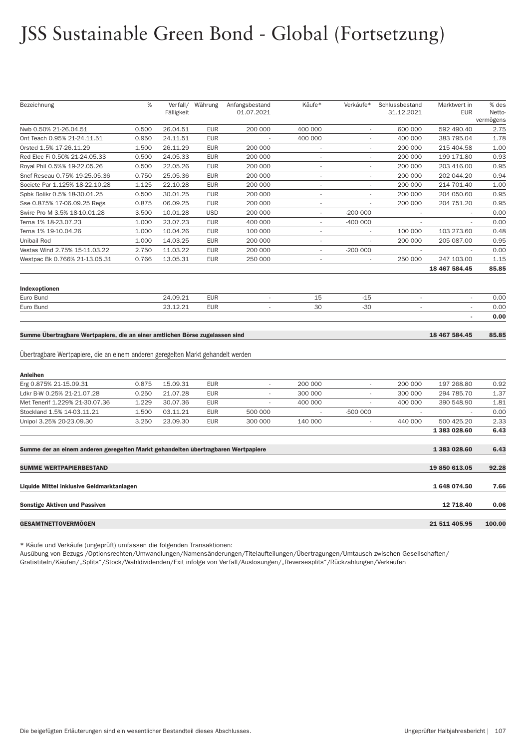# JSS Sustainable Green Bond - Global (Fortsetzung)

| Bezeichnung                                                                       | %     | Verfall/   | Währung    | Anfangsbestand           | Käufe*                   | Verkäufe*                | Schlussbestand           | Marktwert in             | % des               |
|-----------------------------------------------------------------------------------|-------|------------|------------|--------------------------|--------------------------|--------------------------|--------------------------|--------------------------|---------------------|
|                                                                                   |       | Fälligkeit |            | 01.07.2021               |                          |                          | 31.12.2021               | <b>EUR</b>               | Netto-<br>vermögens |
| Nwb 0.50% 21-26.04.51                                                             | 0.500 | 26.04.51   | <b>EUR</b> | 200 000                  | 400 000                  | ÷,                       | 600 000                  | 592 490.40               | 2.75                |
| Ont Teach 0.95% 21-24.11.51                                                       | 0.950 | 24.11.51   | <b>EUR</b> |                          | 400 000                  |                          | 400 000                  | 383 795.04               | 1.78                |
| Orsted 1.5% 17-26.11.29                                                           | 1.500 | 26.11.29   | <b>EUR</b> | 200 000                  | $\sim$                   | $\overline{\phantom{a}}$ | 200 000                  | 215 404.58               | 1.00                |
| Red Elec Fi 0.50% 21-24.05.33                                                     | 0.500 | 24.05.33   | <b>EUR</b> | 200 000                  | $\overline{\phantom{a}}$ | i,                       | 200 000                  | 199 171.80               | 0.93                |
| Royal Phil 0.5%% 19-22.05.26                                                      | 0.500 | 22.05.26   | <b>EUR</b> | 200 000                  | $\sim$                   | $\sim$                   | 200 000                  | 203 416.00               | 0.95                |
| Sncf Reseau 0.75% 19-25.05.36                                                     | 0.750 | 25.05.36   | <b>EUR</b> | 200 000                  | $\sim$                   | $\overline{\phantom{a}}$ | 200 000                  | 202 044.20               | 0.94                |
| Societe Par 1.125% 18-22.10.28                                                    | 1.125 | 22.10.28   | <b>EUR</b> | 200 000                  | $\sim$                   | ×,                       | 200 000                  | 214 701.40               | 1.00                |
| Spbk Bolikr 0.5% 18-30.01.25                                                      | 0.500 | 30.01.25   | <b>EUR</b> | 200 000                  | $\sim$                   | ٠                        | 200 000                  | 204 050.60               | 0.95                |
| Sse 0.875% 17-06.09.25 Regs                                                       | 0.875 | 06.09.25   | <b>EUR</b> | 200 000                  |                          |                          | 200 000                  | 204 751.20               | 0.95                |
| Swire Pro M 3.5% 18-10.01.28                                                      | 3.500 | 10.01.28   | <b>USD</b> | 200 000                  | $\sim$                   | $-200000$                |                          |                          | 0.00                |
| Terna 1% 18-23.07.23                                                              | 1.000 | 23.07.23   | <b>EUR</b> | 400 000                  | $\overline{\phantom{a}}$ | $-400000$                | ÷,                       |                          | 0.00                |
| Terna 1% 19-10.04.26                                                              | 1.000 | 10.04.26   | <b>EUR</b> | 100 000                  | $\overline{\phantom{a}}$ | $\overline{\phantom{a}}$ | 100 000                  | 103 273.60               | 0.48                |
| Unibail Rod                                                                       | 1.000 | 14.03.25   | <b>EUR</b> | 200 000                  | $\sim$                   | ÷.                       | 200 000                  | 205 087.00               | 0.95                |
| Vestas Wind 2.75% 15-11.03.22                                                     | 2.750 | 11.03.22   | <b>EUR</b> | 200 000                  |                          | $-200000$                | $\overline{\phantom{a}}$ |                          | 0.00                |
| Westpac Bk 0.766% 21-13.05.31                                                     | 0.766 | 13.05.31   | <b>EUR</b> | 250 000                  | $\sim$                   | $\overline{a}$           | 250 000                  | 247 103.00               | 1.15                |
|                                                                                   |       |            |            |                          |                          |                          |                          | 18 467 584.45            | 85.85               |
| Indexoptionen                                                                     |       |            |            |                          |                          |                          |                          |                          |                     |
| Euro Bund                                                                         |       | 24.09.21   | <b>EUR</b> | ÷,                       | 15                       | $-15$                    | ä,                       | $\overline{\phantom{a}}$ | 0.00                |
| Euro Bund                                                                         |       | 23.12.21   | <b>EUR</b> | $\overline{\phantom{a}}$ | 30                       | $-30$                    | ٠                        | $\overline{\phantom{a}}$ | 0.00                |
|                                                                                   |       |            |            |                          |                          |                          |                          | ÷                        | 0.00                |
|                                                                                   |       |            |            |                          |                          |                          |                          |                          |                     |
| Summe Übertragbare Wertpapiere, die an einer amtlichen Börse zugelassen sind      |       |            |            |                          |                          |                          |                          | 18 467 584.45            | 85.85               |
|                                                                                   |       |            |            |                          |                          |                          |                          |                          |                     |
| Übertragbare Wertpapiere, die an einem anderen geregelten Markt gehandelt werden  |       |            |            |                          |                          |                          |                          |                          |                     |
| Anleihen                                                                          |       |            |            |                          |                          |                          |                          |                          |                     |
| Erg 0.875% 21-15.09.31                                                            | 0.875 | 15.09.31   | <b>EUR</b> | $\overline{\phantom{a}}$ | 200 000                  | $\sim$                   | 200 000                  | 197 268.80               | 0.92                |
| Ldkr B-W 0.25% 21-21.07.28                                                        | 0.250 | 21.07.28   | <b>EUR</b> | $\sim$                   | 300 000                  |                          | 300 000                  | 294 785.70               | 1.37                |
| Met Tenerif 1.229% 21-30.07.36                                                    | 1.229 | 30.07.36   | <b>EUR</b> |                          | 400 000                  |                          | 400 000                  | 390 548.90               | 1.81                |
| Stockland 1.5% 14-03.11.21                                                        | 1.500 | 03.11.21   | <b>EUR</b> | 500 000                  | $\overline{\phantom{a}}$ | $-500000$                | $\sim$                   |                          | 0.00                |
| Unipol 3.25% 20-23.09.30                                                          | 3.250 | 23.09.30   | <b>EUR</b> | 300 000                  | 140 000                  | $\mathcal{L}$            | 440 000                  | 500 425.20               | 2.33                |
|                                                                                   |       |            |            |                          |                          |                          |                          | 1 383 028.60             | 6.43                |
| Summe der an einem anderen geregelten Markt gehandelten übertragbaren Wertpapiere |       |            |            |                          |                          |                          |                          | 1 383 028.60             | 6.43                |
| <b>SUMME WERTPAPIERBESTAND</b>                                                    |       |            |            |                          |                          |                          |                          | 19 850 613.05            | 92.28               |
| Liquide Mittel inklusive Geldmarktanlagen                                         |       |            |            |                          |                          |                          |                          | 1 648 074.50             | 7.66                |
| <b>Sonstige Aktiven und Passiven</b>                                              |       |            |            |                          |                          |                          |                          | 12 718.40                | 0.06                |
| <b>GESAMTNETTOVERMÖGEN</b>                                                        |       |            |            |                          |                          |                          |                          | 21 511 405.95            | 100.00              |
|                                                                                   |       |            |            |                          |                          |                          |                          |                          |                     |

\* Käufe und Verkäufe (ungeprüft) umfassen die folgenden Transaktionen:

Ausübung von Bezugs-/Optionsrechten/Umwandlungen/Namensänderungen/Titelaufteilungen/Übertragungen/Umtausch zwischen Gesellschaften/ Gratistiteln/Käufen/"Splits"/Stock/Wahldividenden/Exit infolge von Verfall/Auslosungen/"Reversesplits"/Rückzahlungen/Verkäufen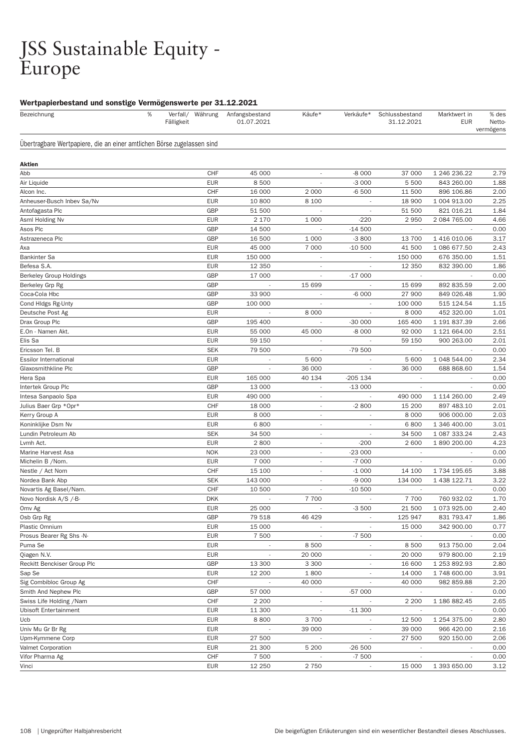## JSS Sustainable Equity - Europe

| Bezeichnung                                                            | % | Fälligkeit | Verfall/ Währung | Anfangsbestand<br>01.07.2021 | Käufe*                   | Verkäufe*                | Schlussbestand<br>31.12.2021 | Marktwert in<br><b>EUR</b> | % des<br>Netto-<br>vermögens |
|------------------------------------------------------------------------|---|------------|------------------|------------------------------|--------------------------|--------------------------|------------------------------|----------------------------|------------------------------|
| Ubertragbare Wertpapiere, die an einer amtlichen Börse zugelassen sind |   |            |                  |                              |                          |                          |                              |                            |                              |
| Aktien                                                                 |   |            |                  |                              |                          |                          |                              |                            |                              |
| Abb                                                                    |   |            | CHF              | 45 000                       | $\overline{\phantom{a}}$ | $-8000$                  | 37 000                       | 1 246 236.22               | 2.79                         |
| Air Liquide                                                            |   |            | <b>EUR</b>       | 8500                         | $\overline{\phantom{a}}$ | $-3000$                  | 5 500                        | 843 260.00                 | 1.88                         |
| Alcon Inc.                                                             |   |            | CHF              | 16 000                       | 2 0 0 0                  | $-6500$                  | 11 500                       | 896 106.86                 | 2.00                         |
| Anheuser-Busch Inbev Sa/Nv                                             |   |            | <b>EUR</b>       | 10 800                       | 8 1 0 0                  |                          | 18 900                       | 1 004 913.00               | 2.25                         |
| Antofagasta Plc                                                        |   |            | <b>GBP</b>       | 51 500                       | $\overline{\phantom{a}}$ | $\overline{\phantom{a}}$ | 51 500                       | 821 016.21                 | 1.84                         |
| Asml Holding Nv                                                        |   |            | <b>EUR</b>       | 2 170                        | 1 0 0 0                  | $-220$                   | 2950                         | 2 084 765.00               | 4.66                         |
| Asos Plc                                                               |   |            | <b>GBP</b>       | 14 500                       | ÷,                       | $-14500$                 | $\overline{\phantom{a}}$     |                            | 0.00                         |
| Astrazeneca Plc                                                        |   |            | <b>GBP</b>       | 16 500                       | 1 0 0 0                  | $-3800$                  | 13 700                       | 1 416 010.06               | 3.17                         |
| Axa                                                                    |   |            | <b>EUR</b>       | 45 000                       | 7 0 0 0                  | $-10500$                 | 41 500                       | 1 086 677.50               | 2.43                         |
| <b>Bankinter Sa</b>                                                    |   |            | <b>EUR</b>       | 150 000                      |                          |                          | 150 000                      | 676 350.00                 | 1.51                         |
| Befesa S.A.                                                            |   |            | <b>EUR</b>       | 12 3 5 0                     | $\overline{\phantom{a}}$ | $\overline{\phantom{a}}$ | 12 3 5 0                     | 832 390.00                 | 1.86                         |
| <b>Berkeley Group Holdings</b>                                         |   |            | GBP              | 17 000                       | $\overline{\phantom{a}}$ | $-17000$                 |                              |                            | 0.00                         |
| Berkeley Grp Rg                                                        |   |            | <b>GBP</b>       | $\overline{\phantom{a}}$     | 15 699                   |                          | 15 699                       | 892 835.59                 | 2.00                         |
| Coca-Cola Hbc                                                          |   |            | GBP              | 33 900                       |                          | $-6000$                  | 27 900                       | 849 026.48                 | 1.90                         |
| Cond Hidgs Rg-Unty                                                     |   |            | GBP              | 100 000                      |                          |                          | 100 000                      | 515 124.54                 | 1.15                         |
| Deutsche Post Ag                                                       |   |            | <b>EUR</b>       |                              | 8 0 0 0                  |                          | 8 0 0 0                      | 452 320.00                 | 1.01                         |
| Drax Group Plc                                                         |   |            | <b>GBP</b>       | 195 400                      | J,                       | $-30000$                 | 165 400                      | 1 191 837.39               | 2.66                         |
| E.On - Namen Akt.                                                      |   |            | <b>EUR</b>       | 55 000                       | 45 000                   | $-8000$                  | 92 000                       | 1 121 664.00               | 2.51                         |
| Elis Sa                                                                |   |            | <b>EUR</b>       | 59 150                       | $\overline{\phantom{a}}$ |                          | 59 150                       | 900 263.00                 | 2.01                         |
| Ericsson Tel. B                                                        |   |            | <b>SEK</b>       | 79 500                       |                          | -79 500                  |                              |                            | 0.00                         |
| <b>Essilor International</b>                                           |   |            | <b>EUR</b>       | $\overline{\phantom{a}}$     | 5 600                    | $\overline{\phantom{a}}$ | 5 600                        | 1 048 544.00               | 2.34                         |
| Glaxosmithkline Plc                                                    |   |            | GBP              |                              | 36 000                   |                          | 36 000                       | 688 868.60                 | 1.54                         |
| Hera Spa                                                               |   |            | <b>EUR</b>       | 165 000                      | 40 134                   | $-205$ 134               |                              |                            | 0.00                         |
| Intertek Group Plc                                                     |   |            | GBP              | 13 000                       | $\overline{\phantom{a}}$ | $-13000$                 |                              |                            | 0.00                         |
| Intesa Sanpaolo Spa                                                    |   |            | <b>EUR</b>       | 490 000                      | $\overline{\phantom{a}}$ |                          | 490 000                      | 1 114 260.00               | 2.49                         |
| Julius Baer Grp *Opr*                                                  |   |            | <b>CHF</b>       | 18 000                       | $\overline{\phantom{a}}$ | $-2800$                  | 15 200                       | 897 483.10                 | 2.01                         |
| Kerry Group A                                                          |   |            | <b>EUR</b>       | 8 0 0 0                      | $\overline{\phantom{a}}$ |                          | 8 0 0 0                      | 906 000.00                 | 2.03                         |
| Koninklijke Dsm Nv                                                     |   |            | <b>EUR</b>       | 6800                         | $\overline{\phantom{a}}$ |                          | 6800                         | 1 346 400.00               | 3.01                         |
| Lundin Petroleum Ab                                                    |   |            | <b>SEK</b>       | 34 500                       | $\overline{\phantom{a}}$ | $\overline{a}$           | 34 500                       | 1 087 333.24               | 2.43                         |
| Lvmh Act.                                                              |   |            | <b>EUR</b>       | 2800                         | $\overline{\phantom{a}}$ | $-200$                   | 2 600                        | 1890 200.00                | 4.23                         |
| Marine Harvest Asa                                                     |   |            | <b>NOK</b>       | 23 000                       | $\overline{\phantom{a}}$ | $-23000$                 | $\overline{\phantom{a}}$     |                            | 0.00                         |
| Michelin B / Nom.                                                      |   |            | <b>EUR</b>       | 7 0 0 0                      | $\overline{\phantom{a}}$ | $-7000$                  | $\overline{\phantom{a}}$     |                            | 0.00                         |
| Nestle / Act Nom                                                       |   |            | <b>CHF</b>       | 15 100                       | $\overline{\phantom{a}}$ | $-1000$                  | 14 100                       | 1 734 195.65               | 3.88                         |
| Nordea Bank Abp                                                        |   |            | <b>SEK</b>       | 143 000                      | $\overline{\phantom{a}}$ | $-9000$                  | 134 000                      | 1 438 122.71               | 3.22                         |
| Novartis Ag Basel/Nam.                                                 |   |            | CHF              | 10 500                       | $\overline{\phantom{a}}$ | $-10500$                 |                              |                            | 0.00                         |
| Novo Nordisk A/S /-B-                                                  |   |            | <b>DKK</b>       | ÷,                           | 7 700                    | $\overline{\phantom{a}}$ | 7 700                        | 760 932.02                 | 1.70                         |
| Omv Ag                                                                 |   |            | <b>EUR</b>       | 25 000                       | $\overline{\phantom{a}}$ | $-3500$                  | 21 500                       | 1 073 925.00               | 2.40                         |
| Osb Grp Rg                                                             |   |            | <b>GBP</b>       | 79 518                       | 46 4 29                  |                          | 125 947                      | 831 793.47                 | 1.86                         |
| Plastic Omnium                                                         |   |            | <b>EUR</b>       | 15 000                       |                          |                          | 15 000                       | 342 900.00                 | 0.77                         |
| Prosus Bearer Rg Shs -N-                                               |   |            | <b>EUR</b>       | 7 500                        | $\overline{\phantom{a}}$ | $-7500$                  | $\sim$                       |                            | 0.00                         |
| Puma Se                                                                |   |            | <b>EUR</b>       | $\sim$                       | 8 5 0 0                  | $\sim$                   | 8500                         | 913 750.00                 | 2.04                         |
| Qiagen N.V.                                                            |   |            | <b>EUR</b>       | $\overline{\phantom{a}}$     | 20 000                   |                          | 20 000                       | 979 800.00                 | 2.19                         |
| Reckitt Benckiser Group Plc                                            |   |            | GBP              | 13 300                       | 3 3 0 0                  |                          | 16 600                       | 1 253 892.93               | 2.80                         |
| Sap Se                                                                 |   |            | <b>EUR</b>       | 12 200                       | 1800                     | $\overline{\phantom{a}}$ | 14 000                       | 1 748 600.00               | 3.91                         |
| Sig Combibloc Group Ag                                                 |   |            | CHF              |                              | 40 000                   |                          | 40 000                       | 982 859.88                 | 2.20                         |
| Smith And Nephew Plc                                                   |   |            | <b>GBP</b>       | 57 000                       | $\overline{\phantom{a}}$ | $-57000$                 | $\sim$                       |                            | 0.00                         |
| Swiss Life Holding /Nam                                                |   |            | CHF              | 2 2 0 0                      |                          |                          | 2 2 0 0                      | 1 186 882.45               | 2.65                         |
| <b>Ubisoft Entertainment</b>                                           |   |            | <b>EUR</b>       | 11 300                       | $\overline{\phantom{a}}$ | $-11300$                 | $\overline{\phantom{a}}$     |                            | 0.00                         |
| Ucb                                                                    |   |            | <b>EUR</b>       | 8800                         | 3700                     | $\overline{\phantom{a}}$ | 12 500                       | 1 254 375.00               | 2.80                         |
| Univ Mu Gr Br Rg                                                       |   |            | <b>EUR</b>       |                              | 39 000                   |                          | 39 000                       | 966 420.00                 | 2.16                         |
| Upm-Kymmene Corp                                                       |   |            | <b>EUR</b>       | 27 500                       |                          |                          | 27 500                       | 920 150.00                 | 2.06                         |
| Valmet Corporation                                                     |   |            | <b>EUR</b>       | 21 300                       | 5 200                    | $-26500$                 | $\overline{\phantom{a}}$     | $\overline{\phantom{a}}$   | 0.00                         |
| Vifor Pharma Ag                                                        |   |            | CHF              | 7 500                        |                          | $-7500$                  | $\overline{\phantom{a}}$     |                            | 0.00                         |
| Vinci                                                                  |   |            | <b>EUR</b>       | 12 250                       | 2750                     | $\overline{\phantom{a}}$ | 15 000                       | 1 393 650.00               | 3.12                         |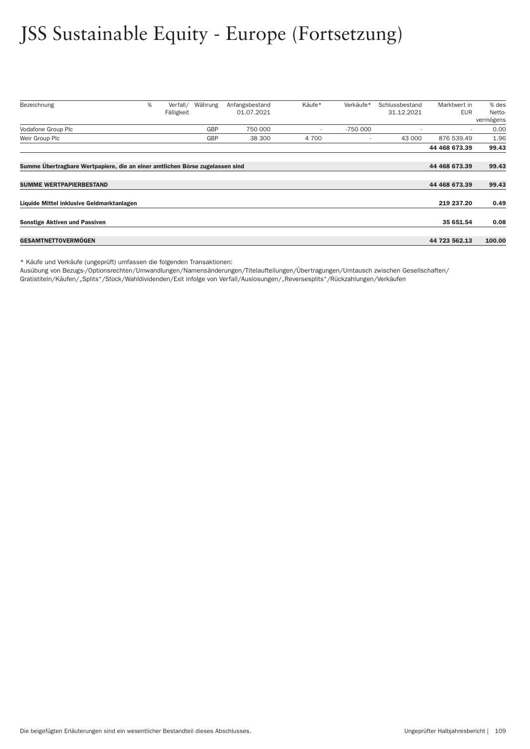## JSS Sustainable Equity - Europe (Fortsetzung)

| Bezeichnung                                                                  | % | Verfall/   | Währung    | Anfangsbestand | Käufe*                   | Verkäufe* | Schlussbestand | Marktwert in             | % des     |
|------------------------------------------------------------------------------|---|------------|------------|----------------|--------------------------|-----------|----------------|--------------------------|-----------|
|                                                                              |   | Fälligkeit |            | 01.07.2021     |                          |           | 31.12.2021     | <b>EUR</b>               | Netto-    |
|                                                                              |   |            |            |                |                          |           |                |                          | vermögens |
| Vodafone Group Plc                                                           |   |            | <b>GBP</b> | 750 000        | $\overline{\phantom{a}}$ | $-750000$ |                | $\overline{\phantom{a}}$ | 0.00      |
| Weir Group Plc                                                               |   |            | <b>GBP</b> | 38 300         | 4 700                    |           | 43 000         | 876 539.49               | 1.96      |
|                                                                              |   |            |            |                |                          |           |                | 44 468 673.39            | 99.43     |
| Summe Übertragbare Wertpapiere, die an einer amtlichen Börse zugelassen sind |   |            |            |                |                          |           |                | 44 468 673.39            | 99.43     |
|                                                                              |   |            |            |                |                          |           |                |                          |           |
| <b>SUMME WERTPAPIERBESTAND</b>                                               |   |            |            |                |                          |           |                | 44 468 673.39            | 99.43     |
| Liquide Mittel inklusive Geldmarktanlagen                                    |   |            |            |                |                          |           |                | 219 237.20               | 0.49      |
| <b>Sonstige Aktiven und Passiven</b>                                         |   |            |            |                |                          |           |                | 35 651.54                | 0.08      |
|                                                                              |   |            |            |                |                          |           |                |                          |           |
| <b>GESAMTNETTOVERMÖGEN</b>                                                   |   |            |            |                |                          |           |                | 44 723 562.13            | 100.00    |

\* Käufe und Verkäufe (ungeprüft) umfassen die folgenden Transaktionen:

Ausübung von Bezugs-/Optionsrechten/Umwandlungen/Namensänderungen/Titelaufteilungen/Über tragungen/Umtausch zwischen Gesellschaften/

Gratistiteln/Käufen/"Splits"/Stock/Wahldividenden/Exit infolge von Verfall/Auslosungen/"Reversesplits"/Rückzahlungen/Verkäufen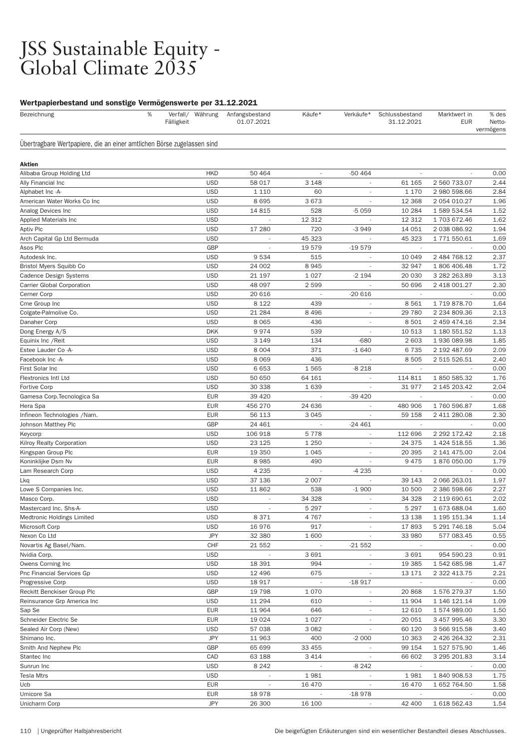#### JSS Sustainable Equity - Global Climate 2035

#### Wertpapierbestand und sonstige Vermögenswerte per 31.12.2021

| Bezeichnung                                                            | % | Verfall/ Währung<br>Fälligkeit | Anfangsbestand<br>01.07.2021 | Käufe*                   | Verkäufe*                | Schlussbestand<br>31.12.2021 | Marktwert in<br><b>EUR</b> | % des<br><b>Netto</b><br>vermögens |
|------------------------------------------------------------------------|---|--------------------------------|------------------------------|--------------------------|--------------------------|------------------------------|----------------------------|------------------------------------|
| Übertragbare Wertpapiere, die an einer amtlichen Börse zugelassen sind |   |                                |                              |                          |                          |                              |                            |                                    |
| <b>Aktien</b>                                                          |   |                                |                              |                          |                          |                              |                            |                                    |
| Alibaba Group Holding Ltd                                              |   | <b>HKD</b>                     | 50 464                       | $\overline{\phantom{a}}$ | $-50464$                 | $\overline{\phantom{a}}$     |                            | 0.00                               |
| Ally Financial Inc                                                     |   | <b>USD</b>                     | 58 017                       | 3 1 4 8                  |                          | 61 165                       | 2 560 733.07               | 2.44                               |
| Alphabet Inc -A-                                                       |   | <b>USD</b>                     | 1 1 1 0                      | 60                       |                          | 1 1 7 0                      | 2 980 598.66               | 2.84                               |
| American Water Works Co Inc                                            |   | <b>USD</b>                     | 8695                         | 3673                     | $\sim$                   | 12 3 68                      | 2 054 010.27               | 1.96                               |
| Analog Devices Inc                                                     |   | <b>USD</b>                     | 14 815                       | 528                      | $-5059$                  | 10 284                       | 1 589 534.54               | 1.52                               |
| Applied Materials Inc                                                  |   | <b>USD</b>                     | $\overline{\phantom{a}}$     | 12 312                   | $\overline{\phantom{a}}$ | 12 312                       | 1703672.46                 | 1.62                               |
| Aptiv Plc                                                              |   | <b>USD</b>                     | 17 280                       | 720                      | $-3949$                  | 14 051                       | 2 038 086.92               | 1.94                               |
| Arch Capital Gp Ltd Bermuda                                            |   | <b>USD</b>                     | $\overline{\phantom{a}}$     | 45 323                   |                          | 45 323                       | 1 771 550.61               | 1.69                               |
| Asos Plc                                                               |   | GBP                            |                              | 19579                    | $-19579$                 | $\overline{\phantom{a}}$     |                            | 0.00                               |
| Autodesk Inc.                                                          |   | <b>USD</b>                     | 9534                         | 515                      | $\overline{\phantom{a}}$ | 10 049                       | 2 484 768.12               | 2.37                               |
| Bristol Myers Squibb Co                                                |   | <b>USD</b>                     | 24 002                       | 8945                     |                          | 32 947                       | 1 806 406.48               | 1.72                               |
| Cadence Design Systems                                                 |   | <b>USD</b>                     | 21 197                       | 1 0 2 7                  | $-2194$                  | 20 030                       | 3 282 263.89               | 3.13                               |
| Carrier Global Corporation                                             |   | <b>USD</b>                     | 48 097                       | 2 5 9 9                  |                          | 50 696                       | 2 418 001.27               | 2.30                               |
| Cerner Corp                                                            |   | <b>USD</b>                     | 20 616                       |                          | $-20616$                 |                              |                            | 0.00                               |
| Cme Group Inc                                                          |   | <b>USD</b>                     | 8 1 2 2                      | 439                      |                          | 8561                         | 1719878.70                 | 1.64                               |
| Colgate-Palmolive Co.                                                  |   | <b>USD</b>                     | 21 284                       | 8 4 9 6                  | $\overline{\phantom{a}}$ | 29 780                       | 2 234 809.36               | 2.13                               |
| Danaher Corp                                                           |   | <b>USD</b>                     | 8 0 6 5                      | 436                      | $\overline{\phantom{a}}$ | 8 5 0 1                      | 2 459 474.16               | 2.34                               |
| Dong Energy A/S                                                        |   | <b>DKK</b>                     | 9974                         | 539                      |                          | 10 513                       | 1 180 551.52               | 1.13                               |
| Equinix Inc / Reit                                                     |   | <b>USD</b>                     | 3 1 4 9                      | 134                      | $-680$                   | 2 603                        | 1936089.98                 | 1.85                               |
| Estee Lauder Co -A-                                                    |   | <b>USD</b>                     | 8 0 0 4                      | 371                      | $-1640$                  | 6735                         | 2 192 487.69               | 2.09                               |
| Facebook Inc -A-                                                       |   | <b>USD</b>                     | 8 0 6 9                      | 436                      |                          | 8505                         | 2 515 526.51               | 2.40                               |
| First Solar Inc                                                        |   | <b>USD</b>                     | 6653                         | 1565                     | $-8218$                  | $\sim$                       |                            | 0.00                               |
| Flextronics Intl Ltd                                                   |   | <b>USD</b>                     | 50 650                       | 64 161                   |                          | 114 811                      | 1850 585.32                | 1.76                               |
| Fortive Corp                                                           |   | <b>USD</b>                     | 30 338                       | 1639                     | $\overline{\phantom{a}}$ | 31 977                       | 2 145 203.42               | 2.04                               |
| Gamesa Corp. Tecnologica Sa                                            |   | <b>EUR</b>                     | 39 4 20                      |                          | $-39420$                 |                              |                            | 0.00                               |
| Hera Spa                                                               |   | <b>EUR</b>                     | 456 270                      | 24 636                   | $\overline{\phantom{a}}$ | 480 906                      | 1760 596.87                | 1.68                               |
| Infineon Technologies /Nam.                                            |   | <b>EUR</b>                     | 56 113                       | 3 0 4 5                  |                          | 59 158                       | 2 411 280.08               | 2.30                               |
| Johnson Matthey Plc                                                    |   | GBP                            | 24 461                       | $\overline{\phantom{a}}$ | $-24461$                 | $\sim$                       | $\overline{\phantom{a}}$   | 0.00                               |
| Keycorp                                                                |   | <b>USD</b>                     | 106 918                      | 5778                     | $\overline{\phantom{a}}$ | 112 696                      | 2 292 172.42               | 2.18                               |
| Kilroy Realty Corporation                                              |   | <b>USD</b>                     | 23 1 25                      | 1 2 5 0                  | ٠                        | 24 375                       | 1 424 518.55               | 1.36                               |
| Kingspan Group Plc                                                     |   | <b>EUR</b>                     | 19 350                       | 1 0 4 5                  |                          | 20 395                       | 2 141 475.00               | 2.04                               |
| Koninklijke Dsm Nv                                                     |   | <b>EUR</b>                     | 8985                         | 490                      | $\overline{\phantom{a}}$ | 9475                         | 1876050.00                 | 1.79                               |
| Lam Research Corp                                                      |   | <b>USD</b>                     | 4 2 3 5                      |                          | $-4235$                  |                              |                            | 0.00                               |
| Lkq                                                                    |   | <b>USD</b>                     | 37 136                       | 2 0 0 7                  | $\overline{\phantom{a}}$ | 39 143                       | 2 066 263.01               | 1.97                               |
| Lowe S Companies Inc.                                                  |   | <b>USD</b>                     | 11862                        | 538                      | $-1900$                  | 10 500                       | 2 386 598.66               | 2.27                               |
| Masco Corp.                                                            |   | <b>USD</b>                     | $\overline{\phantom{a}}$     | 34 328                   | $\overline{\phantom{a}}$ | 34 328                       | 2 119 690.61               | 2.02                               |
| Mastercard Inc. Shs-A-                                                 |   | <b>USD</b>                     | $\overline{\phantom{a}}$     | 5 2 9 7                  |                          | 5 2 9 7                      | 1 673 688.04               | 1.60                               |
| Medtronic Holdings Limited                                             |   | <b>USD</b>                     | 8 3 7 1                      | 4767                     | $\overline{\phantom{a}}$ | 13 138                       | 1 195 151.34               | 1.14                               |
| Microsoft Corp                                                         |   | <b>USD</b>                     | 16976                        | 917                      |                          | 17893                        | 5 291 746.18               | 5.04                               |
| Nexon Co Ltd                                                           |   | <b>JPY</b>                     | 32 380                       | 1 600                    | $\overline{\phantom{a}}$ | 33 980                       | 577 083.45                 | 0.55                               |
| Novartis Ag Basel/Nam.                                                 |   | CHF                            | 21 552                       |                          | $-21552$                 | $\overline{\phantom{a}}$     |                            | 0.00                               |
| Nvidia Corp.                                                           |   | <b>USD</b>                     | $\overline{\phantom{a}}$     | 3691                     | $\overline{\phantom{a}}$ | 3691                         | 954 590.23                 | 0.91                               |
| Owens Corning Inc                                                      |   | <b>USD</b>                     | 18 391                       | 994                      |                          | 19 385                       | 1 542 685.98               | 1.47                               |
| Pnc Financial Services Gp                                              |   | <b>USD</b>                     | 12 496                       | 675                      | $\overline{\phantom{a}}$ | 13 17 1                      | 2 322 413.75               | 2.21                               |
| Progressive Corp                                                       |   | <b>USD</b>                     | 18 917                       |                          | $-18917$                 |                              |                            | 0.00                               |
| Reckitt Benckiser Group Plc                                            |   | GBP                            | 19 7 98                      | 1 0 7 0                  |                          | 20 868                       | 1576279.37                 | 1.50                               |
| Reinsurance Grp America Inc                                            |   | <b>USD</b>                     | 11 294                       | 610                      |                          | 11 904                       | 1 146 121.14               | 1.09                               |
| Sap Se                                                                 |   | <b>EUR</b>                     | 11 964                       | 646                      | $\overline{\phantom{a}}$ | 12 610                       | 1574989.00                 | 1.50                               |
| Schneider Electric Se                                                  |   | <b>EUR</b>                     | 19 0 24                      | 1 0 2 7                  | $\overline{\phantom{a}}$ | 20 051                       | 3 457 995.46               | 3.30                               |
| Sealed Air Corp (New)                                                  |   | USD                            | 57 038                       | 3 0 8 2                  | $\overline{\phantom{a}}$ | 60 120                       | 3 566 915.58               | 3.40                               |
| Shimano Inc.                                                           |   | <b>JPY</b>                     | 11 963                       | 400                      | $-2000$                  | 10 363                       | 2 426 264.32               | 2.31                               |
| Smith And Nephew Plc                                                   |   | GBP                            | 65 699                       | 33 455                   | $\overline{\phantom{a}}$ | 99 154                       | 1 527 575.90               | 1.46                               |
| Stantec Inc                                                            |   | CAD                            | 63 188                       | 3 4 1 4                  |                          | 66 602                       | 3 295 201.83               | 3.14                               |
| Sunrun Inc                                                             |   | <b>USD</b>                     | 8 2 4 2                      |                          | $-8242$                  |                              |                            | 0.00                               |
| <b>Tesla Mtrs</b>                                                      |   | <b>USD</b>                     |                              | 1981                     |                          | 1981                         | 1840908.53                 | 1.75                               |
| Ucb                                                                    |   | <b>EUR</b>                     | $\overline{\phantom{a}}$     | 16 470                   | $\overline{\phantom{a}}$ | 16 470                       | 1 652 764.50               | 1.58                               |
| Umicore Sa                                                             |   | <b>EUR</b>                     | 18 978                       |                          | $-18978$                 |                              |                            | 0.00                               |
| Unicharm Corp                                                          |   | <b>JPY</b>                     | 26 300                       | 16 100                   |                          | 42 400                       | 1 618 562.43               | 1.54                               |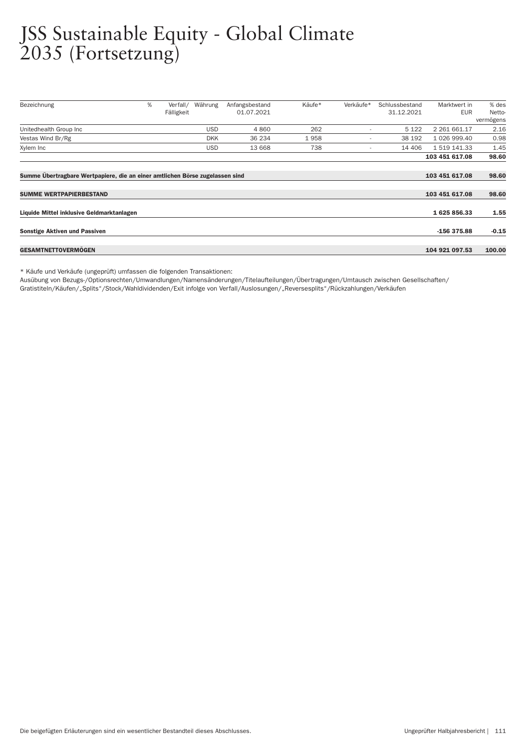#### JSS Sustainable Equity - Global Climate 2035 (Fortsetzung)

| Bezeichnung                                                                  | % | Verfall/   | Währung    | Anfangsbestand | Käufe* | Verkäufe* | Schlussbestand | Marktwert in   | % des     |
|------------------------------------------------------------------------------|---|------------|------------|----------------|--------|-----------|----------------|----------------|-----------|
|                                                                              |   | Fälligkeit |            | 01.07.2021     |        |           | 31.12.2021     | EUR            | Netto-    |
|                                                                              |   |            |            |                |        |           |                |                | vermögens |
| Unitedhealth Group Inc                                                       |   |            | <b>USD</b> | 4 8 6 0        | 262    |           | 5 1 2 2        | 2 261 661.17   | 2.16      |
| Vestas Wind Br/Rg                                                            |   |            | <b>DKK</b> | 36 234         | 1958   |           | 38 192         | 1 026 999.40   | 0.98      |
| Xylem Inc                                                                    |   |            | <b>USD</b> | 13 668         | 738    | ٠         | 14 40 6        | 1 519 141.33   | 1.45      |
|                                                                              |   |            |            |                |        |           |                | 103 451 617.08 | 98.60     |
|                                                                              |   |            |            |                |        |           |                |                |           |
| Summe Übertragbare Wertpapiere, die an einer amtlichen Börse zugelassen sind |   |            |            |                |        |           |                | 103 451 617.08 | 98.60     |
|                                                                              |   |            |            |                |        |           |                |                |           |
| <b>SUMME WERTPAPIERBESTAND</b>                                               |   |            |            |                |        |           |                | 103 451 617.08 | 98.60     |
|                                                                              |   |            |            |                |        |           |                |                |           |
| Liquide Mittel inklusive Geldmarktanlagen                                    |   |            |            |                |        |           |                | 1625856.33     | 1.55      |
|                                                                              |   |            |            |                |        |           |                |                |           |
| <b>Sonstige Aktiven und Passiven</b>                                         |   |            |            |                |        |           |                | -156 375.88    | $-0.15$   |
|                                                                              |   |            |            |                |        |           |                |                |           |
| <b>GESAMTNETTOVERMOGEN</b>                                                   |   |            |            |                |        |           |                | 104 921 097.53 | 100.00    |

\* Käufe und Verkäufe (ungeprüft) umfassen die folgenden Transaktionen:

Ausübung von Bezugs-/Optionsrechten/Umwandlungen/Namensänderungen/Titelaufteilungen/Über tragungen/Umtausch zwischen Gesellschaften/ Gratistiteln/Käufen/"Splits"/Stock/Wahldividenden/Exit infolge von Ver fall/Auslosungen/"Reversesplits"/Rückzahlungen/Verkäufen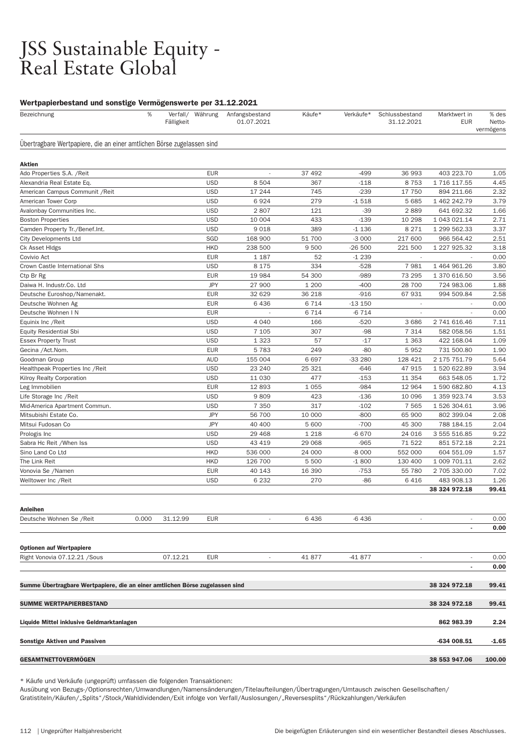#### JSS Sustainable Equity - Real Estate Global

#### Wertpapierbestand und sonstige Vermögenswerte per 31.12.2021

| we the processuing and sometige vermogenswered for officially<br>Bezeichnung | %     | Fälligkeit |                          | Verfall/ Währung Anfangsbestand<br>01.07.2021 | Käufe*        | Verkäufe*       | Schlussbestand<br>31.12.2021 | Marktwert in<br><b>EUR</b>  | % des<br>Netto-<br>vermögens |
|------------------------------------------------------------------------------|-------|------------|--------------------------|-----------------------------------------------|---------------|-----------------|------------------------------|-----------------------------|------------------------------|
| Übertragbare Wertpapiere, die an einer amtlichen Börse zugelassen sind       |       |            |                          |                                               |               |                 |                              |                             |                              |
| Aktien                                                                       |       |            |                          |                                               |               |                 |                              |                             |                              |
| Ado Properties S.A. / Reit                                                   |       |            | <b>EUR</b>               |                                               | 37 492        | -499            | 36 993                       | 403 223.70                  | 1.05                         |
| Alexandria Real Estate Eq.                                                   |       |            | <b>USD</b>               | 8 5 0 4                                       | 367           | $-118$          | 8753                         | 1 716 117.55                | 4.45                         |
| American Campus Communit / Reit                                              |       |            | <b>USD</b>               | 17 244                                        | 745           | $-239$          | 17 750                       | 894 211.66                  | 2.32                         |
| American Tower Corp                                                          |       |            | <b>USD</b>               | 6924                                          | 279           | $-1518$         | 5 6 8 5                      | 1 462 242.79                | 3.79                         |
| Avalonbay Communities Inc.                                                   |       |            | <b>USD</b>               | 2807                                          | 121           | $-39$           | 2889                         | 641 692.32                  | 1.66                         |
| <b>Boston Properties</b>                                                     |       |            | <b>USD</b>               | 10 004                                        | 433           | $-139$          | 10 298                       | 1 043 021.14                | 2.71                         |
| Camden Property Tr./Benef.Int.                                               |       |            | <b>USD</b>               | 9018                                          | 389           | $-1136$         | 8 2 7 1                      | 1 299 562.33                | 3.37                         |
| <b>City Developments Ltd</b>                                                 |       |            | SGD                      | 168 900                                       | 51 700        | $-3000$         | 217 600                      | 966 564.42                  | 2.51                         |
| Ck Asset Hidgs                                                               |       |            | <b>HKD</b>               | 238 500                                       | 9 500         | -26 500         | 221 500                      | 1 227 925.32                | 3.18                         |
| Covivio Act                                                                  |       |            | <b>EUR</b>               | 1 1 8 7                                       | 52            | $-1239$         |                              | ÷,                          | 0.00                         |
| Crown Castle International Shs                                               |       |            | <b>USD</b>               | 8 1 7 5                                       | 334           | $-528$          | 7981                         | 1 464 961.26                | 3.80                         |
| Ctp Br Rg                                                                    |       |            | <b>EUR</b>               | 19 984                                        | 54 300        | $-989$          | 73 295                       | 1 370 616.50                | 3.56                         |
| Daiwa H. Industr.Co. Ltd                                                     |       |            | <b>JPY</b>               | 27 900                                        | 1 200         | $-400$          | 28 700                       | 724 983.06                  | 1.88                         |
| Deutsche Euroshop/Namenakt.                                                  |       |            | <b>EUR</b>               | 32 629                                        | 36 218        | $-916$          | 67 931                       | 994 509.84                  | 2.58                         |
| Deutsche Wohnen Ag                                                           |       |            | <b>EUR</b>               | 6436                                          | 6 7 1 4       | $-13150$        | $\overline{\phantom{a}}$     |                             | 0.00                         |
| Deutsche Wohnen I N                                                          |       |            | <b>EUR</b>               |                                               | 6 7 1 4       | $-6714$         | $\overline{\phantom{a}}$     |                             | 0.00                         |
| Equinix Inc / Reit                                                           |       |            | <b>USD</b>               | 4 0 4 0                                       | 166           | $-520$          | 3686                         | 2 741 616.46                | 7.11                         |
| <b>Equity Residential Sbi</b>                                                |       |            | <b>USD</b>               | 7 1 0 5                                       | 307           | $-98$           | 7 3 1 4                      | 582 058.56                  | 1.51                         |
| <b>Essex Property Trust</b>                                                  |       |            | <b>USD</b>               | 1 3 2 3                                       | 57            | $-17$           | 1 3 6 3                      | 422 168.04                  | 1.09                         |
| Gecina /Act.Nom.                                                             |       |            | <b>EUR</b>               | 5783                                          | 249           | $-80$           | 5952                         | 731 500.80                  | 1.90                         |
| Goodman Group                                                                |       |            | <b>AUD</b>               | 155 004                                       | 6697          | -33 280         | 128 421                      | 2 175 751.79                | 5.64                         |
| Healthpeak Properties Inc / Reit                                             |       |            | <b>USD</b>               | 23 240                                        | 25 321        | $-646$          | 47 915                       | 1 520 622.89                | 3.94                         |
| Kilroy Realty Corporation                                                    |       |            | <b>USD</b>               | 11 030                                        | 477           | $-153$          | 11 354                       | 663 548.05                  | 1.72                         |
| Leg Immobilien                                                               |       |            | <b>EUR</b>               | 12893                                         | 1 0 5 5       | $-984$          | 12 964                       | 1590682.80                  | 4.13                         |
| Life Storage Inc / Reit                                                      |       |            | <b>USD</b>               | 9809                                          | 423           | $-136$          | 10 096                       | 1 359 923.74                | 3.53                         |
| Mid-America Apartment Commun.                                                |       |            | <b>USD</b>               | 7 3 5 0                                       | 317           | $-102$          | 7 5 6 5                      | 1 526 304.61                | 3.96                         |
| Mitsubishi Estate Co.                                                        |       |            | <b>JPY</b>               | 56 700                                        | 10 000        | $-800$          | 65 900                       | 802 399.04                  | 2.08                         |
| Mitsui Fudosan Co                                                            |       |            | <b>JPY</b>               | 40 400                                        | 5 600         | $-700$          | 45 300                       | 788 184.15                  | 2.04                         |
| Prologis Inc                                                                 |       |            | <b>USD</b>               | 29 4 68                                       | 1 2 1 8       | $-6670$         | 24 016                       | 3 555 516.85                | 9.22                         |
| Sabra Hc Reit / When Iss                                                     |       |            | <b>USD</b>               | 43 419                                        | 29 068        | $-965$          | 71522                        | 851 572.18                  | 2.21                         |
| Sino Land Co Ltd                                                             |       |            | <b>HKD</b>               | 536 000                                       | 24 000        | $-8000$         | 552 000                      | 604 551.09                  | 1.57                         |
| The Link Reit                                                                |       |            | <b>HKD</b><br><b>EUR</b> | 126 700<br>40 143                             | 5 500         | $-1800$         | 130 400<br>55 780            | 1 009 701.11                | 2.62                         |
| Vonovia Se /Namen                                                            |       |            | <b>USD</b>               | 6 2 3 2                                       | 16 390<br>270 | $-753$<br>$-86$ | 6416                         | 2 705 330.00                | 7.02                         |
| Welltower Inc /Reit                                                          |       |            |                          |                                               |               |                 |                              | 483 908.13<br>38 324 972.18 | 1.26<br>99.41                |
| <b>Anleihen</b>                                                              |       |            |                          |                                               |               |                 |                              |                             |                              |
| Deutsche Wohnen Se /Reit                                                     | 0.000 | 31.12.99   | <b>EUR</b>               |                                               | 6436          | -6 436          |                              |                             | 0.00                         |
|                                                                              |       |            |                          |                                               |               |                 |                              | ٠                           | 0.00                         |
| <b>Optionen auf Wertpapiere</b>                                              |       |            |                          |                                               |               |                 |                              |                             |                              |
| Right Vonovia 07.12.21 / Sous                                                |       | 07.12.21   | <b>EUR</b>               | $\overline{\phantom{a}}$                      | 41877         | -41 877         | $\overline{\phantom{a}}$     | $\overline{\phantom{a}}$    | 0.00                         |
|                                                                              |       |            |                          |                                               |               |                 |                              |                             | 0.00                         |
| Summe Übertragbare Wertpapiere, die an einer amtlichen Börse zugelassen sind |       |            |                          |                                               |               |                 |                              | 38 324 972.18               | 99.41                        |
| <b>SUMME WERTPAPIERBESTAND</b>                                               |       |            |                          |                                               |               |                 |                              | 38 324 972.18               | 99.41                        |
| Liquide Mittel inklusive Geldmarktanlagen                                    |       |            |                          |                                               |               |                 |                              | 862 983.39                  | 2.24                         |
| <b>Sonstige Aktiven und Passiven</b>                                         |       |            |                          |                                               |               |                 |                              | -634 008.51                 | -1.65                        |

\* Käufe und Verkäufe (ungeprüft) umfassen die folgenden Transaktionen:

Ausübung von Bezugs-/Optionsrechten/Umwandlungen/Namensänderungen/Titelaufteilungen/Über tragungen/Umtausch zwischen Gesellschaften/ Gratistiteln/Käufen/"Splits"/Stock/Wahldividenden/Exit infolge von Ver fall/Auslosungen/"Reversesplits"/Rückzahlungen/Verkäufen

GESAMTNETTOVERMÖGEN 38 553 947.06 100.00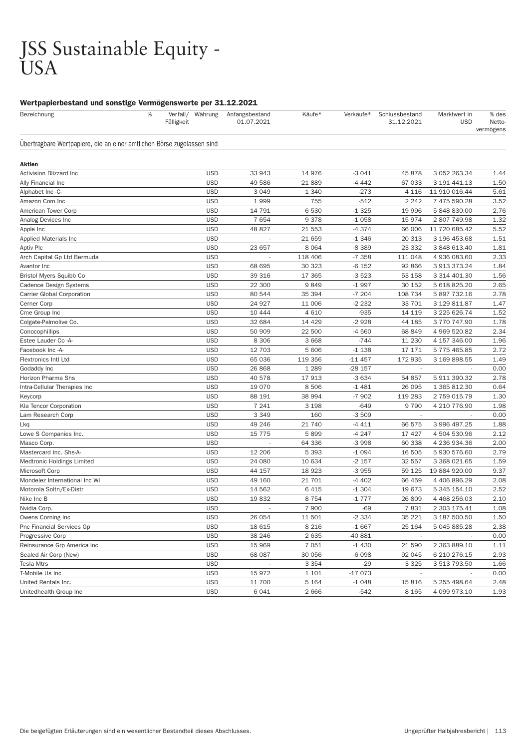#### JSS Sustainable Equity - USA

#### Wertpapierbestand und sonstige Vermögenswerte per 31.12.2021

| Bezeichnung                                                            | % | Verfall/<br>Fälligkeit | Währung    | Anfangsbestand<br>01.07.2021 | Käufe*  | Verkäufe* | Schlussbestand<br>31.12.2021 | Marktwert in<br><b>USD</b> | % des<br>Netto-<br>vermögens |
|------------------------------------------------------------------------|---|------------------------|------------|------------------------------|---------|-----------|------------------------------|----------------------------|------------------------------|
| Übertragbare Wertpapiere, die an einer amtlichen Börse zugelassen sind |   |                        |            |                              |         |           |                              |                            |                              |
| Aktien                                                                 |   |                        |            |                              |         |           |                              |                            |                              |
| Activision Blizzard Inc                                                |   |                        | <b>USD</b> | 33 943                       | 14 976  | $-3041$   | 45 878                       | 3 052 263.34               | 1.44                         |
| Ally Financial Inc                                                     |   |                        | <b>USD</b> | 49 586                       | 21889   | $-4442$   | 67 033                       | 3 191 441.13               | 1.50                         |
| Alphabet Inc -C-                                                       |   |                        | <b>USD</b> | 3 0 4 9                      | 1 3 4 0 | $-273$    | 4 1 1 6                      | 11 910 016.44              | 5.61                         |
| Amazon Com Inc                                                         |   |                        | <b>USD</b> | 1999                         | 755     | $-512$    | 2 2 4 2                      | 7 475 590.28               | 3.52                         |
| American Tower Corp                                                    |   |                        | <b>USD</b> | 14 791                       | 6530    | $-1325$   | 19 996                       | 5 848 830.00               | 2.76                         |
| Analog Devices Inc                                                     |   |                        | <b>USD</b> | 7654                         | 9 3 7 8 | $-1058$   | 15 974                       | 2807749.98                 | 1.32                         |
| Apple Inc                                                              |   |                        | <b>USD</b> | 48 827                       | 21 553  | $-4374$   | 66 006                       | 11 720 685.42              | 5.52                         |
| <b>Applied Materials Inc</b>                                           |   |                        | <b>USD</b> |                              | 21 659  | $-1346$   | 20 313                       | 3 196 453.68               | 1.51                         |
| <b>Aptiv Plc</b>                                                       |   |                        | <b>USD</b> | 23 657                       | 8 0 6 4 | -8 389    | 23 332                       | 3 848 613.40               | 1.81                         |
| Arch Capital Gp Ltd Bermuda                                            |   |                        | <b>USD</b> |                              | 118 406 | $-7358$   | 111 048                      | 4 936 083.60               | 2.33                         |
| Avantor Inc                                                            |   |                        | <b>USD</b> | 68 695                       | 30 323  | $-6152$   | 92 866                       | 3 913 373.24               | 1.84                         |
| Bristol Myers Squibb Co                                                |   |                        | <b>USD</b> | 39 316                       | 17 365  | $-3523$   | 53 158                       | 3 314 401.30               | 1.56                         |
| <b>Cadence Design Systems</b>                                          |   |                        | <b>USD</b> | 22 300                       | 9849    | $-1997$   | 30 152                       | 5 618 825.20               | 2.65                         |
| <b>Carrier Global Corporation</b>                                      |   |                        | <b>USD</b> | 80 544                       | 35 394  | $-7204$   | 108 734                      | 5 897 732.16               | 2.78                         |
| Cerner Corp                                                            |   |                        | <b>USD</b> | 24 927                       | 11 006  | $-2232$   | 33 701                       | 3 129 811.87               | 1.47                         |
| Cme Group Inc                                                          |   |                        | <b>USD</b> | 10 444                       | 4 6 1 0 | $-935$    | 14 119                       | 3 225 626.74               | 1.52                         |
| Colgate-Palmolive Co.                                                  |   |                        | <b>USD</b> | 32 684                       | 14 4 29 | $-2928$   | 44 185                       | 3770747.90                 | 1.78                         |
| Conocophillips                                                         |   |                        | <b>USD</b> | 50 909                       | 22 500  | $-4560$   | 68 849                       | 4 969 520.82               | 2.34                         |
| Estee Lauder Co -A-                                                    |   |                        | <b>USD</b> | 8 3 0 6                      | 3 6 6 8 | $-744$    | 11 230                       | 4 157 346.00               | 1.96                         |
| Facebook Inc -A-                                                       |   |                        | <b>USD</b> | 12 703                       | 5 60 6  | $-1138$   | 17 17 1                      | 5 775 465.85               | 2.72                         |
| <b>Flextronics Intl Ltd</b>                                            |   |                        | <b>USD</b> | 65 036                       | 119 356 | $-11457$  | 172 935                      | 3 169 898.55               | 1.49                         |
| Godaddy Inc                                                            |   |                        | <b>USD</b> | 26 868                       | 1 2 8 9 | $-28157$  |                              |                            | 0.00                         |
| Horizon Pharma Shs                                                     |   |                        | <b>USD</b> | 40 578                       | 17913   | $-3634$   | 54 857                       | 5 911 390.32               | 2.78                         |
| Intra-Cellular Therapies Inc                                           |   |                        | <b>USD</b> | 19 070                       | 8506    | $-1481$   | 26 095                       | 1 365 812.30               | 0.64                         |
| Keycorp                                                                |   |                        | <b>USD</b> | 88 191                       | 38 994  | $-7902$   | 119 283                      | 2 759 015.79               | 1.30                         |
| Kla Tencor Corporation                                                 |   |                        | <b>USD</b> | 7 241                        | 3 1 9 8 | $-649$    | 9 7 9 0                      | 4 210 776.90               | 1.98                         |
| Lam Research Corp                                                      |   |                        | <b>USD</b> | 3 3 4 9                      | 160     | $-3509$   | $\overline{\phantom{a}}$     |                            | 0.00                         |
| Lkq                                                                    |   |                        | <b>USD</b> | 49 246                       | 21 740  | $-4411$   | 66 575                       | 3 996 497.25               | 1.88                         |
| Lowe S Companies Inc.                                                  |   |                        | <b>USD</b> | 15 7 7 5                     | 5899    | $-4247$   | 17 427                       | 4 504 530.96               | 2.12                         |
| Masco Corp.                                                            |   |                        | <b>USD</b> |                              | 64 336  | $-3998$   | 60 338                       | 4 236 934.36               | 2.00                         |
| Mastercard Inc. Shs-A-                                                 |   |                        | <b>USD</b> | 12 206                       | 5 3 9 3 | $-1094$   | 16 505                       | 5 930 576.60               | 2.79                         |
| Medtronic Holdings Limited                                             |   |                        | <b>USD</b> | 24 080                       | 10 634  | $-2157$   | 32 557                       | 3 368 021.65               | 1.59                         |
| Microsoft Corp                                                         |   |                        | <b>USD</b> | 44 157                       | 18923   | $-3955$   | 59 1 25                      | 19 884 920.00              | 9.37                         |
| Mondelez International Inc Wi                                          |   |                        | <b>USD</b> | 49 160                       | 21 701  | $-4402$   | 66 459                       | 4 406 896.29               | 2.08                         |
| Motorola Soltn/Ex-Distr                                                |   |                        | <b>USD</b> | 14 5 62                      | 6415    | $-1304$   | 19673                        | 5 345 154.10               | 2.52                         |
| Nike Inc B                                                             |   |                        | <b>USD</b> | 19832                        | 8754    | $-1777$   | 26 809                       | 4 468 256.03               | 2.10                         |
| Nvidia Corp.                                                           |   |                        | <b>USD</b> | $\overline{\phantom{a}}$     | 7 9 0 0 | -69       | 7831                         | 2 303 175.41               | 1.08                         |
| Owens Corning Inc                                                      |   |                        | <b>USD</b> | 26 054                       | 11 501  | $-2334$   | 35 221                       | 3 187 500.50               | 1.50                         |
| Pnc Financial Services Gp                                              |   |                        | <b>USD</b> | 18 615                       | 8 2 1 6 | $-1667$   | 25 164                       | 5 045 885.28               | 2.38                         |
| Progressive Corp                                                       |   |                        | <b>USD</b> | 38 246                       | 2635    | -40 881   |                              |                            | 0.00                         |
| Reinsurance Grp America Inc                                            |   |                        | <b>USD</b> | 15 969                       | 7 0 5 1 | $-1430$   | 21 590                       | 2 363 889.10               | 1.11                         |
| Sealed Air Corp (New)                                                  |   |                        | <b>USD</b> | 68 087                       | 30 056  | $-6098$   | 92 045                       | 6 210 276.15               | 2.93                         |
| Tesla Mtrs                                                             |   |                        | <b>USD</b> |                              | 3 3 5 4 | $-29$     | 3 3 2 5                      | 3 513 793.50               | 1.66                         |
| T-Mobile Us Inc                                                        |   |                        | <b>USD</b> | 15 972                       | 1 1 0 1 | $-17073$  |                              |                            | 0.00                         |
| United Rentals Inc.                                                    |   |                        | <b>USD</b> | 11 700                       | 5 1 6 4 | $-1048$   | 15816                        | 5 255 498.64               | 2.48                         |
| Unitedhealth Group Inc                                                 |   |                        | <b>USD</b> | 6 0 4 1                      | 2666    | $-542$    | 8 1 6 5                      | 4 099 973.10               | 1.93                         |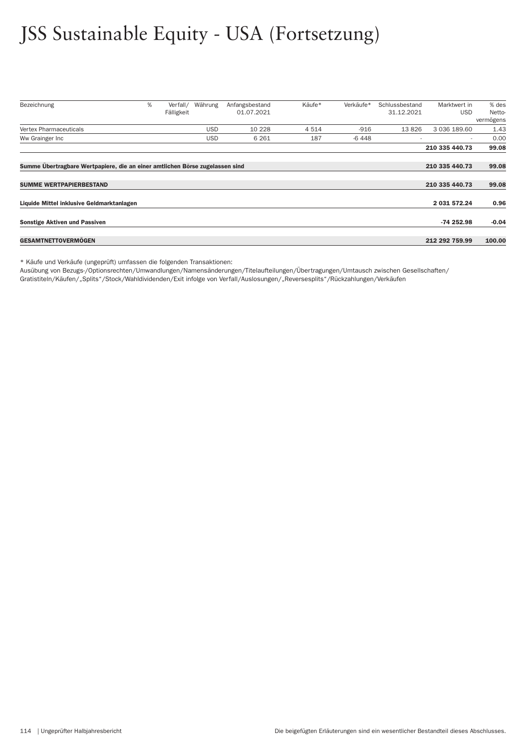# JSS Sustainable Equity - USA (Fortsetzung)

| Bezeichnung                                                                  | % | Verfall/   | Währung    | Anfangsbestand | Käufe*  | Verkäufe* | Schlussbestand | Marktwert in   | % des     |
|------------------------------------------------------------------------------|---|------------|------------|----------------|---------|-----------|----------------|----------------|-----------|
|                                                                              |   | Fälligkeit |            | 01.07.2021     |         |           | 31.12.2021     | <b>USD</b>     | Netto-    |
|                                                                              |   |            |            |                |         |           |                |                | vermögens |
| <b>Vertex Pharmaceuticals</b>                                                |   |            | <b>USD</b> | 10 228         | 4 5 1 4 | $-916$    | 13826          | 3 036 189.60   | 1.43      |
| Ww Grainger Inc                                                              |   |            | <b>USD</b> | 6 2 6 1        | 187     | -6 448    |                | $\sim$         | 0.00      |
|                                                                              |   |            |            |                |         |           |                | 210 335 440.73 | 99.08     |
|                                                                              |   |            |            |                |         |           |                |                |           |
| Summe Übertragbare Wertpapiere, die an einer amtlichen Börse zugelassen sind |   |            |            |                |         |           |                | 210 335 440.73 | 99.08     |
| <b>SUMME WERTPAPIERBESTAND</b>                                               |   |            |            |                |         |           |                | 210 335 440.73 | 99.08     |
|                                                                              |   |            |            |                |         |           |                |                |           |
| Liquide Mittel inklusive Geldmarktanlagen                                    |   |            |            |                |         |           |                | 2 031 572.24   | 0.96      |
|                                                                              |   |            |            |                |         |           |                |                |           |
| <b>Sonstige Aktiven und Passiven</b>                                         |   |            |            |                |         |           |                | $-74252.98$    | $-0.04$   |
|                                                                              |   |            |            |                |         |           |                |                |           |
| <b>GESAMTNETTOVERMOGEN</b>                                                   |   |            |            |                |         |           |                | 212 292 759.99 | 100.00    |

\* Käufe und Verkäufe (ungeprüft) umfassen die folgenden Transaktionen:

Ausübung von Bezugs-/Optionsrechten/Umwandlungen/Namensänderungen/Titelaufteilungen/Über tragungen/Umtausch zwischen Gesellschaften/

Gratistiteln/Käufen/"Splits"/Stock/Wahldividenden/Exit infolge von Verfall/Auslosungen/"Reversesplits"/Rückzahlungen/Verkäufen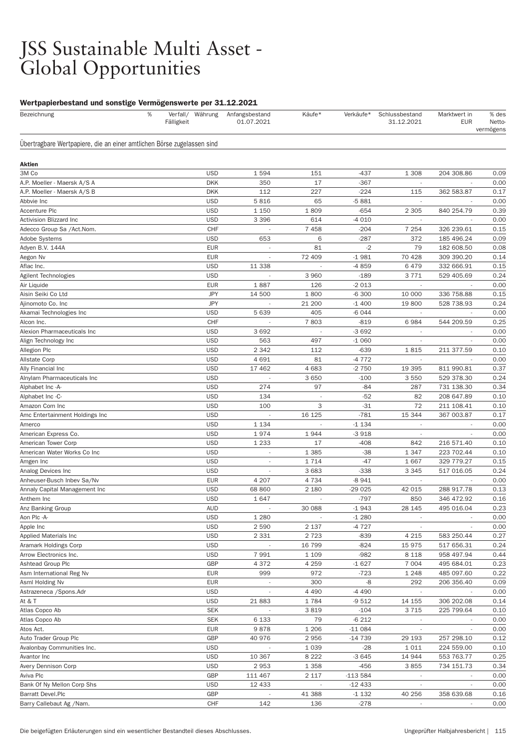#### JSS Sustainable Multi Asset - Global Opportunities

#### Wertpapierbestand und sonstige Vermögenswerte per 31.12.2021

| Bezeichnung                                                            | % | Fälligkeit | Verfall/ Währung         | Anfangsbestand<br>01.07.2021       | Käufe*             | Verkäufe*         | Schlussbestand<br>31.12.2021       | Marktwert in<br><b>EUR</b> | % des<br><b>Netto</b><br>vermögens |
|------------------------------------------------------------------------|---|------------|--------------------------|------------------------------------|--------------------|-------------------|------------------------------------|----------------------------|------------------------------------|
| Übertragbare Wertpapiere, die an einer amtlichen Börse zugelassen sind |   |            |                          |                                    |                    |                   |                                    |                            |                                    |
| Aktien                                                                 |   |            |                          |                                    |                    |                   |                                    |                            |                                    |
| 3M Co                                                                  |   |            | <b>USD</b>               | 1594                               | 151                | $-437$            | 1 3 0 8                            | 204 308.86                 | 0.09                               |
| A.P. Moeller - Maersk A/S A                                            |   |            | <b>DKK</b>               | 350                                | 17                 | $-367$            |                                    |                            | 0.00                               |
| A.P. Moeller - Maersk A/S B                                            |   |            | <b>DKK</b>               | 112                                | 227                | $-224$            | 115                                | 362 583.87                 | 0.17                               |
| Abbvie Inc                                                             |   |            | <b>USD</b>               | 5816                               | 65                 | $-5881$           |                                    |                            | 0.00                               |
| <b>Accenture Plc</b>                                                   |   |            | <b>USD</b>               | 1 1 5 0                            | 1809               | $-654$            | 2 3 0 5                            | 840 254.79                 | 0.39                               |
| Activision Blizzard Inc                                                |   |            | <b>USD</b>               | 3 3 9 6                            | 614                | $-4010$           |                                    |                            | 0.00                               |
| Adecco Group Sa / Act. Nom.                                            |   |            | <b>CHF</b>               | $\overline{\phantom{a}}$           | 7458               | $-204$            | 7 2 5 4                            | 326 239.61                 | 0.15                               |
| <b>Adobe Systems</b>                                                   |   |            | <b>USD</b>               | 653                                | 6                  | $-287$            | 372                                | 185 496.24                 | 0.09                               |
| Adyen B.V. 144A                                                        |   |            | <b>EUR</b>               | $\sim$                             | 81                 | $-2$              | 79                                 | 182 608.50                 | 0.08                               |
| Aegon Nv                                                               |   |            | <b>EUR</b>               |                                    | 72 409             | $-1981$           | 70 428                             | 309 390.20                 | 0.14                               |
| Aflac Inc.                                                             |   |            | <b>USD</b>               | 11 338                             |                    | $-4859$           | 6479                               | 332 666.91                 | 0.15                               |
| Agilent Technologies                                                   |   |            | <b>USD</b>               |                                    | 3 9 6 0            | $-189$            | 3771                               | 529 405.69                 | 0.24                               |
| Air Liquide                                                            |   |            | <b>EUR</b>               | 1887                               | 126                | $-2013$           |                                    |                            | 0.00                               |
| Aisin Seiki Co Ltd                                                     |   |            | <b>JPY</b>               | 14 500                             | 1800               | $-6300$           | 10 000                             | 336 758.88                 | 0.15                               |
| Ajinomoto Co. Inc                                                      |   |            | <b>JPY</b>               |                                    | 21 200             | $-1400$           | 19800                              | 528 738.93                 | 0.24                               |
| Akamai Technologies Inc                                                |   |            | <b>USD</b>               | 5 6 3 9                            | 405                | $-6044$           |                                    |                            | 0.00                               |
| Alcon Inc.                                                             |   |            | CHF                      |                                    | 7803               | $-819$            | 6984                               | 544 209.59                 | 0.25                               |
| Alexion Pharmaceuticals Inc                                            |   |            | <b>USD</b>               | 3692                               |                    | $-3692$           |                                    |                            | 0.00                               |
| Align Technology Inc                                                   |   |            | <b>USD</b>               | 563                                | 497                | $-1060$           | $\overline{\phantom{a}}$           |                            | 0.00                               |
| Allegion Plc                                                           |   |            | <b>USD</b>               | 2 3 4 2                            | 112                | $-639$            | 1815                               | 211 377.59                 | 0.10                               |
| <b>Allstate Corp</b>                                                   |   |            | <b>USD</b>               | 4 6 9 1                            | 81                 | $-4772$           |                                    |                            | 0.00                               |
| Ally Financial Inc                                                     |   |            | <b>USD</b>               | 17 462                             | 4683               | $-2750$           | 19 395                             | 811 990.81                 | 0.37                               |
| Alnylam Pharmaceuticals Inc                                            |   |            | <b>USD</b>               | $\overline{a}$                     | 3650               | $-100$            | 3550                               | 529 378.30                 | 0.24                               |
| Alphabet Inc -A-                                                       |   |            | <b>USD</b>               | 274                                | 97                 | $-84$             | 287                                | 731 138.30                 | 0.34                               |
| Alphabet Inc -C-                                                       |   |            | <b>USD</b>               | 134                                |                    | $-52$             | 82                                 | 208 647.89                 | 0.10                               |
| Amazon Com Inc                                                         |   |            | <b>USD</b>               | 100                                | 3                  | $-31$             | 72                                 | 211 108.41                 | 0.10                               |
| Amc Entertainment Holdings Inc                                         |   |            | <b>USD</b>               |                                    | 16 125             | $-781$            | 15 344                             | 367 003.87                 | 0.17                               |
| Amerco                                                                 |   |            | <b>USD</b>               | 1 1 3 4                            |                    | $-1134$           |                                    |                            | 0.00                               |
| American Express Co.                                                   |   |            | <b>USD</b>               | 1974                               | 1944               | $-3918$           | $\overline{\phantom{a}}$           |                            | 0.00                               |
| American Tower Corp                                                    |   |            | <b>USD</b>               | 1 2 3 3                            | 17                 | $-408$            | 842                                | 216 571.40                 | 0.10                               |
| American Water Works Co Inc                                            |   |            | <b>USD</b>               | $\overline{\phantom{a}}$           | 1 3 8 5            | $-38$             | 1 3 4 7                            | 223 702.44                 | 0.10                               |
| Amgen Inc                                                              |   |            | <b>USD</b>               | $\overline{\phantom{a}}$           | 1714               | $-47$             | 1667                               | 329 779.27                 | 0.15                               |
| Analog Devices Inc                                                     |   |            | <b>USD</b>               |                                    | 3683               | $-338$            | 3 3 4 5                            | 517 016.05                 | 0.24                               |
| Anheuser-Busch Inbev Sa/Nv                                             |   |            | <b>EUR</b>               | 4 2 0 7                            | 4 7 3 4            | $-8941$           | $\overline{\phantom{a}}$           |                            | 0.00                               |
| Annaly Capital Management Inc                                          |   |            | <b>USD</b>               | 68 860                             | 2 1 8 0            | $-29025$          | 42 015                             | 288 917.78                 | 0.13                               |
| Anthem Inc                                                             |   |            | <b>USD</b>               | 1647                               |                    | $-797$            | 850                                | 346 472.92                 | 0.16                               |
| Anz Banking Group                                                      |   |            | AUD                      |                                    | 30 088             | $-1943$           | 28 145                             | 495 016.04                 | 0.23                               |
| Aon Plc -A-                                                            |   |            | <b>USD</b>               | 1 2 8 0                            |                    | $-1280$           |                                    |                            | 0.00                               |
| Apple Inc                                                              |   |            | <b>USD</b>               | 2 5 9 0                            | 2 1 3 7            | $-4727$           | $\overline{\phantom{a}}$           |                            | 0.00                               |
| Applied Materials Inc                                                  |   |            | <b>USD</b>               | 2 3 3 1                            | 2723               | $-839$            | 4 2 1 5                            | 583 250.44                 | 0.27                               |
| Aramark Holdings Corp                                                  |   |            | <b>USD</b>               |                                    | 16 799             | $-824$            | 15 975                             | 517 656.31                 | 0.24                               |
| Arrow Electronics Inc.                                                 |   |            | <b>USD</b><br>GBP        | 7991                               | 1 1 0 9            | $-982$            | 8 1 1 8<br>7 0 0 4                 | 958 497.94                 | 0.44                               |
| Ashtead Group Plc                                                      |   |            | <b>EUR</b>               | 4 3 7 2<br>999                     | 4 2 5 9<br>972     | $-1627$<br>$-723$ | 1 2 4 8                            | 495 684.01                 | 0.23<br>0.22                       |
| Asm International Reg Nv                                               |   |            | <b>EUR</b>               |                                    |                    | -8                | 292                                | 485 097.60                 |                                    |
| Asml Holding Nv<br>Astrazeneca / Spons. Adr                            |   |            |                          | $\overline{\phantom{a}}$           | 300                |                   |                                    | 206 356.40                 | 0.09                               |
|                                                                        |   |            | <b>USD</b><br><b>USD</b> |                                    | 4 4 9 0<br>1784    | -4 490<br>$-9512$ | $\sim$                             |                            | 0.00<br>0.14                       |
| At & T<br>Atlas Copco Ab                                               |   |            | <b>SEK</b>               | 21883<br>$\sim$                    | 3819               | $-104$            | 14 155<br>3715                     | 306 202.08<br>225 799.64   |                                    |
| Atlas Copco Ab                                                         |   |            | <b>SEK</b>               | 6 1 3 3                            | 79                 | $-6212$           |                                    |                            | 0.10<br>0.00                       |
| Atos Act.                                                              |   |            | <b>EUR</b>               | 9878                               | 1 206              | $-11084$          | $\overline{\phantom{a}}$           | ÷.                         | 0.00                               |
| Auto Trader Group Plc                                                  |   |            | GBP                      | 40 976                             | 2956               | $-14739$          | 29 193                             | 257 298.10                 | 0.12                               |
|                                                                        |   |            |                          |                                    |                    |                   |                                    |                            |                                    |
| Avalonbay Communities Inc.<br>Avantor Inc                              |   |            | <b>USD</b><br><b>USD</b> | $\overline{\phantom{a}}$<br>10 367 | 1 0 3 9<br>8 2 2 2 | $-28$<br>$-3645$  | 1011<br>14 944                     | 224 559.00<br>553 763.77   | 0.10<br>0.25                       |
| Avery Dennison Corp                                                    |   |            | <b>USD</b>               | 2953                               | 1 3 5 8            | $-456$            | 3855                               | 734 151.73                 |                                    |
| Aviva Plc                                                              |   |            | GBP                      | 111 467                            | 2 1 1 7            | $-113584$         |                                    |                            | 0.34<br>0.00                       |
| Bank Of Ny Mellon Corp Shs                                             |   |            | <b>USD</b>               | 12 433                             |                    | $-12433$          | $\sim$<br>$\overline{\phantom{a}}$ | $\overline{\phantom{a}}$   | 0.00                               |
| <b>Barratt Devel.Plc</b>                                               |   |            | GBP                      |                                    | 41 388             | $-1132$           | 40 256                             | 358 639.68                 | 0.16                               |
| Barry Callebaut Ag /Nam.                                               |   |            | CHF                      | 142                                | 136                | $-278$            | $\overline{\phantom{a}}$           | $\overline{\phantom{a}}$   | 0.00                               |
|                                                                        |   |            |                          |                                    |                    |                   |                                    |                            |                                    |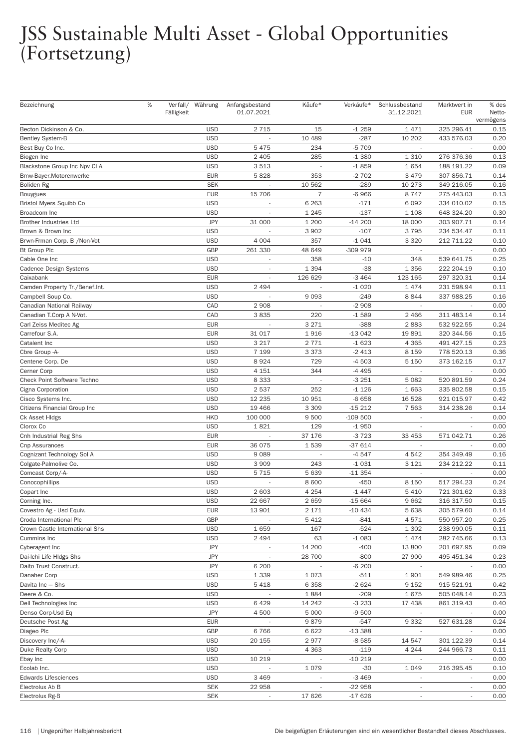| Bezeichnung                    | % | Fälligkeit | Verfall/ Währung | Anfangsbestand<br>01.07.2021 | Käufe*         | Verkäufe* | Schlussbestand<br>31.12.2021 | Marktwert in<br><b>EUR</b> | % des<br>Netto-<br>vermögens |
|--------------------------------|---|------------|------------------|------------------------------|----------------|-----------|------------------------------|----------------------------|------------------------------|
| Becton Dickinson & Co.         |   |            | <b>USD</b>       | 2 7 1 5                      | 15             | $-1259$   | 1471                         | 325 296.41                 | 0.15                         |
| <b>Bentley System-B</b>        |   |            | <b>USD</b>       |                              | 10 489         | $-287$    | 10 20 2                      | 433 576.03                 | 0.20                         |
| Best Buy Co Inc.               |   |            | <b>USD</b>       | 5 4 7 5                      | 234            | -5 709    |                              |                            | 0.00                         |
| Biogen Inc                     |   |            | <b>USD</b>       | 2 4 0 5                      | 285            | $-1380$   | 1 3 1 0                      | 276 376.36                 | 0.13                         |
| Blackstone Group Inc Npv CI A  |   |            | <b>USD</b>       | 3513                         |                | $-1859$   | 1654                         | 188 191.22                 | 0.09                         |
| Bmw-Bayer.Motorenwerke         |   |            | <b>EUR</b>       | 5828                         | 353            | $-2702$   | 3 4 7 9                      | 307 856.71                 | 0.14                         |
| Boliden Rg                     |   |            | <b>SEK</b>       |                              | 10 562         | $-289$    | 10 273                       | 349 216.05                 | 0.16                         |
| <b>Bouygues</b>                |   |            | <b>EUR</b>       | 15 706                       | $\overline{7}$ | $-6966$   | 8747                         | 275 443.03                 | 0.13                         |
| <b>Bristol Myers Squibb Co</b> |   |            | <b>USD</b>       | $\overline{\phantom{a}}$     | 6 2 6 3        | $-171$    | 6 0 9 2                      | 334 010.02                 | 0.15                         |
| Broadcom Inc                   |   |            | <b>USD</b>       | $\overline{\phantom{a}}$     | 1 2 4 5        | $-137$    | 1 1 0 8                      | 648 324.20                 | 0.30                         |
| <b>Brother Industries Ltd</b>  |   |            | <b>JPY</b>       | 31 000                       | 1 200          | $-14200$  | 18 000                       | 303 907.71                 | 0.14                         |
| Brown & Brown Inc              |   |            | <b>USD</b>       |                              | 3 9 0 2        | $-107$    | 3795                         | 234 534.47                 | 0.11                         |
| Brwn-Frman Corp. B / Non-Vot   |   |            | <b>USD</b>       | 4 0 0 4                      | 357            | $-1041$   | 3 3 2 0                      | 212 711.22                 | 0.10                         |
| <b>Bt Group Plc</b>            |   |            | <b>GBP</b>       | 261 330                      | 48 649         | -309 979  | $\sim$                       | $\overline{\phantom{a}}$   | 0.00                         |
| Cable One Inc                  |   |            | <b>USD</b>       | $\overline{\phantom{a}}$     | 358            | $-10$     | 348                          | 539 641.75                 | 0.25                         |
| Cadence Design Systems         |   |            | <b>USD</b>       |                              | 1 3 9 4        | $-38$     | 1 3 5 6                      | 222 204.19                 | 0.10                         |
| Caixabank                      |   |            | <b>EUR</b>       | ÷,                           | 126 629        | $-3464$   | 123 165                      | 297 320.31                 | 0.14                         |
| Camden Property Tr./Benef.Int. |   |            | <b>USD</b>       | 2494                         |                | $-1020$   | 1474                         | 231 598.94                 | 0.11                         |
| Campbell Soup Co.              |   |            | <b>USD</b>       |                              | 9 0 9 3        | $-249$    | 8844                         | 337 988.25                 | 0.16                         |
| Canadian National Railway      |   |            | CAD              | 2 9 0 8                      |                | $-2908$   |                              |                            | 0.00                         |
| Canadian T.Corp A N-Vot.       |   |            | CAD              | 3835                         | 220            | $-1589$   | 2 4 6 6                      | 311 483.14                 | 0.14                         |
| Carl Zeiss Meditec Ag          |   |            | <b>EUR</b>       |                              | 3 2 7 1        | $-388$    | 2883                         | 532 922.55                 | 0.24                         |
| Carrefour S.A.                 |   |            | <b>EUR</b>       | 31 017                       | 1916           | $-13042$  | 19891                        | 320 344.56                 | 0.15                         |
| Catalent Inc                   |   |            | <b>USD</b>       | 3 2 1 7                      | 2 7 7 1        | $-1623$   | 4 3 6 5                      | 491 427.15                 | 0.23                         |
| Cbre Group -A-                 |   |            | <b>USD</b>       | 7 1 9 9                      | 3 3 7 3        | $-2413$   | 8 1 5 9                      | 778 520.13                 | 0.36                         |
| Centene Corp. De               |   |            | <b>USD</b>       | 8924                         | 729            | $-4503$   | 5 1 5 0                      | 373 162.15                 | 0.17                         |
| Cerner Corp                    |   |            | <b>USD</b>       | 4 1 5 1                      | 344            | -4 495    |                              |                            | 0.00                         |
| Check Point Software Techno    |   |            | <b>USD</b>       | 8 3 3 3                      |                | $-3251$   | 5 0 8 2                      | 520 891.59                 | 0.24                         |
| Cigna Corporation              |   |            | <b>USD</b>       | 2537                         | 252            | $-1126$   | 1 6 6 3                      | 335 802.58                 | 0.15                         |
| Cisco Systems Inc.             |   |            | <b>USD</b>       | 12 2 35                      | 10 951         | $-6658$   | 16 5 28                      | 921 015.97                 | 0.42                         |
| Citizens Financial Group Inc   |   |            | <b>USD</b>       | 19 4 66                      | 3 3 0 9        | $-15212$  | 7 5 6 3                      | 314 238.26                 | 0.14                         |
| Ck Asset Hidgs                 |   |            | <b>HKD</b>       | 100 000                      | 9 500          | $-109500$ |                              |                            | 0.00                         |
| Clorox Co                      |   |            | <b>USD</b>       | 1821                         | 129            | $-1950$   | $\overline{\phantom{a}}$     |                            | 0.00                         |
| Cnh Industrial Reg Shs         |   |            | <b>EUR</b>       |                              | 37 176         | $-3723$   | 33 453                       | 571 042.71                 | 0.26                         |
| Cnp Assurances                 |   |            | <b>EUR</b>       | 36 075                       | 1539           | -37 614   |                              |                            | 0.00                         |
| Cognizant Technology Sol A     |   |            | <b>USD</b>       | 9089                         |                | $-4547$   | 4542                         | 354 349.49                 | 0.16                         |
| Colgate-Palmolive Co.          |   |            | <b>USD</b>       | 3 9 0 9                      | 243            | $-1031$   | 3 1 2 1                      | 234 212.22                 | 0.11                         |
| Comcast Corp/-A-               |   |            | <b>USD</b>       | 5 7 1 5                      | 5 6 3 9        | $-11354$  | $\overline{\phantom{a}}$     |                            | 0.00                         |
| Conocophillips                 |   |            | <b>USD</b>       |                              | 8 600          | $-450$    | 8 1 5 0                      | 517 294.23                 | 0.24                         |
| Copart Inc                     |   |            | <b>USD</b>       | 2 603                        | 4 2 5 4        | $-1447$   | 5 4 1 0                      | 721 301.62                 | 0.33                         |
| Corning Inc.                   |   |            | <b>USD</b>       | 22 667                       | 2659           | $-15664$  | 9662                         | 316 317.50                 | 0.15                         |
| Covestro Ag - Usd Equiv.       |   |            | <b>EUR</b>       | 13 901                       | 2 1 7 1        | $-10434$  | 5 6 3 8                      | 305 579.60                 | 0.14                         |
| Croda International Plc        |   |            | GBP              |                              | 5412           | $-841$    | 4571                         | 550 957.20                 | 0.25                         |
| Crown Castle International Shs |   |            | <b>USD</b>       | 1659                         | 167            | $-524$    | 1 3 0 2                      | 238 990.05                 | 0.11                         |
| Cummins Inc                    |   |            | <b>USD</b>       | 2 4 9 4                      | 63             | $-1083$   | 1474                         | 282 745.66                 | 0.13                         |
| Cyberagent Inc                 |   |            | <b>JPY</b>       |                              | 14 200         | $-400$    | 13800                        | 201 697.95                 | 0.09                         |
| Dai-Ichi Life HIdgs Shs        |   |            | <b>JPY</b>       | $\overline{\phantom{a}}$     | 28 700         | $-800$    | 27 900                       | 495 451.34                 | 0.23                         |
| Daito Trust Construct.         |   |            | <b>JPY</b>       | 6 200                        |                | $-6200$   |                              |                            | 0.00                         |
| Danaher Corp                   |   |            | <b>USD</b>       | 1 3 3 9                      | 1073           | $-511$    | 1901                         | 549 989.46                 | 0.25                         |
| Davita Inc - Shs               |   |            | <b>USD</b>       | 5418                         | 6 3 5 8        | $-2624$   | 9 1 5 2                      | 915 521.91                 | 0.42                         |
| Deere & Co.                    |   |            | <b>USD</b>       |                              | 1884           | $-209$    | 1675                         | 505 048.14                 | 0.23                         |
| Dell Technologies Inc          |   |            | <b>USD</b>       | 6429                         | 14 24 2        | $-3233$   | 17 438                       | 861 319.43                 | 0.40                         |
| Denso Corp-Usd Eq              |   |            | <b>JPY</b>       | 4 500                        | 5 0 0 0        | $-9500$   | $\overline{\phantom{a}}$     |                            | 0.00                         |
| Deutsche Post Ag               |   |            | <b>EUR</b>       |                              | 9879           | $-547$    | 9 3 3 2                      | 527 631.28                 | 0.24                         |
| Diageo Plc                     |   |            | GBP              | 6766                         | 6622           | $-13388$  |                              |                            | 0.00                         |
| Discovery Inc/-A-              |   |            | <b>USD</b>       | 20 155                       | 2977           | $-8585$   | 14 547                       | 301 122.39                 | 0.14                         |
| Duke Realty Corp               |   |            | <b>USD</b>       |                              | 4 3 6 3        | $-119$    | 4 2 4 4                      | 244 966.73                 | 0.11                         |
| Ebay Inc                       |   |            | <b>USD</b>       | 10 219                       |                | $-10219$  |                              |                            | 0.00                         |
| Ecolab Inc.                    |   |            | <b>USD</b>       |                              | 1 0 7 9        | $-30$     | 1 0 4 9                      | 216 395.45                 | 0.10                         |
| <b>Edwards Lifesciences</b>    |   |            | <b>USD</b>       | 3 4 6 9                      |                | $-3469$   |                              |                            | 0.00                         |
| Electrolux Ab B                |   |            | <b>SEK</b>       | 22 958                       |                | $-22958$  | $\overline{\phantom{a}}$     | $\overline{\phantom{a}}$   | 0.00                         |
| Electrolux Rg-B                |   |            | <b>SEK</b>       |                              | 17 626         | $-17626$  | $\overline{\phantom{a}}$     | $\overline{\phantom{a}}$   | 0.00                         |
|                                |   |            |                  |                              |                |           |                              |                            |                              |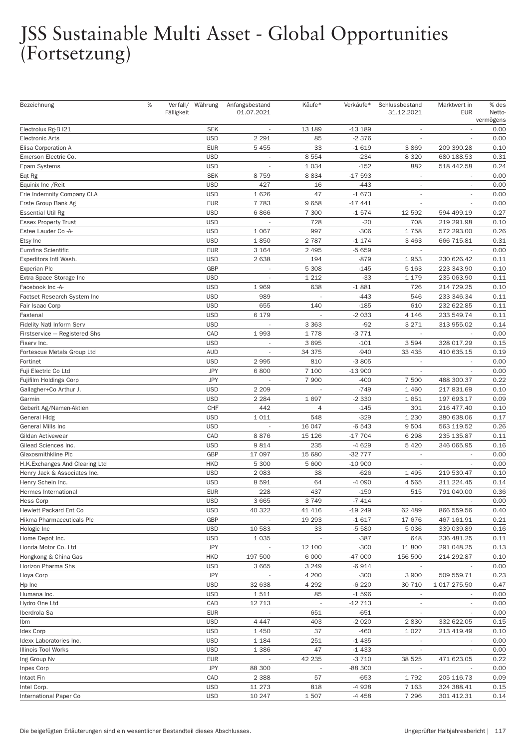| Bezeichnung                     | % | Fälligkeit | Verfall/ Währung | Anfangsbestand<br>01.07.2021 | Käufe*                   | Verkäufe* | Schlussbestand<br>31.12.2021 | Marktwert in<br><b>EUR</b> | % des<br>Netto-<br>vermögens |
|---------------------------------|---|------------|------------------|------------------------------|--------------------------|-----------|------------------------------|----------------------------|------------------------------|
| Electrolux Rg-B I21             |   |            | <b>SEK</b>       |                              | 13 189                   | $-13189$  |                              |                            | 0.00                         |
| <b>Electronic Arts</b>          |   |            | <b>USD</b>       | 2 2 9 1                      | 85                       | $-2376$   | $\overline{\phantom{a}}$     | $\frac{1}{2}$              | 0.00                         |
| Elisa Corporation A             |   |            | <b>EUR</b>       | 5 4 5 5                      | 33                       | $-1619$   | 3869                         | 209 390.28                 | 0.10                         |
| Emerson Electric Co.            |   |            | <b>USD</b>       |                              | 8 5 5 4                  | $-234$    | 8 3 2 0                      | 680 188.53                 | 0.31                         |
| Epam Systems                    |   |            | <b>USD</b>       |                              | 1 0 3 4                  | $-152$    | 882                          | 518 442.58                 | 0.24                         |
| Eqt Rg                          |   |            | <b>SEK</b>       | 8759                         | 8834                     | $-17593$  | $\overline{\phantom{a}}$     | ÷,                         | 0.00                         |
| Equinix Inc / Reit              |   |            | <b>USD</b>       | 427                          | 16                       | $-443$    | $\overline{\phantom{a}}$     |                            | 0.00                         |
| Erie Indemnity Company CI.A     |   |            | <b>USD</b>       | 1626                         | 47                       | $-1673$   |                              |                            | 0.00                         |
| Erste Group Bank Ag             |   |            | <b>EUR</b>       | 7 7 8 3                      | 9658                     | $-17441$  | $\overline{\phantom{a}}$     |                            | 0.00                         |
| <b>Essential Util Rg</b>        |   |            | <b>USD</b>       | 6866                         | 7 300                    | $-1574$   | 12 5 92                      | 594 499.19                 | 0.27                         |
| <b>Essex Property Trust</b>     |   |            | <b>USD</b>       |                              | 728                      | $-20$     | 708                          | 219 291.98                 | 0.10                         |
| Estee Lauder Co -A-             |   |            | <b>USD</b>       | 1 0 6 7                      | 997                      | $-306$    | 1758                         | 572 293.00                 | 0.26                         |
| Etsy Inc                        |   |            | <b>USD</b>       | 1850                         | 2787                     | $-1174$   | 3 4 6 3                      | 666 715.81                 | 0.31                         |
| Eurofins Scientific             |   |            | <b>EUR</b>       | 3 1 6 4                      | 2 4 9 5                  | $-5659$   | $\sim$                       | $\overline{\phantom{a}}$   | 0.00                         |
| Expeditors Intl Wash.           |   |            | <b>USD</b>       | 2638                         | 194                      | $-879$    | 1953                         | 230 626.42                 | 0.11                         |
| <b>Experian Plc</b>             |   |            | <b>GBP</b>       |                              | 5 3 0 8                  | $-145$    | 5 1 6 3                      | 223 343.90                 | 0.10                         |
| Extra Space Storage Inc         |   |            | <b>USD</b>       |                              | 1 2 1 2                  | $-33$     | 1 1 7 9                      | 235 063.90                 | 0.11                         |
| Facebook Inc -A-                |   |            | <b>USD</b>       | 1969                         | 638                      | $-1881$   | 726                          | 214 729.25                 | 0.10                         |
|                                 |   |            | <b>USD</b>       |                              |                          | $-443$    | 546                          |                            | 0.11                         |
| Factset Research System Inc     |   |            |                  | 989                          |                          |           |                              | 233 346.34                 |                              |
| Fair Isaac Corp                 |   |            | <b>USD</b>       | 655                          | 140                      | $-185$    | 610                          | 232 622.85                 | 0.11                         |
| Fastenal                        |   |            | <b>USD</b>       | 6 179                        |                          | $-2033$   | 4 1 4 6                      | 233 549.74                 | 0.11                         |
| Fidelity Natl Inform Serv       |   |            | <b>USD</b>       |                              | 3 3 6 3                  | $-92$     | 3 2 7 1                      | 313 955.02                 | 0.14                         |
| Firstservice - Registered Shs   |   |            | CAD              | 1993                         | 1778                     | $-3771$   | $\sim$                       |                            | 0.00                         |
| Fiserv Inc.                     |   |            | <b>USD</b>       |                              | 3695                     | $-101$    | 3594                         | 328 017.29                 | 0.15                         |
| Fortescue Metals Group Ltd      |   |            | <b>AUD</b>       | L.                           | 34 375                   | $-940$    | 33 4 35                      | 410 635.15                 | 0.19                         |
| Fortinet                        |   |            | <b>USD</b>       | 2995                         | 810                      | $-3805$   | $\overline{\phantom{a}}$     |                            | 0.00                         |
| Fuji Electric Co Ltd            |   |            | <b>JPY</b>       | 6800                         | 7 100                    | $-13900$  | $\sim$                       |                            | 0.00                         |
| Fujifilm Holdings Corp          |   |            | <b>JPY</b>       |                              | 7 900                    | $-400$    | 7 500                        | 488 300.37                 | 0.22                         |
| Gallagher+Co Arthur J.          |   |            | <b>USD</b>       | 2 2 0 9                      | ÷,                       | $-749$    | 1 4 6 0                      | 217 831.69                 | 0.10                         |
| Garmin                          |   |            | <b>USD</b>       | 2 2 8 4                      | 1697                     | $-2330$   | 1651                         | 197 693.17                 | 0.09                         |
| Geberit Ag/Namen-Aktien         |   |            | CHF              | 442                          | 4                        | $-145$    | 301                          | 216 477.40                 | 0.10                         |
| General Hidg                    |   |            | <b>USD</b>       | 1011                         | 548                      | $-329$    | 1 2 3 0                      | 380 638.06                 | 0.17                         |
| General Mills Inc               |   |            | <b>USD</b>       |                              | 16 047                   | $-6543$   | 9 5 0 4                      | 563 119.52                 | 0.26                         |
| Gildan Activewear               |   |            | CAD              | 8876                         | 15 1 26                  | $-17704$  | 6 2 9 8                      | 235 135.87                 | 0.11                         |
| Gilead Sciences Inc.            |   |            | <b>USD</b>       | 9814                         | 235                      | $-4629$   | 5 4 2 0                      | 346 065.95                 | 0.16                         |
| Glaxosmithkline Plc             |   |            | GBP              | 17 097                       | 15 680                   | $-32777$  |                              |                            | 0.00                         |
| H.K. Exchanges And Clearing Ltd |   |            | <b>HKD</b>       | 5 300                        | 5 600                    | $-10900$  | $\overline{\phantom{a}}$     | ÷,                         | 0.00                         |
| Henry Jack & Associates Inc.    |   |            | <b>USD</b>       | 2083                         | 38                       | $-626$    | 1495                         | 219 530.47                 | 0.10                         |
| Henry Schein Inc.               |   |            | <b>USD</b>       | 8591                         | 64                       | -4 090    | 4565                         | 311 224.45                 | 0.14                         |
| Hermes International            |   |            | <b>EUR</b>       | 228                          | 437                      | $-150$    | 515                          | 791 040.00                 | 0.36                         |
| <b>Hess Corp</b>                |   |            | <b>USD</b>       | 3 6 6 5                      | 3749                     | $-7414$   | $\sim$                       | $\overline{\phantom{a}}$   | 0.00                         |
| Hewlett Packard Ent Co          |   |            | <b>USD</b>       | 40 322                       | 41 416                   | $-19249$  | 62 489                       | 866 559.56                 | 0.40                         |
| Hikma Pharmaceuticals Plc       |   |            | GBP              | $\overline{\phantom{a}}$     | 19 29 3                  | $-1617$   | 17676                        | 467 161.91                 | 0.21                         |
| Hologic Inc                     |   |            | <b>USD</b>       | 10 583                       | 33                       | $-5580$   | 5 0 3 6                      | 339 039.89                 | 0.16                         |
| Home Depot Inc.                 |   |            | <b>USD</b>       | 1 0 3 5                      |                          | $-387$    | 648                          | 236 481.25                 | 0.11                         |
| Honda Motor Co. Ltd             |   |            | <b>JPY</b>       |                              | 12 100                   | $-300$    | 11 800                       | 291 048.25                 | 0.13                         |
| Hongkong & China Gas            |   |            | <b>HKD</b>       | 197 500                      | 6 0 0 0                  | -47 000   | 156 500                      | 214 292.87                 | 0.10                         |
| Horizon Pharma Shs              |   |            | <b>USD</b>       | 3 6 6 5                      | 3 2 4 9                  | $-6914$   |                              |                            | 0.00                         |
| Hoya Corp                       |   |            | <b>JPY</b>       | $\sim$                       | 4 200                    | $-300$    | 3 9 0 0                      | 509 559.71                 | 0.23                         |
| Hp Inc                          |   |            | <b>USD</b>       | 32 638                       | 4 2 9 2                  | $-6220$   | 30 710                       | 1 017 275.50               | 0.47                         |
| Humana Inc.                     |   |            | <b>USD</b>       | 1511                         | 85                       | $-1596$   | $\sim$                       |                            | 0.00                         |
| Hydro One Ltd                   |   |            | CAD              | 12 7 13                      |                          | $-12713$  |                              |                            | 0.00                         |
| Iberdrola Sa                    |   |            | <b>EUR</b>       | $\sim$                       | 651                      | $-651$    | $\overline{\phantom{a}}$     | $\frac{1}{2}$              | 0.00                         |
| Ibm                             |   |            | <b>USD</b>       | 4 4 4 7                      | 403                      | $-2020$   | 2830                         | 332 622.05                 | 0.15                         |
| Idex Corp                       |   |            | <b>USD</b>       | 1 4 5 0                      | 37                       | $-460$    | 1 0 2 7                      | 213 419.49                 | 0.10                         |
| Idexx Laboratories Inc.         |   |            | <b>USD</b>       | 1 1 8 4                      | 251                      | $-1435$   |                              |                            | 0.00                         |
| Illinois Tool Works             |   |            | <b>USD</b>       | 1 3 8 6                      | 47                       | $-1433$   | $\overline{\phantom{a}}$     | $\overline{\phantom{a}}$   | 0.00                         |
| Ing Group Nv                    |   |            | <b>EUR</b>       |                              | 42 235                   | $-3710$   | 38 5 25                      | 471 623.05                 | 0.22                         |
| Inpex Corp                      |   |            | <b>JPY</b>       | 88 300                       | $\overline{\phantom{a}}$ | $-88300$  | $\sim$                       |                            | 0.00                         |
| Intact Fin                      |   |            | CAD              | 2 3 8 8                      | 57                       | $-653$    | 1792                         |                            | 0.09                         |
|                                 |   |            | <b>USD</b>       |                              |                          |           |                              | 205 116.73                 |                              |
| Intel Corp.                     |   |            |                  | 11 273                       | 818                      | $-4928$   | 7 1 6 3                      | 324 388.41                 | 0.15                         |
| International Paper Co          |   |            | <b>USD</b>       | 10 247                       | 1507                     | $-4458$   | 7 2 9 6                      | 301 412.31                 | 0.14                         |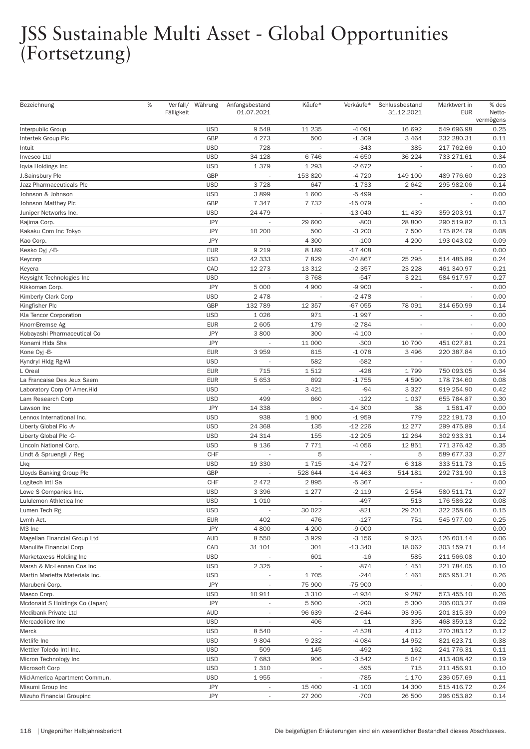| Bezeichnung                    | % | Verfall/ Währung |            | Anfangsbestand           | Käufe*   | Verkäufe* | Schlussbestand           | Marktwert in             | % des     |
|--------------------------------|---|------------------|------------|--------------------------|----------|-----------|--------------------------|--------------------------|-----------|
|                                |   | Fälligkeit       |            | 01.07.2021               |          |           | 31.12.2021               | <b>EUR</b>               | Netto-    |
|                                |   |                  |            |                          |          |           |                          |                          | vermögens |
| Interpublic Group              |   |                  | <b>USD</b> | 9548                     | 11 235   | $-4091$   | 16 692                   | 549 696.98               | 0.25      |
| Intertek Group Plc             |   |                  | GBP        | 4 2 7 3                  | 500      | $-1309$   | 3 4 6 4                  | 232 280.31               | 0.11      |
| Intuit                         |   |                  | <b>USD</b> | 728                      |          | $-343$    | 385                      | 217 762.66               | 0.10      |
| Invesco Ltd                    |   |                  | <b>USD</b> | 34 1 28                  | 6746     | $-4650$   | 36 224                   | 733 271.61               | 0.34      |
| Iqvia Holdings Inc             |   |                  | <b>USD</b> | 1 379                    | 1 2 9 3  | $-2672$   |                          |                          | 0.00      |
| J.Sainsbury Plc                |   |                  | GBP        | ÷,                       | 153 820  | -4 720    | 149 100                  | 489 776.60               | 0.23      |
| Jazz Pharmaceuticals Plc       |   |                  | <b>USD</b> | 3728                     | 647      | $-1733$   | 2642                     | 295 982.06               | 0.14      |
| Johnson & Johnson              |   |                  | <b>USD</b> | 3899                     | 1600     | $-5499$   | $\overline{\phantom{a}}$ |                          | 0.00      |
| Johnson Matthey Plc            |   |                  | GBP        | 7 3 4 7                  | 7 7 3 2  | $-15079$  |                          |                          | 0.00      |
| Juniper Networks Inc.          |   |                  | <b>USD</b> | 24 479                   |          | $-13040$  | 11 439                   | 359 203.91               | 0.17      |
| Kajima Corp.                   |   |                  | <b>JPY</b> |                          | 29 600   | $-800$    | 28 800                   | 290 519.82               | 0.13      |
| Kakaku Com Inc Tokyo           |   |                  | <b>JPY</b> | 10 200                   | 500      | $-3200$   | 7 500                    | 175 824.79               | 0.08      |
| Kao Corp.                      |   |                  | <b>JPY</b> |                          | 4 300    | $-100$    | 4 200                    | 193 043.02               | 0.09      |
| Kesko Oyj /-B-                 |   |                  | <b>EUR</b> | 9 2 1 9                  | 8 1 8 9  | $-17408$  | $\overline{\phantom{a}}$ | ÷,                       | 0.00      |
|                                |   |                  | <b>USD</b> | 42 333                   | 7829     | $-24867$  | 25 29 5                  | 514 485.89               | 0.24      |
| Keycorp                        |   |                  |            |                          |          |           |                          |                          |           |
| Keyera                         |   |                  | CAD        | 12 273                   | 13 312   | $-2357$   | 23 228                   | 461 340.97               | 0.21      |
| Keysight Technologies Inc      |   |                  | <b>USD</b> |                          | 3768     | $-547$    | 3 2 2 1                  | 584 917.97               | 0.27      |
| Kikkoman Corp.                 |   |                  | <b>JPY</b> | 5 0 0 0                  | 4 9 0 0  | $-9900$   | $\overline{\phantom{a}}$ | $\overline{\phantom{a}}$ | 0.00      |
| Kimberly Clark Corp            |   |                  | <b>USD</b> | 2 4 7 8                  |          | $-2478$   | $\overline{\phantom{a}}$ |                          | 0.00      |
| Kingfisher Plc                 |   |                  | GBP        | 132 789                  | 12 3 5 7 | -67 055   | 78 091                   | 314 650.99               | 0.14      |
| Kla Tencor Corporation         |   |                  | <b>USD</b> | 1 0 2 6                  | 971      | $-1997$   |                          |                          | 0.00      |
| Knorr-Bremse Ag                |   |                  | <b>EUR</b> | 2 6 0 5                  | 179      | $-2784$   | $\overline{\phantom{a}}$ | $\overline{\phantom{a}}$ | 0.00      |
| Kobayashi Pharmaceutical Co    |   |                  | <b>JPY</b> | 3800                     | 300      | $-4100$   | $\overline{\phantom{a}}$ |                          | 0.00      |
| Konami HIds Shs                |   |                  | <b>JPY</b> |                          | 11 000   | $-300$    | 10 700                   | 451 027.81               | 0.21      |
| Kone Oyj -B-                   |   |                  | <b>EUR</b> | 3959                     | 615      | $-1078$   | 3 4 9 6                  | 220 387.84               | 0.10      |
| Kyndryl Hldg Rg-Wi             |   |                  | <b>USD</b> |                          | 582      | $-582$    | $\sim$                   |                          | 0.00      |
| L Oreal                        |   |                  | <b>EUR</b> | 715                      | 1512     | $-428$    | 1799                     | 750 093.05               | 0.34      |
| La Francaise Des Jeux Saem     |   |                  | <b>EUR</b> | 5 6 5 3                  | 692      | $-1755$   | 4590                     | 178 734.60               | 0.08      |
| Laboratory Corp Of Amer.HId    |   |                  | <b>USD</b> | $\overline{\phantom{a}}$ | 3 4 2 1  | $-94$     | 3 3 2 7                  | 919 254.90               | 0.42      |
| Lam Research Corp              |   |                  | <b>USD</b> | 499                      | 660      | $-122$    | 1 0 3 7                  | 655 784.87               | 0.30      |
| Lawson Inc                     |   |                  | <b>JPY</b> | 14 3 38                  |          | $-14300$  | 38                       | 1 581.47                 | 0.00      |
| Lennox International Inc.      |   |                  | <b>USD</b> | 938                      | 1800     | $-1959$   | 779                      | 222 191.73               | 0.10      |
| Liberty Global Plc -A-         |   |                  | <b>USD</b> | 24 3 68                  | 135      | $-12226$  | 12 277                   | 299 475.89               | 0.14      |
| Liberty Global Plc -C-         |   |                  | <b>USD</b> | 24 314                   | 155      | $-12205$  | 12 2 64                  | 302 933.31               | 0.14      |
| Lincoln National Corp.         |   |                  | <b>USD</b> | 9 1 3 6                  | 7771     | $-4056$   | 12851                    | 771 376.42               | 0.35      |
| Lindt & Spruengli / Reg        |   |                  | CHF        |                          | 5        |           | 5                        | 589 677.33               | 0.27      |
| Lkq                            |   |                  | <b>USD</b> | 19 330                   | 1715     | $-14727$  | 6 3 1 8                  | 333 511.73               | 0.15      |
| Lloyds Banking Group Plc       |   |                  | GBP        |                          | 528 644  | $-14463$  | 514 181                  | 292 731.90               | 0.13      |
| Logitech Intl Sa               |   |                  | CHF        | 2472                     | 2895     | $-5367$   |                          |                          | 0.00      |
| Lowe S Companies Inc.          |   |                  | <b>USD</b> | 3 3 9 6                  | 1 277    | $-2119$   | 2 5 5 4                  | 580 511.71               | 0.27      |
| Lululemon Athletica Inc        |   |                  | <b>USD</b> | 1 0 1 0                  |          | $-497$    | 513                      | 176 586.22               | 0.08      |
| Lumen Tech Rg                  |   |                  | <b>USD</b> |                          | 30 0 22  | $-821$    | 29 201                   | 322 258.66               | 0.15      |
|                                |   |                  | <b>EUR</b> |                          |          | $-127$    |                          |                          |           |
| Lvmh Act.                      |   |                  | <b>JPY</b> | 402                      | 476      |           | 751                      | 545 977.00               | 0.25      |
| M3 Inc                         |   |                  |            | 4800                     | 4 200    | $-9000$   |                          |                          | 0.00      |
| Magellan Financial Group Ltd   |   |                  | <b>AUD</b> | 8 5 5 0                  | 3929     | $-3156$   | 9 3 2 3                  | 126 601.14               | 0.06      |
| Manulife Financial Corp        |   |                  | CAD        | 31 101                   | 301      | $-13340$  | 18 062                   | 303 159.71               | 0.14      |
| Marketaxess Holding Inc        |   |                  | <b>USD</b> |                          | 601      | $-16$     | 585                      | 211 566.08               | 0.10      |
| Marsh & Mc-Lennan Cos Inc      |   |                  | <b>USD</b> | 2 3 2 5                  |          | $-874$    | 1 4 5 1                  | 221 784.05               | 0.10      |
| Martin Marietta Materials Inc. |   |                  | <b>USD</b> |                          | 1705     | $-244$    | 1 4 6 1                  | 565 951.21               | 0.26      |
| Marubeni Corp.                 |   |                  | <b>JPY</b> |                          | 75 900   | $-75900$  | $\overline{\phantom{a}}$ |                          | 0.00      |
| Masco Corp.                    |   |                  | <b>USD</b> | 10 911                   | 3 3 1 0  | -4 934    | 9 2 8 7                  | 573 455.10               | 0.26      |
| Mcdonald S Holdings Co (Japan) |   |                  | <b>JPY</b> |                          | 5 5 0 0  | $-200$    | 5 300                    | 206 003.27               | 0.09      |
| Medibank Private Ltd           |   |                  | <b>AUD</b> | $\overline{\phantom{a}}$ | 96 639   | $-2644$   | 93 995                   | 201 315.39               | 0.09      |
| Mercadolibre Inc               |   |                  | <b>USD</b> |                          | 406      | $-11$     | 395                      | 468 359.13               | 0.22      |
| Merck                          |   |                  | <b>USD</b> | 8 5 4 0                  |          | $-4528$   | 4 0 1 2                  | 270 383.12               | 0.12      |
| Metlife Inc                    |   |                  | <b>USD</b> | 9804                     | 9 2 3 2  | $-4084$   | 14 952                   | 821 623.71               | 0.38      |
| Mettler Toledo Intl Inc.       |   |                  | <b>USD</b> | 509                      | 145      | $-492$    | 162                      | 241 776.31               | 0.11      |
| Micron Technology Inc          |   |                  | <b>USD</b> | 7683                     | 906      | $-3542$   | 5 0 4 7                  | 413 408.42               | 0.19      |
| Microsoft Corp                 |   |                  | <b>USD</b> | 1 3 1 0                  |          | $-595$    | 715                      | 211 456.91               | 0.10      |
| Mid-America Apartment Commun.  |   |                  | <b>USD</b> | 1955                     |          | $-785$    | 1 1 7 0                  | 236 057.69               | 0.11      |
| Misumi Group Inc               |   |                  | <b>JPY</b> | $\overline{\phantom{a}}$ | 15 400   | $-1100$   | 14 300                   | 515 416.72               | 0.24      |
| Mizuho Financial Groupinc      |   |                  | <b>JPY</b> | $\overline{\phantom{a}}$ | 27 200   | $-700$    | 26 500                   | 296 053.82               | 0.14      |
|                                |   |                  |            |                          |          |           |                          |                          |           |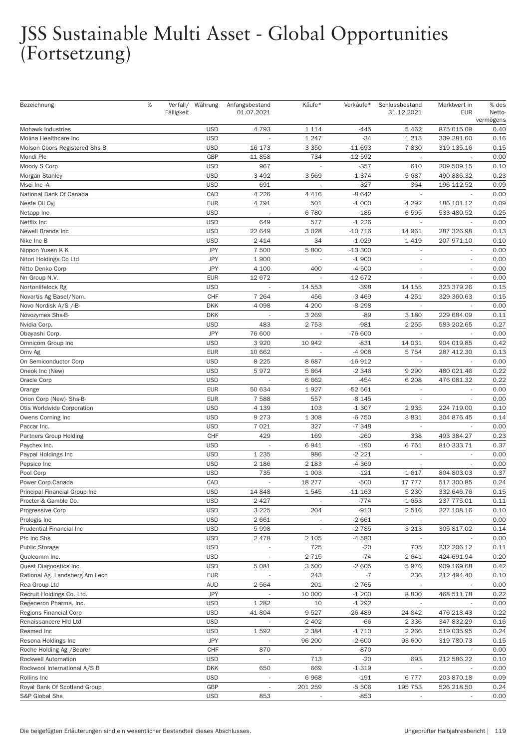| Bezeichnung                    | $\%$ | Fälligkeit | Verfall/ Währung | Anfangsbestand<br>01.07.2021 | Käufe*                   | Verkäufe* | Schlussbestand<br>31.12.2021 | Marktwert in<br><b>EUR</b> | % des<br>Netto-<br>vermögens |
|--------------------------------|------|------------|------------------|------------------------------|--------------------------|-----------|------------------------------|----------------------------|------------------------------|
| Mohawk Industries              |      |            | <b>USD</b>       | 4793                         | 1 1 1 4                  | $-445$    | 5462                         | 875 015.09                 | 0.40                         |
| Molina Healthcare Inc          |      |            | <b>USD</b>       |                              | 1 2 4 7                  | $-34$     | 1 2 1 3                      | 339 281.60                 | 0.16                         |
| Molson Coors Registered Shs B  |      |            | <b>USD</b>       | 16 173                       | 3 3 5 0                  | $-11693$  | 7830                         | 319 135.16                 | 0.15                         |
| Mondi Plc                      |      |            | GBP              | 11858                        | 734                      | $-12592$  | $\overline{\phantom{a}}$     |                            | 0.00                         |
| Moody S Corp                   |      |            | <b>USD</b>       | 967                          |                          | $-357$    | 610                          | 209 509.15                 | 0.10                         |
| Morgan Stanley                 |      |            | <b>USD</b>       | 3 4 9 2                      | 3569                     | $-1374$   | 5 6 8 7                      | 490 886.32                 | 0.23                         |
| Msci Inc -A-                   |      |            | <b>USD</b>       | 691                          |                          | $-327$    | 364                          | 196 112.52                 | 0.09                         |
| National Bank Of Canada        |      |            | CAD              | 4 2 2 6                      | 4 4 1 6                  | $-8642$   | $\sim$                       |                            | 0.00                         |
| Neste Oil Oyj                  |      |            | <b>EUR</b>       | 4791                         | 501                      | $-1000$   | 4 2 9 2                      | 186 101.12                 | 0.09                         |
| Netapp Inc                     |      |            | <b>USD</b>       |                              | 6780                     | $-185$    | 6595                         | 533 480.52                 | 0.25                         |
| Netflix Inc                    |      |            | <b>USD</b>       | 649                          | 577                      | $-1226$   |                              |                            | 0.00                         |
| Newell Brands Inc              |      |            | <b>USD</b>       | 22 649                       | 3028                     | $-10716$  | 14 961                       | 287 326.98                 | 0.13                         |
| Nike Inc B                     |      |            | <b>USD</b>       | 2 4 1 4                      | 34                       | $-1029$   | 1419                         | 207 971.10                 | 0.10                         |
| Nippon Yusen K K               |      |            | <b>JPY</b>       | 7 500                        | 5800                     | $-13300$  | $\sim$                       | $\overline{\phantom{a}}$   | 0.00                         |
| Nitori Holdings Co Ltd         |      |            | <b>JPY</b>       | 1900                         |                          | $-1900$   |                              |                            | 0.00                         |
| Nitto Denko Corp               |      |            | <b>JPY</b>       | 4 100                        | 400                      | $-4500$   |                              |                            | 0.00                         |
| Nn Group N.V.                  |      |            | <b>EUR</b>       | 12 672                       |                          | $-12672$  | $\overline{\phantom{a}}$     | ÷.                         | 0.00                         |
| Nortonlifelock Rg              |      |            | <b>USD</b>       |                              | 14 553                   | $-398$    | 14 155                       | 323 379.26                 | 0.15                         |
| Novartis Ag Basel/Nam.         |      |            | CHF              | 7 2 6 4                      | 456                      | $-3469$   | 4 2 5 1                      | 329 360.63                 | 0.15                         |
| Novo Nordisk A/S /-B-          |      |            | <b>DKK</b>       | 4 0 9 8                      | 4 200                    | $-8298$   | $\overline{\phantom{a}}$     |                            | 0.00                         |
| Novozymes Shs-B-               |      |            | <b>DKK</b>       |                              | 3 2 6 9                  | $-89$     | 3 1 8 0                      | 229 684.09                 | 0.11                         |
| Nvidia Corp.                   |      |            | <b>USD</b>       | 483                          | 2753                     | $-981$    | 2 2 5 5                      | 583 202.65                 | 0.27                         |
| Obayashi Corp.                 |      |            | <b>JPY</b>       | 76 600                       | ÷,                       | $-76600$  | $\overline{\phantom{a}}$     |                            | 0.00                         |
| Omnicom Group Inc              |      |            | <b>USD</b>       | 3920                         | 10 942                   | $-831$    | 14 0 31                      | 904 019.85                 | 0.42                         |
| Omv Ag                         |      |            | <b>EUR</b>       | 10 662                       |                          | $-4908$   | 5 7 5 4                      | 287 412.30                 | 0.13                         |
| On Semiconductor Corp          |      |            | <b>USD</b>       | 8 2 2 5                      | 8687                     | $-16912$  | $\overline{\phantom{a}}$     |                            | 0.00                         |
| Oneok Inc (New)                |      |            | <b>USD</b>       | 5972                         | 5 6 6 4                  | $-2346$   | 9 2 9 0                      | 480 021.46                 | 0.22                         |
| Oracle Corp                    |      |            | <b>USD</b>       |                              | 6 6 6 2                  | $-454$    | 6 2 0 8                      | 476 081.32                 | 0.22                         |
| Orange                         |      |            | <b>EUR</b>       | 50 634                       | 1927                     | $-52561$  | $\overline{\phantom{a}}$     | $\overline{\phantom{a}}$   | 0.00                         |
| Orion Corp (New)- Shs-B-       |      |            | <b>EUR</b>       | 7 5 8 8                      | 557                      | $-8145$   | $\overline{\phantom{a}}$     |                            | 0.00                         |
| Otis Worldwide Corporation     |      |            | <b>USD</b>       | 4 1 3 9                      | 103                      | $-1307$   | 2935                         | 224 719.00                 | 0.10                         |
| Owens Corning Inc              |      |            | <b>USD</b>       | 9 2 7 3                      | 1 3 0 8                  | $-6750$   | 3831                         | 304 876.45                 | 0.14                         |
| Paccar Inc.                    |      |            | <b>USD</b>       | 7 0 2 1                      | 327                      | $-7348$   | $\sim$                       |                            | 0.00                         |
| Partners Group Holding         |      |            | CHF              | 429                          | 169                      | $-260$    | 338                          | 493 384.27                 | 0.23                         |
| Paychex Inc.                   |      |            | <b>USD</b>       |                              | 6941                     | $-190$    | 6751                         | 810 333.71                 | 0.37                         |
| Paypal Holdings Inc            |      |            | <b>USD</b>       | 1 2 3 5                      | 986                      | $-2221$   |                              |                            | 0.00                         |
| Pepsico Inc                    |      |            | <b>USD</b>       | 2 186                        | 2 1 8 3                  | -4 369    | $\overline{\phantom{a}}$     | ä,                         | 0.00                         |
| Pool Corp                      |      |            | <b>USD</b>       | 735                          | 1 0 0 3                  | $-121$    | 1617                         | 804 803.03                 | 0.37                         |
| Power Corp.Canada              |      |            | CAD              |                              | 18 277                   | $-500$    | 17 777                       | 517 300.85                 | 0.24                         |
| Principal Financial Group Inc  |      |            | <b>USD</b>       | 14 848                       | 1545                     | $-111163$ | 5 2 3 0                      | 332 646.76                 | 0.15                         |
| Procter & Gamble Co.           |      |            | <b>USD</b>       | 2 4 2 7                      | $\overline{\phantom{a}}$ | $-774$    | 1653                         | 237 775.01                 | 0.11                         |
| Progressive Corp               |      |            | <b>USD</b>       | 3 2 2 5                      | 204                      | $-913$    | 2516                         | 227 108.16                 | 0.10                         |
| Prologis Inc                   |      |            | <b>USD</b>       | 2 6 6 1                      |                          | $-2661$   | $\sim$                       |                            | 0.00                         |
| Prudential Financial Inc       |      |            | <b>USD</b>       | 5998                         |                          | $-2785$   | 3 2 1 3                      | 305 817.02                 | 0.14                         |
| Ptc Inc Shs                    |      |            | <b>USD</b>       | 2478                         | 2 1 0 5                  | $-4583$   | $\sim$                       |                            | 0.00                         |
| <b>Public Storage</b>          |      |            | <b>USD</b>       |                              | 725                      | $-20$     | 705                          | 232 206.12                 | 0.11                         |
| Qualcomm Inc.                  |      |            | <b>USD</b>       | $\overline{\phantom{a}}$     | 2 7 1 5                  | $-74$     | 2641                         | 424 691.94                 | 0.20                         |
| Quest Diagnostics Inc.         |      |            | <b>USD</b>       | 5 0 8 1                      | 3 500                    | $-2605$   | 5976                         | 909 169.68                 | 0.42                         |
| Rational Ag. Landsberg Am Lech |      |            | <b>EUR</b>       | $\sim$                       | 243                      | $-7$      | 236                          | 212 494.40                 | 0.10                         |
| Rea Group Ltd                  |      |            | <b>AUD</b>       | 2 5 6 4                      | 201                      | $-2765$   | $\overline{\phantom{a}}$     |                            | 0.00                         |
| Recruit Holdings Co. Ltd.      |      |            | <b>JPY</b>       | $\sim$                       | 10 000                   | $-1200$   | 8800                         | 468 511.78                 | 0.22                         |
| Regeneron Pharma. Inc.         |      |            | <b>USD</b>       | 1 2 8 2                      | 10                       | $-1292$   |                              |                            | 0.00                         |
| Regions Financial Corp         |      |            | <b>USD</b>       | 41 804                       | 9527                     | -26 489   | 24 842                       | 476 218.43                 | 0.22                         |
| Renaissancere HId Ltd          |      |            | <b>USD</b>       |                              | 2 4 0 2                  | $-66$     | 2 3 3 6                      | 347 832.29                 | 0.16                         |
| Resmed Inc                     |      |            | <b>USD</b>       | 1592                         | 2 3 8 4                  | $-1710$   | 2 2 6 6                      | 519 035.95                 | 0.24                         |
| Resona Holdings Inc            |      |            | <b>JPY</b>       |                              | 96 200                   | $-2600$   | 93 600                       | 319 780.73                 | 0.15                         |
| Roche Holding Ag / Bearer      |      |            | CHF              | 870                          |                          | $-870$    | $\sim$                       | $\overline{\phantom{a}}$   | 0.00                         |
| Rockwell Automation            |      |            | <b>USD</b>       |                              | 713                      | $-20$     | 693                          | 212 586.22                 | 0.10                         |
| Rockwool International A/S B   |      |            | <b>DKK</b>       | 650                          | 669                      | $-1319$   | $\sim$                       |                            | 0.00                         |
| Rollins Inc                    |      |            | <b>USD</b>       |                              | 6968                     | $-191$    | 6777                         | 203 870.18                 | 0.09                         |
| Royal Bank Of Scotland Group   |      |            | <b>GBP</b>       | $\overline{\phantom{a}}$     | 201 259                  | $-5506$   | 195 753                      | 526 218.50                 | 0.24                         |
| S&P Global Shs                 |      |            | <b>USD</b>       | 853                          |                          | $-853$    |                              |                            | 0.00                         |
|                                |      |            |                  |                              |                          |           |                              |                            |                              |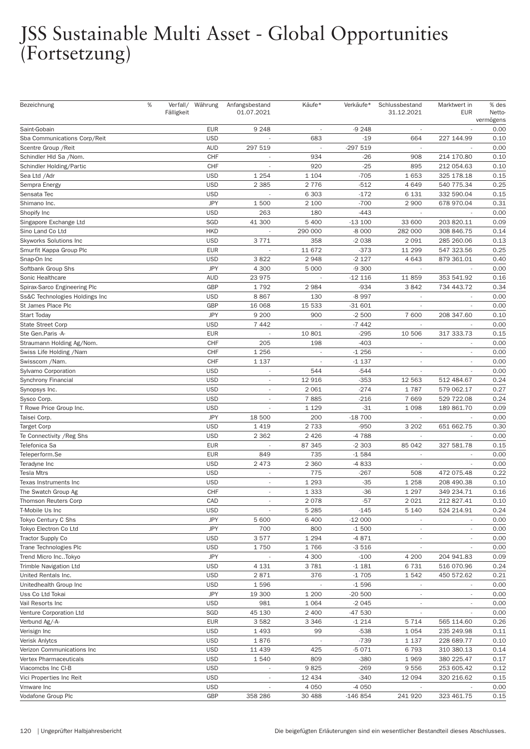| 9 2 4 8<br><b>EUR</b><br>$-9248$<br>Saint-Gobain<br><b>USD</b><br>Sba Communications Corp/Reit<br>683<br>$-19$<br>664<br>227 144.99<br><b>AUD</b><br>297 519<br>-297 519<br>Scentre Group / Reit<br>CHF<br>934<br>$-26$<br>214 170.80<br>908<br>Schindler Hld Sa /Nom.<br>CHF<br>$-25$<br>920<br>895<br>212 054.63<br>Schindler Holding/Partic<br><b>USD</b><br>$-705$<br>Sea Ltd /Adr<br>1 2 5 4<br>1 1 0 4<br>1653<br>325 178.18<br><b>USD</b><br>2 3 8 5<br>2776<br>$-512$<br>4649<br>540 775.34<br>Sempra Energy<br>$-172$<br><b>USD</b><br>6 3 0 3<br>6 1 3 1<br>332 590.04<br>Sensata Tec<br><b>JPY</b><br>2 100<br>$-700$<br>1500<br>2 9 0 0<br>Shimano Inc.<br>678 970.04<br><b>USD</b><br>$-443$<br>Shopify Inc<br>263<br>180<br>$\overline{\phantom{a}}$<br>SGD<br>41 300<br>5 4 0 0<br>$-13100$<br>33 600<br>203 820.11<br>Singapore Exchange Ltd<br><b>HKD</b><br>Sino Land Co Ltd<br>290 000<br>$-8000$<br>282 000<br>308 846.75<br>3771<br><b>USD</b><br>358<br>$-2038$<br>2 0 9 1<br>285 260.06<br><b>Skyworks Solutions Inc</b><br><b>EUR</b><br>$-373$<br>Smurfit Kappa Group Plc<br>11 672<br>11 299<br>547 323.56<br><b>USD</b><br>3822<br>2948<br>$-2127$<br>4 6 4 3<br>Snap-On Inc<br>879 361.01<br><b>JPY</b><br>0.00<br>4 300<br>5 0 0 0<br>$-9300$<br>Softbank Group Shs<br>$\sim$<br><b>AUD</b><br>23 975<br>$-12116$<br>11859<br>353 541.92<br>0.16<br>Sonic Healthcare<br>GBP<br>1792<br>2984<br>$-934$<br>3842<br>0.34<br>Spirax-Sarco Engineering Plc<br>734 443.72<br><b>USD</b><br>8867<br>130<br>0.00<br>Ss&C Technologies Holdings Inc<br>-8 997<br>GBP<br>15 533<br>St James Place Plc<br>16 068<br>$-31601$<br>0.00<br>$\overline{\phantom{a}}$<br><b>JPY</b><br>9 2 0 0<br>900<br>7 600<br>0.10<br><b>Start Today</b><br>$-2500$<br>208 347.60<br><b>USD</b><br>0.00<br><b>State Street Corp</b><br>7 4 4 2<br>$-7442$<br>$\overline{\phantom{a}}$<br><b>EUR</b><br>10 801<br>$-295$<br>317 333.73<br>10 506<br>0.15<br>Ste Gen.Paris -A-<br>$\overline{\phantom{a}}$<br>CHF<br>205<br>198<br>$-403$<br>0.00<br>Straumann Holding Ag/Nom.<br>CHF<br>1 2 5 6<br>$-1256$<br>0.00<br>Swiss Life Holding / Nam<br>$\overline{\phantom{a}}$<br>÷,<br>$\overline{\phantom{a}}$<br>CHF<br>$-1137$<br>0.00<br>Swisscom /Nam.<br>1 1 3 7<br>$\overline{\phantom{a}}$<br>$\overline{\phantom{a}}$<br><b>USD</b><br>544<br>$-544$<br>0.00<br>Sylvamo Corporation<br>$\overline{\phantom{a}}$<br>$-353$<br><b>USD</b><br>12 916<br>12 5 63<br>512 484.67<br>0.24<br>Synchrony Financial<br><b>USD</b><br>2 0 6 1<br>$-274$<br>1787<br>579 062.17<br>0.27<br>Synopsys Inc.<br>$\overline{\phantom{a}}$<br><b>USD</b><br>7885<br>$-216$<br>0.24<br>7669<br>529 722.08<br>Sysco Corp.<br>$\qquad \qquad \blacksquare$<br><b>USD</b><br>1 1 2 9<br>$-31$<br>1 0 9 8<br>189 861.70<br>0.09<br>T Rowe Price Group Inc.<br>÷,<br><b>JPY</b><br>200<br>$-18700$<br>0.00<br>Taisei Corp.<br>18 500<br><b>USD</b><br>1419<br>2 7 3 3<br>$-950$<br>3 2 0 2<br>0.30<br>651 662.75<br>Target Corp<br><b>USD</b><br>2 4 2 6<br>-4788<br>2 3 6 2<br>0.00<br>Te Connectivity / Reg Shs<br><b>EUR</b><br>87 345<br>85 042<br>327 581.78<br>$-2303$<br>0.15<br>Telefonica Sa<br><b>EUR</b><br>849<br>735<br>$-1584$<br>0.00<br>Teleperform.Se<br>2 3 6 0<br><b>USD</b><br>2 4 7 3<br>$-4833$<br>0.00<br>Teradyne Inc<br>L,<br>$\overline{\phantom{a}}$<br><b>USD</b><br>775<br>$-267$<br>0.22<br><b>Tesla Mtrs</b><br>508<br>472 075.48<br><b>USD</b><br>1 2 9 3<br>$-35$<br>1 2 5 8<br>208 490.38<br>0.10<br>Texas Instruments Inc<br>×,<br>CHF<br>1 3 3 3<br>$-36$<br>1 2 9 7<br>The Swatch Group Ag<br>349 234.71<br>0.16<br>2078<br>CAD<br>$-57$<br>2 0 2 1<br>212 827.41<br>0.10<br>Thomson Reuters Corp<br>$\overline{\phantom{a}}$<br><b>USD</b><br>T-Mobile Us Inc<br>5 2 8 5<br>$-145$<br>5 1 4 0<br>524 214.91<br>0.24<br><b>JPY</b><br>Tokyo Century C Shs<br>5 600<br>6400<br>$-12000$<br>0.00<br>$\overline{\phantom{a}}$<br><b>JPY</b><br>Tokyo Electron Co Ltd<br>700<br>800<br>$-1500$<br>0.00<br><b>USD</b><br>3577<br>1 2 9 4<br><b>Tractor Supply Co</b><br>$-4871$<br>0.00<br>$\overline{\phantom{a}}$<br>$\overline{\phantom{a}}$<br>Trane Technologies Plc<br><b>USD</b><br>1750<br>1766<br>$-3516$<br>$\overline{\phantom{a}}$<br><b>JPY</b><br>4 3 0 0<br>$-100$<br>4 200<br>204 941.83<br>Trend Micro IncTokyo<br><b>USD</b><br>4 1 3 1<br>3781<br><b>Trimble Navigation Ltd</b><br>$-1181$<br>6731<br>516 070.96<br><b>USD</b><br>$-1705$<br>United Rentals Inc.<br>2871<br>376<br>1542<br>450 572.62<br>Unitedhealth Group Inc<br><b>USD</b><br>1596<br>$-1596$<br>$\overline{\phantom{a}}$<br><b>JPY</b><br>19 300<br>1 200<br>$-20500$<br>Uss Co Ltd Tokai<br>$\overline{\phantom{a}}$<br><b>USD</b><br>Vail Resorts Inc<br>981<br>1 0 6 4<br>$-2045$<br>45 130<br>Venture Corporation Ltd<br>SGD<br>2 4 0 0<br>-47 530<br>$\overline{\phantom{a}}$<br>Verbund Ag/-A-<br><b>EUR</b><br>3582<br>3 3 4 6<br>$-1214$<br>565 114.60<br>5 7 1 4<br><b>USD</b><br>1 4 9 3<br>99<br>$-538$<br>235 249.98<br>Verisign Inc<br>1 0 5 4<br><b>USD</b><br>1876<br>Verisk Anlytcs<br>$-739$<br>1 1 3 7<br>228 689.77<br><b>USD</b><br>Verizon Communications Inc<br>11 439<br>425<br>$-5071$<br>6793<br>310 380.13<br><b>USD</b><br>1540<br>809<br>$-380$<br>1969<br>380 225.47<br>Vertex Pharmaceuticals<br>9825<br>Viacomcbs Inc CI-B<br><b>USD</b><br>$-269$<br>9556<br>253 605.42<br><b>USD</b><br>Vici Properties Inc Reit<br>12 4 34<br>$-340$<br>12 094<br>320 216.62<br><b>USD</b><br>Vmware Inc<br>4 0 5 0<br>$-4050$<br>$\overline{\phantom{a}}$<br>GBP<br>Vodafone Group Plc<br>358 286<br>30 4 88<br>$-146854$<br>241 920<br>323 461.75 | Bezeichnung | $\%$ | Fälligkeit | Verfall/ Währung | Anfangsbestand<br>01.07.2021 | Käufe* | Verkäufe* | Schlussbestand<br>31.12.2021 | Marktwert in<br><b>EUR</b> | % des<br>Netto-<br>vermögens |
|---------------------------------------------------------------------------------------------------------------------------------------------------------------------------------------------------------------------------------------------------------------------------------------------------------------------------------------------------------------------------------------------------------------------------------------------------------------------------------------------------------------------------------------------------------------------------------------------------------------------------------------------------------------------------------------------------------------------------------------------------------------------------------------------------------------------------------------------------------------------------------------------------------------------------------------------------------------------------------------------------------------------------------------------------------------------------------------------------------------------------------------------------------------------------------------------------------------------------------------------------------------------------------------------------------------------------------------------------------------------------------------------------------------------------------------------------------------------------------------------------------------------------------------------------------------------------------------------------------------------------------------------------------------------------------------------------------------------------------------------------------------------------------------------------------------------------------------------------------------------------------------------------------------------------------------------------------------------------------------------------------------------------------------------------------------------------------------------------------------------------------------------------------------------------------------------------------------------------------------------------------------------------------------------------------------------------------------------------------------------------------------------------------------------------------------------------------------------------------------------------------------------------------------------------------------------------------------------------------------------------------------------------------------------------------------------------------------------------------------------------------------------------------------------------------------------------------------------------------------------------------------------------------------------------------------------------------------------------------------------------------------------------------------------------------------------------------------------------------------------------------------------------------------------------------------------------------------------------------------------------------------------------------------------------------------------------------------------------------------------------------------------------------------------------------------------------------------------------------------------------------------------------------------------------------------------------------------------------------------------------------------------------------------------------------------------------------------------------------------------------------------------------------------------------------------------------------------------------------------------------------------------------------------------------------------------------------------------------------------------------------------------------------------------------------------------------------------------------------------------------------------------------------------------------------------------------------------------------------------------------------------------------------------------------------------------------------------------------------------------------------------------------------------------------------------------------------------------------------------------------------------------------------------------------------------------------------------------------------------------------------------------------------------------------------------------------------------------------------------------------------------------------------------------------------------------------------------------------------------------------------------------------------------------------------------------------------------------------------------------------------------------------------------------------------------------------------------------------------------------------------------------------------------------------------------------------------------------------------------------------------------------------------------------------------------------------------------------------------------------------------------------------------------------------------------------------------------------------------------------------------------------------------------------------------------------------------------------------------------------------------------------------------------------------|-------------|------|------------|------------------|------------------------------|--------|-----------|------------------------------|----------------------------|------------------------------|
|                                                                                                                                                                                                                                                                                                                                                                                                                                                                                                                                                                                                                                                                                                                                                                                                                                                                                                                                                                                                                                                                                                                                                                                                                                                                                                                                                                                                                                                                                                                                                                                                                                                                                                                                                                                                                                                                                                                                                                                                                                                                                                                                                                                                                                                                                                                                                                                                                                                                                                                                                                                                                                                                                                                                                                                                                                                                                                                                                                                                                                                                                                                                                                                                                                                                                                                                                                                                                                                                                                                                                                                                                                                                                                                                                                                                                                                                                                                                                                                                                                                                                                                                                                                                                                                                                                                                                                                                                                                                                                                                                                                                                                                                                                                                                                                                                                                                                                                                                                                                                                                                                                                                                                                                                                                                                                                                                                                                                                                                                                                                                                                                                                                                           |             |      |            |                  |                              |        |           |                              |                            | 0.00                         |
|                                                                                                                                                                                                                                                                                                                                                                                                                                                                                                                                                                                                                                                                                                                                                                                                                                                                                                                                                                                                                                                                                                                                                                                                                                                                                                                                                                                                                                                                                                                                                                                                                                                                                                                                                                                                                                                                                                                                                                                                                                                                                                                                                                                                                                                                                                                                                                                                                                                                                                                                                                                                                                                                                                                                                                                                                                                                                                                                                                                                                                                                                                                                                                                                                                                                                                                                                                                                                                                                                                                                                                                                                                                                                                                                                                                                                                                                                                                                                                                                                                                                                                                                                                                                                                                                                                                                                                                                                                                                                                                                                                                                                                                                                                                                                                                                                                                                                                                                                                                                                                                                                                                                                                                                                                                                                                                                                                                                                                                                                                                                                                                                                                                                           |             |      |            |                  |                              |        |           |                              |                            | 0.10                         |
|                                                                                                                                                                                                                                                                                                                                                                                                                                                                                                                                                                                                                                                                                                                                                                                                                                                                                                                                                                                                                                                                                                                                                                                                                                                                                                                                                                                                                                                                                                                                                                                                                                                                                                                                                                                                                                                                                                                                                                                                                                                                                                                                                                                                                                                                                                                                                                                                                                                                                                                                                                                                                                                                                                                                                                                                                                                                                                                                                                                                                                                                                                                                                                                                                                                                                                                                                                                                                                                                                                                                                                                                                                                                                                                                                                                                                                                                                                                                                                                                                                                                                                                                                                                                                                                                                                                                                                                                                                                                                                                                                                                                                                                                                                                                                                                                                                                                                                                                                                                                                                                                                                                                                                                                                                                                                                                                                                                                                                                                                                                                                                                                                                                                           |             |      |            |                  |                              |        |           |                              |                            | 0.00                         |
|                                                                                                                                                                                                                                                                                                                                                                                                                                                                                                                                                                                                                                                                                                                                                                                                                                                                                                                                                                                                                                                                                                                                                                                                                                                                                                                                                                                                                                                                                                                                                                                                                                                                                                                                                                                                                                                                                                                                                                                                                                                                                                                                                                                                                                                                                                                                                                                                                                                                                                                                                                                                                                                                                                                                                                                                                                                                                                                                                                                                                                                                                                                                                                                                                                                                                                                                                                                                                                                                                                                                                                                                                                                                                                                                                                                                                                                                                                                                                                                                                                                                                                                                                                                                                                                                                                                                                                                                                                                                                                                                                                                                                                                                                                                                                                                                                                                                                                                                                                                                                                                                                                                                                                                                                                                                                                                                                                                                                                                                                                                                                                                                                                                                           |             |      |            |                  |                              |        |           |                              |                            | 0.10                         |
|                                                                                                                                                                                                                                                                                                                                                                                                                                                                                                                                                                                                                                                                                                                                                                                                                                                                                                                                                                                                                                                                                                                                                                                                                                                                                                                                                                                                                                                                                                                                                                                                                                                                                                                                                                                                                                                                                                                                                                                                                                                                                                                                                                                                                                                                                                                                                                                                                                                                                                                                                                                                                                                                                                                                                                                                                                                                                                                                                                                                                                                                                                                                                                                                                                                                                                                                                                                                                                                                                                                                                                                                                                                                                                                                                                                                                                                                                                                                                                                                                                                                                                                                                                                                                                                                                                                                                                                                                                                                                                                                                                                                                                                                                                                                                                                                                                                                                                                                                                                                                                                                                                                                                                                                                                                                                                                                                                                                                                                                                                                                                                                                                                                                           |             |      |            |                  |                              |        |           |                              |                            | 0.10                         |
|                                                                                                                                                                                                                                                                                                                                                                                                                                                                                                                                                                                                                                                                                                                                                                                                                                                                                                                                                                                                                                                                                                                                                                                                                                                                                                                                                                                                                                                                                                                                                                                                                                                                                                                                                                                                                                                                                                                                                                                                                                                                                                                                                                                                                                                                                                                                                                                                                                                                                                                                                                                                                                                                                                                                                                                                                                                                                                                                                                                                                                                                                                                                                                                                                                                                                                                                                                                                                                                                                                                                                                                                                                                                                                                                                                                                                                                                                                                                                                                                                                                                                                                                                                                                                                                                                                                                                                                                                                                                                                                                                                                                                                                                                                                                                                                                                                                                                                                                                                                                                                                                                                                                                                                                                                                                                                                                                                                                                                                                                                                                                                                                                                                                           |             |      |            |                  |                              |        |           |                              |                            | 0.15                         |
|                                                                                                                                                                                                                                                                                                                                                                                                                                                                                                                                                                                                                                                                                                                                                                                                                                                                                                                                                                                                                                                                                                                                                                                                                                                                                                                                                                                                                                                                                                                                                                                                                                                                                                                                                                                                                                                                                                                                                                                                                                                                                                                                                                                                                                                                                                                                                                                                                                                                                                                                                                                                                                                                                                                                                                                                                                                                                                                                                                                                                                                                                                                                                                                                                                                                                                                                                                                                                                                                                                                                                                                                                                                                                                                                                                                                                                                                                                                                                                                                                                                                                                                                                                                                                                                                                                                                                                                                                                                                                                                                                                                                                                                                                                                                                                                                                                                                                                                                                                                                                                                                                                                                                                                                                                                                                                                                                                                                                                                                                                                                                                                                                                                                           |             |      |            |                  |                              |        |           |                              |                            | 0.25                         |
|                                                                                                                                                                                                                                                                                                                                                                                                                                                                                                                                                                                                                                                                                                                                                                                                                                                                                                                                                                                                                                                                                                                                                                                                                                                                                                                                                                                                                                                                                                                                                                                                                                                                                                                                                                                                                                                                                                                                                                                                                                                                                                                                                                                                                                                                                                                                                                                                                                                                                                                                                                                                                                                                                                                                                                                                                                                                                                                                                                                                                                                                                                                                                                                                                                                                                                                                                                                                                                                                                                                                                                                                                                                                                                                                                                                                                                                                                                                                                                                                                                                                                                                                                                                                                                                                                                                                                                                                                                                                                                                                                                                                                                                                                                                                                                                                                                                                                                                                                                                                                                                                                                                                                                                                                                                                                                                                                                                                                                                                                                                                                                                                                                                                           |             |      |            |                  |                              |        |           |                              |                            | 0.15                         |
|                                                                                                                                                                                                                                                                                                                                                                                                                                                                                                                                                                                                                                                                                                                                                                                                                                                                                                                                                                                                                                                                                                                                                                                                                                                                                                                                                                                                                                                                                                                                                                                                                                                                                                                                                                                                                                                                                                                                                                                                                                                                                                                                                                                                                                                                                                                                                                                                                                                                                                                                                                                                                                                                                                                                                                                                                                                                                                                                                                                                                                                                                                                                                                                                                                                                                                                                                                                                                                                                                                                                                                                                                                                                                                                                                                                                                                                                                                                                                                                                                                                                                                                                                                                                                                                                                                                                                                                                                                                                                                                                                                                                                                                                                                                                                                                                                                                                                                                                                                                                                                                                                                                                                                                                                                                                                                                                                                                                                                                                                                                                                                                                                                                                           |             |      |            |                  |                              |        |           |                              |                            | 0.31                         |
|                                                                                                                                                                                                                                                                                                                                                                                                                                                                                                                                                                                                                                                                                                                                                                                                                                                                                                                                                                                                                                                                                                                                                                                                                                                                                                                                                                                                                                                                                                                                                                                                                                                                                                                                                                                                                                                                                                                                                                                                                                                                                                                                                                                                                                                                                                                                                                                                                                                                                                                                                                                                                                                                                                                                                                                                                                                                                                                                                                                                                                                                                                                                                                                                                                                                                                                                                                                                                                                                                                                                                                                                                                                                                                                                                                                                                                                                                                                                                                                                                                                                                                                                                                                                                                                                                                                                                                                                                                                                                                                                                                                                                                                                                                                                                                                                                                                                                                                                                                                                                                                                                                                                                                                                                                                                                                                                                                                                                                                                                                                                                                                                                                                                           |             |      |            |                  |                              |        |           |                              |                            | 0.00                         |
|                                                                                                                                                                                                                                                                                                                                                                                                                                                                                                                                                                                                                                                                                                                                                                                                                                                                                                                                                                                                                                                                                                                                                                                                                                                                                                                                                                                                                                                                                                                                                                                                                                                                                                                                                                                                                                                                                                                                                                                                                                                                                                                                                                                                                                                                                                                                                                                                                                                                                                                                                                                                                                                                                                                                                                                                                                                                                                                                                                                                                                                                                                                                                                                                                                                                                                                                                                                                                                                                                                                                                                                                                                                                                                                                                                                                                                                                                                                                                                                                                                                                                                                                                                                                                                                                                                                                                                                                                                                                                                                                                                                                                                                                                                                                                                                                                                                                                                                                                                                                                                                                                                                                                                                                                                                                                                                                                                                                                                                                                                                                                                                                                                                                           |             |      |            |                  |                              |        |           |                              |                            | 0.09                         |
|                                                                                                                                                                                                                                                                                                                                                                                                                                                                                                                                                                                                                                                                                                                                                                                                                                                                                                                                                                                                                                                                                                                                                                                                                                                                                                                                                                                                                                                                                                                                                                                                                                                                                                                                                                                                                                                                                                                                                                                                                                                                                                                                                                                                                                                                                                                                                                                                                                                                                                                                                                                                                                                                                                                                                                                                                                                                                                                                                                                                                                                                                                                                                                                                                                                                                                                                                                                                                                                                                                                                                                                                                                                                                                                                                                                                                                                                                                                                                                                                                                                                                                                                                                                                                                                                                                                                                                                                                                                                                                                                                                                                                                                                                                                                                                                                                                                                                                                                                                                                                                                                                                                                                                                                                                                                                                                                                                                                                                                                                                                                                                                                                                                                           |             |      |            |                  |                              |        |           |                              |                            | 0.14                         |
|                                                                                                                                                                                                                                                                                                                                                                                                                                                                                                                                                                                                                                                                                                                                                                                                                                                                                                                                                                                                                                                                                                                                                                                                                                                                                                                                                                                                                                                                                                                                                                                                                                                                                                                                                                                                                                                                                                                                                                                                                                                                                                                                                                                                                                                                                                                                                                                                                                                                                                                                                                                                                                                                                                                                                                                                                                                                                                                                                                                                                                                                                                                                                                                                                                                                                                                                                                                                                                                                                                                                                                                                                                                                                                                                                                                                                                                                                                                                                                                                                                                                                                                                                                                                                                                                                                                                                                                                                                                                                                                                                                                                                                                                                                                                                                                                                                                                                                                                                                                                                                                                                                                                                                                                                                                                                                                                                                                                                                                                                                                                                                                                                                                                           |             |      |            |                  |                              |        |           |                              |                            | 0.13                         |
|                                                                                                                                                                                                                                                                                                                                                                                                                                                                                                                                                                                                                                                                                                                                                                                                                                                                                                                                                                                                                                                                                                                                                                                                                                                                                                                                                                                                                                                                                                                                                                                                                                                                                                                                                                                                                                                                                                                                                                                                                                                                                                                                                                                                                                                                                                                                                                                                                                                                                                                                                                                                                                                                                                                                                                                                                                                                                                                                                                                                                                                                                                                                                                                                                                                                                                                                                                                                                                                                                                                                                                                                                                                                                                                                                                                                                                                                                                                                                                                                                                                                                                                                                                                                                                                                                                                                                                                                                                                                                                                                                                                                                                                                                                                                                                                                                                                                                                                                                                                                                                                                                                                                                                                                                                                                                                                                                                                                                                                                                                                                                                                                                                                                           |             |      |            |                  |                              |        |           |                              |                            | 0.25                         |
|                                                                                                                                                                                                                                                                                                                                                                                                                                                                                                                                                                                                                                                                                                                                                                                                                                                                                                                                                                                                                                                                                                                                                                                                                                                                                                                                                                                                                                                                                                                                                                                                                                                                                                                                                                                                                                                                                                                                                                                                                                                                                                                                                                                                                                                                                                                                                                                                                                                                                                                                                                                                                                                                                                                                                                                                                                                                                                                                                                                                                                                                                                                                                                                                                                                                                                                                                                                                                                                                                                                                                                                                                                                                                                                                                                                                                                                                                                                                                                                                                                                                                                                                                                                                                                                                                                                                                                                                                                                                                                                                                                                                                                                                                                                                                                                                                                                                                                                                                                                                                                                                                                                                                                                                                                                                                                                                                                                                                                                                                                                                                                                                                                                                           |             |      |            |                  |                              |        |           |                              |                            | 0.40                         |
|                                                                                                                                                                                                                                                                                                                                                                                                                                                                                                                                                                                                                                                                                                                                                                                                                                                                                                                                                                                                                                                                                                                                                                                                                                                                                                                                                                                                                                                                                                                                                                                                                                                                                                                                                                                                                                                                                                                                                                                                                                                                                                                                                                                                                                                                                                                                                                                                                                                                                                                                                                                                                                                                                                                                                                                                                                                                                                                                                                                                                                                                                                                                                                                                                                                                                                                                                                                                                                                                                                                                                                                                                                                                                                                                                                                                                                                                                                                                                                                                                                                                                                                                                                                                                                                                                                                                                                                                                                                                                                                                                                                                                                                                                                                                                                                                                                                                                                                                                                                                                                                                                                                                                                                                                                                                                                                                                                                                                                                                                                                                                                                                                                                                           |             |      |            |                  |                              |        |           |                              |                            |                              |
|                                                                                                                                                                                                                                                                                                                                                                                                                                                                                                                                                                                                                                                                                                                                                                                                                                                                                                                                                                                                                                                                                                                                                                                                                                                                                                                                                                                                                                                                                                                                                                                                                                                                                                                                                                                                                                                                                                                                                                                                                                                                                                                                                                                                                                                                                                                                                                                                                                                                                                                                                                                                                                                                                                                                                                                                                                                                                                                                                                                                                                                                                                                                                                                                                                                                                                                                                                                                                                                                                                                                                                                                                                                                                                                                                                                                                                                                                                                                                                                                                                                                                                                                                                                                                                                                                                                                                                                                                                                                                                                                                                                                                                                                                                                                                                                                                                                                                                                                                                                                                                                                                                                                                                                                                                                                                                                                                                                                                                                                                                                                                                                                                                                                           |             |      |            |                  |                              |        |           |                              |                            |                              |
|                                                                                                                                                                                                                                                                                                                                                                                                                                                                                                                                                                                                                                                                                                                                                                                                                                                                                                                                                                                                                                                                                                                                                                                                                                                                                                                                                                                                                                                                                                                                                                                                                                                                                                                                                                                                                                                                                                                                                                                                                                                                                                                                                                                                                                                                                                                                                                                                                                                                                                                                                                                                                                                                                                                                                                                                                                                                                                                                                                                                                                                                                                                                                                                                                                                                                                                                                                                                                                                                                                                                                                                                                                                                                                                                                                                                                                                                                                                                                                                                                                                                                                                                                                                                                                                                                                                                                                                                                                                                                                                                                                                                                                                                                                                                                                                                                                                                                                                                                                                                                                                                                                                                                                                                                                                                                                                                                                                                                                                                                                                                                                                                                                                                           |             |      |            |                  |                              |        |           |                              |                            |                              |
|                                                                                                                                                                                                                                                                                                                                                                                                                                                                                                                                                                                                                                                                                                                                                                                                                                                                                                                                                                                                                                                                                                                                                                                                                                                                                                                                                                                                                                                                                                                                                                                                                                                                                                                                                                                                                                                                                                                                                                                                                                                                                                                                                                                                                                                                                                                                                                                                                                                                                                                                                                                                                                                                                                                                                                                                                                                                                                                                                                                                                                                                                                                                                                                                                                                                                                                                                                                                                                                                                                                                                                                                                                                                                                                                                                                                                                                                                                                                                                                                                                                                                                                                                                                                                                                                                                                                                                                                                                                                                                                                                                                                                                                                                                                                                                                                                                                                                                                                                                                                                                                                                                                                                                                                                                                                                                                                                                                                                                                                                                                                                                                                                                                                           |             |      |            |                  |                              |        |           |                              |                            |                              |
|                                                                                                                                                                                                                                                                                                                                                                                                                                                                                                                                                                                                                                                                                                                                                                                                                                                                                                                                                                                                                                                                                                                                                                                                                                                                                                                                                                                                                                                                                                                                                                                                                                                                                                                                                                                                                                                                                                                                                                                                                                                                                                                                                                                                                                                                                                                                                                                                                                                                                                                                                                                                                                                                                                                                                                                                                                                                                                                                                                                                                                                                                                                                                                                                                                                                                                                                                                                                                                                                                                                                                                                                                                                                                                                                                                                                                                                                                                                                                                                                                                                                                                                                                                                                                                                                                                                                                                                                                                                                                                                                                                                                                                                                                                                                                                                                                                                                                                                                                                                                                                                                                                                                                                                                                                                                                                                                                                                                                                                                                                                                                                                                                                                                           |             |      |            |                  |                              |        |           |                              |                            |                              |
|                                                                                                                                                                                                                                                                                                                                                                                                                                                                                                                                                                                                                                                                                                                                                                                                                                                                                                                                                                                                                                                                                                                                                                                                                                                                                                                                                                                                                                                                                                                                                                                                                                                                                                                                                                                                                                                                                                                                                                                                                                                                                                                                                                                                                                                                                                                                                                                                                                                                                                                                                                                                                                                                                                                                                                                                                                                                                                                                                                                                                                                                                                                                                                                                                                                                                                                                                                                                                                                                                                                                                                                                                                                                                                                                                                                                                                                                                                                                                                                                                                                                                                                                                                                                                                                                                                                                                                                                                                                                                                                                                                                                                                                                                                                                                                                                                                                                                                                                                                                                                                                                                                                                                                                                                                                                                                                                                                                                                                                                                                                                                                                                                                                                           |             |      |            |                  |                              |        |           |                              |                            |                              |
|                                                                                                                                                                                                                                                                                                                                                                                                                                                                                                                                                                                                                                                                                                                                                                                                                                                                                                                                                                                                                                                                                                                                                                                                                                                                                                                                                                                                                                                                                                                                                                                                                                                                                                                                                                                                                                                                                                                                                                                                                                                                                                                                                                                                                                                                                                                                                                                                                                                                                                                                                                                                                                                                                                                                                                                                                                                                                                                                                                                                                                                                                                                                                                                                                                                                                                                                                                                                                                                                                                                                                                                                                                                                                                                                                                                                                                                                                                                                                                                                                                                                                                                                                                                                                                                                                                                                                                                                                                                                                                                                                                                                                                                                                                                                                                                                                                                                                                                                                                                                                                                                                                                                                                                                                                                                                                                                                                                                                                                                                                                                                                                                                                                                           |             |      |            |                  |                              |        |           |                              |                            |                              |
|                                                                                                                                                                                                                                                                                                                                                                                                                                                                                                                                                                                                                                                                                                                                                                                                                                                                                                                                                                                                                                                                                                                                                                                                                                                                                                                                                                                                                                                                                                                                                                                                                                                                                                                                                                                                                                                                                                                                                                                                                                                                                                                                                                                                                                                                                                                                                                                                                                                                                                                                                                                                                                                                                                                                                                                                                                                                                                                                                                                                                                                                                                                                                                                                                                                                                                                                                                                                                                                                                                                                                                                                                                                                                                                                                                                                                                                                                                                                                                                                                                                                                                                                                                                                                                                                                                                                                                                                                                                                                                                                                                                                                                                                                                                                                                                                                                                                                                                                                                                                                                                                                                                                                                                                                                                                                                                                                                                                                                                                                                                                                                                                                                                                           |             |      |            |                  |                              |        |           |                              |                            |                              |
|                                                                                                                                                                                                                                                                                                                                                                                                                                                                                                                                                                                                                                                                                                                                                                                                                                                                                                                                                                                                                                                                                                                                                                                                                                                                                                                                                                                                                                                                                                                                                                                                                                                                                                                                                                                                                                                                                                                                                                                                                                                                                                                                                                                                                                                                                                                                                                                                                                                                                                                                                                                                                                                                                                                                                                                                                                                                                                                                                                                                                                                                                                                                                                                                                                                                                                                                                                                                                                                                                                                                                                                                                                                                                                                                                                                                                                                                                                                                                                                                                                                                                                                                                                                                                                                                                                                                                                                                                                                                                                                                                                                                                                                                                                                                                                                                                                                                                                                                                                                                                                                                                                                                                                                                                                                                                                                                                                                                                                                                                                                                                                                                                                                                           |             |      |            |                  |                              |        |           |                              |                            |                              |
|                                                                                                                                                                                                                                                                                                                                                                                                                                                                                                                                                                                                                                                                                                                                                                                                                                                                                                                                                                                                                                                                                                                                                                                                                                                                                                                                                                                                                                                                                                                                                                                                                                                                                                                                                                                                                                                                                                                                                                                                                                                                                                                                                                                                                                                                                                                                                                                                                                                                                                                                                                                                                                                                                                                                                                                                                                                                                                                                                                                                                                                                                                                                                                                                                                                                                                                                                                                                                                                                                                                                                                                                                                                                                                                                                                                                                                                                                                                                                                                                                                                                                                                                                                                                                                                                                                                                                                                                                                                                                                                                                                                                                                                                                                                                                                                                                                                                                                                                                                                                                                                                                                                                                                                                                                                                                                                                                                                                                                                                                                                                                                                                                                                                           |             |      |            |                  |                              |        |           |                              |                            |                              |
|                                                                                                                                                                                                                                                                                                                                                                                                                                                                                                                                                                                                                                                                                                                                                                                                                                                                                                                                                                                                                                                                                                                                                                                                                                                                                                                                                                                                                                                                                                                                                                                                                                                                                                                                                                                                                                                                                                                                                                                                                                                                                                                                                                                                                                                                                                                                                                                                                                                                                                                                                                                                                                                                                                                                                                                                                                                                                                                                                                                                                                                                                                                                                                                                                                                                                                                                                                                                                                                                                                                                                                                                                                                                                                                                                                                                                                                                                                                                                                                                                                                                                                                                                                                                                                                                                                                                                                                                                                                                                                                                                                                                                                                                                                                                                                                                                                                                                                                                                                                                                                                                                                                                                                                                                                                                                                                                                                                                                                                                                                                                                                                                                                                                           |             |      |            |                  |                              |        |           |                              |                            |                              |
|                                                                                                                                                                                                                                                                                                                                                                                                                                                                                                                                                                                                                                                                                                                                                                                                                                                                                                                                                                                                                                                                                                                                                                                                                                                                                                                                                                                                                                                                                                                                                                                                                                                                                                                                                                                                                                                                                                                                                                                                                                                                                                                                                                                                                                                                                                                                                                                                                                                                                                                                                                                                                                                                                                                                                                                                                                                                                                                                                                                                                                                                                                                                                                                                                                                                                                                                                                                                                                                                                                                                                                                                                                                                                                                                                                                                                                                                                                                                                                                                                                                                                                                                                                                                                                                                                                                                                                                                                                                                                                                                                                                                                                                                                                                                                                                                                                                                                                                                                                                                                                                                                                                                                                                                                                                                                                                                                                                                                                                                                                                                                                                                                                                                           |             |      |            |                  |                              |        |           |                              |                            |                              |
|                                                                                                                                                                                                                                                                                                                                                                                                                                                                                                                                                                                                                                                                                                                                                                                                                                                                                                                                                                                                                                                                                                                                                                                                                                                                                                                                                                                                                                                                                                                                                                                                                                                                                                                                                                                                                                                                                                                                                                                                                                                                                                                                                                                                                                                                                                                                                                                                                                                                                                                                                                                                                                                                                                                                                                                                                                                                                                                                                                                                                                                                                                                                                                                                                                                                                                                                                                                                                                                                                                                                                                                                                                                                                                                                                                                                                                                                                                                                                                                                                                                                                                                                                                                                                                                                                                                                                                                                                                                                                                                                                                                                                                                                                                                                                                                                                                                                                                                                                                                                                                                                                                                                                                                                                                                                                                                                                                                                                                                                                                                                                                                                                                                                           |             |      |            |                  |                              |        |           |                              |                            |                              |
|                                                                                                                                                                                                                                                                                                                                                                                                                                                                                                                                                                                                                                                                                                                                                                                                                                                                                                                                                                                                                                                                                                                                                                                                                                                                                                                                                                                                                                                                                                                                                                                                                                                                                                                                                                                                                                                                                                                                                                                                                                                                                                                                                                                                                                                                                                                                                                                                                                                                                                                                                                                                                                                                                                                                                                                                                                                                                                                                                                                                                                                                                                                                                                                                                                                                                                                                                                                                                                                                                                                                                                                                                                                                                                                                                                                                                                                                                                                                                                                                                                                                                                                                                                                                                                                                                                                                                                                                                                                                                                                                                                                                                                                                                                                                                                                                                                                                                                                                                                                                                                                                                                                                                                                                                                                                                                                                                                                                                                                                                                                                                                                                                                                                           |             |      |            |                  |                              |        |           |                              |                            |                              |
|                                                                                                                                                                                                                                                                                                                                                                                                                                                                                                                                                                                                                                                                                                                                                                                                                                                                                                                                                                                                                                                                                                                                                                                                                                                                                                                                                                                                                                                                                                                                                                                                                                                                                                                                                                                                                                                                                                                                                                                                                                                                                                                                                                                                                                                                                                                                                                                                                                                                                                                                                                                                                                                                                                                                                                                                                                                                                                                                                                                                                                                                                                                                                                                                                                                                                                                                                                                                                                                                                                                                                                                                                                                                                                                                                                                                                                                                                                                                                                                                                                                                                                                                                                                                                                                                                                                                                                                                                                                                                                                                                                                                                                                                                                                                                                                                                                                                                                                                                                                                                                                                                                                                                                                                                                                                                                                                                                                                                                                                                                                                                                                                                                                                           |             |      |            |                  |                              |        |           |                              |                            |                              |
|                                                                                                                                                                                                                                                                                                                                                                                                                                                                                                                                                                                                                                                                                                                                                                                                                                                                                                                                                                                                                                                                                                                                                                                                                                                                                                                                                                                                                                                                                                                                                                                                                                                                                                                                                                                                                                                                                                                                                                                                                                                                                                                                                                                                                                                                                                                                                                                                                                                                                                                                                                                                                                                                                                                                                                                                                                                                                                                                                                                                                                                                                                                                                                                                                                                                                                                                                                                                                                                                                                                                                                                                                                                                                                                                                                                                                                                                                                                                                                                                                                                                                                                                                                                                                                                                                                                                                                                                                                                                                                                                                                                                                                                                                                                                                                                                                                                                                                                                                                                                                                                                                                                                                                                                                                                                                                                                                                                                                                                                                                                                                                                                                                                                           |             |      |            |                  |                              |        |           |                              |                            |                              |
|                                                                                                                                                                                                                                                                                                                                                                                                                                                                                                                                                                                                                                                                                                                                                                                                                                                                                                                                                                                                                                                                                                                                                                                                                                                                                                                                                                                                                                                                                                                                                                                                                                                                                                                                                                                                                                                                                                                                                                                                                                                                                                                                                                                                                                                                                                                                                                                                                                                                                                                                                                                                                                                                                                                                                                                                                                                                                                                                                                                                                                                                                                                                                                                                                                                                                                                                                                                                                                                                                                                                                                                                                                                                                                                                                                                                                                                                                                                                                                                                                                                                                                                                                                                                                                                                                                                                                                                                                                                                                                                                                                                                                                                                                                                                                                                                                                                                                                                                                                                                                                                                                                                                                                                                                                                                                                                                                                                                                                                                                                                                                                                                                                                                           |             |      |            |                  |                              |        |           |                              |                            |                              |
|                                                                                                                                                                                                                                                                                                                                                                                                                                                                                                                                                                                                                                                                                                                                                                                                                                                                                                                                                                                                                                                                                                                                                                                                                                                                                                                                                                                                                                                                                                                                                                                                                                                                                                                                                                                                                                                                                                                                                                                                                                                                                                                                                                                                                                                                                                                                                                                                                                                                                                                                                                                                                                                                                                                                                                                                                                                                                                                                                                                                                                                                                                                                                                                                                                                                                                                                                                                                                                                                                                                                                                                                                                                                                                                                                                                                                                                                                                                                                                                                                                                                                                                                                                                                                                                                                                                                                                                                                                                                                                                                                                                                                                                                                                                                                                                                                                                                                                                                                                                                                                                                                                                                                                                                                                                                                                                                                                                                                                                                                                                                                                                                                                                                           |             |      |            |                  |                              |        |           |                              |                            |                              |
|                                                                                                                                                                                                                                                                                                                                                                                                                                                                                                                                                                                                                                                                                                                                                                                                                                                                                                                                                                                                                                                                                                                                                                                                                                                                                                                                                                                                                                                                                                                                                                                                                                                                                                                                                                                                                                                                                                                                                                                                                                                                                                                                                                                                                                                                                                                                                                                                                                                                                                                                                                                                                                                                                                                                                                                                                                                                                                                                                                                                                                                                                                                                                                                                                                                                                                                                                                                                                                                                                                                                                                                                                                                                                                                                                                                                                                                                                                                                                                                                                                                                                                                                                                                                                                                                                                                                                                                                                                                                                                                                                                                                                                                                                                                                                                                                                                                                                                                                                                                                                                                                                                                                                                                                                                                                                                                                                                                                                                                                                                                                                                                                                                                                           |             |      |            |                  |                              |        |           |                              |                            |                              |
|                                                                                                                                                                                                                                                                                                                                                                                                                                                                                                                                                                                                                                                                                                                                                                                                                                                                                                                                                                                                                                                                                                                                                                                                                                                                                                                                                                                                                                                                                                                                                                                                                                                                                                                                                                                                                                                                                                                                                                                                                                                                                                                                                                                                                                                                                                                                                                                                                                                                                                                                                                                                                                                                                                                                                                                                                                                                                                                                                                                                                                                                                                                                                                                                                                                                                                                                                                                                                                                                                                                                                                                                                                                                                                                                                                                                                                                                                                                                                                                                                                                                                                                                                                                                                                                                                                                                                                                                                                                                                                                                                                                                                                                                                                                                                                                                                                                                                                                                                                                                                                                                                                                                                                                                                                                                                                                                                                                                                                                                                                                                                                                                                                                                           |             |      |            |                  |                              |        |           |                              |                            |                              |
|                                                                                                                                                                                                                                                                                                                                                                                                                                                                                                                                                                                                                                                                                                                                                                                                                                                                                                                                                                                                                                                                                                                                                                                                                                                                                                                                                                                                                                                                                                                                                                                                                                                                                                                                                                                                                                                                                                                                                                                                                                                                                                                                                                                                                                                                                                                                                                                                                                                                                                                                                                                                                                                                                                                                                                                                                                                                                                                                                                                                                                                                                                                                                                                                                                                                                                                                                                                                                                                                                                                                                                                                                                                                                                                                                                                                                                                                                                                                                                                                                                                                                                                                                                                                                                                                                                                                                                                                                                                                                                                                                                                                                                                                                                                                                                                                                                                                                                                                                                                                                                                                                                                                                                                                                                                                                                                                                                                                                                                                                                                                                                                                                                                                           |             |      |            |                  |                              |        |           |                              |                            |                              |
|                                                                                                                                                                                                                                                                                                                                                                                                                                                                                                                                                                                                                                                                                                                                                                                                                                                                                                                                                                                                                                                                                                                                                                                                                                                                                                                                                                                                                                                                                                                                                                                                                                                                                                                                                                                                                                                                                                                                                                                                                                                                                                                                                                                                                                                                                                                                                                                                                                                                                                                                                                                                                                                                                                                                                                                                                                                                                                                                                                                                                                                                                                                                                                                                                                                                                                                                                                                                                                                                                                                                                                                                                                                                                                                                                                                                                                                                                                                                                                                                                                                                                                                                                                                                                                                                                                                                                                                                                                                                                                                                                                                                                                                                                                                                                                                                                                                                                                                                                                                                                                                                                                                                                                                                                                                                                                                                                                                                                                                                                                                                                                                                                                                                           |             |      |            |                  |                              |        |           |                              |                            |                              |
|                                                                                                                                                                                                                                                                                                                                                                                                                                                                                                                                                                                                                                                                                                                                                                                                                                                                                                                                                                                                                                                                                                                                                                                                                                                                                                                                                                                                                                                                                                                                                                                                                                                                                                                                                                                                                                                                                                                                                                                                                                                                                                                                                                                                                                                                                                                                                                                                                                                                                                                                                                                                                                                                                                                                                                                                                                                                                                                                                                                                                                                                                                                                                                                                                                                                                                                                                                                                                                                                                                                                                                                                                                                                                                                                                                                                                                                                                                                                                                                                                                                                                                                                                                                                                                                                                                                                                                                                                                                                                                                                                                                                                                                                                                                                                                                                                                                                                                                                                                                                                                                                                                                                                                                                                                                                                                                                                                                                                                                                                                                                                                                                                                                                           |             |      |            |                  |                              |        |           |                              |                            |                              |
|                                                                                                                                                                                                                                                                                                                                                                                                                                                                                                                                                                                                                                                                                                                                                                                                                                                                                                                                                                                                                                                                                                                                                                                                                                                                                                                                                                                                                                                                                                                                                                                                                                                                                                                                                                                                                                                                                                                                                                                                                                                                                                                                                                                                                                                                                                                                                                                                                                                                                                                                                                                                                                                                                                                                                                                                                                                                                                                                                                                                                                                                                                                                                                                                                                                                                                                                                                                                                                                                                                                                                                                                                                                                                                                                                                                                                                                                                                                                                                                                                                                                                                                                                                                                                                                                                                                                                                                                                                                                                                                                                                                                                                                                                                                                                                                                                                                                                                                                                                                                                                                                                                                                                                                                                                                                                                                                                                                                                                                                                                                                                                                                                                                                           |             |      |            |                  |                              |        |           |                              |                            |                              |
|                                                                                                                                                                                                                                                                                                                                                                                                                                                                                                                                                                                                                                                                                                                                                                                                                                                                                                                                                                                                                                                                                                                                                                                                                                                                                                                                                                                                                                                                                                                                                                                                                                                                                                                                                                                                                                                                                                                                                                                                                                                                                                                                                                                                                                                                                                                                                                                                                                                                                                                                                                                                                                                                                                                                                                                                                                                                                                                                                                                                                                                                                                                                                                                                                                                                                                                                                                                                                                                                                                                                                                                                                                                                                                                                                                                                                                                                                                                                                                                                                                                                                                                                                                                                                                                                                                                                                                                                                                                                                                                                                                                                                                                                                                                                                                                                                                                                                                                                                                                                                                                                                                                                                                                                                                                                                                                                                                                                                                                                                                                                                                                                                                                                           |             |      |            |                  |                              |        |           |                              |                            |                              |
|                                                                                                                                                                                                                                                                                                                                                                                                                                                                                                                                                                                                                                                                                                                                                                                                                                                                                                                                                                                                                                                                                                                                                                                                                                                                                                                                                                                                                                                                                                                                                                                                                                                                                                                                                                                                                                                                                                                                                                                                                                                                                                                                                                                                                                                                                                                                                                                                                                                                                                                                                                                                                                                                                                                                                                                                                                                                                                                                                                                                                                                                                                                                                                                                                                                                                                                                                                                                                                                                                                                                                                                                                                                                                                                                                                                                                                                                                                                                                                                                                                                                                                                                                                                                                                                                                                                                                                                                                                                                                                                                                                                                                                                                                                                                                                                                                                                                                                                                                                                                                                                                                                                                                                                                                                                                                                                                                                                                                                                                                                                                                                                                                                                                           |             |      |            |                  |                              |        |           |                              |                            |                              |
|                                                                                                                                                                                                                                                                                                                                                                                                                                                                                                                                                                                                                                                                                                                                                                                                                                                                                                                                                                                                                                                                                                                                                                                                                                                                                                                                                                                                                                                                                                                                                                                                                                                                                                                                                                                                                                                                                                                                                                                                                                                                                                                                                                                                                                                                                                                                                                                                                                                                                                                                                                                                                                                                                                                                                                                                                                                                                                                                                                                                                                                                                                                                                                                                                                                                                                                                                                                                                                                                                                                                                                                                                                                                                                                                                                                                                                                                                                                                                                                                                                                                                                                                                                                                                                                                                                                                                                                                                                                                                                                                                                                                                                                                                                                                                                                                                                                                                                                                                                                                                                                                                                                                                                                                                                                                                                                                                                                                                                                                                                                                                                                                                                                                           |             |      |            |                  |                              |        |           |                              |                            |                              |
|                                                                                                                                                                                                                                                                                                                                                                                                                                                                                                                                                                                                                                                                                                                                                                                                                                                                                                                                                                                                                                                                                                                                                                                                                                                                                                                                                                                                                                                                                                                                                                                                                                                                                                                                                                                                                                                                                                                                                                                                                                                                                                                                                                                                                                                                                                                                                                                                                                                                                                                                                                                                                                                                                                                                                                                                                                                                                                                                                                                                                                                                                                                                                                                                                                                                                                                                                                                                                                                                                                                                                                                                                                                                                                                                                                                                                                                                                                                                                                                                                                                                                                                                                                                                                                                                                                                                                                                                                                                                                                                                                                                                                                                                                                                                                                                                                                                                                                                                                                                                                                                                                                                                                                                                                                                                                                                                                                                                                                                                                                                                                                                                                                                                           |             |      |            |                  |                              |        |           |                              |                            |                              |
|                                                                                                                                                                                                                                                                                                                                                                                                                                                                                                                                                                                                                                                                                                                                                                                                                                                                                                                                                                                                                                                                                                                                                                                                                                                                                                                                                                                                                                                                                                                                                                                                                                                                                                                                                                                                                                                                                                                                                                                                                                                                                                                                                                                                                                                                                                                                                                                                                                                                                                                                                                                                                                                                                                                                                                                                                                                                                                                                                                                                                                                                                                                                                                                                                                                                                                                                                                                                                                                                                                                                                                                                                                                                                                                                                                                                                                                                                                                                                                                                                                                                                                                                                                                                                                                                                                                                                                                                                                                                                                                                                                                                                                                                                                                                                                                                                                                                                                                                                                                                                                                                                                                                                                                                                                                                                                                                                                                                                                                                                                                                                                                                                                                                           |             |      |            |                  |                              |        |           |                              |                            |                              |
|                                                                                                                                                                                                                                                                                                                                                                                                                                                                                                                                                                                                                                                                                                                                                                                                                                                                                                                                                                                                                                                                                                                                                                                                                                                                                                                                                                                                                                                                                                                                                                                                                                                                                                                                                                                                                                                                                                                                                                                                                                                                                                                                                                                                                                                                                                                                                                                                                                                                                                                                                                                                                                                                                                                                                                                                                                                                                                                                                                                                                                                                                                                                                                                                                                                                                                                                                                                                                                                                                                                                                                                                                                                                                                                                                                                                                                                                                                                                                                                                                                                                                                                                                                                                                                                                                                                                                                                                                                                                                                                                                                                                                                                                                                                                                                                                                                                                                                                                                                                                                                                                                                                                                                                                                                                                                                                                                                                                                                                                                                                                                                                                                                                                           |             |      |            |                  |                              |        |           |                              |                            | 0.00                         |
|                                                                                                                                                                                                                                                                                                                                                                                                                                                                                                                                                                                                                                                                                                                                                                                                                                                                                                                                                                                                                                                                                                                                                                                                                                                                                                                                                                                                                                                                                                                                                                                                                                                                                                                                                                                                                                                                                                                                                                                                                                                                                                                                                                                                                                                                                                                                                                                                                                                                                                                                                                                                                                                                                                                                                                                                                                                                                                                                                                                                                                                                                                                                                                                                                                                                                                                                                                                                                                                                                                                                                                                                                                                                                                                                                                                                                                                                                                                                                                                                                                                                                                                                                                                                                                                                                                                                                                                                                                                                                                                                                                                                                                                                                                                                                                                                                                                                                                                                                                                                                                                                                                                                                                                                                                                                                                                                                                                                                                                                                                                                                                                                                                                                           |             |      |            |                  |                              |        |           |                              |                            | 0.09                         |
|                                                                                                                                                                                                                                                                                                                                                                                                                                                                                                                                                                                                                                                                                                                                                                                                                                                                                                                                                                                                                                                                                                                                                                                                                                                                                                                                                                                                                                                                                                                                                                                                                                                                                                                                                                                                                                                                                                                                                                                                                                                                                                                                                                                                                                                                                                                                                                                                                                                                                                                                                                                                                                                                                                                                                                                                                                                                                                                                                                                                                                                                                                                                                                                                                                                                                                                                                                                                                                                                                                                                                                                                                                                                                                                                                                                                                                                                                                                                                                                                                                                                                                                                                                                                                                                                                                                                                                                                                                                                                                                                                                                                                                                                                                                                                                                                                                                                                                                                                                                                                                                                                                                                                                                                                                                                                                                                                                                                                                                                                                                                                                                                                                                                           |             |      |            |                  |                              |        |           |                              |                            | 0.24                         |
|                                                                                                                                                                                                                                                                                                                                                                                                                                                                                                                                                                                                                                                                                                                                                                                                                                                                                                                                                                                                                                                                                                                                                                                                                                                                                                                                                                                                                                                                                                                                                                                                                                                                                                                                                                                                                                                                                                                                                                                                                                                                                                                                                                                                                                                                                                                                                                                                                                                                                                                                                                                                                                                                                                                                                                                                                                                                                                                                                                                                                                                                                                                                                                                                                                                                                                                                                                                                                                                                                                                                                                                                                                                                                                                                                                                                                                                                                                                                                                                                                                                                                                                                                                                                                                                                                                                                                                                                                                                                                                                                                                                                                                                                                                                                                                                                                                                                                                                                                                                                                                                                                                                                                                                                                                                                                                                                                                                                                                                                                                                                                                                                                                                                           |             |      |            |                  |                              |        |           |                              |                            | 0.21                         |
|                                                                                                                                                                                                                                                                                                                                                                                                                                                                                                                                                                                                                                                                                                                                                                                                                                                                                                                                                                                                                                                                                                                                                                                                                                                                                                                                                                                                                                                                                                                                                                                                                                                                                                                                                                                                                                                                                                                                                                                                                                                                                                                                                                                                                                                                                                                                                                                                                                                                                                                                                                                                                                                                                                                                                                                                                                                                                                                                                                                                                                                                                                                                                                                                                                                                                                                                                                                                                                                                                                                                                                                                                                                                                                                                                                                                                                                                                                                                                                                                                                                                                                                                                                                                                                                                                                                                                                                                                                                                                                                                                                                                                                                                                                                                                                                                                                                                                                                                                                                                                                                                                                                                                                                                                                                                                                                                                                                                                                                                                                                                                                                                                                                                           |             |      |            |                  |                              |        |           |                              |                            | 0.00                         |
|                                                                                                                                                                                                                                                                                                                                                                                                                                                                                                                                                                                                                                                                                                                                                                                                                                                                                                                                                                                                                                                                                                                                                                                                                                                                                                                                                                                                                                                                                                                                                                                                                                                                                                                                                                                                                                                                                                                                                                                                                                                                                                                                                                                                                                                                                                                                                                                                                                                                                                                                                                                                                                                                                                                                                                                                                                                                                                                                                                                                                                                                                                                                                                                                                                                                                                                                                                                                                                                                                                                                                                                                                                                                                                                                                                                                                                                                                                                                                                                                                                                                                                                                                                                                                                                                                                                                                                                                                                                                                                                                                                                                                                                                                                                                                                                                                                                                                                                                                                                                                                                                                                                                                                                                                                                                                                                                                                                                                                                                                                                                                                                                                                                                           |             |      |            |                  |                              |        |           |                              |                            | 0.00                         |
|                                                                                                                                                                                                                                                                                                                                                                                                                                                                                                                                                                                                                                                                                                                                                                                                                                                                                                                                                                                                                                                                                                                                                                                                                                                                                                                                                                                                                                                                                                                                                                                                                                                                                                                                                                                                                                                                                                                                                                                                                                                                                                                                                                                                                                                                                                                                                                                                                                                                                                                                                                                                                                                                                                                                                                                                                                                                                                                                                                                                                                                                                                                                                                                                                                                                                                                                                                                                                                                                                                                                                                                                                                                                                                                                                                                                                                                                                                                                                                                                                                                                                                                                                                                                                                                                                                                                                                                                                                                                                                                                                                                                                                                                                                                                                                                                                                                                                                                                                                                                                                                                                                                                                                                                                                                                                                                                                                                                                                                                                                                                                                                                                                                                           |             |      |            |                  |                              |        |           |                              |                            | 0.00                         |
|                                                                                                                                                                                                                                                                                                                                                                                                                                                                                                                                                                                                                                                                                                                                                                                                                                                                                                                                                                                                                                                                                                                                                                                                                                                                                                                                                                                                                                                                                                                                                                                                                                                                                                                                                                                                                                                                                                                                                                                                                                                                                                                                                                                                                                                                                                                                                                                                                                                                                                                                                                                                                                                                                                                                                                                                                                                                                                                                                                                                                                                                                                                                                                                                                                                                                                                                                                                                                                                                                                                                                                                                                                                                                                                                                                                                                                                                                                                                                                                                                                                                                                                                                                                                                                                                                                                                                                                                                                                                                                                                                                                                                                                                                                                                                                                                                                                                                                                                                                                                                                                                                                                                                                                                                                                                                                                                                                                                                                                                                                                                                                                                                                                                           |             |      |            |                  |                              |        |           |                              |                            | 0.00                         |
|                                                                                                                                                                                                                                                                                                                                                                                                                                                                                                                                                                                                                                                                                                                                                                                                                                                                                                                                                                                                                                                                                                                                                                                                                                                                                                                                                                                                                                                                                                                                                                                                                                                                                                                                                                                                                                                                                                                                                                                                                                                                                                                                                                                                                                                                                                                                                                                                                                                                                                                                                                                                                                                                                                                                                                                                                                                                                                                                                                                                                                                                                                                                                                                                                                                                                                                                                                                                                                                                                                                                                                                                                                                                                                                                                                                                                                                                                                                                                                                                                                                                                                                                                                                                                                                                                                                                                                                                                                                                                                                                                                                                                                                                                                                                                                                                                                                                                                                                                                                                                                                                                                                                                                                                                                                                                                                                                                                                                                                                                                                                                                                                                                                                           |             |      |            |                  |                              |        |           |                              |                            | 0.26                         |
|                                                                                                                                                                                                                                                                                                                                                                                                                                                                                                                                                                                                                                                                                                                                                                                                                                                                                                                                                                                                                                                                                                                                                                                                                                                                                                                                                                                                                                                                                                                                                                                                                                                                                                                                                                                                                                                                                                                                                                                                                                                                                                                                                                                                                                                                                                                                                                                                                                                                                                                                                                                                                                                                                                                                                                                                                                                                                                                                                                                                                                                                                                                                                                                                                                                                                                                                                                                                                                                                                                                                                                                                                                                                                                                                                                                                                                                                                                                                                                                                                                                                                                                                                                                                                                                                                                                                                                                                                                                                                                                                                                                                                                                                                                                                                                                                                                                                                                                                                                                                                                                                                                                                                                                                                                                                                                                                                                                                                                                                                                                                                                                                                                                                           |             |      |            |                  |                              |        |           |                              |                            | 0.11                         |
|                                                                                                                                                                                                                                                                                                                                                                                                                                                                                                                                                                                                                                                                                                                                                                                                                                                                                                                                                                                                                                                                                                                                                                                                                                                                                                                                                                                                                                                                                                                                                                                                                                                                                                                                                                                                                                                                                                                                                                                                                                                                                                                                                                                                                                                                                                                                                                                                                                                                                                                                                                                                                                                                                                                                                                                                                                                                                                                                                                                                                                                                                                                                                                                                                                                                                                                                                                                                                                                                                                                                                                                                                                                                                                                                                                                                                                                                                                                                                                                                                                                                                                                                                                                                                                                                                                                                                                                                                                                                                                                                                                                                                                                                                                                                                                                                                                                                                                                                                                                                                                                                                                                                                                                                                                                                                                                                                                                                                                                                                                                                                                                                                                                                           |             |      |            |                  |                              |        |           |                              |                            | 0.10                         |
|                                                                                                                                                                                                                                                                                                                                                                                                                                                                                                                                                                                                                                                                                                                                                                                                                                                                                                                                                                                                                                                                                                                                                                                                                                                                                                                                                                                                                                                                                                                                                                                                                                                                                                                                                                                                                                                                                                                                                                                                                                                                                                                                                                                                                                                                                                                                                                                                                                                                                                                                                                                                                                                                                                                                                                                                                                                                                                                                                                                                                                                                                                                                                                                                                                                                                                                                                                                                                                                                                                                                                                                                                                                                                                                                                                                                                                                                                                                                                                                                                                                                                                                                                                                                                                                                                                                                                                                                                                                                                                                                                                                                                                                                                                                                                                                                                                                                                                                                                                                                                                                                                                                                                                                                                                                                                                                                                                                                                                                                                                                                                                                                                                                                           |             |      |            |                  |                              |        |           |                              |                            | 0.14                         |
|                                                                                                                                                                                                                                                                                                                                                                                                                                                                                                                                                                                                                                                                                                                                                                                                                                                                                                                                                                                                                                                                                                                                                                                                                                                                                                                                                                                                                                                                                                                                                                                                                                                                                                                                                                                                                                                                                                                                                                                                                                                                                                                                                                                                                                                                                                                                                                                                                                                                                                                                                                                                                                                                                                                                                                                                                                                                                                                                                                                                                                                                                                                                                                                                                                                                                                                                                                                                                                                                                                                                                                                                                                                                                                                                                                                                                                                                                                                                                                                                                                                                                                                                                                                                                                                                                                                                                                                                                                                                                                                                                                                                                                                                                                                                                                                                                                                                                                                                                                                                                                                                                                                                                                                                                                                                                                                                                                                                                                                                                                                                                                                                                                                                           |             |      |            |                  |                              |        |           |                              |                            | 0.17                         |
|                                                                                                                                                                                                                                                                                                                                                                                                                                                                                                                                                                                                                                                                                                                                                                                                                                                                                                                                                                                                                                                                                                                                                                                                                                                                                                                                                                                                                                                                                                                                                                                                                                                                                                                                                                                                                                                                                                                                                                                                                                                                                                                                                                                                                                                                                                                                                                                                                                                                                                                                                                                                                                                                                                                                                                                                                                                                                                                                                                                                                                                                                                                                                                                                                                                                                                                                                                                                                                                                                                                                                                                                                                                                                                                                                                                                                                                                                                                                                                                                                                                                                                                                                                                                                                                                                                                                                                                                                                                                                                                                                                                                                                                                                                                                                                                                                                                                                                                                                                                                                                                                                                                                                                                                                                                                                                                                                                                                                                                                                                                                                                                                                                                                           |             |      |            |                  |                              |        |           |                              |                            | 0.12                         |
|                                                                                                                                                                                                                                                                                                                                                                                                                                                                                                                                                                                                                                                                                                                                                                                                                                                                                                                                                                                                                                                                                                                                                                                                                                                                                                                                                                                                                                                                                                                                                                                                                                                                                                                                                                                                                                                                                                                                                                                                                                                                                                                                                                                                                                                                                                                                                                                                                                                                                                                                                                                                                                                                                                                                                                                                                                                                                                                                                                                                                                                                                                                                                                                                                                                                                                                                                                                                                                                                                                                                                                                                                                                                                                                                                                                                                                                                                                                                                                                                                                                                                                                                                                                                                                                                                                                                                                                                                                                                                                                                                                                                                                                                                                                                                                                                                                                                                                                                                                                                                                                                                                                                                                                                                                                                                                                                                                                                                                                                                                                                                                                                                                                                           |             |      |            |                  |                              |        |           |                              |                            | 0.15                         |
|                                                                                                                                                                                                                                                                                                                                                                                                                                                                                                                                                                                                                                                                                                                                                                                                                                                                                                                                                                                                                                                                                                                                                                                                                                                                                                                                                                                                                                                                                                                                                                                                                                                                                                                                                                                                                                                                                                                                                                                                                                                                                                                                                                                                                                                                                                                                                                                                                                                                                                                                                                                                                                                                                                                                                                                                                                                                                                                                                                                                                                                                                                                                                                                                                                                                                                                                                                                                                                                                                                                                                                                                                                                                                                                                                                                                                                                                                                                                                                                                                                                                                                                                                                                                                                                                                                                                                                                                                                                                                                                                                                                                                                                                                                                                                                                                                                                                                                                                                                                                                                                                                                                                                                                                                                                                                                                                                                                                                                                                                                                                                                                                                                                                           |             |      |            |                  |                              |        |           |                              |                            | 0.00                         |
|                                                                                                                                                                                                                                                                                                                                                                                                                                                                                                                                                                                                                                                                                                                                                                                                                                                                                                                                                                                                                                                                                                                                                                                                                                                                                                                                                                                                                                                                                                                                                                                                                                                                                                                                                                                                                                                                                                                                                                                                                                                                                                                                                                                                                                                                                                                                                                                                                                                                                                                                                                                                                                                                                                                                                                                                                                                                                                                                                                                                                                                                                                                                                                                                                                                                                                                                                                                                                                                                                                                                                                                                                                                                                                                                                                                                                                                                                                                                                                                                                                                                                                                                                                                                                                                                                                                                                                                                                                                                                                                                                                                                                                                                                                                                                                                                                                                                                                                                                                                                                                                                                                                                                                                                                                                                                                                                                                                                                                                                                                                                                                                                                                                                           |             |      |            |                  |                              |        |           |                              |                            | 0.15                         |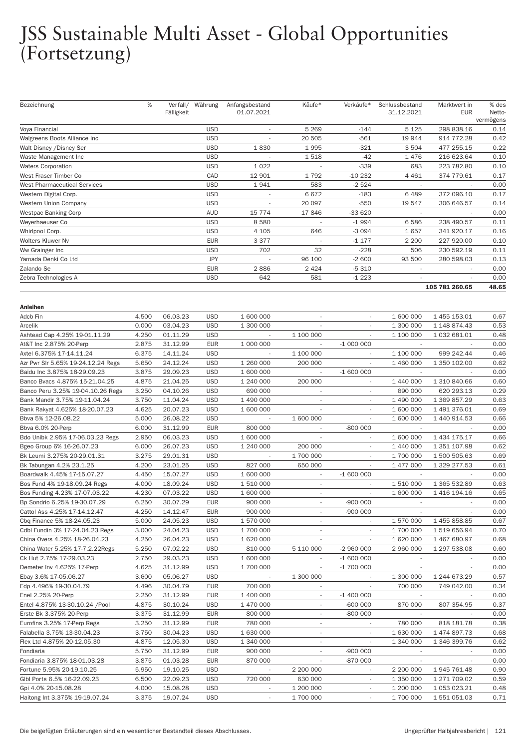| Bezeichnung                                                | %              |                      | Verfall/ Währung         | Anfangsbestand           | Käufe*                             | Verkäufe*                | Schlussbestand           | Marktwert in                 | % des               |
|------------------------------------------------------------|----------------|----------------------|--------------------------|--------------------------|------------------------------------|--------------------------|--------------------------|------------------------------|---------------------|
|                                                            |                | Fälligkeit           |                          | 01.07.2021               |                                    |                          | 31.12.2021               | <b>EUR</b>                   | Netto-<br>vermögens |
| Voya Financial                                             |                |                      | <b>USD</b>               |                          | 5 2 6 9                            | $-144$                   | 5 1 2 5                  | 298 838.16                   | 0.14                |
| Walgreens Boots Alliance Inc                               |                |                      | <b>USD</b>               | $\overline{\phantom{a}}$ | 20 505                             | $-561$                   | 19 944                   | 914 772.28                   | 0.42                |
| Walt Disney / Disney Ser                                   |                |                      | <b>USD</b>               | 1830                     | 1995                               | $-321$                   | 3 5 0 4                  | 477 255.15                   | 0.22                |
| Waste Management Inc                                       |                |                      | <b>USD</b>               | $\overline{\phantom{a}}$ | 1518                               | $-42$                    | 1476                     | 216 623.64                   | 0.10                |
| <b>Waters Corporation</b>                                  |                |                      | <b>USD</b>               | 1 0 2 2                  |                                    | $-339$                   | 683                      | 223 782.80                   | 0.10                |
| West Fraser Timber Co                                      |                |                      | CAD                      | 12 901                   | 1792                               | $-10232$                 | 4 4 6 1                  | 374 779.61                   | 0.17                |
| West Pharmaceutical Services                               |                |                      | <b>USD</b>               | 1941                     | 583                                | $-2524$                  |                          |                              | 0.00                |
| Western Digital Corp.                                      |                |                      | <b>USD</b>               | $\overline{\phantom{a}}$ | 6672                               | $-183$                   | 6489                     | 372 096.10                   | 0.17                |
| Western Union Company                                      |                |                      | <b>USD</b>               |                          | 20 097                             | $-550$                   | 19 547                   | 306 646.57                   | 0.14                |
| <b>Westpac Banking Corp</b>                                |                |                      | <b>AUD</b>               | 15 7 7 4                 | 17846                              | -33 620                  | $\overline{\phantom{a}}$ |                              | 0.00                |
| Weyerhaeuser Co                                            |                |                      | <b>USD</b>               | 8580                     |                                    | $-1994$                  | 6586                     | 238 490.57                   | 0.11                |
| Whirlpool Corp.                                            |                |                      | <b>USD</b>               | 4 1 0 5                  | 646                                | $-3094$                  | 1657                     | 341 920.17                   | 0.16                |
| Wolters Kluwer Nv                                          |                |                      | <b>EUR</b>               | 3 3 7 7                  |                                    | $-1177$                  | 2 2 0 0                  | 227 920.00                   | 0.10                |
| Ww Grainger Inc                                            |                |                      | <b>USD</b>               | 702                      | 32                                 | $-228$                   | 506                      | 230 592.19                   | 0.11                |
| Yamada Denki Co Ltd                                        |                |                      | <b>JPY</b>               |                          | 96 100                             | $-2600$                  | 93 500                   | 280 598.03                   | 0.13                |
| Zalando Se                                                 |                |                      | <b>EUR</b>               | 2886                     | 2 4 2 4                            | $-5310$                  | $\sim$                   |                              | 0.00                |
| Zebra Technologies A                                       |                |                      | <b>USD</b>               | 642                      | 581                                | $-1223$                  |                          |                              | 0.00                |
|                                                            |                |                      |                          |                          |                                    |                          |                          | 105 781 260.65               | 48.65               |
|                                                            |                |                      |                          |                          |                                    |                          |                          |                              |                     |
| <b>Anleihen</b>                                            |                |                      |                          |                          |                                    |                          |                          |                              |                     |
| Adcb Fin                                                   | 4.500          | 06.03.23             | <b>USD</b>               | 1 600 000                |                                    |                          | 1 600 000                | 1 455 153.01                 | 0.67                |
| Arcelik                                                    | 0.000          | 03.04.23             | <b>USD</b>               | 1 300 000                |                                    |                          | 1 300 000                | 1 148 874.43                 | 0.53                |
| Ashtead Cap 4.25% 19-01.11.29                              | 4.250          | 01.11.29             | <b>USD</b>               | $\overline{\phantom{a}}$ | 1 100 000                          | $\overline{\phantom{a}}$ | 1 100 000                | 1 032 681.01                 | 0.48                |
| At&T Inc 2.875% 20-Perp                                    | 2.875          | 31.12.99             | <b>EUR</b>               | 1 000 000                | $\overline{\phantom{a}}$           | $-1000000$               |                          |                              | 0.00                |
| Axtel 6.375% 17-14.11.24                                   | 6.375          | 14.11.24             | <b>USD</b>               |                          | 1 100 000                          |                          | 1 100 000                | 999 242.44                   | 0.46                |
| Azr Pwr Slr 5.65% 19-24.12.24 Regs                         | 5.650          | 24.12.24             | <b>USD</b>               | 1 260 000                | 200 000                            |                          | 1 460 000                | 1 350 102.00                 | 0.62                |
| Baidu Inc 3.875% 18-29.09.23                               | 3.875          | 29.09.23             | <b>USD</b>               | 1 600 000                | $\overline{\phantom{a}}$           | $-1600000$               |                          |                              | 0.00                |
| Banco Bvacs 4.875% 15-21.04.25                             | 4.875          | 21.04.25             | <b>USD</b>               | 1 240 000                | 200 000                            | $\overline{\phantom{a}}$ | 1 440 000                | 1 310 840.66                 | 0.60                |
| Banco Peru 3.25% 19-04.10.26 Regs                          | 3.250          | 04.10.26             | <b>USD</b>               | 690 000                  | $\overline{\phantom{a}}$           |                          | 690 000                  | 620 293.13                   | 0.29                |
| Bank Mandir 3.75% 19-11.04.24                              | 3.750          | 11.04.24             | <b>USD</b>               | 1 490 000                | $\sim$                             | $\overline{\phantom{a}}$ | 1 490 000                | 1 369 857.29                 | 0.63                |
| Bank Rakyat 4.625% 18-20.07.23                             | 4.625          | 20.07.23             | <b>USD</b>               | 1 600 000                | $\overline{\phantom{a}}$           | $\overline{\phantom{a}}$ | 1 600 000                | 1 491 376.01                 | 0.69                |
| Bbva 5% 12-26.08.22                                        | 5.000          | 26.08.22             | <b>USD</b>               | ÷,                       | 1 600 000                          | $\overline{\phantom{a}}$ | 1 600 000                | 1 440 914.53                 | 0.66                |
| Bbva 6.0% 20-Perp                                          | 6.000          | 31.12.99             | <b>EUR</b>               | 800 000                  | $\overline{\phantom{a}}$           | $-800000$                | $\sim$                   |                              | 0.00                |
| Bdo Unibk 2.95% 17-06.03.23 Regs                           | 2.950          | 06.03.23             | <b>USD</b>               | 1 600 000                | $\overline{\phantom{a}}$           | $\overline{\phantom{a}}$ | 1 600 000                | 1 434 175.17                 | 0.66                |
| Bgeo Group 6% 16-26.07.23                                  | 6.000          | 26.07.23             | <b>USD</b>               | 1 240 000                | 200 000                            | $\overline{\phantom{a}}$ | 1 440 000                | 1 351 107.98                 | 0.62                |
| Bk Leumi 3.275% 20-29.01.31                                | 3.275          | 29.01.31             | <b>USD</b>               |                          | 1700 000                           | $\overline{\phantom{a}}$ | 1 700 000                | 1 500 505.63                 | 0.69                |
| Bk Tabungan 4.2% 23.1.25                                   | 4.200          | 23.01.25             | <b>USD</b>               | 827 000                  | 650 000                            |                          | 1 477 000                | 1 329 277.53                 | 0.61                |
| Boardwalk 4.45% 17-15.07.27                                | 4.450          | 15.07.27             | <b>USD</b>               | 1 600 000                | $\sim$                             | $-1600000$               |                          |                              | 0.00                |
| Bos Fund 4% 19-18.09.24 Regs                               | 4.000          | 18.09.24             | <b>USD</b>               | 1510000<br>1 600 000     | $\overline{\phantom{a}}$           | $\overline{\phantom{a}}$ | 1 510 000<br>1 600 000   | 1 365 532.89<br>1 416 194.16 | 0.63                |
| Bos Funding 4.23% 17-07.03.22                              | 4.230          | 07.03.22             | <b>USD</b>               |                          | $\overline{\phantom{a}}$           | $\overline{\phantom{a}}$ |                          |                              | 0.65                |
| Bp Sondrio 6.25% 19-30.07.29                               | 6.250          | 30.07.29             | EUR                      | 900 000                  |                                    | $-900000$                |                          | $\overline{a}$               | 0.00                |
| Cattol Ass 4.25% 17-14.12.47<br>Cbq Finance 5% 18-24.05.23 | 4.250<br>5.000 | 14.12.47<br>24.05.23 | <b>EUR</b><br><b>USD</b> | 900 000<br>1 570 000     | $\overline{\phantom{a}}$           | -900 000                 | 1 570 000                | 1 455 858.85                 | 0.00<br>0.67        |
| Cdbl Fundin 3% 17-24.04.23 Regs                            | 3.000          | 24.04.23             | <b>USD</b>               | 1 700 000                | $\sim$<br>$\overline{\phantom{a}}$ | $\overline{\phantom{a}}$ | 1 700 000                | 1519656.94                   | 0.70                |
| China Overs 4.25% 18-26.04.23                              | 4.250          | 26.04.23             | <b>USD</b>               | 1 620 000                |                                    |                          | 1 620 000                | 1 467 680.97                 | 0.68                |
| China Water 5.25% 17-7.2.22Regs                            | 5.250          | 07.02.22             | <b>USD</b>               | 810 000                  | 5 110 000                          | -2 960 000               | 2 960 000                | 1 297 538.08                 | 0.60                |
| Ck Hut 2.75% 17-29.03.23                                   | 2.750          | 29.03.23             | <b>USD</b>               | 1 600 000                | $\overline{\phantom{a}}$           | $-1600000$               |                          |                              | 0.00                |
| Demeter Inv 4.625% 17-Perp                                 | 4.625          | 31.12.99             | <b>USD</b>               | 1 700 000                | $\overline{\phantom{a}}$           | $-1700000$               | $\sim$                   |                              | 0.00                |
| Ebay 3.6% 17-05.06.27                                      | 3.600          | 05.06.27             | <b>USD</b>               |                          | 1 300 000                          |                          | 1 300 000                | 1 244 673.29                 | 0.57                |
| Edp 4.496% 19-30.04.79                                     | 4.496          | 30.04.79             | <b>EUR</b>               | 700 000                  | $\overline{\phantom{a}}$           |                          | 700 000                  | 749 042.00                   | 0.34                |
| Enel 2.25% 20-Perp                                         | 2.250          | 31.12.99             | <b>EUR</b>               | 1 400 000                | $\overline{\phantom{a}}$           | $-1400000$               | $\overline{\phantom{a}}$ |                              | 0.00                |
| Entel 4.875% 13-30.10.24 /Pool                             | 4.875          | 30.10.24             | <b>USD</b>               | 1 470 000                | $\overline{\phantom{a}}$           | -600 000                 | 870 000                  | 807 354.95                   | 0.37                |
| Erste Bk 3.375% 20-Perp                                    | 3.375          | 31.12.99             | <b>EUR</b>               | 800 000                  |                                    | -800 000                 |                          |                              | 0.00                |
| Eurofins 3.25% 17-Perp Regs                                | 3.250          | 31.12.99             | <b>EUR</b>               | 780 000                  | $\overline{\phantom{a}}$           | $\overline{\phantom{a}}$ | 780 000                  | 818 181.78                   | 0.38                |
| Falabella 3.75% 13-30.04.23                                | 3.750          | 30.04.23             | <b>USD</b>               | 1 630 000                | $\overline{\phantom{a}}$           | $\overline{\phantom{a}}$ | 1 630 000                | 1 474 897.73                 | 0.68                |
| Flex Ltd 4.875% 20-12.05.30                                | 4.875          | 12.05.30             | <b>USD</b>               | 1 340 000                | $\overline{\phantom{a}}$           | $\overline{\phantom{a}}$ | 1 340 000                | 1 346 399.76                 | 0.62                |
| Fondiaria                                                  | 5.750          | 31.12.99             | <b>EUR</b>               | 900 000                  |                                    | $-900000$                |                          |                              | 0.00                |
| Fondiaria 3.875% 18-01.03.28                               | 3.875          | 01.03.28             | <b>EUR</b>               | 870 000                  | $\overline{\phantom{a}}$           | -870 000                 | $\overline{\phantom{a}}$ | $\overline{\phantom{a}}$     | 0.00                |
| Fortune 5.95% 20-19.10.25                                  | 5.950          | 19.10.25             | <b>USD</b>               | $\overline{\phantom{a}}$ | 2 200 000                          | $\overline{\phantom{a}}$ | 2 200 000                | 1 945 761.48                 | 0.90                |
| Glbl Ports 6.5% 16-22.09.23                                | 6.500          | 22.09.23             | <b>USD</b>               | 720 000                  | 630 000                            | $\overline{\phantom{a}}$ | 1 350 000                | 1 271 709.02                 | 0.59                |
| Gpi 4.0% 20-15.08.28                                       | 4.000          | 15.08.28             | <b>USD</b>               |                          | 1 200 000                          |                          | 1 200 000                | 1 053 023.21                 | 0.48                |
| Haitong Int 3.375% 19-19.07.24                             | 3.375          | 19.07.24             | <b>USD</b>               | $\overline{\phantom{a}}$ | 1 700 000                          | $\overline{\phantom{a}}$ | 1 700 000                | 1 551 051.03                 | 0.71                |
|                                                            |                |                      |                          |                          |                                    |                          |                          |                              |                     |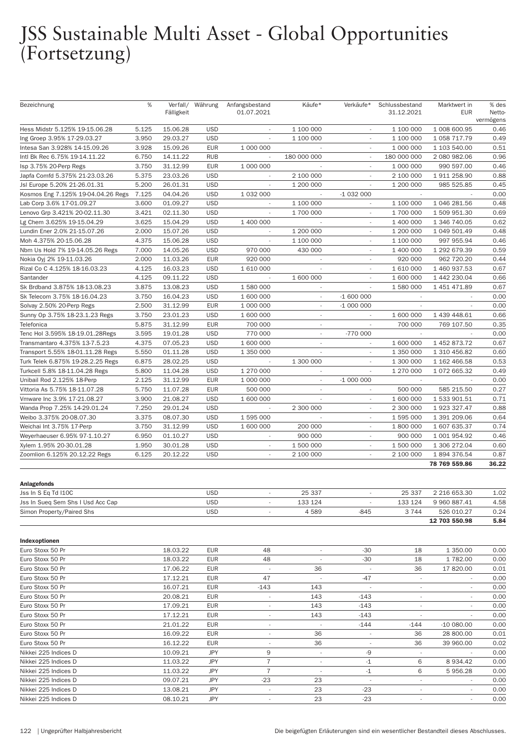| Bezeichnung                        | %     | Fälligkeit | Verfall/ Währung | Anfangsbestand<br>01.07.2021 | Käufe*                   | Verkäufe*                | Schlussbestand<br>31.12.2021 | Marktwert in<br>EUR      | % des<br>Netto-   |
|------------------------------------|-------|------------|------------------|------------------------------|--------------------------|--------------------------|------------------------------|--------------------------|-------------------|
| Hess Midstr 5.125% 19-15.06.28     | 5.125 | 15.06.28   | <b>USD</b>       | $\sim$                       | 1 100 000                |                          | 1 100 000                    | 1 008 600.95             | vermögens<br>0.46 |
| Ing Groep 3.95% 17-29.03.27        | 3.950 | 29.03.27   | <b>USD</b>       |                              | 1 100 000                |                          | 1 100 000                    | 1 058 717.79             | 0.49              |
| Intesa San 3.928% 14-15.09.26      | 3.928 | 15.09.26   | <b>EUR</b>       | 1 000 000                    | $\sim$                   | $\overline{\phantom{a}}$ | 1 000 000                    | 1 103 540.00             | 0.51              |
| Intl Bk Rec 6.75% 19-14.11.22      | 6.750 | 14.11.22   | <b>RUB</b>       | $\overline{\phantom{a}}$     | 180 000 000              | $\overline{\phantom{a}}$ | 180 000 000                  | 2 080 982.06             | 0.96              |
| Isp 3.75% 20-Perp Regs             | 3.750 | 31.12.99   | <b>EUR</b>       | 1 000 000                    |                          |                          | 1 000 000                    | 990 597.00               | 0.46              |
| Japfa Comfd 5.375% 21-23.03.26     | 5.375 | 23.03.26   | <b>USD</b>       |                              | 2 100 000                |                          | 2 100 000                    | 1 911 258.90             | 0.88              |
| Jsl Europe 5.20% 21-26.01.31       | 5.200 | 26.01.31   | <b>USD</b>       | $\overline{\phantom{a}}$     | 1 200 000                | $\overline{\phantom{a}}$ | 1 200 000                    | 985 525.85               | 0.45              |
| Kosmos Eng 7.125% 19-04.04.26 Regs | 7.125 | 04.04.26   | <b>USD</b>       | 1 0 3 2 0 0 0                | $\overline{\phantom{a}}$ | $-1032000$               |                              |                          | 0.00              |
| Lab Corp 3.6% 17-01.09.27          | 3.600 | 01.09.27   | <b>USD</b>       | $\sim$                       | 1 100 000                | $\sim$                   | 1 100 000                    | 1 046 281.56             | 0.48              |
| Lenovo Grp 3.421% 20-02.11.30      | 3.421 | 02.11.30   | <b>USD</b>       |                              | 1 700 000                |                          | 1 700 000                    | 1 509 951.30             | 0.69              |
| Lg Chem 3.625% 19-15.04.29         | 3.625 | 15.04.29   | <b>USD</b>       | 1 400 000                    | $\sim$                   | $\sim$                   | 1 400 000                    | 1 346 740.05             | 0.62              |
| Lundin Ener 2.0% 21-15.07.26       | 2.000 | 15.07.26   | <b>USD</b>       | $\overline{\phantom{a}}$     | 1 200 000                | $\overline{\phantom{a}}$ | 1 200 000                    | 1 049 501.49             | 0.48              |
| Moh 4.375% 20-15.06.28             | 4.375 | 15.06.28   | <b>USD</b>       | $\sim$                       | 1 100 000                | ٠                        | 1 100 000                    | 997 955.94               | 0.46              |
| Nbm Us Hold 7% 19-14.05.26 Regs    | 7.000 | 14.05.26   | <b>USD</b>       | 970 000                      | 430 000                  |                          | 1 400 000                    | 1 292 679.39             | 0.59              |
| Nokia Oyj 2% 19-11.03.26           | 2.000 | 11.03.26   | <b>EUR</b>       | 920 000                      | $\overline{\phantom{a}}$ | $\overline{\phantom{a}}$ | 920 000                      | 962 720.20               | 0.44              |
| Rizal Co C 4.125% 18-16.03.23      | 4.125 | 16.03.23   | <b>USD</b>       | 1 610 000                    | $\sim$                   | $\overline{\phantom{a}}$ | 1 610 000                    | 1 460 937.53             | 0.67              |
|                                    | 4.125 | 09.11.22   | <b>USD</b>       | $\sim$                       | 1 600 000                | ٠                        | 1 600 000                    | 1 442 230.04             | 0.66              |
| Santander                          |       |            |                  |                              |                          |                          |                              |                          |                   |
| Sk Brdband 3.875% 18-13.08.23      | 3.875 | 13.08.23   | <b>USD</b>       | 1 580 000                    |                          |                          | 1 580 000                    | 1 451 471.89             | 0.67              |
| Sk Telecom 3.75% 18-16.04.23       | 3.750 | 16.04.23   | <b>USD</b>       | 1 600 000                    | $\overline{\phantom{a}}$ | $-1600000$               | $\sim$                       | $\sim$                   | 0.00              |
| Solvay 2.50% 20-Perp Regs          | 2.500 | 31.12.99   | <b>EUR</b>       | 1 000 000                    | $\overline{\phantom{a}}$ | $-1000000$               | $\overline{\phantom{a}}$     |                          | 0.00              |
| Sunny Op 3.75% 18-23.1.23 Regs     | 3.750 | 23.01.23   | <b>USD</b>       | 1 600 000                    | $\sim$                   |                          | 1 600 000                    | 1 439 448.61             | 0.66              |
| Telefonica                         | 5.875 | 31.12.99   | <b>EUR</b>       | 700 000                      | $\sim$                   |                          | 700 000                      | 769 107.50               | 0.35              |
| Tenc Hol 3.595% 18-19.01.28Regs    | 3.595 | 19.01.28   | <b>USD</b>       | 770 000                      | $\overline{\phantom{a}}$ | $-770000$                | $\sim$                       | $\overline{\phantom{a}}$ | 0.00              |
| Transmantaro 4.375% 13-7.5.23      | 4.375 | 07.05.23   | <b>USD</b>       | 1 600 000                    | $\sim$                   |                          | 1 600 000                    | 1 452 873.72             | 0.67              |
| Transport 5.55% 18-01.11.28 Regs   | 5.550 | 01.11.28   | <b>USD</b>       | 1 350 000                    | $\sim$                   |                          | 1 350 000                    | 1 310 456.82             | 0.60              |
| Turk Telek 6.875% 19-28.2.25 Regs  | 6.875 | 28.02.25   | <b>USD</b>       |                              | 1 300 000                |                          | 1 300 000                    | 1 162 466.58             | 0.53              |
| Turkcell 5.8% 18-11.04.28 Regs     | 5.800 | 11.04.28   | <b>USD</b>       | 1 270 000                    | $\sim$                   | $\overline{\phantom{a}}$ | 1 270 000                    | 1 072 665.32             | 0.49              |
| Unibail Rod 2.125% 18-Perp         | 2.125 | 31.12.99   | <b>EUR</b>       | 1 000 000                    | $\overline{\phantom{a}}$ | $-1000000$               |                              |                          | 0.00              |
| Vittoria As 5.75% 18-11.07.28      | 5.750 | 11.07.28   | <b>EUR</b>       | 500 000                      | $\sim$                   | ×.                       | 500 000                      | 585 215.50               | 0.27              |
| Vmware Inc 3.9% 17-21.08.27        | 3.900 | 21.08.27   | <b>USD</b>       | 1 600 000                    |                          |                          | 1 600 000                    | 1 533 901.51             | 0.71              |
| Wanda Prop 7.25% 14-29.01.24       | 7.250 | 29.01.24   | <b>USD</b>       | $\overline{\phantom{a}}$     | 2 300 000                | $\overline{\phantom{a}}$ | 2 300 000                    | 1 923 327.47             | 0.88              |
| Weibo 3.375% 20-08.07.30           | 3.375 | 08.07.30   | <b>USD</b>       | 1 595 000                    |                          | ٠                        | 1 595 000                    | 1 391 209.06             | 0.64              |
| Weichai Int 3.75% 17-Perp          | 3.750 | 31.12.99   | <b>USD</b>       | 1 600 000                    | 200 000                  | ٠                        | 1 800 000                    | 1 607 635.37             | 0.74              |
| Weyerhaeuser 6.95% 97-1.10.27      | 6.950 | 01.10.27   | <b>USD</b>       |                              | 900 000                  |                          | 900 000                      | 1 001 954.92             | 0.46              |
| Xylem 1.95% 20-30.01.28            | 1.950 | 30.01.28   | <b>USD</b>       | $\sim$                       | 1 500 000                | $\sim$                   | 1 500 000                    | 1 306 272.04             | 0.60              |
| Zoomlion 6.125% 20.12.22 Regs      | 6.125 | 20.12.22   | <b>USD</b>       | $\sim$                       | 2 100 000                | $\overline{\phantom{a}}$ | 2 100 000                    | 1894376.54               | 0.87              |
|                                    |       |            |                  |                              |                          |                          |                              | 78 769 559.86            | 36.22             |
| <b>Anlagefonds</b>                 |       |            |                  |                              |                          |                          |                              |                          |                   |
| Jss In S Eq Td I10C                |       |            | <b>USD</b>       |                              | 25 337                   |                          | 25 337                       | 2 216 653.30             | 1.02              |
| Jss In Sueq Sem Shs I Usd Acc Cap  |       |            | <b>USD</b>       | $\overline{\phantom{a}}$     | 133 124                  | $\overline{\phantom{a}}$ | 133 124                      | 9 960 887.41             | 4.58              |
| Simon Property/Paired Shs          |       |            | <b>USD</b>       |                              | 4589                     | $-845$                   | 3744                         | 526 010.27               | 0.24              |
|                                    |       |            |                  |                              |                          |                          |                              | 12 703 550.98            | 5.84              |
| Indexoptionen                      |       |            |                  |                              |                          |                          |                              |                          |                   |
| Euro Stoxx 50 Pr                   |       | 18.03.22   | <b>EUR</b>       | 48                           | $\overline{\phantom{a}}$ | $-30$                    | 18                           | 1 350.00                 | 0.00              |
| Euro Stoxx 50 Pr                   |       | 18.03.22   | <b>EUR</b>       | 48                           | $\overline{\phantom{a}}$ | -30                      | 18                           | 1782.00                  | 0.00              |
| Euro Stoxx 50 Pr                   |       | 17.06.22   | <b>EUR</b>       | $\sim$                       | 36                       | $\sim$                   | 36                           | 17820.00                 | 0.01              |
| Euro Stoxx 50 Pr                   |       | 17.12.21   | EUR              | 47                           | $\overline{\phantom{a}}$ | -47                      | $\sim$                       |                          | 0.00              |
| Euro Stoxx 50 Pr                   |       | 16.07.21   | EUR              | $-143$                       | 143                      | $\overline{\phantom{a}}$ | ÷                            | $\overline{\phantom{a}}$ | 0.00              |
| Euro Stoxx 50 Pr                   |       | 20.08.21   | <b>EUR</b>       |                              | 143                      | $-143$                   | $\overline{\phantom{a}}$     |                          | 0.00              |
| Euro Stoxx 50 Pr                   |       | 17.09.21   | <b>EUR</b>       | $\overline{\phantom{a}}$     | 143                      | $-143$                   | $\overline{\phantom{a}}$     |                          | 0.00              |
| Euro Stoxx 50 Pr                   |       |            |                  |                              |                          | $-143$                   |                              | $\overline{\phantom{a}}$ | 0.00              |
|                                    |       | 17.12.21   | <b>EUR</b>       | $\overline{\phantom{a}}$     | 143                      |                          | $\sim$                       |                          |                   |
| Euro Stoxx 50 Pr                   |       | 21.01.22   | EUR              | $\overline{\phantom{a}}$     | $\overline{\phantom{a}}$ | $-144$                   | $-144$                       | -10 080.00               | 0.00              |
| Euro Stoxx 50 Pr                   |       | 16.09.22   | <b>EUR</b>       | $\overline{\phantom{a}}$     | 36                       | $\overline{\phantom{a}}$ | 36                           | 28 800.00                | 0.01              |
| Euro Stoxx 50 Pr                   |       | 16.12.22   | <b>EUR</b>       | $\overline{\phantom{a}}$     | 36                       | $\overline{\phantom{a}}$ | 36                           | 39 960.00                | 0.02              |
| Nikkei 225 Indices D               |       | 10.09.21   | JPY              | 9                            | $\sim$                   | -9                       |                              |                          | 0.00              |
| Nikkei 225 Indices D               |       | 11.03.22   | JPY              | $\overline{7}$               | $\overline{\phantom{a}}$ | -1                       | 6                            | 8 9 3 4.42               | 0.00              |
| Nikkei 225 Indices D               |       | 11.03.22   | JPY              | $\overline{7}$               | $\overline{\phantom{a}}$ | $-1$                     | 6                            | 5956.28                  | 0.00              |
| Nikkei 225 Indices D               |       | 09.07.21   | JPY              | $-23$                        | 23                       | $\overline{\phantom{a}}$ | $\overline{\phantom{a}}$     | $\overline{\phantom{a}}$ | 0.00              |
| Nikkei 225 Indices D               |       | 13.08.21   | JPY              | $\overline{\phantom{a}}$     | 23                       | -23                      | $\sim$                       | $\overline{\phantom{a}}$ | 0.00              |
| Nikkei 225 Indices D               |       | 08.10.21   | <b>JPY</b>       |                              | 23                       | $-23$                    |                              |                          | 0.00              |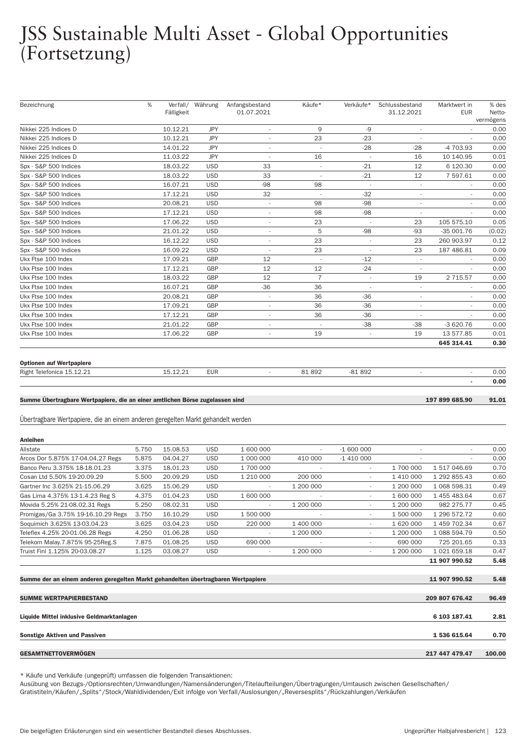| Bezeichnung                                                                       | %     | Fälligkeit | Verfall/ Währung | Anfangsbestand<br>01.07.2021        | Käufe*                   | Verkäufe*                | Schlussbestand<br>31.12.2021 | Marktwert in<br><b>EUR</b>    | % des<br>Netto- |
|-----------------------------------------------------------------------------------|-------|------------|------------------|-------------------------------------|--------------------------|--------------------------|------------------------------|-------------------------------|-----------------|
|                                                                                   |       |            |                  |                                     |                          |                          |                              |                               | vermögens       |
| Nikkei 225 Indices D                                                              |       | 10.12.21   | JPY              | $\overline{\phantom{a}}$            | 9                        | -9                       | i,                           |                               | 0.00            |
| Nikkei 225 Indices D                                                              |       | 10.12.21   | <b>JPY</b>       | ×,                                  | 23                       | $-23$                    | $\overline{\phantom{a}}$     |                               | 0.00            |
| Nikkei 225 Indices D                                                              |       | 14.01.22   | <b>JPY</b>       | $\overline{\phantom{a}}$            | $\overline{\phantom{a}}$ | $-28$                    | $-28$                        | -4 703.93                     | 0.00            |
| Nikkei 225 Indices D                                                              |       | 11.03.22   | <b>JPY</b>       | $\overline{\phantom{a}}$            | 16                       | J.                       | 16                           | 10 140.95                     | 0.01            |
| Spx - S&P 500 Indices                                                             |       | 18.03.22   | <b>USD</b>       | 33                                  | $\overline{\phantom{a}}$ | $-21$                    | 12                           | 6 120.30                      | 0.00            |
| Spx - S&P 500 Indices                                                             |       | 18.03.22   | <b>USD</b>       | 33                                  | $\overline{\phantom{a}}$ | $-21$                    | 12                           | 7 597.61                      | 0.00            |
| Spx - S&P 500 Indices                                                             |       | 16.07.21   | <b>USD</b>       | $-98$                               | 98                       | $\sim$                   | $\overline{\phantom{a}}$     | $\overline{\phantom{a}}$      | 0.00            |
| Spx - S&P 500 Indices                                                             |       | 17.12.21   | <b>USD</b>       | 32                                  | $\overline{\phantom{a}}$ | $-32$                    | $\overline{\phantom{a}}$     | $\overline{\phantom{a}}$      | 0.00            |
| Spx - S&P 500 Indices                                                             |       | 20.08.21   | <b>USD</b>       | $\overline{\phantom{a}}$            | 98                       | $-98$                    | $\overline{\phantom{a}}$     |                               | 0.00            |
| Spx - S&P 500 Indices                                                             |       | 17.12.21   | <b>USD</b>       | $\overline{\phantom{a}}$            | 98                       | $-98$                    | $\overline{\phantom{a}}$     |                               | 0.00            |
| Spx - S&P 500 Indices                                                             |       | 17.06.22   | <b>USD</b>       | $\overline{\phantom{a}}$            | 23                       | $\overline{\phantom{a}}$ | 23                           | 105 575.10                    | 0.05            |
| Spx - S&P 500 Indices                                                             |       | 21.01.22   | <b>USD</b>       | $\overline{\phantom{a}}$            | 5                        | $-98$                    | $-93$                        | -35 001.76                    | (0.02)          |
| Spx - S&P 500 Indices                                                             |       | 16.12.22   | <b>USD</b>       | $\overline{\phantom{a}}$            | 23                       | $\overline{a}$           | 23                           | 260 903.97                    | 0.12            |
| Spx - S&P 500 Indices                                                             |       | 16.09.22   | <b>USD</b>       | $\overline{\phantom{a}}$            | 23                       |                          | 23                           | 187 486.81                    | 0.09            |
| Ukx Ftse 100 Index                                                                |       | 17.09.21   | GBP              | 12                                  | $\overline{\phantom{a}}$ | $-12$                    | $\overline{\phantom{a}}$     |                               | 0.00            |
| Ukx Ftse 100 Index                                                                |       | 17.12.21   | <b>GBP</b>       | 12                                  | 12                       | $-24$                    | $\overline{\phantom{a}}$     | $\overline{\phantom{a}}$      | 0.00            |
| Ukx Ftse 100 Index                                                                |       | 18.03.22   | GBP              | 12                                  | $\overline{7}$           | $\overline{\phantom{a}}$ | 19                           | 2 7 1 5.57                    | 0.00            |
| Ukx Ftse 100 Index                                                                |       | 16.07.21   | GBP              | $-36$                               | 36                       |                          | $\overline{\phantom{a}}$     |                               | 0.00            |
| Ukx Ftse 100 Index                                                                |       | 20.08.21   | GBP              | $\overline{\phantom{a}}$            | 36                       | -36                      | ÷,                           | i,                            | 0.00            |
| Ukx Ftse 100 Index                                                                |       | 17.09.21   | GBP              | $\overline{\phantom{a}}$            | 36                       | $-36$                    | $\overline{\phantom{a}}$     | $\overline{\phantom{a}}$      | 0.00            |
| Ukx Ftse 100 Index                                                                |       | 17.12.21   | <b>GBP</b>       | $\overline{\phantom{a}}$            | 36                       | $-36$                    | $\overline{\phantom{a}}$     | ÷,                            | 0.00            |
| Ukx Ftse 100 Index                                                                |       | 21.01.22   | GBP              |                                     |                          | -38                      | $-38$                        | $-3620.76$                    | 0.00            |
| Ukx Ftse 100 Index                                                                |       | 17.06.22   | <b>GBP</b>       | $\overline{\phantom{a}}$            | 19                       | $\overline{\phantom{a}}$ | 19                           | 13 577.85                     | 0.01            |
|                                                                                   |       |            |                  |                                     |                          |                          |                              | 645 314.41                    | 0.30            |
|                                                                                   |       |            |                  |                                     |                          |                          |                              |                               |                 |
| <b>Optionen auf Wertpapiere</b>                                                   |       |            |                  |                                     |                          |                          |                              |                               |                 |
| Right Telefonica 15.12.21                                                         |       | 15.12.21   | <b>EUR</b>       |                                     | 81892                    | $-81892$                 |                              | $\blacksquare$                | 0.00<br>0.00    |
|                                                                                   |       |            |                  |                                     |                          |                          |                              |                               |                 |
| Summe Übertragbare Wertpapiere, die an einer amtlichen Börse zugelassen sind      |       |            |                  |                                     |                          |                          |                              | 197 899 685.90                | 91.01           |
|                                                                                   |       |            |                  |                                     |                          |                          |                              |                               |                 |
| Übertragbare Wertpapiere, die an einem anderen geregelten Markt gehandelt werden  |       |            |                  |                                     |                          |                          |                              |                               |                 |
| <b>Anleihen</b>                                                                   |       |            |                  |                                     |                          |                          |                              |                               |                 |
| Allstate                                                                          | 5.750 | 15.08.53   | <b>USD</b>       | 1 600 000                           | $\overline{\phantom{a}}$ | $-1600000$               | $\overline{\phantom{a}}$     | $\overline{\phantom{a}}$      | 0.00            |
| Arcos Dor 5.875% 17-04.04.27 Regs                                                 | 5.875 | 04.04.27   | <b>USD</b>       | 1 000 000                           | 410 000                  | $-1410000$               | $\overline{\phantom{a}}$     |                               | 0.00            |
| Banco Peru 3.375% 18-18.01.23                                                     | 3.375 | 18.01.23   | <b>USD</b>       | 1 700 000                           |                          |                          | 1 700 000                    | 1517046.69                    | 0.70            |
| Cosan Ltd 5.50% 19-20.09.29                                                       | 5.500 | 20.09.29   | <b>USD</b>       | 1 210 000                           | 200 000                  | $\overline{\phantom{a}}$ | 1 410 000                    | 1 292 855.43                  | 0.60            |
| Gartner Inc 3.625% 21-15.06.29                                                    | 3.625 | 15.06.29   | <b>USD</b>       |                                     | 1 200 000                | $\overline{\phantom{a}}$ | 1 200 000                    | 1 068 598.31                  | 0.49            |
| Gas Lima 4.375% 13-1.4.23 Reg S                                                   | 4.375 | 01.04.23   | <b>USD</b>       | 1 600 000                           | $\overline{\phantom{a}}$ | $\sim$                   | 1 600 000                    | 1 455 483.64                  | 0.67            |
| Movida 5.25% 21-08.02.31 Regs                                                     | 5.250 | 08.02.31   | <b>USD</b>       |                                     | 1 200 000                | $\overline{\phantom{a}}$ | 1 200 000                    | 982 275.77                    | 0.45            |
| Promigas/Ga 3.75% 19-16.10.29 Regs                                                | 3.750 | 16.10.29   | <b>USD</b>       | 1 500 000                           |                          | $\overline{\phantom{a}}$ | 1 500 000                    | 1 296 572.72                  | 0.60            |
| Soquimich 3.625% 13-03.04.23                                                      | 3.625 | 03.04.23   | <b>USD</b>       | 220 000                             | 1 400 000                |                          | 1 620 000                    | 1 459 702.34                  | 0.67            |
|                                                                                   |       |            |                  |                                     |                          | $\overline{\phantom{a}}$ |                              |                               |                 |
| Teleflex 4.25% 20-01.06.28 Regs                                                   | 4.250 | 01.06.28   | <b>USD</b>       | $\overline{\phantom{a}}$<br>690 000 | 1 200 000                | $\overline{\phantom{a}}$ | 1 200 000                    | 1 088 594.79                  | 0.50            |
| Telekom Malay.7.875% 95-25Reg.S                                                   | 7.875 | 01.08.25   | <b>USD</b>       |                                     |                          |                          | 690 000                      | 725 201.65                    | 0.33            |
| Truist Finl 1.125% 20-03.08.27                                                    | 1.125 | 03.08.27   | <b>USD</b>       | $\overline{\phantom{a}}$            | 1 200 000                | $\overline{\phantom{a}}$ | 1 200 000                    | 1 021 659.18<br>11 907 990.52 | 0.47<br>5.48    |
|                                                                                   |       |            |                  |                                     |                          |                          |                              |                               |                 |
| Summe der an einem anderen geregelten Markt gehandelten übertragbaren Wertpapiere |       |            |                  |                                     |                          |                          |                              | 11 907 990.52                 | 5.48            |
| <b>SUMME WERTPAPIERBESTAND</b>                                                    |       |            |                  |                                     |                          |                          |                              | 209 807 676.42                | 96.49           |
|                                                                                   |       |            |                  |                                     |                          |                          |                              |                               |                 |
| Liquide Mittel inklusive Geldmarktanlagen                                         |       |            |                  |                                     |                          |                          |                              | 6 103 187.41                  | 2.81            |
| <b>Sonstige Aktiven und Passiven</b>                                              |       |            |                  |                                     |                          |                          |                              | 1 536 615.64                  | 0.70            |
| <b>GESAMTNETTOVERMÖGEN</b>                                                        |       |            |                  |                                     |                          |                          |                              | 217 447 479.47                | 100.00          |
|                                                                                   |       |            |                  |                                     |                          |                          |                              |                               |                 |

\* Käufe und Verkäufe (ungeprüft) umfassen die folgenden Transaktionen:

Ausübung von Bezugs-/Optionsrechten/Umwandlungen/Namensänderungen/Titelaufteilungen/Über tragungen/Umtausch zwischen Gesellschaften/ Gratistiteln/Käufen/"Splits"/Stock/Wahldividenden/Exit infolge von Ver fall/Auslosungen/"Reversesplits"/Rückzahlungen/Verkäufen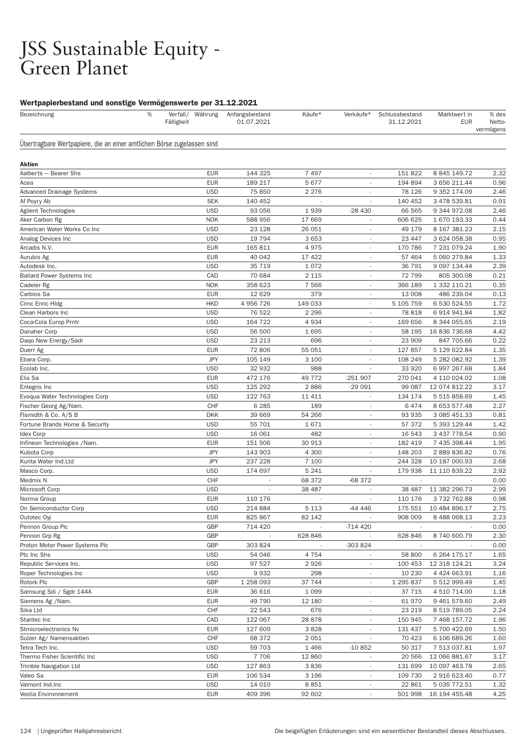#### JSS Sustainable Equity - Green Planet

#### Wertpapierbestand und sonstige Vermögenswerte per 31.12.2021

| Bezeichnung                                                            | % | Fälligkeit | Verfall/ Währung | Anfangsbestand<br>01.07.2021 | Käufe*  | Verkäufe*                | Schlussbestand<br>31.12.2021 | Marktwert in<br><b>EUR</b> | % des<br>Netto-<br>vermögens |
|------------------------------------------------------------------------|---|------------|------------------|------------------------------|---------|--------------------------|------------------------------|----------------------------|------------------------------|
| Übertragbare Wertpapiere, die an einer amtlichen Börse zugelassen sind |   |            |                  |                              |         |                          |                              |                            |                              |
| Aktien                                                                 |   |            |                  |                              |         |                          |                              |                            |                              |
| Aalberts - Bearer Shs                                                  |   |            | <b>EUR</b>       | 144 325                      | 7 4 9 7 |                          | 151 822                      | 8 845 149.72               | 2.32                         |
| Acea                                                                   |   |            | <b>EUR</b>       | 189 217                      | 5677    |                          | 194 894                      | 3 656 211.44               | 0.96                         |
| Advanced Drainage Systems                                              |   |            | <b>USD</b>       | 75 850                       | 2 2 7 6 |                          | 78 126                       | 9 352 174.09               | 2.46                         |
| Af Poyry Ab                                                            |   |            | <b>SEK</b>       | 140 452                      |         |                          | 140 452                      | 3 478 539.81               | 0.91                         |
| Agilent Technologies                                                   |   |            | <b>USD</b>       | 93 056                       | 1939    | $-28430$                 | 66 565                       | 9 344 972.08               | 2.46                         |
| Aker Carbon Rg                                                         |   |            | <b>NOK</b>       | 588 956                      | 17 669  |                          | 606 625                      | 1 670 193.33               | 0.44                         |
| American Water Works Co Inc                                            |   |            | <b>USD</b>       | 23 1 28                      | 26 051  | $\overline{\phantom{a}}$ | 49 179                       | 8 167 381.23               | 2.15                         |
| Analog Devices Inc                                                     |   |            | <b>USD</b>       | 19 794                       | 3653    | $\overline{\phantom{a}}$ | 23 447                       | 3 624 058.38               | 0.95                         |
| Arcadis N.V.                                                           |   |            | <b>EUR</b>       | 165 811                      | 4975    | $\overline{\phantom{a}}$ | 170 786                      | 7 231 079.24               | 1.90                         |
| Aurubis Ag                                                             |   |            | <b>EUR</b>       | 40 042                       | 17 4 22 |                          | 57 464                       | 5 060 279.84               | 1.33                         |
| Autodesk Inc.                                                          |   |            | <b>USD</b>       | 35 719                       | 1072    | $\overline{\phantom{a}}$ | 36 791                       | 9 097 134.44               | 2.39                         |
| <b>Ballard Power Systems Inc</b>                                       |   |            | CAD              | 70 684                       | 2 1 1 5 | $\overline{\phantom{a}}$ | 72 799                       | 805 300.08                 | 0.21                         |
| Cadeler Rg                                                             |   |            | <b>NOK</b>       | 358 623                      | 7 5 6 6 | $\overline{\phantom{a}}$ | 366 189                      | 1 332 110.21               | 0.35                         |
| Carbios Sa                                                             |   |            | <b>EUR</b>       | 12 6 29                      | 379     |                          | 13 008                       | 486 239.04                 | 0.13                         |
| Cimc Enric Hldg                                                        |   |            | <b>HKD</b>       | 4 956 726                    | 149 033 | $\overline{\phantom{a}}$ | 5 105 759                    | 6 530 524.55               | 1.72                         |
| Clean Harbors Inc                                                      |   |            | <b>USD</b>       | 76 522                       | 2 2 9 6 | $\overline{\phantom{a}}$ | 78 818                       | 6 914 941.84               | 1.82                         |
| Coca-Cola Europ Prntr                                                  |   |            | <b>USD</b>       | 164 722                      | 4934    | $\overline{\phantom{a}}$ | 169 656                      | 8 344 055.65               | 2.19                         |
| Danaher Corp                                                           |   |            | <b>USD</b>       | 56 500                       | 1695    |                          | 58 195                       | 16 836 736.68              | 4.42                         |
| Daqo New Energy/Sadr                                                   |   |            | <b>USD</b>       | 23 213                       | 696     | $\overline{\phantom{a}}$ | 23 909                       | 847 705.66                 | 0.22                         |
| Duerr Ag                                                               |   |            | <b>EUR</b>       | 72 806                       | 55 051  | $\overline{\phantom{a}}$ | 127 857                      | 5 129 622.84               | 1.35                         |
| Ebara Corp.                                                            |   |            | <b>JPY</b>       | 105 149                      | 3 100   | ٠                        | 108 249                      | 5 282 082.92               | 1.39                         |
| Ecolab Inc.                                                            |   |            | <b>USD</b>       | 32 932                       | 988     |                          | 33 9 20                      | 6 997 267.68               | 1.84                         |
| Elis Sa                                                                |   |            | <b>EUR</b>       | 472 176                      | 49 772  | $-251907$                | 270 041                      | 4 110 024.02               | 1.08                         |
| Entegris Inc                                                           |   |            | <b>USD</b>       | 125 292                      | 2886    | $-29091$                 | 99 087                       | 12 074 812.22              | 3.17                         |
| Evoqua Water Technologies Corp                                         |   |            | <b>USD</b>       | 122 763                      | 11 411  | ٠                        | 134 174                      | 5 515 858.69               | 1.45                         |
| Fischer Georg Ag/Nam.                                                  |   |            | CHF              | 6 2 8 5                      | 189     |                          | 6474                         | 8 653 577.48               | 2.27                         |
| Flsmidth & Co. A/S B                                                   |   |            | <b>DKK</b>       | 39 669                       | 54 266  | $\overline{\phantom{a}}$ | 93 935                       | 3 085 451.33               | 0.81                         |
| Fortune Brands Home & Security                                         |   |            | <b>USD</b>       | 55 701                       | 1671    | $\overline{\phantom{a}}$ | 57 372                       | 5 393 129.44               | 1.42                         |
| <b>Idex Corp</b>                                                       |   |            | <b>USD</b>       | 16 061                       | 482     | ٠                        | 16 543                       | 3 437 778.54               | 0.90                         |
| Infineon Technologies /Nam.                                            |   |            | <b>EUR</b>       | 151 506                      | 30 913  | ٠                        | 182 419                      | 7 435 398.44               | 1.95                         |
| Kubota Corp                                                            |   |            | <b>JPY</b>       | 143 903                      | 4 3 0 0 | $\overline{\phantom{a}}$ | 148 203                      | 2 889 836.82               | 0.76                         |
| Kurita Water Ind.Ltd                                                   |   |            | <b>JPY</b>       | 237 228                      | 7 100   | ٠                        | 244 328                      | 10 187 000.93              | 2.68                         |
| Masco Corp.                                                            |   |            | <b>USD</b>       | 174 697                      | 5 2 4 1 | ٠                        | 179 938                      | 11 110 839.22              | 2.92                         |
| Medmix N                                                               |   |            | CHF              |                              | 68 372  | -68 372                  |                              |                            | 0.00                         |
| Microsoft Corp                                                         |   |            | <b>USD</b>       |                              | 38 487  | $\overline{\phantom{a}}$ | 38 487                       | 11 382 296.73              | 2.99                         |
| Norma Group                                                            |   |            | <b>EUR</b>       | 110 176                      |         | ٠                        | 110 176                      | 3732762.88                 | 0.98                         |
| On Semiconductor Corp                                                  |   |            | <b>USD</b>       | 214 884                      | 5 1 1 3 | -44 446                  | 175 551                      | 10 484 896.17              | 2.75                         |
| Outotec Oyj                                                            |   |            | <b>EUR</b>       | 825 867                      | 82 142  |                          | 908 009                      | 8 488 068.13               | 2.23                         |
| Pennon Group Plc                                                       |   |            | GBP              | 714 420                      |         | $-714420$                |                              |                            | 0.00                         |
| Pennon Grp Rg                                                          |   |            | GBP              |                              | 628 846 |                          | 628 846                      | 8 740 600.79               | 2.30                         |
| Proton Motor Power Systems Plc                                         |   |            | GBP              | 303 824                      |         | -303 824                 |                              |                            | 0.00                         |
| Ptc Inc Shs                                                            |   |            | <b>USD</b>       | 54 046                       | 4 7 5 4 |                          | 58 800                       | 6 264 175.17               | 1.65                         |
| Republic Services Inc.                                                 |   |            | <b>USD</b>       | 97 527                       | 2926    | $\overline{\phantom{a}}$ | 100 453                      | 12 318 124.21              | 3.24                         |
| Roper Technologies Inc                                                 |   |            | <b>USD</b>       | 9932                         | 298     | $\overline{\phantom{a}}$ | 10 230                       | 4 424 663.91               | 1.16                         |
| Rotork Plc                                                             |   |            | GBP              | 1 258 093                    | 37 744  |                          | 1 295 837                    | 5 512 999.49               | 1.45                         |
| Samsung Sdi / Sgdr 144A                                                |   |            | <b>EUR</b>       | 36 616                       | 1 0 9 9 |                          | 37 715                       | 4 510 714.00               | 1.18                         |
| Siemens Ag /Nam.                                                       |   |            | <b>EUR</b>       | 49 790                       | 12 180  | $\sim$                   | 61 970                       | 9 461 579.60               | 2.49                         |
| Sika Ltd                                                               |   |            | CHF              | 22 543                       | 676     | $\overline{\phantom{a}}$ | 23 219                       | 8 519 789.05               | 2.24                         |
| Stantec Inc                                                            |   |            | CAD              | 122 067                      | 28 878  |                          | 150 945                      | 7 468 157.72               | 1.96                         |
| Stmicroelectronics Nv                                                  |   |            | <b>EUR</b>       | 127 609                      | 3828    |                          | 131 437                      | 5 700 422.69               | 1.50                         |
| Sulzer Ag/ Namensaktien                                                |   |            | CHF              | 68 372                       | 2051    | $\overline{\phantom{a}}$ | 70 423                       | 6 106 689.26               | 1.60                         |
| Tetra Tech Inc.                                                        |   |            | <b>USD</b>       | 59 703                       | 1466    | $-10852$                 | 50 317                       | 7 513 037.81               | 1.97                         |
| Thermo Fisher Scientific Inc                                           |   |            | <b>USD</b>       | 7 7 0 6                      | 12 860  | $\overline{\phantom{a}}$ | 20 566                       | 12 066 881.67              | 3.17                         |
| <b>Trimble Navigation Ltd</b>                                          |   |            | <b>USD</b>       | 127 863                      | 3836    | $\overline{\phantom{a}}$ | 131 699                      | 10 097 463.78              | 2.65                         |
| Valeo Sa                                                               |   |            | <b>EUR</b>       | 106 534                      | 3 1 9 6 | $\overline{\phantom{a}}$ | 109 730                      | 2 916 623.40               | 0.77                         |
| Valmont Ind.Inc                                                        |   |            | <b>USD</b>       | 14 010                       | 8851    |                          | 22 861                       | 5 035 772.51               | 1.32                         |
| Veolia Environnement                                                   |   |            | <b>EUR</b>       | 409 396                      | 92 602  |                          | 501 998                      | 16 194 455.48              | 4.25                         |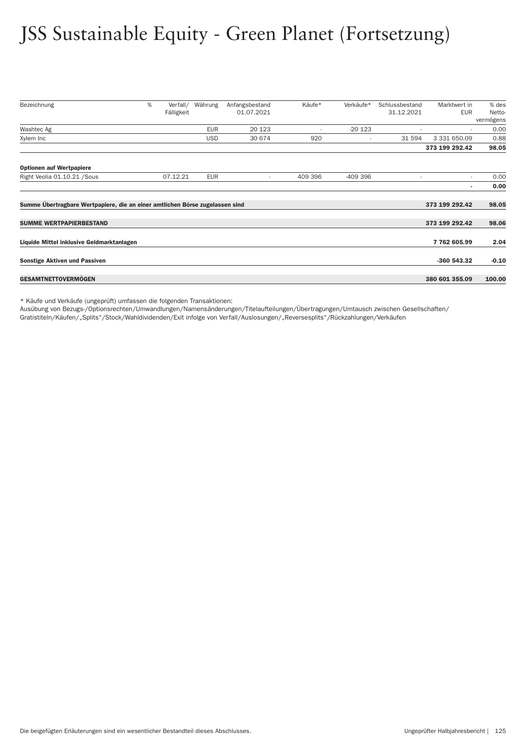# JSS Sustainable Equity - Green Planet (Fortsetzung)

| Bezeichnung                                                                  | % | Verfall/<br>Fälligkeit | Währung    | Anfangsbestand<br>01.07.2021 | Käufe*                   | Verkäufe*                | Schlussbestand<br>31.12.2021 | Marktwert in<br><b>EUR</b> | % des<br>Netto- |
|------------------------------------------------------------------------------|---|------------------------|------------|------------------------------|--------------------------|--------------------------|------------------------------|----------------------------|-----------------|
|                                                                              |   |                        |            |                              |                          |                          |                              |                            | vermögens       |
| Washtec Ag                                                                   |   |                        | <b>EUR</b> | 20 1 23                      | $\overline{\phantom{a}}$ | $-20123$                 |                              | ٠                          | 0.00            |
| Xylem Inc                                                                    |   |                        | <b>USD</b> | 30 674                       | 920                      | $\overline{\phantom{a}}$ | 31 594                       | 3 331 650.09               | 0.88            |
|                                                                              |   |                        |            |                              |                          |                          |                              | 373 199 292.42             | 98.05           |
| <b>Optionen auf Wertpapiere</b>                                              |   |                        |            |                              |                          |                          |                              |                            |                 |
| Right Veolia 01.10.21 / Sous                                                 |   | 07.12.21               | <b>EUR</b> | ٠                            | 409 396                  | $-409396$                |                              | ٠                          | 0.00            |
|                                                                              |   |                        |            |                              |                          |                          |                              | ٠                          | 0.00            |
| Summe Übertragbare Wertpapiere, die an einer amtlichen Börse zugelassen sind |   |                        |            |                              |                          |                          |                              | 373 199 292.42             | 98.05           |
| <b>SUMME WERTPAPIERBESTAND</b>                                               |   |                        |            |                              |                          |                          |                              | 373 199 292.42             | 98.06           |
| Liquide Mittel inklusive Geldmarktanlagen                                    |   |                        |            |                              |                          |                          |                              | 7762605.99                 | 2.04            |
| <b>Sonstige Aktiven und Passiven</b>                                         |   |                        |            |                              |                          |                          |                              | -360 543.32                | $-0.10$         |
| <b>GESAMTNETTOVERMÖGEN</b>                                                   |   |                        |            |                              |                          |                          |                              | 380 601 355.09             | 100.00          |

\* Käufe und Verkäufe (ungeprüft) umfassen die folgenden Transaktionen:

Ausübung von Bezugs-/Optionsrechten/Umwandlungen/Namensänderungen/Titelaufteilungen/Über tragungen/Umtausch zwischen Gesellschaften/

Gratistiteln/Käufen/"Splits"/Stock/Wahldividenden/Exit infolge von Ver fall/Auslosungen/"Reversesplits"/Rückzahlungen/Verkäufen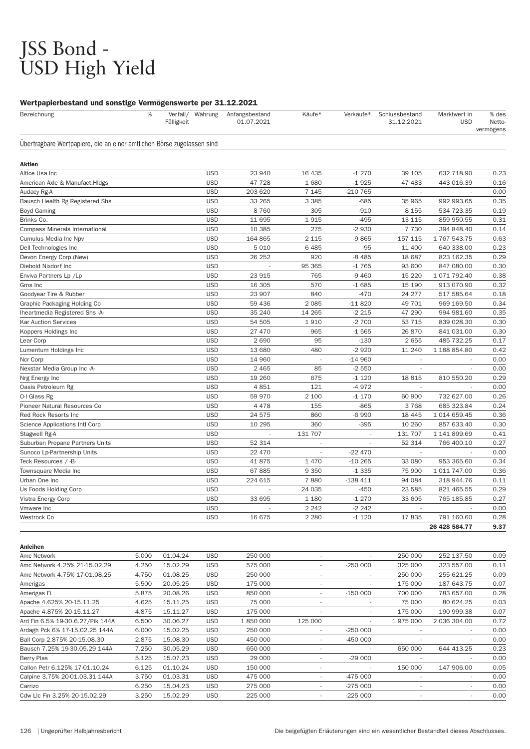# JSS Bond -<br>USD High Yield

#### Wertpapierbestand und sonstige Vermögenswerte per 31.12.2021

| Bezeichnung                                                            | % | Verfall/<br>Fälligkeit | Währung    | Anfangsbestand<br>01.07.2021 | Käufe*                   | Verkäufe* | Schlussbestand<br>31.12.2021 | Marktwert in<br><b>USD</b> | % des<br>Netto-<br>vermögens |
|------------------------------------------------------------------------|---|------------------------|------------|------------------------------|--------------------------|-----------|------------------------------|----------------------------|------------------------------|
| Übertragbare Wertpapiere, die an einer amtlichen Börse zugelassen sind |   |                        |            |                              |                          |           |                              |                            |                              |
| Aktien                                                                 |   |                        |            |                              |                          |           |                              |                            |                              |
| Altice Usa Inc                                                         |   |                        | <b>USD</b> | 23 940                       | 16 4 35                  | $-1270$   | 39 105                       | 632 718.90                 | 0.23                         |
| American Axle & Manufact. HIdgs                                        |   |                        | <b>USD</b> | 47 728                       | 1680                     | $-1925$   | 47 483                       | 443 016.39                 | 0.16                         |
| Audacy Rg-A                                                            |   |                        | <b>USD</b> | 203 620                      | 7 1 4 5                  | $-210765$ |                              |                            | 0.00                         |
| Bausch Health Rg Registered Shs                                        |   |                        | <b>USD</b> | 33 265                       | 3 3 8 5                  | $-685$    | 35 965                       | 992 993.65                 | 0.35                         |
| <b>Boyd Gaming</b>                                                     |   |                        | <b>USD</b> | 8760                         | 305                      | $-910$    | 8 1 5 5                      | 534 723.35                 | 0.19                         |
| Brinks Co.                                                             |   |                        | <b>USD</b> | 11 695                       | 1915                     | $-495$    | 13 115                       | 859 950.55                 | 0.31                         |
| <b>Compass Minerals International</b>                                  |   |                        | <b>USD</b> | 10 385                       | 275                      | $-2930$   | 7 7 3 0                      | 394 848.40                 | 0.14                         |
| Cumulus Media Inc Npv                                                  |   |                        | <b>USD</b> | 164 865                      | 2 1 1 5                  | $-9865$   | 157 115                      | 1 767 543.75               | 0.63                         |
| Dell Technologies Inc                                                  |   |                        | <b>USD</b> | 5 0 1 0                      | 6 4 8 5                  | $-95$     | 11 400                       | 640 338.00                 | 0.23                         |
| Devon Energy Corp.(New)                                                |   |                        | <b>USD</b> | 26 25 2                      | 920                      | $-8485$   | 18 687                       | 823 162.35                 | 0.29                         |
| Diebold Nixdorf Inc                                                    |   |                        | <b>USD</b> |                              | 95 365                   | $-1765$   | 93 600                       | 847 080.00                 | 0.30                         |
| Enviva Partners Lp /Lp                                                 |   |                        | <b>USD</b> | 23 915                       | 765                      | $-9460$   | 15 2 20                      | 1 071 792.40               | 0.38                         |
| Gms Inc                                                                |   |                        | <b>USD</b> | 16 305                       | 570                      | $-1685$   | 15 190                       | 913 070.90                 | 0.32                         |
| Goodyear Tire & Rubber                                                 |   |                        | <b>USD</b> | 23 907                       | 840                      | $-470$    | 24 277                       | 517 585.64                 | 0.18                         |
| Graphic Packaging Holding Co                                           |   |                        | <b>USD</b> | 59 436                       | 2085                     | $-11820$  | 49 701                       | 969 169.50                 | 0.34                         |
| Iheartmedia Registered Shs -A-                                         |   |                        | <b>USD</b> | 35 240                       | 14 265                   | $-2215$   | 47 290                       | 994 981.60                 | 0.35                         |
| <b>Kar Auction Services</b>                                            |   |                        | <b>USD</b> | 54 505                       | 1910                     | $-2700$   | 53 715                       | 839 028.30                 | 0.30                         |
| Koppers Holdings Inc                                                   |   |                        | <b>USD</b> | 27 470                       | 965                      | $-1565$   | 26 870                       | 841 031.00                 | 0.30                         |
| Lear Corp                                                              |   |                        | <b>USD</b> | 2690                         | 95                       | $-130$    | 2655                         | 485 732.25                 | 0.17                         |
| Lumentum Holdings Inc                                                  |   |                        | <b>USD</b> | 13 680                       | 480                      | $-2920$   | 11 240                       | 1 188 854.80               | 0.42                         |
| Ncr Corp                                                               |   |                        | <b>USD</b> | 14 960                       | ÷,                       | $-14960$  |                              |                            | 0.00                         |
| Nexstar Media Group Inc -A-                                            |   |                        | <b>USD</b> | 2 4 6 5                      | 85                       | $-2550$   |                              |                            | 0.00                         |
| Nrg Energy Inc                                                         |   |                        | <b>USD</b> | 19 260                       | 675                      | $-1120$   | 18815                        | 810 550.20                 | 0.29                         |
| Oasis Petroleum Rg                                                     |   |                        | <b>USD</b> | 4851                         | 121                      | $-4972$   | $\sim$                       |                            | 0.00                         |
| O-I Glass Rg                                                           |   |                        | <b>USD</b> | 59 970                       | 2 100                    | $-1170$   | 60 900                       | 732 627.00                 | 0.26                         |
| Pioneer Natural Resources Co                                           |   |                        | <b>USD</b> | 4 4 7 8                      | 155                      | $-865$    | 3768                         | 685 323.84                 | 0.24                         |
| Red Rock Resorts Inc                                                   |   |                        | <b>USD</b> | 24 575                       | 860                      | $-6990$   | 18 4 45                      | 1 014 659.45               | 0.36                         |
| Science Applications Intl Corp                                         |   |                        | <b>USD</b> | 10 295                       | 360                      | $-395$    | 10 260                       | 857 633.40                 | 0.30                         |
| Stagwell Rg-A                                                          |   |                        | <b>USD</b> |                              | 131 707                  |           | 131 707                      | 1 141 899.69               | 0.41                         |
| Suburban Propane Partners Units                                        |   |                        | <b>USD</b> | 52 314                       |                          |           | 52 314                       | 766 400.10                 | 0.27                         |
| Sunoco Lp-Partnership Units                                            |   |                        | <b>USD</b> | 22 470                       | $\overline{\phantom{a}}$ | $-22470$  | $\overline{\phantom{a}}$     |                            | 0.00                         |
| Teck Resources / -B-                                                   |   |                        | <b>USD</b> | 41875                        | 1 4 7 0                  | $-10265$  | 33 080                       | 953 365.60                 | 0.34                         |
| Townsquare Media Inc                                                   |   |                        | <b>USD</b> | 67885                        | 9 3 5 0                  | $-1335$   | 75 900                       | 1 011 747.00               | 0.36                         |
| Urban One Inc                                                          |   |                        | <b>USD</b> | 224 615                      | 7880                     | $-138411$ | 94 084                       | 318 944.76                 | 0.11                         |
| Us Foods Holding Corp                                                  |   |                        | <b>USD</b> | $\sim$                       | 24 035                   | $-450$    | 23 585                       | 821 465.55                 | 0.29                         |
| Vistra Energy Corp                                                     |   |                        | <b>USD</b> | 33 695                       | 1 1 8 0                  | $-1270$   | 33 605                       | 765 185.85                 | 0.27                         |
| Vmware Inc                                                             |   |                        | <b>USD</b> |                              | 2 2 4 2                  | $-2242$   |                              |                            | 0.00                         |
| Westrock Co                                                            |   |                        | <b>USD</b> | 16 675                       | 2 2 8 0                  | $-1120$   | 17835                        | 791 160.60                 | 0.28                         |
|                                                                        |   |                        |            |                              |                          |           |                              | 26 428 584.77              | 9.37                         |

| Anleihen                         |       |          |            |         |                          |                          |                          |              |      |
|----------------------------------|-------|----------|------------|---------|--------------------------|--------------------------|--------------------------|--------------|------|
| Amc Network                      | 5.000 | 01.04.24 | <b>USD</b> | 250 000 | ٠                        | $\overline{\phantom{a}}$ | 250 000                  | 252 137.50   | 0.09 |
| Amc Network 4.25% 21-15.02.29    | 4.250 | 15.02.29 | <b>USD</b> | 575 000 | ٠                        | $-250000$                | 325 000                  | 323 557.00   | 0.11 |
| Amc Network 4.75% 17-01.08.25    | 4.750 | 01.08.25 | <b>USD</b> | 250 000 | $\overline{\phantom{a}}$ | $\overline{\phantom{a}}$ | 250 000                  | 255 621.25   | 0.09 |
| Amerigas                         | 5.500 | 20.05.25 | <b>USD</b> | 175 000 | $\overline{\phantom{a}}$ | $\overline{\phantom{a}}$ | 175 000                  | 187 643.75   | 0.07 |
| Amerigas Fi                      | 5.875 | 20.08.26 | <b>USD</b> | 850 000 | ٠                        | $-150000$                | 700 000                  | 783 657.00   | 0.28 |
| Apache 4.625% 20-15.11.25        | 4.625 | 15.11.25 | <b>USD</b> | 75 000  | ٠                        |                          | 75 000                   | 80 624.25    | 0.03 |
| Apache 4.875% 20-15.11.27        | 4.875 | 15.11.27 | <b>USD</b> | 175 000 | ٠                        | $\overline{\phantom{a}}$ | 175 000                  | 190 999.38   | 0.07 |
| Ard Fin 6.5% 19-30.6.27/Pik 144A | 6.500 | 30.06.27 | <b>USD</b> | 1850000 | 125 000                  |                          | 1975000                  | 2 036 304.00 | 0.72 |
| Ardagh Pck 6% 17-15.02.25 144A   | 6.000 | 15.02.25 | <b>USD</b> | 250 000 | ٠                        | $-250000$                |                          | $\sim$       | 0.00 |
| Ball Corp 2.875% 20-15.08.30     | 2.875 | 15.08.30 | <b>USD</b> | 450 000 | $\overline{\phantom{a}}$ | $-450000$                |                          | $\sim$       | 0.00 |
| Bausch 7.25% 19-30.05.29 144A    | 7.250 | 30.05.29 | <b>USD</b> | 650 000 | ٠                        |                          | 650 000                  | 644 413.25   | 0.23 |
| Berry Plas                       | 5.125 | 15.07.23 | <b>USD</b> | 29 000  | ٠                        | $-29000$                 |                          | $\sim$       | 0.00 |
| Callon Petr 6.125% 17-01.10.24   | 6.125 | 01.10.24 | <b>USD</b> | 150 000 | $\overline{\phantom{a}}$ |                          | 150 000                  | 147 906.00   | 0.05 |
| Calpine 3.75% 20-01.03.31 144A   | 3.750 | 01.03.31 | <b>USD</b> | 475 000 | ٠                        | -475 000                 | $\overline{\phantom{a}}$ | $\sim$       | 0.00 |
| Carrizo                          | 6.250 | 15.04.23 | <b>USD</b> | 275 000 | ٠                        | $-275000$                |                          | $\sim$       | 0.00 |
| Cdw Llc Fin 3.25% 20-15.02.29    | 3.250 | 15.02.29 | <b>USD</b> | 225 000 | ٠                        | $-225000$                |                          |              | 0.00 |
|                                  |       |          |            |         |                          |                          |                          |              |      |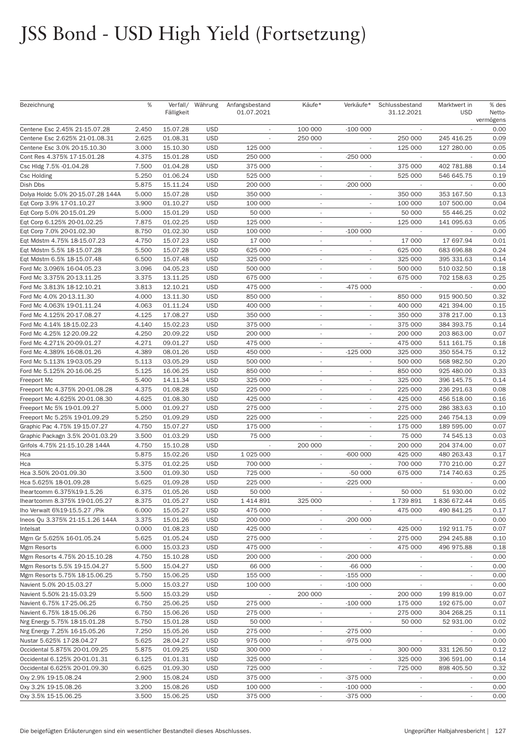| Bezeichnung                                               | %              | Fälligkeit           | Verfall/ Währung         | Anfangsbestand<br>01.07.2021 | Käufe*                                               | Verkäufe*                | Schlussbestand<br>31.12.2021 | Marktwert in<br><b>USD</b> | % des<br>Netto-<br>vermögens |
|-----------------------------------------------------------|----------------|----------------------|--------------------------|------------------------------|------------------------------------------------------|--------------------------|------------------------------|----------------------------|------------------------------|
| Centene Esc 2.45% 21-15.07.28                             | 2.450          | 15.07.28             | <b>USD</b>               |                              | 100 000                                              | $-100000$                |                              |                            | 0.00                         |
| Centene Esc 2.625% 21-01.08.31                            | 2.625          | 01.08.31             | <b>USD</b>               |                              | 250 000                                              | $\overline{\phantom{a}}$ | 250 000                      | 245 416.25                 | 0.09                         |
| Centene Esc 3.0% 20-15.10.30                              | 3.000          | 15.10.30             | <b>USD</b>               | 125 000                      | $\overline{\phantom{a}}$                             |                          | 125 000                      | 127 280.00                 | 0.05                         |
| Cont Res 4.375% 17-15.01.28                               | 4.375          | 15.01.28             | <b>USD</b>               | 250 000                      | $\overline{\phantom{a}}$                             | $-250000$                | $\sim$                       |                            | 0.00                         |
| Csc Hldg 7.5% -01.04.28                                   | 7.500          | 01.04.28             | <b>USD</b>               | 375 000                      |                                                      |                          | 375 000                      | 402 781.88                 | 0.14                         |
| <b>Csc Holding</b>                                        | 5.250          | 01.06.24             | <b>USD</b>               | 525 000                      | $\overline{\phantom{a}}$                             | ÷                        | 525 000                      | 546 645.75                 | 0.19                         |
| Dish Dbs                                                  | 5.875          | 15.11.24             | <b>USD</b>               | 200 000                      | $\overline{\phantom{a}}$                             | $-200000$                | $\overline{\phantom{a}}$     |                            | 0.00                         |
| Dolya Holdc 5.0% 20-15.07.28 144A                         | 5.000          | 15.07.28             | <b>USD</b>               | 350 000                      | $\overline{\phantom{a}}$                             | $\overline{\phantom{a}}$ | 350 000                      | 353 167.50                 | 0.13                         |
| Eqt Corp 3.9% 17-01.10.27                                 | 3.900          | 01.10.27             | <b>USD</b>               | 100 000                      | $\overline{\phantom{a}}$                             |                          | 100 000                      | 107 500.00                 | 0.04                         |
| Eqt Corp 5.0% 20-15.01.29                                 | 5.000          | 15.01.29             | <b>USD</b>               | 50 000                       | $\overline{\phantom{a}}$                             | ÷.                       | 50 000                       | 55 446.25                  | 0.02                         |
| Eqt Corp 6.125% 20-01.02.25                               | 7.875          | 01.02.25             | <b>USD</b>               | 125 000                      | $\overline{\phantom{a}}$                             |                          | 125 000                      | 141 095.63                 | 0.05                         |
| Eqt Corp 7.0% 20-01.02.30                                 | 8.750          | 01.02.30             | <b>USD</b>               | 100 000                      | $\overline{\phantom{a}}$                             | $-100000$                |                              |                            | 0.00                         |
| Eqt Mdstm 4.75% 18-15.07.23                               | 4.750          | 15.07.23             | <b>USD</b>               | 17 000                       |                                                      |                          | 17 000                       | 17 697.94                  | 0.01                         |
| Eqt Mdstm 5.5% 18-15.07.28                                | 5.500          | 15.07.28             | <b>USD</b>               | 625 000                      | $\overline{\phantom{a}}$                             | $\overline{\phantom{a}}$ | 625 000                      | 683 696.88                 | 0.24                         |
| Eqt Mdstm 6.5% 18-15.07.48                                | 6.500          | 15.07.48             | <b>USD</b>               | 325 000                      | $\overline{\phantom{a}}$                             |                          | 325 000                      | 395 331.63                 | 0.14                         |
| Ford Mc 3.096% 16-04.05.23                                | 3.096          | 04.05.23             | <b>USD</b>               | 500 000                      | $\overline{\phantom{a}}$                             |                          | 500 000                      | 510 032.50                 | 0.18                         |
| Ford Mc 3.375% 20-13.11.25                                | 3.375          | 13.11.25             | <b>USD</b>               | 675 000                      |                                                      |                          | 675 000                      | 702 158.63                 | 0.25                         |
| Ford Mc 3.813% 18-12.10.21                                | 3.813          | 12.10.21             | <b>USD</b>               | 475 000                      | $\overline{\phantom{a}}$                             | $-475000$                |                              |                            | 0.00                         |
| Ford Mc 4.0% 20-13.11.30                                  | 4.000          | 13.11.30             | <b>USD</b>               | 850 000                      | $\overline{\phantom{a}}$                             | $\overline{\phantom{a}}$ | 850 000                      | 915 900.50                 | 0.32                         |
| Ford Mc 4.063% 19-01.11.24                                | 4.063          | 01.11.24             | <b>USD</b>               | 400 000                      | $\overline{\phantom{a}}$                             |                          | 400 000                      | 421 394.00                 | 0.15                         |
| Ford Mc 4.125% 20-17.08.27                                | 4.125          | 17.08.27             | <b>USD</b>               | 350 000                      |                                                      |                          | 350 000                      | 378 217.00                 | 0.13                         |
| Ford Mc 4.14% 18-15.02.23                                 | 4.140          | 15.02.23             | <b>USD</b>               | 375 000                      | $\overline{\phantom{a}}$                             | $\sim$                   | 375 000                      | 384 393.75                 | 0.14                         |
| Ford Mc 4.25% 12-20.09.22                                 | 4.250          | 20.09.22             | <b>USD</b>               | 200 000                      | $\overline{\phantom{a}}$                             |                          | 200 000                      | 203 863.00                 | 0.07                         |
| Ford Mc 4.271% 20-09.01.27                                | 4.271          | 09.01.27             | <b>USD</b>               | 475 000                      | $\overline{\phantom{a}}$                             | $\overline{\phantom{a}}$ | 475 000                      | 511 161.75                 | 0.18                         |
| Ford Mc 4.389% 16-08.01.26                                | 4.389          | 08.01.26             | <b>USD</b>               | 450 000                      |                                                      | $-125000$                | 325 000                      | 350 554.75                 | 0.12                         |
| Ford Mc 5.113% 19-03.05.29                                | 5.113          | 03.05.29             | <b>USD</b>               | 500 000                      | $\overline{\phantom{a}}$                             | $\sim$                   | 500 000                      | 568 982.50                 | 0.20                         |
| Ford Mc 5.125% 20-16.06.25                                | 5.125          | 16.06.25             | <b>USD</b>               | 850 000                      | $\overline{\phantom{a}}$                             | $\overline{\phantom{a}}$ | 850 000                      | 925 480.00                 | 0.33                         |
| Freeport Mc                                               | 5.400          | 14.11.34             | <b>USD</b>               | 325 000                      | $\overline{\phantom{a}}$                             | $\sim$                   | 325 000                      | 396 145.75                 | 0.14                         |
| Freeport Mc 4.375% 20-01.08.28                            | 4.375          | 01.08.28             | <b>USD</b>               | 225 000                      | $\overline{\phantom{a}}$                             |                          | 225 000                      | 236 291.63                 | 0.08                         |
| Freeport Mc 4.625% 20-01.08.30                            | 4.625          | 01.08.30             | <b>USD</b>               | 425 000                      | $\overline{\phantom{a}}$                             | $\sim$                   | 425 000                      | 456 518.00                 | 0.16                         |
| Freeport Mc 5% 19-01.09.27                                | 5.000          | 01.09.27             | <b>USD</b>               | 275 000                      | $\overline{\phantom{a}}$                             | $\overline{\phantom{a}}$ | 275 000                      | 286 383.63                 | 0.10                         |
| Freeport Mc 5.25% 19-01.09.29                             | 5.250          | 01.09.29             | <b>USD</b>               | 225 000                      | $\overline{\phantom{a}}$                             | ٠                        | 225 000                      | 246 754.13                 | 0.09                         |
| Graphic Pac 4.75% 19-15.07.27                             | 4.750          | 15.07.27             | <b>USD</b>               | 175 000                      |                                                      |                          | 175 000                      | 189 595.00                 | 0.07                         |
| Graphic Packagn 3.5% 20-01.03.29                          | 3.500          | 01.03.29             | <b>USD</b>               | 75 000                       | $\overline{\phantom{a}}$                             | $\sim$                   | 75 000                       | 74 545.13                  | 0.03                         |
| Grifols 4.75% 21-15.10.28 144A                            | 4.750          | 15.10.28             | <b>USD</b>               |                              | 200 000                                              | $\overline{\phantom{a}}$ | 200 000                      | 204 374.00                 | 0.07                         |
| Hca                                                       | 5.875          | 15.02.26             | <b>USD</b>               | 1 025 000                    | $\overline{\phantom{a}}$                             | $-600000$                | 425 000                      | 480 263.43                 | 0.17                         |
| Hca                                                       | 5.375          | 01.02.25             | <b>USD</b>               | 700 000                      |                                                      |                          | 700 000                      | 770 210.00                 | 0.27                         |
| Hca 3.50% 20-01.09.30                                     | 3.500          | 01.09.30             | <b>USD</b>               | 725 000                      | $\overline{\phantom{a}}$                             | $-50000$                 | 675 000                      | 714 740.63                 | 0.25                         |
| Hca 5.625% 18-01.09.28                                    | 5.625          | 01.09.28             | <b>USD</b>               | 225 000                      | $\overline{\phantom{a}}$                             | $-225000$                |                              |                            | 0.00                         |
| Iheartcomm 6.375%19-1.5.26                                | 6.375          | 01.05.26             | <b>USD</b>               | 50 000                       | $\overline{\phantom{a}}$                             | $\sim$                   | 50 000                       | 51 930.00                  | 0.02                         |
| Iheartcomm 8.375% 19-01.05.27                             | 8.375          | 01.05.27             | <b>USD</b>               | 1 4 1 4 8 9 1                | 325 000                                              |                          | 1739891                      | 1836672.44                 | 0.65                         |
| Iho Verwalt 6%19-15.5.27 / Pik                            | 6.000          | 15.05.27             | <b>USD</b>               | 475 000                      | $\overline{\phantom{a}}$                             |                          | 475 000                      | 490 841.25                 | 0.17                         |
| Ineos Qu 3.375% 21-15.1.26 144A                           | 3.375          | 15.01.26             | <b>USD</b>               | 200 000                      | $\overline{\phantom{a}}$                             | $-200000$                |                              |                            | 0.00                         |
| Intelsat                                                  | 0.000          | 01.08.23             | <b>USD</b>               | 425 000                      | $\overline{\phantom{a}}$                             | $\overline{\phantom{a}}$ | 425 000                      | 192 911.75                 | 0.07                         |
| Mgm Gr 5.625% 16-01.05.24                                 | 5.625          | 01.05.24             | <b>USD</b>               | 275 000                      | $\sim$                                               |                          | 275 000                      | 294 245.88                 | 0.10                         |
| Mgm Resorts                                               | 6.000          | 15.03.23             | <b>USD</b>               | 475 000                      | $\sim$                                               |                          | 475 000                      | 496 975.88                 | 0.18                         |
| Mgm Resorts 4.75% 20-15.10.28                             | 4.750          | 15.10.28             | <b>USD</b>               | 200 000                      | $\overline{\phantom{a}}$                             | $-200000$                | $\overline{\phantom{a}}$     |                            | 0.00                         |
| Mgm Resorts 5.5% 19-15.04.27                              | 5.500          | 15.04.27             | <b>USD</b>               | 66 000                       | $\overline{\phantom{a}}$                             | -66 000                  | $\overline{\phantom{a}}$     |                            | 0.00                         |
| Mgm Resorts 5.75% 18-15.06.25                             | 5.750          | 15.06.25             | <b>USD</b>               | 155 000                      |                                                      | $-155000$                |                              |                            | 0.00                         |
| Navient 5.0% 20-15.03.27                                  | 5.000          | 15.03.27             | <b>USD</b>               | 100 000                      | $\overline{\phantom{a}}$                             | $-100000$                | $\overline{\phantom{a}}$     | $\overline{\phantom{a}}$   | 0.00                         |
| Navient 5.50% 21-15.03.29                                 | 5.500          | 15.03.29             | <b>USD</b>               |                              | 200 000                                              |                          | 200 000                      | 199 819.00                 | 0.07                         |
| Navient 6.75% 17-25.06.25                                 | 6.750          | 25.06.25             | <b>USD</b>               | 275 000                      | $\overline{\phantom{a}}$                             | $-100000$                | 175 000                      | 192 675.00                 | 0.07                         |
| Navient 6.75% 18-15.06.26                                 | 6.750          | 15.06.26             | <b>USD</b>               | 275 000                      | $\sim$                                               |                          | 275 000                      | 304 268.25                 | 0.11                         |
| Nrg Energy 5.75% 18-15.01.28                              | 5.750          | 15.01.28             | <b>USD</b>               | 50 000                       | $\overline{\phantom{a}}$                             |                          | 50 000                       | 52 931.00                  | 0.02                         |
|                                                           |                |                      |                          |                              |                                                      |                          |                              |                            |                              |
| Nrg Energy 7.25% 16-15.05.26<br>Nustar 5.625% 17-28.04.27 | 7.250<br>5.625 | 15.05.26<br>28.04.27 | <b>USD</b><br><b>USD</b> | 275 000<br>975 000           | $\overline{\phantom{a}}$<br>$\overline{\phantom{a}}$ | $-275000$<br>-975 000    | $\sim$                       |                            | 0.00<br>0.00                 |
| Occidental 5.875% 20-01.09.25                             | 5.875          | 01.09.25             | <b>USD</b>               | 300 000                      | $\overline{\phantom{a}}$                             | $\overline{\phantom{a}}$ | 300 000                      | 331 126.50                 | 0.12                         |
| Occidental 6.125% 20-01.01.31                             | 6.125          | 01.01.31             | <b>USD</b>               | 325 000                      | $\overline{\phantom{a}}$                             |                          | 325 000                      | 396 591.00                 | 0.14                         |
| Occidental 6.625% 20-01.09.30                             | 6.625          | 01.09.30             | <b>USD</b>               | 725 000                      |                                                      |                          | 725 000                      |                            | 0.32                         |
|                                                           |                | 15.08.24             |                          | 375 000                      | $\overline{\phantom{a}}$                             | -375 000                 |                              | 898 405.50                 | 0.00                         |
| 0xy 2.9% 19-15.08.24                                      | 2.900          |                      | <b>USD</b><br><b>USD</b> |                              | $\overline{\phantom{a}}$<br>$\overline{\phantom{a}}$ |                          | $\overline{\phantom{a}}$     | ÷,                         |                              |
| 0xy 3.2% 19-15.08.26                                      | 3.200          | 15.08.26             |                          | 100 000<br>375 000           |                                                      | $-100000$<br>$-375000$   |                              |                            | 0.00<br>0.00                 |
| 0xy 3.5% 15-15.06.25                                      | 3.500          | 15.06.25             | <b>USD</b>               |                              | $\overline{\phantom{a}}$                             |                          | $\overline{\phantom{a}}$     | $\overline{\phantom{a}}$   |                              |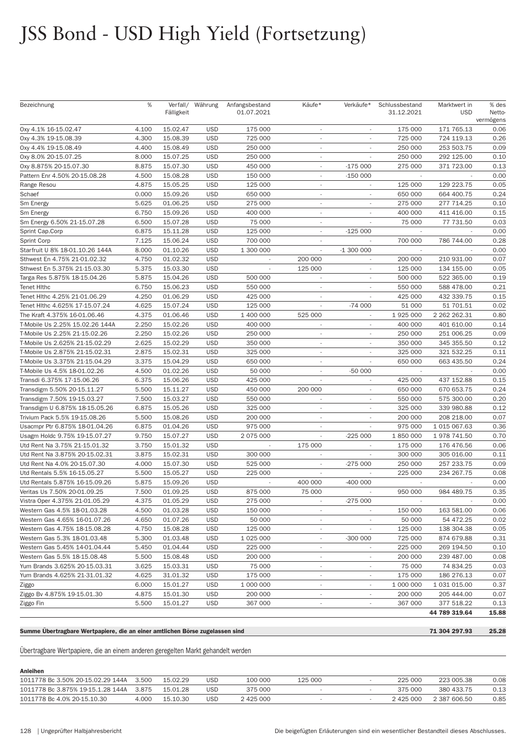| Bezeichnung                     | %     | Fälligkeit | Verfall/ Währung | Anfangsbestand<br>01.07.2021 | Käufe*                   | Verkäufe*                   | Schlussbestand<br>31.12.2021 | Marktwert in<br><b>USD</b> | % des<br>Netto-   |
|---------------------------------|-------|------------|------------------|------------------------------|--------------------------|-----------------------------|------------------------------|----------------------------|-------------------|
| 0xy 4.1% 16-15.02.47            | 4.100 | 15.02.47   | <b>USD</b>       | 175 000                      |                          |                             | 175 000                      | 171 765.13                 | vermögens<br>0.06 |
| 0xy 4.3% 19-15.08.39            | 4.300 | 15.08.39   | <b>USD</b>       | 725 000                      | $\overline{\phantom{a}}$ | $\overline{\phantom{a}}$    | 725 000                      | 724 119.13                 | 0.26              |
| 0xy 4.4% 19-15.08.49            | 4.400 | 15.08.49   | <b>USD</b>       | 250 000                      | $\overline{\phantom{a}}$ |                             | 250 000                      | 253 503.75                 | 0.09              |
| 0xy 8.0% 20-15.07.25            | 8.000 | 15.07.25   | <b>USD</b>       | 250 000                      | $\overline{\phantom{a}}$ |                             | 250 000                      | 292 125.00                 | 0.10              |
| 0xy 8.875% 20-15.07.30          | 8.875 | 15.07.30   | <b>USD</b>       | 450 000                      | $\sim$                   | $-175000$                   | 275 000                      | 371 723.00                 | 0.13              |
| Pattern Enr 4.50% 20-15.08.28   | 4.500 | 15.08.28   | <b>USD</b>       | 150 000                      | $\overline{\phantom{a}}$ | $-150000$                   | $\overline{\phantom{a}}$     |                            | 0.00              |
| Range Resou                     | 4.875 | 15.05.25   | <b>USD</b>       | 125 000                      | $\overline{\phantom{a}}$ |                             | 125 000                      | 129 223.75                 | 0.05              |
| Schaef                          | 0.000 | 15.09.26   | <b>USD</b>       | 650 000                      | $\sim$                   |                             | 650 000                      | 664 400.75                 | 0.24              |
| Sm Energy                       | 5.625 | 01.06.25   | <b>USD</b>       | 275 000                      | $\overline{\phantom{a}}$ | $\mathcal{L}_{\mathcal{A}}$ | 275 000                      | 277 714.25                 | 0.10              |
| Sm Energy                       | 6.750 | 15.09.26   | <b>USD</b>       | 400 000                      | $\overline{\phantom{a}}$ | $\overline{\phantom{a}}$    | 400 000                      | 411 416.00                 | 0.15              |
| Sm Energy 6.50% 21-15.07.28     | 6.500 | 15.07.28   | <b>USD</b>       | 75 000                       | $\overline{\phantom{a}}$ | ÷.                          | 75 000                       | 77 731.50                  | 0.03              |
| Sprint Cap.Corp                 | 6.875 | 15.11.28   | <b>USD</b>       | 125 000                      |                          | $-125000$                   |                              |                            | 0.00              |
| Sprint Corp                     | 7.125 | 15.06.24   | <b>USD</b>       | 700 000                      | $\overline{\phantom{a}}$ | $\overline{\phantom{a}}$    | 700 000                      | 786 744.00                 | 0.28              |
| Starfruit U 8% 18-01.10.26 144A | 8.000 | 01.10.26   | <b>USD</b>       | 1 300 000                    | $\overline{\phantom{a}}$ | $-1300000$                  | $\sim$                       |                            | 0.00              |
| Sthwest En 4.75% 21-01.02.32    | 4.750 | 01.02.32   | <b>USD</b>       | $\overline{\phantom{a}}$     | 200 000                  | $\overline{\phantom{a}}$    | 200 000                      | 210 931.00                 | 0.07              |
| Sthwest En 5.375% 21-15.03.30   | 5.375 | 15.03.30   | <b>USD</b>       |                              | 125 000                  |                             | 125 000                      | 134 155.00                 | 0.05              |
| Targa Res 5.875% 18-15.04.26    | 5.875 | 15.04.26   | <b>USD</b>       | 500 000                      | $\overline{\phantom{a}}$ | $\overline{\phantom{a}}$    | 500 000                      | 522 365.00                 | 0.19              |
| <b>Tenet Hithc</b>              | 6.750 | 15.06.23   | <b>USD</b>       | 550 000                      | $\overline{\phantom{a}}$ | $\sim$                      | 550 000                      | 588 478.00                 | 0.21              |
| Tenet Hlthc 4.25% 21-01.06.29   | 4.250 | 01.06.29   | <b>USD</b>       | 425 000                      | $\overline{\phantom{a}}$ | ÷.                          | 425 000                      | 432 339.75                 | 0.15              |
| Tenet Hithc 4.625% 17-15.07.24  | 4.625 | 15.07.24   | <b>USD</b>       | 125 000                      |                          | $-74000$                    | 51 000                       | 51 701.51                  | 0.02              |
| The Kraft 4.375% 16-01.06.46    | 4.375 | 01.06.46   | <b>USD</b>       | 1 400 000                    | 525 000                  | $\overline{\phantom{a}}$    | 1 925 000                    | 2 262 262.31               | 0.80              |
| T-Mobile Us 2.25% 15.02.26 144A | 2.250 | 15.02.26   | <b>USD</b>       | 400 000                      | $\overline{\phantom{a}}$ | $\overline{\phantom{a}}$    | 400 000                      | 401 610.00                 | 0.14              |
| T-Mobile Us 2.25% 21-15.02.26   | 2.250 | 15.02.26   | <b>USD</b>       | 250 000                      | $\overline{\phantom{a}}$ | $\overline{a}$              | 250 000                      | 251 006.25                 | 0.09              |
| T-Mobile Us 2.625% 21-15.02.29  | 2.625 | 15.02.29   | <b>USD</b>       | 350 000                      | $\overline{\phantom{a}}$ |                             | 350 000                      | 345 355.50                 | 0.12              |
| T-Mobile Us 2.875% 21-15.02.31  | 2.875 | 15.02.31   | <b>USD</b>       | 325 000                      | $\overline{\phantom{a}}$ | $\overline{\phantom{a}}$    | 325 000                      | 321 532.25                 | 0.11              |
| T-Mobile Us 3.375% 21-15.04.29  | 3.375 | 15.04.29   | <b>USD</b>       | 650 000                      | $\overline{\phantom{a}}$ |                             | 650 000                      | 663 435.50                 | 0.24              |
| T-Mobile Us 4.5% 18-01.02.26    | 4.500 | 01.02.26   | <b>USD</b>       | 50 000                       |                          | $-50000$                    |                              |                            | 0.00              |
| Transdi 6.375% 17-15.06.26      | 6.375 | 15.06.26   | <b>USD</b>       | 425 000                      |                          |                             | 425 000                      | 437 152.88                 | 0.15              |
| Transdigm 5.50% 20-15.11.27     | 5.500 | 15.11.27   | <b>USD</b>       | 450 000                      | 200 000                  | $\overline{\phantom{a}}$    | 650 000                      | 670 653.75                 | 0.24              |
| Transdigm 7.50% 19-15.03.27     | 7.500 | 15.03.27   | <b>USD</b>       | 550 000                      | $\overline{\phantom{a}}$ | $\overline{\phantom{a}}$    | 550 000                      | 575 300.00                 | 0.20              |
| Transdigm U 6.875% 18-15.05.26  | 6.875 | 15.05.26   | <b>USD</b>       | 325 000                      |                          |                             | 325 000                      | 339 980.88                 | 0.12              |
| Trivium Pack 5.5% 19-15.08.26   | 5.500 | 15.08.26   | <b>USD</b>       | 200 000                      | $\overline{\phantom{a}}$ |                             | 200 000                      | 208 218.00                 | 0.07              |
| Usacmpr Ptr 6.875% 18-01.04.26  | 6.875 | 01.04.26   | <b>USD</b>       | 975 000                      | $\overline{\phantom{a}}$ | $\sim$                      | 975 000                      | 1 015 067.63               | 0.36              |
| Usagm Holdc 9.75% 19-15.07.27   | 9.750 | 15.07.27   | <b>USD</b>       | 2 075 000                    |                          | $-225000$                   | 1850000                      | 1 978 741.50               | 0.70              |
| Utd Rent Na 3.75% 21-15.01.32   | 3.750 | 15.01.32   | <b>USD</b>       |                              | 175 000                  |                             | 175 000                      | 176 476.56                 | 0.06              |
| Utd Rent Na 3.875% 20-15.02.31  | 3.875 | 15.02.31   | <b>USD</b>       | 300 000                      |                          |                             | 300 000                      | 305 016.00                 | 0.11              |
| Utd Rent Na 4.0% 20-15.07.30    | 4.000 | 15.07.30   | <b>USD</b>       | 525 000                      | $\overline{\phantom{a}}$ | $-275000$                   | 250 000                      | 257 233.75                 | 0.09              |
| Utd Rentals 5.5% 16-15.05.27    | 5.500 | 15.05.27   | <b>USD</b>       | 225 000                      | $\overline{\phantom{a}}$ |                             | 225 000                      | 234 267.75                 | 0.08              |
| Utd Rentals 5.875% 16-15.09.26  | 5.875 | 15.09.26   | <b>USD</b>       | $\overline{\phantom{a}}$     | 400 000                  | $-400000$                   | $\sim$                       |                            | 0.00              |
| Veritas Us 7.50% 20-01.09.25    | 7.500 | 01.09.25   | <b>USD</b>       | 875 000                      | 75 000                   |                             | 950 000                      | 984 489.75                 | 0.35              |
| Vistra Oper 4.375% 21-01.05.29  | 4.375 | 01.05.29   | <b>USD</b>       | 275 000                      | $\overline{\phantom{a}}$ | $-275000$                   | $\overline{\phantom{a}}$     | $\overline{\phantom{a}}$   | 0.00              |
| Western Gas 4.5% 18-01.03.28    | 4.500 | 01.03.28   | <b>USD</b>       | 150 000                      | $\overline{\phantom{a}}$ |                             | 150 000                      | 163 581.00                 | 0.06              |
| Western Gas 4.65% 16-01.07.26   | 4.650 | 01.07.26   | <b>USD</b>       | 50 000                       | $\overline{\phantom{a}}$ |                             | 50 000                       | 54 472.25                  | 0.02              |
| Western Gas 4.75% 18-15.08.28   | 4.750 | 15.08.28   | <b>USD</b>       | 125 000                      |                          |                             | 125 000                      | 138 304.38                 | 0.05              |
| Western Gas 5.3% 18-01.03.48    | 5.300 | 01.03.48   | <b>USD</b>       | 1 0 25 0 00                  | $\overline{\phantom{a}}$ | $-300000$                   | 725 000                      | 874 679.88                 | 0.31              |
| Western Gas 5.45% 14-01.04.44   | 5.450 | 01.04.44   | <b>USD</b>       | 225 000                      | $\overline{\phantom{a}}$ |                             | 225 000                      | 269 194.50                 | 0.10              |
| Western Gas 5.5% 18-15.08.48    | 5.500 | 15.08.48   | <b>USD</b>       | 200 000                      | $\overline{\phantom{a}}$ | $\sim$                      | 200 000                      | 239 487.00                 | 0.08              |
| Yum Brands 3.625% 20-15.03.31   | 3.625 | 15.03.31   | <b>USD</b>       | 75 000                       | $\overline{\phantom{a}}$ |                             | 75 000                       | 74 834.25                  | 0.03              |
| Yum Brands 4.625% 21-31.01.32   | 4.625 | 31.01.32   | <b>USD</b>       | 175 000                      | $\overline{\phantom{a}}$ | $\overline{\phantom{a}}$    | 175 000                      | 186 276.13                 | 0.07              |
| Ziggo                           | 6.000 | 15.01.27   | <b>USD</b>       | 1 000 000                    | $\overline{\phantom{a}}$ | $\overline{\phantom{a}}$    | 1 000 000                    | 1 031 015.00               | 0.37              |
| Ziggo Bv 4.875% 19-15.01.30     | 4.875 | 15.01.30   | <b>USD</b>       | 200 000                      | $\overline{\phantom{a}}$ | $\overline{\phantom{a}}$    | 200 000                      | 205 444.00                 | 0.07              |
| Ziggo Fin                       | 5.500 | 15.01.27   | <b>USD</b>       | 367 000                      |                          |                             | 367 000                      | 377 518.22                 | 0.13              |
|                                 |       |            |                  |                              |                          |                             |                              | 44 789 319.64              | 15.88             |

#### Summe Übertragbare Wertpapiere, die an einer amtlichen Börse zugelassen sind

Übertragbare Wertpapiere, die an einem anderen geregelten Markt gehandelt werden

| Anleihen                                |       |          |     |         |         |           |              |      |
|-----------------------------------------|-------|----------|-----|---------|---------|-----------|--------------|------|
| 1011778 Bc 3.50% 20-15.02.29 144A 3.500 |       | 15.02.29 | USD | 100 000 | 125 000 | 225 000   | 223 005.38   | 0.08 |
| 1011778 Bc 3.875% 19-15.1.28 144A 3.875 |       | 15.01.28 | USD | 375 000 |         | 375 000   | 380 433.75   |      |
| 1011778 Bc 4.0% 20-15.10.30             | 4.000 | 15.10.30 | USD | 2425000 |         | 2 425 000 | 2 387 606.50 | 0.85 |
|                                         |       |          |     |         |         |           |              |      |

71 304 297.93

25.28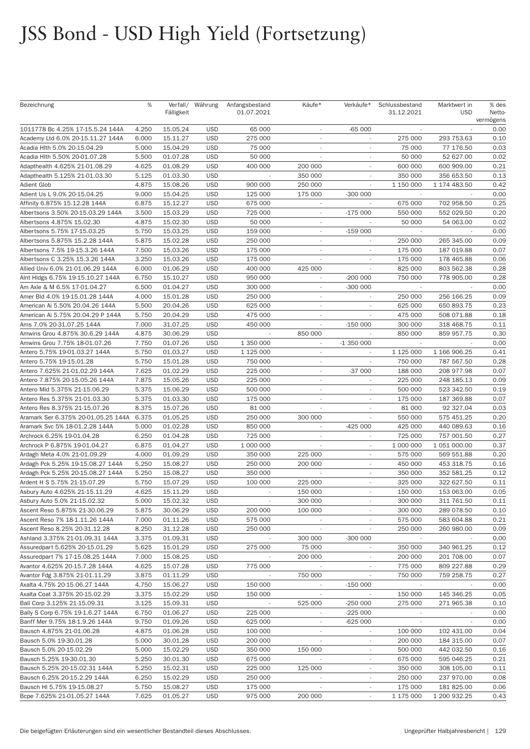| Bezeichnung                         | %     | Fälligkeit | Verfall/ Währung | Anfangsbestand<br>01.07.2021 | Käufe*                   | Verkäufe*                | Schlussbestand<br>31.12.2021 | Marktwert in<br><b>USD</b> | % des<br>Netto- |
|-------------------------------------|-------|------------|------------------|------------------------------|--------------------------|--------------------------|------------------------------|----------------------------|-----------------|
|                                     |       |            |                  |                              |                          |                          |                              |                            | vermögens       |
| 1011778 Bc 4.25% 17-15.5.24 144A    | 4.250 | 15.05.24   | <b>USD</b>       | 65 000                       |                          | $-65000$                 |                              |                            | 0.00            |
| Academy Ltd 6.0% 20-15.11.27 144A   | 6.000 | 15.11.27   | <b>USD</b>       | 275 000                      | $\sim$                   | $\overline{\phantom{a}}$ | 275 000                      | 293 753.63                 | 0.10            |
| Acadia Hlth 5.0% 20-15.04.29        | 5.000 | 15.04.29   | <b>USD</b>       | 75 000                       |                          | $\overline{\phantom{a}}$ | 75 000                       | 77 176.50                  | 0.03            |
| Acadia Hlth 5.50% 20-01.07.28       | 5.500 | 01.07.28   | <b>USD</b>       | 50 000                       |                          | $\overline{\phantom{a}}$ | 50 000                       | 52 627.00                  | 0.02            |
| Adapthealth 4.625% 21-01.08.29      | 4.625 | 01.08.29   | <b>USD</b>       | 400 000                      | 200 000                  |                          | 600 000                      | 600 909.00                 | 0.21            |
| Adapthealth 5.125% 21-01.03.30      | 5.125 | 01.03.30   | <b>USD</b>       | $\sim$                       | 350 000                  | $\sim$                   | 350 000                      | 356 653.50                 | 0.13            |
| <b>Adient Glob</b>                  | 4.875 | 15.08.26   | <b>USD</b>       | 900 000                      | 250 000                  | $\overline{\phantom{a}}$ | 1 150 000                    | 1 174 483.50               | 0.42            |
| Adient Us L 9.0% 20-15.04.25        | 9.000 | 15.04.25   | <b>USD</b>       | 125 000                      | 175 000                  | $-300000$                |                              |                            | 0.00            |
| Affinity 6.875% 15.12.28 144A       | 6.875 | 15.12.27   | <b>USD</b>       | 675 000                      |                          |                          | 675 000                      | 702 958.50                 | 0.25            |
| Albertsons 3.50% 20-15.03.29 144A   | 3.500 | 15.03.29   | <b>USD</b>       | 725 000                      | $\sim$                   | $-175000$                | 550 000                      | 552 029.50                 | 0.20            |
| Albertsons 4.875% 15.02.30          | 4.875 | 15.02.30   | <b>USD</b>       | 50 000                       | $\overline{\phantom{a}}$ |                          | 50 000                       | 54 063.00                  | 0.02            |
| Albertsons 5.75% 17-15.03.25        | 5.750 | 15.03.25   | <b>USD</b>       | 159 000                      | $\sim$                   | $-159000$                | $\sim$                       |                            | 0.00            |
| Albertsons 5.875% 15.2.28 144A      | 5.875 | 15.02.28   | <b>USD</b>       | 250 000                      |                          |                          | 250 000                      | 265 345.00                 | 0.09            |
| Albertsons 7.5% 19-15.3.26 144A     | 7.500 | 15.03.26   | <b>USD</b>       | 175 000                      | $\overline{\phantom{a}}$ | $\overline{\phantom{a}}$ | 175 000                      | 187 019.88                 | 0.07            |
| Albertsons C 3.25% 15.3.26 144A     | 3.250 | 15.03.26   | <b>USD</b>       | 175 000                      | $\overline{\phantom{a}}$ |                          | 175 000                      | 178 465.88                 | 0.06            |
| Allied Univ 6.0% 21-01.06.29 144A   | 6.000 | 01.06.29   | <b>USD</b>       | 400 000                      | 425 000                  | $\sim$                   | 825 000                      | 803 562.38                 | 0.28            |
| Aint Hidgs 6.75% 19-15.10.27 144A   | 6.750 | 15.10.27   | <b>USD</b>       | 950 000                      |                          | $-200000$                | 750 000                      | 778 905.00                 | 0.28            |
| Am Axle & M 6.5% 17-01.04.27        | 6.500 | 01.04.27   | <b>USD</b>       | 300 000                      | $\sim$                   | $-300000$                | $\sim$                       |                            | 0.00            |
| Amer Bld 4.0% 19-15.01.28 144A      | 4.000 | 15.01.28   | <b>USD</b>       | 250 000                      | $\overline{\phantom{a}}$ | $\overline{\phantom{a}}$ | 250 000                      | 256 166.25                 | 0.09            |
| American Ai 5.50% 20.04.26 144A     | 5.500 | 20.04.26   | <b>USD</b>       | 625 000                      | $\sim$                   |                          | 625 000                      | 650 893.75                 | 0.23            |
| American Ai 5.75% 20.04.29 P 144A   | 5.750 | 20.04.29   | <b>USD</b>       | 475 000                      |                          |                          | 475 000                      | 508 071.88                 | 0.18            |
| Ams 7.0% 20-31.07.25 144A           | 7.000 | 31.07.25   | <b>USD</b>       | 450 000                      | $\sim$                   | $-150000$                | 300 000                      | 318 468.75                 | 0.11            |
| Amwins Grou 4.875% 30.6.29 144A     | 4.875 | 30.06.29   | <b>USD</b>       | $\overline{\phantom{a}}$     | 850 000                  |                          | 850 000                      | 859 957.75                 | 0.30            |
| Amwins Grou 7.75% 18-01.07.26       | 7.750 | 01.07.26   | <b>USD</b>       | 1 350 000                    | $\sim$                   | $-1350000$               | $\overline{\phantom{a}}$     |                            | 0.00            |
| Antero 5.75% 19-01.03.27 144A       | 5.750 | 01.03.27   | <b>USD</b>       | 1 125 000                    | $\sim$                   |                          | 1 125 000                    | 1 166 906.25               | 0.41            |
| Antero 5.75% 19-15.01.28            | 5.750 | 15.01.28   | <b>USD</b>       | 750 000                      | $\sim$                   | $\overline{\phantom{a}}$ | 750 000                      | 787 567.50                 | 0.28            |
| Antero 7.625% 21-01.02.29 144A      | 7.625 | 01.02.29   | <b>USD</b>       | 225 000                      | $\sim$                   | $-37000$                 | 188 000                      | 208 977.98                 | 0.07            |
| Antero 7.875% 20-15.05.26 144A      | 7.875 | 15.05.26   | <b>USD</b>       | 225 000                      | $\sim$                   | ×.                       | 225 000                      | 248 185.13                 | 0.09            |
| Antero Mid 5.375% 21-15.06.29       | 5.375 | 15.06.29   | <b>USD</b>       | 500 000                      | $\sim$                   |                          | 500 000                      | 523 342.50                 | 0.19            |
| Antero Res 5.375% 21-01.03.30       | 5.375 | 01.03.30   | <b>USD</b>       | 175 000                      | $\sim$                   | $\overline{\phantom{a}}$ | 175 000                      | 187 369.88                 | 0.07            |
| Antero Res 8.375% 21-15.07.26       | 8.375 | 15.07.26   | <b>USD</b>       | 81 000                       |                          | ٠                        | 81 000                       | 92 327.04                  | 0.03            |
| Aramark Ser 6.375% 20-01.05.25 144A | 6.375 | 01.05.25   | <b>USD</b>       | 250 000                      | 300 000                  | ٠                        | 550 000                      | 575 451.25                 | 0.20            |
| Aramark Svc 5% 18-01.2.28 144A      | 5.000 | 01.02.28   | <b>USD</b>       | 850 000                      |                          | $-425000$                | 425 000                      | 440 089.63                 | 0.16            |
| Archrock 6.25% 19-01.04.28          | 6.250 | 01.04.28   | <b>USD</b>       | 725 000                      | $\sim$                   | $\overline{\phantom{a}}$ | 725 000                      | 757 001.50                 | 0.27            |
| Archrock P 6.875% 19-01.04.27       | 6.875 | 01.04.27   | <b>USD</b>       | 1 000 000                    |                          | $\overline{\phantom{a}}$ | 1 000 000                    | 1 051 000.00               | 0.37            |
| Ardagh Meta 4.0% 21-01.09.29        | 4.000 | 01.09.29   | <b>USD</b>       | 350 000                      | 225 000                  | $\overline{\phantom{a}}$ | 575 000                      | 569 551.88                 | 0.20            |
| Ardagh Pck 5.25% 19-15.08.27 144A   | 5.250 | 15.08.27   | <b>USD</b>       | 250 000                      | 200 000                  |                          | 450 000                      | 453 318.75                 | 0.16            |
| Ardagh Pck 5.25% 20-15.08.27 144A   | 5.250 | 15.08.27   | <b>USD</b>       | 350 000                      |                          | $\sim$                   | 350 000                      | 352 581.25                 | 0.12            |
| Ardent H S 5.75% 21-15.07.29        | 5.750 | 15.07.29   | <b>USD</b>       | 100 000                      | 225 000                  |                          | 325 000                      | 322 627.50                 | 0.11            |
| Asbury Auto 4.625% 21-15.11.29      | 4.625 | 15.11.29   | <b>USD</b>       | $\overline{\phantom{a}}$     | 150 000                  |                          | 150 000                      | 153 063.00                 | 0.05            |
| Asbury Auto 5.0% 21-15.02.32        | 5.000 | 15.02.32   | <b>USD</b>       |                              | 300 000                  | $\overline{\phantom{a}}$ | 300 000                      | 311 761.50                 | 0.11            |
| Ascent Reso 5.875% 21-30.06.29      | 5.875 | 30.06.29   | <b>USD</b>       | 200 000                      | 100 000                  | $\overline{\phantom{a}}$ | 300 000                      | 289 078.50                 | 0.10            |
| Ascent Reso 7% 18-1.11.26 144A      | 7.000 | 01.11.26   | <b>USD</b>       | 575 000                      | $\overline{\phantom{a}}$ | $\overline{\phantom{a}}$ | 575 000                      | 583 604.88                 | 0.21            |
| Ascent Reso 8.25% 20-31.12.28       | 8.250 | 31.12.28   | <b>USD</b>       | 250 000                      |                          |                          | 250 000                      | 260 980.00                 | 0.09            |
| Ashland 3.375% 21-01.09.31 144A     | 3.375 | 01.09.31   | <b>USD</b>       |                              | 300 000                  | $-300000$                | $\sim$                       |                            | 0.00            |
| Assuredpart 5.625% 20-15.01.29      | 5.625 | 15.01.29   | <b>USD</b>       | 275 000                      | 75 000                   | $\sim$                   | 350 000                      | 340 961.25                 | 0.12            |
| Assuredpart 7% 17-15.08.25 144A     | 7.000 | 15.08.25   | <b>USD</b>       |                              | 200 000                  | $\overline{\phantom{a}}$ | 200 000                      | 201 708.00                 | 0.07            |
| Avantor 4.625% 20-15.7.28 144A      | 4.625 | 15.07.28   | <b>USD</b>       | 775 000                      |                          |                          | 775 000                      | 809 227.88                 | 0.29            |
| Avantor Fdg 3.875% 21-01.11.29      | 3.875 | 01.11.29   | <b>USD</b>       |                              | 750 000                  |                          | 750 000                      | 759 258.75                 | 0.27            |
| Axalta 4.75% 20-15.06.27 144A       | 4.750 | 15.06.27   | <b>USD</b>       | 150 000                      | $\overline{\phantom{a}}$ | $-15000$                 | $\sim$                       | $\overline{\phantom{a}}$   | 0.00            |
| Axalta Coat 3.375% 20-15.02.29      | 3.375 | 15.02.29   | <b>USD</b>       | 150 000                      | $\overline{\phantom{a}}$ | $\overline{\phantom{a}}$ | 150 000                      | 145 346.25                 | 0.05            |
| Ball Corp 3.125% 21-15.09.31        | 3.125 | 15.09.31   | <b>USD</b>       |                              | 525 000                  | $-250000$                | 275 000                      | 271 965.38                 | 0.10            |
| Bally S Corp 6.75% 19-1.6.27 144A   | 6.750 | 01.06.27   | <b>USD</b>       | 225 000                      | $\overline{\phantom{a}}$ | $-225000$                | $\sim$                       | $\sim$                     | 0.00            |
| Banff Mer 9.75% 18-1.9.26 144A      | 9.750 | 01.09.26   | <b>USD</b>       | 625 000                      | $\overline{\phantom{a}}$ | $-625000$                | $\sim$                       | $\overline{\phantom{a}}$   | 0.00            |
| Bausch 4.875% 21-01.06.28           | 4.875 | 01.06.28   | <b>USD</b>       | 100 000                      | $\overline{\phantom{a}}$ | $\overline{\phantom{a}}$ | 100 000                      | 102 431.00                 | 0.04            |
| Bausch 5.0% 19-30.01.28             | 5.000 | 30.01.28   | <b>USD</b>       | 200 000                      |                          |                          | 200 000                      | 184 315.00                 | 0.07            |
| Bausch 5.0% 20-15.02.29             | 5.000 | 15.02.29   | <b>USD</b>       | 350 000                      | 150 000                  | ÷.                       | 500 000                      | 442 032.50                 | 0.16            |
| Bausch 5.25% 19-30.01.30            | 5.250 | 30.01.30   | <b>USD</b>       | 675 000                      |                          | ٠                        | 675 000                      | 595 046.25                 | 0.21            |
| Bausch 5.25% 20-15.02.31 144A       | 5.250 | 15.02.31   | <b>USD</b>       | 225 000                      | 125 000                  | $\overline{\phantom{a}}$ | 350 000                      | 308 105.00                 | 0.11            |
| Bausch 6.25% 20-15.2.29 144A        | 6.250 | 15.02.29   | <b>USD</b>       | 250 000                      |                          |                          | 250 000                      | 237 970.00                 | 0.08            |
| Bausch HI 5.75% 19-15.08.27         | 5.750 | 15.08.27   | <b>USD</b>       | 175 000                      | $\overline{\phantom{a}}$ | $\overline{\phantom{a}}$ | 175 000                      | 181 825.00                 | 0.06            |
| Bcpe 7.625% 21-01.05.27 144A        | 7.625 | 01.05.27   | <b>USD</b>       | 975 000                      | 200 000                  | ۰                        | 1 175 000                    | 1 200 932.25               | 0.43            |
|                                     |       |            |                  |                              |                          |                          |                              |                            |                 |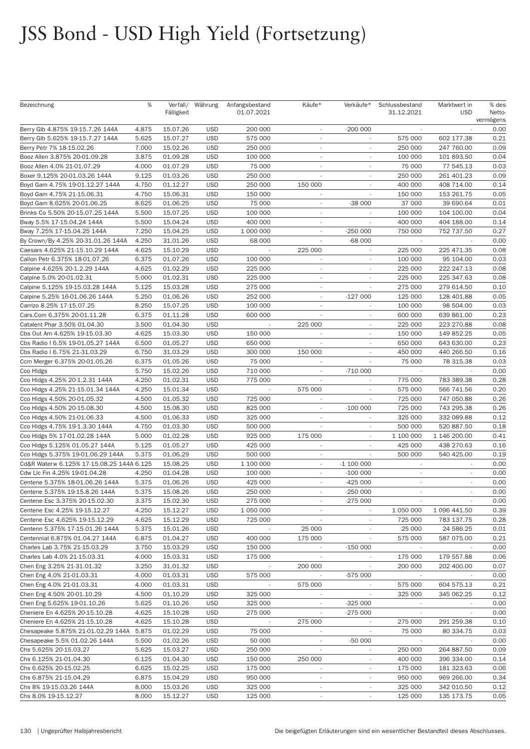| Bezeichnung                                                         | %              | Fälligkeit           | Verfall/ Währung         | Anfangsbestand<br>01.07.2021 | Käufe*                              | Verkäufe*                   | Schlussbestand<br>31.12.2021 | Marktwert in<br><b>USD</b> | % des<br>Netto-<br>vermögens |
|---------------------------------------------------------------------|----------------|----------------------|--------------------------|------------------------------|-------------------------------------|-----------------------------|------------------------------|----------------------------|------------------------------|
| Berry Glb 4.875% 19-15.7.26 144A                                    | 4.875          | 15.07.26             | <b>USD</b>               | 200 000                      | $\overline{\phantom{a}}$            | $-200000$                   | $\overline{\phantom{a}}$     |                            | 0.00                         |
| Berry Glb 5.625% 19-15.7.27 144A                                    | 5.625          | 15.07.27             | <b>USD</b>               | 575 000                      | $\overline{\phantom{a}}$            |                             | 575 000                      | 602 177.38                 | 0.21                         |
| Berry Petr 7% 18-15.02.26                                           | 7.000          | 15.02.26             | <b>USD</b>               | 250 000                      | $\sim$                              | $\overline{\phantom{a}}$    | 250 000                      | 247 760.00                 | 0.09                         |
| Booz Allen 3.875% 20-01.09.28                                       | 3.875          | 01.09.28             | <b>USD</b>               | 100 000                      | $\sim$                              | $\overline{\phantom{a}}$    | 100 000                      | 101 893.50                 | 0.04                         |
| Booz Allen 4.0% 21-01.07.29                                         | 4.000          | 01.07.29             | <b>USD</b>               | 75 000                       | $\sim$                              |                             | 75 000                       | 77 545.13                  | 0.03                         |
| Boxer 9.125% 20-01.03.26 144A                                       | 9.125          | 01.03.26             | <b>USD</b>               | 250 000                      |                                     |                             | 250 000                      | 261 401.23                 | 0.09                         |
| Boyd Gam 4.75% 19-01.12.27 144A                                     | 4.750          | 01.12.27             | <b>USD</b>               | 250 000                      | 150 000                             | $\overline{\phantom{a}}$    | 400 000                      | 408 714.00                 | 0.14                         |
| Boyd Gam 4.75% 21-15.06.31                                          | 4.750          | 15.06.31             | <b>USD</b>               | 150 000                      | $\overline{\phantom{a}}$            |                             | 150 000                      | 153 261.75                 | 0.05                         |
| Boyd Gam 8.625% 20-01.06.25                                         | 8.625          | 01.06.25             | <b>USD</b>               | 75 000                       | $\sim$                              | $-38000$                    | 37 000                       | 39 690.64                  | 0.01                         |
| Brinks Co 5.50% 20-15.07.25 144A                                    | 5.500          | 15.07.25             | <b>USD</b>               | 100 000                      | $\sim$                              |                             | 100 000                      | 104 100.00                 | 0.04                         |
| Bway 5.5% 17-15.04.24 144A                                          | 5.500          | 15.04.24             | <b>USD</b>               | 400 000                      | $\sim$                              |                             | 400 000                      | 404 188.00                 | 0.14                         |
| Bway 7.25% 17-15.04.25 144A                                         | 7.250          | 15.04.25             | <b>USD</b>               | 1 000 000                    | $\sim$                              | $-250000$                   | 750 000                      | 752 737.50                 | 0.27                         |
| By Crown/By 4.25% 20-31.01.26 144A                                  | 4.250          | 31.01.26             | <b>USD</b>               | 68 000                       |                                     | -68 000                     |                              |                            | 0.00                         |
| Caesars 4.625% 21-15.10.29 144A                                     | 4.625          | 15.10.29             | <b>USD</b>               |                              | 225 000                             |                             | 225 000                      | 225 471.35                 | 0.08                         |
| Callon Petr 6.375% 18-01.07.26                                      | 6.375          | 01.07.26             | <b>USD</b>               | 100 000                      | $\overline{\phantom{a}}$            | $\overline{\phantom{a}}$    | 100 000                      | 95 104.00                  | 0.03                         |
| Calpine 4.625% 20-1.2.29 144A                                       | 4.625          | 01.02.29             | <b>USD</b>               | 225 000                      | $\sim$                              | ٠                           | 225 000                      | 222 247.13                 | 0.08                         |
| Calpine 5.0% 20-01.02.31                                            | 5.000          | 01.02.31             | <b>USD</b>               | 225 000                      | $\sim$                              |                             | 225 000                      | 225 347.63                 | 0.08                         |
| Calpine 5.125% 19-15.03.28 144A                                     | 5.125          | 15.03.28             | <b>USD</b>               | 275 000                      | $\sim$                              |                             | 275 000                      | 279 614.50                 | 0.10                         |
| Calpine 5.25% 16-01.06.26 144A                                      | 5.250          | 01.06.26             | <b>USD</b>               | 252 000                      | $\sim$                              | $-127000$                   | 125 000                      | 128 401.88                 | 0.05                         |
| Carrizo 8.25% 17-15.07.25                                           | 8.250          | 15.07.25             | <b>USD</b>               | 100 000                      | $\overline{\phantom{a}}$            |                             | 100 000                      | 98 504.00                  | 0.03                         |
| Cars.Com 6.375% 20-01.11.28                                         | 6.375          | 01.11.28             | <b>USD</b>               | 600 000                      |                                     |                             | 600 000                      | 639 861.00                 | 0.23                         |
| Catalent Phar 3.50% 01.04.30                                        | 3.500          | 01.04.30             | <b>USD</b>               |                              | 225 000                             |                             | 225 000                      | 223 270.88                 | 0.08                         |
| Cbs Out Am 4.625% 19-15.03.30                                       | 4.625          | 15.03.30             | <b>USD</b>               | 150 000                      | $\overline{\phantom{a}}$            | $\overline{\phantom{a}}$    | 150 000                      | 149 852.25                 | 0.05                         |
| Cbs Radio I 6.5% 19-01.05.27 144A                                   | 6.500          | 01.05.27             | <b>USD</b>               | 650 000                      |                                     |                             | 650 000                      | 643 630.00                 | 0.23                         |
| Cbs Radio I 6.75% 21-31.03.29                                       | 6.750          | 31.03.29             | <b>USD</b>               | 300 000                      | 150 000                             |                             | 450 000                      | 440 266.50                 | 0.16                         |
| Ccm Merger 6.375% 20-01.05.26                                       | 6.375          | 01.05.26             | <b>USD</b>               | 75 000                       | $\overline{\phantom{a}}$            |                             | 75 000                       | 78 315.38                  | 0.03                         |
| Cco HIdgs                                                           | 5.750          | 15.02.26             | <b>USD</b>               | 710 000                      | $\overline{\phantom{a}}$            | $-710000$                   | $\overline{\phantom{a}}$     |                            | 0.00                         |
| Cco Hldgs 4.25% 20-1.2.31 144A                                      | 4.250          | 01.02.31             | <b>USD</b>               | 775 000                      | $\overline{\phantom{a}}$            |                             | 775 000                      | 783 389.38                 | 0.28                         |
| Cco Hldgs 4.25% 21-15.01.34 144A                                    | 4.250          | 15.01.34             | <b>USD</b>               |                              | 575 000                             |                             | 575 000                      | 566 741.56                 | 0.20                         |
| Cco Hldgs 4.50% 20-01.05.32                                         | 4.500          | 01.05.32             | <b>USD</b>               | 725 000                      | $\overline{\phantom{a}}$            | ÷.                          | 725 000                      | 747 050.88                 | 0.26                         |
| Cco Hldgs 4.50% 20-15.08.30                                         | 4.500          | 15.08.30             | <b>USD</b>               | 825 000                      | $\overline{\phantom{a}}$            | $-100000$                   | 725 000                      | 743 295.38                 | 0.26                         |
| Cco Hldgs 4.50% 21-01.06.33                                         | 4.500          | 01.06.33             | <b>USD</b>               | 325 000                      | $\sim$                              | $\sim$                      | 325 000                      | 332 089.88                 | 0.12                         |
| Cco Hldgs 4.75% 19-1.3.30 144A                                      | 4.750          | 01.03.30             | <b>USD</b>               | 500 000                      |                                     | $\mathcal{L}_{\mathcal{A}}$ | 500 000                      | 520 887.50                 | 0.18                         |
| Cco Hldgs 5% 17-01.02.28 144A                                       | 5.000          | 01.02.28             | <b>USD</b><br><b>USD</b> | 925 000<br>425 000           | 175 000<br>$\overline{\phantom{a}}$ | $\overline{\phantom{a}}$    | 1 100 000<br>425 000         | 1 146 200.00               | 0.41<br>0.16                 |
| Cco Hldgs 5.125% 01.05.27 144A<br>Cco Hldgs 5.375% 19-01.06.29 144A | 5.125<br>5.375 | 01.05.27<br>01.06.29 | <b>USD</b>               | 500 000                      | $\overline{\phantom{a}}$            | $\overline{\phantom{a}}$    | 500 000                      | 438 270.63<br>540 425.00   | 0.19                         |
| Cd&R Waterw 6.125% 17-15.08.25 144A 6.125                           |                | 15.08.25             | <b>USD</b>               | 1 100 000                    | $\overline{\phantom{a}}$            | $-1$ 100 000                | $\overline{\phantom{a}}$     |                            | 0.00                         |
| Cdw Llc Fin 4.25% 19-01.04.28                                       | 4.250          | 01.04.28             | <b>USD</b>               | 100 000                      | $\overline{\phantom{a}}$            | $-100000$                   | $\overline{\phantom{a}}$     | $\mathcal{L}$              | 0.00                         |
| Centene 5.375% 18-01.06.26 144A                                     | 5.375          | 01.06.26             | <b>USD</b>               | 425 000                      | $\overline{\phantom{a}}$            | $-425000$                   | $\overline{\phantom{a}}$     | $\overline{\phantom{a}}$   | 0.00                         |
| Centene 5.375% 19-15.8.26 144A                                      | 5.375          | 15.08.26             | <b>USD</b>               | 250 000                      |                                     | $-250000$                   | $\overline{\phantom{a}}$     | $\sim$                     | 0.00                         |
| Centene Esc 3.375% 20-15.02.30                                      | 3.375          | 15.02.30             | <b>USD</b>               | 275 000                      | $\overline{\phantom{a}}$            | $-275000$                   |                              |                            | 0.00                         |
| Centene Esc 4.25% 19-15.12.27                                       | 4.250          | 15.12.27             | <b>USD</b>               | 1 050 000                    | $\overline{\phantom{a}}$            | $\sim$                      | 1 050 000                    | 1 096 441.50               | 0.39                         |
| Centene Esc 4.625% 19-15.12.29                                      | 4.625          | 15.12.29             | <b>USD</b>               | 725 000                      |                                     | ٠                           | 725 000                      | 783 137.75                 | 0.28                         |
| Centenn 5.375% 17-15.01.26 144A                                     | 5.375          | 15.01.26             | <b>USD</b>               |                              | 25 000                              |                             | 25 000                       | 24 586.25                  | 0.01                         |
| Centennial 6.875% 01.04.27 144A                                     | 6.875          | 01.04.27             | <b>USD</b>               | 400 000                      | 175 000                             |                             | 575 000                      | 587 075.00                 | 0.21                         |
| Charles Lab 3.75% 21-15.03.29                                       | 3.750          | 15.03.29             | <b>USD</b>               | 150 000                      | $\overline{\phantom{a}}$            | $-150000$                   | $\overline{\phantom{a}}$     |                            | 0.00                         |
| Charles Lab 4.0% 21-15.03.31                                        | 4.000          | 15.03.31             | <b>USD</b>               | 175 000                      | $\overline{\phantom{a}}$            | $\overline{\phantom{a}}$    | 175 000                      | 179 557.88                 | 0.06                         |
| Chen Eng 3.25% 21-31.01.32                                          | 3.250          | 31.01.32             | <b>USD</b>               |                              | 200 000                             |                             | 200 000                      | 202 400.00                 | 0.07                         |
| Chen Eng 4.0% 21-01.03.31                                           | 4.000          | 01.03.31             | <b>USD</b>               | 575 000                      |                                     | -575 000                    |                              |                            | 0.00                         |
| Chen Eng 4.0% 21-01.03.31                                           | 4.000          | 01.03.31             | <b>USD</b>               |                              | 575 000                             | $\overline{\phantom{a}}$    | 575 000                      | 604 575.13                 | 0.21                         |
| Chen Eng 4.50% 20-01.10.29                                          | 4.500          | 01.10.29             | <b>USD</b>               | 325 000                      |                                     |                             | 325 000                      | 345 062.25                 | 0.12                         |
| Chen Eng 5.625% 19-01.10.26                                         | 5.625          | 01.10.26             | <b>USD</b>               | 325 000                      |                                     | $-325000$                   |                              |                            | 0.00                         |
| Cheniere En 4.625% 20-15.10.28                                      | 4.625          | 15.10.28             | <b>USD</b>               | 275 000                      |                                     | $-275000$                   |                              |                            | 0.00                         |
| Cheniere En 4.625% 21-15.10.28                                      | 4.625          | 15.10.28             | <b>USD</b>               |                              | 275 000                             | $\overline{\phantom{a}}$    | 275 000                      | 291 259.38                 | 0.10                         |
| Chesapeake 5.875% 21-01.02.29 144A                                  | 5.875          | 01.02.29             | <b>USD</b>               | 75 000                       |                                     |                             | 75 000                       | 80 334.75                  | 0.03                         |
| Chesapeake 5.5% 01.02.26 144A                                       | 5.500          | 01.02.26             | <b>USD</b>               | 50 000                       |                                     | -50 000                     |                              |                            | 0.00                         |
| Chs 5.625% 20-15.03.27                                              | 5.625          | 15.03.27             | <b>USD</b>               | 250 000                      |                                     |                             | 250 000                      | 264 887.50                 | 0.09                         |
| Chs 6.125% 21-01.04.30                                              | 6.125          | 01.04.30             | <b>USD</b>               | 150 000                      | 250 000                             | $\overline{\phantom{a}}$    | 400 000                      | 396 334.00                 | 0.14                         |
| Chs 6.625% 20-15.02.25                                              | 6.625          | 15.02.25             | <b>USD</b>               | 175 000                      | $\overline{\phantom{a}}$            | $\overline{\phantom{a}}$    | 175 000                      | 181 323.63                 | 0.06                         |
| Chs 6.875% 21-15.04.29                                              | 6.875          | 15.04.29             | <b>USD</b>               | 950 000                      | $\overline{\phantom{a}}$            | $\overline{\phantom{0}}$    | 950 000                      | 969 266.00                 | 0.34                         |
| Chs 8% 19-15.03.26 144A                                             | 8.000          | 15.03.26             | <b>USD</b>               | 325 000                      |                                     |                             | 325 000                      | 342 010.50                 | 0.12                         |
| Chs 8.0% 19-15.12.27                                                | 8.000          | 15.12.27             | <b>USD</b>               | 125 000                      | $\overline{\phantom{a}}$            | $\overline{\phantom{a}}$    | 125 000                      | 135 173.75                 | 0.05                         |
|                                                                     |                |                      |                          |                              |                                     |                             |                              |                            |                              |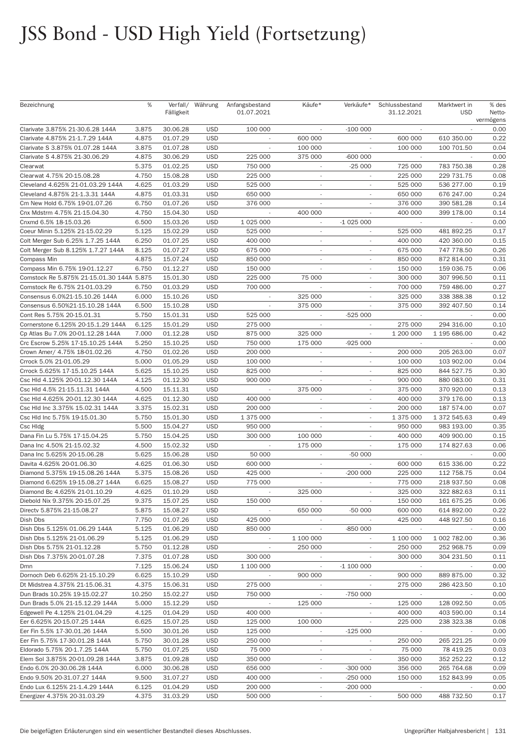|                                           | %      |            |                  |                          |                          |                          |                              |                            |                     |
|-------------------------------------------|--------|------------|------------------|--------------------------|--------------------------|--------------------------|------------------------------|----------------------------|---------------------|
| Bezeichnung                               |        |            | Verfall/ Währung | Anfangsbestand           | Käufe*                   | Verkäufe*                | Schlussbestand<br>31.12.2021 | Marktwert in<br><b>USD</b> | % des               |
|                                           |        | Fälligkeit |                  | 01.07.2021               |                          |                          |                              |                            | Netto-<br>vermögens |
|                                           |        | 30.06.28   | <b>USD</b>       | 100 000                  |                          | $-100000$                |                              |                            | 0.00                |
| Clarivate 3.875% 21-30.6.28 144A          | 3.875  |            |                  |                          |                          |                          |                              |                            |                     |
| Clarivate 4.875% 21-1.7.29 144A           | 4.875  | 01.07.29   | <b>USD</b>       | $\overline{\phantom{a}}$ | 600 000                  | ×.                       | 600 000                      | 610 350.00                 | 0.22                |
| Clarivate S 3.875% 01.07.28 144A          | 3.875  | 01.07.28   | <b>USD</b>       | $\overline{\phantom{a}}$ | 100 000                  |                          | 100 000                      | 100 701.50                 | 0.04                |
| Clarivate S 4.875% 21-30.06.29            | 4.875  | 30.06.29   | <b>USD</b>       | 225 000                  | 375 000                  | $-600000$                | $\overline{\phantom{a}}$     |                            | 0.00                |
| Clearwat                                  | 5.375  | 01.02.25   | <b>USD</b>       | 750 000                  |                          | $-25000$                 | 725 000                      | 783 750.38                 | 0.28                |
| Clearwat 4.75% 20-15.08.28                | 4.750  | 15.08.28   | <b>USD</b>       | 225 000                  | $\overline{\phantom{a}}$ | $\overline{\phantom{a}}$ | 225 000                      | 229 731.75                 | 0.08                |
| Cleveland 4.625% 21-01.03.29 144A         | 4.625  | 01.03.29   | <b>USD</b>       | 525 000                  | $\overline{\phantom{a}}$ | $\overline{\phantom{a}}$ | 525 000                      | 536 277.00                 | 0.19                |
| Cleveland 4.875% 21-1.3.31 144A           | 4.875  | 01.03.31   | <b>USD</b>       | 650 000                  | $\sim$                   | ٠                        | 650 000                      | 676 247.00                 | 0.24                |
| Cm New Hold 6.75% 19-01.07.26             | 6.750  | 01.07.26   | <b>USD</b>       | 376 000                  |                          |                          | 376 000                      | 390 581.28                 | 0.14                |
| Cnx Mdstrm 4.75% 21-15.04.30              | 4.750  | 15.04.30   | <b>USD</b>       | $\sim$                   | 400 000                  | ٠                        | 400 000                      | 399 178.00                 | 0.14                |
| Cnxmd 6.5% 18-15.03.26                    | 6.500  | 15.03.26   | <b>USD</b>       | 1 0 25 0 00              | $\overline{\phantom{a}}$ | $-1025000$               |                              |                            | 0.00                |
| Coeur Minin 5.125% 21-15.02.29            | 5.125  | 15.02.29   | <b>USD</b>       | 525 000                  | $\sim$                   | ٠                        | 525 000                      | 481 892.25                 | 0.17                |
| Colt Merger Sub 6.25% 1.7.25 144A         | 6.250  | 01.07.25   | <b>USD</b>       | 400 000                  | $\sim$                   |                          | 400 000                      | 420 360.00                 | 0.15                |
|                                           |        |            |                  |                          |                          |                          |                              |                            |                     |
| Colt Merger Sub 8.125% 1.7.27 144A        | 8.125  | 01.07.27   | <b>USD</b>       | 675 000                  | $\overline{\phantom{a}}$ | $\overline{\phantom{a}}$ | 675 000                      | 747 778.50                 | 0.26                |
| Compass Min                               | 4.875  | 15.07.24   | <b>USD</b>       | 850 000                  | $\overline{\phantom{a}}$ | $\overline{\phantom{a}}$ | 850 000                      | 872 814.00                 | 0.31                |
| Compass Min 6.75% 19-01.12.27             | 6.750  | 01.12.27   | <b>USD</b>       | 150 000                  | $\overline{\phantom{a}}$ | ٠                        | 150 000                      | 159 036.75                 | 0.06                |
| Comstock Re 5.875% 21-15.01.30 144A 5.875 |        | 15.01.30   | <b>USD</b>       | 225 000                  | 75 000                   |                          | 300 000                      | 307 996.50                 | 0.11                |
| Comstock Re 6.75% 21-01.03.29             | 6.750  | 01.03.29   | <b>USD</b>       | 700 000                  | $\overline{\phantom{a}}$ | $\sim$                   | 700 000                      | 759 486.00                 | 0.27                |
| Consensus 6.0%21-15.10.26 144A            | 6.000  | 15.10.26   | <b>USD</b>       |                          | 325 000                  | $\overline{\phantom{a}}$ | 325 000                      | 338 388.38                 | 0.12                |
| Consensus 6.50%21-15.10.28 144A           | 6.500  | 15.10.28   | <b>USD</b>       | $\overline{\phantom{a}}$ | 375 000                  | $\overline{\phantom{a}}$ | 375 000                      | 392 407.50                 | 0.14                |
| Cont Res 5.75% 20-15.01.31                | 5.750  | 15.01.31   | <b>USD</b>       | 525 000                  |                          | $-525000$                |                              |                            | 0.00                |
| Cornerstone 6.125% 20-15.1.29 144A        | 6.125  | 15.01.29   | <b>USD</b>       | 275 000                  | $\sim$                   | $\overline{\phantom{a}}$ | 275 000                      | 294 316.00                 | 0.10                |
| Cp Atlas Bu 7.0% 20-01.12.28 144A         | 7.000  | 01.12.28   | <b>USD</b>       | 875 000                  | 325 000                  | $\overline{\phantom{a}}$ | 1 200 000                    | 1 195 686.00               | 0.42                |
| Crc Escrow 5.25% 17-15.10.25 144A         | 5.250  | 15.10.25   | <b>USD</b>       | 750 000                  | 175 000                  | $-925000$                |                              |                            | 0.00                |
| Crown Amer/ 4.75% 18-01.02.26             | 4.750  | 01.02.26   | <b>USD</b>       | 200 000                  | $\sim$                   | $\sim$                   | 200 000                      | 205 263.00                 | 0.07                |
| Crrock 5.0% 21-01.05.29                   | 5.000  | 01.05.29   | <b>USD</b>       | 100 000                  | $\sim$                   | $\overline{\phantom{a}}$ | 100 000                      | 103 902.00                 | 0.04                |
|                                           |        |            | <b>USD</b>       |                          | $\sim$                   | $\sim$                   |                              |                            | 0.30                |
| Crrock 5.625% 17-15.10.25 144A            | 5.625  | 15.10.25   |                  | 825 000                  |                          |                          | 825 000                      | 844 527.75                 |                     |
| Csc Hld 4.125% 20-01.12.30 144A           | 4.125  | 01.12.30   | <b>USD</b>       | 900 000                  | $\overline{\phantom{a}}$ | ٠                        | 900 000                      | 880 083.00                 | 0.31                |
| Csc Hld 4.5% 21-15.11.31 144A             | 4.500  | 15.11.31   | <b>USD</b>       |                          | 375 000                  | ٠                        | 375 000                      | 370 920.00                 | 0.13                |
| Csc Hld 4.625% 20-01.12.30 144A           | 4.625  | 01.12.30   | <b>USD</b>       | 400 000                  | $\overline{\phantom{a}}$ | $\sim$                   | 400 000                      | 379 176.00                 | 0.13                |
| Csc Hld Inc 3.375% 15.02.31 144A          | 3.375  | 15.02.31   | <b>USD</b>       | 200 000                  | $\sim$                   | ٠                        | 200 000                      | 187 574.00                 | 0.07                |
| Csc Hld Inc 5.75% 19-15.01.30             | 5.750  | 15.01.30   | <b>USD</b>       | 1 375 000                | $\sim$                   |                          | 1 375 000                    | 1 372 545.63               | 0.49                |
| Csc Hidg                                  | 5.500  | 15.04.27   | <b>USD</b>       | 950 000                  |                          |                          | 950 000                      | 983 193.00                 | 0.35                |
| Dana Fin Lu 5.75% 17-15.04.25             | 5.750  | 15.04.25   | <b>USD</b>       | 300 000                  | 100 000                  | $\overline{\phantom{a}}$ | 400 000                      | 409 900.00                 | 0.15                |
| Dana Inc 4.50% 21-15.02.32                | 4.500  | 15.02.32   | <b>USD</b>       |                          | 175 000                  |                          | 175 000                      | 174 827.63                 | 0.06                |
| Dana Inc 5.625% 20-15.06.28               | 5.625  | 15.06.28   | <b>USD</b>       | 50 000                   | $\overline{\phantom{a}}$ | $-50000$                 |                              |                            | 0.00                |
| Davita 4.625% 20-01.06.30                 | 4.625  | 01.06.30   | <b>USD</b>       | 600 000                  |                          |                          | 600 000                      | 615 336.00                 | 0.22                |
| Diamond 5.375% 19-15.08.26 144A           | 5.375  | 15.08.26   | <b>USD</b>       | 425 000                  | $\overline{\phantom{a}}$ | $-200000$                | 225 000                      | 112 758.75                 | 0.04                |
| Diamond 6.625% 19-15.08.27 144A           | 6.625  | 15.08.27   | <b>USD</b>       | 775 000                  |                          |                          | 775 000                      | 218 937.50                 | 0.08                |
| Diamond Bc 4.625% 21-01.10.29             | 4.625  | 01.10.29   | <b>USD</b>       | $\overline{\phantom{a}}$ | 325 000                  |                          | 325 000                      | 322 882.63                 | 0.11                |
|                                           | 9.375  | 15.07.25   | <b>USD</b>       | 150 000                  |                          |                          | 150 000                      |                            | 0.06                |
| Diebold Nix 9.375% 20-15.07.25            |        |            |                  |                          |                          |                          |                              | 161 675.25                 |                     |
| Directv 5.875% 21-15.08.27                | 5.875  | 15.08.27   | <b>USD</b>       |                          | 650 000                  | -50 000                  | 600 000                      | 614 892.00                 | 0.22                |
| Dish Dbs                                  | 7.750  | 01.07.26   | <b>USD</b>       | 425 000                  | $\overline{\phantom{a}}$ | $\overline{\phantom{a}}$ | 425 000                      | 448 927.50                 | 0.16                |
| Dish Dbs 5.125% 01.06.29 144A             | 5.125  | 01.06.29   | <b>USD</b>       | 850 000                  |                          | -850 000                 | $\sim$                       |                            | 0.00                |
| Dish Dbs 5.125% 21-01.06.29               | 5.125  | 01.06.29   | <b>USD</b>       | $\sim$                   | 1 100 000                | $\sim$                   | 1 100 000                    | 1 002 782.00               | 0.36                |
| Dish Dbs 5.75% 21-01.12.28                | 5.750  | 01.12.28   | <b>USD</b>       | $\sim$                   | 250 000                  | $\sim$                   | 250 000                      | 252 968.75                 | 0.09                |
| Dish Dbs 7.375% 20-01.07.28               | 7.375  | 01.07.28   | <b>USD</b>       | 300 000                  | $\overline{\phantom{a}}$ | $\sim$                   | 300 000                      | 304 231.50                 | 0.11                |
| Dmn                                       | 7.125  | 15.06.24   | <b>USD</b>       | 1 100 000                | $\overline{\phantom{a}}$ | $-1100000$               | $\sim$                       |                            | 0.00                |
| Dornoch Deb 6.625% 21-15.10.29            | 6.625  | 15.10.29   | <b>USD</b>       | $\sim$                   | 900 000                  | $\overline{\phantom{a}}$ | 900 000                      | 889 875.00                 | 0.32                |
| Dt Midstrea 4.375% 21-15.06.31            | 4.375  | 15.06.31   | <b>USD</b>       | 275 000                  | $\sim$                   | $\overline{\phantom{a}}$ | 275 000                      | 286 423.50                 | 0.10                |
| Dun Brads 10.25% 19-15.02.27              | 10.250 | 15.02.27   | <b>USD</b>       | 750 000                  | $\sim$                   | -750 000                 | $\sim$                       |                            | 0.00                |
| Dun Brads 5.0% 21-15.12.29 144A           | 5.000  | 15.12.29   | <b>USD</b>       |                          | 125 000                  |                          | 125 000                      | 128 092.50                 | 0.05                |
| Edgewell Pe 4.125% 21-01.04.29            | 4.125  | 01.04.29   | <b>USD</b>       | 400 000                  | $\sim$                   |                          | 400 000                      | 403 590.00                 | 0.14                |
| Eer 6.625% 20-15.07.25 144A               | 6.625  | 15.07.25   | <b>USD</b>       | 125 000                  | 100 000                  | ٠                        | 225 000                      | 238 323.38                 | 0.08                |
|                                           |        |            |                  |                          |                          |                          |                              |                            |                     |
| Eer Fin 5.5% 17-30.01.26 144A             | 5.500  | 30.01.26   | <b>USD</b>       | 125 000                  | $\overline{\phantom{a}}$ | $-125000$                |                              |                            | 0.00                |
| Eer Fin 5.75% 17-30.01.28 144A            | 5.750  | 30.01.28   | <b>USD</b>       | 250 000                  | $\overline{\phantom{a}}$ |                          | 250 000                      | 265 221.25                 | 0.09                |
| Eldorado 5.75% 20-1.7.25 144A             | 5.750  | 01.07.25   | <b>USD</b>       | 75 000                   | $\overline{\phantom{a}}$ | $\overline{\phantom{a}}$ | 75 000                       | 78 419.25                  | 0.03                |
| Elem Sol 3.875% 20-01.09.28 144A          | 3.875  | 01.09.28   | <b>USD</b>       | 350 000                  | $\overline{\phantom{a}}$ |                          | 350 000                      | 352 252.22                 | 0.12                |
| Endo 6.0% 20-30.06.28 144A                | 6.000  | 30.06.28   | <b>USD</b>       | 656 000                  | $\overline{\phantom{a}}$ | $-300000$                | 356 000                      | 265 764.68                 | 0.09                |
| Endo 9.50% 20-31.07.27 144A               | 9.500  | 31.07.27   | <b>USD</b>       | 400 000                  |                          | $-250000$                | 150 000                      | 152 843.99                 | 0.05                |
| Endo Lux 6.125% 21-1.4.29 144A            | 6.125  | 01.04.29   | <b>USD</b>       | 200 000                  | $\overline{\phantom{a}}$ | $-200000$                | $\sim$                       |                            | 0.00                |
| Energizer 4.375% 20-31.03.29              | 4.375  | 31.03.29   | <b>USD</b>       | 500 000                  | $\overline{\phantom{a}}$ | $\sim$                   | 500 000                      | 488 732.50                 | 0.17                |
|                                           |        |            |                  |                          |                          |                          |                              |                            |                     |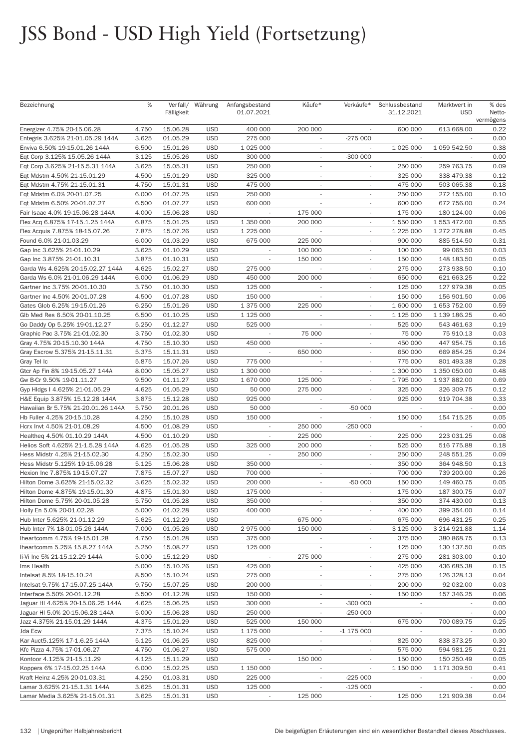| Bezeichnung                        | %     | Fälligkeit | Verfall/ Währung | Anfangsbestand<br>01.07.2021 | Käufe*                   | Verkäufe*                | Schlussbestand<br>31.12.2021 | Marktwert in<br><b>USD</b> | % des<br>Netto-<br>vermögens |
|------------------------------------|-------|------------|------------------|------------------------------|--------------------------|--------------------------|------------------------------|----------------------------|------------------------------|
| Energizer 4.75% 20-15.06.28        | 4.750 | 15.06.28   | <b>USD</b>       | 400 000                      | 200 000                  |                          | 600 000                      | 613 668.00                 | 0.22                         |
| Entegris 3.625% 21-01.05.29 144A   | 3.625 | 01.05.29   | <b>USD</b>       | 275 000                      |                          | $-275000$                |                              |                            | 0.00                         |
| Enviva 6.50% 19-15.01.26 144A      | 6.500 | 15.01.26   | <b>USD</b>       | 1 0 25 0 00                  | $\sim$                   | $\overline{\phantom{a}}$ | 1 025 000                    | 1 059 542.50               | 0.38                         |
| Eqt Corp 3.125% 15.05.26 144A      | 3.125 | 15.05.26   | <b>USD</b>       | 300 000                      | $\sim$                   | $-300000$                |                              |                            | 0.00                         |
| Eqt Corp 3.625% 21-15.5.31 144A    | 3.625 | 15.05.31   | <b>USD</b>       | 250 000                      | $\overline{\phantom{a}}$ |                          | 250 000                      | 259 763.75                 | 0.09                         |
| Eqt Mdstm 4.50% 21-15.01.29        | 4.500 | 15.01.29   | <b>USD</b>       | 325 000                      | $\sim$                   |                          | 325 000                      | 338 479.38                 | 0.12                         |
| Eqt Mdstm 4.75% 21-15.01.31        | 4.750 | 15.01.31   | <b>USD</b>       | 475 000                      | $\sim$                   | $\sim$                   | 475 000                      | 503 065.38                 | 0.18                         |
| Eqt Mdstm 6.0% 20-01.07.25         | 6.000 | 01.07.25   | <b>USD</b>       | 250 000                      | $\sim$                   | $\overline{\phantom{a}}$ | 250 000                      | 272 155.00                 | 0.10                         |
| Eqt Mdstm 6.50% 20-01.07.27        | 6.500 | 01.07.27   | <b>USD</b>       | 600 000                      | $\sim$                   | ٠                        | 600 000                      | 672 756.00                 | 0.24                         |
| Fair Isaac 4.0% 19-15.06.28 144A   | 4.000 | 15.06.28   | <b>USD</b>       |                              | 175 000                  |                          | 175 000                      | 180 124.00                 | 0.06                         |
| Flex Acq 6.875% 17-15.1.25 144A    | 6.875 | 15.01.25   | <b>USD</b>       | 1 350 000                    | 200 000                  | $\sim$                   | 1 550 000                    | 1 553 472.00               | 0.55                         |
| Flex Acquis 7.875% 18-15.07.26     | 7.875 | 15.07.26   | <b>USD</b>       | 1 225 000                    |                          | $\overline{\phantom{a}}$ | 1 225 000                    | 1 272 278.88               | 0.45                         |
| Found 6.0% 21-01.03.29             | 6.000 | 01.03.29   | <b>USD</b>       | 675 000                      | 225 000                  | ٠                        | 900 000                      | 885 514.50                 | 0.31                         |
| Gap Inc 3.625% 21-01.10.29         | 3.625 | 01.10.29   | <b>USD</b>       |                              | 100 000                  |                          | 100 000                      | 99 065.50                  | 0.03                         |
| Gap Inc 3.875% 21-01.10.31         | 3.875 | 01.10.31   | <b>USD</b>       | $\overline{\phantom{a}}$     | 150 000                  | $\overline{\phantom{a}}$ | 150 000                      | 148 183.50                 | 0.05                         |
| Garda Ws 4.625% 20-15.02.27 144A   | 4.625 | 15.02.27   | <b>USD</b>       | 275 000                      |                          | ٠                        | 275 000                      | 273 938.50                 | 0.10                         |
| Garda Ws 6.0% 21-01.06.29 144A     | 6.000 | 01.06.29   | <b>USD</b>       | 450 000                      | 200 000                  |                          | 650 000                      | 621 663.25                 | 0.22                         |
| Gartner Inc 3.75% 20-01.10.30      | 3.750 | 01.10.30   | <b>USD</b>       | 125 000                      |                          |                          | 125 000                      | 127 979.38                 | 0.05                         |
| Gartner Inc 4.50% 20-01.07.28      | 4.500 | 01.07.28   | <b>USD</b>       | 150 000                      | $\sim$                   | $\overline{\phantom{a}}$ | 150 000                      | 156 901.50                 | 0.06                         |
| Gates Glob 6.25% 19-15.01.26       | 6.250 | 15.01.26   | <b>USD</b>       | 1 375 000                    | 225 000                  | $\overline{\phantom{a}}$ | 1 600 000                    | 1 653 752.00               | 0.59                         |
| Glb Med Res 6.50% 20-01.10.25      | 6.500 | 01.10.25   | <b>USD</b>       | 1 125 000                    |                          |                          | 1 125 000                    | 1 139 186.25               | 0.40                         |
| Go Daddy Op 5.25% 19-01.12.27      | 5.250 | 01.12.27   | <b>USD</b>       | 525 000                      |                          |                          | 525 000                      | 543 461.63                 | 0.19                         |
| Graphic Pac 3.75% 21-01.02.30      | 3.750 | 01.02.30   | <b>USD</b>       |                              | 75 000                   | $\overline{\phantom{a}}$ | 75 000                       | 75 910.13                  | 0.03                         |
| Gray 4.75% 20-15.10.30 144A        | 4.750 | 15.10.30   | <b>USD</b>       | 450 000                      |                          | $\overline{\phantom{a}}$ | 450 000                      | 447 954.75                 | 0.16                         |
| Gray Escrow 5.375% 21-15.11.31     | 5.375 | 15.11.31   | <b>USD</b>       |                              | 650 000                  |                          | 650 000                      | 669 854.25                 | 0.24                         |
| Gray Tel Ic                        | 5.875 | 15.07.26   | <b>USD</b>       | 775 000                      | $\overline{\phantom{a}}$ | $\overline{\phantom{a}}$ | 775 000                      | 801 493.38                 | 0.28                         |
| Gtcr Ap Fin 8% 19-15.05.27 144A    | 8.000 | 15.05.27   | <b>USD</b>       | 1 300 000                    | $\overline{\phantom{a}}$ | $\overline{\phantom{a}}$ | 1 300 000                    | 1 350 050.00               | 0.48                         |
| Gw B-Cr 9.50% 19-01.11.27          | 9.500 | 01.11.27   | <b>USD</b>       | 1 670 000                    | 125 000                  | $\overline{\phantom{a}}$ | 1795000                      | 1937882.00                 | 0.69                         |
| Gyp Hldgs I 4.625% 21-01.05.29     | 4.625 | 01.05.29   | <b>USD</b>       | 50 000                       | 275 000                  |                          | 325 000                      | 326 309.75                 | 0.12                         |
| H&E Equip 3.875% 15.12.28 144A     | 3.875 | 15.12.28   | <b>USD</b>       | 925 000                      | $\overline{\phantom{a}}$ | $\mathcal{L}$            | 925 000                      | 919 704.38                 | 0.33                         |
| Hawaiian Br 5.75% 21-20.01.26 144A | 5.750 | 20.01.26   | <b>USD</b>       | 50 000                       | $\overline{\phantom{a}}$ | $-50000$                 | $\overline{\phantom{a}}$     |                            | 0.00                         |
| Hb Fuller 4.25% 20-15.10.28        | 4.250 | 15.10.28   | <b>USD</b>       | 150 000                      |                          | $\sim$                   | 150 000                      | 154 715.25                 | 0.05                         |
| Hcrx Invt 4.50% 21-01.08.29        | 4.500 | 01.08.29   | <b>USD</b>       |                              | 250 000                  | $-250000$                | $\sim$                       |                            | 0.00                         |
| Healtheg 4.50% 01.10.29 144A       | 4.500 | 01.10.29   | <b>USD</b>       | ÷                            | 225 000                  | $\overline{\phantom{a}}$ | 225 000                      | 223 031.25                 | 0.08                         |
| Helios Soft 4.625% 21-1.5.28 144A  | 4.625 | 01.05.28   | <b>USD</b>       | 325 000                      | 200 000                  | $\overline{\phantom{a}}$ | 525 000                      | 516 775.88                 | 0.18                         |
| Hess Midstr 4.25% 21-15.02.30      | 4.250 | 15.02.30   | <b>USD</b>       |                              | 250 000                  |                          | 250 000                      | 248 551.25                 | 0.09                         |
| Hess Midstr 5.125% 19-15.06.28     | 5.125 | 15.06.28   | <b>USD</b>       | 350 000                      | $\overline{\phantom{a}}$ |                          | 350 000                      | 364 948.50                 | 0.13                         |
| Hexion Inc 7.875% 19-15.07.27      | 7.875 | 15.07.27   | <b>USD</b>       | 700 000                      | $\overline{\phantom{a}}$ |                          | 700 000                      | 739 200.00                 | 0.26                         |
| Hilton Dome 3.625% 21-15.02.32     | 3.625 | 15.02.32   | <b>USD</b>       | 200 000                      | $\overline{\phantom{a}}$ | $-50000$                 | 150 000                      | 149 460.75                 | 0.05                         |
| Hilton Dome 4.875% 19-15.01.30     | 4.875 | 15.01.30   | <b>USD</b>       | 175 000                      | $\overline{\phantom{a}}$ |                          | 175 000                      | 187 300.75                 | 0.07                         |
| Hilton Dome 5.75% 20-01.05.28      | 5.750 | 01.05.28   | <b>USD</b>       | 350 000                      |                          |                          | 350 000                      | 374 430.00                 | 0.13                         |
| Holly En 5.0% 20-01.02.28          | 5.000 | 01.02.28   | <b>USD</b>       | 400 000                      |                          |                          | 400 000                      | 399 354.00                 | 0.14                         |
| Hub Inter 5.625% 21-01.12.29       | 5.625 | 01.12.29   | <b>USD</b>       | $\overline{\phantom{a}}$     | 675 000                  | ٠                        | 675 000                      | 696 431.25                 | 0.25                         |
| Hub Inter 7% 18-01.05.26 144A      | 7.000 | 01.05.26   | <b>USD</b>       | 2 975 000                    | 150 000                  |                          | 3 125 000                    | 3 214 921.88               | 1.14                         |
| lheartcomm 4.75% 19-15.01.28       | 4.750 | 15.01.28   | <b>USD</b>       | 375 000                      |                          |                          | 375 000                      | 380 868.75                 | 0.13                         |
| Iheartcomm 5.25% 15.8.27 144A      | 5.250 | 15.08.27   | <b>USD</b>       | 125 000                      | $\overline{\phantom{a}}$ | $\overline{\phantom{a}}$ | 125 000                      | 130 137.50                 | 0.05                         |
| li-Vi Inc 5% 21-15.12.29 144A      | 5.000 | 15.12.29   | <b>USD</b>       |                              | 275 000                  | ٠                        | 275 000                      | 281 303.00                 | 0.10                         |
| Ims Health                         | 5.000 | 15.10.26   | <b>USD</b>       | 425 000                      | $\overline{\phantom{a}}$ |                          | 425 000                      | 436 685.38                 | 0.15                         |
| Intelsat 8.5% 18-15.10.24          | 8.500 | 15.10.24   | <b>USD</b>       | 275 000                      | $\overline{\phantom{a}}$ |                          | 275 000                      | 126 328.13                 | 0.04                         |
| Intelsat 9.75% 17-15.07.25 144A    | 9.750 | 15.07.25   | <b>USD</b>       | 200 000                      | $\overline{\phantom{a}}$ | ÷.                       | 200 000                      | 92 032.00                  | 0.03                         |
| Interface 5.50% 20-01.12.28        | 5.500 | 01.12.28   | <b>USD</b>       | 150 000                      | $\overline{\phantom{a}}$ |                          | 150 000                      | 157 346.25                 | 0.06                         |
| Jaguar HI 4.625% 20-15.06.25 144A  | 4.625 | 15.06.25   | <b>USD</b>       | 300 000                      |                          | $-300000$                |                              |                            | 0.00                         |
| Jaguar HI 5.0% 20-15.06.28 144A    | 5.000 | 15.06.28   | <b>USD</b>       | 250 000                      |                          | $-250000$                |                              |                            | 0.00                         |
| Jazz 4.375% 21-15.01.29 144A       | 4.375 | 15.01.29   | <b>USD</b>       | 525 000                      | 150 000                  |                          | 675 000                      | 700 089.75                 | 0.25                         |
| Jda Ecw                            | 7.375 | 15.10.24   | <b>USD</b>       | 1 175 000                    | $\overline{\phantom{a}}$ | $-1175000$               |                              |                            | 0.00                         |
| Kar Auct5.125% 17-1.6.25 144A      | 5.125 | 01.06.25   | <b>USD</b>       | 825 000                      | $\overline{\phantom{a}}$ |                          | 825 000                      | 838 373.25                 | 0.30                         |
| Kfc Pizza 4.75% 17-01.06.27        | 4.750 | 01.06.27   | <b>USD</b>       | 575 000                      |                          |                          | 575 000                      | 594 981.25                 | 0.21                         |
| Kontoor 4.125% 21-15.11.29         | 4.125 | 15.11.29   | <b>USD</b>       | $\overline{\phantom{a}}$     | 150 000                  | $\overline{\phantom{a}}$ | 150 000                      | 150 250.49                 | 0.05                         |
| Koppers 6% 17-15.02.25 144A        | 6.000 | 15.02.25   | <b>USD</b>       | 1 150 000                    | $\overline{\phantom{a}}$ |                          | 1 150 000                    | 1 171 309.50               | 0.41                         |
| Kraft Heinz 4.25% 20-01.03.31      | 4.250 | 01.03.31   | <b>USD</b>       | 225 000                      |                          | $-225000$                |                              |                            | 0.00                         |
| Lamar 3.625% 21-15.1.31 144A       | 3.625 | 15.01.31   | <b>USD</b>       | 125 000                      |                          | $-125000$                |                              |                            | 0.00                         |
| Lamar Media 3.625% 21-15.01.31     | 3.625 | 15.01.31   | <b>USD</b>       | $\overline{\phantom{a}}$     | 125 000                  | $\sim$                   | 125 000                      | 121 909.38                 | 0.04                         |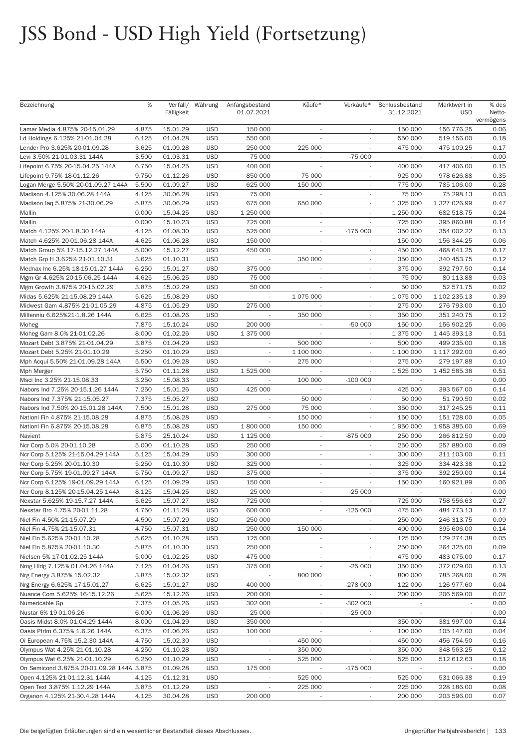| Bezeichnung                               | %     | Fälligkeit | Verfall/ Währung | Anfangsbestand<br>01.07.2021 | Käufe*                   | Verkäufe*                | Schlussbestand<br>31.12.2021 | Marktwert in<br><b>USD</b> | % des<br>Netto-   |
|-------------------------------------------|-------|------------|------------------|------------------------------|--------------------------|--------------------------|------------------------------|----------------------------|-------------------|
| Lamar Media 4.875% 20-15.01.29            | 4.875 | 15.01.29   | <b>USD</b>       | 150 000                      |                          |                          | 150 000                      | 156 776.25                 | vermögens<br>0.06 |
| Ld Holdings 6.125% 21-01.04.28            | 6.125 | 01.04.28   | <b>USD</b>       | 550 000                      |                          |                          | 550 000                      | 519 156.00                 | 0.18              |
| Lender Pro 3.625% 20-01.09.28             | 3.625 | 01.09.28   | <b>USD</b>       | 250 000                      | 225 000                  |                          | 475 000                      | 475 109.25                 | 0.17              |
| Levi 3.50% 21-01.03.31 144A               | 3.500 | 01.03.31   | <b>USD</b>       | 75 000                       |                          | $-75000$                 |                              |                            | 0.00              |
| Lifepoint 6.75% 20-15.04.25 144A          | 6.750 | 15.04.25   | <b>USD</b>       | 400 000                      |                          |                          | 400 000                      | 417 406.00                 | 0.15              |
| Lifepoint 9.75% 18-01.12.26               | 9.750 | 01.12.26   | <b>USD</b>       | 850 000                      | 75 000                   |                          | 925 000                      | 978 626.88                 | 0.35              |
| Logan Merge 5.50% 20-01.09.27 144A        | 5.500 | 01.09.27   | <b>USD</b>       | 625 000                      | 150 000                  | $\overline{\phantom{a}}$ | 775 000                      | 785 106.00                 | 0.28              |
| Madison 4.125% 30.06.28 144A              | 4.125 | 30.06.28   | <b>USD</b>       | 75 000                       |                          |                          | 75 000                       | 75 298.13                  | 0.03              |
| Madison lag 5.875% 21-30.06.29            | 5.875 | 30.06.29   | <b>USD</b>       | 675 000                      | 650 000                  |                          | 1 325 000                    | 1 327 026.99               | 0.47              |
| Mallin                                    | 0.000 | 15.04.25   | <b>USD</b>       | 1 250 000                    | $\overline{\phantom{a}}$ | $\sim$                   | 1 250 000                    | 682 518.75                 | 0.24              |
| Mallin                                    | 0.000 | 15.10.23   | <b>USD</b>       | 725 000                      | $\overline{\phantom{a}}$ |                          | 725 000                      | 395 860.88                 | 0.14              |
| Match 4.125% 20-1.8.30 144A               | 4.125 | 01.08.30   | <b>USD</b>       | 525 000                      | $\overline{\phantom{a}}$ | $-175000$                | 350 000                      | 354 002.22                 | 0.13              |
| Match 4.625% 20-01.06.28 144A             | 4.625 | 01.06.28   | <b>USD</b>       | 150 000                      |                          |                          | 150 000                      | 156 344.25                 | 0.06              |
| Match Group 5% 17-15.12.27 144A           | 5.000 | 15.12.27   | <b>USD</b>       | 450 000                      |                          | $\overline{\phantom{a}}$ | 450 000                      | 468 641.25                 | 0.17              |
| Match Grp H 3.625% 21-01.10.31            | 3.625 | 01.10.31   | <b>USD</b>       | ÷,                           | 350 000                  | $\overline{\phantom{a}}$ | 350 000                      | 340 453.75                 | 0.12              |
| Mednax Inc 6.25% 18-15.01.27 144A         | 6.250 | 15.01.27   | <b>USD</b>       | 375 000                      | $\overline{\phantom{a}}$ | $\overline{\phantom{a}}$ | 375 000                      | 392 797.50                 | 0.14              |
| Mgm Gr 4.625% 20-15.06.25 144A            | 4.625 | 15.06.25   | <b>USD</b>       | 75 000                       |                          |                          | 75 000                       | 80 113.88                  | 0.03              |
| Mgm Growth 3.875% 20-15.02.29             | 3.875 | 15.02.29   | <b>USD</b>       | 50 000                       |                          | $\overline{\phantom{a}}$ | 50 000                       | 52 571.75                  | 0.02              |
| Midas 5.625% 21-15.08.29 144A             | 5.625 | 15.08.29   | <b>USD</b>       |                              | 1 075 000                | $\overline{\phantom{a}}$ | 1 075 000                    | 1 102 235.13               | 0.39              |
| Midwest Gam 4.875% 21-01.05.29            | 4.875 | 01.05.29   | <b>USD</b>       | 275 000                      |                          | $\overline{\phantom{a}}$ | 275 000                      | 276 793.00                 | 0.10              |
| Millenniu 6.625%21-1.8.26 144A            | 6.625 | 01.08.26   | <b>USD</b>       |                              | 350 000                  |                          | 350 000                      | 351 240.75                 | 0.12              |
| Moheg                                     | 7.875 | 15.10.24   | <b>USD</b>       | 200 000                      | $\overline{\phantom{a}}$ | $-50000$                 | 150 000                      | 156 902.25                 | 0.06              |
| Moheg Gam 8.0% 21-01.02.26                | 8.000 | 01.02.26   | <b>USD</b>       | 1 375 000                    |                          | $\overline{\phantom{a}}$ | 1 375 000                    | 1 445 393.13               | 0.51              |
| Mozart Debt 3.875% 21-01.04.29            | 3.875 | 01.04.29   | <b>USD</b>       |                              | 500 000                  |                          | 500 000                      | 499 235.00                 | 0.18              |
| Mozart Debt 5.25% 21-01.10.29             | 5.250 | 01.10.29   | <b>USD</b>       |                              | 1 100 000                |                          | 1 100 000                    | 1 117 292.00               | 0.40              |
| Mph Acqui 5.50% 21-01.09.28 144A          | 5.500 | 01.09.28   | <b>USD</b>       | $\mathcal{L}_{\mathcal{A}}$  | 275 000                  | ÷.                       | 275 000                      | 279 197.88                 | 0.10              |
| Mph Merger                                | 5.750 | 01.11.28   | <b>USD</b>       | 1 525 000                    |                          |                          | 1 525 000                    | 1 452 585.38               | 0.51              |
| Msci Inc 3.25% 21-15.08.33                | 3.250 | 15.08.33   | <b>USD</b>       |                              | 100 000                  | $-100000$                |                              |                            | 0.00              |
| Nabors Ind 7.25% 20-15.1.26 144A          | 7.250 | 15.01.26   | <b>USD</b>       | 425 000                      |                          |                          | 425 000                      | 393 567.00                 | 0.14              |
| Nabors Ind 7.375% 21-15.05.27             | 7.375 | 15.05.27   | <b>USD</b>       |                              | 50 000                   | $\overline{\phantom{a}}$ | 50 000                       | 51 790.50                  | 0.02              |
| Nabors Ind 7.50% 20-15.01.28 144A         | 7.500 | 15.01.28   | <b>USD</b>       | 275 000                      | 75 000                   | $\overline{\phantom{a}}$ | 350 000                      | 317 245.25                 | 0.11              |
| Nationl Fin 4.875% 21-15.08.28            | 4.875 | 15.08.28   | <b>USD</b>       |                              | 150 000                  |                          | 150 000                      | 151 728.00                 | 0.05              |
| Nationl Fin 6.875% 20-15.08.28            | 6.875 | 15.08.28   | <b>USD</b>       | 1 800 000                    | 150 000                  |                          | 1 950 000                    | 1958 385.00                | 0.69              |
| Navient                                   | 5.875 | 25.10.24   | <b>USD</b>       | 1 125 000                    | $\overline{\phantom{a}}$ | $-875000$                | 250 000                      | 266 812.50                 | 0.09              |
| Ncr Corp 5.0% 20-01.10.28                 | 5.000 | 01.10.28   | <b>USD</b>       | 250 000                      | $\overline{\phantom{a}}$ |                          | 250 000                      | 257 880.00                 | 0.09              |
| Ncr Corp 5.125% 21-15.04.29 144A          | 5.125 | 15.04.29   | <b>USD</b>       | 300 000                      | $\overline{\phantom{a}}$ |                          | 300 000                      | 311 103.00                 | 0.11              |
| Ncr Corp 5.25% 20-01.10.30                | 5.250 | 01.10.30   | <b>USD</b>       | 325 000                      |                          |                          | 325 000                      | 334 423.38                 | 0.12              |
| Ncr Corp 5.75% 19-01.09.27 144A           | 5.750 | 01.09.27   | <b>USD</b>       | 375 000                      | $\overline{\phantom{a}}$ | ÷                        | 375 000                      | 392 250.00                 | 0.14              |
| Ncr Corp 6.125% 19-01.09.29 144A          | 6.125 | 01.09.29   | <b>USD</b>       | 150 000                      | $\overline{\phantom{a}}$ |                          | 150 000                      | 160 921.89                 | 0.06              |
| Ncr Corp 8.125% 20-15.04.25 144A          | 8.125 | 15.04.25   | <b>USD</b>       | 25 000                       | $\sim$                   | $-25000$                 | $\overline{\phantom{a}}$     |                            | 0.00              |
| Nexstar 5.625% 19-15.7.27 144A            | 5.625 | 15.07.27   | <b>USD</b>       | 725 000                      |                          |                          | 725 000                      | 758 556.63                 | 0.27              |
| Nexstar Bro 4.75% 20-01.11.28             | 4.750 | 01.11.28   | <b>USD</b>       | 600 000                      | $\overline{\phantom{a}}$ | $-125000$                | 475 000                      | 484 773.13                 | 0.17              |
| Niel Fin 4.50% 21-15.07.29                | 4.500 | 15.07.29   | <b>USD</b>       | 250 000                      | $\overline{\phantom{a}}$ |                          | 250 000                      | 246 313.75                 | 0.09              |
| Niel Fin 4.75% 21-15.07.31                | 4.750 | 15.07.31   | <b>USD</b>       | 250 000                      | 150 000                  | $\overline{\phantom{a}}$ | 400 000                      | 395 606.00                 | 0.14              |
| Niel Fin 5.625% 20-01.10.28               | 5.625 | 01.10.28   | <b>USD</b>       | 125 000                      |                          |                          | 125 000                      | 129 274.38                 | 0.05              |
| Niel Fin 5.875% 20-01.10.30               | 5.875 | 01.10.30   | <b>USD</b>       | 250 000                      | $\overline{\phantom{a}}$ | $\overline{\phantom{a}}$ | 250 000                      | 264 325.00                 | 0.09              |
| Nielsen 5% 17-01.02.25 144A               | 5.000 | 01.02.25   | <b>USD</b>       | 475 000                      | $\overline{\phantom{a}}$ |                          | 475 000                      | 483 075.00                 | 0.17              |
| Nmg Hldg 7.125% 01.04.26 144A             | 7.125 | 01.04.26   | <b>USD</b>       | 375 000                      | $\overline{\phantom{a}}$ | $-25000$                 | 350 000                      | 372 029.00                 | 0.13              |
| Nrg Energy 3.875% 15.02.32                | 3.875 | 15.02.32   | <b>USD</b>       |                              | 800 000                  |                          | 800 000                      | 785 268.00                 | 0.28              |
| Nrg Energy 6.625% 17-15.01.27             | 6.625 | 15.01.27   | <b>USD</b>       | 400 000                      | $\overline{\phantom{a}}$ | $-278000$                | 122 000                      | 126 977.60                 | 0.04              |
| Nuance Com 5.625% 16-15.12.26             | 5.625 | 15.12.26   | <b>USD</b>       | 200 000                      | $\overline{\phantom{a}}$ |                          | 200 000                      | 206 569.00                 | 0.07              |
| Numericable Gp                            | 7.375 | 01.05.26   | <b>USD</b>       | 302 000                      | $\overline{\phantom{a}}$ | $-302000$                | $\sim$                       |                            | 0.00              |
| Nustar 6% 19-01.06.26                     | 6.000 | 01.06.26   | <b>USD</b>       | 25 000                       |                          | $-25000$                 |                              |                            | 0.00              |
| Oasis Midst 8.0% 01.04.29 144A            | 8.000 | 01.04.29   | <b>USD</b>       | 350 000                      | $\overline{\phantom{a}}$ | $\overline{\phantom{a}}$ | 350 000                      | 381 997.00                 | 0.14              |
| Oasis Ptrlm 6.375% 1.6.26 144A            | 6.375 | 01.06.26   | <b>USD</b>       | 100 000                      | $\overline{\phantom{a}}$ | $\overline{\phantom{a}}$ | 100 000                      | 105 147.00                 | 0.04              |
| Oi European 4.75% 15.2.30 144A            | 4.750 | 15.02.30   | <b>USD</b>       |                              | 450 000                  |                          | 450 000                      | 456 754.50                 | 0.16              |
| Olympus Wat 4.25% 21-01.10.28             | 4.250 | 01.10.28   | <b>USD</b>       |                              | 350 000                  |                          | 350 000                      | 348 563.25                 | 0.12              |
| Olympus Wat 6.25% 21-01.10.29             | 6.250 | 01.10.29   | <b>USD</b>       | $\overline{\phantom{a}}$     | 525 000                  |                          | 525 000                      | 512 612.63                 | 0.18              |
| On Semicond 3.875% 20-01.09.28 144A 3.875 |       | 01.09.28   | <b>USD</b>       | 175 000                      |                          | $-175000$                | $\overline{\phantom{a}}$     |                            | 0.00              |
| Open 4.125% 21-01.12.31 144A              | 4.125 | 01.12.31   | <b>USD</b>       |                              | 525 000                  | $\overline{\phantom{a}}$ | 525 000                      | 531 066.38                 | 0.19              |
| Open Text 3.875% 1.12.29 144A             | 3.875 | 01.12.29   | <b>USD</b>       |                              | 225 000                  |                          | 225 000                      | 228 186.00                 | 0.08              |
| Organon 4.125% 21-30.4.28 144A            | 4.125 | 30.04.28   | <b>USD</b>       | 200 000                      | $\overline{\phantom{a}}$ | $\overline{\phantom{0}}$ | 200 000                      | 203 596.00                 | 0.07              |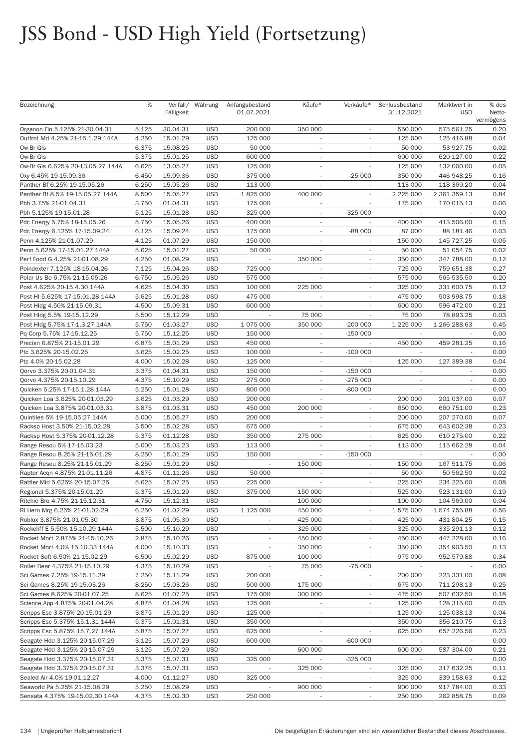| Bezeichnung                       | %     | Fälligkeit | Verfall/ Währung | Anfangsbestand<br>01.07.2021 | Käufe*                   | Verkäufe*                | Schlussbestand<br>31.12.2021 | Marktwert in<br><b>USD</b> | % des<br>Netto-<br>vermögens |
|-----------------------------------|-------|------------|------------------|------------------------------|--------------------------|--------------------------|------------------------------|----------------------------|------------------------------|
| Organon Fin 5.125% 21-30.04.31    | 5.125 | 30.04.31   | <b>USD</b>       | 200 000                      | 350 000                  |                          | 550 000                      | 575 561.25                 | 0.20                         |
| Outfrnt Md 4.25% 21-15.1.29 144A  | 4.250 | 15.01.29   | <b>USD</b>       | 125 000                      |                          |                          | 125 000                      | 125 416.88                 | 0.04                         |
| Ow-Br Gls                         | 6.375 | 15.08.25   | <b>USD</b>       | 50 000                       | $\sim$                   | $\sim$                   | 50 000                       | 53 927.75                  | 0.02                         |
| Ow-Br Gls                         | 5.375 | 15.01.25   | <b>USD</b>       | 600 000                      | $\overline{\phantom{a}}$ | $\overline{\phantom{a}}$ | 600 000                      | 620 127.00                 | 0.22                         |
| Ow-Br Gls 6.625% 20-13.05.27 144A | 6.625 | 13.05.27   | <b>USD</b>       | 125 000                      | $\sim$                   |                          | 125 000                      | 132 000.00                 | 0.05                         |
| 0xy 6.45% 19-15.09.36             | 6.450 | 15.09.36   | <b>USD</b>       | 375 000                      |                          | $-25000$                 | 350 000                      | 446 948.25                 | 0.16                         |
| Panther Bf 6.25% 19-15.05.26      | 6.250 | 15.05.26   | <b>USD</b>       | 113 000                      | $\overline{\phantom{a}}$ | $\overline{\phantom{a}}$ | 113 000                      | 118 369.20                 | 0.04                         |
| Panther Bf 8.5% 19-15.05.27 144A  | 8.500 | 15.05.27   | <b>USD</b>       | 1825000                      | 400 000                  |                          | 2 2 2 5 0 0 0                | 2 361 359.13               | 0.84                         |
| Pbh 3.75% 21-01.04.31             | 3.750 | 01.04.31   | <b>USD</b>       | 175 000                      | $\overline{\phantom{a}}$ |                          | 175 000                      | 170 015.13                 | 0.06                         |
| Pbh 5.125% 19-15.01.28            | 5.125 | 15.01.28   | <b>USD</b>       | 325 000                      | $\sim$                   | $-325000$                |                              |                            | 0.00                         |
| Pdc Energy 5.75% 18-15.05.26      | 5.750 | 15.05.26   | <b>USD</b>       | 400 000                      | $\sim$                   | $\overline{\phantom{a}}$ | 400 000                      | 413 506.00                 | 0.15                         |
| Pdc Energy 6.125% 17-15.09.24     | 6.125 | 15.09.24   | <b>USD</b>       | 175 000                      | $\sim$                   | -88 000                  | 87 000                       | 88 181.46                  | 0.03                         |
| Penn 4.125% 21-01.07.29           | 4.125 | 01.07.29   | <b>USD</b>       | 150 000                      | $\sim$                   |                          | 150 000                      | 145 727.25                 | 0.05                         |
| Penn 5.625% 17-15.01.27 144A      | 5.625 | 15.01.27   | <b>USD</b>       | 50 000                       |                          |                          | 50 000                       | 51 054.75                  | 0.02                         |
| Perf Food G 4.25% 21-01.08.29     | 4.250 | 01.08.29   | <b>USD</b>       | $\overline{\phantom{a}}$     | 350 000                  | $\sim$                   | 350 000                      | 347 788.00                 | 0.12                         |
|                                   |       |            | <b>USD</b>       |                              |                          | ٠                        |                              |                            | 0.27                         |
| Poindexter 7.125% 18-15.04.26     | 7.125 | 15.04.26   |                  | 725 000                      |                          |                          | 725 000                      | 759 651.38                 |                              |
| Polar Us Bo 6.75% 21-15.05.26     | 6.750 | 15.05.26   | <b>USD</b>       | 575 000                      |                          |                          | 575 000                      | 565 535.50                 | 0.20                         |
| Post 4.625% 20-15.4.30 144A       | 4.625 | 15.04.30   | <b>USD</b>       | 100 000                      | 225 000                  |                          | 325 000                      | 331 600.75                 | 0.12                         |
| Post HI 5.625% 17-15.01.28 144A   | 5.625 | 15.01.28   | <b>USD</b>       | 475 000                      | $\overline{\phantom{a}}$ | $\overline{\phantom{a}}$ | 475 000                      | 503 998.75                 | 0.18                         |
| Post Hldg 4.50% 21-15.09.31       | 4.500 | 15.09.31   | <b>USD</b>       | 600 000                      |                          | $\overline{\phantom{a}}$ | 600 000                      | 596 472.00                 | 0.21                         |
| Post Hldg 5.5% 19-15.12.29        | 5.500 | 15.12.29   | <b>USD</b>       |                              | 75 000                   |                          | 75 000                       | 78 893.25                  | 0.03                         |
| Post Hldg 5.75% 17-1.3.27 144A    | 5.750 | 01.03.27   | <b>USD</b>       | 1 075 000                    | 350 000                  | $-200000$                | 1 225 000                    | 1 266 288.63               | 0.45                         |
| Pq Corp 5.75% 17-15.12.25         | 5.750 | 15.12.25   | <b>USD</b>       | 150 000                      | $\overline{\phantom{a}}$ | $-150000$                | $\overline{\phantom{a}}$     |                            | 0.00                         |
| Precisn 6.875% 21-15.01.29        | 6.875 | 15.01.29   | <b>USD</b>       | 450 000                      | $\overline{\phantom{a}}$ |                          | 450 000                      | 459 281.25                 | 0.16                         |
| Ptc 3.625% 20-15.02.25            | 3.625 | 15.02.25   | <b>USD</b>       | 100 000                      |                          | $-100000$                | $\sim$                       |                            | 0.00                         |
| Ptc 4.0% 20-15.02.28              | 4.000 | 15.02.28   | <b>USD</b>       | 125 000                      | $\overline{\phantom{a}}$ |                          | 125 000                      | 127 389.38                 | 0.04                         |
| Qorvo 3.375% 20-01.04.31          | 3.375 | 01.04.31   | <b>USD</b>       | 150 000                      | $\sim$                   | $-150000$                | $\sim$                       |                            | 0.00                         |
| Qorvo 4.375% 20-15.10.29          | 4.375 | 15.10.29   | <b>USD</b>       | 275 000                      |                          | $-275000$                | $\overline{\phantom{a}}$     | $\overline{\phantom{a}}$   | 0.00                         |
| Quicken 5.25% 17-15.1.28 144A     | 5.250 | 15.01.28   | <b>USD</b>       | 800 000                      |                          | -800 000                 |                              |                            | 0.00                         |
| Quicken Loa 3.625% 20-01.03.29    | 3.625 | 01.03.29   | <b>USD</b>       | 200 000                      | $\sim$                   | $\sim$                   | 200 000                      | 201 037.00                 | 0.07                         |
| Quicken Loa 3.875% 20-01.03.31    | 3.875 | 01.03.31   | <b>USD</b>       | 450 000                      | 200 000                  | $\sim$                   | 650 000                      | 660 751.00                 | 0.23                         |
| Quintiles 5% 19-15.05.27 144A     | 5.000 | 15.05.27   | <b>USD</b>       | 200 000                      |                          | $\sim$                   | 200 000                      | 207 270.00                 | 0.07                         |
| Racksp Host 3.50% 21-15.02.28     | 3.500 | 15.02.28   | <b>USD</b>       | 675 000                      |                          |                          | 675 000                      | 643 602.38                 | 0.23                         |
| Racksp Host 5.375% 20-01.12.28    | 5.375 | 01.12.28   | <b>USD</b>       | 350 000                      | 275 000                  | ÷.                       | 625 000                      | 610 275.00                 | 0.22                         |
| Range Resou 5% 17-15.03.23        | 5.000 | 15.03.23   | <b>USD</b>       | 113 000                      | $\overline{\phantom{a}}$ |                          | 113 000                      | 115 662.28                 | 0.04                         |
| Range Resou 8.25% 21-15.01.29     | 8.250 | 15.01.29   | <b>USD</b>       | 150 000                      | $\overline{\phantom{a}}$ | $-150000$                |                              |                            | 0.00                         |
| Range Resou 8.25% 21-15.01.29     | 8.250 | 15.01.29   | <b>USD</b>       |                              | 150 000                  |                          | 150 000                      | 167 511.75                 | 0.06                         |
| Raptor Acqn 4.875% 21-01.11.26    | 4.875 | 01.11.26   | <b>USD</b>       | 50 000                       |                          | $\overline{\phantom{a}}$ | 50 000                       | 50 562.50                  | 0.02                         |
| Rattler Mid 5.625% 20-15.07.25    | 5.625 | 15.07.25   | <b>USD</b>       | 225 000                      |                          | $\overline{\phantom{a}}$ | 225 000                      | 234 225.00                 | 0.08                         |
| Regional 5.375% 20-15.01.29       | 5.375 | 15.01.29   | <b>USD</b>       | 375 000                      | 150 000                  |                          | 525 000                      | 523 131.00                 | 0.19                         |
| Ritchie Bro 4.75% 21-15.12.31     | 4.750 | 15.12.31   | <b>USD</b>       |                              | 100 000                  |                          | 100 000                      | 104 569.00                 | 0.04                         |
| RI Hero Mrg 6.25% 21-01.02.29     | 6.250 | 01.02.29   | <b>USD</b>       | 1 125 000                    | 450 000                  | $\overline{\phantom{a}}$ | 1 575 000                    | 1 574 755.88               | 0.56                         |
| Roblox 3.875% 21-01.05.30         | 3.875 | 01.05.30   | <b>USD</b>       | $\overline{\phantom{a}}$     | 425 000                  | ٠                        | 425 000                      | 431 804.25                 | 0.15                         |
| Rockcliff E 5.50% 15.10.29 144A   | 5.500 | 15.10.29   | <b>USD</b>       |                              | 325 000                  |                          | 325 000                      | 335 291.13                 | 0.12                         |
| Rocket Mort 2.875% 21-15.10.26    | 2.875 | 15.10.26   | <b>USD</b>       |                              | 450 000                  |                          | 450 000                      | 447 228.00                 | 0.16                         |
| Rocket Mort 4.0% 15.10.33 144A    | 4.000 | 15.10.33   | <b>USD</b>       |                              | 350 000                  |                          | 350 000                      | 354 903.50                 | 0.13                         |
| Rocket Soft 6.50% 21-15.02.29     | 6.500 | 15.02.29   | <b>USD</b>       | 875 000                      | 100 000                  |                          | 975 000                      | 952 579.88                 | 0.34                         |
| Roller Bear 4.375% 21-15.10.29    | 4.375 | 15.10.29   | <b>USD</b>       |                              | 75 000                   | $-75000$                 |                              |                            | 0.00                         |
| Sci Games 7.25% 19-15.11.29       | 7.250 | 15.11.29   | <b>USD</b>       | 200 000                      |                          |                          | 200 000                      | 223 331.00                 | 0.08                         |
| Sci Games 8.25% 19-15.03.26       | 8.250 | 15.03.26   | <b>USD</b>       | 500 000                      | 175 000                  | $\overline{\phantom{a}}$ | 675 000                      | 711 298.13                 | 0.25                         |
| Sci Games 8.625% 20-01.07.25      | 8.625 | 01.07.25   | <b>USD</b>       | 175 000                      | 300 000                  | $\overline{\phantom{a}}$ | 475 000                      | 507 632.50                 | 0.18                         |
| Science App 4.875% 20-01.04.28    | 4.875 | 01.04.28   | <b>USD</b>       | 125 000                      | $\overline{\phantom{a}}$ |                          | 125 000                      |                            | 0.05                         |
|                                   |       |            |                  |                              |                          |                          |                              | 128 315.00                 |                              |
| Scripps Esc 3.875% 20-15.01.29    | 3.875 | 15.01.29   | <b>USD</b>       | 125 000                      |                          |                          | 125 000                      | 125 038.13                 | 0.04                         |
| Scripps Esc 5.375% 15.1.31 144A   | 5.375 | 15.01.31   | <b>USD</b>       | 350 000                      | $\overline{\phantom{a}}$ |                          | 350 000                      | 356 210.75                 | 0.13                         |
| Scripps Esc 5.875% 15.7.27 144A   | 5.875 | 15.07.27   | <b>USD</b>       | 625 000                      | $\overline{\phantom{a}}$ |                          | 625 000                      | 657 226.56                 | 0.23                         |
| Seagate Hdd 3.125% 20-15.07.29    | 3.125 | 15.07.29   | <b>USD</b>       | 600 000                      | $\overline{\phantom{a}}$ | -600 000                 |                              |                            | 0.00                         |
| Seagate Hdd 3.125% 20-15.07.29    | 3.125 | 15.07.29   | <b>USD</b>       |                              | 600 000                  |                          | 600 000                      | 587 304.00                 | 0.21                         |
| Seagate Hdd 3.375% 20-15.07.31    | 3.375 | 15.07.31   | <b>USD</b>       | 325 000                      | $\overline{\phantom{a}}$ | $-325000$                | $\overline{\phantom{a}}$     | $\overline{\phantom{a}}$   | 0.00                         |
| Seagate Hdd 3.375% 20-15.07.31    | 3.375 | 15.07.31   | <b>USD</b>       |                              | 325 000                  | $\overline{\phantom{a}}$ | 325 000                      | 317 632.25                 | 0.11                         |
| Sealed Air 4.0% 19-01.12.27       | 4.000 | 01.12.27   | <b>USD</b>       | 325 000                      | $\overline{\phantom{a}}$ |                          | 325 000                      | 339 158.63                 | 0.12                         |
| Seaworld Pa 5.25% 21-15.08.29     | 5.250 | 15.08.29   | <b>USD</b>       |                              | 900 000                  |                          | 900 000                      | 917 784.00                 | 0.33                         |
| Sensata 4.375% 19-15.02.30 144A   | 4.375 | 15.02.30   | <b>USD</b>       | 250 000                      | $\overline{\phantom{a}}$ | $\overline{\phantom{a}}$ | 250 000                      | 262 858.75                 | 0.09                         |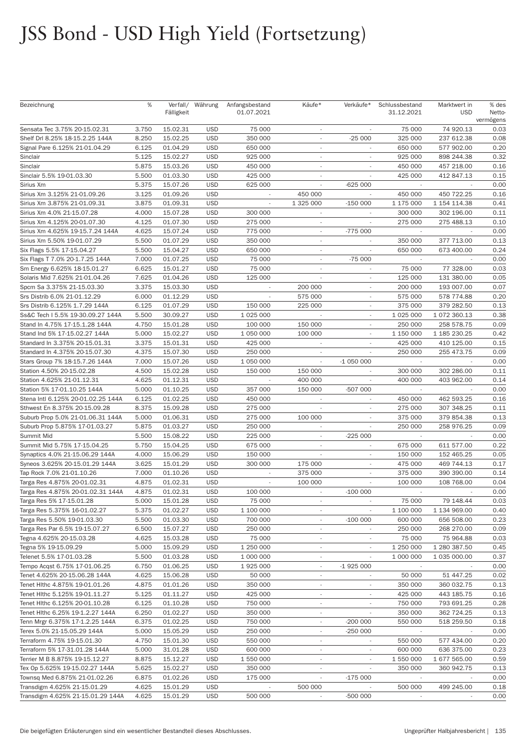| Bezeichnung                        | %     | Fälligkeit | Verfall/ Währung | Anfangsbestand<br>01.07.2021 | Käufe*                   | Verkäufe*                | Schlussbestand<br>31.12.2021 | Marktwert in<br><b>USD</b> | % des<br>Netto-<br>vermögens |
|------------------------------------|-------|------------|------------------|------------------------------|--------------------------|--------------------------|------------------------------|----------------------------|------------------------------|
| Sensata Tec 3.75% 20-15.02.31      | 3.750 | 15.02.31   | <b>USD</b>       | 75 000                       |                          |                          | 75 000                       | 74 920.13                  | 0.03                         |
| Shelf Drl 8.25% 18-15.2.25 144A    | 8.250 | 15.02.25   | <b>USD</b>       | 350 000                      | ×.                       | $-25000$                 | 325 000                      | 237 612.38                 | 0.08                         |
| Signal Pare 6.125% 21-01.04.29     | 6.125 | 01.04.29   | <b>USD</b>       | 650 000                      | $\overline{\phantom{a}}$ | $\overline{\phantom{a}}$ | 650 000                      | 577 902.00                 | 0.20                         |
| Sinclair                           | 5.125 | 15.02.27   | <b>USD</b>       | 925 000                      |                          |                          | 925 000                      | 898 244.38                 | 0.32                         |
| Sinclair                           | 5.875 | 15.03.26   | <b>USD</b>       | 450 000                      |                          |                          | 450 000                      | 457 218.00                 | 0.16                         |
| Sinclair 5.5% 19-01.03.30          | 5.500 | 01.03.30   | <b>USD</b>       | 425 000                      | $\overline{\phantom{a}}$ |                          | 425 000                      | 412 847.13                 | 0.15                         |
| Sirius Xm                          | 5.375 | 15.07.26   | <b>USD</b>       | 625 000                      | $\overline{\phantom{a}}$ | $-625000$                | $\overline{\phantom{a}}$     |                            | 0.00                         |
| Sirius Xm 3.125% 21-01.09.26       | 3.125 | 01.09.26   | <b>USD</b>       |                              | 450 000                  | $\sim$                   | 450 000                      | 450 722.25                 | 0.16                         |
| Sirius Xm 3.875% 21-01.09.31       | 3.875 | 01.09.31   | <b>USD</b>       |                              | 1 325 000                | $-150000$                | 1 175 000                    | 1 154 114.38               | 0.41                         |
| Sirius Xm 4.0% 21-15.07.28         | 4.000 | 15.07.28   | <b>USD</b>       | 300 000                      | $\overline{\phantom{a}}$ | $\overline{\phantom{a}}$ | 300 000                      | 302 196.00                 | 0.11                         |
| Sirius Xm 4.125% 20-01.07.30       | 4.125 | 01.07.30   | <b>USD</b>       | 275 000                      | $\overline{\phantom{a}}$ | $\overline{\phantom{a}}$ | 275 000                      | 275 488.13                 | 0.10                         |
| Sirius Xm 4.625% 19-15.7.24 144A   | 4.625 | 15.07.24   | <b>USD</b>       | 775 000                      |                          | $-775000$                |                              |                            | 0.00                         |
| Sirius Xm 5.50% 19-01.07.29        | 5.500 | 01.07.29   | <b>USD</b>       | 350 000                      | $\overline{\phantom{a}}$ |                          | 350 000                      | 377 713.00                 | 0.13                         |
| Six Flags 5.5% 17-15.04.27         | 5.500 | 15.04.27   | <b>USD</b>       | 650 000                      | $\overline{\phantom{a}}$ | ÷                        | 650 000                      | 673 400.00                 | 0.24                         |
| Six Flags T 7.0% 20-1.7.25 144A    | 7.000 | 01.07.25   | <b>USD</b>       | 75 000                       | $\overline{\phantom{a}}$ | $-75000$                 |                              |                            | 0.00                         |
| Sm Energy 6.625% 18-15.01.27       | 6.625 | 15.01.27   | <b>USD</b>       | 75 000                       |                          | ٠                        | 75 000                       | 77 328.00                  | 0.03                         |
| Solaris Mid 7.625% 21-01.04.26     | 7.625 | 01.04.26   | <b>USD</b>       | 125 000                      |                          |                          | 125 000                      | 131 380.00                 | 0.05                         |
| Spcm Sa 3.375% 21-15.03.30         | 3.375 | 15.03.30   | <b>USD</b>       | $\sim$                       | 200 000                  | $\overline{\phantom{a}}$ | 200 000                      | 193 007.00                 | 0.07                         |
| Srs Distrib 6.0% 21-01.12.29       | 6.000 | 01.12.29   | <b>USD</b>       | $\overline{\phantom{a}}$     | 575 000                  | $\overline{\phantom{a}}$ | 575 000                      | 578 774.88                 | 0.20                         |
| Srs Distrib 6.125% 1.7.29 144A     | 6.125 | 01.07.29   | <b>USD</b>       | 150 000                      | 225 000                  |                          | 375 000                      | 379 282.50                 | 0.13                         |
| Ss&C Tech I 5.5% 19-30.09.27 144A  | 5.500 | 30.09.27   | <b>USD</b>       | 1 025 000                    |                          |                          | 1 0 25 0 00                  | 1 072 360.13               | 0.38                         |
| Stand In 4.75% 17-15.1.28 144A     | 4.750 | 15.01.28   | <b>USD</b>       | 100 000                      | 150 000                  | $\sim$                   | 250 000                      | 258 578.75                 | 0.09                         |
| Stand Ind 5% 17-15.02.27 144A      | 5.000 | 15.02.27   | <b>USD</b>       | 1 050 000                    | 100 000                  | $\overline{\phantom{a}}$ | 1 150 000                    | 1 185 230.25               | 0.42                         |
| Standard In 3.375% 20-15.01.31     | 3.375 | 15.01.31   | <b>USD</b>       | 425 000                      | $\sim$                   | ٠                        | 425 000                      | 410 125.00                 | 0.15                         |
| Standard In 4.375% 20-15.07.30     | 4.375 | 15.07.30   | <b>USD</b>       | 250 000                      |                          |                          | 250 000                      | 255 473.75                 | 0.09                         |
| Stars Group 7% 18-15.7.26 144A     | 7.000 | 15.07.26   | <b>USD</b>       | 1 050 000                    | $\overline{\phantom{a}}$ | $-1050000$               | $\sim$                       | $\sim$                     | 0.00                         |
| Station 4.50% 20-15.02.28          | 4.500 | 15.02.28   | <b>USD</b>       | 150 000                      | 150 000                  |                          | 300 000                      | 302 286.00                 | 0.11                         |
| Station 4.625% 21-01.12.31         | 4.625 | 01.12.31   | <b>USD</b>       | $\overline{\phantom{a}}$     | 400 000                  | $\overline{\phantom{a}}$ | 400 000                      | 403 962.00                 | 0.14                         |
| Station 5% 17-01.10.25 144A        | 5.000 | 01.10.25   | <b>USD</b>       | 357 000                      | 150 000                  | -507 000                 |                              |                            | 0.00                         |
| Stena Intl 6.125% 20-01.02.25 144A | 6.125 | 01.02.25   | <b>USD</b>       | 450 000                      | $\overline{\phantom{a}}$ | $\overline{\phantom{a}}$ | 450 000                      | 462 593.25                 | 0.16                         |
| Sthwest En 8.375% 20-15.09.28      | 8.375 | 15.09.28   | <b>USD</b>       | 275 000                      |                          | $\overline{\phantom{a}}$ | 275 000                      | 307 348.25                 | 0.11                         |
| Suburb Prop 5.0% 21-01.06.31 144A  | 5.000 | 01.06.31   | <b>USD</b>       | 275 000                      | 100 000                  | $\overline{\phantom{a}}$ | 375 000                      | 379 854.38                 | 0.13                         |
| Suburb Prop 5.875% 17-01.03.27     | 5.875 | 01.03.27   | <b>USD</b>       | 250 000                      |                          |                          | 250 000                      | 258 976.25                 | 0.09                         |
| Summit Mid                         | 5.500 | 15.08.22   | <b>USD</b>       | 225 000                      | $\sim$                   | $-225000$                | $\sim$                       | $\sim$                     | 0.00                         |
| Summit Mid 5.75% 17-15.04.25       | 5.750 | 15.04.25   | <b>USD</b>       | 675 000                      | $\overline{\phantom{a}}$ | $\overline{\phantom{a}}$ | 675 000                      | 611 577.00                 | 0.22                         |
| Synaptics 4.0% 21-15.06.29 144A    | 4.000 | 15.06.29   | <b>USD</b>       | 150 000                      | $\overline{\phantom{a}}$ | ٠                        | 150 000                      | 152 465.25                 | 0.05                         |
| Syneos 3.625% 20-15.01.29 144A     | 3.625 | 15.01.29   | <b>USD</b>       | 300 000                      | 175 000                  |                          | 475 000                      | 469 744.13                 | 0.17                         |
| Tap Rock 7.0% 21-01.10.26          | 7.000 | 01.10.26   | <b>USD</b>       | $\overline{\phantom{a}}$     | 375 000                  | ×.                       | 375 000                      | 390 390.00                 | 0.14                         |
| Targa Res 4.875% 20-01.02.31       | 4.875 | 01.02.31   | <b>USD</b>       |                              | 100 000                  |                          | 100 000                      | 108 768.00                 | 0.04                         |
| Targa Res 4.875% 20-01.02.31 144A  | 4.875 | 01.02.31   | <b>USD</b>       | 100 000                      | $\sim$                   | $-100000$                | $\sim$                       | $\sim$                     | 0.00                         |
| Targa Res 5% 17-15.01.28           | 5.000 | 15.01.28   | <b>USD</b>       | 75 000                       | $\overline{\phantom{a}}$ |                          | 75 000                       | 79 148.44                  | 0.03                         |
| Targa Res 5.375% 16-01.02.27       | 5.375 | 01.02.27   | <b>USD</b>       | 1 100 000                    | $\sim$                   |                          | 1 100 000                    | 1 134 969.00               | 0.40                         |
| Targa Res 5.50% 19-01.03.30        | 5.500 | 01.03.30   | <b>USD</b>       | 700 000                      | $\overline{\phantom{a}}$ | $-100000$                | 600 000                      | 656 508.00                 | 0.23                         |
| Targa Res Par 6.5% 19-15.07.27     | 6.500 | 15.07.27   | <b>USD</b>       | 250 000                      | $\overline{\phantom{a}}$ | $\overline{\phantom{a}}$ | 250 000                      | 268 270.00                 | 0.09                         |
| Tegna 4.625% 20-15.03.28           | 4.625 | 15.03.28   | <b>USD</b>       | 75 000                       | $\sim$                   |                          | 75 000                       | 75 964.88                  | 0.03                         |
| Tegna 5% 19-15.09.29               | 5.000 | 15.09.29   | <b>USD</b>       | 1 250 000                    | $\overline{\phantom{a}}$ | ÷                        | 1 250 000                    | 1 280 387.50               | 0.45                         |
| Telenet 5.5% 17-01.03.28           | 5.500 | 01.03.28   | <b>USD</b>       | 1 000 000                    | $\overline{\phantom{a}}$ | $\overline{\phantom{a}}$ | 1 000 000                    | 1 035 000.00               | 0.37                         |
| Tempo Acqst 6.75% 17-01.06.25      | 6.750 | 01.06.25   | <b>USD</b>       | 1925 000                     | $\overline{\phantom{a}}$ | $-1925000$               |                              |                            | 0.00                         |
| Tenet 4.625% 20-15.06.28 144A      | 4.625 | 15.06.28   | <b>USD</b>       | 50 000                       | $\overline{\phantom{a}}$ |                          | 50 000                       | 51 447.25                  | 0.02                         |
| Tenet Hithc 4.875% 19-01.01.26     | 4.875 | 01.01.26   | <b>USD</b>       | 350 000                      | $\overline{\phantom{a}}$ | ÷                        | 350 000                      | 360 032.75                 | 0.13                         |
| Tenet Hithc 5.125% 19-01.11.27     | 5.125 |            | <b>USD</b>       | 425 000                      |                          |                          | 425 000                      | 443 185.75                 | 0.16                         |
|                                    |       | 01.11.27   |                  |                              | $\overline{\phantom{a}}$ |                          |                              |                            |                              |
| Tenet Hithc 6.125% 20-01.10.28     | 6.125 | 01.10.28   | <b>USD</b>       | 750 000                      | $\overline{\phantom{a}}$ |                          | 750 000                      | 793 691.25                 | 0.28                         |
| Tenet Hithc 6.25% 19-1.2.27 144A   | 6.250 | 01.02.27   | <b>USD</b>       | 350 000                      |                          |                          | 350 000                      | 362 724.25                 | 0.13                         |
| Tenn Mrgr 6.375% 17-1.2.25 144A    | 6.375 | 01.02.25   | <b>USD</b>       | 750 000                      | $\overline{\phantom{a}}$ | $-200000$                | 550 000                      | 518 259.50                 | 0.18                         |
| Terex 5.0% 21-15.05.29 144A        | 5.000 | 15.05.29   | <b>USD</b>       | 250 000                      | $\overline{\phantom{a}}$ | $-250000$                |                              |                            | 0.00                         |
| Terraform 4.75% 19-15.01.30        | 4.750 | 15.01.30   | <b>USD</b>       | 550 000                      | $\overline{\phantom{a}}$ |                          | 550 000                      | 577 434.00                 | 0.20                         |
| Terraform 5% 17-31.01.28 144A      | 5.000 | 31.01.28   | <b>USD</b>       | 600 000                      | $\overline{\phantom{a}}$ |                          | 600 000                      | 636 375.00                 | 0.23                         |
| Terrier M B 8.875% 19-15.12.27     | 8.875 | 15.12.27   | <b>USD</b>       | 1 550 000                    | $\overline{\phantom{a}}$ |                          | 1 550 000                    | 1 677 565.00               | 0.59                         |
| Tex Op 5.625% 19-15.02.27 144A     | 5.625 | 15.02.27   | <b>USD</b>       | 350 000                      | $\overline{\phantom{a}}$ |                          | 350 000                      | 360 942.75                 | 0.13                         |
| Townsq Med 6.875% 21-01.02.26      | 6.875 | 01.02.26   | <b>USD</b>       | 175 000                      |                          | $-175000$                |                              |                            | 0.00                         |
| Transdigm 4.625% 21-15.01.29       | 4.625 | 15.01.29   | <b>USD</b>       |                              | 500 000                  |                          | 500 000                      | 499 245.00                 | 0.18                         |
| Transdigm 4.625% 21-15.01.29 144A  | 4.625 | 15.01.29   | <b>USD</b>       | 500 000                      | $\overline{\phantom{a}}$ | -500 000                 | $\sim$                       |                            | 0.00                         |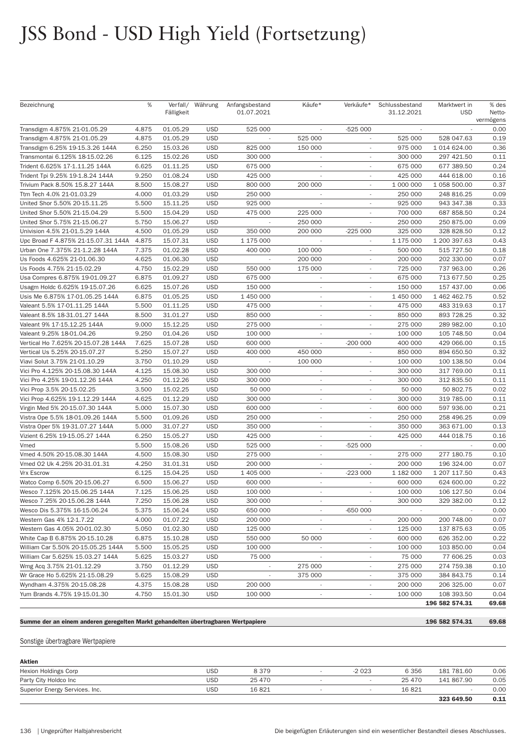| Bezeichnung                                                                       | %     | Fälligkeit | Verfall/ Währung | Anfangsbestand<br>01.07.2021 | Käufe*                   | Verkäufe*                | Schlussbestand<br>31.12.2021 | Marktwert in<br><b>USD</b> | % des<br>Netto-<br>vermögens |
|-----------------------------------------------------------------------------------|-------|------------|------------------|------------------------------|--------------------------|--------------------------|------------------------------|----------------------------|------------------------------|
| Transdigm 4.875% 21-01.05.29                                                      | 4.875 | 01.05.29   | <b>USD</b>       | 525 000                      |                          | $-525000$                |                              |                            | 0.00                         |
| Transdigm 4.875% 21-01.05.29                                                      | 4.875 | 01.05.29   | <b>USD</b>       |                              | 525 000                  | $\overline{\phantom{a}}$ | 525 000                      | 528 047.63                 | 0.19                         |
| Transdigm 6.25% 19-15.3.26 144A                                                   | 6.250 | 15.03.26   | <b>USD</b>       | 825 000                      | 150 000                  | $\overline{\phantom{a}}$ | 975 000                      | 1 014 624.00               | 0.36                         |
| Transmontai 6.125% 18-15.02.26                                                    | 6.125 | 15.02.26   | <b>USD</b>       | 300 000                      | $\overline{\phantom{a}}$ | $\overline{\phantom{a}}$ | 300 000                      | 297 421.50                 | 0.11                         |
| Trident 6.625% 17-1.11.25 144A                                                    | 6.625 | 01.11.25   | <b>USD</b>       | 675 000                      |                          |                          | 675 000                      | 677 389.50                 | 0.24                         |
| Trident Tpi 9.25% 19-1.8.24 144A                                                  | 9.250 | 01.08.24   | <b>USD</b>       | 425 000                      | ÷.                       | $\overline{\phantom{a}}$ | 425 000                      | 444 618.00                 | 0.16                         |
| Trivium Pack 8.50% 15.8.27 144A                                                   | 8.500 | 15.08.27   | <b>USD</b>       | 800 000                      | 200 000                  | $\overline{\phantom{a}}$ | 1 000 000                    | 1 058 500.00               | 0.37                         |
| Ttm Tech 4.0% 21-01.03.29                                                         | 4.000 | 01.03.29   | <b>USD</b>       | 250 000                      |                          |                          | 250 000                      | 248 816.25                 | 0.09                         |
| United Shor 5.50% 20-15.11.25                                                     | 5.500 | 15.11.25   | <b>USD</b>       | 925 000                      |                          |                          | 925 000                      | 943 347.38                 | 0.33                         |
| United Shor 5.50% 21-15.04.29                                                     | 5.500 | 15.04.29   | <b>USD</b>       | 475 000                      | 225 000                  | $\overline{\phantom{a}}$ | 700 000                      | 687 858.50                 | 0.24                         |
| United Shor 5.75% 21-15.06.27                                                     | 5.750 | 15.06.27   | <b>USD</b>       |                              | 250 000                  |                          | 250 000                      | 250 875.00                 | 0.09                         |
| Univision 4.5% 21-01.5.29 144A                                                    | 4.500 | 01.05.29   | <b>USD</b>       | 350 000                      | 200 000                  | $-225000$                | 325 000                      | 328 828.50                 | 0.12                         |
| Upc Broad F 4.875% 21-15.07.31 144A                                               | 4.875 | 15.07.31   | <b>USD</b>       | 1 175 000                    |                          |                          | 1 175 000                    | 1 200 397.63               | 0.43                         |
| Urban One 7.375% 21-1.2.28 144A                                                   | 7.375 | 01.02.28   | <b>USD</b>       | 400 000                      | 100 000                  | $\overline{\phantom{a}}$ | 500 000                      | 515 727.50                 | 0.18                         |
| Us Foods 4.625% 21-01.06.30                                                       | 4.625 | 01.06.30   | <b>USD</b>       |                              | 200 000                  | $\overline{a}$           | 200 000                      | 202 330.00                 | 0.07                         |
| Us Foods 4.75% 21-15.02.29                                                        | 4.750 | 15.02.29   | <b>USD</b>       | 550 000                      | 175 000                  |                          | 725 000                      | 737 963.00                 | 0.26                         |
| Usa Compres 6.875% 19-01.09.27                                                    | 6.875 | 01.09.27   | <b>USD</b>       | 675 000                      |                          |                          | 675 000                      | 713 677.50                 | 0.25                         |
| Usagm Holdc 6.625% 19-15.07.26                                                    | 6.625 | 15.07.26   | <b>USD</b>       | 150 000                      | $\overline{\phantom{a}}$ | $\overline{\phantom{a}}$ | 150 000                      | 157 437.00                 | 0.06                         |
| Usis Me 6.875% 17-01.05.25 144A                                                   | 6.875 | 01.05.25   | <b>USD</b>       | 1 450 000                    | $\sim$                   | $\overline{\phantom{a}}$ | 1 450 000                    | 1 462 462.75               | 0.52                         |
| Valeant 5.5% 17-01.11.25 144A                                                     | 5.500 | 01.11.25   | <b>USD</b>       | 475 000                      | $\overline{\phantom{a}}$ |                          | 475 000                      | 483 319.63                 | 0.17                         |
| Valeant 8.5% 18-31.01.27 144A                                                     | 8.500 | 31.01.27   | <b>USD</b>       | 850 000                      |                          |                          | 850 000                      | 893 728.25                 | 0.32                         |
| Valeant 9% 17-15.12.25 144A                                                       | 9.000 | 15.12.25   | <b>USD</b>       | 275 000                      | $\overline{\phantom{a}}$ | $\overline{\phantom{a}}$ | 275 000                      | 289 982.00                 | 0.10                         |
| Valeant 9.25% 18-01.04.26                                                         | 9.250 | 01.04.26   | <b>USD</b>       | 100 000                      |                          | $\overline{a}$           | 100 000                      | 105 748.50                 | 0.04                         |
| Vertical Ho 7.625% 20-15.07.28 144A                                               | 7.625 | 15.07.28   | <b>USD</b>       | 600 000                      | $\overline{\phantom{a}}$ | $-200000$                | 400 000                      | 429 066.00                 | 0.15                         |
| Vertical Us 5.25% 20-15.07.27                                                     | 5.250 | 15.07.27   | <b>USD</b>       | 400 000                      | 450 000                  |                          | 850 000                      | 894 650.50                 | 0.32                         |
| Viavi Solut 3.75% 21-01.10.29                                                     | 3.750 | 01.10.29   | <b>USD</b>       | $\overline{\phantom{a}}$     | 100 000                  | $\overline{\phantom{a}}$ | 100 000                      | 100 138.50                 | 0.04                         |
| Vici Pro 4.125% 20-15.08.30 144A                                                  | 4.125 | 15.08.30   | <b>USD</b>       | 300 000                      |                          | $\overline{\phantom{a}}$ | 300 000                      | 317 769.00                 | 0.11                         |
| Vici Pro 4.25% 19-01.12.26 144A                                                   | 4.250 | 01.12.26   | <b>USD</b>       | 300 000                      | $\sim$                   | ٠                        | 300 000                      | 312 835.50                 | 0.11                         |
| Vici Prop 3.5% 20-15.02.25                                                        | 3.500 | 15.02.25   | <b>USD</b>       | 50 000                       | $\sim$                   |                          | 50 000                       | 50 802.75                  | 0.02                         |
| Vici Prop 4.625% 19-1.12.29 144A                                                  | 4.625 | 01.12.29   | <b>USD</b>       | 300 000                      | $\sim$                   | $\overline{\phantom{a}}$ | 300 000                      | 319 785.00                 | 0.11                         |
| Virgin Med 5% 20-15.07.30 144A                                                    | 5.000 | 15.07.30   | <b>USD</b>       | 600 000                      | $\sim$                   | $\overline{\phantom{a}}$ | 600 000                      | 597 936.00                 | 0.21                         |
| Vistra Ope 5.5% 18-01.09.26 144A                                                  | 5.500 | 01.09.26   | <b>USD</b>       | 250 000                      | $\sim$                   | ٠                        | 250 000                      | 258 496.25                 | 0.09                         |
| Vistra Oper 5% 19-31.07.27 144A                                                   | 5.000 | 31.07.27   | <b>USD</b>       | 350 000                      | $\sim$                   |                          | 350 000                      | 363 671.00                 | 0.13                         |
| Vizient 6.25% 19-15.05.27 144A                                                    | 6.250 | 15.05.27   | <b>USD</b>       | 425 000                      | $\sim$                   | $\overline{\phantom{a}}$ | 425 000                      | 444 018.75                 | 0.16                         |
| Vmed                                                                              | 5.500 | 15.08.26   | <b>USD</b>       | 525 000                      | $\overline{\phantom{a}}$ | $-525000$                |                              |                            | 0.00                         |
| Vmed 4.50% 20-15.08.30 144A                                                       | 4.500 | 15.08.30   | <b>USD</b>       | 275 000                      | $\sim$                   | $\overline{\phantom{a}}$ | 275 000                      | 277 180.75                 | 0.10                         |
| Vmed 02 Uk 4.25% 20-31.01.31                                                      | 4.250 | 31.01.31   | <b>USD</b>       | 200 000                      |                          |                          | 200 000                      | 196 324.00                 | 0.07                         |
| <b>Vrx Escrow</b>                                                                 | 6.125 | 15.04.25   | <b>USD</b>       | 1 405 000                    | $\sim$                   | $-223000$                | 1 182 000                    | 1 207 117.50               | 0.43                         |
| Watco Comp 6.50% 20-15.06.27                                                      | 6.500 | 15.06.27   | <b>USD</b>       | 600 000                      | $\sim$                   |                          | 600 000                      | 624 600.00                 | 0.22                         |
| Wesco 7.125% 20-15.06.25 144A                                                     | 7.125 | 15.06.25   | <b>USD</b>       | 100 000                      | $\sim$                   |                          | 100 000                      | 106 127.50                 | 0.04                         |
| Wesco 7.25% 20-15.06.28 144A                                                      | 7.250 | 15.06.28   | <b>USD</b>       | 300 000                      | $\sim$                   |                          | 300 000                      | 329 382.00                 | 0.12                         |
| Wesco Dis 5.375% 16-15.06.24                                                      | 5.375 | 15.06.24   | <b>USD</b>       | 650 000                      | $\overline{\phantom{a}}$ | -650 000                 | $\overline{\phantom{a}}$     |                            | 0.00                         |
| Western Gas 4% 12-1.7.22                                                          | 4.000 | 01.07.22   | <b>USD</b>       | 200 000                      | $\overline{\phantom{a}}$ | $\overline{\phantom{a}}$ | 200 000                      | 200 748.00                 | 0.07                         |
| Western Gas 4.05% 20-01.02.30                                                     | 5.050 | 01.02.30   | <b>USD</b>       | 125 000                      | $\overline{\phantom{a}}$ | $\overline{\phantom{a}}$ | 125 000                      | 137 875.63                 | 0.05                         |
| White Cap B 6.875% 20-15.10.28                                                    | 6.875 | 15.10.28   | <b>USD</b>       | 550 000                      | 50 000                   |                          | 600 000                      | 626 352.00                 | 0.22                         |
| William Car 5.50% 20-15.05.25 144A                                                | 5.500 | 15.05.25   | <b>USD</b>       | 100 000                      | $\overline{\phantom{a}}$ | ٠                        | 100 000                      | 103 850.00                 | 0.04                         |
| William Car 5.625% 15.03.27 144A                                                  | 5.625 | 15.03.27   | <b>USD</b>       | 75 000                       | $\overline{\phantom{a}}$ | $\overline{\phantom{a}}$ | 75 000                       | 77 606.25                  | 0.03                         |
| Wmg Acq 3.75% 21-01.12.29                                                         | 3.750 | 01.12.29   | <b>USD</b>       |                              | 275 000                  | $\overline{\phantom{a}}$ | 275 000                      | 274 759.38                 | 0.10                         |
| Wr Grace Ho 5.625% 21-15.08.29                                                    | 5.625 | 15.08.29   | <b>USD</b>       |                              | 375 000                  |                          | 375 000                      | 384 843.75                 | 0.14                         |
| Wyndham 4.375% 20-15.08.28                                                        | 4.375 | 15.08.28   | <b>USD</b>       | 200 000                      | $\sim$                   | $\overline{\phantom{a}}$ | 200 000                      | 206 325.00                 | 0.07                         |
| Yum Brands 4.75% 19-15.01.30                                                      | 4.750 | 15.01.30   | <b>USD</b>       | 100 000                      | $\overline{\phantom{a}}$ | ۰                        | 100 000                      | 108 393.50                 | 0.04                         |
|                                                                                   |       |            |                  |                              |                          |                          |                              | 196 582 574.31             | 69.68                        |
| Summe der an einem anderen geregelten Markt gehandelten übertragbaren Wertpapiere |       |            |                  |                              |                          |                          |                              | 196 582 574.31             | 69.68                        |

Sonstige übertragbare Wertpapiere

| Aktien                         |     |         |         |         |            |      |
|--------------------------------|-----|---------|---------|---------|------------|------|
| <b>Hexion Holdings Corp</b>    | USD | 8 3 7 9 | $-2023$ | 6 3 5 6 | 181 781.60 | 0.06 |
| Party City Holdco Inc          | USD | 25 470  |         | 25 470  | 141 867.90 | 0.05 |
| Superior Energy Services. Inc. | USD | 16821   |         | 16821   |            | 0.00 |
|                                |     |         |         |         | 323 649.50 | 0.11 |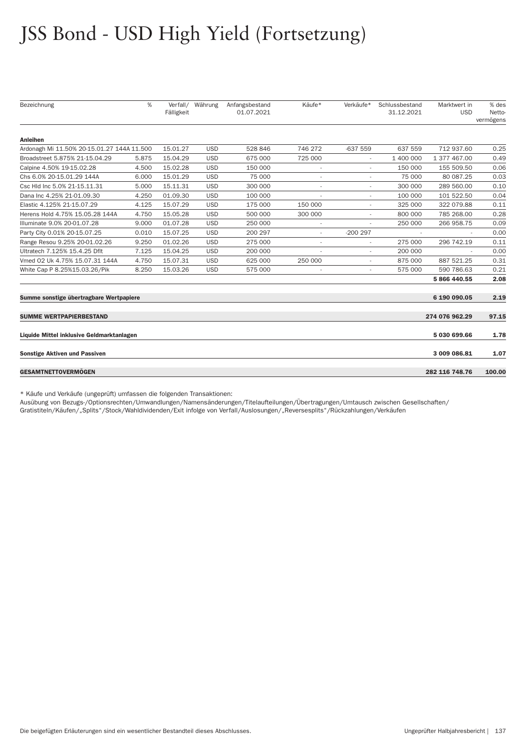| Bezeichnung                                | %     | Verfall/<br>Fälligkeit | Währung    | Anfangsbestand<br>01.07.2021 | Käufe*                   | Verkäufe*                | Schlussbestand<br>31.12.2021 | Marktwert in<br><b>USD</b> | % des<br>Netto-<br>vermögens |
|--------------------------------------------|-------|------------------------|------------|------------------------------|--------------------------|--------------------------|------------------------------|----------------------------|------------------------------|
| <b>Anleihen</b>                            |       |                        |            |                              |                          |                          |                              |                            |                              |
| Ardonagh Mi 11.50% 20-15.01.27 144A 11.500 |       | 15.01.27               | <b>USD</b> | 528 846                      | 746 272                  | $-637559$                | 637 559                      | 712 937.60                 | 0.25                         |
| Broadstreet 5.875% 21-15.04.29             | 5.875 | 15.04.29               | <b>USD</b> | 675 000                      | 725 000                  |                          | 1 400 000                    | 1 377 467.00               | 0.49                         |
| Calpine 4.50% 19-15.02.28                  | 4.500 | 15.02.28               | <b>USD</b> | 150 000                      |                          |                          | 150 000                      | 155 509.50                 | 0.06                         |
| Chs 6.0% 20-15.01.29 144A                  | 6.000 | 15.01.29               | <b>USD</b> | 75 000                       | ٠                        | ٠                        | 75 000                       | 80 087.25                  | 0.03                         |
| Csc Hld Inc 5.0% 21-15.11.31               | 5.000 | 15.11.31               | <b>USD</b> | 300 000                      |                          |                          | 300 000                      | 289 560.00                 | 0.10                         |
| Dana Inc 4.25% 21-01.09.30                 | 4.250 | 01.09.30               | <b>USD</b> | 100 000                      |                          | ٠                        | 100 000                      | 101 522.50                 | 0.04                         |
| Elastic 4.125% 21-15.07.29                 | 4.125 | 15.07.29               | <b>USD</b> | 175 000                      | 150 000                  |                          | 325 000                      | 322 079.88                 | 0.11                         |
| Herens Hold 4.75% 15.05.28 144A            | 4.750 | 15.05.28               | <b>USD</b> | 500 000                      | 300 000                  | $\overline{\phantom{a}}$ | 800 000                      | 785 268,00                 | 0.28                         |
| Illuminate 9.0% 20-01.07.28                | 9.000 | 01.07.28               | <b>USD</b> | 250 000                      | $\overline{\phantom{a}}$ |                          | 250 000                      | 266 958.75                 | 0.09                         |
| Party City 0.01% 20-15.07.25               | 0.010 | 15.07.25               | <b>USD</b> | 200 297                      | $\overline{\phantom{a}}$ | $-200297$                |                              |                            | 0.00                         |
| Range Resou 9.25% 20-01.02.26              | 9.250 | 01.02.26               | <b>USD</b> | 275 000                      |                          |                          | 275 000                      | 296 742.19                 | 0.11                         |
| Ultratech 7.125% 15.4.25 Dflt              | 7.125 | 15.04.25               | <b>USD</b> | 200 000                      |                          | ٠                        | 200 000                      |                            | 0.00                         |
| Vmed 02 Uk 4.75% 15.07.31 144A             | 4.750 | 15.07.31               | <b>USD</b> | 625 000                      | 250 000                  |                          | 875 000                      | 887 521.25                 | 0.31                         |
| White Cap P 8.25%15.03.26/Pik              | 8.250 | 15.03.26               | <b>USD</b> | 575 000                      | $\overline{\phantom{a}}$ | $\overline{\phantom{a}}$ | 575 000                      | 590 786.63                 | 0.21                         |
|                                            |       |                        |            |                              |                          |                          |                              | 5 866 440.55               | 2.08                         |
| Summe sonstige übertragbare Wertpapiere    |       |                        |            |                              |                          |                          |                              | 6 190 090.05               | 2.19                         |
| <b>SUMME WERTPAPIERBESTAND</b>             |       |                        |            |                              |                          |                          |                              | 274 076 962.29             | 97.15                        |
| Liquide Mittel inklusive Geldmarktanlagen  |       |                        |            |                              |                          |                          |                              | 5 030 699.66               | 1.78                         |
| <b>Sonstige Aktiven und Passiven</b>       |       |                        |            |                              |                          |                          |                              | 3 009 086.81               | 1.07                         |
| <b>GESAMTNETTOVERMÖGEN</b>                 |       |                        |            |                              |                          |                          |                              | 282 116 748.76             | 100.00                       |

\* Käufe und Verkäufe (ungeprüft) umfassen die folgenden Transaktionen:

Ausübung von Bezugs-/Optionsrechten/Umwandlungen/Namensänderungen/Titelaufteilungen/Übertragungen/Umtausch zwischen Gesellschaften/ Gratistiteln/Käufen/"Splits"/Stock/Wahldividenden/Exit infolge von Verfall/Auslosungen/"Reversesplits"/Rückzahlungen/Verkäufen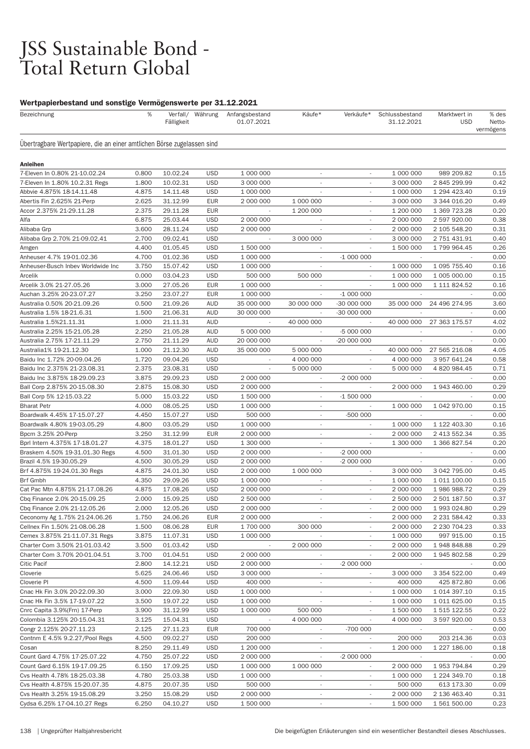# JSS Sustainable Bond -<br>Total Return Global

#### Wertpapierbestand und sonstige Vermögenswerte per 31.12.2021

| Bezeichnung                                                            | %              | Fälligkeit           |                          | Verfall/ Währung Anfangsbestand<br>01.07.2021 | Käufe*                   | Verkäufe*                | Schlussbestand<br>31.12.2021 | Marktwert in<br><b>USD</b> | % des<br>Netto<br>vermögens |
|------------------------------------------------------------------------|----------------|----------------------|--------------------------|-----------------------------------------------|--------------------------|--------------------------|------------------------------|----------------------------|-----------------------------|
| Ubertragbare Wertpapiere, die an einer amtlichen Börse zugelassen sind |                |                      |                          |                                               |                          |                          |                              |                            |                             |
| Anleihen                                                               |                |                      |                          |                                               |                          |                          |                              |                            |                             |
| 7-Eleven In 0.80% 21-10.02.24                                          | 0.800          | 10.02.24             | <b>USD</b>               | 1 000 000                                     | $\overline{\phantom{a}}$ |                          | 1 000 000                    | 989 209.82                 | 0.15                        |
| 7-Eleven In 1.80% 10.2.31 Regs                                         | 1.800          | 10.02.31             | <b>USD</b>               | 3 000 000                                     |                          |                          | 3 000 000                    | 2 845 299.99               | 0.42                        |
| Abbvie 4.875% 18-14.11.48                                              | 4.875          | 14.11.48             | <b>USD</b>               | 1 000 000                                     | ٠                        | $\sim$                   | 1 000 000                    | 1 294 423.40               | 0.19                        |
| Abertis Fin 2.625% 21-Perp                                             | 2.625          | 31.12.99             | <b>EUR</b>               | 2 000 000                                     | 1 000 000                |                          | 3 000 000                    | 3 344 016.20               | 0.49                        |
| Accor 2.375% 21-29.11.28                                               | 2.375          | 29.11.28             | <b>EUR</b>               |                                               | 1 200 000                |                          | 1 200 000                    | 1 369 723.28               | 0.2C                        |
| Alfa                                                                   | 6.875          | 25.03.44             | <b>USD</b>               | 2 000 000                                     |                          |                          | 2 000 000                    | 2 597 920.00               | 0.38                        |
| Alibaba Grp                                                            | 3.600          | 28.11.24             | <b>USD</b>               | 2 000 000                                     | $\overline{\phantom{a}}$ | $\overline{\phantom{a}}$ | 2 000 000                    | 2 105 548.20               | 0.31                        |
| Alibaba Grp 2.70% 21-09.02.41                                          | 2.700          | 09.02.41             | <b>USD</b>               |                                               | 3 000 000                |                          | 3 000 000                    | 2 751 431.91               | 0.40                        |
| Amgen                                                                  | 4.400          | 01.05.45             | <b>USD</b>               | 1 500 000                                     |                          |                          | 1 500 000                    | 1 799 964.45               | 0.26                        |
| Anheuser 4.7% 19-01.02.36                                              | 4.700          | 01.02.36             | <b>USD</b>               | 1 000 000                                     | $\sim$                   | $-1000000$               |                              |                            | 0.00                        |
| Anheuser-Busch Inbev Worldwide Inc                                     | 3.750          | 15.07.42             | <b>USD</b>               | 1 000 000                                     | $\overline{\phantom{a}}$ | $\overline{\phantom{a}}$ | 1 000 000                    | 1 095 755.40               | 0.16                        |
| Arcelik                                                                | 0.000          | 03.04.23             | <b>USD</b>               | 500 000                                       | 500 000                  |                          | 1 000 000                    | 1 005 000.00               | 0.15                        |
| Arcelik 3.0% 21-27.05.26                                               | 3.000          | 27.05.26             | <b>EUR</b>               | 1 000 000                                     |                          |                          | 1 000 000                    | 1 111 824.52               | 0.16                        |
| Auchan 3.25% 20-23.07.27                                               | 3.250          | 23.07.27             | <b>EUR</b>               | 1 000 000                                     | ÷,                       | $-1000000$               |                              |                            | 0.00                        |
| Australia 0.50% 20-21.09.26                                            | 0.500          | 21.09.26             | <b>AUD</b>               | 35 000 000                                    | 30 000 000               | -30 000 000              | 35 000 000                   | 24 496 274.95              | 3.60                        |
| Australia 1.5% 18-21.6.31                                              | 1.500          | 21.06.31             | AUD                      | 30 000 000                                    |                          | -30 000 000              |                              |                            | 0.00                        |
| Australia 1.5%21.11.31                                                 | 1.000          | 21.11.31             | <b>AUD</b>               |                                               | 40 000 000               |                          | 40 000 000                   | 27 363 175.57              | 4.02                        |
| Australia 2.25% 15-21.05.28                                            | 2.250          | 21.05.28             | AUD                      | 5 000 000                                     | $\sim$                   | -5 000 000               |                              |                            | 0.00                        |
| Australia 2.75% 17-21.11.29                                            | 2.750          | 21.11.29             | <b>AUD</b>               | 20 000 000                                    | $\overline{\phantom{a}}$ | -20 000 000              |                              |                            | 0.00                        |
| Australia1% 19-21.12.30                                                | 1.000          | 21.12.30             | <b>AUD</b>               | 35 000 000                                    | 5 000 000                |                          | 40 000 000                   | 27 565 216.08              | 4.05                        |
| Baidu Inc 1.72% 20-09.04.26                                            | 1.720          | 09.04.26             | <b>USD</b>               |                                               | 4 000 000                |                          | 4 000 000                    | 3 957 641.24               | 0.58                        |
| Baidu Inc 2.375% 21-23.08.31                                           | 2.375          | 23.08.31             | <b>USD</b>               | $\sim$                                        | 5 000 000                |                          | 5 000 000                    | 4 820 984.45               | 0.71                        |
| Baidu Inc 3.875% 18-29.09.23                                           | 3.875          | 29.09.23             | <b>USD</b>               | 2 000 000                                     | $\overline{\phantom{a}}$ | $-2000000$               |                              |                            | 0.00                        |
| Ball Corp 2.875% 20-15.08.30                                           | 2.875          | 15.08.30             | <b>USD</b>               | 2 000 000                                     | $\overline{\phantom{a}}$ | $\overline{\phantom{a}}$ | 2 000 000                    | 1 943 460.00               | 0.29                        |
| Ball Corp 5% 12-15.03.22                                               | 5.000          | 15.03.22             | <b>USD</b>               | 1 500 000                                     |                          | $-1500000$               |                              |                            | 0.00                        |
| <b>Bharat Petr</b>                                                     | 4.000          | 08.05.25             | <b>USD</b>               | 1 000 000                                     | $\overline{\phantom{a}}$ | $\overline{\phantom{a}}$ | 1 000 000                    | 1 042 970.00               | 0.15                        |
| Boardwalk 4.45% 17-15.07.27                                            | 4.450          | 15.07.27             | <b>USD</b>               | 500 000                                       | $\overline{\phantom{a}}$ | -500 000                 |                              |                            | 0.00                        |
| Boardwalk 4.80% 19-03.05.29                                            | 4.800          | 03.05.29             | <b>USD</b>               | 1 000 000                                     | $\overline{\phantom{a}}$ |                          | 1 000 000                    | 1 122 403.30               | 0.16                        |
| Bpcm 3.25% 20-Perp                                                     | 3.250          | 31.12.99             | <b>EUR</b>               | 2 000 000                                     | $\overline{\phantom{a}}$ |                          | 2 000 000                    | 2 413 552.34               | 0.35                        |
| Bprl Intern 4.375% 17-18.01.27                                         | 4.375          | 18.01.27             | <b>USD</b>               | 1 300 000                                     | $\overline{\phantom{a}}$ |                          | 1 300 000                    | 1 366 827.54               | 0.2C                        |
| Braskem 4.50% 19-31.01.30 Regs                                         | 4.500          | 31.01.30             | <b>USD</b>               | 2 000 000                                     | $\overline{\phantom{a}}$ | -2 000 000               |                              |                            | 0.00                        |
| Brazil 4.5% 19-30.05.29                                                | 4.500          | 30.05.29             | <b>USD</b>               | 2 000 000                                     | $\overline{\phantom{a}}$ | $-2000000$               |                              |                            | 0.00                        |
| Brf 4.875% 19-24.01.30 Regs                                            | 4.875          | 24.01.30             | <b>USD</b>               | 2 000 000                                     | 1 000 000                |                          | 3 000 000                    | 3 042 795.00               | 0.45                        |
| Brf Gmbh                                                               | 4.350          | 29.09.26             | <b>USD</b>               | 1 000 000                                     | $\overline{\phantom{a}}$ | $\overline{\phantom{a}}$ | 1 000 000                    | 1 011 100.00               | 0.15                        |
| Cat Pac Mtn 4.875% 21-17.08.26                                         | 4.875          | 17.08.26             | <b>USD</b>               | 2 000 000                                     | $\overline{\phantom{a}}$ |                          | 2 000 000                    | 1 986 988.72               | 0.29                        |
| Cbq Finance 2.0% 20-15.09.25<br>Cbq Finance 2.0% 21-12.05.26           | 2.000          | 15.09.25<br>12.05.26 | <b>USD</b><br><b>USD</b> | 2 500 000<br>2 000 000                        | $\overline{\phantom{a}}$ |                          | 2 500 000                    | 2 501 187.50               | 0.37                        |
|                                                                        | 2.000          |                      |                          |                                               |                          |                          | 2 000 000                    | 1 993 024.80               | 0.29                        |
| Ceconomy Ag 1.75% 21-24.06.26                                          | 1.750          | 24.06.26             | EUR                      | 2 000 000                                     | 300 000                  |                          | 2 000 000                    | 2 231 584.42               | 0.33                        |
| Cellnex Fin 1.50% 21-08.06.28<br>Cemex 3.875% 21-11.07.31 Regs         | 1.500<br>3.875 | 08.06.28<br>11.07.31 | <b>EUR</b><br><b>USD</b> | 1 700 000<br>1 000 000                        |                          | $\sim$                   | 2 000 000<br>1 000 000       | 2 230 704.23<br>997 915.00 | 0.33<br>0.15                |
| Charter Com 3.50% 21-01.03.42                                          | 3.500          | 01.03.42             | <b>USD</b>               |                                               | 2 000 000                |                          | 2 000 000                    | 1948848.88                 | 0.29                        |
| Charter Com 3.70% 20-01.04.51                                          | 3.700          | 01.04.51             | <b>USD</b>               | 2 000 000                                     | $\overline{\phantom{a}}$ | $\overline{\phantom{a}}$ | 2 000 000                    | 1 945 802.58               | 0.29                        |
| <b>Citic Pacif</b>                                                     | 2.800          | 14.12.21             | <b>USD</b>               | 2 000 000                                     | $\overline{\phantom{a}}$ | $-2000000$               |                              |                            | 0.00                        |
| Cloverie                                                               | 5.625          | 24.06.46             | <b>USD</b>               | 3 000 000                                     | $\overline{\phantom{a}}$ | $\overline{\phantom{a}}$ | 3 000 000                    | 3 354 522.00               | 0.49                        |
| Cloverie PI                                                            | 4.500          | 11.09.44             | <b>USD</b>               | 400 000                                       |                          |                          | 400 000                      | 425 872.80                 | 0.06                        |
| Cnac Hk Fin 3.0% 20-22.09.30                                           | 3.000          | 22.09.30             | <b>USD</b>               | 1 000 000                                     | $\sim$                   | $\overline{\phantom{a}}$ | 1 000 000                    | 1 014 397.10               | 0.15                        |
| Cnac Hk Fin 3.5% 17-19.07.22                                           | 3.500          | 19.07.22             | <b>USD</b>               | 1 000 000                                     |                          | $\overline{\phantom{a}}$ | 1 000 000                    | 1 011 625.00               | 0.15                        |
| Cnrc Capita 3.9%(Frn) 17-Perp                                          | 3.900          | 31.12.99             | <b>USD</b>               | 1 000 000                                     | 500 000                  | $\overline{\phantom{a}}$ | 1 500 000                    | 1 515 122.55               | 0.22                        |
| Colombia 3.125% 20-15.04.31                                            | 3.125          | 15.04.31             | <b>USD</b>               |                                               | 4 000 000                |                          | 4 000 000                    | 3 597 920.00               | 0.53                        |
| Congr 2.125% 20-27.11.23                                               | 2.125          | 27.11.23             | <b>EUR</b>               | 700 000                                       | $\overline{\phantom{a}}$ | -700 000                 |                              |                            | 0.00                        |
| Contnm E 4.5% 9.2.27/Pool Regs                                         | 4.500          | 09.02.27             | <b>USD</b>               | 200 000                                       | $\overline{\phantom{a}}$ |                          | 200 000                      | 203 214.36                 | 0.03                        |
| Cosan                                                                  | 8.250          | 29.11.49             | <b>USD</b>               | 1 200 000                                     | $\overline{\phantom{a}}$ | $\overline{\phantom{a}}$ | 1 200 000                    | 1 227 186.00               | 0.18                        |
| Count Gard 4.75% 17-25.07.22                                           | 4.750          | 25.07.22             | <b>USD</b>               | 2 000 000                                     |                          | $-2000000$               |                              |                            | 0.00                        |
| Count Gard 6.15% 19-17.09.25                                           | 6.150          | 17.09.25             | <b>USD</b>               | 1 000 000                                     | 1 000 000                | $\overline{\phantom{a}}$ | 2 000 000                    | 1 953 794.84               | 0.29                        |
| Cvs Health 4.78% 18-25.03.38                                           | 4.780          | 25.03.38             | <b>USD</b>               | 1 000 000                                     | $\overline{\phantom{a}}$ | $\overline{\phantom{a}}$ | 1 000 000                    | 1 224 349.70               | 0.18                        |
| Cvs Health 4.875% 15-20.07.35                                          | 4.875          | 20.07.35             | <b>USD</b>               | 500 000                                       | $\overline{\phantom{a}}$ | $\overline{\phantom{a}}$ | 500 000                      | 613 173.30                 | 0.09                        |
| Cvs Health 3.25% 19-15.08.29                                           | 3.250          | 15.08.29             | <b>USD</b>               | 2 000 000                                     |                          |                          | 2 000 000                    | 2 136 463.40               | 0.31                        |
| Cydsa 6.25% 17-04.10.27 Regs                                           | 6.250          | 04.10.27             | <b>USD</b>               | 1 500 000                                     | $\overline{\phantom{a}}$ | $\overline{\phantom{a}}$ | 1 500 000                    | 1 561 500.00               | 0.23                        |
|                                                                        |                |                      |                          |                                               |                          |                          |                              |                            |                             |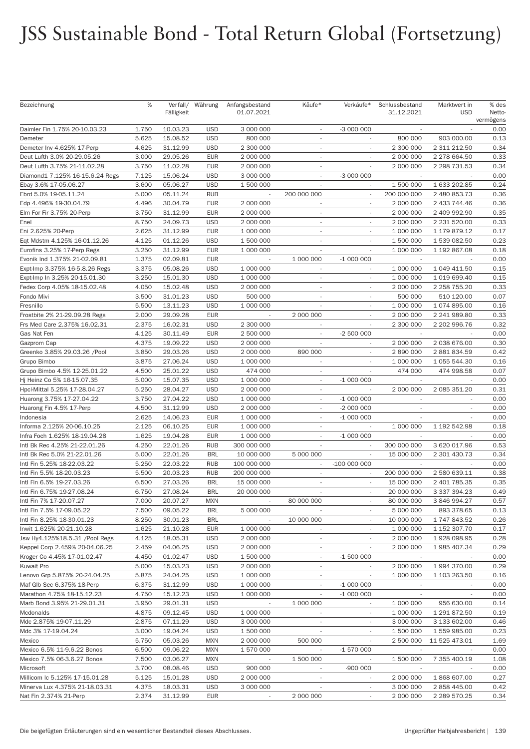| Bezeichnung                     | %     | Fälligkeit | Verfall/ Währung | Anfangsbestand<br>01.07.2021 | Käufe*                   | Verkäufe*                | Schlussbestand<br>31.12.2021 | Marktwert in<br><b>USD</b> | % des<br>Netto-<br>vermögens |
|---------------------------------|-------|------------|------------------|------------------------------|--------------------------|--------------------------|------------------------------|----------------------------|------------------------------|
| Daimler Fin 1.75% 20-10.03.23   | 1.750 | 10.03.23   | <b>USD</b>       | 3 000 000                    | $\overline{\phantom{a}}$ | $-3000000$               | $\overline{\phantom{a}}$     |                            | 0.00                         |
| Demeter                         | 5.625 | 15.08.52   | <b>USD</b>       | 800 000                      |                          |                          | 800 000                      | 903 000.00                 | 0.13                         |
| Demeter Inv 4.625% 17-Perp      | 4.625 | 31.12.99   | <b>USD</b>       | 2 300 000                    | $\sim$                   | $\overline{\phantom{a}}$ | 2 300 000                    | 2 311 212.50               | 0.34                         |
| Deut Lufth 3.0% 20-29.05.26     | 3.000 | 29.05.26   | <b>EUR</b>       | 2 000 000                    | $\sim$                   | $\overline{\phantom{a}}$ | 2 000 000                    | 2 278 664.50               | 0.33                         |
| Deut Lufth 3.75% 21-11.02.28    | 3.750 | 11.02.28   | <b>EUR</b>       | 2 000 000                    | $\sim$                   | $\overline{\phantom{a}}$ | 2 000 000                    | 2 298 731.53               | 0.34                         |
| Diamond1 7.125% 16-15.6.24 Regs | 7.125 | 15.06.24   | <b>USD</b>       | 3 000 000                    | $\overline{\phantom{a}}$ | -3 000 000               |                              |                            | 0.00                         |
| Ebay 3.6% 17-05.06.27           | 3.600 | 05.06.27   | <b>USD</b>       | 1 500 000                    | $\overline{\phantom{a}}$ | $\overline{\phantom{a}}$ | 1 500 000                    | 1 633 202.85               | 0.24                         |
| Ebrd 5.0% 19-05.11.24           | 5.000 | 05.11.24   | <b>RUB</b>       | $\overline{\phantom{a}}$     | 200 000 000              | $\overline{\phantom{a}}$ | 200 000 000                  | 2 480 853.73               | 0.36                         |
| Edp 4.496% 19-30.04.79          | 4.496 | 30.04.79   | <b>EUR</b>       | 2 000 000                    | $\sim$                   |                          | 2 000 000                    | 2 433 744.46               | 0.36                         |
| Elm For Fir 3.75% 20-Perp       | 3.750 | 31.12.99   | <b>EUR</b>       | 2 000 000                    | $\overline{\phantom{a}}$ |                          | 2 000 000                    | 2 409 992.90               | 0.35                         |
| Enel                            | 8.750 | 24.09.73   | <b>USD</b>       | 2 000 000                    | $\sim$                   | $\sim$                   | 2 000 000                    | 2 231 520.00               | 0.33                         |
| Eni 2.625% 20-Perp              | 2.625 | 31.12.99   | <b>EUR</b>       | 1 000 000                    | $\sim$                   | $\overline{\phantom{a}}$ | 1 000 000                    | 1 179 879.12               | 0.17                         |
| Eqt Mdstm 4.125% 16-01.12.26    | 4.125 | 01.12.26   | <b>USD</b>       | 1 500 000                    | $\overline{\phantom{a}}$ | $\overline{\phantom{a}}$ | 1 500 000                    | 1 539 082.50               | 0.23                         |
| Eurofins 3.25% 17-Perp Regs     | 3.250 | 31.12.99   | <b>EUR</b>       | 1 000 000                    |                          |                          | 1 000 000                    | 1 192 867.08               | 0.18                         |
| Evonik Ind 1.375% 21-02.09.81   | 1.375 | 02.09.81   | <b>EUR</b>       | $\overline{\phantom{a}}$     | 1 000 000                | $-1000000$               | $\overline{\phantom{a}}$     | $\overline{\phantom{a}}$   | 0.00                         |
| Expt-Imp 3.375% 16-5.8.26 Regs  | 3.375 | 05.08.26   | <b>USD</b>       | 1 000 000                    | $\overline{\phantom{a}}$ |                          | 1 000 000                    | 1 049 411.50               | 0.15                         |
| Expt-Imp In 3.25% 20-15.01.30   | 3.250 | 15.01.30   | <b>USD</b>       | 1 000 000                    | $\overline{\phantom{a}}$ |                          | 1 000 000                    | 1 019 699.40               | 0.15                         |
| Fedex Corp 4.05% 18-15.02.48    | 4.050 | 15.02.48   | <b>USD</b>       | 2 000 000                    |                          |                          | 2 000 000                    | 2 258 755.20               | 0.33                         |
| Fondo Mivi                      | 3.500 | 31.01.23   | <b>USD</b>       | 500 000                      | $\sim$                   | $\sim$                   | 500 000                      | 510 120.00                 | 0.07                         |
| Fresnillo                       | 5.500 | 13.11.23   | <b>USD</b>       | 1 000 000                    | $\overline{\phantom{a}}$ | $\overline{\phantom{a}}$ | 1 000 000                    | 1 074 895.00               | 0.16                         |
| Frostbite 2% 21-29.09.28 Regs   | 2.000 | 29.09.28   | <b>EUR</b>       |                              | 2 000 000                |                          | 2 000 000                    | 2 241 989.80               | 0.33                         |
| Frs Med Care 2.375% 16.02.31    | 2.375 | 16.02.31   | <b>USD</b>       | 2 300 000                    | ÷.                       |                          | 2 300 000                    | 2 202 996.76               | 0.32                         |
| Gas Nat Fen                     | 4.125 | 30.11.49   | <b>EUR</b>       | 2 500 000                    | $\overline{\phantom{a}}$ | -2 500 000               | $\overline{\phantom{a}}$     |                            | 0.00                         |
| Gazprom Cap                     | 4.375 | 19.09.22   | <b>USD</b>       | 2 000 000                    | $\overline{\phantom{a}}$ |                          | 2 000 000                    | 2 038 676.00               | 0.30                         |
| Greenko 3.85% 29.03.26 /Pool    | 3.850 | 29.03.26   | <b>USD</b>       | 2 000 000                    | 890 000                  |                          | 2 890 000                    | 2 881 834.59               | 0.42                         |
| Grupo Bimbo                     | 3.875 | 27.06.24   | <b>USD</b>       | 1 000 000                    | $\overline{\phantom{a}}$ |                          | 1 000 000                    | 1 055 544.30               | 0.16                         |
| Grupo Bimbo 4.5% 12-25.01.22    | 4.500 | 25.01.22   | <b>USD</b>       | 474 000                      | $\overline{\phantom{a}}$ | $\sim$                   | 474 000                      | 474 998.58                 | 0.07                         |
| Hj Heinz Co 5% 16-15.07.35      | 5.000 | 15.07.35   | <b>USD</b>       | 1 000 000                    | $\overline{\phantom{a}}$ | $-1000000$               |                              |                            | 0.00                         |
| Hpcl-Mittal 5.25% 17-28.04.27   | 5.250 | 28.04.27   | <b>USD</b>       | 2 000 000                    | $\overline{\phantom{a}}$ |                          | 2 000 000                    | 2 085 351.20               | 0.31                         |
| Huarong 3.75% 17-27.04.22       | 3.750 | 27.04.22   | <b>USD</b>       | 1 000 000                    | $\mathcal{L}$            | $-1000000$               |                              | $\sim$                     | 0.00                         |
| Huarong Fin 4.5% 17-Perp        | 4.500 | 31.12.99   | <b>USD</b>       | 2 000 000                    | $\overline{\phantom{a}}$ | -2 000 000               | $\overline{\phantom{a}}$     | $\overline{\phantom{a}}$   | 0.00                         |
| Indonesia                       | 2.625 | 14.06.23   | <b>EUR</b>       | 1 000 000                    | $\overline{\phantom{a}}$ | $-1000000$               | $\overline{\phantom{a}}$     |                            | 0.00                         |
| Informa 2.125% 20-06.10.25      | 2.125 | 06.10.25   | <b>EUR</b>       | 1 000 000                    | $\overline{\phantom{a}}$ |                          | 1 000 000                    | 1 192 542.98               | 0.18                         |
| Infra Foch 1.625% 18-19.04.28   | 1.625 | 19.04.28   | <b>EUR</b>       | 1 000 000                    | $\overline{\phantom{a}}$ | $-1000000$               |                              |                            | 0.00                         |
| Intl Bk Rec 4.25% 21-22.01.26   | 4.250 | 22.01.26   | <b>RUB</b>       | 300 000 000                  | $\sim$                   | $\overline{\phantom{a}}$ | 300 000 000                  | 3 620 017.96               | 0.53                         |
| Intl Bk Rec 5.0% 21-22.01.26    | 5.000 | 22.01.26   | <b>BRL</b>       | 10 000 000                   | 5 000 000                | $\sim$                   | 15 000 000                   | 2 301 430.73               | 0.34                         |
| Intl Fin 5.25% 18-22.03.22      | 5.250 | 22.03.22   | <b>RUB</b>       | 100 000 000                  | $\overline{\phantom{a}}$ | -100 000 000             |                              |                            | 0.00                         |
| Intl Fin 5.5% 18-20.03.23       | 5.500 | 20.03.23   | <b>RUB</b>       | 200 000 000                  | $\overline{\phantom{a}}$ | $\sim$                   | 200 000 000                  | 2 580 639.11               | 0.38                         |
| Intl Fin 6.5% 19-27.03.26       | 6.500 | 27.03.26   | <b>BRL</b>       | 15 000 000                   | $\overline{\phantom{a}}$ | $\overline{\phantom{a}}$ | 15 000 000                   | 2 401 785.35               | 0.35                         |
| Intl Fin 6.75% 19-27.08.24      | 6.750 | 27.08.24   | <b>BRL</b>       | 20 000 000                   | $\overline{\phantom{a}}$ |                          | 20 000 000                   | 3 337 394.23               | 0.49                         |
| Intl Fin 7% 17-20.07.27         | 7.000 | 20.07.27   | <b>MXN</b>       |                              | 80 000 000               |                          | 80 000 000                   | 3 846 994.27               | 0.57                         |
| Intl Fin 7.5% 17-09.05.22       | 7.500 | 09.05.22   | <b>BRL</b>       | 5 000 000                    |                          | $\overline{\phantom{a}}$ | 5 000 000                    | 893 378.65                 | 0.13                         |
| Intl Fin 8.25% 18-30.01.23      | 8.250 | 30.01.23   | <b>BRL</b>       |                              | 10 000 000               | $\overline{\phantom{a}}$ | 10 000 000                   | 1 747 843.52               | 0.26                         |
| Inwit 1.625% 20-21.10.28        | 1.625 | 21.10.28   | <b>EUR</b>       | 1 000 000                    | $\overline{\phantom{a}}$ |                          | 1 000 000                    | 1 152 307.70               | 0.17                         |
| Jsw Hy4.125%18.5.31 /Pool Regs  | 4.125 | 18.05.31   | <b>USD</b>       | 2 000 000                    | $\overline{\phantom{a}}$ |                          | 2 000 000                    | 1928 098.95                | 0.28                         |
| Keppel Corp 2.459% 20-04.06.25  | 2.459 | 04.06.25   | <b>USD</b>       | 2 000 000                    | $\overline{\phantom{a}}$ | $\overline{\phantom{a}}$ | 2 000 000                    | 1 985 407.34               | 0.29                         |
| Kroger Co 4.45% 17-01.02.47     | 4.450 | 01.02.47   | <b>USD</b>       | 1 500 000                    | $\overline{\phantom{a}}$ | $-1500000$               |                              |                            | 0.00                         |
| <b>Kuwait Pro</b>               | 5.000 | 15.03.23   | <b>USD</b>       | 2 000 000                    | $\overline{\phantom{a}}$ | $\overline{\phantom{a}}$ | 2 000 000                    | 1 994 370.00               | 0.29                         |
| Lenovo Grp 5.875% 20-24.04.25   | 5.875 | 24.04.25   | <b>USD</b>       | 1 000 000                    | $\overline{\phantom{a}}$ |                          | 1 000 000                    | 1 103 263.50               | 0.16                         |
| Maf Glb Sec 6.375% 18-Perp      | 6.375 | 31.12.99   | <b>USD</b>       | 1 000 000                    | $\overline{\phantom{a}}$ | $-1000000$               | $\overline{\phantom{a}}$     | $\overline{\phantom{a}}$   | 0.00                         |
| Marathon 4.75% 18-15.12.23      | 4.750 | 15.12.23   | <b>USD</b>       | 1 000 000                    | $\overline{\phantom{a}}$ | $-1000000$               | $\overline{\phantom{a}}$     |                            | 0.00                         |
| Marb Bond 3.95% 21-29.01.31     | 3.950 | 29.01.31   | <b>USD</b>       | $\overline{\phantom{a}}$     | 1 000 000                |                          | 1 000 000                    | 956 630.00                 | 0.14                         |
| Mcdonalds                       | 4.875 | 09.12.45   | <b>USD</b>       | 1 000 000                    |                          |                          | 1 000 000                    | 1 291 872.50               | 0.19                         |
| Mdc 2.875% 19-07.11.29          | 2.875 | 07.11.29   | <b>USD</b>       | 3 000 000                    | $\overline{\phantom{a}}$ | $\overline{\phantom{a}}$ | 3 000 000                    | 3 133 602.00               | 0.46                         |
| Mdc 3% 17-19.04.24              | 3.000 | 19.04.24   | <b>USD</b>       | 1 500 000                    | $\overline{\phantom{a}}$ |                          | 1 500 000                    | 1 559 985.00               | 0.23                         |
| Mexico                          | 5.750 | 05.03.26   | <b>MXN</b>       | 2 000 000                    | 500 000                  | $\overline{\phantom{a}}$ | 2 500 000                    | 11 525 473.01              | 1.69                         |
| Mexico 6.5% 11-9.6.22 Bonos     | 6.500 | 09.06.22   | <b>MXN</b>       | 1 570 000                    |                          | -1 570 000               |                              |                            | 0.00                         |
| Mexico 7.5% 06-3.6.27 Bonos     | 7.500 | 03.06.27   | <b>MXN</b>       | $\overline{\phantom{a}}$     | 1 500 000                | $\overline{\phantom{a}}$ | 1 500 000                    | 7 355 400.19               | 1.08                         |
| Microsoft                       | 3.700 | 08.08.46   | <b>USD</b>       | 900 000                      | $\overline{\phantom{a}}$ | -900 000                 | $\overline{\phantom{a}}$     |                            | 0.00                         |
| Millicom Ic 5.125% 17-15.01.28  | 5.125 | 15.01.28   | <b>USD</b>       | 2 000 000                    | $\overline{\phantom{a}}$ | $\sim$                   | 2 000 000                    | 1868 607.00                | 0.27                         |
| Minerva Lux 4.375% 21-18.03.31  | 4.375 | 18.03.31   | <b>USD</b>       | 3 000 000                    |                          |                          | 3 000 000                    | 2 858 445.00               | 0.42                         |
| Nat Fin 2.374% 21-Perp          | 2.374 | 31.12.99   | <b>EUR</b>       | $\sim$                       | 2 000 000                | $\overline{\phantom{a}}$ | 2 000 000                    | 2 289 570.25               | 0.34                         |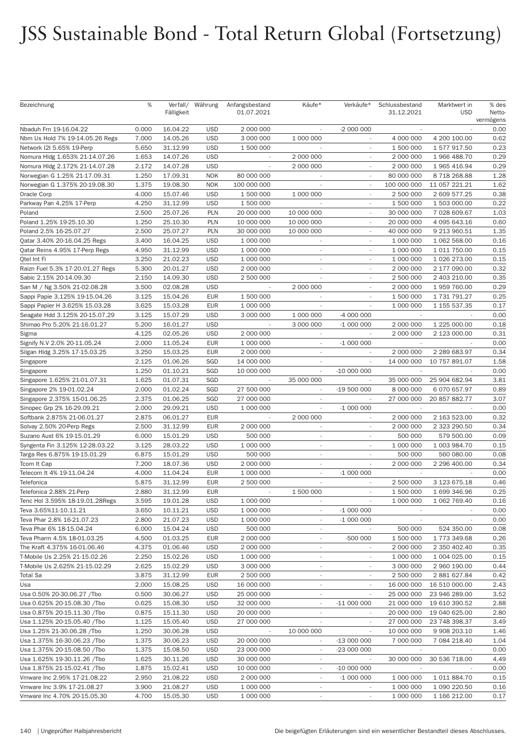| Bezeichnung                                                    | %              | Verfall/<br>Fälligkeit | Währung                  | Anfangsbestand<br>01.07.2021 | Käufe*                                | Verkäufe*                              | Schlussbestand<br>31.12.2021 | Marktwert in<br><b>USD</b> | % des<br>Netto-<br>vermögens |
|----------------------------------------------------------------|----------------|------------------------|--------------------------|------------------------------|---------------------------------------|----------------------------------------|------------------------------|----------------------------|------------------------------|
| Nbaduh Frn 19-16.04.22                                         | 0.000          | 16.04.22               | <b>USD</b>               | 2 000 000                    | ÷.                                    | -2 000 000                             | $\overline{\phantom{a}}$     |                            | 0.00                         |
| Nbm Us Hold 7% 19-14.05.26 Regs                                | 7.000          | 14.05.26               | <b>USD</b>               | 3 000 000                    | 1 000 000                             |                                        | 4 000 000                    | 4 200 100.00               | 0.62                         |
| Network I2I 5.65% 19-Perp                                      | 5.650          | 31.12.99               | <b>USD</b>               | 1 500 000                    | $\overline{\phantom{a}}$              | $\overline{\phantom{a}}$               | 1 500 000                    | 1 577 917.50               | 0.23                         |
| Nomura Hldg 1.653% 21-14.07.26                                 | 1.653          | 14.07.26               | <b>USD</b>               |                              | 2 000 000                             | $\sim$                                 | 2 000 000                    | 1 966 488.70               | 0.29                         |
| Nomura Hldg 2.172% 21-14.07.28                                 | 2.172          | 14.07.28               | <b>USD</b>               | $\sim$                       | 2 000 000                             | $\sim$                                 | 2 000 000                    | 1 965 416.94               | 0.29                         |
| Norwegian G 1.25% 21-17.09.31                                  | 1.250          | 17.09.31               | <b>NOK</b>               | 80 000 000                   |                                       | $\overline{\phantom{a}}$               | 80 000 000                   | 8718268.88                 | 1.28                         |
| Norwegian G 1.375% 20-19.08.30                                 | 1.375          | 19.08.30               | <b>NOK</b>               | 100 000 000                  | $\overline{\phantom{a}}$              | $\overline{\phantom{a}}$               | 100 000 000                  | 11 057 221.21              | 1.62                         |
| Oracle Corp                                                    | 4.000          | 15.07.46               | <b>USD</b>               | 1 500 000                    | 1 000 000                             | $\overline{\phantom{a}}$               | 2 500 000                    | 2 609 577.25               | 0.38                         |
| Parkway Pan 4.25% 17-Perp                                      | 4.250          | 31.12.99               | <b>USD</b>               | 1 500 000                    | $\overline{\phantom{a}}$              |                                        | 1 500 000                    | 1 503 000.00               | 0.22                         |
| Poland                                                         | 2.500          | 25.07.26               | <b>PLN</b>               | 20 000 000                   | 10 000 000                            |                                        | 30 000 000                   | 7 028 609.67               | 1.03                         |
| Poland 1.25% 19-25.10.30                                       | 1.250          | 25.10.30               | <b>PLN</b>               | 10 000 000                   | 10 000 000                            | $\sim$                                 | 20 000 000                   | 4 095 643.16               | 0.60                         |
| Poland 2.5% 16-25.07.27                                        | 2.500          | 25.07.27               | <b>PLN</b>               | 30 000 000                   | 10 000 000                            | $\sim$                                 | 40 000 000                   | 9 213 960.51               | 1.35                         |
| Qatar 3.40% 20-16.04.25 Regs                                   | 3.400          | 16.04.25               | <b>USD</b>               | 1 000 000                    | $\overline{\phantom{a}}$              | $\sim$                                 | 1 000 000                    | 1 062 568.00               | 0.16                         |
| Qatar Reins 4.95% 17-Perp Regs                                 | 4.950          | 31.12.99               | <b>USD</b>               | 1 000 000                    | $\sim$                                |                                        | 1 000 000                    | 1 011 750.00               | 0.15                         |
| Qtel Int Fi                                                    | 3.250          | 21.02.23               | <b>USD</b>               | 1 000 000                    | $\overline{\phantom{a}}$              | $\sim$                                 | 1 000 000                    | 1 026 273.00               | 0.15                         |
| Raizn Fuel 5.3% 17-20.01.27 Regs                               | 5.300          | 20.01.27               | <b>USD</b>               | 2 000 000                    | $\overline{\phantom{a}}$              | $\overline{\phantom{a}}$               | 2 000 000                    | 2 177 090.00               | 0.32                         |
| Sabic 2.15% 20-14.09.30                                        | 2.150          | 14.09.30               | <b>USD</b>               | 2 500 000                    | $\overline{\phantom{a}}$              | ٠                                      | 2 500 000                    | 2 403 210.00               | 0.35                         |
| San M / Ng 3.50% 21-02.08.28                                   | 3.500          | 02.08.28               | <b>USD</b>               |                              | 2 000 000                             |                                        | 2 000 000                    | 1 959 760.00               | 0.29                         |
| Sappi Papie 3.125% 19-15.04.26                                 | 3.125          | 15.04.26               | <b>EUR</b>               | 1 500 000                    | ÷.                                    | $\sim$                                 | 1 500 000                    | 1 731 791.27               | 0.25                         |
| Sappi Papier H 3.625% 15.03.28                                 | 3.625<br>3.125 | 15.03.28<br>15.07.29   | <b>EUR</b><br><b>USD</b> | 1 000 000<br>3 000 000       | $\overline{\phantom{a}}$<br>1 000 000 | $\overline{\phantom{a}}$<br>-4 000 000 | 1 000 000                    | 1 155 537.35               | 0.17<br>0.00                 |
| Seagate Hdd 3.125% 20-15.07.29<br>Shimao Pro 5.20% 21-16.01.27 | 5.200          | 16.01.27               | <b>USD</b>               |                              | 3 000 000                             | $-1000000$                             | 2 000 000                    | 1 225 000.00               | 0.18                         |
| Sigma                                                          | 4.125          | 02.05.26               | <b>USD</b>               | 2 000 000                    | $\overline{\phantom{a}}$              | $\sim$                                 | 2 000 000                    | 2 123 000.00               | 0.31                         |
| Signify N.V 2.0% 20-11.05.24                                   | 2.000          | 11.05.24               | <b>EUR</b>               | 1 000 000                    | $\overline{\phantom{a}}$              | $-1000000$                             |                              |                            | 0.00                         |
| Silgan Hldg 3.25% 17-15.03.25                                  | 3.250          | 15.03.25               | <b>EUR</b>               | 2 000 000                    | $\sim$                                |                                        | 2 000 000                    | 2 289 683.97               | 0.34                         |
| Singapore                                                      | 2.125          | 01.06.26               | SGD                      | 14 000 000                   |                                       |                                        | 14 000 000                   | 10 757 891.07              | 1.58                         |
| Singapore                                                      | 1.250          | 01.10.21               | SGD                      | 10 000 000                   | $\overline{\phantom{a}}$              | $-10000000$                            |                              |                            | 0.00                         |
| Singapore 1.625% 21-01.07.31                                   | 1.625          | 01.07.31               | SGD                      |                              | 35 000 000                            |                                        | 35 000 000                   | 25 904 682.94              | 3.81                         |
| Singapore 2% 19-01.02.24                                       | 2.000          | 01.02.24               | SGD                      | 27 500 000                   | $\sim$                                | $-19500000$                            | 8 000 000                    | 6 070 657.97               | 0.89                         |
| Singapore 2.375% 15-01.06.25                                   | 2.375          | 01.06.25               | SGD                      | 27 000 000                   |                                       |                                        | 27 000 000                   | 20 857 882.77              | 3.07                         |
| Sinopec Grp 2% 16-29.09.21                                     | 2.000          | 29.09.21               | <b>USD</b>               | 1 000 000                    | $\overline{\phantom{a}}$              | $-1000000$                             |                              |                            | 0.00                         |
| Softbank 2.875% 21-06.01.27                                    | 2.875          | 06.01.27               | <b>EUR</b>               |                              | 2 000 000                             |                                        | 2 000 000                    | 2 163 523.00               | 0.32                         |
| Solvay 2.50% 20-Perp Regs                                      | 2.500          | 31.12.99               | <b>EUR</b>               | 2 000 000                    | $\sim$                                |                                        | 2 000 000                    | 2 323 290.50               | 0.34                         |
| Suzano Aust 6% 19-15.01.29                                     | 6.000          | 15.01.29               | <b>USD</b>               | 500 000                      | $\sim$                                |                                        | 500 000                      | 579 500.00                 | 0.09                         |
| Syngenta Fin 3.125% 12-28.03.22                                | 3.125          | 28.03.22               | <b>USD</b>               | 1 000 000                    | $\sim$                                | $\overline{\phantom{a}}$               | 1 000 000                    | 1 003 984.70               | 0.15                         |
| Targa Res 6.875% 19-15.01.29                                   | 6.875          | 15.01.29               | <b>USD</b>               | 500 000                      | $\sim$                                | $\sim$                                 | 500 000                      | 560 080.00                 | 0.08                         |
| Tcom It Cap                                                    | 7.200          | 18.07.36               | <b>USD</b>               | 2 000 000                    | $\sim$                                |                                        | 2 000 000                    | 2 296 400.00               | 0.34                         |
| Telecom It 4% 19-11.04.24                                      | 4.000          | 11.04.24               | <b>EUR</b>               | 1 000 000                    | $\sim$                                | $-1000000$                             |                              |                            | 0.00                         |
| Telefonica                                                     | 5.875          | 31.12.99               | <b>EUR</b>               | 2 500 000                    | $\overline{\phantom{a}}$              | $\overline{\phantom{a}}$               | 2 500 000                    | 3 123 675.18               | 0.46                         |
| Telefonica 2.88% 21-Perp                                       | 2.880          | 31.12.99               | <b>EUR</b>               |                              | 1 500 000                             |                                        | 1 500 000                    | 1 699 346.96               | 0.25                         |
| Tenc Hol 3.595% 18-19.01.28Regs                                | 3.595          | 19.01.28               | <b>USD</b>               | 1 000 000                    | $\overline{\phantom{a}}$              |                                        | 1 000 000                    | 1 062 769.40               | 0.16                         |
| Teva 3.65%11-10.11.21                                          | 3.650          | 10.11.21               | <b>USD</b>               | 1 000 000                    | $\overline{\phantom{a}}$              | $-1000000$                             |                              |                            | 0.00                         |
| Teva Phar 2.8% 16-21.07.23                                     | 2.800          | 21.07.23               | <b>USD</b>               | 1 000 000                    | $\overline{\phantom{a}}$              | $-1000000$                             | $\overline{\phantom{a}}$     | $\overline{\phantom{a}}$   | 0.00                         |
| Teva Phar 6% 18-15.04.24                                       | 6.000          | 15.04.24               | <b>USD</b>               | 500 000                      | $\overline{\phantom{a}}$              | $\sim$                                 | 500 000                      | 524 350.00                 | 0.08                         |
| Teva Pharm 4.5% 18-01.03.25                                    | 4.500          | 01.03.25               | <b>EUR</b>               | 2 000 000                    | $\overline{\phantom{a}}$              | -500 000                               | 1 500 000                    | 1 773 349.68               | 0.26                         |
| The Kraft 4.375% 16-01.06.46                                   | 4.375          | 01.06.46               | <b>USD</b>               | 2 000 000                    | $\overline{\phantom{a}}$              | $\overline{\phantom{a}}$               | 2 000 000                    | 2 350 402.40               | 0.35                         |
| T-Mobile Us 2.25% 21-15.02.26                                  | 2.250          | 15.02.26               | <b>USD</b>               | 1 000 000                    | $\sim$                                | $\sim$                                 | 1 000 000                    | 1 004 025.00               | 0.15                         |
| T-Mobile Us 2.625% 21-15.02.29                                 | 2.625          | 15.02.29               | <b>USD</b>               | 3 000 000                    | $\overline{\phantom{a}}$              | $\sim$                                 | 3 000 000                    | 2 960 190.00               | 0.44                         |
| <b>Total Sa</b>                                                | 3.875          | 31.12.99               | <b>EUR</b>               | 2 500 000                    | $\overline{\phantom{a}}$              |                                        | 2 500 000                    | 2 881 627.84               | 0.42                         |
| Usa                                                            | 2.000          | 15.08.25               | <b>USD</b>               | 16 000 000                   | $\overline{\phantom{a}}$              | $\overline{\phantom{a}}$               | 16 000 000                   | 16 510 000.00              | 2.43                         |
| Usa 0.50% 20-30.06.27 /Tbo                                     | 0.500          | 30.06.27               | <b>USD</b>               | 25 000 000                   | $\sim$                                | $\sim$                                 | 25 000 000                   | 23 946 289.00              | 3.52                         |
| Usa 0.625% 20-15.08.30 /Tbo                                    | 0.625          | 15.08.30               | <b>USD</b>               | 32 000 000                   | $\overline{\phantom{a}}$              | $-11000000$                            | 21 000 000                   | 19 610 390.52              | 2.88                         |
| Usa 0.875% 20-15.11.30 /Tbo                                    | 0.875          | 15.11.30               | <b>USD</b>               | 20 000 000                   | $\overline{\phantom{a}}$              |                                        | 20 000 000                   | 19 040 625.00              | 2.80                         |
| Usa 1.125% 20-15.05.40 /Tbo                                    | 1.125          | 15.05.40               | <b>USD</b>               | 27 000 000                   | $\overline{\phantom{a}}$              | $\sim$                                 | 27 000 000                   | 23 748 398.37              | 3.49                         |
| Usa 1.25% 21-30.06.28 /Tbo                                     | 1.250          | 30.06.28               | <b>USD</b>               | $\overline{\phantom{a}}$     | 10 000 000                            | $\sim$                                 | 10 000 000                   | 9 908 203.10               | 1.46                         |
| Usa 1.375% 16-30.06.23 /Tbo                                    | 1.375          | 30.06.23               | <b>USD</b>               | 20 000 000                   | $\overline{\phantom{a}}$              | $-13000000$                            | 7 000 000                    | 7 084 218.40               | 1.04                         |
| Usa 1.375% 20-15.08.50 /Tbo                                    | 1.375          | 15.08.50               | <b>USD</b>               | 23 000 000                   | $\overline{\phantom{a}}$              | -23 000 000                            |                              |                            | 0.00                         |
| Usa 1.625% 19-30.11.26 /Tbo                                    | 1.625          | 30.11.26               | <b>USD</b>               | 30 000 000                   | $\overline{\phantom{a}}$              |                                        | 30 000 000                   | 30 536 718.00              | 4.49                         |
| Usa 1.875% 21-15.02.41 /Tbo                                    | 1.875          | 15.02.41               | <b>USD</b>               | 10 000 000                   | $\overline{\phantom{a}}$              | $-10000000$                            | $\overline{\phantom{a}}$     |                            | 0.00                         |
| Vmware Inc 2.95% 17-21.08.22                                   | 2.950          | 21.08.22               | <b>USD</b>               | 2 000 000                    | $\overline{\phantom{a}}$              | $-1000000$                             | 1 000 000                    | 1 011 884.70               | 0.15                         |
| Vmware Inc 3.9% 17-21.08.27                                    | 3.900          | 21.08.27               | <b>USD</b>               | 1 000 000                    | $\overline{\phantom{a}}$              |                                        | 1 000 000                    | 1 090 220.50               | 0.16                         |
| Vmware Inc 4.70% 20-15.05.30                                   | 4.700          | 15.05.30               | <b>USD</b>               | 1 000 000                    | $\overline{\phantom{a}}$              | $\overline{\phantom{a}}$               | 1 000 000                    | 1 166 212.00               | 0.17                         |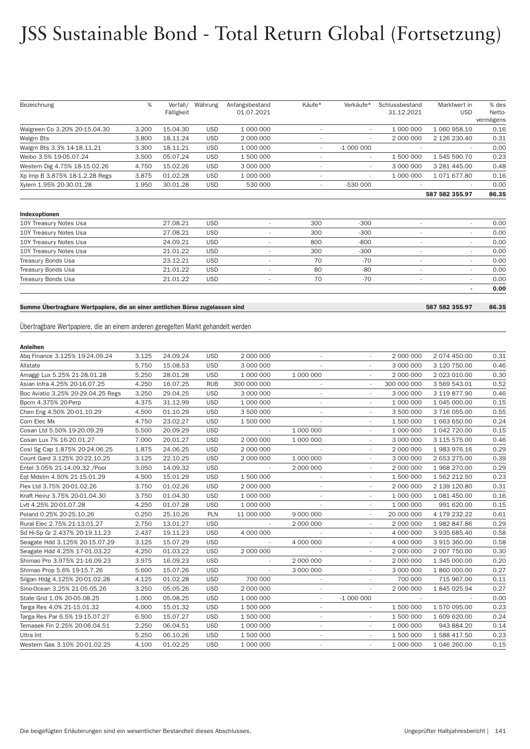| Bezeichnung                                                                      | %     | Fälligkeit | Verfall/ Währung | Anfangsbestand<br>01.07.2021 | Käufe*                   | Verkäufe*                | Schlussbestand<br>31.12.2021 | Marktwert in<br><b>USD</b>    | % des<br>Netto-   |
|----------------------------------------------------------------------------------|-------|------------|------------------|------------------------------|--------------------------|--------------------------|------------------------------|-------------------------------|-------------------|
| Walgreen Co 3.20% 20-15.04.30                                                    | 3.200 | 15.04.30   | <b>USD</b>       | 1 000 000                    | $\overline{\phantom{a}}$ |                          | 1 000 000                    | 1 060 958.10                  | vermögens<br>0.16 |
| Walgrn Bts                                                                       | 3.800 | 18.11.24   | <b>USD</b>       | 2 000 000                    | $\overline{\phantom{a}}$ |                          | 2 000 000                    | 2 126 230.40                  | 0.31              |
| Walgrn Bts 3.3% 14-18.11.21                                                      | 3.300 | 18.11.21   | <b>USD</b>       | 1 000 000                    | $\overline{\phantom{a}}$ | $-1000000$               |                              |                               | 0.00              |
| Weibo 3.5% 19-05.07.24                                                           | 3.500 | 05.07.24   | <b>USD</b>       | 1 500 000                    | $\overline{\phantom{a}}$ | $\overline{\phantom{a}}$ | 1 500 000                    | 1 545 590.70                  | 0.23              |
| Western Dig 4.75% 18-15.02.26                                                    | 4.750 | 15.02.26   | <b>USD</b>       | 3 000 000                    | $\overline{\phantom{a}}$ |                          | 3 000 000                    | 3 281 445.00                  | 0.48              |
| Xp Imp B 3.875% 18-1.2.28 Regs                                                   | 3.875 | 01.02.28   | <b>USD</b>       | 1 000 000                    | $\overline{a}$           |                          | 1 000 000                    | 1 071 677.80                  | 0.16              |
| Xylem 1.95% 20-30.01.28                                                          | 1.950 | 30.01.28   | <b>USD</b>       | 530 000                      | $\overline{\phantom{a}}$ | -530 000                 |                              |                               | 0.00              |
|                                                                                  |       |            |                  |                              |                          |                          |                              | 587 582 355.97                | 86.35             |
|                                                                                  |       |            |                  |                              |                          |                          |                              |                               |                   |
| Indexoptionen                                                                    |       |            |                  |                              |                          |                          |                              |                               |                   |
| 10Y Treasury Notes Usa                                                           |       | 27.08.21   | <b>USD</b>       |                              | 300                      | $-300$                   |                              |                               | 0.00              |
| 10Y Treasury Notes Usa                                                           |       | 27.08.21   | <b>USD</b>       | $\overline{\phantom{a}}$     | 300                      | $-300$                   | $\overline{\phantom{a}}$     | $\overline{\phantom{a}}$      | 0.00              |
| 10Y Treasury Notes Usa                                                           |       | 24.09.21   | <b>USD</b>       | $\overline{\phantom{a}}$     | 800                      | $-800$                   | $\overline{\phantom{a}}$     | $\overline{\phantom{a}}$      | 0.00              |
| 10Y Treasury Notes Usa                                                           |       | 21.01.22   | <b>USD</b>       | $\overline{\phantom{a}}$     | 300                      | $-300$                   | $\overline{\phantom{a}}$     | $\overline{\phantom{a}}$      | 0.00              |
| Treasury Bonds Usa                                                               |       | 23.12.21   | <b>USD</b>       | $\overline{\phantom{a}}$     | 70                       | $-70$                    | $\overline{\phantom{a}}$     |                               | 0.00              |
| Treasury Bonds Usa                                                               |       | 21.01.22   | <b>USD</b>       | $\overline{\phantom{a}}$     | 80                       | $-80$                    | $\overline{\phantom{a}}$     | $\sim$                        | 0.00              |
| Treasury Bonds Usa                                                               |       | 21.01.22   | <b>USD</b>       | $\overline{\phantom{a}}$     | 70                       | $-70$                    | $\overline{\phantom{a}}$     | $\overline{\phantom{a}}$<br>٠ | 0.00<br>0.00      |
|                                                                                  |       |            |                  |                              |                          |                          |                              |                               |                   |
| Summe Übertragbare Wertpapiere, die an einer amtlichen Börse zugelassen sind     |       |            |                  |                              |                          |                          |                              | 587 582 355.97                | 86.35             |
|                                                                                  |       |            |                  |                              |                          |                          |                              |                               |                   |
| Übertragbare Wertpapiere, die an einem anderen geregelten Markt gehandelt werden |       |            |                  |                              |                          |                          |                              |                               |                   |
|                                                                                  |       |            |                  |                              |                          |                          |                              |                               |                   |
| <b>Anleihen</b>                                                                  |       |            |                  |                              |                          |                          |                              |                               |                   |
| Abq Finance 3.125% 19-24.09.24                                                   | 3.125 | 24.09.24   | <b>USD</b>       | 2 000 000                    |                          |                          | 2 000 000                    | 2 074 450.00                  | 0.31              |
| Allstate                                                                         | 5.750 | 15.08.53   | <b>USD</b>       | 3 000 000                    | $\overline{\phantom{a}}$ | $\overline{\phantom{a}}$ | 3 000 000                    | 3 120 750.00                  | 0.46              |
| Amaggi Lux 5.25% 21-28.01.28                                                     | 5.250 | 28.01.28   | <b>USD</b>       | 1 000 000                    | 1 000 000                | $\overline{\phantom{a}}$ | 2 000 000                    | 2 023 010.00                  | 0.30              |
| Asian Infra 4.25% 20-16.07.25                                                    | 4.250 | 16.07.25   | <b>RUB</b>       | 300 000 000                  | $\overline{\phantom{a}}$ | $\overline{\phantom{a}}$ | 300 000 000                  | 3 569 543.01                  | 0.52              |
| Boc Aviatio 3.25% 20-29.04.25 Regs                                               | 3.250 | 29.04.25   | <b>USD</b>       | 3 000 000                    | $\overline{a}$           |                          | 3 000 000                    | 3 119 877.90                  | 0.46              |
| Bpcm 4.375% 20-Perp                                                              | 4.375 | 31.12.99   | <b>USD</b>       | 1 000 000                    | $\overline{\phantom{a}}$ | $\overline{\phantom{a}}$ | 1 000 000                    | 1 045 000.00                  | 0.15              |
| Chen Eng 4.50% 20-01.10.29                                                       | 4.500 | 01.10.29   | <b>USD</b>       | 3 500 000                    | $\overline{\phantom{a}}$ | $\overline{\phantom{a}}$ | 3 500 000                    | 3716055.00                    | 0.55              |
| Com Elec Mx                                                                      | 4.750 | 23.02.27   | <b>USD</b>       | 1 500 000                    | $\overline{\phantom{a}}$ | $\sim$                   | 1 500 000                    | 1 663 650.00                  | 0.24              |
| Cosan Ltd 5.50% 19-20.09.29                                                      | 5.500 | 20.09.29   | <b>USD</b>       |                              | 1 000 000                |                          | 1 000 000                    | 1 042 720.00                  | 0.15              |
| Cosan Lux 7% 16-20.01.27                                                         | 7.000 | 20.01.27   | <b>USD</b>       | 2 000 000                    | 1 000 000                | $\overline{\phantom{a}}$ | 3 000 000                    | 3 115 575.00                  | 0.46              |
| Cosl Sg Cap 1.875% 20-24.06.25                                                   | 1.875 | 24.06.25   | <b>USD</b>       | 2 000 000                    |                          | $\overline{\phantom{a}}$ | 2 000 000                    | 1983976.16                    | 0.29              |
| Count Gard 3.125% 20-22.10.25                                                    | 3.125 | 22.10.25   | <b>USD</b>       | 2 000 000                    | 1 000 000                | $\overline{\phantom{a}}$ | 3 000 000                    | 2 653 275.00                  | 0.39              |
| Entel 3.05% 21-14.09.32 /Pool                                                    | 3.050 | 14.09.32   | <b>USD</b>       |                              | 2 000 000                |                          | 2 000 000                    | 1 968 270.00                  | 0.29              |
| Eqt Mdstm 4.50% 21-15.01.29                                                      | 4.500 | 15.01.29   | <b>USD</b>       | 1 500 000                    | $\sim$                   | $\overline{\phantom{a}}$ | 1 500 000                    | 1 562 212.50                  | 0.23              |
| Flex Ltd 3.75% 20-01.02.26                                                       | 3.750 | 01.02.26   | <b>USD</b>       | 2 000 000                    | $\overline{\phantom{a}}$ |                          | 2 000 000                    | 2 139 120.80                  | 0.31              |
| Kraft Heinz 3.75% 20-01.04.30                                                    | 3.750 | 01.04.30   | <b>USD</b>       | 1 000 000                    |                          |                          | 1 000 000                    | 1 081 450.00                  | 0.16              |
| Lvlt 4.25% 20-01.07.28                                                           | 4.250 | 01.07.28   | <b>USD</b>       | 1 000 000                    |                          |                          | 1 000 000                    | 991 620.00                    | 0.15              |
| Poland 0.25% 20-25.10.26                                                         | 0.250 | 25.10.26   | <b>PLN</b>       | 11 000 000                   | 9 000 000                | $\overline{\phantom{a}}$ | 20 000 000                   | 4 179 232.22                  | 0.61              |
| Rural Elec 2.75% 21-13.01.27                                                     | 2.750 | 13.01.27   | <b>USD</b>       |                              | 2 000 000                | $\overline{\phantom{a}}$ | 2 000 000                    | 1982 847.86                   | 0.29              |
| Sd Hi-Sp Gr 2.437% 20-19.11.23                                                   | 2.437 | 19.11.23   | <b>USD</b>       | 4 000 000                    |                          | $\overline{\phantom{a}}$ | 4 000 000                    | 3 935 685.40                  | 0.58              |
| Seagate Hdd 3.125% 20-15.07.29                                                   | 3.125 | 15.07.29   | <b>USD</b>       |                              | 4 000 000                |                          | 4 000 000                    | 3 915 360.00                  | 0.58              |
| Seagate Hdd 4.25% 17-01.03.22                                                    | 4.250 | 01.03.22   | <b>USD</b>       | 2 000 000                    |                          | $\overline{\phantom{a}}$ | 2 000 000                    | 2 007 750.00                  | 0.30              |
| Shimao Pro 3.975% 21-16.09.23                                                    | 3.975 | 16.09.23   | <b>USD</b>       |                              | 2 000 000                | $\overline{\phantom{a}}$ | 2 000 000                    | 1 345 000.00                  | 0.20              |
| Shimao Prop 5.6% 19-15.7.26                                                      | 5.600 | 15.07.26   | <b>USD</b>       |                              | 3 000 000                | $\overline{\phantom{a}}$ | 3 000 000                    | 1 860 000.00                  | 0.27              |
| Silgan Hldg 4.125% 20-01.02.28                                                   | 4.125 | 01.02.28   | <b>USD</b>       | 700 000                      |                          |                          | 700 000                      | 715 967.00                    | 0.11              |
| Sino-Ocean 3.25% 21-05.05.26                                                     | 3.250 | 05.05.26   | <b>USD</b>       | 2 000 000                    | $\overline{\phantom{a}}$ | $\overline{\phantom{a}}$ | 2 000 000                    | 1845 025.94                   | 0.27              |
|                                                                                  | 1.000 | 05.08.25   | <b>USD</b>       | 1 000 000                    |                          | $-1000000$               |                              |                               | 0.00              |
| State Grid 1.0% 20-05.08.25                                                      |       |            |                  |                              | $\overline{\phantom{a}}$ |                          |                              | 1 570 095.00                  | 0.23              |
| Targa Res 4.0% 21-15.01.32                                                       | 4.000 | 15.01.32   | <b>USD</b>       | 1 500 000                    | $\overline{\phantom{a}}$ |                          | 1 500 000                    |                               |                   |
| Targa Res Par 6.5% 19-15.07.27                                                   | 6.500 | 15.07.27   | <b>USD</b>       | 1 500 000                    | $\overline{\phantom{a}}$ |                          | 1 500 000                    | 1 609 620.00                  | 0.24              |
| Temasek Fin 2.25% 20-06.04.51                                                    | 2.250 | 06.04.51   | <b>USD</b>       | 1 000 000                    | $\overline{\phantom{a}}$ | $\overline{\phantom{a}}$ | 1 000 000                    | 943 884.20                    | 0.14              |
| Ultra Int                                                                        | 5.250 | 06.10.26   | <b>USD</b>       | 1 500 000                    | $\overline{a}$           | $\overline{\phantom{a}}$ | 1 500 000                    | 1 588 417.50                  | 0.23              |
| Western Gas 3.10% 20-01.02.25                                                    | 4.100 | 01.02.25   | <b>USD</b>       | 1 000 000                    |                          |                          | 1 000 000                    | 1 046 260.00                  | 0.15              |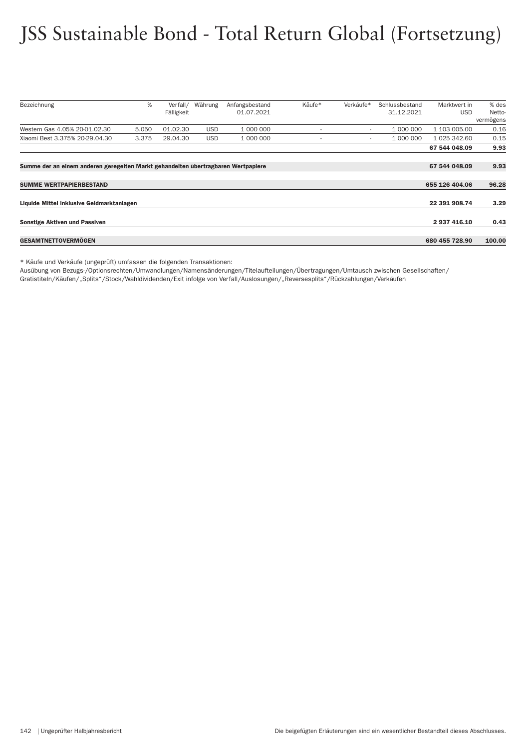| Bezeichnung<br>%<br>Käufe*<br>Verkäufe*<br>Währung<br>Anfangsbestand<br>Schlussbestand<br>Verfall/<br>01.07.2021<br>31.12.2021<br>Fälligkeit | Marktwert in<br>% des<br><b>USD</b><br>Netto- |  |  |  |  |  |  |
|----------------------------------------------------------------------------------------------------------------------------------------------|-----------------------------------------------|--|--|--|--|--|--|
|                                                                                                                                              |                                               |  |  |  |  |  |  |
|                                                                                                                                              |                                               |  |  |  |  |  |  |
|                                                                                                                                              | vermögens                                     |  |  |  |  |  |  |
| Western Gas 4.05% 20-01.02.30<br>01.02.30<br>1 000 000<br>1 000 000<br>5.050<br><b>USD</b><br>$\overline{\phantom{a}}$<br>$\,$               | 0.16<br>1 103 005.00                          |  |  |  |  |  |  |
| Xiaomi Best 3.375% 20-29.04.30<br>3.375<br>29.04.30<br><b>USD</b><br>1 000 000<br>1 000 000<br>$\overline{\phantom{a}}$                      | 0.15<br>1 025 342.60                          |  |  |  |  |  |  |
| 67 544 048.09                                                                                                                                | 9.93                                          |  |  |  |  |  |  |
|                                                                                                                                              |                                               |  |  |  |  |  |  |
| Summe der an einem anderen geregelten Markt gehandelten übertragbaren Wertpapiere<br>67 544 048.09                                           | 9.93                                          |  |  |  |  |  |  |
|                                                                                                                                              |                                               |  |  |  |  |  |  |
| 655 126 404.06<br><b>SUMME WERTPAPIERBESTAND</b>                                                                                             |                                               |  |  |  |  |  |  |
|                                                                                                                                              |                                               |  |  |  |  |  |  |
| Liquide Mittel inklusive Geldmarktanlagen<br>22 391 908.74                                                                                   |                                               |  |  |  |  |  |  |
|                                                                                                                                              |                                               |  |  |  |  |  |  |
| <b>Sonstige Aktiven und Passiven</b>                                                                                                         | 2 937 416.10<br>0.43                          |  |  |  |  |  |  |
|                                                                                                                                              |                                               |  |  |  |  |  |  |
| <b>GESAMTNETTOVERMOGEN</b><br>680 455 728.90                                                                                                 | 100.00                                        |  |  |  |  |  |  |

\* Käufe und Verkäufe (ungeprüft) umfassen die folgenden Transaktionen:

Ausübung von Bezugs-/Optionsrechten/Umwandlungen/Namensänderungen/Titelaufteilungen/Über tragungen/Umtausch zwischen Gesellschaften/

Gratistiteln/Käufen/"Splits"/Stock/Wahldividenden/Exit infolge von Verfall/Auslosungen/"Reversesplits"/Rückzahlungen/Verkäufen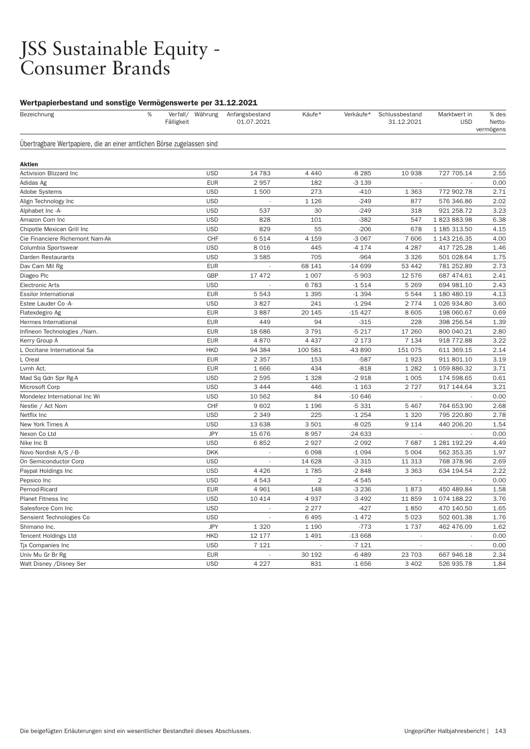#### JSS Sustainable Equity - Consumer Brands

#### Wertpapierbestand und sonstige Vermögenswerte per 31.12.2021

| Bezeichnung                                                            | %<br>Fälligkeit | Verfall/ Währung | Anfangsbestand<br>01.07.2021 | Käufe*         | Verkäufe* | Schlussbestand<br>31.12.2021 | Marktwert in<br><b>USD</b> | % des<br>Netto-<br>vermögens |
|------------------------------------------------------------------------|-----------------|------------------|------------------------------|----------------|-----------|------------------------------|----------------------------|------------------------------|
| Übertragbare Wertpapiere, die an einer amtlichen Börse zugelassen sind |                 |                  |                              |                |           |                              |                            |                              |
| Aktien                                                                 |                 |                  |                              |                |           |                              |                            |                              |
| <b>Activision Blizzard Inc</b>                                         |                 | <b>USD</b>       | 14 783                       | 4 4 4 0        | $-8285$   | 10 938                       | 727 705.14                 | 2.55                         |
| Adidas Ag                                                              |                 | <b>EUR</b>       | 2957                         | 182            | $-3139$   |                              |                            | 0.00                         |
| Adobe Systems                                                          |                 | <b>USD</b>       | 1500                         | 273            | $-410$    | 1 3 6 3                      | 772 902.78                 | 2.71                         |
| Align Technology Inc                                                   |                 | <b>USD</b>       |                              | 1 1 2 6        | $-249$    | 877                          | 576 346.86                 | 2.02                         |
| Alphabet Inc -A-                                                       |                 | <b>USD</b>       | 537                          | 30             | $-249$    | 318                          | 921 258.72                 | 3.23                         |
| Amazon Com Inc                                                         |                 | <b>USD</b>       | 828                          | 101            | $-382$    | 547                          | 1823883.98                 | 6.38                         |
| Chipotle Mexican Grill Inc                                             |                 | <b>USD</b>       | 829                          | 55             | $-206$    | 678                          | 1 185 313.50               | 4.15                         |
| Cie Financiere Richemont Nam-Ak                                        |                 | CHF              | 6514                         | 4 1 5 9        | $-3067$   | 7 606                        | 1 143 216.35               | 4.00                         |
| Columbia Sportswear                                                    |                 | <b>USD</b>       | 8 0 1 6                      | 445            | $-4174$   | 4 2 8 7                      | 417 725.28                 | 1.46                         |
| Darden Restaurants                                                     |                 | <b>USD</b>       | 3585                         | 705            | $-964$    | 3 3 2 6                      | 501 028.64                 | 1.75                         |
| Dav Cam Mil Rg                                                         |                 | <b>EUR</b>       |                              | 68 141         | $-14699$  | 53 442                       | 781 252.89                 | 2.73                         |
| Diageo Plc                                                             |                 | GBP              | 17 472                       | 1 0 0 7        | $-5903$   | 12576                        | 687 474.61                 | 2.41                         |
| Electronic Arts                                                        |                 | <b>USD</b>       |                              | 6783           | $-1514$   | 5 2 6 9                      | 694 981.10                 | 2.43                         |
| <b>Essilor International</b>                                           |                 | <b>EUR</b>       | 5 5 4 3                      | 1 3 9 5        | $-1394$   | 5 5 4 4                      | 1 180 480.19               | 4.13                         |
| Estee Lauder Co -A-                                                    |                 | <b>USD</b>       | 3827                         | 241            | $-1294$   | 2 7 7 4                      | 1 026 934.80               | 3.60                         |
| Flatexdegiro Ag                                                        |                 | <b>EUR</b>       | 3887                         | 20 145         | $-15427$  | 8 6 0 5                      | 198 060.67                 | 0.69                         |
| Hermes International                                                   |                 | <b>EUR</b>       | 449                          | 94             | $-315$    | 228                          | 398 256.54                 | 1.39                         |
| Infineon Technologies /Nam.                                            |                 | <b>EUR</b>       | 18 686                       | 3791           | $-5217$   | 17 260                       | 800 040.21                 | 2.80                         |
| Kerry Group A                                                          |                 | <b>EUR</b>       | 4870                         | 4 4 3 7        | $-2173$   | 7 1 3 4                      | 918 772.88                 | 3.22                         |
| L Occitane International Sa                                            |                 | <b>HKD</b>       | 94 384                       | 100 581        | -43 890   | 151 075                      | 611 369.15                 | 2.14                         |
| L Oreal                                                                |                 | <b>EUR</b>       | 2 3 5 7                      | 153            | $-587$    | 1923                         | 911 801.10                 | 3.19                         |
| Lvmh Act.                                                              |                 | <b>EUR</b>       | 1666                         | 434            | $-818$    | 1 2 8 2                      | 1 059 886.32               | 3.71                         |
| Mad Sq Gdn Spr Rg-A                                                    |                 | <b>USD</b>       | 2 5 9 5                      | 1 3 2 8        | $-2918$   | 1 0 0 5                      | 174 598.65                 | 0.61                         |
| Microsoft Corp                                                         |                 | <b>USD</b>       | 3 4 4 4                      | 446            | $-1163$   | 2727                         | 917 144.64                 | 3.21                         |
| Mondelez International Inc Wi                                          |                 | <b>USD</b>       | 10 562                       | 84             | $-10646$  | ÷                            |                            | 0.00                         |
| Nestle / Act Nom                                                       |                 | CHF              | 9602                         | 1 1 9 6        | $-5331$   | 5 4 6 7                      | 764 653.90                 | 2.68                         |
| Netflix Inc                                                            |                 | <b>USD</b>       | 2 3 4 9                      | 225            | $-1254$   | 1 3 2 0                      | 795 220.80                 | 2.78                         |
| New York Times A                                                       |                 | <b>USD</b>       | 13 638                       | 3501           | $-8025$   | 9 1 1 4                      | 440 206.20                 | 1.54                         |
| Nexon Co Ltd                                                           |                 | <b>JPY</b>       | 15 676                       | 8957           | $-24633$  |                              |                            | 0.00                         |
| Nike Inc B                                                             |                 | <b>USD</b>       | 6852                         | 2927           | $-2092$   | 7687                         | 1 281 192.29               | 4.49                         |
| Novo Nordisk A/S /-B-                                                  |                 | <b>DKK</b>       | ÷                            | 6098           | $-1094$   | 5 0 0 4                      | 562 353.35                 | 1.97                         |
| On Semiconductor Corp                                                  |                 | <b>USD</b>       |                              | 14 6 28        | $-3315$   | 11 313                       | 768 378.96                 | 2.69                         |
| Paypal Holdings Inc                                                    |                 | <b>USD</b>       | 4 4 2 6                      | 1785           | $-2848$   | 3 3 6 3                      | 634 194.54                 | 2.22                         |
| Pepsico Inc                                                            |                 | <b>USD</b>       | 4543                         | $\overline{2}$ | $-4545$   |                              |                            | 0.00                         |
| Pernod-Ricard                                                          |                 | <b>EUR</b>       | 4 9 6 1                      | 148            | $-3236$   | 1873                         | 450 489.84                 | 1.58                         |
| <b>Planet Fitness Inc</b>                                              |                 | <b>USD</b>       | 10 4 14                      | 4937           | $-3492$   | 11859                        | 1074 188.22                | 3.76                         |
| Salesforce Com Inc                                                     |                 | <b>USD</b>       |                              | 2 2 7 7        | $-427$    | 1850                         | 470 140.50                 | 1.65                         |
| Sensient Technologies Co                                               |                 | <b>USD</b>       |                              | 6 4 9 5        | $-1472$   | 5 0 2 3                      | 502 601.38                 | 1.76                         |
| Shimano Inc.                                                           |                 | <b>JPY</b>       | 1 3 2 0                      | 1 1 9 0        | $-773$    | 1737                         | 462 476.09                 | 1.62                         |
| <b>Tencent Holdings Ltd</b>                                            |                 | <b>HKD</b>       | 12 177                       | 1 4 9 1        | $-13668$  |                              |                            | 0.00                         |
| Tjx Companies Inc                                                      |                 | <b>USD</b>       | 7 1 2 1                      |                | $-7121$   |                              |                            | 0.00                         |
| Univ Mu Gr Br Rg                                                       |                 | <b>EUR</b>       |                              | 30 192         | $-6489$   | 23 703                       | 667 946.18                 | 2.34                         |
| Walt Disney / Disney Ser                                               |                 | <b>USD</b>       | 4 2 2 7                      | 831            | $-1656$   | 3 4 0 2                      | 526 935.78                 | 1.84                         |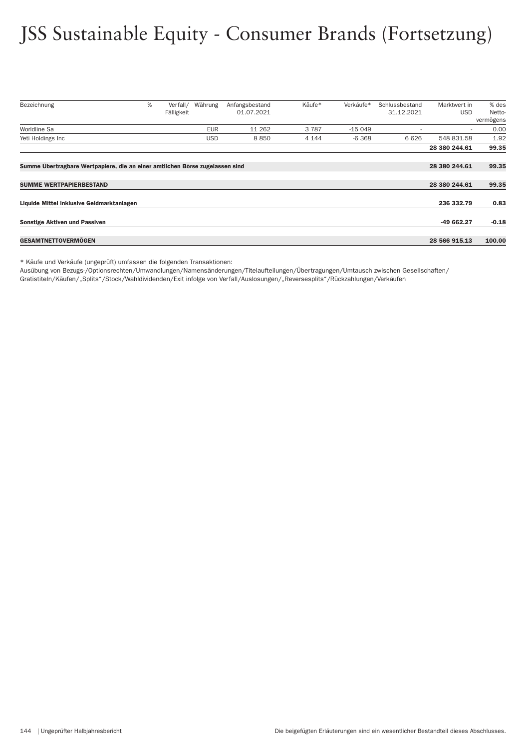# JSS Sustainable Equity - Consumer Brands (Fortsetzung)

| Bezeichnung                                                                  | % | Verfall/   | Währung    | Anfangsbestand | Käufe*  | Verkäufe* | Schlussbestand | Marktwert in  | % des     |
|------------------------------------------------------------------------------|---|------------|------------|----------------|---------|-----------|----------------|---------------|-----------|
|                                                                              |   | Fälligkeit |            | 01.07.2021     |         |           | 31.12.2021     | <b>USD</b>    | Netto-    |
|                                                                              |   |            |            |                |         |           |                |               | vermögens |
| Worldline Sa                                                                 |   |            | <b>EUR</b> | 11 262         | 3787    | $-15049$  |                |               | 0.00      |
| Yeti Holdings Inc                                                            |   |            | <b>USD</b> | 8850           | 4 1 4 4 | $-6368$   | 6 6 2 6        | 548 831.58    | 1.92      |
|                                                                              |   |            |            |                |         |           |                | 28 380 244.61 | 99.35     |
| Summe Übertragbare Wertpapiere, die an einer amtlichen Börse zugelassen sind |   |            |            |                |         |           |                | 28 380 244.61 | 99.35     |
|                                                                              |   |            |            |                |         |           |                |               |           |
| <b>SUMME WERTPAPIERBESTAND</b>                                               |   |            |            |                |         |           |                | 28 380 244.61 | 99.35     |
| Liquide Mittel inklusive Geldmarktanlagen                                    |   |            |            |                |         |           |                | 236 332.79    | 0.83      |
| <b>Sonstige Aktiven und Passiven</b>                                         |   |            |            |                |         |           |                | -49 662.27    | $-0.18$   |
|                                                                              |   |            |            |                |         |           |                |               |           |
| <b>GESAMTNETTOVERMOGEN</b>                                                   |   |            |            |                |         |           |                | 28 566 915.13 | 100.00    |

\* Käufe und Verkäufe (ungeprüft) umfassen die folgenden Transaktionen:

Ausübung von Bezugs-/Optionsrechten/Umwandlungen/Namensänderungen/Titelaufteilungen/Über tragungen/Umtausch zwischen Gesellschaften/

Gratistiteln/Käufen/"Splits"/Stock/Wahldividenden/Exit infolge von Verfall/Auslosungen/"Reversesplits"/Rückzahlungen/Verkäufen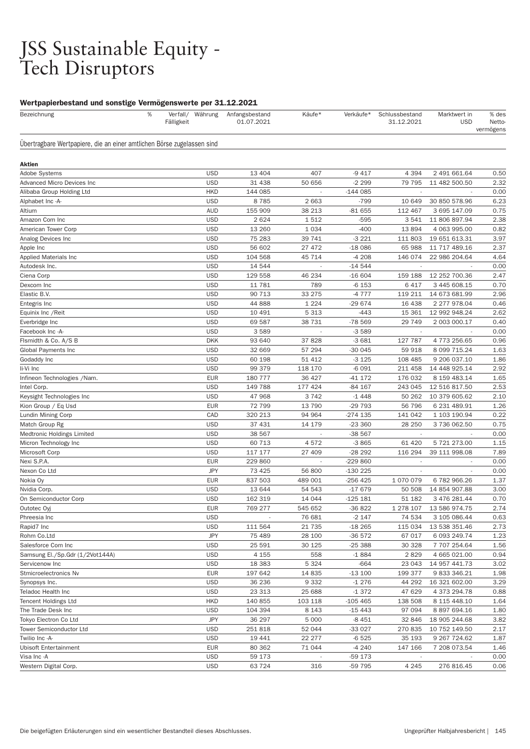# JSS Sustainable Equity - Tech Disruptors

# Wertpapierbestand und sonstige Vermögenswerte per 31.12.2021

| Bezeichnung                                                            | $\%$ | Fälligkeit | Verfall/ Währung | Anfangsbestand<br>01.07.2021 | Käufe*  | Verkäufe*  | Schlussbestand<br>31.12.2021 | Marktwert in<br><b>USD</b> | % des<br>Netto-<br>vermögens |
|------------------------------------------------------------------------|------|------------|------------------|------------------------------|---------|------------|------------------------------|----------------------------|------------------------------|
| Ubertragbare Wertpapiere, die an einer amtlichen Börse zugelassen sind |      |            |                  |                              |         |            |                              |                            |                              |
| Aktien                                                                 |      |            |                  |                              |         |            |                              |                            |                              |
| <b>Adobe Systems</b>                                                   |      |            | <b>USD</b>       | 13 4 04                      | 407     | $-9417$    | 4 3 9 4                      | 2 491 661.64               | 0.50                         |
| Advanced Micro Devices Inc                                             |      |            | <b>USD</b>       | 31 438                       | 50 656  | $-2299$    | 79 795                       | 11 482 500.50              | 2.32                         |
| Alibaba Group Holding Ltd                                              |      |            | <b>HKD</b>       | 144 085                      |         | $-144085$  |                              |                            | 0.00                         |
| Alphabet Inc -A-                                                       |      |            | <b>USD</b>       | 8785                         | 2 6 6 3 | $-799$     | 10 649                       | 30 850 578.96              | 6.23                         |
| Altium                                                                 |      |            | <b>AUD</b>       | 155 909                      | 38 213  | $-81655$   | 112 467                      | 3 695 147.09               | 0.75                         |
| Amazon Com Inc                                                         |      |            | <b>USD</b>       | 2624                         | 1512    | $-595$     | 3541                         | 11 806 897.94              | 2.38                         |
| American Tower Corp                                                    |      |            | <b>USD</b>       | 13 260                       | 1 0 3 4 | $-400$     | 13894                        | 4 063 995.00               | 0.82                         |
| Analog Devices Inc                                                     |      |            | <b>USD</b>       | 75 283                       | 39 741  | $-3221$    | 111 803                      | 19 651 613.31              | 3.97                         |
| Apple Inc                                                              |      |            | <b>USD</b>       | 56 602                       | 27 472  | $-18086$   | 65 988                       | 11 717 489.16              | 2.37                         |
| <b>Applied Materials Inc</b>                                           |      |            | <b>USD</b>       | 104 568                      | 45 714  | $-4208$    | 146 074                      | 22 986 204.64              | 4.64                         |
| Autodesk Inc.                                                          |      |            | <b>USD</b>       | 14 544                       |         | $-14544$   |                              |                            | 0.00                         |
| Ciena Corp                                                             |      |            | <b>USD</b>       | 129 558                      | 46 234  | $-16604$   | 159 188                      | 12 252 700.36              | 2.47                         |
| Dexcom Inc                                                             |      |            | <b>USD</b>       | 11 781                       | 789     | $-6153$    | 6417                         | 3 445 608.15               | 0.70                         |
| Elastic B.V.                                                           |      |            | <b>USD</b>       | 90 713                       | 33 275  | $-4777$    | 119 211                      | 14 673 681.99              | 2.96                         |
| Entegris Inc                                                           |      |            | <b>USD</b>       | 44 888                       | 1 2 2 4 | $-29674$   | 16 438                       | 2 277 978.04               | 0.46                         |
| Equinix Inc / Reit                                                     |      |            | <b>USD</b>       | 10 491                       | 5 3 1 3 | $-443$     | 15 361                       | 12 992 948.24              | 2.62                         |
| Everbridge Inc                                                         |      |            | <b>USD</b>       | 69 587                       | 38 7 31 | -78 569    | 29 749                       | 2 003 000.17               | 0.40                         |
| Facebook Inc -A-                                                       |      |            | <b>USD</b>       | 3589                         |         | $-3589$    |                              |                            | 0.00                         |
| Flsmidth & Co. A/S B                                                   |      |            | <b>DKK</b>       | 93 640                       | 37828   | $-3681$    | 127 787                      | 4773256.65                 | 0.96                         |
| Global Payments Inc                                                    |      |            | <b>USD</b>       | 32 669                       | 57 294  | $-300045$  | 59 918                       | 8 099 715.24               | 1.63                         |
| Godaddy Inc                                                            |      |            | <b>USD</b>       | 60 198                       | 51 412  | $-3125$    | 108 485                      | 9 206 037.10               | 1.86                         |
| li-Vi Inc                                                              |      |            | <b>USD</b>       | 99 379                       | 118 170 | $-6091$    | 211 458                      | 14 448 925.14              | 2.92                         |
| Infineon Technologies / Nam.                                           |      |            | <b>EUR</b>       | 180 777                      | 36 427  | $-41172$   | 176 032                      | 8 159 483.14               | 1.65                         |
| Intel Corp.                                                            |      |            | <b>USD</b>       | 149 788                      | 177 424 | $-84167$   | 243 045                      | 12 516 817.50              | 2.53                         |
| Keysight Technologies Inc                                              |      |            | <b>USD</b>       | 47 968                       | 3742    | $-1448$    | 50 262                       | 10 379 605.62              | 2.10                         |
| Kion Group / Eq Usd                                                    |      |            | <b>EUR</b>       | 72 799                       | 13790   | -29 793    | 56 796                       | 6 231 489.91               | 1.26                         |
| Lundin Mining Corp                                                     |      |            | CAD              | 320 213                      | 94 964  | $-274$ 135 | 141 042                      | 1 103 190.94               | 0.22                         |
| Match Group Rg                                                         |      |            | <b>USD</b>       | 37 431                       | 14 179  | $-23360$   | 28 250                       | 3 736 062.50               | 0.75                         |
| Medtronic Holdings Limited                                             |      |            | <b>USD</b>       | 38 567                       |         | -38 567    |                              |                            | 0.00                         |
| Micron Technology Inc                                                  |      |            | <b>USD</b>       | 60 713                       | 4572    | $-3865$    | 61 4 20                      | 5 721 273.00               | 1.15                         |
| Microsoft Corp                                                         |      |            | <b>USD</b>       | 117 177                      | 27 409  | $-28292$   | 116 294                      | 39 111 998.08              | 7.89                         |
| Nexi S.P.A.                                                            |      |            | <b>EUR</b>       | 229 860                      | ÷,      | -229 860   |                              | ÷,                         | 0.00                         |
| Nexon Co Ltd                                                           |      |            | <b>JPY</b>       | 73 4 25                      | 56 800  | -130 225   | $\overline{\phantom{a}}$     |                            | 0.00                         |
| Nokia Oy                                                               |      |            | <b>EUR</b>       | 837 503                      | 489 001 | -256 425   | 1 070 079                    | 6782966.26                 | 1.37                         |
| Nvidia Corp.                                                           |      |            | <b>USD</b>       | 13 644                       | 54 543  | $-17679$   | 50 508                       | 14 854 907.88              | 3.00                         |
| On Semiconductor Corp                                                  |      |            | <b>USD</b>       | 162 319                      | 14 044  | $-125181$  | 51 182                       | 3 476 281.44               | 0.70                         |
| Outotec Oyj                                                            |      |            | <b>EUR</b>       | 769 277                      | 545 652 | $-36822$   | 1 278 107                    | 13 586 974.75              | 2.74                         |
| Phreesia Inc                                                           |      |            | <b>USD</b>       |                              | 76 681  | $-2147$    | 74 534                       | 3 105 086.44               | 0.63                         |
| Rapid7 Inc                                                             |      |            | <b>USD</b>       | 111 564                      | 21 7 35 | -18 265    | 115 034                      | 13 538 351.46              | 2.73                         |
| Rohm Co.Ltd                                                            |      |            | <b>JPY</b>       | 75 489                       | 28 100  | -36 572    | 67 017                       | 6 093 249.74               | 1.23                         |
| Salesforce Com Inc                                                     |      |            | <b>USD</b>       | 25 591                       | 30 1 25 | $-25388$   | 30 328                       | 7 707 254.64               | 1.56                         |
| Samsung El./Sp.Gdr (1/2Vot144A)                                        |      |            | <b>USD</b>       | 4 1 5 5                      | 558     | $-1884$    | 2829                         | 4 665 021.00               | 0.94                         |
| Servicenow Inc                                                         |      |            | <b>USD</b>       | 18 3 8 3                     | 5 3 2 4 | $-664$     | 23 043                       | 14 957 441.73              | 3.02                         |
| Stmicroelectronics Nv                                                  |      |            | <b>EUR</b>       | 197 642                      | 14 8 35 | $-13100$   | 199 377                      | 9 833 346.21               | 1.98                         |
| Synopsys Inc.                                                          |      |            | <b>USD</b>       | 36 236                       | 9 3 3 2 | $-1276$    | 44 292                       | 16 321 602.00              | 3.29                         |
| Teladoc Health Inc                                                     |      |            | <b>USD</b>       | 23 313                       | 25 688  | $-1372$    | 47 629                       | 4 373 294.78               | 0.88                         |
| <b>Tencent Holdings Ltd</b>                                            |      |            | <b>HKD</b>       | 140 855                      | 103 118 | $-105465$  | 138 508                      | 8 115 448.10               | 1.64                         |
| The Trade Desk Inc                                                     |      |            | <b>USD</b>       | 104 394                      | 8 1 4 3 | $-15443$   | 97 094                       | 8 897 694.16               | 1.80                         |
| Tokyo Electron Co Ltd                                                  |      |            | <b>JPY</b>       | 36 297                       | 5 0 0 0 | $-8451$    | 32 846                       | 18 905 244.68              | 3.82                         |
| Tower Semiconductor Ltd                                                |      |            | <b>USD</b>       | 251818                       | 52 044  | -33 027    | 270 835                      | 10 752 149.50              | 2.17                         |
| Twilio Inc -A-                                                         |      |            | <b>USD</b>       | 19 441                       | 22 277  | $-6525$    | 35 193                       | 9 267 7 24.62              | 1.87                         |
| <b>Ubisoft Entertainment</b>                                           |      |            | <b>EUR</b>       | 80 362                       | 71 044  | $-4240$    | 147 166                      | 7 208 073.54               | 1.46                         |
| Visa Inc -A                                                            |      |            | <b>USD</b>       | 59 173                       |         | -59 173    |                              |                            | 0.00                         |
| Western Digital Corp.                                                  |      |            | <b>USD</b>       | 63724                        | 316     | -59 795    | 4 2 4 5                      | 276 816.45                 | 0.06                         |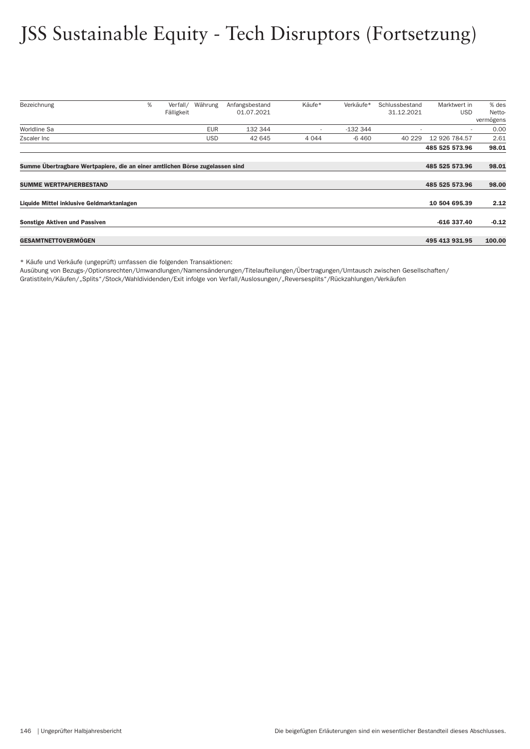# JSS Sustainable Equity - Tech Disruptors (Fortsetzung)

| Bezeichnung                                                                  | % | Verfall/   | Währung    | Anfangsbestand | Käufe*                   | Verkäufe* | Schlussbestand | Marktwert in   | % des     |
|------------------------------------------------------------------------------|---|------------|------------|----------------|--------------------------|-----------|----------------|----------------|-----------|
|                                                                              |   | Fälligkeit |            | 01.07.2021     |                          |           | 31.12.2021     | <b>USD</b>     | Netto-    |
|                                                                              |   |            |            |                |                          |           |                |                | vermögens |
| Worldline Sa                                                                 |   |            | <b>EUR</b> | 132 344        | $\overline{\phantom{a}}$ | $-132344$ |                | $\sim$         | 0.00      |
| Zscaler Inc                                                                  |   |            | <b>USD</b> | 42 645         | 4 0 4 4                  | $-6460$   | 40 229         | 12 926 784.57  | 2.61      |
|                                                                              |   |            |            |                |                          |           |                | 485 525 573.96 | 98.01     |
|                                                                              |   |            |            |                |                          |           |                |                |           |
| Summe Übertragbare Wertpapiere, die an einer amtlichen Börse zugelassen sind |   |            |            |                |                          |           |                | 485 525 573.96 | 98.01     |
|                                                                              |   |            |            |                |                          |           |                |                |           |
| <b>SUMME WERTPAPIERBESTAND</b>                                               |   |            |            |                |                          |           |                | 485 525 573.96 | 98.00     |
| Liquide Mittel inklusive Geldmarktanlagen                                    |   |            |            |                |                          |           |                | 10 504 695.39  | 2.12      |
|                                                                              |   |            |            |                |                          |           |                |                |           |
| <b>Sonstige Aktiven und Passiven</b>                                         |   |            |            |                |                          |           |                | $-616337.40$   | $-0.12$   |
| <b>GESAMTNETTOVERMOGEN</b>                                                   |   |            |            |                |                          |           |                | 495 413 931.95 | 100.00    |

\* Käufe und Verkäufe (ungeprüft) umfassen die folgenden Transaktionen:

Ausübung von Bezugs-/Optionsrechten/Umwandlungen/Namensänderungen/Titelaufteilungen/Über tragungen/Umtausch zwischen Gesellschaften/

Gratistiteln/Käufen/"Splits"/Stock/Wahldividenden/Exit infolge von Verfall/Auslosungen/"Reversesplits"/Rückzahlungen/Verkäufen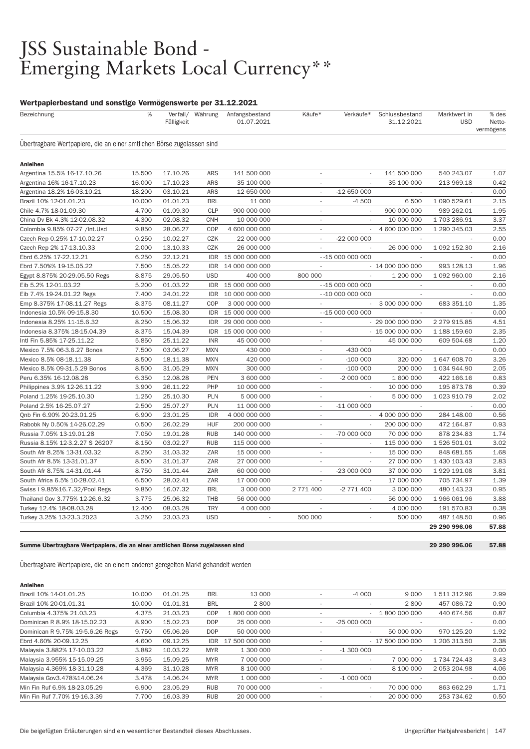# JSS Sustainable Bond - Emerging Markets Local Currency\*\*

# Wertpapierbestand und sonstige Vermögenswerte per 31.12.2021

| Bezeichnung                                                            | %      | Fälligkeit | Verfall/ Währung | Anfangsbestand<br>01.07.2021 | Käufe*                   | Verkäufe*                | Schlussbestand<br>31.12.2021 | Marktwert in<br><b>USD</b> | % des<br>Netto-<br>vermögens |
|------------------------------------------------------------------------|--------|------------|------------------|------------------------------|--------------------------|--------------------------|------------------------------|----------------------------|------------------------------|
| Übertragbare Wertpapiere, die an einer amtlichen Börse zugelassen sind |        |            |                  |                              |                          |                          |                              |                            |                              |
| <b>Anleihen</b>                                                        |        |            |                  |                              |                          |                          |                              |                            |                              |
| Argentina 15.5% 16-17.10.26                                            | 15.500 | 17.10.26   | <b>ARS</b>       | 141 500 000                  |                          |                          | 141 500 000                  | 540 243.07                 | 1.07                         |
| Argentina 16% 16-17.10.23                                              | 16.000 | 17.10.23   | <b>ARS</b>       | 35 100 000                   | $\mathbf{r}$             | ÷                        | 35 100 000                   | 213 969.18                 | 0.42                         |
| Argentina 18.2% 16-03.10.21                                            | 18.200 | 03.10.21   | <b>ARS</b>       | 12 650 000                   | $\sim$                   | $-12650000$              |                              |                            | 0.00                         |
| Brazil 10% 12-01.01.23                                                 | 10.000 | 01.01.23   | <b>BRL</b>       | 11 000                       | $\overline{\phantom{a}}$ | $-4500$                  | 6 500                        | 1 090 529.61               | 2.15                         |
| Chile 4.7% 18-01.09.30                                                 | 4.700  | 01.09.30   | <b>CLP</b>       | 900 000 000                  | $\sim$                   | $\overline{\phantom{a}}$ | 900 000 000                  | 989 262.01                 | 1.95                         |
| China Dv Bk 4.3% 12-02.08.32                                           | 4.300  | 02.08.32   | <b>CNH</b>       | 10 000 000                   | $\sim$                   |                          | 10 000 000                   | 1703 286.91                | 3.37                         |
| Colombia 9.85% 07-27 /Int.Usd                                          | 9.850  | 28.06.27   | COP              | 4 600 000 000                | $\overline{a}$           |                          | 4 600 000 000                | 1 290 345.03               | 2.55                         |
| Czech Rep 0.25% 17-10.02.27                                            | 0.250  | 10.02.27   | <b>CZK</b>       | 22 000 000                   | $\overline{\phantom{a}}$ | -22 000 000              |                              |                            | 0.00                         |
| Czech Rep 2% 17-13.10.33                                               | 2.000  | 13.10.33   | CZK              | 26 000 000                   | $\sim$                   |                          | 26 000 000                   | 1 092 152.30               | 2.16                         |
| Ebrd 6.25% 17-22.12.21                                                 | 6.250  | 22.12.21   | <b>IDR</b>       | 15 000 000 000               |                          | $-15000000000$           |                              |                            | 0.00                         |
| Ebrd 7.50%% 19-15.05.22                                                | 7.500  | 15.05.22   | <b>IDR</b>       | 14 000 000 000               | $\overline{\phantom{a}}$ |                          | $-14000000000$               | 993 128.13                 | 1.96                         |
| Egypt 8.875% 20-29.05.50 Regs                                          | 8.875  | 29.05.50   | <b>USD</b>       | 400 000                      | 800 000                  |                          | 1 200 000                    | 1 092 960.00               | 2.16                         |
| Eib 5.2% 12-01.03.22                                                   | 5.200  | 01.03.22   | <b>IDR</b>       | 15 000 000 000               |                          | $-15000000000$           | $\mathbf{r}$                 | $\mathbf{r}$               | 0.00                         |
| Eib 7.4% 19-24.01.22 Regs                                              | 7.400  | 24.01.22   | IDR              | 10 000 000 000               |                          | $-10000000000$           | $\sim$                       |                            | 0.00                         |
| Emp 8.375% 17-08.11.27 Regs                                            | 8.375  | 08.11.27   | COP              | 3 000 000 000                |                          |                          | 3 000 000 000                | 683 351.10                 | 1.35                         |
| Indonesia 10.5% 09-15.8.30                                             | 10.500 | 15.08.30   | <b>IDR</b>       | 15 000 000 000               |                          | $-15000000000$           | $\sim$                       |                            | 0.00                         |
| Indonesia 8.25% 11-15.6.32                                             | 8.250  | 15.06.32   | <b>IDR</b>       | 29 000 000 000               | $\sim$                   |                          | $-290000000000$              | 2 279 915.85               | 4.51                         |
| Indonesia 8.375% 18-15.04.39                                           | 8.375  | 15.04.39   | <b>IDR</b>       | 15 000 000 000               | $\sim$                   |                          | $-150000000000$              | 1 188 159.60               | 2.35                         |
| Intl Fin 5.85% 17-25.11.22                                             | 5.850  | 25.11.22   | <b>INR</b>       | 45 000 000                   | $\sim$                   | $\overline{\phantom{a}}$ | 45 000 000                   | 609 504.68                 | 1.20                         |
| Mexico 7.5% 06-3.6.27 Bonos                                            | 7.500  | 03.06.27   | <b>MXN</b>       | 430 000                      | $\sim$                   | $-430000$                |                              |                            | 0.00                         |
| Mexico 8.5% 08-18.11.38                                                | 8.500  | 18.11.38   | <b>MXN</b>       | 420 000                      | $\overline{\phantom{a}}$ | $-100000$                | 320 000                      | 1 647 608.70               | 3.26                         |
| Mexico 8.5% 09-31.5.29 Bonos                                           | 8.500  | 31.05.29   | <b>MXN</b>       | 300 000                      | ÷,                       | $-100000$                | 200 000                      | 1 034 944.90               | 2.05                         |
| Peru 6.35% 16-12.08.28                                                 | 6.350  | 12.08.28   | <b>PEN</b>       | 3 600 000                    | $\sim$                   | -2 000 000               | 1 600 000                    | 422 166.16                 | 0.83                         |
| Philippines 3.9% 12-26.11.22                                           | 3.900  | 26.11.22   | PHP              | 10 000 000                   | $\sim$                   |                          | 10 000 000                   | 195 873.78                 | 0.39                         |
| Poland 1.25% 19-25.10.30                                               | 1.250  | 25.10.30   | <b>PLN</b>       | 5 000 000                    | $\overline{\phantom{a}}$ | $\overline{\phantom{a}}$ | 5 000 000                    | 1 023 910.79               | 2.02                         |
| Poland 2.5% 16-25.07.27                                                | 2.500  | 25.07.27   | <b>PLN</b>       | 11 000 000                   | $\overline{\phantom{a}}$ | $-11000000$              |                              |                            | 0.00                         |
| Onb Fin 6.90% 20-23.01.25                                              | 6.900  | 23.01.25   | <b>IDR</b>       | 4 000 000 000                | $\sim$                   | $\sim$                   | 4 000 000 000                | 284 148.00                 | 0.56                         |
| Rabobk Ny 0.50% 14-26.02.29                                            | 0.500  | 26.02.29   | <b>HUF</b>       | 200 000 000                  | $\overline{\phantom{a}}$ | ÷.                       | 200 000 000                  | 472 164.87                 | 0.93                         |
| Russia 7.05% 13-19.01.28                                               | 7.050  | 19.01.28   | <b>RUB</b>       | 140 000 000                  | $\overline{\phantom{a}}$ | -70 000 000              | 70 000 000                   | 878 234.83                 | 1.74                         |
| Russia 8.15% 12-3.2.27 S 26207                                         | 8.150  | 03.02.27   | <b>RUB</b>       | 115 000 000                  | $\sim$                   | $\overline{\phantom{a}}$ | 115 000 000                  | 1 526 501.01               | 3.02                         |
| South Afr 8.25% 13-31.03.32                                            | 8.250  | 31.03.32   | ZAR              | 15 000 000                   | ÷.                       |                          | 15 000 000                   | 848 681.55                 | 1.68                         |
|                                                                        | 8.500  | 31.01.37   | ZAR              | 27 000 000                   | $\overline{a}$           |                          | 27 000 000                   | 1 430 103.43               | 2.83                         |
| South Afr 8.5% 13-31.01.37                                             |        |            |                  |                              |                          |                          |                              |                            |                              |
| South Afr 8.75% 14-31.01.44                                            | 8.750  | 31.01.44   | ZAR              | 60 000 000                   | $\overline{\phantom{a}}$ | -23 000 000              | 37 000 000                   | 1 929 191.08               | 3.81                         |
| South Africa 6.5% 10-28.02.41                                          | 6.500  | 28.02.41   | ZAR              | 17 000 000                   | ÷.                       | ÷.                       | 17 000 000                   | 705 734.97                 | 1.39                         |
| Swiss I 9.85%16.7.32/Pool Regs                                         | 9.850  | 16.07.32   | <b>BRL</b>       | 3 000 000                    | 2 771 400                | -2 771 400               | 3 000 000                    | 480 143.23                 | 0.95                         |
| Thailand Gov 3.775% 12-26.6.32                                         | 3.775  | 25.06.32   | <b>THB</b>       | 56 000 000                   | ÷,                       | $\overline{\phantom{a}}$ | 56 000 000                   | 1 966 061.96               | 3.88                         |
| Turkey 12.4% 18-08.03.28                                               | 12.400 | 08.03.28   | <b>TRY</b>       | 4 000 000                    | $\overline{\phantom{a}}$ | $\overline{\phantom{a}}$ | 4 000 000                    | 191 570.83                 | 0.38                         |
| Turkey 3.25% 13-23.3.2023                                              | 3.250  | 23.03.23   | <b>USD</b>       | $\mathcal{L}_{\mathcal{A}}$  | 500 000                  | ÷.                       | 500 000                      | 487 148.50                 | 0.96                         |
|                                                                        |        |            |                  |                              |                          |                          |                              | 29 290 996.06              | 57.88                        |

Summe Übertragbare Wertpapiere, die an einer amtlichen Börse zugelassen sind 29 290 996.06 57.88

Übertragbare Wertpapiere, die an einem anderen geregelten Markt gehandelt werden

| <b>Anleihen</b>                  |        |          |            |                |                          |                          |                |              |      |
|----------------------------------|--------|----------|------------|----------------|--------------------------|--------------------------|----------------|--------------|------|
| Brazil 10% 14-01.01.25           | 10.000 | 01.01.25 | <b>BRL</b> | 13 000         |                          | $-4000$                  | 9 0 0 0        | 1 511 312.96 | 2.99 |
| Brazil 10% 20-01.01.31           | 10.000 | 01.01.31 | <b>BRL</b> | 2800           | ٠                        | $\overline{\phantom{a}}$ | 2800           | 457 086.72   | 0.90 |
| Columbia 4.375% 21.03.23         | 4.375  | 21.03.23 | COP        | 800 000 000    |                          |                          | 1 800 000 000  | 440 674.56   | 0.87 |
| Dominican R 8.9% 18-15.02.23     | 8.900  | 15.02.23 | <b>DOP</b> | 25 000 000     | ٠                        | $-25000000$              |                |              | 0.00 |
| Dominican R 9.75% 19-5.6.26 Regs | 9.750  | 05.06.26 | <b>DOP</b> | 50 000 000     |                          | $\sim$                   | 50 000 000     | 970 125.20   | 1.92 |
| Ebrd 4.60% 20-09.12.25           | 4.600  | 09.12.25 | IDR        | 17 500 000 000 |                          |                          | $-17500000000$ | 1 206 313.50 | 2.38 |
| Malaysia 3.882% 17-10.03.22      | 3.882  | 10.03.22 | <b>MYR</b> | 1 300 000      | ٠                        | $-1300000$               |                |              | 0.00 |
| Malaysia 3.955% 15-15.09.25      | 3.955  | 15.09.25 | <b>MYR</b> | 7 000 000      |                          | $\sim$                   | 7 000 000      | 1 734 724.43 | 3.43 |
| Malaysia 4.369% 18-31.10.28      | 4.369  | 31.10.28 | <b>MYR</b> | 8 100 000      |                          | $\overline{\phantom{a}}$ | 8 100 000      | 2 053 204.98 | 4.06 |
| Malaysia Gov3.478%14.06.24       | 3.478  | 14.06.24 | <b>MYR</b> | 1 000 000      | $\overline{\phantom{a}}$ | $-1000000$               |                |              | 0.00 |
| Min Fin Ruf 6.9% 18-23.05.29     | 6.900  | 23.05.29 | <b>RUB</b> | 70 000 000     |                          | $\overline{\phantom{a}}$ | 70 000 000     | 863 662.29   | 1.71 |
| Min Fin Ruf 7.70% 19-16.3.39     | 7.700  | 16.03.39 | <b>RUB</b> | 20 000 000     | ۰                        | ۰.                       | 20 000 000     | 253 734.62   | 0.50 |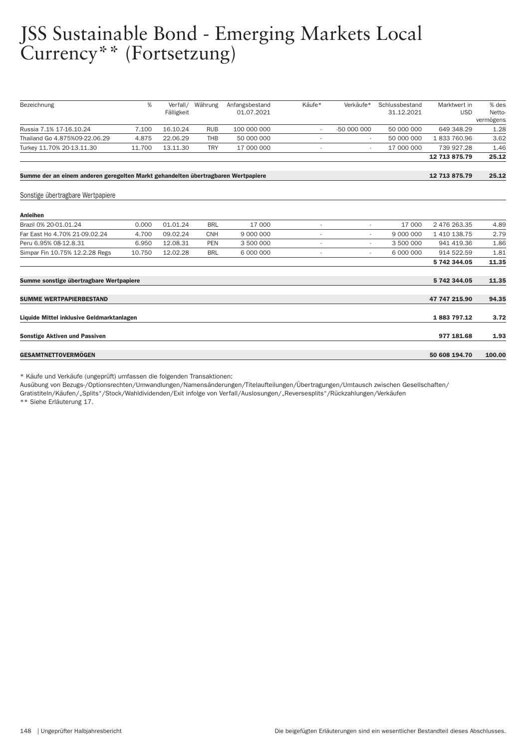# JSS Sustainable Bond - Emerging Markets Local Currency\*\* (Fortsetzung)

| Bezeichnung                                                                       | %      | Verfall/   | Währung    | Anfangsbestand | Käufe*                   | Verkäufe*      | Schlussbestand | Marktwert in  | % des               |
|-----------------------------------------------------------------------------------|--------|------------|------------|----------------|--------------------------|----------------|----------------|---------------|---------------------|
|                                                                                   |        | Fälligkeit |            | 01.07.2021     |                          |                | 31.12.2021     | <b>USD</b>    | Netto-<br>vermögens |
| Russia 7.1% 17-16.10.24                                                           | 7.100  | 16.10.24   | <b>RUB</b> | 100 000 000    | $\overline{\phantom{a}}$ | -50 000 000    | 50 000 000     | 649 348.29    | 1.28                |
| Thailand Go 4.875%09-22.06.29                                                     | 4.875  | 22.06.29   | <b>THB</b> | 50 000 000     | $\overline{\phantom{a}}$ |                | 50 000 000     | 1833760.96    | 3.62                |
| Turkey 11.70% 20-13.11.30                                                         | 11.700 | 13.11.30   | <b>TRY</b> | 17 000 000     | $\overline{\phantom{a}}$ | ٠              | 17 000 000     | 739 927.28    | 1.46                |
|                                                                                   |        |            |            |                |                          |                |                | 12 713 875.79 | 25.12               |
| Summe der an einem anderen geregelten Markt gehandelten übertragbaren Wertpapiere |        |            |            |                |                          |                |                | 12 713 875.79 | 25.12               |
| Sonstige übertragbare Wertpapiere                                                 |        |            |            |                |                          |                |                |               |                     |
| <b>Anleihen</b>                                                                   |        |            |            |                |                          |                |                |               |                     |
| Brazil 0% 20-01.01.24                                                             | 0.000  | 01.01.24   | <b>BRL</b> | 17 000         | ٠                        | ÷,             | 17 000         | 2 476 263.35  | 4.89                |
| Far East Ho 4.70% 21-09.02.24                                                     | 4.700  | 09.02.24   | <b>CNH</b> | 9 000 000      | $\overline{\phantom{a}}$ | ٠              | 9 000 000      | 1 410 138.75  | 2.79                |
| Peru 6.95% 08-12.8.31                                                             | 6.950  | 12.08.31   | <b>PEN</b> | 3 500 000      | ٠                        | ٠              | 3 500 000      | 941 419.36    | 1.86                |
| Simpar Fin 10.75% 12.2.28 Regs                                                    | 10.750 | 12.02.28   | <b>BRL</b> | 6 000 000      | $\overline{\phantom{a}}$ | $\overline{a}$ | 6 000 000      | 914 522.59    | 1.81                |
|                                                                                   |        |            |            |                |                          |                |                | 5 742 344.05  | 11.35               |
| Summe sonstige übertragbare Wertpapiere                                           |        |            |            |                |                          |                |                | 5 742 344.05  | 11.35               |
| <b>SUMME WERTPAPIERBESTAND</b>                                                    |        |            |            |                |                          |                |                | 47 747 215.90 | 94.35               |
| Liquide Mittel inklusive Geldmarktanlagen                                         |        |            |            |                |                          |                |                | 1883797.12    | 3.72                |
| <b>Sonstige Aktiven und Passiven</b>                                              |        |            |            |                |                          |                |                | 977 181.68    | 1.93                |
| <b>GESAMTNETTOVERMÖGEN</b>                                                        |        |            |            |                |                          |                |                | 50 608 194.70 | 100.00              |

\* Käufe und Verkäufe (ungeprüft) umfassen die folgenden Transaktionen:

Ausübung von Bezugs-/Optionsrechten/Umwandlungen/Namensänderungen/Titelaufteilungen/Über tragungen/Umtausch zwischen Gesellschaften/

Gratistiteln/Käufen/"Splits"/Stock/Wahldividenden/Exit infolge von Ver fall/Auslosungen/"Reversesplits"/Rückzahlungen/Verkäufen

\*\* Siehe Erläuterung 17.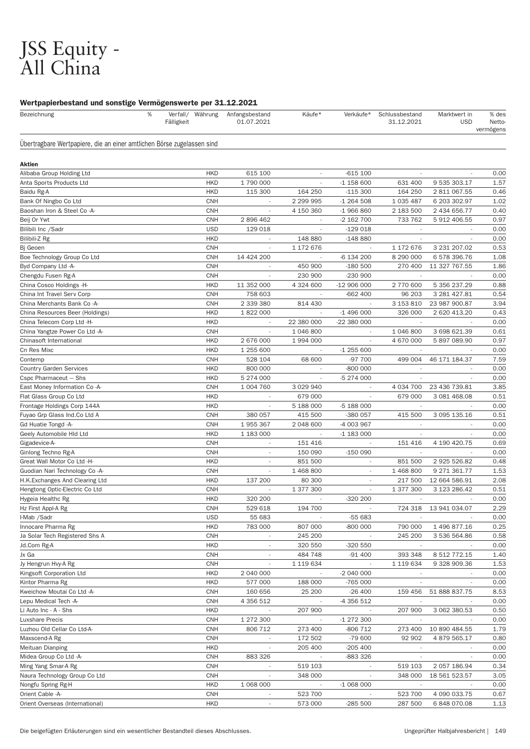# JSS Equity - All China

# Wertpapierbestand und sonstige Vermögenswerte per 31.12.2021

| Bezeichnung                                                            | % | Fälligkeit |                          | Verfall/ Währung Anfangsbestand<br>01.07.2021 | Käufe*                   | Verkäufe*                              | Schlussbestand<br>31.12.2021 | Marktwert in<br><b>USD</b>    | % des<br><b>Netto-</b><br>vermögens |
|------------------------------------------------------------------------|---|------------|--------------------------|-----------------------------------------------|--------------------------|----------------------------------------|------------------------------|-------------------------------|-------------------------------------|
| Übertragbare Wertpapiere, die an einer amtlichen Börse zugelassen sind |   |            |                          |                                               |                          |                                        |                              |                               |                                     |
| Aktien                                                                 |   |            |                          |                                               |                          |                                        |                              |                               |                                     |
| Alibaba Group Holding Ltd                                              |   |            | <b>HKD</b>               | 615 100                                       |                          | $-615100$                              |                              |                               | 0.00                                |
| Anta Sports Products Ltd                                               |   |            | <b>HKD</b>               | 1790000                                       | ÷.                       | $-1$ 158 600                           | 631 400                      | 9 535 303.17                  | 1.57                                |
| Baidu Rg-A                                                             |   |            | <b>HKD</b>               | 115 300                                       | 164 250                  | $-115300$                              | 164 250                      | 2 811 067.55                  | 0.46                                |
| Bank Of Ningbo Co Ltd                                                  |   |            | <b>CNH</b>               | $\overline{\phantom{a}}$                      | 2 299 995                | $-1264508$                             | 1 0 3 5 4 8 7                | 6 203 302.97                  | 1.02                                |
| Baoshan Iron & Steel Co -A-                                            |   |            | <b>CNH</b>               |                                               | 4 150 360                | $-1966860$                             | 2 183 500                    | 2 434 656.77                  | 0.40                                |
| Beij Or Ywt                                                            |   |            | <b>CNH</b>               | 2896462                                       | $\overline{\phantom{a}}$ | -2 162 700                             | 733 762                      | 5 912 406.55                  | 0.97                                |
| Bilibili Inc /Sadr                                                     |   |            | <b>USD</b>               | 129 018                                       | $\overline{\phantom{a}}$ | $-129018$                              |                              |                               | 0.00                                |
| Bilibili-Z Rg                                                          |   |            | <b>HKD</b>               | $\overline{\phantom{a}}$                      | 148 880                  | $-148880$                              | $\overline{\phantom{a}}$     |                               | 0.00                                |
| Bj Geoen                                                               |   |            | <b>CNH</b>               |                                               | 1 172 676                |                                        | 1 172 676                    | 3 231 207.02                  | 0.53                                |
| Boe Technology Group Co Ltd                                            |   |            | <b>CNH</b>               | 14 424 200                                    | $\overline{\phantom{a}}$ | -6 134 200                             | 8 290 000                    | 6 578 396.76                  | 1.08                                |
| Byd Company Ltd -A-                                                    |   |            | <b>CNH</b>               |                                               | 450 900                  | $-180500$                              | 270 400                      | 11 327 767.55                 | 1.86                                |
| Chengdu Fusen Rg-A                                                     |   |            | <b>CNH</b>               | $\overline{\phantom{a}}$                      | 230 900                  | $-230900$                              | $\sim$                       |                               | 0.00                                |
| China Cosco Holdings -H-                                               |   |            | <b>HKD</b>               | 11 352 000                                    | 4 324 600                | $-12906000$                            | 2 770 600                    | 5 356 237.29                  | 0.88                                |
| China Int Travel Serv Corp                                             |   |            | <b>CNH</b>               | 758 603                                       | $\overline{\phantom{a}}$ | $-662400$                              | 96 203                       | 3 281 427.81                  | 0.54                                |
| China Merchants Bank Co -A-                                            |   |            | <b>CNH</b>               | 2 339 380                                     | 814 430                  |                                        | 3 153 810                    | 23 987 900.87                 | 3.94                                |
| China Resources Beer (Holdings)                                        |   |            | <b>HKD</b>               | 1 822 000                                     | $\overline{\phantom{a}}$ | $-1496000$                             | 326 000                      | 2 620 413.20                  | 0.43                                |
| China Telecom Corp Ltd -H-                                             |   |            | <b>HKD</b>               |                                               | 22 380 000               | -22 380 000                            |                              |                               | 0.00                                |
| China Yangtze Power Co Ltd -A-                                         |   |            | <b>CNH</b>               | $\overline{\phantom{a}}$                      | 1 046 800                | $\overline{\phantom{a}}$               | 1 046 800                    | 3 698 621.39                  | 0.61                                |
| Chinasoft International                                                |   |            | <b>HKD</b>               | 2 676 000                                     | 1994000                  | $\overline{\phantom{a}}$               | 4 670 000                    | 5 897 089.90                  | 0.97                                |
| Cn Res Mixc                                                            |   |            | <b>HKD</b>               | 1 255 600                                     | $\overline{\phantom{a}}$ | $-1255600$                             |                              |                               | 0.00                                |
| Contemp                                                                |   |            | <b>CNH</b>               | 528 104                                       | 68 600                   | -97 700                                | 499 004                      | 46 171 184.37                 | 7.59                                |
| <b>Country Garden Services</b>                                         |   |            | <b>HKD</b>               | 800 000                                       | $\overline{\phantom{a}}$ | -800 000                               | $\overline{\phantom{a}}$     |                               | 0.00                                |
| Cspc Pharmaceut - Shs                                                  |   |            | <b>HKD</b>               | 5 274 000                                     | $\overline{\phantom{a}}$ | -5 274 000                             |                              |                               | 0.00                                |
| East Money Information Co -A-                                          |   |            | <b>CNH</b>               | 1 004 760                                     | 3 0 29 9 40              |                                        | 4 034 700                    | 23 436 739.81                 | 3.85                                |
| Flat Glass Group Co Ltd                                                |   |            | <b>HKD</b>               |                                               | 679 000                  |                                        | 679 000                      | 3 081 468.08                  | 0.51                                |
| Frontage Holdings Corp 144A                                            |   |            | <b>HKD</b>               | $\overline{\phantom{a}}$                      | 5 188 000                | -5 188 000                             | $\sim$                       |                               | 0.00                                |
| Fuyao Grp Glass Ind.Co Ltd A                                           |   |            | <b>CNH</b>               | 380 057                                       | 415 500                  | -380 057                               | 415 500                      | 3 095 135.16                  | 0.51                                |
| Gd Huatie Tongd -A-                                                    |   |            | <b>CNH</b>               | 1955367                                       | 2 048 600                | -4 003 967                             | $\overline{\phantom{a}}$     |                               | 0.00                                |
| Geely Automobile HId Ltd                                               |   |            | <b>HKD</b>               | 1 183 000                                     |                          | $-1$ 183 000                           |                              |                               | 0.00                                |
| Gigadevice-A-                                                          |   |            | <b>CNH</b>               | $\overline{\phantom{a}}$                      | 151 416                  | $\overline{\phantom{a}}$               | 151 416                      | 4 190 420.75                  | 0.69                                |
| Ginlong Techno Rg-A                                                    |   |            | <b>CNH</b>               | $\overline{\phantom{a}}$                      | 150 090                  | $-150000$                              |                              |                               | 0.00                                |
| Great Wall Motor Co Ltd -H-                                            |   |            | <b>HKD</b>               | $\overline{\phantom{a}}$                      | 851 500                  | ٠                                      | 851 500                      | 2 925 526.82                  | 0.48                                |
| Guodian Nari Technology Co -A-                                         |   |            | <b>CNH</b>               |                                               | 1 468 800                |                                        | 1 468 800                    | 9 271 361.77                  | 1.53                                |
| H.K. Exchanges And Clearing Ltd                                        |   |            | <b>HKD</b>               | 137 200                                       | 80 300                   | $\overline{\phantom{a}}$               | 217 500                      | 12 664 586.91                 | 2.08                                |
| Hengtong Optic-Electric Co Ltd                                         |   |            | <b>CNH</b>               |                                               | 1 377 300                | $\overline{\phantom{a}}$               | 1 377 300                    | 3 123 286.42                  | 0.51                                |
| Hygeia Healthc Rg                                                      |   |            | <b>HKD</b>               | 320 200                                       |                          | -320 200                               |                              |                               | 0.00                                |
| Hz First Appl-A Rg                                                     |   |            | CNH                      | 529 618                                       | 194 700                  |                                        |                              | 724 318 13 941 034.07         | 2.29                                |
| I-Mab /Sadr                                                            |   |            | <b>USD</b>               | 55 683                                        |                          | -55 683                                |                              |                               | 0.00                                |
| Innocare Pharma Rg                                                     |   |            | <b>HKD</b><br>CNH        | 783 000                                       | 807 000                  | -800 000                               | 790 000                      | 1 496 877.16<br>3 536 564.86  | 0.25<br>0.58                        |
| Ja Solar Tech Registered Shs A                                         |   |            | <b>HKD</b>               |                                               | 245 200<br>320 550       | -320 550                               | 245 200                      |                               | 0.00                                |
| Jd.Com Rg-A                                                            |   |            | <b>CNH</b>               |                                               | 484 748                  | $-91400$                               |                              |                               | 1.40                                |
| Jx Ga                                                                  |   |            | <b>CNH</b>               | $\overline{\phantom{a}}$                      |                          |                                        | 393 348                      | 8 512 772.15                  | 1.53                                |
| Jy Hengrun Hvy-A Rg<br>Kingsoft Corporation Ltd                        |   |            | <b>HKD</b>               | $\overline{\phantom{a}}$<br>2 040 000         | 1 119 634                | $\sim$<br>-2 040 000                   | 1 119 634                    | 9 328 909.36                  | 0.00                                |
| Kintor Pharma Rg                                                       |   |            | <b>HKD</b>               | 577 000                                       | 188 000                  | -765 000                               |                              |                               | 0.00                                |
| Kweichow Moutai Co Ltd -A-                                             |   |            | <b>CNH</b>               | 160 656                                       | 25 200                   | $-26400$                               |                              | 159 456 51 888 837.75         | 8.53                                |
| Lepu Medical Tech -A-                                                  |   |            | <b>CNH</b>               | 4 356 512                                     |                          |                                        |                              |                               | 0.00                                |
| Li Auto Inc - A - Shs                                                  |   |            | <b>HKD</b>               |                                               | 207 900                  | -4 356 512                             | 207 900                      | 3 062 380.53                  | 0.50                                |
| Luxshare Precis                                                        |   |            | <b>CNH</b>               | 1 272 300                                     | $\sim$                   | -1 272 300                             | $\sim$                       |                               | 0.00                                |
| Luzhou Old Cellar Co Ltd-A-                                            |   |            | <b>CNH</b>               | 806 712                                       | 273 400                  | -806 712                               | 273 400                      | 10 890 484.55                 | 1.79                                |
|                                                                        |   |            | <b>CNH</b>               | $\overline{\phantom{a}}$                      |                          |                                        |                              |                               | 0.80                                |
| Maxscend-A Rg                                                          |   |            | <b>HKD</b>               | $\sim$                                        | 172 502<br>205 400       | -79 600                                | 92 902                       | 4 879 565.17                  | 0.00                                |
| Meituan Dianping                                                       |   |            |                          |                                               |                          | $-205400$                              |                              |                               |                                     |
| Midea Group Co Ltd -A-                                                 |   |            | <b>CNH</b><br><b>CNH</b> | 883 326                                       | 519 103                  | -883 326                               | $\sim$                       |                               | 0.00<br>0.34                        |
| Ming Yang Smar-A Rg<br>Naura Technology Group Co Ltd                   |   |            | <b>CNH</b>               | $\overline{\phantom{a}}$<br>$\sim$            | 348 000                  | $\sim$                                 | 519 103<br>348 000           | 2 057 186.94<br>18 561 523.57 | 3.05                                |
|                                                                        |   |            | <b>HKD</b>               | 1 068 000                                     |                          | $\overline{\phantom{a}}$<br>$-1068000$ | $\sim$                       |                               | 0.00                                |
| Nongfu Spring Rg-H                                                     |   |            |                          | $\overline{\phantom{a}}$                      | 523 700                  |                                        |                              |                               |                                     |
| Orient Cable -A-<br>Orient Overseas (International)                    |   |            | <b>CNH</b><br><b>HKD</b> |                                               | 573 000                  | $-285500$                              | 523 700<br>287 500           | 4 090 033.75<br>6 848 070.08  | 0.67                                |
|                                                                        |   |            |                          | $\overline{\phantom{a}}$                      |                          |                                        |                              |                               | 1.13                                |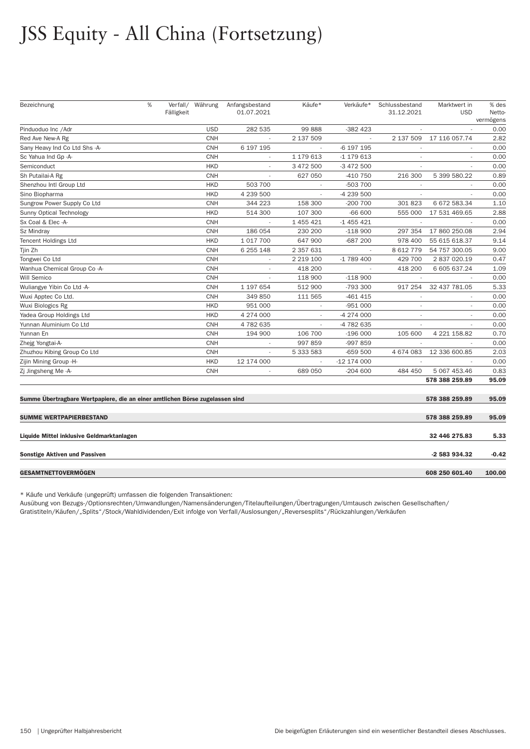# JSS Equity - All China (Fortsetzung)

| Bezeichnung                                                                  | % | Fälligkeit | Verfall/ Währung | Anfangsbestand<br>01.07.2021 | Käufe*    | Verkäufe*   | Schlussbestand<br>31.12.2021 | Marktwert in<br><b>USD</b> | % des<br>Netto-<br>vermögens |
|------------------------------------------------------------------------------|---|------------|------------------|------------------------------|-----------|-------------|------------------------------|----------------------------|------------------------------|
| Pinduoduo Inc / Adr                                                          |   |            | <b>USD</b>       | 282 535                      | 99 888    | -382 423    |                              |                            | 0.00                         |
| Red Ave New-A Rg                                                             |   |            | <b>CNH</b>       |                              | 2 137 509 |             | 2 137 509                    | 17 116 057.74              | 2.82                         |
| Sany Heavy Ind Co Ltd Shs -A-                                                |   |            | <b>CNH</b>       | 6 197 195                    |           | -6 197 195  |                              |                            | 0.00                         |
| Sc Yahua Ind Gp -A-                                                          |   |            | <b>CNH</b>       | $\overline{\phantom{a}}$     | 1 179 613 | -1 179 613  | $\sim$                       | $\sim$                     | 0.00                         |
| Semiconduct                                                                  |   |            | <b>HKD</b>       | $\overline{\phantom{a}}$     | 3 472 500 | -3 472 500  |                              |                            | 0.00                         |
| Sh Putailai-A Rg                                                             |   |            | <b>CNH</b>       |                              | 627 050   | -410 750    | 216 300                      | 5 399 580.22               | 0.89                         |
| Shenzhou Intl Group Ltd                                                      |   |            | <b>HKD</b>       | 503 700                      |           | -503 700    |                              |                            | 0.00                         |
| Sino Biopharma                                                               |   |            | <b>HKD</b>       | 4 239 500                    |           | -4 239 500  |                              |                            | 0.00                         |
| Sungrow Power Supply Co Ltd                                                  |   |            | <b>CNH</b>       | 344 223                      | 158 300   | $-200700$   | 301 823                      | 6 672 583.34               | 1.10                         |
| Sunny Optical Technology                                                     |   |            | <b>HKD</b>       | 514 300                      | 107 300   | $-66600$    | 555 000                      | 17 531 469.65              | 2.88                         |
| Sx Coal & Elec -A-                                                           |   |            | <b>CNH</b>       |                              | 1 455 421 | $-1455421$  | $\sim$                       |                            | 0.00                         |
| Sz Mindray                                                                   |   |            | <b>CNH</b>       | 186 054                      | 230 200   | $-118900$   | 297 354                      | 17 860 250.08              | 2.94                         |
| <b>Tencent Holdings Ltd</b>                                                  |   |            | <b>HKD</b>       | 1 017 700                    | 647 900   | -687 200    | 978 400                      | 55 615 618.37              | 9.14                         |
| Tjin Zh                                                                      |   |            | <b>CNH</b>       | 6 255 148                    | 2 357 631 |             | 8 612 779                    | 54 757 300.05              | 9.00                         |
| Tongwei Co Ltd                                                               |   |            | <b>CNH</b>       | $\sim$                       | 2 219 100 | -1 789 400  | 429 700                      | 2 837 020.19               | 0.47                         |
| Wanhua Chemical Group Co -A-                                                 |   |            | <b>CNH</b>       | $\overline{\phantom{a}}$     | 418 200   |             | 418 200                      | 6 605 637.24               | 1.09                         |
| Will Semico                                                                  |   |            | <b>CNH</b>       | $\overline{\phantom{a}}$     | 118 900   | $-118900$   |                              |                            | 0.00                         |
| Wuliangye Yibin Co Ltd -A-                                                   |   |            | <b>CNH</b>       | 1 197 654                    | 512 900   | -793 300    | 917 254                      | 32 437 781.05              | 5.33                         |
| Wuxi Apptec Co Ltd.                                                          |   |            | <b>CNH</b>       | 349 850                      | 111 565   | -461 415    |                              |                            | 0.00                         |
| Wuxi Biologics Rg                                                            |   |            | <b>HKD</b>       | 951 000                      |           | $-951000$   |                              |                            | 0.00                         |
| Yadea Group Holdings Ltd                                                     |   |            | <b>HKD</b>       | 4 274 000                    |           | -4 274 000  |                              |                            | 0.00                         |
| Yunnan Aluminium Co Ltd                                                      |   |            | <b>CNH</b>       | 4782635                      |           | -4 782 635  | $\overline{\phantom{a}}$     |                            | 0.00                         |
| Yunnan En                                                                    |   |            | <b>CNH</b>       | 194 900                      | 106 700   | $-196000$   | 105 600                      | 4 221 158.82               | 0.70                         |
| Zhejg Yongtai-A-                                                             |   |            | <b>CNH</b>       | $\sim$                       | 997 859   | -997 859    |                              |                            | 0.00                         |
| Zhuzhou Kibing Group Co Ltd                                                  |   |            | <b>CNH</b>       | $\sim$                       | 5 333 583 | $-659500$   | 4 674 083                    | 12 336 600.85              | 2.03                         |
| Zijin Mining Group -H-                                                       |   |            | <b>HKD</b>       | 12 174 000                   |           | -12 174 000 |                              |                            | 0.00                         |
| Zi Jingsheng Me-A-                                                           |   |            | <b>CNH</b>       | $\sim$                       | 689 050   | $-204600$   | 484 450                      | 5 067 453.46               | 0.83                         |
|                                                                              |   |            |                  |                              |           |             |                              | 578 388 259.89             | 95.09                        |
| Summe Übertragbare Wertpapiere, die an einer amtlichen Börse zugelassen sind |   |            |                  |                              |           |             |                              | 578 388 259.89             | 95.09                        |
| <b>SUMME WERTPAPIERBESTAND</b>                                               |   |            |                  |                              |           |             |                              | 578 388 259.89             | 95.09                        |
| Liquide Mittel inklusive Geldmarktanlagen                                    |   |            |                  |                              |           |             |                              | 32 446 275.83              | 5.33                         |
| <b>Sonstige Aktiven und Passiven</b>                                         |   |            |                  |                              |           |             |                              | -2 583 934.32              | $-0.42$                      |
| GESAMTNETTOVERMÖGEN                                                          |   |            |                  |                              |           |             |                              | 608 250 601.40             | 100.00                       |

\* Käufe und Verkäufe (ungeprüft) umfassen die folgenden Transaktionen:

Ausübung von Bezugs-/Optionsrechten/Umwandlungen/Namensänderungen/Titelaufteilungen/Über tragungen/Umtausch zwischen Gesellschaften/ Gratistiteln/Käufen/"Splits"/Stock/Wahldividenden/Exit infolge von Verfall/Auslosungen/"Reversesplits"/Rückzahlungen/Verkäufen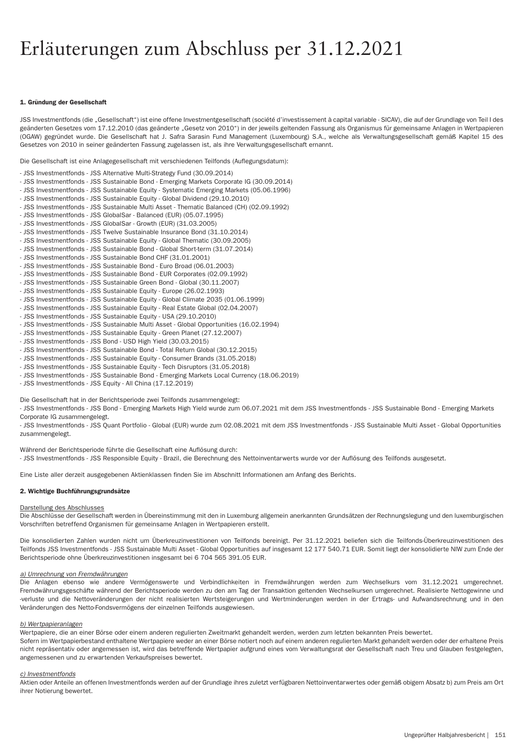# Erläuterungen zum Abschluss per 31.12.2021

#### 1. Gründung der Gesellschaft

JSS Investmentfonds (die "Gesellschaft") ist eine offene Investmentgesellschaft (société d'investissement à capital variable - SICAV), die auf der Grundlage von Teil I des geänderten Gesetzes vom 17.12.2010 (das geänderte "Gesetz von 2010") in der jeweils geltenden Fassung als Organismus für gemeinsame Anlagen in Wertpapieren (OGAW) gegründet wurde. Die Gesellschaft hat J. Safra Sarasin Fund Management (Luxembourg) S.A., welche als Verwaltungsgesellschaft gemäß Kapitel 15 des Gesetzes von 2010 in seiner geänderten Fassung zugelassen ist, als ihre Verwaltungsgesellschaft ernannt.

Die Gesellschaft ist eine Anlagegesellschaft mit verschiedenen Teilfonds (Auflegungsdatum):

- JSS Investmentfonds - JSS Alternative Multi-Strategy Fund (30.09.2014) - JSS Investmentfonds - JSS Sustainable Bond - Emerging Markets Corporate IG (30.09.2014) - JSS Investmentfonds - JSS Sustainable Equity - Systematic Emerging Markets (05.06.1996) - JSS Investmentfonds - JSS Sustainable Equity - Global Dividend (29.10.2010) - JSS Investmentfonds - JSS Sustainable Multi Asset - Thematic Balanced (CH) (02.09.1992) - JSS Investmentfonds - JSS GlobalSar - Balanced (EUR) (05.07.1995) - JSS Investmentfonds - JSS GlobalSar - Growth (EUR) (31.03.2005) - JSS Investmentfonds - JSS Twelve Sustainable Insurance Bond (31.10.2014) - JSS Investmentfonds - JSS Sustainable Equity - Global Thematic (30.09.2005) - JSS Investmentfonds - JSS Sustainable Bond - Global Short-term (31.07.2014) - JSS Investmentfonds - JSS Sustainable Bond CHF (31.01.2001) - JSS Investmentfonds - JSS Sustainable Bond - Euro Broad (06.01.2003) - JSS Investmentfonds - JSS Sustainable Bond - EUR Corporates (02.09.1992) - JSS Investmentfonds - JSS Sustainable Green Bond - Global (30.11.2007) - JSS Investmentfonds - JSS Sustainable Equity - Europe (26.02.1993) - JSS Investmentfonds - JSS Sustainable Equity - Global Climate 2035 (01.06.1999) - JSS Investmentfonds - JSS Sustainable Equity - Real Estate Global (02.04.2007) - JSS Investmentfonds - JSS Sustainable Equity - USA (29.10.2010) - JSS Investmentfonds - JSS Sustainable Multi Asset - Global Opportunities (16.02.1994) - JSS Investmentfonds - JSS Sustainable Equity - Green Planet (27.12.2007) - JSS Investmentfonds - JSS Bond - USD High Yield (30.03.2015) - JSS Investmentfonds - JSS Sustainable Bond - Total Return Global (30.12.2015) - JSS Investmentfonds - JSS Sustainable Equity - Consumer Brands (31.05.2018) - JSS Investmentfonds - JSS Sustainable Equity - Tech Disruptors (31.05.2018)

- JSS Investmentfonds - JSS Sustainable Bond - Emerging Markets Local Currency (18.06.2019)

- JSS Investmentfonds - JSS Equity - All China (17.12.2019)

Die Gesellschaft hat in der Berichtsperiode zwei Teilfonds zusammengelegt:

- JSS Investmentfonds - JSS Bond - Emerging Markets High Yield wurde zum 06.07.2021 mit dem JSS Investmentfonds - JSS Sustainable Bond - Emerging Markets Corporate IG zusammengelegt.

- JSS Investmentfonds - JSS Quant Portfolio - Global (EUR) wurde zum 02.08.2021 mit dem JSS Investmentfonds - JSS Sustainable Multi Asset - Global Opportunities zusammengelegt.

Während der Berichtsperiode führte die Gesellschaft eine Auflösung durch: - JSS Investmentfonds - JSS Responsible Equity - Brazil, die Berechnung des Nettoinventarwerts wurde vor der Auflösung des Teilfonds ausgesetzt.

Eine Liste aller derzeit ausgegebenen Aktienklassen finden Sie im Abschnitt Informationen am Anfang des Berichts.

#### 2. Wichtige Buchführungsgrundsätze

#### Darstellung des Abschlusses

Die Abschlüsse der Gesellschaft werden in Übereinstimmung mit den in Luxemburg allgemein anerkannten Grundsätzen der Rechnungslegung und den luxemburgischen Vorschriften betreffend Organismen für gemeinsame Anlagen in Wer tpapieren erstellt.

Die konsolidier ten Zahlen wurden nicht um Überkreuzinvestitionen von Teilfonds bereinigt. Per 31.12.2021 beliefen sich die Teilfonds-Überkreuzinvestitionen des Teilfonds JSS Investmentfonds - JSS Sustainable Multi Asset - Global Opportunities auf insgesamt 12 177 540.71 EUR. Somit liegt der konsolidierte NIW zum Ende der Berichtsperiode ohne Überkreuzinvestitionen insgesamt bei 6 704 565 391.05 EUR.

#### *a) Umrechnung von Fremdwährungen*

Die Anlagen ebenso wie andere Vermögenswerte und Verbindlichkeiten in Fremdwährungen werden zum Wechselkurs vom 31.12.2021 umgerechnet. Fremdwährungsgeschäfte während der Berichtsperiode werden zu den am Tag der Transaktion geltenden Wechselkursen umgerechnet. Realisierte Nettogewinne und -verluste und die Nettoveränderungen der nicht realisierten Wertsteigerungen und Wertminderungen werden in der Ertrags- und Aufwandsrechnung und in den Veränderungen des Netto-Fondsvermögens der einzelnen Teilfonds ausgewiesen.

### *b) Wer tpapieranlagen*

Wertpapiere, die an einer Börse oder einem anderen regulierten Zweitmarkt gehandelt werden, werden zum letzten bekannten Preis bewertet. Sofern im Wertpapierbestand enthaltene Wertpapiere weder an einer Börse notiert noch auf einem anderen regulierten Markt gehandelt werden oder der erhaltene Preis nicht repräsentativ oder angemessen ist, wird das betreffende Wertpapier aufgrund eines vom Verwaltungsrat der Gesellschaft nach Treu und Glauben festgelegten, angemessenen und zu erwar tenden Verkaufspreises bewer tet.

#### *c) Investmentfonds*

Aktien oder Anteile an offenen Investmentfonds werden auf der Grundlage ihres zuletzt verfügbaren Nettoinventarwertes oder gemäß obigem Absatz b) zum Preis am Ort ihrer Notierung bewertet.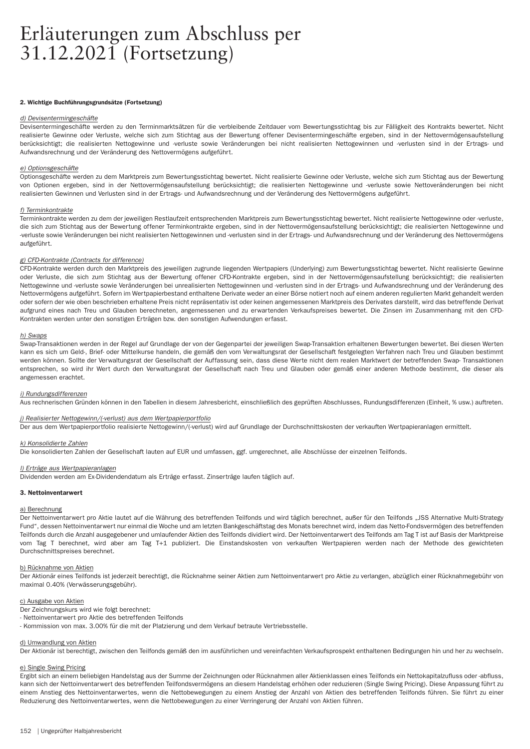# 2. Wichtige Buchführungsgrundsätze (Fortsetzung)

#### *d) Devisentermingeschäfte*

Devisentermingeschäfte werden zu den Terminmarktsätzen für die verbleibende Zeitdauer vom Bewertungsstichtag bis zur Fälligkeit des Kontrakts bewertet. Nicht realisierte Gewinne oder Verluste, welche sich zum Stichtag aus der Bewertung offener Devisentermingeschäfte ergeben, sind in der Nettovermögensaufstellung berücksichtigt; die realisierten Nettogewinne und -verluste sowie Veränderungen bei nicht realisierten Nettogewinnen und -verlusten sind in der Ertrags- und Aufwandsrechnung und der Veränderung des Nettovermögens aufgeführ t.

#### *e) Optionsgeschäfte*

Optionsgeschäfte werden zu dem Marktpreis zum Bewertungsstichtag bewertet. Nicht realisierte Gewinne oder Verluste, welche sich zum Stichtag aus der Bewertung von Optionen ergeben, sind in der Nettovermögensaufstellung berücksichtigt; die realisierten Nettogewinne und -verluste sowie Nettoveränderungen bei nicht realisierten Gewinnen und Verlusten sind in der Ertrags- und Aufwandsrechnung und der Veränderung des Nettovermögens aufgeführt.

#### *f) Terminkontrakte*

Terminkontrakte werden zu dem der jeweiligen Restlaufzeit entsprechenden Marktpreis zum Bewertungsstichtag bewertet. Nicht realisierte Nettogewinne oder -verluste, die sich zum Stichtag aus der Bewertung offener Terminkontrakte ergeben, sind in der Nettovermögensaufstellung berücksichtigt; die realisierten Nettogewinne und -verluste sowie Veränderungen bei nicht realisierten Nettogewinnen und -verlusten sind in der Ertrags- und Aufwandsrechnung und der Veränderung des Nettovermögens aufgeführt.

#### *g) CFD-Kontrakte (Contracts for difference)*

CFD-Kontrakte werden durch den Marktpreis des jeweiligen zugrunde liegenden Wertpapiers (Underlying) zum Bewertungsstichtag bewertet. Nicht realisierte Gewinne oder Verluste, die sich zum Stichtag aus der Bewertung offener CFD-Kontrakte ergeben, sind in der Nettovermögensaufstellung berücksichtigt; die realisierten Nettogewinne und -verluste sowie Veränderungen bei unrealisierten Nettogewinnen und -verlusten sind in der Ertrags- und Aufwandsrechnung und der Veränderung des Nettovermögens aufgeführt. Sofern im Wertpapierbestand enthaltene Derivate weder an einer Börse notiert noch auf einem anderen regulierten Markt gehandelt werden oder sofern der wie oben beschrieben erhaltene Preis nicht repräsentativ ist oder keinen angemessenen Marktpreis des Derivates darstellt, wird das betreffende Derivat aufgrund eines nach Treu und Glauben berechneten, angemessenen und zu erwartenden Verkaufspreises bewertet. Die Zinsen im Zusammenhang mit den CFD-Kontrakten werden unter den sonstigen Er trägen bzw. den sonstigen Aufwendungen er fasst.

#### *h) Swaps*

Swap-Transaktionen werden in der Regel auf Grundlage der von der Gegenpartei der jeweiligen Swap-Transaktion erhaltenen Bewertungen bewertet. Bei diesen Werten kann es sich um Geld-, Brief- oder Mittelkurse handeln, die gemäß den vom Verwaltungsrat der Gesellschaft festgelegten Ver fahren nach Treu und Glauben bestimmt werden können. Sollte der Verwaltungsrat der Gesellschaft der Auffassung sein, dass diese Werte nicht dem realen Marktwert der betreffenden Swap- Transaktionen entsprechen, so wird ihr Wert durch den Verwaltungsrat der Gesellschaft nach Treu und Glauben oder gemäß einer anderen Methode bestimmt, die dieser als angemessen erachtet.

#### *i) Rundungsdifferenzen*

Aus rechnerischen Gründen können in den Tabellen in diesem Jahresbericht, einschließlich des geprüften Abschlusses, Rundungsdifferenzen (Einheit, % usw.) auftreten.

### *j) Realisier ter Nettogewinn/(-verlust) aus dem Wer tpapierpor tfolio*

Der aus dem Wertpapierportfolio realisierte Nettogewinn/(-verlust) wird auf Grundlage der Durchschnittskosten der verkauften Wertpapieranlagen ermittelt.

#### *k) Konsolidier te Zahlen*

Die konsolidier ten Zahlen der Gesellschaft lauten auf EUR und umfassen, ggf. umgerechnet, alle Abschlüsse der einzelnen Teilfonds.

#### *l) Er träge aus Wer tpapieranlagen*

Dividenden werden am Ex-Dividendendatum als Erträge erfasst. Zinserträge laufen täglich auf.

#### 3. Nettoinventarwert

#### a) Berechnung

Der Nettoinventarwert pro Aktie lautet auf die Währung des betreffenden Teilfonds und wird täglich berechnet, außer für den Teilfonds "JSS Alternative Multi-Strategy Fund", dessen Nettoinventarwert nur einmal die Woche und am letzten Bankgeschäftstag des Monats berechnet wird, indem das Netto-Fondsvermögen des betreffenden Teilfonds durch die Anzahl ausgegebener und umlaufender Aktien des Teilfonds dividiert wird. Der Nettoinventarwert des Teilfonds am Tag T ist auf Basis der Marktpreise vom Tag T berechnet, wird aber am Tag T+1 publiziert. Die Einstandskosten von verkauften Wertpapieren werden nach der Methode des gewichteten Durchschnittspreises berechnet.

### b) Rücknahme von Aktien

Der Aktionär eines Teilfonds ist jederzeit berechtigt, die Rücknahme seiner Aktien zum Nettoinventarwer t pro Aktie zu verlangen, abzüglich einer Rücknahmegebühr von maximal 0.40% (Verwässerungsgebühr).

#### c) Ausgabe von Aktien

Der Zeichnungskurs wird wie folgt berechnet:

- Nettoinventarwert pro Aktie des betreffenden Teilfonds
- Kommission von max. 3.00% für die mit der Platzierung und dem Verkauf betraute Ver triebsstelle.

#### d) Umwandlung von Aktien

Der Aktionär ist berechtigt, zwischen den Teilfonds gemäß den im ausführlichen und vereinfachten Verkaufsprospekt enthaltenen Bedingungen hin und her zu wechseln.

#### e) Single Swing Pricing

Ergibt sich an einem beliebigen Handelstag aus der Summe der Zeichnungen oder Rücknahmen aller Aktienklassen eines Teilfonds ein Nettokapitalzufluss oder -abfluss, kann sich der Nettoinventarwert des betreffenden Teilfondsvermögens an diesem Handelstag erhöhen oder reduzieren (Single Swing Pricing). Diese Anpassung führt zu einem Anstieg des Nettoinventarwertes, wenn die Nettobewegungen zu einem Anstieg der Anzahl von Aktien des betreffenden Teilfonds führen. Sie führt zu einer Reduzierung des Nettoinventarwer tes, wenn die Nettobewegungen zu einer Verringerung der Anzahl von Aktien führen.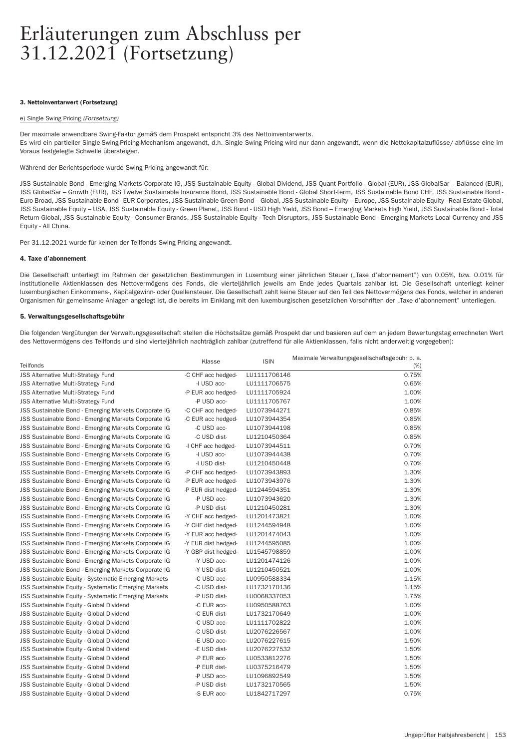### 3. Nettoinventarwert (Fortsetzung)

#### e) Single Swing Pricing *(For tsetzung)*

Der maximale anwendbare Swing-Faktor gemäß dem Prospekt entspricht 3% des Nettoinventarwer ts.

Es wird ein par tieller Single-Swing-Pricing-Mechanism angewandt, d.h. Single Swing Pricing wird nur dann angewandt, wenn die Nettokapitalzuflüsse/-abflüsse eine im Voraus festgelegte Schwelle übersteigen.

Während der Berichtsperiode wurde Swing Pricing angewandt für:

JSS Sustainable Bond - Emerging Markets Corporate IG, JSS Sustainable Equity - Global Dividend, JSS Quant Portfolio - Global (EUR), JSS GlobalSar - Balanced (EUR), JSS GlobalSar - Growth (EUR), JSS Twelve Sustainable Insurance Bond, JSS Sustainable Bond - Global Short-term, JSS Sustainable Bond CHF, JSS Sustainable Bond -Euro Broad, JSS Sustainable Bond - EUR Corporates, JSS Sustainable Green Bond - Global, JSS Sustainable Equity - Europe, JSS Sustainable Equity - Real Estate Global, JSS Sustainable Equity – USA, JSS Sustainable Equity - Green Planet, JSS Bond - USD High Yield, JSS Bond – Emerging Markets High Yield, JSS Sustainable Bond - Total Return Global, JSS Sustainable Equity - Consumer Brands, JSS Sustainable Equity - Tech Disruptors, JSS Sustainable Bond - Emerging Markets Local Currency and JSS Equity - All China.

Per 31.12.2021 wurde für keinen der Teilfonds Swing Pricing angewandt.

# 4. Taxe d'abonnement

Die Gesellschaft unterliegt im Rahmen der gesetzlichen Bestimmungen in Luxemburg einer jährlichen Steuer ("Taxe d'abonnement") von 0.05%, bzw. 0.01% für institutionelle Aktienklassen des Nettovermögens des Fonds, die vierteljährlich jeweils am Ende jedes Quartals zahlbar ist. Die Gesellschaft unterliegt keiner luxemburgischen Einkommens-, Kapitalgewinn- oder Quellensteuer. Die Gesellschaft zahlt keine Steuer auf den Teil des Nettovermögens des Fonds, welcher in anderen Organismen für gemeinsame Anlagen angelegt ist, die bereits im Einklang mit den luxemburgischen gesetzlichen Vorschriften der "Taxe d'abonnement" unterliegen.

### 5. Verwaltungsgesellschaftsgebühr

Die folgenden Vergütungen der Verwaltungsgesellschaft stellen die Höchstsätze gemäß Prospekt dar und basieren auf dem an jedem Bewertungstag errechneten Wert des Nettovermögens des Teilfonds und sind vierteljährlich nachträglich zahlbar (zutreffend für alle Aktienklassen, falls nicht anderweitig vorgegeben):

|                                                             | Klasse              | <b>ISIN</b>  | Maximale Verwaltungsgesellschaftsgebühr p. a. |
|-------------------------------------------------------------|---------------------|--------------|-----------------------------------------------|
| Teilfonds                                                   |                     |              | $(\%)$                                        |
| <b>JSS Alternative Multi-Strategy Fund</b>                  | -C CHF acc hedged-  | LU1111706146 | 0.75%                                         |
| <b>JSS Alternative Multi-Strategy Fund</b>                  | -I USD acc-         | LU1111706575 | 0.65%                                         |
| <b>JSS Alternative Multi-Strategy Fund</b>                  | -P EUR acc hedged-  | LU1111705924 | 1.00%                                         |
| <b>JSS Alternative Multi-Strategy Fund</b>                  | -P USD acc-         | LU1111705767 | 1.00%                                         |
| JSS Sustainable Bond - Emerging Markets Corporate IG        | -C CHF acc hedged-  | LU1073944271 | 0.85%                                         |
| JSS Sustainable Bond - Emerging Markets Corporate IG        | -C EUR acc hedged-  | LU1073944354 | 0.85%                                         |
| JSS Sustainable Bond - Emerging Markets Corporate IG        | -C USD acc-         | LU1073944198 | 0.85%                                         |
| JSS Sustainable Bond - Emerging Markets Corporate IG        | -C USD dist-        | LU1210450364 | 0.85%                                         |
| <b>JSS Sustainable Bond - Emerging Markets Corporate IG</b> | -I CHF acc hedged-  | LU1073944511 | 0.70%                                         |
| JSS Sustainable Bond - Emerging Markets Corporate IG        | -I USD acc-         | LU1073944438 | 0.70%                                         |
| JSS Sustainable Bond - Emerging Markets Corporate IG        | -I USD dist-        | LU1210450448 | 0.70%                                         |
| JSS Sustainable Bond - Emerging Markets Corporate IG        | -P CHF acc hedged-  | LU1073943893 | 1.30%                                         |
| JSS Sustainable Bond - Emerging Markets Corporate IG        | -P EUR acc hedged-  | LU1073943976 | 1.30%                                         |
| JSS Sustainable Bond - Emerging Markets Corporate IG        | -P EUR dist hedged- | LU1244594351 | 1.30%                                         |
| JSS Sustainable Bond - Emerging Markets Corporate IG        | -P USD acc-         | LU1073943620 | 1.30%                                         |
| JSS Sustainable Bond - Emerging Markets Corporate IG        | -P USD dist-        | LU1210450281 | 1.30%                                         |
| JSS Sustainable Bond - Emerging Markets Corporate IG        | -Y CHF acc hedged-  | LU1201473821 | 1.00%                                         |
| JSS Sustainable Bond - Emerging Markets Corporate IG        | -Y CHF dist hedged- | LU1244594948 | 1.00%                                         |
| JSS Sustainable Bond - Emerging Markets Corporate IG        | -Y EUR acc hedged-  | LU1201474043 | 1.00%                                         |
| JSS Sustainable Bond - Emerging Markets Corporate IG        | -Y EUR dist hedged- | LU1244595085 | 1.00%                                         |
| JSS Sustainable Bond - Emerging Markets Corporate IG        | -Y GBP dist hedged- | LU1545798859 | 1.00%                                         |
| JSS Sustainable Bond - Emerging Markets Corporate IG        | -Y USD acc-         | LU1201474126 | 1.00%                                         |
| JSS Sustainable Bond - Emerging Markets Corporate IG        | -Y USD dist-        | LU1210450521 | 1.00%                                         |
| <b>JSS Sustainable Equity - Systematic Emerging Markets</b> | -C USD acc-         | LU0950588334 | 1.15%                                         |
| JSS Sustainable Equity - Systematic Emerging Markets        | -C USD dist-        | LU1732170136 | 1.15%                                         |
| JSS Sustainable Equity - Systematic Emerging Markets        | -P USD dist-        | LU0068337053 | 1.75%                                         |
| JSS Sustainable Equity - Global Dividend                    | -C EUR acc-         | LU0950588763 | 1.00%                                         |
| JSS Sustainable Equity - Global Dividend                    | -C EUR dist-        | LU1732170649 | 1.00%                                         |
| JSS Sustainable Equity - Global Dividend                    | -C USD acc-         | LU1111702822 | 1.00%                                         |
| <b>JSS Sustainable Equity - Global Dividend</b>             | -C USD dist-        | LU2076226567 | 1.00%                                         |
| <b>JSS Sustainable Equity - Global Dividend</b>             | -E USD acc-         | LU2076227615 | 1.50%                                         |
| JSS Sustainable Equity - Global Dividend                    | -E USD dist-        | LU2076227532 | 1.50%                                         |
| JSS Sustainable Equity - Global Dividend                    | -P EUR acc-         | LU0533812276 | 1.50%                                         |
| JSS Sustainable Equity - Global Dividend                    | -P EUR dist-        | LU0375216479 | 1.50%                                         |
| JSS Sustainable Equity - Global Dividend                    | -P USD acc-         | LU1096892549 | 1.50%                                         |
| JSS Sustainable Equity - Global Dividend                    | -P USD dist-        | LU1732170565 | 1.50%                                         |
| JSS Sustainable Equity - Global Dividend                    | -S EUR acc-         | LU1842717297 | 0.75%                                         |
|                                                             |                     |              |                                               |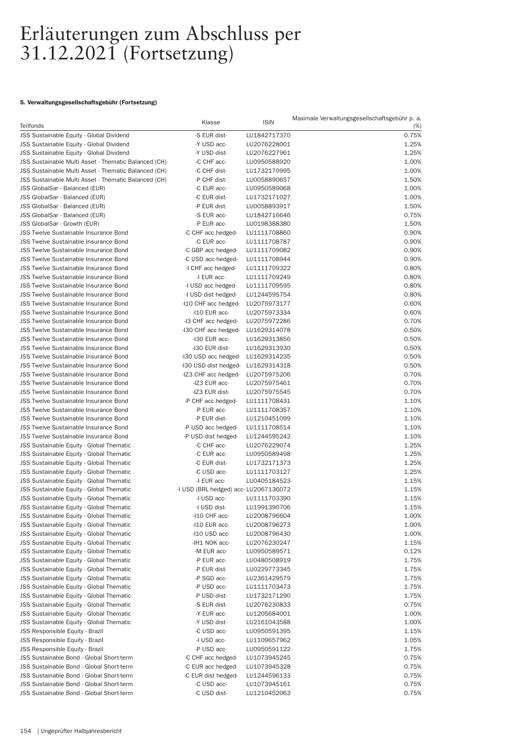# 5. Verwaltungsgesellschaftsgebühr (Fortsetzung)

| Teilfonds                                                   | Klasse                                    | <b>ISIN</b>                  | Maximale Verwaltungsgesellschaftsgebühr p. a.<br>$(\%)$ |
|-------------------------------------------------------------|-------------------------------------------|------------------------------|---------------------------------------------------------|
| JSS Sustainable Equity - Global Dividend                    | -S EUR dist-                              | LU1842717370                 | 0.75%                                                   |
| JSS Sustainable Equity - Global Dividend                    | -Y USD acc-                               | LU2076228001                 | 1.25%                                                   |
| JSS Sustainable Equity - Global Dividend                    | -Y USD dist-                              | LU2076227961                 | 1.25%                                                   |
| JSS Sustainable Multi Asset - Thematic Balanced (CH)        | -C CHF acc-                               | LU0950588920                 | 1.00%                                                   |
| <b>JSS Sustainable Multi Asset - Thematic Balanced (CH)</b> | -C CHF dist-                              | LU1732170995                 | 1.00%                                                   |
| JSS Sustainable Multi Asset - Thematic Balanced (CH)        | -P CHF dist-                              | LU0058890657                 | 1.50%                                                   |
| JSS GlobalSar - Balanced (EUR)                              | -C EUR acc-                               | LU0950589068                 | 1.00%                                                   |
| JSS GlobalSar - Balanced (EUR)                              | -C EUR dist-                              | LU1732171027                 | 1.00%                                                   |
| JSS GlobalSar - Balanced (EUR)                              | -P EUR dist-                              | LU0058893917                 | 1.50%                                                   |
| JSS GlobalSar - Balanced (EUR)                              | -S EUR acc-                               | LU1842716646                 | 0.75%                                                   |
| JSS GlobalSar - Growth (EUR)                                | -P EUR acc-                               | LU0198388380                 | 1.50%                                                   |
| <b>JSS Twelve Sustainable Insurance Bond</b>                | -C CHF acc hedged-                        | LU1111708860                 | 0.90%                                                   |
| <b>JSS Twelve Sustainable Insurance Bond</b>                | -C EUR acc-                               | LU1111708787                 | 0.90%                                                   |
| <b>JSS Twelve Sustainable Insurance Bond</b>                | -C GBP acc hedged-                        | LU1111709082                 | 0.90%                                                   |
| <b>JSS Twelve Sustainable Insurance Bond</b>                | -C USD acc hedged-                        | LU1111708944                 | 0.90%                                                   |
| <b>JSS Twelve Sustainable Insurance Bond</b>                | -I CHF acc hedged-                        | LU1111709322                 | 0.80%                                                   |
| <b>JSS Twelve Sustainable Insurance Bond</b>                | -I EUR acc-                               | LU1111709249                 | 0.80%                                                   |
| <b>JSS Twelve Sustainable Insurance Bond</b>                |                                           | LU1111709595                 | 0.80%                                                   |
| <b>JSS Twelve Sustainable Insurance Bond</b>                | -I USD acc hedged-<br>-I USD dist hedged- |                              | 0.80%                                                   |
|                                                             |                                           | LU1244595754                 | 0.60%                                                   |
| <b>JSS Twelve Sustainable Insurance Bond</b>                | -I10 CHF acc hedged-                      | LU2075973177<br>LU2075973334 |                                                         |
| <b>JSS Twelve Sustainable Insurance Bond</b>                | -I10 EUR acc-                             |                              | 0.60%                                                   |
| <b>JSS Twelve Sustainable Insurance Bond</b>                | -I3 CHF acc hedged-                       | LU2075972286                 | 0.70%                                                   |
| <b>JSS Twelve Sustainable Insurance Bond</b>                | -I30 CHF acc hedged-                      | LU1629314078                 | 0.50%                                                   |
| <b>JSS Twelve Sustainable Insurance Bond</b>                | -I30 EUR acc-                             | LU1629313856                 | 0.50%                                                   |
| <b>JSS Twelve Sustainable Insurance Bond</b>                | -I30 EUR dist-                            | LU1629313930                 | 0.50%                                                   |
| <b>JSS Twelve Sustainable Insurance Bond</b>                | -I30 USD acc hedged-                      | LU1629314235                 | 0.50%                                                   |
| <b>JSS Twelve Sustainable Insurance Bond</b>                | -I30 USD dist hedged-                     | LU1629314318                 | 0.50%                                                   |
| <b>JSS Twelve Sustainable Insurance Bond</b>                | -IZ3 CHF acc hedged-                      | LU2075975206                 | 0.70%                                                   |
| <b>JSS Twelve Sustainable Insurance Bond</b>                | -IZ3 EUR acc-                             | LU2075975461                 | 0.70%                                                   |
| <b>JSS Twelve Sustainable Insurance Bond</b>                | -IZ3 EUR dist-                            | LU2075975545                 | 0.70%                                                   |
| <b>JSS Twelve Sustainable Insurance Bond</b>                | -P CHF acc hedged-                        | LU1111708431                 | 1.10%                                                   |
| <b>JSS Twelve Sustainable Insurance Bond</b>                | -P EUR acc-                               | LU1111708357                 | 1.10%                                                   |
| <b>JSS Twelve Sustainable Insurance Bond</b>                | -P EUR dist-                              | LU1210451099                 | 1.10%                                                   |
| <b>JSS Twelve Sustainable Insurance Bond</b>                | -P USD acc hedged-                        | LU1111708514                 | 1.10%                                                   |
| <b>JSS Twelve Sustainable Insurance Bond</b>                | -P USD dist hedged-                       | LU1244595242                 | 1.10%                                                   |
| <b>JSS Sustainable Equity - Global Thematic</b>             | -C CHF acc-                               | LU2076229074                 | 1.25%                                                   |
| JSS Sustainable Equity - Global Thematic                    | -C EUR acc-                               | LU0950589498                 | 1.25%                                                   |
| JSS Sustainable Equity - Global Thematic                    | -C EUR dist-                              | LU1732171373                 | 1.25%                                                   |
| JSS Sustainable Equity - Global Thematic                    | -C USD acc-                               | LU1111703127                 | 1.25%                                                   |
| JSS Sustainable Equity - Global Thematic                    | -I EUR acc-                               | LU0405184523                 | 1.15%                                                   |
| JSS Sustainable Equity - Global Thematic                    | -I USD (BRL hedged) acc-LU2067136072      |                              | 1.15%                                                   |
| JSS Sustainable Equity - Global Thematic                    | -I USD acc-                               | LU1111703390                 | 1.15%                                                   |
| JSS Sustainable Equity - Global Thematic                    | -I USD dist-                              | LU1991390706                 | 1.15%                                                   |
| JSS Sustainable Equity - Global Thematic                    | -I10 CHF acc-                             | LU2008796604                 | 1.00%                                                   |
| JSS Sustainable Equity - Global Thematic                    | -I10 EUR acc-                             | LU2008796273                 | 1.00%                                                   |
| <b>JSS Sustainable Equity - Global Thematic</b>             | -I10 USD acc-                             | LU2008796430                 | 1.00%                                                   |
| JSS Sustainable Equity - Global Thematic                    | -IH1 NOK acc-                             | LU2076230247                 | 1.15%                                                   |
| JSS Sustainable Equity - Global Thematic                    | -M EUR acc-                               | LU0950589571                 | 0.12%                                                   |
| JSS Sustainable Equity - Global Thematic                    | -P EUR acc-                               | LU0480508919                 | 1.75%                                                   |
| JSS Sustainable Equity - Global Thematic                    | -P EUR dist-                              | LU0229773345                 | 1.75%                                                   |
| JSS Sustainable Equity - Global Thematic                    | -P SGD acc-                               | LU2361429579                 | 1.75%                                                   |
| JSS Sustainable Equity - Global Thematic                    | -P USD acc-                               | LU1111703473                 | 1.75%                                                   |
| <b>JSS Sustainable Equity - Global Thematic</b>             | -P USD dist-                              | LU1732171290                 | 1.75%                                                   |
| JSS Sustainable Equity - Global Thematic                    | -S EUR dist-                              | LU2076230833                 | 0.75%                                                   |
| JSS Sustainable Equity - Global Thematic                    | -Y EUR acc-                               | LU1205684001                 | 1.00%                                                   |
| JSS Sustainable Equity - Global Thematic                    | -Y USD dist-                              | LU2161043588                 | 1.00%                                                   |
| JSS Responsible Equity - Brazil                             | -C USD acc-                               | LU0950591395                 | 1.15%                                                   |
| JSS Responsible Equity - Brazil                             | -I USD acc-                               | LU1109657962                 | 1.05%                                                   |
| JSS Responsible Equity - Brazil                             | -P USD acc-                               | LU0950591122                 | 1.75%                                                   |
| JSS Sustainable Bond - Global Short-term                    | -C CHF acc hedged-                        | LU1073945245                 | 0.75%                                                   |
| JSS Sustainable Bond - Global Short-term                    | -C EUR acc hedged-                        | LU1073945328                 | 0.75%                                                   |
| JSS Sustainable Bond - Global Short-term                    | -C EUR dist hedged-                       | LU1244596133                 | 0.75%                                                   |
| JSS Sustainable Bond - Global Short-term                    | -C USD acc-                               | LU1073945161                 | 0.75%                                                   |
| JSS Sustainable Bond - Global Short-term                    | -C USD dist-                              | LU1210452063                 | 0.75%                                                   |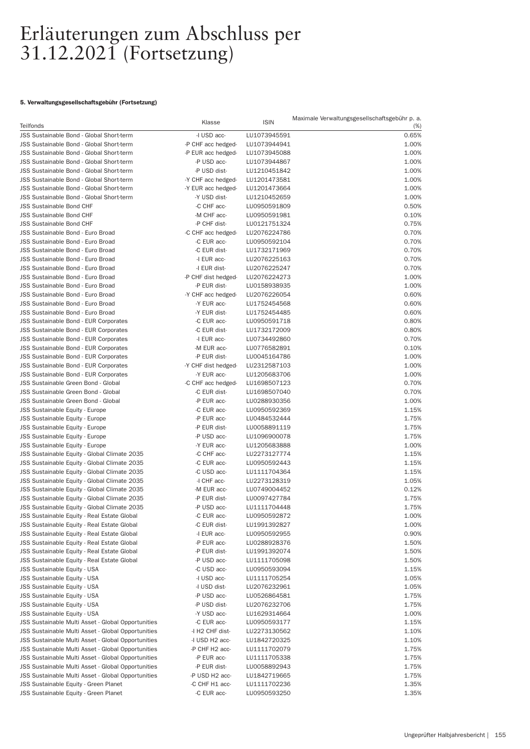# 5. Verwaltungsgesellschaftsgebühr (Fortsetzung)

| Teilfonds                                                                                                       | Klasse                        | <b>ISIN</b>                  | Maximale Verwaltungsgesellschaftsgebühr p. a.<br>$(\%)$ |
|-----------------------------------------------------------------------------------------------------------------|-------------------------------|------------------------------|---------------------------------------------------------|
| JSS Sustainable Bond - Global Short-term                                                                        | -I USD acc-                   | LU1073945591                 | 0.65%                                                   |
| JSS Sustainable Bond - Global Short-term                                                                        | -P CHF acc hedged-            | LU1073944941                 | 1.00%                                                   |
| <b>JSS Sustainable Bond - Global Short-term</b>                                                                 | -P EUR acc hedged-            | LU1073945088                 | 1.00%                                                   |
| <b>JSS Sustainable Bond - Global Short-term</b>                                                                 | -P USD acc-                   | LU1073944867                 | 1.00%                                                   |
| JSS Sustainable Bond - Global Short-term                                                                        | -P USD dist-                  | LU1210451842                 | 1.00%                                                   |
| <b>JSS Sustainable Bond - Global Short-term</b>                                                                 | -Y CHF acc hedged-            | LU1201473581                 | 1.00%                                                   |
| <b>JSS Sustainable Bond - Global Short-term</b>                                                                 | -Y EUR acc hedged-            | LU1201473664                 | 1.00%                                                   |
| JSS Sustainable Bond - Global Short-term                                                                        | -Y USD dist-                  | LU1210452659                 | 1.00%                                                   |
| <b>JSS Sustainable Bond CHF</b>                                                                                 | -C CHF acc-                   | LU0950591809                 | 0.50%                                                   |
| <b>JSS Sustainable Bond CHF</b>                                                                                 | -M CHF acc-                   | LU0950591981                 | 0.10%                                                   |
| <b>JSS Sustainable Bond CHF</b>                                                                                 | -P CHF dist-                  | LU0121751324                 | 0.75%                                                   |
| JSS Sustainable Bond - Euro Broad                                                                               | -C CHF acc hedged-            | LU2076224786                 | 0.70%                                                   |
| JSS Sustainable Bond - Euro Broad                                                                               | -C EUR acc-                   | LU0950592104                 | 0.70%                                                   |
| JSS Sustainable Bond - Euro Broad                                                                               | -C EUR dist-                  | LU1732171969                 | 0.70%                                                   |
| JSS Sustainable Bond - Euro Broad                                                                               | -I EUR acc-                   | LU2076225163                 | 0.70%                                                   |
| JSS Sustainable Bond - Euro Broad                                                                               | -I EUR dist-                  | LU2076225247                 | 0.70%                                                   |
| JSS Sustainable Bond - Euro Broad                                                                               | -P CHF dist hedged-           | LU2076224273                 | 1.00%                                                   |
| JSS Sustainable Bond - Euro Broad                                                                               | -P EUR dist-                  | LU0158938935                 | 1.00%                                                   |
| JSS Sustainable Bond - Euro Broad                                                                               | -Y CHF acc hedged-            | LU2076226054                 | 0.60%                                                   |
| JSS Sustainable Bond - Euro Broad                                                                               | -Y EUR acc-                   | LU1752454568                 | 0.60%                                                   |
| JSS Sustainable Bond - Euro Broad                                                                               | -Y EUR dist-                  | LU1752454485                 | 0.60%                                                   |
| <b>JSS Sustainable Bond - EUR Corporates</b><br><b>JSS Sustainable Bond - EUR Corporates</b>                    | -C EUR acc-                   | LU0950591718                 | 0.80%                                                   |
| JSS Sustainable Bond - EUR Corporates                                                                           | -C EUR dist-<br>-I EUR acc-   | LU1732172009<br>LU0734492860 | 0.80%<br>0.70%                                          |
| <b>JSS Sustainable Bond - EUR Corporates</b>                                                                    | -M EUR acc-                   | LU0776582891                 | 0.10%                                                   |
| <b>JSS Sustainable Bond - EUR Corporates</b>                                                                    | -P EUR dist-                  | LU0045164786                 | 1.00%                                                   |
| <b>JSS Sustainable Bond - EUR Corporates</b>                                                                    | -Y CHF dist hedged-           | LU2312587103                 | 1.00%                                                   |
| <b>JSS Sustainable Bond - EUR Corporates</b>                                                                    | -Y EUR acc-                   | LU1205683706                 | 1.00%                                                   |
| JSS Sustainable Green Bond - Global                                                                             | -C CHF acc hedged-            | LU1698507123                 | 0.70%                                                   |
| JSS Sustainable Green Bond - Global                                                                             | -C EUR dist-                  | LU1698507040                 | 0.70%                                                   |
| JSS Sustainable Green Bond - Global                                                                             | -P EUR acc-                   | LU0288930356                 | 1.00%                                                   |
| JSS Sustainable Equity - Europe                                                                                 | -C EUR acc-                   | LU0950592369                 | 1.15%                                                   |
| JSS Sustainable Equity - Europe                                                                                 | -P EUR acc-                   | LU0484532444                 | 1.75%                                                   |
| JSS Sustainable Equity - Europe                                                                                 | -P EUR dist-                  | LU0058891119                 | 1.75%                                                   |
| JSS Sustainable Equity - Europe                                                                                 | -P USD acc-                   | LU1096900078                 | 1.75%                                                   |
| <b>JSS Sustainable Equity - Europe</b>                                                                          | -Y EUR acc-                   | LU1205683888                 | 1.00%                                                   |
| JSS Sustainable Equity - Global Climate 2035                                                                    | -C CHF acc-                   | LU2273127774                 | 1.15%                                                   |
| JSS Sustainable Equity - Global Climate 2035                                                                    | -C EUR acc-                   | LU0950592443                 | 1.15%                                                   |
| JSS Sustainable Equity - Global Climate 2035                                                                    | -C USD acc-                   | LU1111704364                 | 1.15%                                                   |
| JSS Sustainable Equity - Global Climate 2035                                                                    | -I CHF acc-                   | LU2273128319                 | 1.05%                                                   |
| JSS Sustainable Equity - Global Climate 2035                                                                    | -M EUR acc-                   | LU0749004452                 | 0.12%                                                   |
| JSS Sustainable Equity - Global Climate 2035                                                                    | -P EUR dist-                  | LU0097427784                 | 1.75%                                                   |
| JSS Sustainable Equity - Global Climate 2035                                                                    | -P USD acc-                   | LU1111704448                 | 1.75%                                                   |
| JSS Sustainable Equity - Real Estate Global                                                                     | -C EUR acc-                   | LU0950592872                 | 1.00%                                                   |
| JSS Sustainable Equity - Real Estate Global                                                                     | -C EUR dist-                  | LU1991392827                 | 1.00%                                                   |
| JSS Sustainable Equity - Real Estate Global                                                                     | -I EUR acc-                   | LU0950592955                 | 0.90%                                                   |
| JSS Sustainable Equity - Real Estate Global                                                                     | -P EUR acc-                   | LU0288928376                 | 1.50%                                                   |
| JSS Sustainable Equity - Real Estate Global                                                                     | -P EUR dist-                  | LU1991392074                 | 1.50%                                                   |
| JSS Sustainable Equity - Real Estate Global                                                                     | -P USD acc-                   | LU1111705098                 | 1.50%                                                   |
| <b>JSS Sustainable Equity - USA</b>                                                                             | -C USD acc-                   | LU0950593094                 | 1.15%                                                   |
| <b>JSS Sustainable Equity - USA</b>                                                                             | -I USD acc-                   | LU1111705254                 | 1.05%                                                   |
| <b>JSS Sustainable Equity - USA</b>                                                                             | -I USD dist-                  | LU2076232961                 | 1.05%                                                   |
| <b>JSS Sustainable Equity - USA</b>                                                                             | -P USD acc-                   | LU0526864581                 | 1.75%                                                   |
| JSS Sustainable Equity - USA                                                                                    | -P USD dist-                  | LU2076232706                 | 1.75%                                                   |
| <b>JSS Sustainable Equity - USA</b>                                                                             | -Y USD acc-                   | LU1629314664                 | 1.00%                                                   |
| JSS Sustainable Multi Asset - Global Opportunities                                                              | -C EUR acc-                   | LU0950593177                 | 1.15%                                                   |
| <b>JSS Sustainable Multi Asset - Global Opportunities</b>                                                       | -I H2 CHF dist-               | LU2273130562                 | 1.10%                                                   |
| <b>JSS Sustainable Multi Asset - Global Opportunities</b>                                                       | -I USD H2 acc-                | LU1842720325                 | 1.10%                                                   |
| <b>JSS Sustainable Multi Asset - Global Opportunities</b><br>JSS Sustainable Multi Asset - Global Opportunities | -P CHF H2 acc-<br>-P EUR acc- | LU1111702079<br>LU1111705338 | 1.75%<br>1.75%                                          |
| <b>JSS Sustainable Multi Asset - Global Opportunities</b>                                                       | -P EUR dist-                  | LU0058892943                 | 1.75%                                                   |
| <b>JSS Sustainable Multi Asset - Global Opportunities</b>                                                       | -P USD H2 acc-                | LU1842719665                 | 1.75%                                                   |
| JSS Sustainable Equity - Green Planet                                                                           | -C CHF H1 acc-                | LU1111702236                 | 1.35%                                                   |
| JSS Sustainable Equity - Green Planet                                                                           | -C EUR acc-                   | LU0950593250                 | 1.35%                                                   |
|                                                                                                                 |                               |                              |                                                         |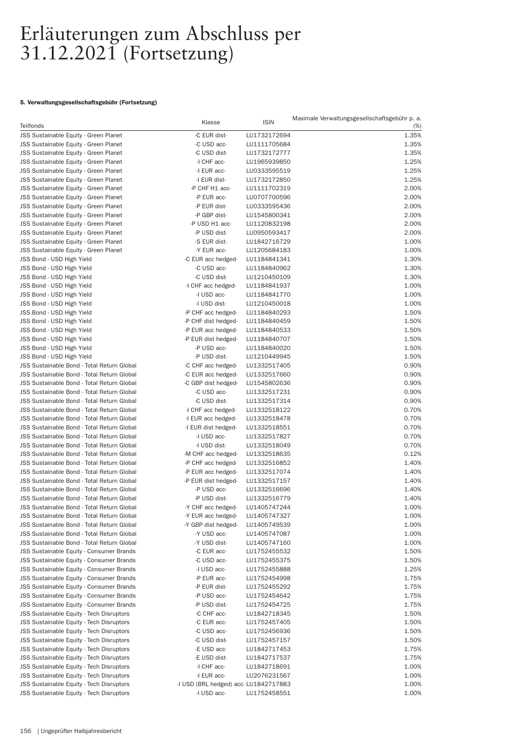# 5. Verwaltungsgesellschaftsgebühr (Fortsetzung)

| Teilfonds                                       | Klasse                               | <b>ISIN</b>  | Maximale Verwaltungsgesellschaftsgebühr p. a.<br>$(\%)$ |
|-------------------------------------------------|--------------------------------------|--------------|---------------------------------------------------------|
| JSS Sustainable Equity - Green Planet           | -C EUR dist-                         | LU1732172694 | 1.35%                                                   |
| JSS Sustainable Equity - Green Planet           | -C USD acc-                          | LU1111705684 | 1.35%                                                   |
| JSS Sustainable Equity - Green Planet           | -C USD dist-                         | LU1732172777 | 1.35%                                                   |
| JSS Sustainable Equity - Green Planet           | -I CHF acc-                          | LU1965939850 | 1.25%                                                   |
| JSS Sustainable Equity - Green Planet           | -I EUR acc-                          | LU0333595519 | 1.25%                                                   |
| JSS Sustainable Equity - Green Planet           | -I EUR dist-                         | LU1732172850 | 1.25%                                                   |
| JSS Sustainable Equity - Green Planet           | -P CHF H1 acc-                       | LU1111702319 | 2.00%                                                   |
|                                                 | -P EUR acc-                          | LU0707700596 | 2.00%                                                   |
| JSS Sustainable Equity - Green Planet           |                                      |              |                                                         |
| JSS Sustainable Equity - Green Planet           | -P EUR dist-                         | LU0333595436 | 2.00%                                                   |
| JSS Sustainable Equity - Green Planet           | -P GBP dist-                         | LU1545800341 | 2.00%                                                   |
| JSS Sustainable Equity - Green Planet           | -P USD H1 acc-                       | LU1120832198 | 2.00%                                                   |
| JSS Sustainable Equity - Green Planet           | -P USD dist-                         | LU0950593417 | 2.00%                                                   |
| JSS Sustainable Equity - Green Planet           | -S EUR dist-                         | LU1842716729 | 1.00%                                                   |
| JSS Sustainable Equity - Green Planet           | -Y EUR acc-                          | LU1205684183 | 1.00%                                                   |
| JSS Bond - USD High Yield                       | -C EUR acc hedged-                   | LU1184841341 | 1.30%                                                   |
| JSS Bond - USD High Yield                       | -C USD acc-                          | LU1184840962 | 1.30%                                                   |
| JSS Bond - USD High Yield                       | -C USD dist-                         | LU1210450109 | 1.30%                                                   |
| JSS Bond - USD High Yield                       | -I CHF acc hedged-                   | LU1184841937 | 1.00%                                                   |
| JSS Bond - USD High Yield                       | -I USD acc-                          | LU1184841770 | 1.00%                                                   |
| JSS Bond - USD High Yield                       | -I USD dist-                         | LU1210450018 | 1.00%                                                   |
| JSS Bond - USD High Yield                       | -P CHF acc hedged-                   | LU1184840293 | 1.50%                                                   |
| JSS Bond - USD High Yield                       | -P CHF dist hedged-                  | LU1184840459 | 1.50%                                                   |
| JSS Bond - USD High Yield                       | -P EUR acc hedged-                   | LU1184840533 | 1.50%                                                   |
| JSS Bond - USD High Yield                       | -P EUR dist hedged-                  | LU1184840707 | 1.50%                                                   |
| JSS Bond - USD High Yield                       | -P USD acc-                          | LU1184840020 | 1.50%                                                   |
| JSS Bond - USD High Yield                       | -P USD dist-                         | LU1210449945 | 1.50%                                                   |
| JSS Sustainable Bond - Total Return Global      | -C CHF acc hedged-                   | LU1332517405 | 0.90%                                                   |
| JSS Sustainable Bond - Total Return Global      | -C EUR acc hedged-                   | LU1332517660 | 0.90%                                                   |
| JSS Sustainable Bond - Total Return Global      | -C GBP dist hedged-                  | LU1545802636 | 0.90%                                                   |
| JSS Sustainable Bond - Total Return Global      | -C USD acc-                          | LU1332517231 | 0.90%                                                   |
| JSS Sustainable Bond - Total Return Global      | -C USD dist-                         | LU1332517314 | 0.90%                                                   |
| JSS Sustainable Bond - Total Return Global      | -I CHF acc hedged-                   | LU1332518122 | 0.70%                                                   |
| JSS Sustainable Bond - Total Return Global      | -I EUR acc hedged-                   | LU1332518478 | 0.70%                                                   |
| JSS Sustainable Bond - Total Return Global      | -I EUR dist hedged-                  | LU1332518551 | 0.70%                                                   |
| JSS Sustainable Bond - Total Return Global      | -I USD acc-                          | LU1332517827 | 0.70%                                                   |
| JSS Sustainable Bond - Total Return Global      | -I USD dist-                         | LU1332518049 | 0.70%                                                   |
| JSS Sustainable Bond - Total Return Global      | -M CHF acc hedged-                   | LU1332518635 | 0.12%                                                   |
| JSS Sustainable Bond - Total Return Global      |                                      | LU1332516852 | 1.40%                                                   |
|                                                 | -P CHF acc hedged-                   |              |                                                         |
| JSS Sustainable Bond - Total Return Global      | -P EUR acc hedged-                   | LU1332517074 | 1.40%                                                   |
| JSS Sustainable Bond - Total Return Global      | -P EUR dist hedged-                  | LU1332517157 | 1.40%                                                   |
| JSS Sustainable Bond - Total Return Global      | -P USD acc-                          | LU1332516696 | 1.40%                                                   |
| JSS Sustainable Bond - Total Return Global      | -P USD dist-                         | LU1332516779 | 1.40%                                                   |
| JSS Sustainable Bond - Total Return Global      | -Y CHF acc hedged-                   | LU1405747244 | 1.00%                                                   |
| JSS Sustainable Bond - Total Return Global      | -Y EUR acc hedged-                   | LU1405747327 | 1.00%                                                   |
| JSS Sustainable Bond - Total Return Global      | -Y GBP dist hedged-                  | LU1405749539 | 1.00%                                                   |
| JSS Sustainable Bond - Total Return Global      | -Y USD acc-                          | LU1405747087 | 1.00%                                                   |
| JSS Sustainable Bond - Total Return Global      | -Y USD dist-                         | LU1405747160 | 1.00%                                                   |
| <b>JSS Sustainable Equity - Consumer Brands</b> | -C EUR acc-                          | LU1752455532 | 1.50%                                                   |
| JSS Sustainable Equity - Consumer Brands        | -C USD acc-                          | LU1752455375 | 1.50%                                                   |
| <b>JSS Sustainable Equity - Consumer Brands</b> | -I USD acc-                          | LU1752455888 | 1.25%                                                   |
| JSS Sustainable Equity - Consumer Brands        | -P EUR acc-                          | LU1752454998 | 1.75%                                                   |
| JSS Sustainable Equity - Consumer Brands        | -P EUR dist-                         | LU1752455292 | 1.75%                                                   |
| JSS Sustainable Equity - Consumer Brands        | -P USD acc-                          | LU1752454642 | 1.75%                                                   |
| JSS Sustainable Equity - Consumer Brands        | -P USD dist-                         | LU1752454725 | 1.75%                                                   |
| JSS Sustainable Equity - Tech Disruptors        | -C CHF acc-                          | LU1842718345 | 1.50%                                                   |
| JSS Sustainable Equity - Tech Disruptors        | -C EUR acc-                          | LU1752457405 | 1.50%                                                   |
| <b>JSS Sustainable Equity - Tech Disruptors</b> | -C USD acc-                          | LU1752456936 | 1.50%                                                   |
| JSS Sustainable Equity - Tech Disruptors        | -C USD dist-                         | LU1752457157 | 1.50%                                                   |
| <b>JSS Sustainable Equity - Tech Disruptors</b> | -E USD acc-                          | LU1842717453 | 1.75%                                                   |
| JSS Sustainable Equity - Tech Disruptors        | -E USD dist-                         | LU1842717537 | 1.75%                                                   |
| JSS Sustainable Equity - Tech Disruptors        | -I CHF acc-                          | LU1842718691 | 1.00%                                                   |
| <b>JSS Sustainable Equity - Tech Disruptors</b> | -I EUR acc-                          | LU2076231567 | 1.00%                                                   |
|                                                 |                                      |              |                                                         |
| JSS Sustainable Equity - Tech Disruptors        | -I USD (BRL hedged) acc-LU1842717883 |              | 1.00%                                                   |
| <b>JSS Sustainable Equity - Tech Disruptors</b> | -I USD acc-                          | LU1752458551 | 1.00%                                                   |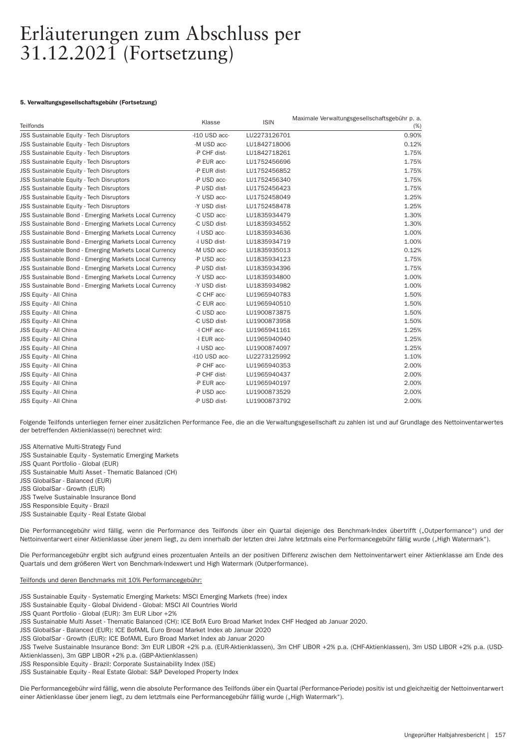### 5. Verwaltungsgesellschaftsgebühr (Fortsetzung)

| Teilfonds                                                     | Klasse        | <b>ISIN</b>  | Maximale Verwaltungsgesellschaftsgebühr p. a.<br>(%) |
|---------------------------------------------------------------|---------------|--------------|------------------------------------------------------|
| JSS Sustainable Equity - Tech Disruptors                      | -I10 USD acc- | LU2273126701 | 0.90%                                                |
| JSS Sustainable Equity - Tech Disruptors                      | -M USD acc-   | LU1842718006 | 0.12%                                                |
| JSS Sustainable Equity - Tech Disruptors                      | -P CHF dist-  | LU1842718261 | 1.75%                                                |
| <b>JSS Sustainable Equity - Tech Disruptors</b>               | -P EUR acc-   | LU1752456696 | 1.75%                                                |
| JSS Sustainable Equity - Tech Disruptors                      | -P EUR dist-  | LU1752456852 | 1.75%                                                |
| JSS Sustainable Equity - Tech Disruptors                      | -P USD acc-   | LU1752456340 | 1.75%                                                |
| JSS Sustainable Equity - Tech Disruptors                      | -P USD dist-  | LU1752456423 | 1.75%                                                |
| JSS Sustainable Equity - Tech Disruptors                      | -Y USD acc-   | LU1752458049 | 1.25%                                                |
| JSS Sustainable Equity - Tech Disruptors                      | -Y USD dist-  | LU1752458478 | 1.25%                                                |
| <b>JSS Sustainable Bond - Emerging Markets Local Currency</b> | -C USD acc-   | LU1835934479 | 1.30%                                                |
| JSS Sustainable Bond - Emerging Markets Local Currency        | -C USD dist-  | LU1835934552 | 1.30%                                                |
| JSS Sustainable Bond - Emerging Markets Local Currency        | -I USD acc-   | LU1835934636 | 1.00%                                                |
| <b>JSS Sustainable Bond - Emerging Markets Local Currency</b> | -I USD dist-  | LU1835934719 | 1.00%                                                |
| JSS Sustainable Bond - Emerging Markets Local Currency        | -M USD acc-   | LU1835935013 | 0.12%                                                |
| JSS Sustainable Bond - Emerging Markets Local Currency        | -P USD acc-   | LU1835934123 | 1.75%                                                |
| JSS Sustainable Bond - Emerging Markets Local Currency        | -P USD dist-  | LU1835934396 | 1.75%                                                |
| JSS Sustainable Bond - Emerging Markets Local Currency        | -Y USD acc-   | LU1835934800 | 1.00%                                                |
| JSS Sustainable Bond - Emerging Markets Local Currency        | -Y USD dist-  | LU1835934982 | 1.00%                                                |
| <b>JSS Equity - All China</b>                                 | -C CHF acc-   | LU1965940783 | 1.50%                                                |
| JSS Equity - All China                                        | -C EUR acc-   | LU1965940510 | 1.50%                                                |
| <b>JSS Equity - All China</b>                                 | -C USD acc-   | LU1900873875 | 1.50%                                                |
| JSS Equity - All China                                        | -C USD dist-  | LU1900873958 | 1.50%                                                |
| JSS Equity - All China                                        | -I CHF acc-   | LU1965941161 | 1.25%                                                |
| <b>JSS Equity - All China</b>                                 | -I EUR acc-   | LU1965940940 | 1.25%                                                |
| JSS Equity - All China                                        | -I USD acc-   | LU1900874097 | 1.25%                                                |
| JSS Equity - All China                                        | -I10 USD acc- | LU2273125992 | 1.10%                                                |
| JSS Equity - All China                                        | -P CHF acc-   | LU1965940353 | 2.00%                                                |
| JSS Equity - All China                                        | -P CHF dist-  | LU1965940437 | 2.00%                                                |
| JSS Equity - All China                                        | -P EUR acc-   | LU1965940197 | 2.00%                                                |
| JSS Equity - All China                                        | -P USD acc-   | LU1900873529 | 2.00%                                                |
| JSS Equity - All China                                        | -P USD dist-  | LU1900873792 | 2.00%                                                |

Folgende Teilfonds unterliegen ferner einer zusätzlichen Performance Fee, die an die Verwaltungsgesellschaft zu zahlen ist und auf Grundlage des Nettoinventarwertes der betreffenden Aktienklasse(n) berechnet wird:

JSS Alternative Multi-Strategy Fund

JSS Sustainable Equity - Systematic Emerging Markets

JSS Quant Portfolio - Global (EUR)

JSS Sustainable Multi Asset - Thematic Balanced (CH)

JSS GlobalSar - Balanced (EUR)

JSS GlobalSar - Growth (EUR)

JSS Twelve Sustainable Insurance Bond

JSS Responsible Equity - Brazil

JSS Sustainable Equity - Real Estate Global

Die Performancegebühr wird fällig, wenn die Performance des Teilfonds über ein Quartal diejenige des Benchmark-Index übertrifft ("Outperformance") und der Nettoinventarwert einer Aktienklasse über jenem liegt, zu dem innerhalb der letzten drei Jahre letztmals eine Performancegebühr fällig wurde ("High Watermark").

Die Performancegebühr ergibt sich aufgrund eines prozentualen Anteils an der positiven Differenz zwischen dem Nettoinventarwert einer Aktienklasse am Ende des Quartals und dem größeren Wert von Benchmark-Indexwert und High Watermark (Outperformance).

# Teilfonds und deren Benchmarks mit 10% Per formancegebühr:

JSS Sustainable Equity - Systematic Emerging Markets: MSCI Emerging Markets (free) index

JSS Sustainable Equity - Global Dividend - Global: MSCI All Countries World

JSS Quant Portfolio - Global (EUR): 3m EUR Libor +2%

JSS Sustainable Multi Asset - Thematic Balanced (CH): ICE BofA Euro Broad Market Index CHF Hedged ab Januar 2020.

JSS GlobalSar - Balanced (EUR): ICE BofAML Euro Broad Market Index ab Januar 2020

JSS GlobalSar - Growth (EUR): ICE BofAML Euro Broad Market Index ab Januar 2020

JSS Twelve Sustainable Insurance Bond: 3m EUR LIBOR +2% p.a. (EUR-Aktienklassen), 3m CHF LIBOR +2% p.a. (CHF-Aktienklassen), 3m USD LIBOR +2% p.a. (USD-Aktienklassen), 3m GBP LIBOR +2% p.a. (GBP-Aktienklassen)

JSS Responsible Equity - Brazil: Corporate Sustainability Index (ISE)

JSS Sustainable Equity - Real Estate Global: S&P Developed Property Index

Die Performancegebühr wird fällig, wenn die absolute Performance des Teilfonds über ein Quartal (Performance-Periode) positiv ist und gleichzeitig der Nettoinventarwert einer Aktienklasse über jenem liegt, zu dem letztmals eine Performancegebühr fällig wurde ("High Watermark").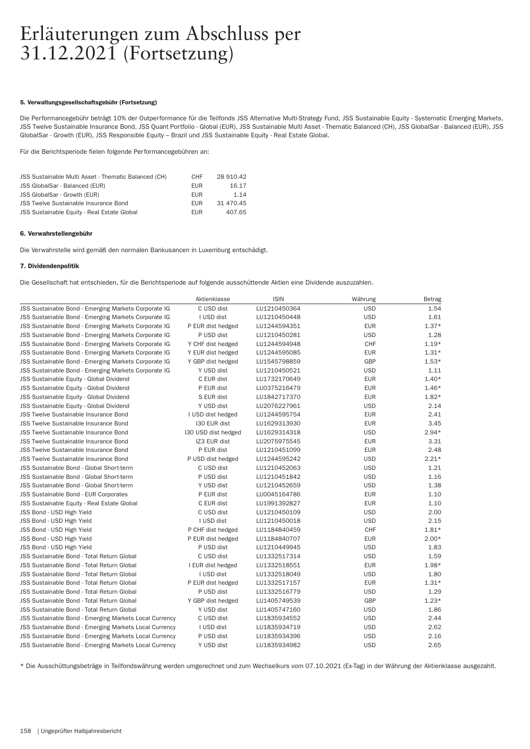# 5. Verwaltungsgesellschaftsgebühr (Fortsetzung)

Die Performancegebühr beträgt 10% der Outperformance für die Teilfonds JSS Alternative Multi-Strategy Fund, JSS Sustainable Equity - Systematic Emerging Markets, JSS Twelve Sustainable Insurance Bond, JSS Quant Portfolio - Global (EUR), JSS Sustainable Multi Asset - Thematic Balanced (CH), JSS GlobalSar - Balanced (EUR), JSS GlobalSar - Growth (EUR), JSS Responsible Equity – Brazil und JSS Sustainable Equity - Real Estate Global.

Für die Berichtsperiode fielen folgende Per formancegebühren an:

| JSS Sustainable Multi Asset - Thematic Balanced (CH) | <b>CHF</b> | 28 910.42 |
|------------------------------------------------------|------------|-----------|
| JSS GlobalSar - Balanced (EUR)                       | <b>EUR</b> | 16.17     |
| JSS GlobalSar - Growth (EUR)                         | <b>FUR</b> | 1.14      |
| <b>JSS Twelve Sustainable Insurance Bond</b>         | <b>FUR</b> | 31 470.45 |
| JSS Sustainable Equity - Real Estate Global          | <b>FUR</b> | 407.65    |
|                                                      |            |           |

### 6. Verwahrstellengebühr

Die Verwahrstelle wird gemäß den normalen Bankusancen in Luxemburg entschädigt.

### 7. Dividendenpolitik

Die Gesellschaft hat entschieden, für die Berichtsperiode auf folgende ausschüttende Aktien eine Dividende auszuzahlen.

|                                                        | Aktienklasse        | <b>ISIN</b>  | Währung    | Betrag  |
|--------------------------------------------------------|---------------------|--------------|------------|---------|
| JSS Sustainable Bond - Emerging Markets Corporate IG   | C USD dist          | LU1210450364 | <b>USD</b> | 1.54    |
| JSS Sustainable Bond - Emerging Markets Corporate IG   | I USD dist          | LU1210450448 | <b>USD</b> | 1.61    |
| JSS Sustainable Bond - Emerging Markets Corporate IG   | P EUR dist hedged   | LU1244594351 | <b>EUR</b> | $1.37*$ |
| JSS Sustainable Bond - Emerging Markets Corporate IG   | P USD dist          | LU1210450281 | <b>USD</b> | 1.28    |
| JSS Sustainable Bond - Emerging Markets Corporate IG   | Y CHF dist hedged   | LU1244594948 | CHF        | $1.19*$ |
| JSS Sustainable Bond - Emerging Markets Corporate IG   | Y EUR dist hedged   | LU1244595085 | <b>EUR</b> | $1.31*$ |
| JSS Sustainable Bond - Emerging Markets Corporate IG   | Y GBP dist hedged   | LU1545798859 | <b>GBP</b> | $1.53*$ |
| JSS Sustainable Bond - Emerging Markets Corporate IG   | Y USD dist          | LU1210450521 | <b>USD</b> | 1.11    |
| JSS Sustainable Equity - Global Dividend               | C EUR dist          | LU1732170649 | <b>EUR</b> | $1.40*$ |
| JSS Sustainable Equity - Global Dividend               | P EUR dist          | LU0375216479 | <b>EUR</b> | $1.46*$ |
| JSS Sustainable Equity - Global Dividend               | S EUR dist          | LU1842717370 | <b>EUR</b> | $1.82*$ |
| JSS Sustainable Equity - Global Dividend               | Y USD dist          | LU2076227961 | <b>USD</b> | 2.14    |
| JSS Twelve Sustainable Insurance Bond                  | I USD dist hedged   | LU1244595754 | <b>EUR</b> | 2.41    |
| JSS Twelve Sustainable Insurance Bond                  | I30 EUR dist        | LU1629313930 | <b>EUR</b> | 3.45    |
| <b>JSS Twelve Sustainable Insurance Bond</b>           | 130 USD dist hedged | LU1629314318 | <b>USD</b> | $2.94*$ |
| <b>JSS Twelve Sustainable Insurance Bond</b>           | IZ3 EUR dist        | LU2075975545 | <b>EUR</b> | 3.31    |
| <b>JSS Twelve Sustainable Insurance Bond</b>           | P EUR dist          | LU1210451099 | <b>EUR</b> | 2.48    |
| <b>JSS Twelve Sustainable Insurance Bond</b>           | P USD dist hedged   | LU1244595242 | <b>USD</b> | $2.21*$ |
| <b>JSS Sustainable Bond - Global Short-term</b>        | C USD dist          | LU1210452063 | <b>USD</b> | 1.21    |
| JSS Sustainable Bond - Global Short-term               | P USD dist          | LU1210451842 | <b>USD</b> | 1.16    |
| JSS Sustainable Bond - Global Short-term               | Y USD dist          | LU1210452659 | <b>USD</b> | 1.38    |
| <b>JSS Sustainable Bond - EUR Corporates</b>           | P EUR dist          | LU0045164786 | <b>EUR</b> | 1.10    |
| JSS Sustainable Equity - Real Estate Global            | C EUR dist          | LU1991392827 | <b>EUR</b> | 1.10    |
| JSS Bond - USD High Yield                              | C USD dist          | LU1210450109 | <b>USD</b> | 2.00    |
| JSS Bond - USD High Yield                              | I USD dist          | LU1210450018 | <b>USD</b> | 2.15    |
| JSS Bond - USD High Yield                              | P CHF dist hedged   | LU1184840459 | CHF        | $1.81*$ |
| JSS Bond - USD High Yield                              | P EUR dist hedged   | LU1184840707 | <b>EUR</b> | $2.00*$ |
| JSS Bond - USD High Yield                              | P USD dist          | LU1210449945 | <b>USD</b> | 1.83    |
| JSS Sustainable Bond - Total Return Global             | C USD dist          | LU1332517314 | <b>USD</b> | 1.59    |
| JSS Sustainable Bond - Total Return Global             | I EUR dist hedged   | LU1332518551 | <b>EUR</b> | 1.98*   |
| <b>JSS Sustainable Bond - Total Return Global</b>      | I USD dist          | LU1332518049 | <b>USD</b> | 1.80    |
| <b>JSS Sustainable Bond - Total Return Global</b>      | P EUR dist hedged   | LU1332517157 | <b>EUR</b> | $1.31*$ |
| <b>JSS Sustainable Bond - Total Return Global</b>      | P USD dist          | LU1332516779 | <b>USD</b> | 1.29    |
| <b>JSS Sustainable Bond - Total Return Global</b>      | Y GBP dist hedged   | LU1405749539 | GBP        | $1.23*$ |
| JSS Sustainable Bond - Total Return Global             | Y USD dist          | LU1405747160 | <b>USD</b> | 1.86    |
| JSS Sustainable Bond - Emerging Markets Local Currency | C USD dist          | LU1835934552 | <b>USD</b> | 2.44    |
| JSS Sustainable Bond - Emerging Markets Local Currency | I USD dist          | LU1835934719 | <b>USD</b> | 2.62    |
| JSS Sustainable Bond - Emerging Markets Local Currency | P USD dist          | LU1835934396 | <b>USD</b> | 2.16    |
| JSS Sustainable Bond - Emerging Markets Local Currency | Y USD dist          | LU1835934982 | <b>USD</b> | 2.65    |

\* Die Ausschüttungsbeträge in Teilfondswährung werden umgerechnet und zum Wechselkurs vom 07.10.2021 (Ex-Tag) in der Währung der Aktienklasse ausgezahlt.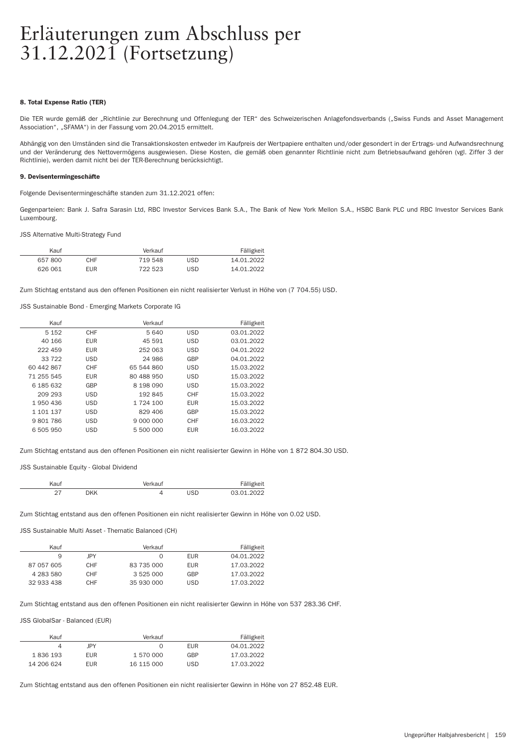### 8. Total Expense Ratio (TER)

Die TER wurde gemäß der "Richtlinie zur Berechnung und Offenlegung der TER" des Schweizerischen Anlagefondsverbands ("Swiss Funds and Asset Management Association", "SFAMA") in der Fassung vom 20.04.2015 ermittelt.

Abhängig von den Umständen sind die Transaktionskosten entweder im Kaufpreis der Wertpapiere enthalten und/oder gesondert in der Ertrags- und Aufwandsrechnung und der Veränderung des Nettovermögens ausgewiesen. Diese Kosten, die gemäß oben genannter Richtlinie nicht zum Betriebsaufwand gehören (vgl. Ziffer 3 der Richtlinie), werden damit nicht bei der TER-Berechnung berücksichtigt.

# 9. Devisentermingeschäfte

Folgende Devisentermingeschäfte standen zum 31.12.2021 offen:

Gegenpar teien: Bank J. Safra Sarasin Ltd, RBC Investor Services Bank S.A., The Bank of New York Mellon S.A., HSBC Bank PLC und RBC Investor Services Bank Luxembourg.

JSS Alternative Multi-Strategy Fund

| Kauf    |            | Verkauf |     | Fälligkeit |
|---------|------------|---------|-----|------------|
| 657800  | CHF.       | 719 548 | USD | 14.01.2022 |
| 626 061 | <b>EUR</b> | 722.523 | USD | 14 01 2022 |

Zum Stichtag entstand aus den offenen Positionen ein nicht realisierter Verlust in Höhe von (7 704.55) USD.

JSS Sustainable Bond - Emerging Markets Corporate IG

| Kauf       |            | Verkauf    |            | Fälligkeit |
|------------|------------|------------|------------|------------|
| 5 1 5 2    | CHF        | 5 640      | <b>USD</b> | 03.01.2022 |
| 40 166     | <b>EUR</b> | 45 591     | <b>USD</b> | 03.01.2022 |
| 222 459    | <b>EUR</b> | 252 063    | <b>USD</b> | 04.01.2022 |
| 33722      | <b>USD</b> | 24 986     | GBP        | 04.01.2022 |
| 60 442 867 | CHF        | 65 544 860 | <b>USD</b> | 15.03.2022 |
| 71 255 545 | <b>EUR</b> | 80 488 950 | <b>USD</b> | 15.03.2022 |
| 6 185 632  | GBP        | 8 198 090  | <b>USD</b> | 15.03.2022 |
| 209 293    | <b>USD</b> | 192845     | CHF        | 15.03.2022 |
| 1 950 436  | <b>USD</b> | 1 724 100  | <b>EUR</b> | 15.03.2022 |
| 1 101 137  | <b>USD</b> | 829 406    | GBP        | 15.03.2022 |
| 9801786    | <b>USD</b> | 9 000 000  | <b>CHF</b> | 16.03.2022 |
| 6 505 950  | <b>USD</b> | 5 500 000  | <b>EUR</b> | 16.03.2022 |
|            |            |            |            |            |

Zum Stichtag entstand aus den offenen Positionen ein nicht realisierter Gewinn in Höhe von 1 872 804.30 USD.

JSS Sustainable Equity - Global Dividend

| aut: |    | rkaut<br>$\sqrt{2}$ |                             |
|------|----|---------------------|-----------------------------|
|      | NK |                     | $'$ , $'$ , $'$ , $'$ , $'$ |

Zum Stichtag entstand aus den offenen Positionen ein nicht realisierter Gewinn in Höhe von 0.02 USD.

JSS Sustainable Multi Asset - Thematic Balanced (CH)

| Kauf       |            | Verkauf    |            | Fälligkeit |
|------------|------------|------------|------------|------------|
| 9          | <b>IPY</b> |            | <b>FUR</b> | 04.01.2022 |
| 87 057 605 | <b>CHF</b> | 83 735 000 | <b>FUR</b> | 17.03.2022 |
| 4 283 580  | <b>CHF</b> | 3 525 000  | GBP        | 17.03.2022 |
| 32 933 438 | <b>CHF</b> | 35 930 000 | <b>USD</b> | 17.03.2022 |

Zum Stichtag entstand aus den offenen Positionen ein nicht realisierter Gewinn in Höhe von 537 283.36 CHF.

JSS GlobalSar - Balanced (EUR)

| Kauf       |            | Verkauf    |            | Fälligkeit |
|------------|------------|------------|------------|------------|
|            | <b>IPY</b> |            | <b>EUR</b> | 04.01.2022 |
| 1836 193   | <b>EUR</b> | 1 570 000  | GBP        | 17.03.2022 |
| 14 206 624 | <b>EUR</b> | 16 115 000 | <b>USD</b> | 17.03.2022 |

Zum Stichtag entstand aus den offenen Positionen ein nicht realisierter Gewinn in Höhe von 27 852.48 EUR.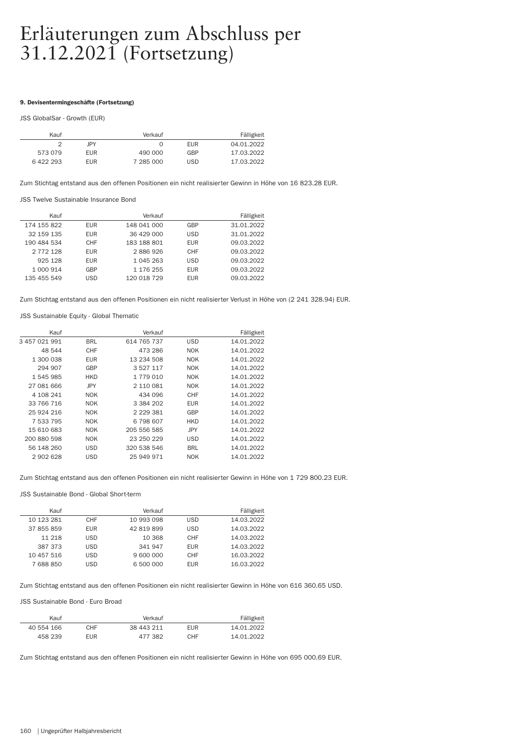# 9. Devisentermingeschäfte (Fortsetzung)

JSS GlobalSar - Growth (EUR)

|            | Verkauf   |            | Fälligkeit |
|------------|-----------|------------|------------|
| <b>IPY</b> |           | <b>FUR</b> | 04.01.2022 |
| <b>EUR</b> | 490 000   | GBP        | 17.03.2022 |
| <b>EUR</b> | 7 285 000 | <b>USD</b> | 17.03.2022 |
|            |           |            |            |

Zum Stichtag entstand aus den offenen Positionen ein nicht realisierter Gewinn in Höhe von 16 823.28 EUR.

JSS Twelve Sustainable Insurance Bond

| Fälligkeit |            | Verkauf     |            | Kauf          |
|------------|------------|-------------|------------|---------------|
| 31.01.2022 | GBP        | 148 041 000 | <b>EUR</b> | 174 155 822   |
| 31.01.2022 | <b>USD</b> | 36 429 000  | <b>EUR</b> | 32 159 135    |
| 09.03.2022 | <b>EUR</b> | 183 188 801 | CHF        | 190 484 534   |
| 09.03.2022 | CHF        | 2886926     | <b>EUR</b> | 2 7 7 2 1 2 8 |
| 09.03.2022 | <b>USD</b> | 1 045 263   | <b>EUR</b> | 925 128       |
| 09.03.2022 | <b>EUR</b> | 1 176 255   | GBP        | 1 000 914     |
| 09.03.2022 | <b>EUR</b> | 120 018 729 | USD        | 135 455 549   |
|            |            |             |            |               |

Zum Stichtag entstand aus den offenen Positionen ein nicht realisierter Verlust in Höhe von (2 241 328.94) EUR.

JSS Sustainable Equity - Global Thematic

| Fälligkeit |            | Verkauf                                       |            | Kauf          |
|------------|------------|-----------------------------------------------|------------|---------------|
| 14.01.2022 | <b>USD</b> | 614 765 737                                   | <b>BRL</b> | 3 457 021 991 |
| 14.01.2022 | <b>NOK</b> | 473 286                                       | CHF        | 48 544        |
| 14.01.2022 | <b>NOK</b> | 13 234 508                                    | <b>EUR</b> | 1 300 038     |
| 14.01.2022 | <b>NOK</b> | 3 5 2 7 1 1 7                                 | GBP        | 294 907       |
| 14.01.2022 | <b>NOK</b> | 1 779 010                                     | <b>HKD</b> | 1 545 985     |
| 14.01.2022 | <b>NOK</b> | 2 110 081                                     | JPY        | 27 081 666    |
| 14.01.2022 | CHF        | 434 096                                       | <b>NOK</b> | 4 108 241     |
| 14.01.2022 | <b>EUR</b> | 3 3 8 4 2 0 2                                 | <b>NOK</b> | 33 766 716    |
| 14.01.2022 | GBP        | 2 2 2 3 3 3 4 1 2 2 2 3 4 3 4 4 5 4 7 2 3 8 1 | <b>NOK</b> | 25 924 216    |
| 14.01.2022 | <b>HKD</b> | 6 798 607                                     | <b>NOK</b> | 7 533 795     |
| 14.01.2022 | <b>JPY</b> | 205 556 585                                   | <b>NOK</b> | 15 610 683    |
| 14.01.2022 | <b>USD</b> | 23 250 229                                    | <b>NOK</b> | 200 880 598   |
| 14.01.2022 | <b>BRL</b> | 320 538 546                                   | <b>USD</b> | 56 148 260    |
| 14.01.2022 | <b>NOK</b> | 25 949 971                                    | USD        | 2902628       |
|            |            |                                               |            |               |

Zum Stichtag entstand aus den offenen Positionen ein nicht realisierter Gewinn in Höhe von 1 729 800.23 EUR.

JSS Sustainable Bond - Global Short-term

| Kauf       |            | Verkauf    |            | Fälligkeit |
|------------|------------|------------|------------|------------|
| 10 123 281 | CHF        | 10 993 098 | <b>USD</b> | 14.03.2022 |
| 37 855 859 | <b>EUR</b> | 42 819 899 | <b>USD</b> | 14.03.2022 |
| 11 218     | USD.       | 10 368     | CHF        | 14.03.2022 |
| 387 373    | USD.       | 341 947    | <b>EUR</b> | 14.03.2022 |
| 10 457 516 | USD        | 9 600 000  | CHF        | 16.03.2022 |
| 7 688 850  | USD        | 6 500 000  | <b>EUR</b> | 16.03.2022 |

Zum Stichtag entstand aus den offenen Positionen ein nicht realisierter Gewinn in Höhe von 616 360.65 USD.

## JSS Sustainable Bond - Euro Broad

| Kauf       |            | Verkauf    |            | Fälligkeit |
|------------|------------|------------|------------|------------|
| 40 554 166 | CHF        | 38 443 211 | <b>FUR</b> | 14.01.2022 |
| 458 239    | <b>EUR</b> | 477.382    | CHF        | 14.01.2022 |

Zum Stichtag entstand aus den offenen Positionen ein nicht realisierter Gewinn in Höhe von 695 000.69 EUR.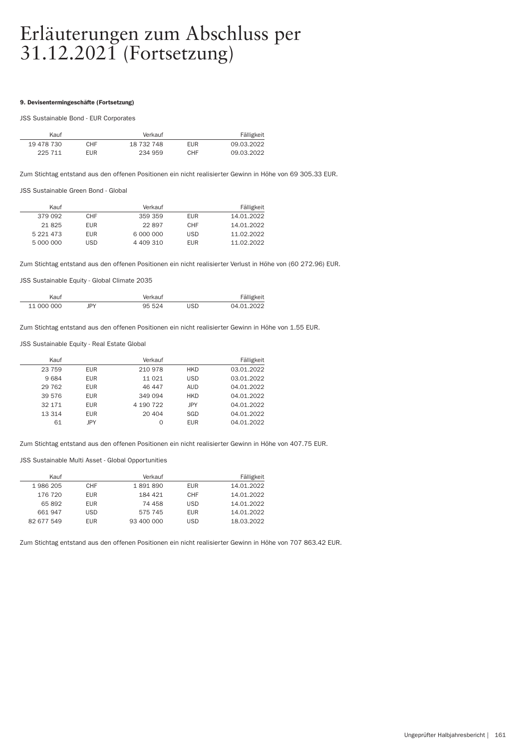### 9. Devisentermingeschäfte (Fortsetzung)

### JSS Sustainable Bond - EUR Corporates

| Kauf       |            | Verkauf    |            | Fälligkeit |  |
|------------|------------|------------|------------|------------|--|
| 19 478 730 | CHF.       | 18 732 748 | <b>FUR</b> | 09.03.2022 |  |
| 225 711    | <b>EUR</b> | 234 959    | CHF        | 09.03.2022 |  |

Zum Stichtag entstand aus den offenen Positionen ein nicht realisierter Gewinn in Höhe von 69 305.33 EUR.

JSS Sustainable Green Bond - Global

| Kauf          |            | Verkauf   |            | Fälligkeit |
|---------------|------------|-----------|------------|------------|
| 379 092       | CHF        | 359 359   | FUR        | 14.01.2022 |
| 21825         | <b>EUR</b> | 22897     | CHF        | 14.01.2022 |
| 5 2 2 1 4 7 3 | <b>EUR</b> | 6 000 000 | <b>USD</b> | 11.02.2022 |
| 5 000 000     | USD        | 4 409 310 | <b>FUR</b> | 11.02.2022 |

Zum Stichtag entstand aus den offenen Positionen ein nicht realisierter Verlust in Höhe von (60 272.96) EUR.

JSS Sustainable Equity - Global Climate 2035

|   |     |                                     | ັ            |
|---|-----|-------------------------------------|--------------|
| . | ۰ον | the contract of the contract of the | $\mathbf{A}$ |

Zum Stichtag entstand aus den offenen Positionen ein nicht realisierter Gewinn in Höhe von 1.55 EUR.

JSS Sustainable Equity - Real Estate Global

| Kauf    |            | Verkauf   |            | Fälligkeit |
|---------|------------|-----------|------------|------------|
| 23759   | <b>EUR</b> | 210 978   | <b>HKD</b> | 03.01.2022 |
| 9684    | <b>EUR</b> | 11 0 21   | <b>USD</b> | 03.01.2022 |
| 29 7 62 | <b>EUR</b> | 46 447    | AUD        | 04.01.2022 |
| 39 576  | <b>EUR</b> | 349 094   | <b>HKD</b> | 04.01.2022 |
| 32 171  | <b>EUR</b> | 4 190 722 | JPY        | 04.01.2022 |
| 13 314  | <b>EUR</b> | 20 404    | SGD        | 04.01.2022 |
| 61      | <b>IPY</b> | 0         | <b>EUR</b> | 04.01.2022 |

Zum Stichtag entstand aus den offenen Positionen ein nicht realisierter Gewinn in Höhe von 407.75 EUR.

JSS Sustainable Multi Asset - Global Opportunities

| Fälligkeit |            | Verkauf    |            | Kauf       |
|------------|------------|------------|------------|------------|
| 14.01.2022 | <b>EUR</b> | 1891890    | <b>CHF</b> | 1986 205   |
| 14.01.2022 | CHF        | 184 421    | EUR.       | 176 720    |
| 14.01.2022 | <b>USD</b> | 74 458     | <b>EUR</b> | 65892      |
| 14.01.2022 | <b>EUR</b> | 575 745    | USD        | 661 947    |
| 18.03.2022 | <b>USD</b> | 93 400 000 | <b>EUR</b> | 82 677 549 |

Zum Stichtag entstand aus den offenen Positionen ein nicht realisierter Gewinn in Höhe von 707 863.42 EUR.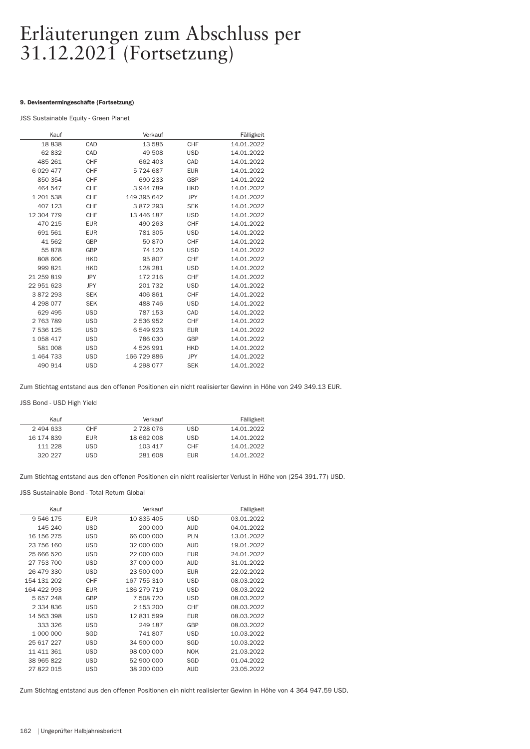# 9. Devisentermingeschäfte (Fortsetzung)

JSS Sustainable Equity - Green Planet

| Kauf         |            | Verkauf     |            | Fälligkeit |
|--------------|------------|-------------|------------|------------|
| 18838        | CAD        | 13 585      | <b>CHF</b> | 14.01.2022 |
| 62832        | CAD        | 49 508      | <b>USD</b> | 14.01.2022 |
| 485 261      | <b>CHF</b> | 662 403     | CAD        | 14.01.2022 |
| 6 0 29 4 7 7 | <b>CHF</b> | 5724687     | <b>EUR</b> | 14.01.2022 |
| 850 354      | <b>CHF</b> | 690 233     | GBP        | 14.01.2022 |
| 464 547      | <b>CHF</b> | 3944789     | <b>HKD</b> | 14.01.2022 |
| 1 201 538    | <b>CHF</b> | 149 395 642 | <b>JPY</b> | 14.01.2022 |
| 407 123      | <b>CHF</b> | 3872293     | <b>SEK</b> | 14.01.2022 |
| 12 304 779   | <b>CHF</b> | 13 446 187  | <b>USD</b> | 14.01.2022 |
| 470 215      | <b>EUR</b> | 490 263     | <b>CHF</b> | 14.01.2022 |
| 691 561      | <b>EUR</b> | 781 305     | <b>USD</b> | 14.01.2022 |
| 41 562       | GBP        | 50 870      | <b>CHF</b> | 14.01.2022 |
| 55 878       | GBP        | 74 120      | <b>USD</b> | 14.01.2022 |
| 808 606      | <b>HKD</b> | 95 807      | <b>CHF</b> | 14.01.2022 |
| 999 821      | <b>HKD</b> | 128 281     | <b>USD</b> | 14.01.2022 |
| 21 259 819   | <b>JPY</b> | 172 216     | CHF        | 14.01.2022 |
| 22 951 623   | <b>JPY</b> | 201 732     | <b>USD</b> | 14.01.2022 |
| 3872293      | <b>SEK</b> | 406 861     | CHF        | 14.01.2022 |
| 4 298 077    | <b>SEK</b> | 488 746     | <b>USD</b> | 14.01.2022 |
| 629 495      | <b>USD</b> | 787 153     | CAD        | 14.01.2022 |
| 2763789      | <b>USD</b> | 2 536 952   | CHF        | 14.01.2022 |
| 7 536 125    | <b>USD</b> | 6 549 923   | <b>EUR</b> | 14.01.2022 |
| 1 0 58 4 17  | <b>USD</b> | 786 030     | GBP        | 14.01.2022 |
| 581 008      | <b>USD</b> | 4 526 991   | <b>HKD</b> | 14.01.2022 |
| 1 464 733    | <b>USD</b> | 166 729 886 | <b>JPY</b> | 14.01.2022 |
| 490 914      | <b>USD</b> | 4 298 077   | <b>SEK</b> | 14.01.2022 |

Zum Stichtag entstand aus den offenen Positionen ein nicht realisierter Gewinn in Höhe von 249 349.13 EUR.

JSS Bond - USD High Yield

| Kauf       |            | Verkauf       |            | Fälligkeit |
|------------|------------|---------------|------------|------------|
| 2494633    | <b>CHF</b> | 2 7 2 8 0 7 6 | <b>USD</b> | 14.01.2022 |
| 16 174 839 | <b>EUR</b> | 18 662 008    | <b>USD</b> | 14.01.2022 |
| 111 228    | <b>USD</b> | 103 417       | CHF        | 14.01.2022 |
| 320 227    | USD        | 281 608       | <b>FUR</b> | 14.01.2022 |
|            |            |               |            |            |

Zum Stichtag entstand aus den offenen Positionen ein nicht realisierter Verlust in Höhe von (254 391.77) USD.

JSS Sustainable Bond - Total Return Global

| Fälligkeit |            | Verkauf     |            | Kauf        |
|------------|------------|-------------|------------|-------------|
| 03.01.2022 | <b>USD</b> | 10 835 405  | <b>EUR</b> | 9 546 175   |
| 04.01.2022 | AUD        | 200 000     | <b>USD</b> | 145 240     |
| 13.01.2022 | <b>PLN</b> | 66 000 000  | <b>USD</b> | 16 156 275  |
| 19.01.2022 | AUD        | 32 000 000  | <b>USD</b> | 23 756 160  |
| 24.01.2022 | <b>EUR</b> | 22 000 000  | <b>USD</b> | 25 666 520  |
| 31.01.2022 | <b>AUD</b> | 37 000 000  | <b>USD</b> | 27 753 700  |
| 22.02.2022 | <b>EUR</b> | 23 500 000  | <b>USD</b> | 26 479 330  |
| 08.03.2022 | <b>USD</b> | 167 755 310 | CHF        | 154 131 202 |
| 08.03.2022 | <b>USD</b> | 186 279 719 | <b>EUR</b> | 164 422 993 |
| 08.03.2022 | <b>USD</b> | 7 508 720   | GBP        | 5 657 248   |
| 08.03.2022 | CHF        | 2 153 200   | <b>USD</b> | 2 334 836   |
| 08.03.2022 | <b>EUR</b> | 12 831 599  | <b>USD</b> | 14 563 398  |
| 08.03.2022 | GBP        | 249 187     | <b>USD</b> | 333 326     |
| 10.03.2022 | <b>USD</b> | 741 807     | SGD        | 1 000 000   |
| 10.03.2022 | SGD        | 34 500 000  | <b>USD</b> | 25 617 227  |
| 21.03.2022 | <b>NOK</b> | 98 000 000  | <b>USD</b> | 11 411 361  |
| 01.04.2022 | SGD        | 52 900 000  | <b>USD</b> | 38 965 822  |
| 23.05.2022 | <b>AUD</b> | 38 200 000  | <b>USD</b> | 27 822 015  |
|            |            |             |            |             |

Zum Stichtag entstand aus den offenen Positionen ein nicht realisierter Gewinn in Höhe von 4 364 947.59 USD.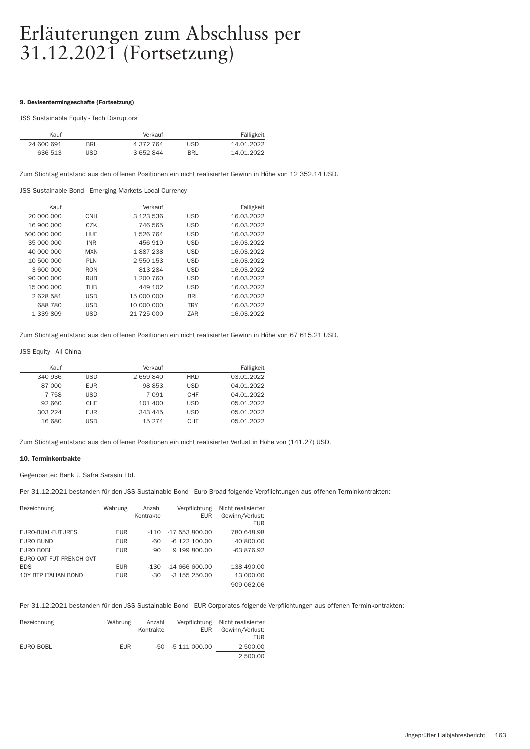### 9. Devisentermingeschäfte (Fortsetzung)

### JSS Sustainable Equity - Tech Disruptors

| Fälligkeit |            | Verkauf   |            | Kauf       |
|------------|------------|-----------|------------|------------|
| 14.01.2022 | <b>USD</b> | 4 372 764 | <b>BRL</b> | 24 600 691 |
| 14.01.2022 | <b>BRI</b> | 3 652 844 | USD        | 636 513    |

Zum Stichtag entstand aus den offenen Positionen ein nicht realisierter Gewinn in Höhe von 12 352.14 USD.

JSS Sustainable Bond - Emerging Markets Local Currency

| Kauf        |            | Verkauf       |            | Fälligkeit |
|-------------|------------|---------------|------------|------------|
| 20 000 000  | <b>CNH</b> | 3 1 2 3 5 3 6 | <b>USD</b> | 16.03.2022 |
| 16 900 000  | CZK        | 746 565       | <b>USD</b> | 16.03.2022 |
| 500 000 000 | <b>HUF</b> | 1 526 764     | <b>USD</b> | 16.03.2022 |
| 35 000 000  | <b>INR</b> | 456 919       | <b>USD</b> | 16.03.2022 |
| 40,000,000  | <b>MXN</b> | 1887238       | <b>USD</b> | 16.03.2022 |
| 10 500 000  | <b>PLN</b> | 2 550 153     | <b>USD</b> | 16.03.2022 |
| 3 600 000   | <b>RON</b> | 813 284       | <b>USD</b> | 16.03.2022 |
| 90 000 000  | <b>RUB</b> | 1 200 760     | <b>USD</b> | 16.03.2022 |
| 15 000 000  | <b>THB</b> | 449 102       | <b>USD</b> | 16.03.2022 |
| 2628581     | <b>USD</b> | 15 000 000    | <b>BRL</b> | 16.03.2022 |
| 688 780     | <b>USD</b> | 10 000 000    | <b>TRY</b> | 16.03.2022 |
| 1 339 809   | <b>USD</b> | 21 725 000    | ZAR        | 16.03.2022 |
|             |            |               |            |            |

Zum Stichtag entstand aus den offenen Positionen ein nicht realisierter Gewinn in Höhe von 67 615.21 USD.

### JSS Equity - All China

| Kauf    |            | Verkauf |            | Fälligkeit |
|---------|------------|---------|------------|------------|
| 340 936 | <b>USD</b> | 2659840 | <b>HKD</b> | 03.01.2022 |
| 87 000  | <b>EUR</b> | 98 853  | <b>USD</b> | 04.01.2022 |
| 7 7 5 8 | <b>USD</b> | 7 0 9 1 | <b>CHF</b> | 04.01.2022 |
| 92 660  | <b>CHF</b> | 101 400 | <b>USD</b> | 05.01.2022 |
| 303 224 | <b>EUR</b> | 343 445 | <b>USD</b> | 05.01.2022 |
| 16 680  | USD        | 15 274  | CHF        | 05.01.2022 |

Zum Stichtag entstand aus den offenen Positionen ein nicht realisierter Verlust in Höhe von (141.27) USD.

# 10. Terminkontrakte

Gegenpartei: Bank J. Safra Sarasin Ltd.

Per 31.12.2021 bestanden für den JSS Sustainable Bond - Euro Broad folgende Verpflichtungen aus offenen Terminkontrakten:

| Bezeichnung                 | Währung    | Anzahl<br>Kontrakte | Verpflichtung<br><b>EUR</b> | Nicht realisierter<br>Gewinn/Verlust:<br><b>EUR</b> |
|-----------------------------|------------|---------------------|-----------------------------|-----------------------------------------------------|
| EURO-BUXL-FUTURES           | <b>EUR</b> | $-110$              | $-17553800.00$              | 780 648.98                                          |
| EURO BUND                   | <b>EUR</b> | -60                 | $-6$ 122 100.00             | 40 800.00                                           |
| EURO BOBL                   | <b>EUR</b> | 90                  | 9 199 800.00                | -63 876.92                                          |
| EURO OAT FUT FRENCH GVT     |            |                     |                             |                                                     |
| <b>BDS</b>                  | <b>EUR</b> | -1.30               | $-14666600.00$              | 138 490.00                                          |
| <b>10Y BTP ITALIAN BOND</b> | <b>EUR</b> | $-30$               | $-3$ 155 250.00             | 13 000.00                                           |
|                             |            |                     |                             | 909 062.06                                          |

Per 31.12.2021 bestanden für den JSS Sustainable Bond - EUR Corporates folgende Verpflichtungen aus offenen Terminkontrakten:

| Bezeichnung | Währung    | Anzahl<br>Kontrakte | Verpflichtung<br><b>EUR</b> | Nicht realisierter<br>Gewinn/Verlust:<br>EUR. |
|-------------|------------|---------------------|-----------------------------|-----------------------------------------------|
| EURO BOBL   | <b>EUR</b> |                     | $-50$ $-5111000.00$         | 2 500.00                                      |
|             |            |                     |                             | 2 500.00                                      |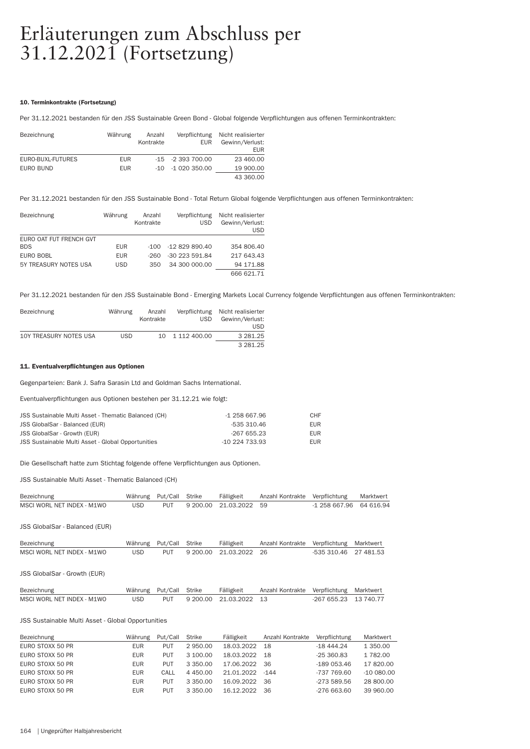### 10. Terminkontrakte (Fortsetzung)

Per 31.12.2021 bestanden für den JSS Sustainable Green Bond - Global folgende Verpflichtungen aus offenen Terminkontrakten:

| Bezeichnung       | Währung    | Anzahl<br>Kontrakte | Verpflichtung<br><b>EUR</b> | Nicht realisierter<br>Gewinn/Verlust:<br>EUR. |
|-------------------|------------|---------------------|-----------------------------|-----------------------------------------------|
| EURO-BUXL-FUTURES | <b>EUR</b> |                     | $-15$ $-2393700.00$         | 23 460.00                                     |
| EURO BUND         | <b>EUR</b> |                     | $-10 - 1020350.00$          | 19 900.00                                     |
|                   |            |                     |                             | 43 360,00                                     |

Per 31.12.2021 bestanden für den JSS Sustainable Bond - Total Return Global folgende Verpflichtungen aus offenen Terminkontrakten:

| Bezeichnung             | Währung    | Anzahl<br>Kontrakte | Verpflichtung<br><b>USD</b> | Nicht realisierter<br>Gewinn/Verlust:<br><b>USD</b> |
|-------------------------|------------|---------------------|-----------------------------|-----------------------------------------------------|
| EURO OAT FUT FRENCH GVT |            |                     |                             |                                                     |
| <b>BDS</b>              | <b>EUR</b> | -100                | -12 829 890.40              | 354 806.40                                          |
| <b>EURO BOBL</b>        | <b>EUR</b> | -260                | -30 223 591.84              | 217 643.43                                          |
| 5Y TREASURY NOTES USA   | <b>USD</b> | 350                 | 34 300 000.00               | 94 171.88                                           |
|                         |            |                     |                             | 666 621.71                                          |

Per 31.12.2021 bestanden für den JSS Sustainable Bond - Emerging Markets Local Currency folgende Verpflichtungen aus offenen Terminkontrakten:

| Bezeichnung            | Währung | Anzahl<br>Kontrakte | <b>USD</b>      | Verpflichtung Nicht realisierter<br>Gewinn/Verlust: |
|------------------------|---------|---------------------|-----------------|-----------------------------------------------------|
|                        |         |                     |                 | USD                                                 |
| 10Y TREASURY NOTES USA | USD     |                     | 10 1 112 400.00 | 3 281.25                                            |
|                        |         |                     |                 | 3 281.25                                            |

# 11. Eventualverpflichtungen aus Optionen

Gegenpar teien: Bank J. Safra Sarasin Ltd and Goldman Sachs International.

Eventualverpflichtungen aus Optionen bestehen per 31.12.21 wie folgt:

| JSS Sustainable Multi Asset - Thematic Balanced (CH) | -1 258 667.96  | CHF        |
|------------------------------------------------------|----------------|------------|
| JSS GlobalSar - Balanced (EUR)                       | -535 310.46    | <b>EUR</b> |
| JSS GlobalSar - Growth (EUR)                         | -267 655.23    | EUR.       |
| JSS Sustainable Multi Asset - Global Opportunities   | $-10224733.93$ | <b>EUR</b> |

Die Gesellschaft hatte zum Stichtag folgende offene Verpflichtungen aus Optionen.

JSS Sustainable Multi Asset - Thematic Balanced (CH)

| Bezeichnung                | Währung Put/Call Strike |            | Fälligkeit             | Anzahl Kontrakte Verpflichtung |                        | Marktwert |
|----------------------------|-------------------------|------------|------------------------|--------------------------------|------------------------|-----------|
| MSCI WORL NET INDEX - M1WO | USD                     | <b>PUT</b> | 9 200.00 21.03.2022 59 |                                | $-1,258667.9664616.94$ |           |

JSS GlobalSar - Balanced (EUR)

| Bezeichnung                | Währung Put/Call Strike |  | Fälligkeit                 | Anzahl Kontrakte Verpflichtung Marktwert |                       |  |
|----------------------------|-------------------------|--|----------------------------|------------------------------------------|-----------------------|--|
| MSCI WORL NET INDEX - M1WO | USD.                    |  | PUT 9 200.00 21.03.2022 26 |                                          | -535 310.46 27 481.53 |  |

JSS GlobalSar - Growth (EUR)

| Bezeichnung                | Währung Put/Call Strike |  | Fälligkeit                 | Anzahl Kontrakte Verpflichtung Marktwert |                       |  |
|----------------------------|-------------------------|--|----------------------------|------------------------------------------|-----------------------|--|
| MSCI WORL NET INDEX - M1WO | USD.                    |  | PUT 9 200.00 21.03.2022 13 |                                          | -267 655.23 13 740.77 |  |

# JSS Sustainable Multi Asset - Global Oppor tunities

| Bezeichnung      | Währung    | Put/Call   | Strike   | Fälligkeit    | Anzahl Kontrakte | Verpflichtung | Marktwert    |
|------------------|------------|------------|----------|---------------|------------------|---------------|--------------|
| EURO STOXX 50 PR | <b>EUR</b> | <b>PUT</b> | 2950.00  | 18.03.2022    | - 18             | $-1844.24$    | 1 350.00     |
| EURO STOXX 50 PR | <b>EUR</b> | <b>PUT</b> | 3 100.00 | 18.03.2022    | - 18             | $-25360.83$   | 1 782.00     |
| EURO STOXX 50 PR | <b>EUR</b> | <b>PUT</b> | 3 350.00 | 17.06.2022 36 |                  | $-189053.46$  | 17820.00     |
| EURO STOXX 50 PR | <b>EUR</b> | CALL       | 4 450.00 | 21.01.2022    | $-144$           | -737 769.60   | $-100080.00$ |
| EURO STOXX 50 PR | <b>EUR</b> | <b>PUT</b> | 3 350.00 | 16.09.2022    | 36.              | $-273589.56$  | 28 800.00    |
| EURO STOXX 50 PR | <b>EUR</b> | <b>PUT</b> | 3 350.00 | 16.12.2022    | -36              | $-276663.60$  | 39 960.00    |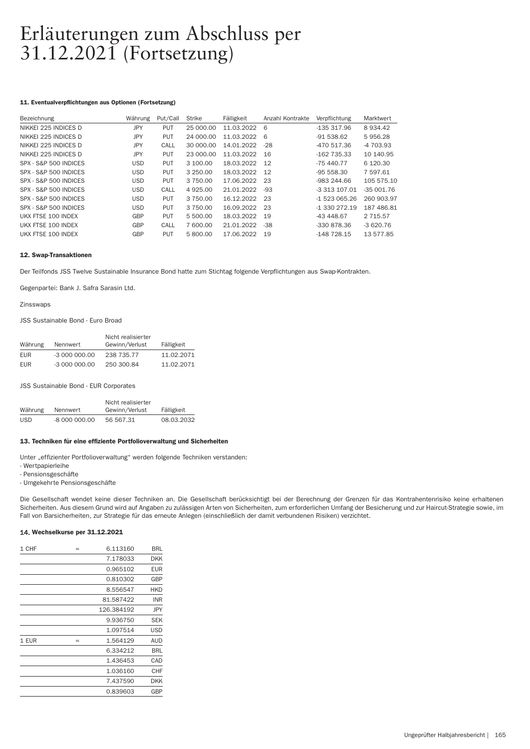# 11. Eventualverpflichtungen aus Optionen (Fortsetzung)

| Bezeichnung           | Währung    | Put/Call   | Strike        | Fälligkeit | Anzahl Kontrakte | Verpflichtung  | Marktwert     |
|-----------------------|------------|------------|---------------|------------|------------------|----------------|---------------|
| NIKKEI 225 INDICES D  | <b>JPY</b> | <b>PUT</b> | 25 000.00     | 11.03.2022 | 6                | -135 317.96    | 8934.42       |
| NIKKEI 225 INDICES D  | <b>JPY</b> | <b>PUT</b> | 24 000.00     | 11.03.2022 | 6                | $-91538.62$    | 5956.28       |
| NIKKEI 225 INDICES D  | JPY        | CALL       | 30 000,00     | 14.01.2022 | $-28$            | -470 517.36    | $-4703.93$    |
| NIKKEI 225 INDICES D  | JPY        | <b>PUT</b> | 23 000.00     | 11.03.2022 | 16               | $-162735.33$   | 10 140.95     |
| SPX - S&P 500 INDICES | <b>USD</b> | <b>PUT</b> | 3 100.00      | 18.03.2022 | 12               | $-75440.77$    | 6 1 2 0 . 3 0 |
| SPX - S&P 500 INDICES | <b>USD</b> | <b>PUT</b> | 3 250.00      | 18.03.2022 | 12               | $-95558.30$    | 7 597.61      |
| SPX - S&P 500 INDICES | <b>USD</b> | <b>PUT</b> | 3 7 5 0 . 0 0 | 17.06.2022 | 23               | $-983244.66$   | 105 575.10    |
| SPX - S&P 500 INDICES | <b>USD</b> | CALL       | 4 9 2 5 .00   | 21.01.2022 | -93              | -3 313 107.01  | $-35001.76$   |
| SPX - S&P 500 INDICES | <b>USD</b> | <b>PUT</b> | 3 750.00      | 16.12.2022 | 23               | -1 523 065.26  | 260 903.97    |
| SPX - S&P 500 INDICES | <b>USD</b> | <b>PUT</b> | 3 750.00      | 16.09.2022 | 23               | $-1.330272.19$ | 187 486.81    |
| UKX FTSE 100 INDEX    | GBP        | <b>PUT</b> | 5 500.00      | 18.03.2022 | 19               | -43 448.67     | 2 7 1 5 . 5 7 |
| UKX FTSE 100 INDEX    | GBP        | CALL       | 7 600.00      | 21.01.2022 | $-38$            | $-330878.36$   | $-3620.76$    |
| UKX FTSE 100 INDEX    | GBP        | <b>PUT</b> | 5800.00       | 17.06.2022 | 19               | $-148728.15$   | 13 577.85     |
|                       |            |            |               |            |                  |                |               |

# 12. Swap-Transaktionen

Der Teilfonds JSS Twelve Sustainable Insurance Bond hatte zum Stichtag folgende Verpflichtungen aus Swap-Kontrakten.

Gegenpar tei: Bank J. Safra Sarasin Ltd.

Zinsswaps

JSS Sustainable Bond - Euro Broad

|            |               | Nicht realisierter |            |
|------------|---------------|--------------------|------------|
| Währung    | Nennwert      | Gewinn/Verlust     | Fälligkeit |
| <b>EUR</b> | $-3000000000$ | 238 735.77         | 11.02.2071 |
| <b>EUR</b> | $-3000000000$ | 250 300.84         | 11.02.2071 |

JSS Sustainable Bond - EUR Corporates

|            |               | Nicht realisierter |            |
|------------|---------------|--------------------|------------|
| Währung    | Nennwert      | Gewinn/Verlust     | Fälligkeit |
| <b>USD</b> | -8 000 000.00 | 56 567.31          | 08.03.2032 |

# 13. Techniken für eine effiziente Portfolioverwaltung und Sicherheiten

Unter "effizienter Portfolioverwaltung" werden folgende Techniken verstanden:

- Wer tpapierleihe

- Pensionsgeschäfte

- Umgekehr te Pensionsgeschäfte

Die Gesellschaft wendet keine dieser Techniken an. Die Gesellschaft berücksichtigt bei der Berechnung der Grenzen für das Kontrahentenrisiko keine erhaltenen Sicherheiten. Aus diesem Grund wird auf Angaben zu zulässigen Arten von Sicherheiten, zum erforderlichen Umfang der Besicherung und zur Haircut-Strategie sowie, im Fall von Barsicherheiten, zur Strategie für das erneute Anlegen (einschließlich der damit verbundenen Risiken) verzichtet.

# 14. Wechselkurse per 31.12.2021

| 1 CHF | $=$ | 6.113160   | BRL        |
|-------|-----|------------|------------|
|       |     | 7.178033   | <b>DKK</b> |
|       |     | 0.965102   | EUR        |
|       |     | 0.810302   | GBP        |
|       |     | 8.556547   | <b>HKD</b> |
|       |     | 81.587422  | INR        |
|       |     | 126.384192 | JPY        |
|       |     | 9.936750   | <b>SEK</b> |
|       |     | 1.097514   | USD        |
| 1 EUR | $=$ | 1.564129   | <b>AUD</b> |
|       |     | 6.334212   | <b>BRL</b> |
|       |     | 1.436453   | CAD        |
|       |     | 1.036160   | CHF        |
|       |     | 7.437590   | <b>DKK</b> |
|       |     | 0.839603   | GBP        |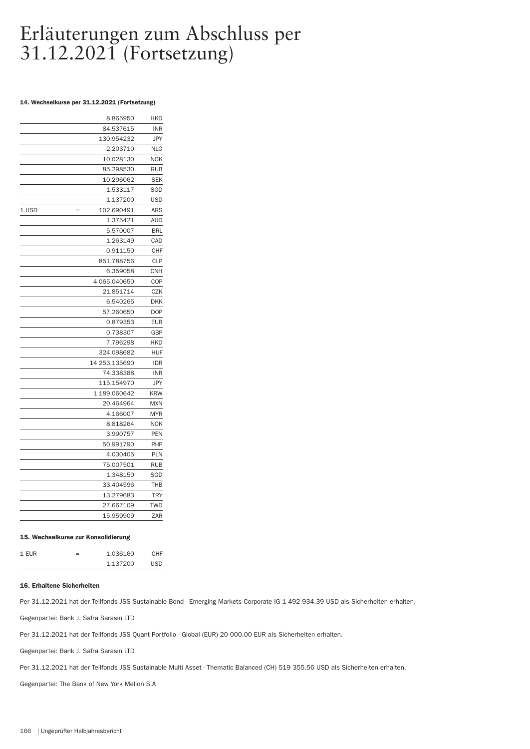# 14. Wechselkurse per 31.12.2021 (Fortsetzung)

|              | 8.865950      | HKD        |
|--------------|---------------|------------|
|              | 84.537615     | <b>INR</b> |
|              | 130.954232    | <b>JPY</b> |
|              | 2.203710      | <b>NLG</b> |
|              | 10.028130     | <b>NOK</b> |
|              | 85.298530     | <b>RUB</b> |
|              | 10.296062     | <b>SEK</b> |
|              | 1.533117      | SGD        |
|              | 1.137200      | USD        |
| 1 USD<br>$=$ | 102.690491    | ARS        |
|              | 1.375421      | <b>AUD</b> |
|              | 5.570007      | <b>BRL</b> |
|              | 1.263149      | CAD        |
|              | 0.911150      | CHF        |
|              | 851.788756    | <b>CLP</b> |
|              | 6.359058      | CNH        |
|              | 4 065.040650  | COP        |
|              | 21.851714     | CZK        |
|              | 6.540265      | <b>DKK</b> |
|              | 57.260650     | <b>DOP</b> |
|              | 0.879353      | <b>EUR</b> |
|              | 0.738307      | GBP        |
|              | 7.796298      | HKD        |
|              | 324.098682    | <b>HUF</b> |
|              | 14 253.135690 | <b>IDR</b> |
|              | 74.338388     | <b>INR</b> |
|              | 115.154970    | <b>JPY</b> |
|              | 1 189.060642  | <b>KRW</b> |
|              | 20.464964     | <b>MXN</b> |
|              | 4.166007      | <b>MYR</b> |
|              | 8.818264      | <b>NOK</b> |
|              | 3.990757      | PEN        |
|              | 50.991790     | PHP        |
|              | 4.030405      | <b>PLN</b> |
|              | 75.007501     | RUB        |
|              | 1.348150      | SGD        |
|              | 33.404596     | THB        |
|              | 13.279683     | <b>TRY</b> |
|              | 27.667109     | <b>TWD</b> |
|              | 15.959909     | ZAR        |

### 15. Wechselkurse zur Konsolidierung

| $1$ FIIR | -<br>= | 1.036160 | <b>۰</b> ⊔ ⊏ |  |
|----------|--------|----------|--------------|--|
|          |        | 1 137200 | cn           |  |

#### 16. Erhaltene Sicherheiten

Per 31.12.2021 hat der Teilfonds JSS Sustainable Bond - Emerging Markets Corporate IG 1 492 934.39 USD als Sicherheiten erhalten.

Gegenpar tei: Bank J. Safra Sarasin LTD

Per 31.12.2021 hat der Teilfonds JSS Quant Portfolio - Global (EUR) 20 000.00 EUR als Sicherheiten erhalten.

Gegenpar tei: Bank J. Safra Sarasin LTD

Per 31.12.2021 hat der Teilfonds JSS Sustainable Multi Asset - Thematic Balanced (CH) 519 355.56 USD als Sicherheiten erhalten.

Gegenpartei: The Bank of New York Mellon S.A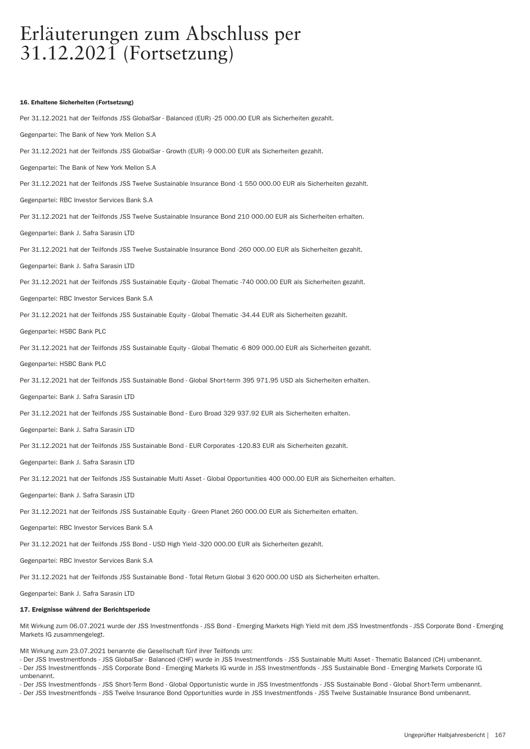#### 16. Erhaltene Sicherheiten (Fortsetzung)

Per 31.12.2021 hat der Teilfonds JSS GlobalSar - Balanced (EUR) -25 000.00 EUR als Sicherheiten gezahlt. Gegenpartei: The Bank of New York Mellon S.A. Per 31.12.2021 hat der Teilfonds JSS GlobalSar - Growth (EUR) -9 000.00 EUR als Sicherheiten gezahlt. Gegenpartei: The Bank of New York Mellon S.A. Per 31.12.2021 hat der Teilfonds JSS Twelve Sustainable Insurance Bond -1 550 000.00 EUR als Sicherheiten gezahlt. Gegenpar tei: RBC Investor Services Bank S.A Per 31.12.2021 hat der Teilfonds JSS Twelve Sustainable Insurance Bond 210 000.00 EUR als Sicherheiten erhalten. Gegenpartei: Bank J. Safra Sarasin LTD Per 31.12.2021 hat der Teilfonds JSS Twelve Sustainable Insurance Bond -260 000.00 EUR als Sicherheiten gezahlt. Gegenpar tei: Bank J. Safra Sarasin LTD Per 31.12.2021 hat der Teilfonds JSS Sustainable Equity - Global Thematic -740 000.00 EUR als Sicherheiten gezahlt. Gegenpar tei: RBC Investor Services Bank S.A Per 31.12.2021 hat der Teilfonds JSS Sustainable Equity - Global Thematic -34.44 EUR als Sicherheiten gezahlt. Gegenpar tei: HSBC Bank PLC Per 31.12.2021 hat der Teilfonds JSS Sustainable Equity - Global Thematic -6 809 000.00 EUR als Sicherheiten gezahlt. Gegenpar tei: HSBC Bank PLC Per 31.12.2021 hat der Teilfonds JSS Sustainable Bond - Global Short-term 395 971.95 USD als Sicherheiten erhalten. Gegenpar tei: Bank J. Safra Sarasin LTD Per 31.12.2021 hat der Teilfonds JSS Sustainable Bond - Euro Broad 329 937.92 EUR als Sicherheiten erhalten. Gegenpar tei: Bank J. Safra Sarasin LTD Per 31.12.2021 hat der Teilfonds JSS Sustainable Bond - EUR Corporates -120.83 EUR als Sicherheiten gezahlt. Gegenpar tei: Bank J. Safra Sarasin LTD Per 31.12.2021 hat der Teilfonds JSS Sustainable Multi Asset - Global Opportunities 400 000.00 EUR als Sicherheiten erhalten. Gegenpartei: Bank J. Safra Sarasin LTD Per 31.12.2021 hat der Teilfonds JSS Sustainable Equity - Green Planet 260 000.00 EUR als Sicherheiten erhalten. Gegenpartei: RBC Investor Services Bank S.A Per 31.12.2021 hat der Teilfonds JSS Bond - USD High Yield -320 000.00 EUR als Sicherheiten gezahlt. Gegenpartei: RBC Investor Services Bank S.A Per 31.12.2021 hat der Teilfonds JSS Sustainable Bond - Total Return Global 3 620 000.00 USD als Sicherheiten erhalten.

Gegenpar tei: Bank J. Safra Sarasin LTD

#### 17. Ereignisse während der Berichtsperiode

Mit Wirkung zum 06.07.2021 wurde der JSS Investmentfonds - JSS Bond - Emerging Markets High Yield mit dem JSS Investmentfonds - JSS Corporate Bond - Emerging Markets IG zusammengelegt.

Mit Wirkung zum 23.07.2021 benannte die Gesellschaft fünf ihrer Teilfonds um:

- Der JSS Investmentfonds - JSS GlobalSar - Balanced (CHF) wurde in JSS Investmentfonds - JSS Sustainable Multi Asset - Thematic Balanced (CH) umbenannt. - Der JSS Investmentfonds - JSS Corporate Bond - Emerging Markets IG wurde in JSS Investmentfonds - JSS Sustainable Bond - Emerging Markets Corporate IG umbenannt.

- Der JSS Investmentfonds - JSS Shor t-Term Bond - Global Oppor tunistic wurde in JSS Investmentfonds - JSS Sustainable Bond - Global Shor t-Term umbenannt. - Der JSS Investmentfonds - JSS Twelve Insurance Bond Opportunities wurde in JSS Investmentfonds - JSS Twelve Sustainable Insurance Bond umbenannt.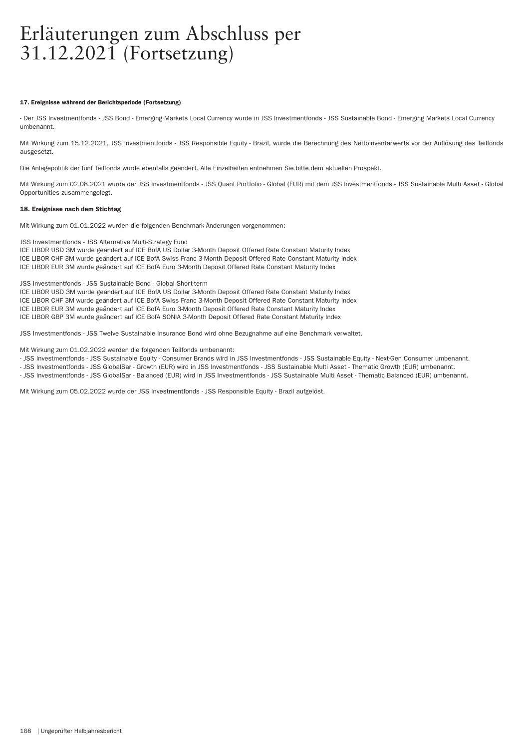### 17. Ereignisse während der Berichtsperiode (Fortsetzung)

- Der JSS Investmentfonds - JSS Bond - Emerging Markets Local Currency wurde in JSS Investmentfonds - JSS Sustainable Bond - Emerging Markets Local Currency umbenannt.

Mit Wirkung zum 15.12.2021, JSS Investmentfonds - JSS Responsible Equity - Brazil, wurde die Berechnung des Nettoinventarwerts vor der Auflösung des Teilfonds ausgesetzt.

Die Anlagepolitik der fünf Teilfonds wurde ebenfalls geändert. Alle Einzelheiten entnehmen Sie bitte dem aktuellen Prospekt.

Mit Wirkung zum 02.08.2021 wurde der JSS Investmentfonds - JSS Quant Por tfolio - Global (EUR) mit dem JSS Investmentfonds - JSS Sustainable Multi Asset - Global Opportunities zusammengelegt.

# 18. Ereignisse nach dem Stichtag

Mit Wirkung zum 01.01.2022 wurden die folgenden Benchmark-Änderungen vorgenommen:

JSS Investmentfonds - JSS Alternative Multi-Strategy Fund

ICE LIBOR USD 3M wurde geändert auf ICE BofA US Dollar 3-Month Deposit Offered Rate Constant Maturity Index ICE LIBOR CHF 3M wurde geändert auf ICE BofA Swiss Franc 3-Month Deposit Offered Rate Constant Maturity Index ICE LIBOR EUR 3M wurde geändert auf ICE BofA Euro 3-Month Deposit Offered Rate Constant Maturity Index

JSS Investmentfonds - JSS Sustainable Bond - Global Short-term

ICE LIBOR USD 3M wurde geändert auf ICE BofA US Dollar 3-Month Deposit Offered Rate Constant Maturity Index ICE LIBOR CHF 3M wurde geändert auf ICE BofA Swiss Franc 3-Month Deposit Offered Rate Constant Maturity Index ICE LIBOR EUR 3M wurde geändert auf ICE BofA Euro 3-Month Deposit Offered Rate Constant Maturity Index ICE LIBOR GBP 3M wurde geändert auf ICE BofA SONIA 3-Month Deposit Offered Rate Constant Maturity Index

JSS Investmentfonds - JSS Twelve Sustainable Insurance Bond wird ohne Bezugnahme auf eine Benchmark verwaltet.

Mit Wirkung zum 01.02.2022 werden die folgenden Teilfonds umbenannt:

- JSS Investmentfonds - JSS Sustainable Equity - Consumer Brands wird in JSS Investmentfonds - JSS Sustainable Equity - Next-Gen Consumer umbenannt.

- JSS Investmentfonds - JSS GlobalSar - Growth (EUR) wird in JSS Investmentfonds - JSS Sustainable Multi Asset - Thematic Growth (EUR) umbenannt. - JSS Investmentfonds - JSS GlobalSar - Balanced (EUR) wird in JSS Investmentfonds - JSS Sustainable Multi Asset - Thematic Balanced (EUR) umbenannt.

Mit Wirkung zum 05.02.2022 wurde der JSS Investmentfonds - JSS Responsible Equity - Brazil aufgelöst.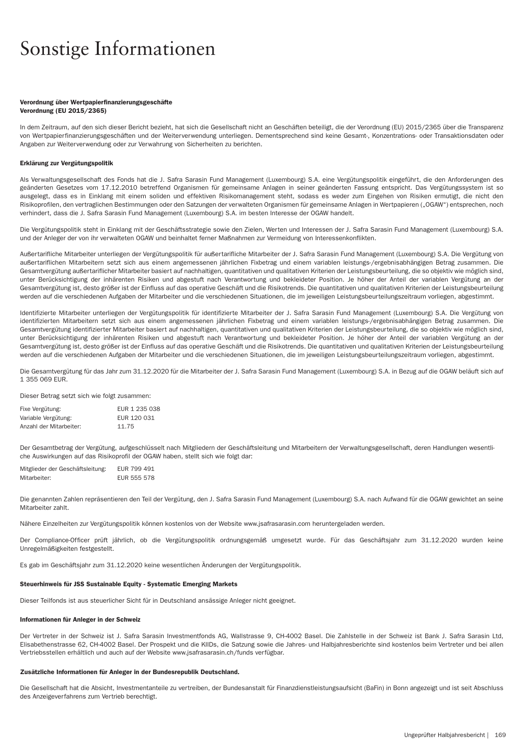# Sonstige Informationen

# Verordnung über Wertpapierfinanzierungsgeschäfte Verordnung (EU 2015/2365)

In dem Zeitraum, auf den sich dieser Bericht bezieht, hat sich die Gesellschaft nicht an Geschäften beteiligt, die der Verordnung (EU) 2015/2365 über die Transparenz von Wertpapier finanzierungsgeschäften und der Weiterverwendung unterliegen. Dementsprechend sind keine Gesamt-, Konzentrations- oder Transaktionsdaten oder Angaben zur Weiterverwendung oder zur Verwahrung von Sicherheiten zu berichten.

### Erklärung zur Vergütungspolitik

Als Verwaltungsgesellschaft des Fonds hat die J. Safra Sarasin Fund Management (Luxembourg) S.A. eine Vergütungspolitik eingeführt, die den Anforderungen des geänderten Gesetzes vom 17.12.2010 betreffend Organismen für gemeinsame Anlagen in seiner geänderten Fassung entspricht. Das Vergütungssystem ist so ausgelegt, dass es in Einklang mit einem soliden und effektiven Risikomanagement steht, sodass es weder zum Eingehen von Risiken ermutigt, die nicht den Risikoprofilen, den vertraglichen Bestimmungen oder den Satzungen der verwalteten Organismen für gemeinsame Anlagen in Wertpapieren ("OGAW") entsprechen, noch verhindert, dass die J. Safra Sarasin Fund Management (Luxembourg) S.A. im besten Interesse der OGAW handelt.

Die Vergütungspolitik steht in Einklang mit der Geschäftsstrategie sowie den Zielen. Werten und Interessen der J. Safra Sarasin Fund Management (Luxembourg) S.A. und der Anleger der von ihr verwalteten OGAW und beinhaltet ferner Maßnahmen zur Vermeidung von Interessenkonflikten.

Außer tarifliche Mitarbeiter unterliegen der Vergütungspolitik für außer tarifliche Mitarbeiter der J. Safra Sarasin Fund Management (Luxembourg) S.A. Die Vergütung von außer tariflichen Mitarbeitern setzt sich aus einem angemessenen jährlichen Fixbetrag und einem variablen leistungs-/ergebnisabhängigen Betrag zusammen. Die Gesamtvergütung außertariflicher Mitarbeiter basiert auf nachhaltigen, quantitativen und qualitativen Kriterien der Leistungsbeurteilung, die so objektiv wie möglich sind, unter Berücksichtigung der inhärenten Risiken und abgestuft nach Verantwortung und bekleideter Position. Je höher der Anteil der variablen Vergütung an der Gesamtvergütung ist, desto größer ist der Einfluss auf das operative Geschäft und die Risikotrends. Die quantitativen und qualitativen Kriterien der Leistungsbeurteilung werden auf die verschiedenen Aufgaben der Mitarbeiter und die verschiedenen Situationen, die im jeweiligen Leistungsbeur teilungszeitraum vorliegen, abgestimmt.

Identifizierte Mitarbeiter unterliegen der Vergütungspolitik für identifizierte Mitarbeiter der J. Safra Sarasin Fund Management (Luxembourg) S.A. Die Vergütung von identifizier ten Mitarbeitern setzt sich aus einem angemessenen jährlichen Fixbetrag und einem variablen leistungs-/ergebnisabhängigen Betrag zusammen. Die Gesamtvergütung identifizierter Mitarbeiter basiert auf nachhaltigen, quantitativen und qualitativen Kriterien der Leistungsbeurteilung, die so objektiv wie möglich sind, unter Berücksichtigung der inhärenten Risiken und abgestuft nach Verantwortung und bekleideter Position. Je höher der Anteil der variablen Vergütung an der Gesamtvergütung ist, desto größer ist der Einfluss auf das operative Geschäft und die Risikotrends. Die quantitativen und qualitativen Kriterien der Leistungsbeurteilung werden auf die verschiedenen Aufgaben der Mitarbeiter und die verschiedenen Situationen, die im jeweiligen Leistungsbeur teilungszeitraum vorliegen, abgestimmt.

Die Gesamtvergütung für das Jahr zum 31.12.2020 für die Mitarbeiter der J. Safra Sarasin Fund Management (Luxembourg) S.A. in Bezug auf die OGAW beläuft sich auf 1 355 069 EUR.

Dieser Betrag setzt sich wie folgt zusammen:

| Fixe Vergütung:         | EUR 1 235 038 |
|-------------------------|---------------|
| Variable Vergütung:     | EUR 120 031   |
| Anzahl der Mitarbeiter: | 11.75         |

Der Gesamtbetrag der Vergütung, aufgeschlüsselt nach Mitgliedern der Geschäftsleitung und Mitarbeitern der Verwaltungsgesellschaft, deren Handlungen wesentliche Auswirkungen auf das Risikoprofil der OGAW haben, stellt sich wie folgt dar:

| Mitglieder der Geschäftsleitung: | EUR 799 491 |  |
|----------------------------------|-------------|--|
| Mitarbeiter:                     | EUR 555 578 |  |

Die genannten Zahlen repräsentieren den Teil der Vergütung, den J. Safra Sarasin Fund Management (Luxembourg) S.A. nach Aufwand für die OGAW gewichtet an seine Mitarbeiter zahlt.

Nähere Einzelheiten zur Vergütungspolitik können kostenlos von der Website [www.jsafrasarasin.com](http://www.jsafrasarasin.com) heruntergeladen werden.

Der Compliance-Officer prüft jährlich, ob die Vergütungspolitik ordnungsgemäß umgesetzt wurde. Für das Geschäftsjahr zum 31.12.2020 wurden keine Unregelmäßigkeiten festgestellt.

Es gab im Geschäftsjahr zum 31.12.2020 keine wesentlichen Änderungen der Vergütungspolitik.

#### Steuerhinweis für JSS Sustainable Equity - Systematic Emerging Markets

Dieser Teilfonds ist aus steuerlicher Sicht für in Deutschland ansässige Anleger nicht geeignet.

#### Informationen für Anleger in der Schweiz

Der Vertreter in der Schweiz ist J. Safra Sarasin Investmentfonds AG, Wallstrasse 9, CH-4002 Basel. Die Zahlstelle in der Schweiz ist Bank J. Safra Sarasin Ltd, Elisabethenstrasse 62, CH-4002 Basel. Der Prospekt und die KIIDs, die Satzung sowie die Jahres- und Halbjahresberichte sind kostenlos beim Vertreter und bei allen Ver triebsstellen erhältlich und auch auf der Website [www.jsafrasarasin.ch/funds](http://www.jsafrasarasin.ch/funds) ver fügbar.

#### Zusätzliche Informationen für Anleger in der Bundesrepublik Deutschland.

Die Gesellschaft hat die Absicht, Investmentanteile zu vertreiben, der Bundesanstalt für Finanzdienstleistungsaufsicht (BaFin) in Bonn angezeigt und ist seit Abschluss des Anzeigever fahrens zum Ver trieb berechtigt.